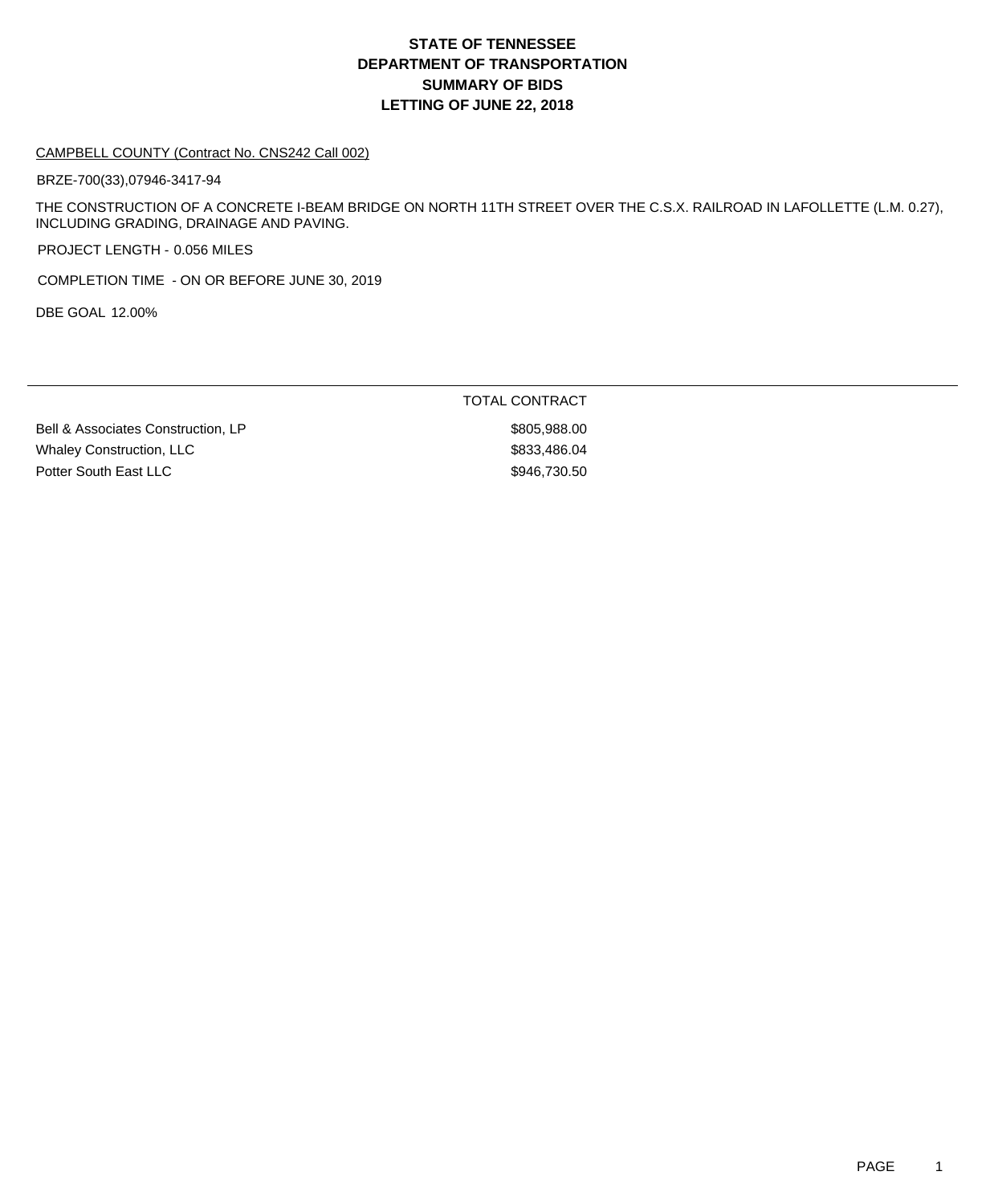# **DEPARTMENT OF TRANSPORTATION SUMMARY OF BIDS LETTING OF JUNE 22, 2018 STATE OF TENNESSEE**

#### CAMPBELL COUNTY (Contract No. CNS242 Call 002)

BRZE-700(33),07946-3417-94

THE CONSTRUCTION OF A CONCRETE I-BEAM BRIDGE ON NORTH 11TH STREET OVER THE C.S.X. RAILROAD IN LAFOLLETTE (L.M. 0.27), INCLUDING GRADING, DRAINAGE AND PAVING.

PROJECT LENGTH - 0.056 MILES

COMPLETION TIME - ON OR BEFORE JUNE 30, 2019

DBE GOAL 12.00%

TOTAL CONTRACT

Bell & Associates Construction, LP  $$805,988.00$ Whaley Construction, LLC \$833,486.04 Potter South East LLC \$946,730.50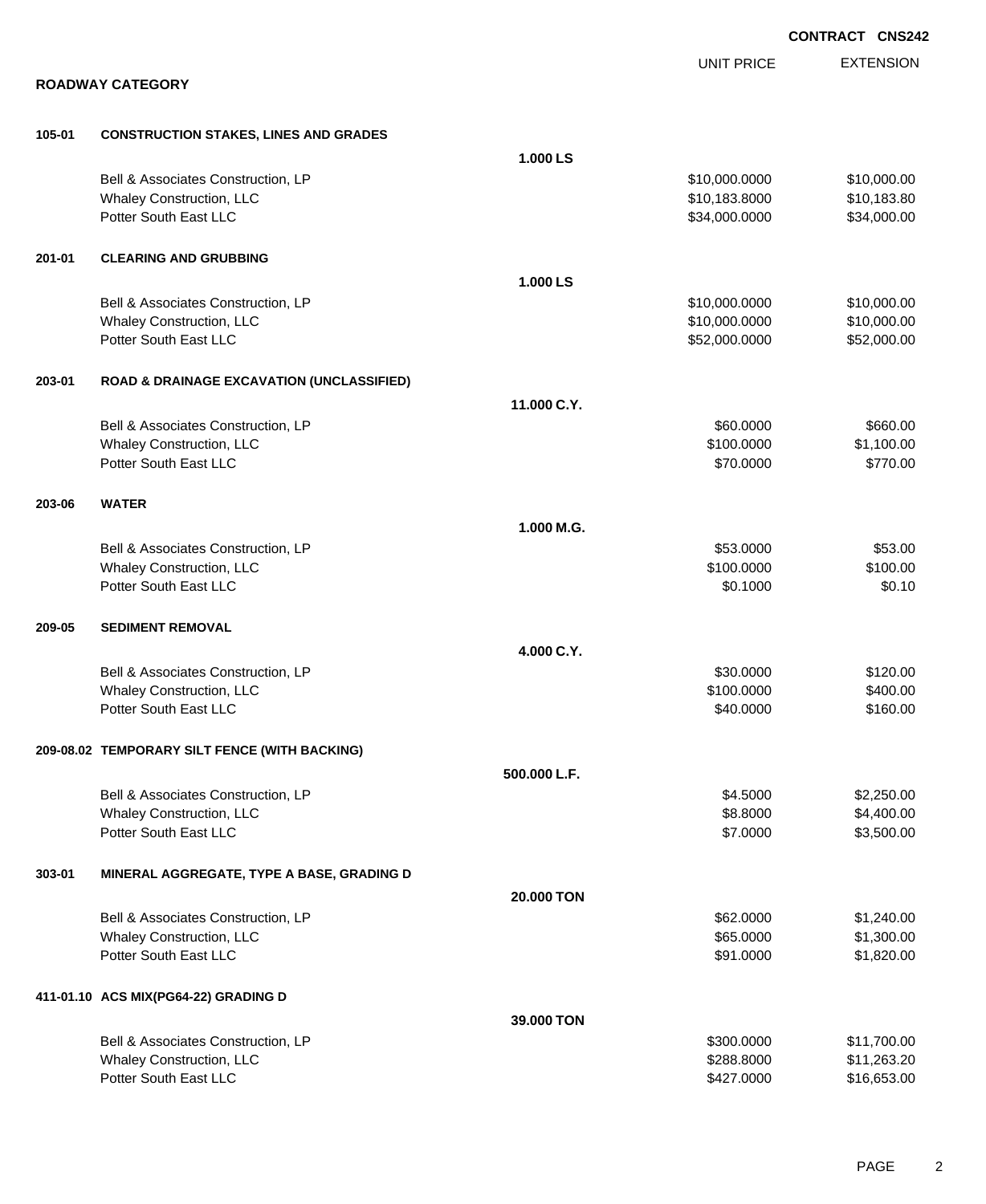|        |                                                      | <b>CONTRACT CNS242</b> |                   |                  |
|--------|------------------------------------------------------|------------------------|-------------------|------------------|
|        |                                                      |                        | <b>UNIT PRICE</b> | <b>EXTENSION</b> |
|        | <b>ROADWAY CATEGORY</b>                              |                        |                   |                  |
| 105-01 | <b>CONSTRUCTION STAKES, LINES AND GRADES</b>         |                        |                   |                  |
|        |                                                      | 1.000 LS               |                   |                  |
|        | Bell & Associates Construction, LP                   |                        | \$10,000.0000     | \$10,000.00      |
|        | Whaley Construction, LLC                             |                        | \$10,183.8000     | \$10,183.80      |
|        | Potter South East LLC                                |                        | \$34,000.0000     | \$34,000.00      |
| 201-01 | <b>CLEARING AND GRUBBING</b>                         |                        |                   |                  |
|        |                                                      | 1.000 LS               |                   |                  |
|        | Bell & Associates Construction, LP                   |                        | \$10,000.0000     | \$10,000.00      |
|        | Whaley Construction, LLC                             |                        | \$10,000.0000     | \$10,000.00      |
|        | Potter South East LLC                                |                        | \$52,000.0000     | \$52,000.00      |
| 203-01 | <b>ROAD &amp; DRAINAGE EXCAVATION (UNCLASSIFIED)</b> |                        |                   |                  |
|        |                                                      | 11.000 C.Y.            |                   |                  |
|        | Bell & Associates Construction, LP                   |                        | \$60.0000         | \$660.00         |
|        | <b>Whaley Construction, LLC</b>                      |                        | \$100.0000        | \$1,100.00       |
|        | Potter South East LLC                                |                        | \$70.0000         | \$770.00         |
| 203-06 | <b>WATER</b>                                         |                        |                   |                  |
|        |                                                      | 1.000 M.G.             |                   |                  |
|        | Bell & Associates Construction, LP                   |                        | \$53.0000         | \$53.00          |
|        | Whaley Construction, LLC                             |                        | \$100.0000        | \$100.00         |
|        | Potter South East LLC                                |                        | \$0.1000          | \$0.10           |
| 209-05 | <b>SEDIMENT REMOVAL</b>                              |                        |                   |                  |
|        |                                                      | 4.000 C.Y.             |                   |                  |
|        | Bell & Associates Construction, LP                   |                        | \$30.0000         | \$120.00         |
|        | Whaley Construction, LLC                             |                        | \$100.0000        | \$400.00         |
|        | Potter South East LLC                                |                        | \$40.0000         | \$160.00         |
|        | 209-08.02 TEMPORARY SILT FENCE (WITH BACKING)        |                        |                   |                  |
|        |                                                      | 500.000 L.F.           |                   |                  |
|        | Bell & Associates Construction, LP                   |                        | \$4.5000          | \$2,250.00       |
|        | Whaley Construction, LLC                             |                        | \$8.8000          | \$4,400.00       |
|        | Potter South East LLC                                |                        | \$7.0000          | \$3,500.00       |
| 303-01 | MINERAL AGGREGATE, TYPE A BASE, GRADING D            |                        |                   |                  |
|        |                                                      | 20.000 TON             |                   |                  |
|        | Bell & Associates Construction, LP                   |                        | \$62.0000         | \$1,240.00       |
|        | Whaley Construction, LLC                             |                        | \$65.0000         | \$1,300.00       |
|        | Potter South East LLC                                |                        | \$91.0000         | \$1,820.00       |
|        | 411-01.10 ACS MIX(PG64-22) GRADING D                 |                        |                   |                  |
|        |                                                      | 39.000 TON             |                   |                  |
|        | Bell & Associates Construction, LP                   |                        | \$300.0000        | \$11,700.00      |
|        | Whaley Construction, LLC                             |                        | \$288.8000        | \$11,263.20      |
|        | Potter South East LLC                                |                        | \$427.0000        | \$16,653.00      |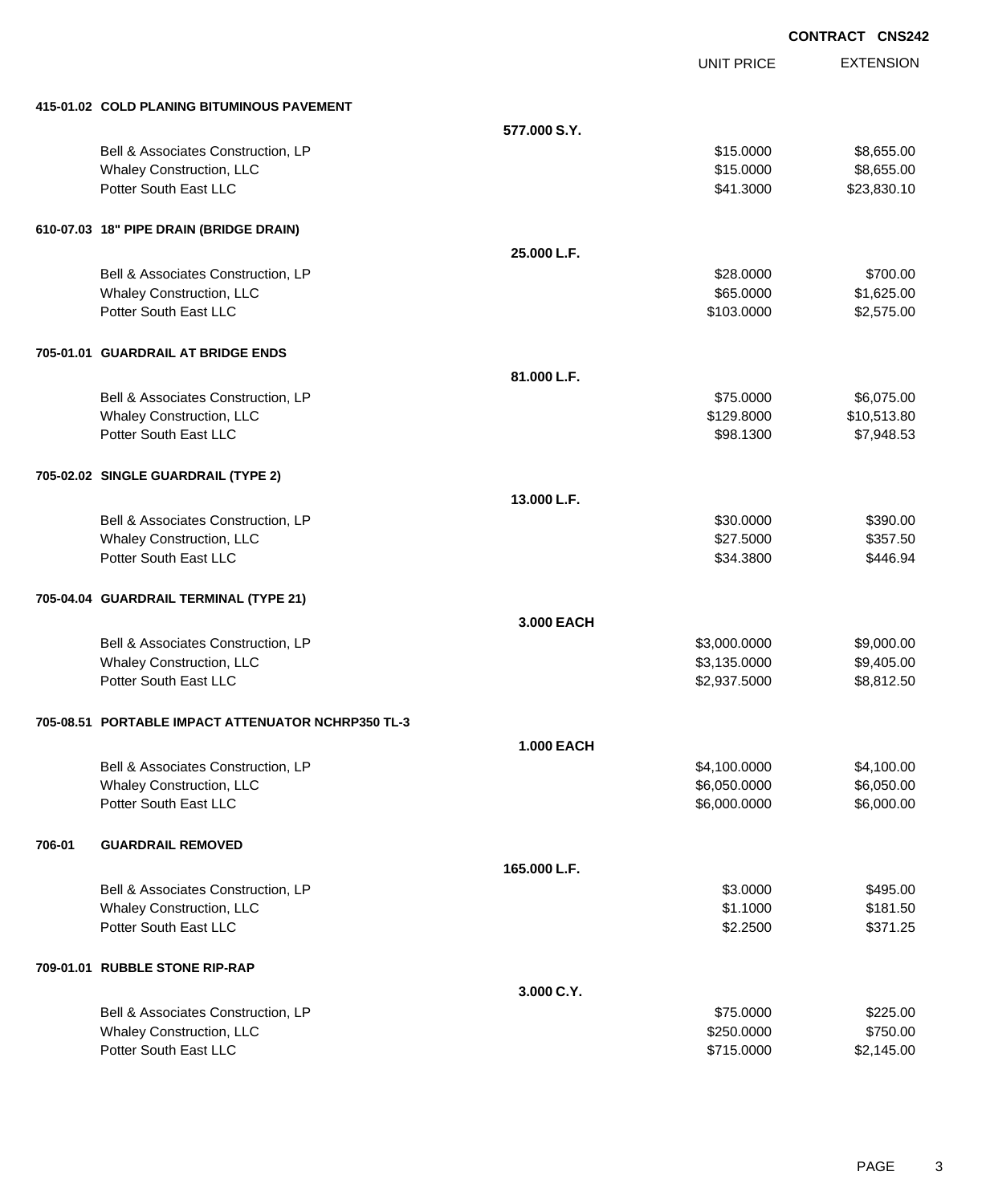UNIT PRICE EXTENSION

**415-01.02 COLD PLANING BITUMINOUS PAVEMENT**

| 577.000 S.Y.<br>Bell & Associates Construction, LP<br>\$15.0000<br>\$8,655.00<br><b>Whaley Construction, LLC</b><br>\$8,655.00<br>\$15.0000<br>Potter South East LLC<br>\$23,830.10<br>\$41.3000<br>610-07.03 18" PIPE DRAIN (BRIDGE DRAIN)<br>25.000 L.F.<br>Bell & Associates Construction, LP<br>\$28.0000<br>\$700.00<br><b>Whaley Construction, LLC</b><br>\$65.0000<br>\$1,625.00<br>Potter South East LLC<br>\$103.0000<br>\$2,575.00<br>705-01.01 GUARDRAIL AT BRIDGE ENDS<br>81.000 L.F.<br>Bell & Associates Construction, LP<br>\$75.0000<br>\$6,075.00<br>Whaley Construction, LLC<br>\$10,513.80<br>\$129.8000<br>Potter South East LLC<br>\$98.1300<br>\$7,948.53<br>705-02.02 SINGLE GUARDRAIL (TYPE 2)<br>13.000 L.F.<br>Bell & Associates Construction, LP<br>\$30.0000<br>\$390.00<br><b>Whaley Construction, LLC</b><br>\$357.50<br>\$27.5000<br>Potter South East LLC<br>\$34.3800<br>\$446.94<br>705-04.04 GUARDRAIL TERMINAL (TYPE 21)<br>3.000 EACH<br>Bell & Associates Construction, LP<br>\$3,000.0000<br>\$9,000.00<br><b>Whaley Construction, LLC</b><br>\$9,405.00<br>\$3,135.0000<br>Potter South East LLC<br>\$8,812.50<br>\$2,937.5000<br>705-08.51 PORTABLE IMPACT ATTENUATOR NCHRP350 TL-3<br><b>1.000 EACH</b><br>Bell & Associates Construction, LP<br>\$4,100.0000<br>\$4,100.00<br>\$6,050.0000<br>\$6,050.00<br>Whaley Construction, LLC<br>\$6,000.0000<br>\$6,000.00<br>Potter South East LLC<br><b>GUARDRAIL REMOVED</b><br>706-01<br>165.000 L.F.<br>Bell & Associates Construction, LP<br>\$3.0000<br>\$495.00<br>Whaley Construction, LLC<br>\$1.1000<br>\$181.50<br>Potter South East LLC<br>\$2.2500<br>\$371.25<br>709-01.01 RUBBLE STONE RIP-RAP<br>3.000 C.Y.<br>Bell & Associates Construction, LP<br>\$75.0000<br>\$225.00<br><b>Whaley Construction, LLC</b><br>\$250.0000<br>\$750.00<br>Potter South East LLC<br>\$715.0000<br>\$2,145.00 | 415-01.02 COLD PLANING BITUMINOUS PAVEMENT |  |  |
|--------------------------------------------------------------------------------------------------------------------------------------------------------------------------------------------------------------------------------------------------------------------------------------------------------------------------------------------------------------------------------------------------------------------------------------------------------------------------------------------------------------------------------------------------------------------------------------------------------------------------------------------------------------------------------------------------------------------------------------------------------------------------------------------------------------------------------------------------------------------------------------------------------------------------------------------------------------------------------------------------------------------------------------------------------------------------------------------------------------------------------------------------------------------------------------------------------------------------------------------------------------------------------------------------------------------------------------------------------------------------------------------------------------------------------------------------------------------------------------------------------------------------------------------------------------------------------------------------------------------------------------------------------------------------------------------------------------------------------------------------------------------------------------------------------------------------------------------------------------------------------------------------|--------------------------------------------|--|--|
|                                                                                                                                                                                                                                                                                                                                                                                                                                                                                                                                                                                                                                                                                                                                                                                                                                                                                                                                                                                                                                                                                                                                                                                                                                                                                                                                                                                                                                                                                                                                                                                                                                                                                                                                                                                                                                                                                                  |                                            |  |  |
|                                                                                                                                                                                                                                                                                                                                                                                                                                                                                                                                                                                                                                                                                                                                                                                                                                                                                                                                                                                                                                                                                                                                                                                                                                                                                                                                                                                                                                                                                                                                                                                                                                                                                                                                                                                                                                                                                                  |                                            |  |  |
|                                                                                                                                                                                                                                                                                                                                                                                                                                                                                                                                                                                                                                                                                                                                                                                                                                                                                                                                                                                                                                                                                                                                                                                                                                                                                                                                                                                                                                                                                                                                                                                                                                                                                                                                                                                                                                                                                                  |                                            |  |  |
|                                                                                                                                                                                                                                                                                                                                                                                                                                                                                                                                                                                                                                                                                                                                                                                                                                                                                                                                                                                                                                                                                                                                                                                                                                                                                                                                                                                                                                                                                                                                                                                                                                                                                                                                                                                                                                                                                                  |                                            |  |  |
|                                                                                                                                                                                                                                                                                                                                                                                                                                                                                                                                                                                                                                                                                                                                                                                                                                                                                                                                                                                                                                                                                                                                                                                                                                                                                                                                                                                                                                                                                                                                                                                                                                                                                                                                                                                                                                                                                                  |                                            |  |  |
|                                                                                                                                                                                                                                                                                                                                                                                                                                                                                                                                                                                                                                                                                                                                                                                                                                                                                                                                                                                                                                                                                                                                                                                                                                                                                                                                                                                                                                                                                                                                                                                                                                                                                                                                                                                                                                                                                                  |                                            |  |  |
|                                                                                                                                                                                                                                                                                                                                                                                                                                                                                                                                                                                                                                                                                                                                                                                                                                                                                                                                                                                                                                                                                                                                                                                                                                                                                                                                                                                                                                                                                                                                                                                                                                                                                                                                                                                                                                                                                                  |                                            |  |  |
|                                                                                                                                                                                                                                                                                                                                                                                                                                                                                                                                                                                                                                                                                                                                                                                                                                                                                                                                                                                                                                                                                                                                                                                                                                                                                                                                                                                                                                                                                                                                                                                                                                                                                                                                                                                                                                                                                                  |                                            |  |  |
|                                                                                                                                                                                                                                                                                                                                                                                                                                                                                                                                                                                                                                                                                                                                                                                                                                                                                                                                                                                                                                                                                                                                                                                                                                                                                                                                                                                                                                                                                                                                                                                                                                                                                                                                                                                                                                                                                                  |                                            |  |  |
|                                                                                                                                                                                                                                                                                                                                                                                                                                                                                                                                                                                                                                                                                                                                                                                                                                                                                                                                                                                                                                                                                                                                                                                                                                                                                                                                                                                                                                                                                                                                                                                                                                                                                                                                                                                                                                                                                                  |                                            |  |  |
|                                                                                                                                                                                                                                                                                                                                                                                                                                                                                                                                                                                                                                                                                                                                                                                                                                                                                                                                                                                                                                                                                                                                                                                                                                                                                                                                                                                                                                                                                                                                                                                                                                                                                                                                                                                                                                                                                                  |                                            |  |  |
|                                                                                                                                                                                                                                                                                                                                                                                                                                                                                                                                                                                                                                                                                                                                                                                                                                                                                                                                                                                                                                                                                                                                                                                                                                                                                                                                                                                                                                                                                                                                                                                                                                                                                                                                                                                                                                                                                                  |                                            |  |  |
|                                                                                                                                                                                                                                                                                                                                                                                                                                                                                                                                                                                                                                                                                                                                                                                                                                                                                                                                                                                                                                                                                                                                                                                                                                                                                                                                                                                                                                                                                                                                                                                                                                                                                                                                                                                                                                                                                                  |                                            |  |  |
|                                                                                                                                                                                                                                                                                                                                                                                                                                                                                                                                                                                                                                                                                                                                                                                                                                                                                                                                                                                                                                                                                                                                                                                                                                                                                                                                                                                                                                                                                                                                                                                                                                                                                                                                                                                                                                                                                                  |                                            |  |  |
|                                                                                                                                                                                                                                                                                                                                                                                                                                                                                                                                                                                                                                                                                                                                                                                                                                                                                                                                                                                                                                                                                                                                                                                                                                                                                                                                                                                                                                                                                                                                                                                                                                                                                                                                                                                                                                                                                                  |                                            |  |  |
|                                                                                                                                                                                                                                                                                                                                                                                                                                                                                                                                                                                                                                                                                                                                                                                                                                                                                                                                                                                                                                                                                                                                                                                                                                                                                                                                                                                                                                                                                                                                                                                                                                                                                                                                                                                                                                                                                                  |                                            |  |  |
|                                                                                                                                                                                                                                                                                                                                                                                                                                                                                                                                                                                                                                                                                                                                                                                                                                                                                                                                                                                                                                                                                                                                                                                                                                                                                                                                                                                                                                                                                                                                                                                                                                                                                                                                                                                                                                                                                                  |                                            |  |  |
|                                                                                                                                                                                                                                                                                                                                                                                                                                                                                                                                                                                                                                                                                                                                                                                                                                                                                                                                                                                                                                                                                                                                                                                                                                                                                                                                                                                                                                                                                                                                                                                                                                                                                                                                                                                                                                                                                                  |                                            |  |  |
|                                                                                                                                                                                                                                                                                                                                                                                                                                                                                                                                                                                                                                                                                                                                                                                                                                                                                                                                                                                                                                                                                                                                                                                                                                                                                                                                                                                                                                                                                                                                                                                                                                                                                                                                                                                                                                                                                                  |                                            |  |  |
|                                                                                                                                                                                                                                                                                                                                                                                                                                                                                                                                                                                                                                                                                                                                                                                                                                                                                                                                                                                                                                                                                                                                                                                                                                                                                                                                                                                                                                                                                                                                                                                                                                                                                                                                                                                                                                                                                                  |                                            |  |  |
|                                                                                                                                                                                                                                                                                                                                                                                                                                                                                                                                                                                                                                                                                                                                                                                                                                                                                                                                                                                                                                                                                                                                                                                                                                                                                                                                                                                                                                                                                                                                                                                                                                                                                                                                                                                                                                                                                                  |                                            |  |  |
|                                                                                                                                                                                                                                                                                                                                                                                                                                                                                                                                                                                                                                                                                                                                                                                                                                                                                                                                                                                                                                                                                                                                                                                                                                                                                                                                                                                                                                                                                                                                                                                                                                                                                                                                                                                                                                                                                                  |                                            |  |  |
|                                                                                                                                                                                                                                                                                                                                                                                                                                                                                                                                                                                                                                                                                                                                                                                                                                                                                                                                                                                                                                                                                                                                                                                                                                                                                                                                                                                                                                                                                                                                                                                                                                                                                                                                                                                                                                                                                                  |                                            |  |  |
|                                                                                                                                                                                                                                                                                                                                                                                                                                                                                                                                                                                                                                                                                                                                                                                                                                                                                                                                                                                                                                                                                                                                                                                                                                                                                                                                                                                                                                                                                                                                                                                                                                                                                                                                                                                                                                                                                                  |                                            |  |  |
|                                                                                                                                                                                                                                                                                                                                                                                                                                                                                                                                                                                                                                                                                                                                                                                                                                                                                                                                                                                                                                                                                                                                                                                                                                                                                                                                                                                                                                                                                                                                                                                                                                                                                                                                                                                                                                                                                                  |                                            |  |  |
|                                                                                                                                                                                                                                                                                                                                                                                                                                                                                                                                                                                                                                                                                                                                                                                                                                                                                                                                                                                                                                                                                                                                                                                                                                                                                                                                                                                                                                                                                                                                                                                                                                                                                                                                                                                                                                                                                                  |                                            |  |  |
|                                                                                                                                                                                                                                                                                                                                                                                                                                                                                                                                                                                                                                                                                                                                                                                                                                                                                                                                                                                                                                                                                                                                                                                                                                                                                                                                                                                                                                                                                                                                                                                                                                                                                                                                                                                                                                                                                                  |                                            |  |  |
|                                                                                                                                                                                                                                                                                                                                                                                                                                                                                                                                                                                                                                                                                                                                                                                                                                                                                                                                                                                                                                                                                                                                                                                                                                                                                                                                                                                                                                                                                                                                                                                                                                                                                                                                                                                                                                                                                                  |                                            |  |  |
|                                                                                                                                                                                                                                                                                                                                                                                                                                                                                                                                                                                                                                                                                                                                                                                                                                                                                                                                                                                                                                                                                                                                                                                                                                                                                                                                                                                                                                                                                                                                                                                                                                                                                                                                                                                                                                                                                                  |                                            |  |  |
|                                                                                                                                                                                                                                                                                                                                                                                                                                                                                                                                                                                                                                                                                                                                                                                                                                                                                                                                                                                                                                                                                                                                                                                                                                                                                                                                                                                                                                                                                                                                                                                                                                                                                                                                                                                                                                                                                                  |                                            |  |  |
|                                                                                                                                                                                                                                                                                                                                                                                                                                                                                                                                                                                                                                                                                                                                                                                                                                                                                                                                                                                                                                                                                                                                                                                                                                                                                                                                                                                                                                                                                                                                                                                                                                                                                                                                                                                                                                                                                                  |                                            |  |  |
|                                                                                                                                                                                                                                                                                                                                                                                                                                                                                                                                                                                                                                                                                                                                                                                                                                                                                                                                                                                                                                                                                                                                                                                                                                                                                                                                                                                                                                                                                                                                                                                                                                                                                                                                                                                                                                                                                                  |                                            |  |  |
|                                                                                                                                                                                                                                                                                                                                                                                                                                                                                                                                                                                                                                                                                                                                                                                                                                                                                                                                                                                                                                                                                                                                                                                                                                                                                                                                                                                                                                                                                                                                                                                                                                                                                                                                                                                                                                                                                                  |                                            |  |  |
|                                                                                                                                                                                                                                                                                                                                                                                                                                                                                                                                                                                                                                                                                                                                                                                                                                                                                                                                                                                                                                                                                                                                                                                                                                                                                                                                                                                                                                                                                                                                                                                                                                                                                                                                                                                                                                                                                                  |                                            |  |  |
|                                                                                                                                                                                                                                                                                                                                                                                                                                                                                                                                                                                                                                                                                                                                                                                                                                                                                                                                                                                                                                                                                                                                                                                                                                                                                                                                                                                                                                                                                                                                                                                                                                                                                                                                                                                                                                                                                                  |                                            |  |  |
|                                                                                                                                                                                                                                                                                                                                                                                                                                                                                                                                                                                                                                                                                                                                                                                                                                                                                                                                                                                                                                                                                                                                                                                                                                                                                                                                                                                                                                                                                                                                                                                                                                                                                                                                                                                                                                                                                                  |                                            |  |  |
|                                                                                                                                                                                                                                                                                                                                                                                                                                                                                                                                                                                                                                                                                                                                                                                                                                                                                                                                                                                                                                                                                                                                                                                                                                                                                                                                                                                                                                                                                                                                                                                                                                                                                                                                                                                                                                                                                                  |                                            |  |  |
|                                                                                                                                                                                                                                                                                                                                                                                                                                                                                                                                                                                                                                                                                                                                                                                                                                                                                                                                                                                                                                                                                                                                                                                                                                                                                                                                                                                                                                                                                                                                                                                                                                                                                                                                                                                                                                                                                                  |                                            |  |  |
|                                                                                                                                                                                                                                                                                                                                                                                                                                                                                                                                                                                                                                                                                                                                                                                                                                                                                                                                                                                                                                                                                                                                                                                                                                                                                                                                                                                                                                                                                                                                                                                                                                                                                                                                                                                                                                                                                                  |                                            |  |  |
|                                                                                                                                                                                                                                                                                                                                                                                                                                                                                                                                                                                                                                                                                                                                                                                                                                                                                                                                                                                                                                                                                                                                                                                                                                                                                                                                                                                                                                                                                                                                                                                                                                                                                                                                                                                                                                                                                                  |                                            |  |  |
|                                                                                                                                                                                                                                                                                                                                                                                                                                                                                                                                                                                                                                                                                                                                                                                                                                                                                                                                                                                                                                                                                                                                                                                                                                                                                                                                                                                                                                                                                                                                                                                                                                                                                                                                                                                                                                                                                                  |                                            |  |  |
|                                                                                                                                                                                                                                                                                                                                                                                                                                                                                                                                                                                                                                                                                                                                                                                                                                                                                                                                                                                                                                                                                                                                                                                                                                                                                                                                                                                                                                                                                                                                                                                                                                                                                                                                                                                                                                                                                                  |                                            |  |  |
|                                                                                                                                                                                                                                                                                                                                                                                                                                                                                                                                                                                                                                                                                                                                                                                                                                                                                                                                                                                                                                                                                                                                                                                                                                                                                                                                                                                                                                                                                                                                                                                                                                                                                                                                                                                                                                                                                                  |                                            |  |  |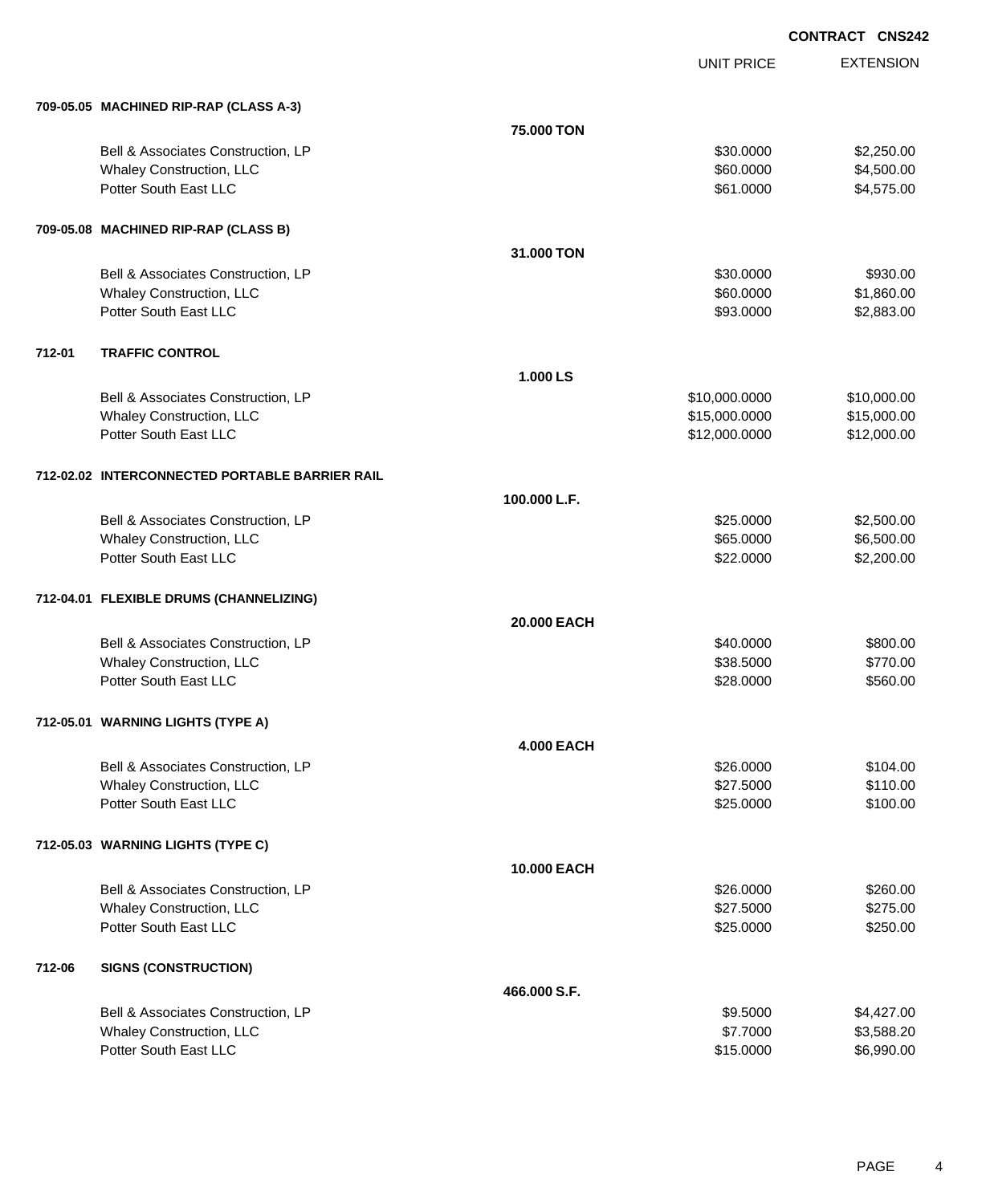|        |                                                |                   | <b>UNIT PRICE</b> | <b>EXTENSION</b> |
|--------|------------------------------------------------|-------------------|-------------------|------------------|
|        | 709-05.05 MACHINED RIP-RAP (CLASS A-3)         |                   |                   |                  |
|        |                                                | 75.000 TON        |                   |                  |
|        | Bell & Associates Construction, LP             |                   | \$30.0000         | \$2,250.00       |
|        | Whaley Construction, LLC                       |                   | \$60.0000         | \$4,500.00       |
|        | Potter South East LLC                          |                   | \$61.0000         | \$4,575.00       |
|        | 709-05.08 MACHINED RIP-RAP (CLASS B)           |                   |                   |                  |
|        |                                                | 31.000 TON        |                   |                  |
|        | Bell & Associates Construction, LP             |                   | \$30.0000         | \$930.00         |
|        | Whaley Construction, LLC                       |                   | \$60.0000         | \$1,860.00       |
|        | Potter South East LLC                          |                   | \$93.0000         | \$2,883.00       |
| 712-01 | <b>TRAFFIC CONTROL</b>                         |                   |                   |                  |
|        |                                                | 1.000 LS          |                   |                  |
|        | Bell & Associates Construction, LP             |                   | \$10,000.0000     | \$10,000.00      |
|        | Whaley Construction, LLC                       |                   | \$15,000.0000     | \$15,000.00      |
|        | Potter South East LLC                          |                   | \$12,000.0000     | \$12,000.00      |
|        | 712-02.02 INTERCONNECTED PORTABLE BARRIER RAIL |                   |                   |                  |
|        |                                                | 100.000 L.F.      |                   |                  |
|        | Bell & Associates Construction, LP             |                   | \$25.0000         | \$2,500.00       |
|        | Whaley Construction, LLC                       |                   | \$65.0000         | \$6,500.00       |
|        | Potter South East LLC                          |                   | \$22.0000         | \$2,200.00       |
|        | 712-04.01 FLEXIBLE DRUMS (CHANNELIZING)        |                   |                   |                  |
|        |                                                | 20.000 EACH       |                   |                  |
|        | Bell & Associates Construction, LP             |                   | \$40.0000         | \$800.00         |
|        | Whaley Construction, LLC                       |                   | \$38.5000         | \$770.00         |
|        | Potter South East LLC                          |                   | \$28.0000         | \$560.00         |
|        | 712-05.01 WARNING LIGHTS (TYPE A)              |                   |                   |                  |
|        |                                                | <b>4.000 EACH</b> |                   |                  |
|        | Bell & Associates Construction, LP             |                   | \$26.0000         | \$104.00         |
|        | Whaley Construction, LLC                       |                   | \$27.5000         | \$110.00         |
|        | Potter South East LLC                          |                   | \$25.0000         | \$100.00         |
|        | 712-05.03 WARNING LIGHTS (TYPE C)              |                   |                   |                  |
|        |                                                | 10.000 EACH       |                   |                  |
|        | Bell & Associates Construction, LP             |                   | \$26.0000         | \$260.00         |
|        | Whaley Construction, LLC                       |                   | \$27.5000         | \$275.00         |
|        | Potter South East LLC                          |                   | \$25.0000         | \$250.00         |
| 712-06 | <b>SIGNS (CONSTRUCTION)</b>                    |                   |                   |                  |
|        |                                                | 466.000 S.F.      |                   |                  |
|        | Bell & Associates Construction, LP             |                   | \$9.5000          | \$4,427.00       |
|        | Whaley Construction, LLC                       |                   | \$7.7000          | \$3,588.20       |
|        | Potter South East LLC                          |                   | \$15.0000         | \$6,990.00       |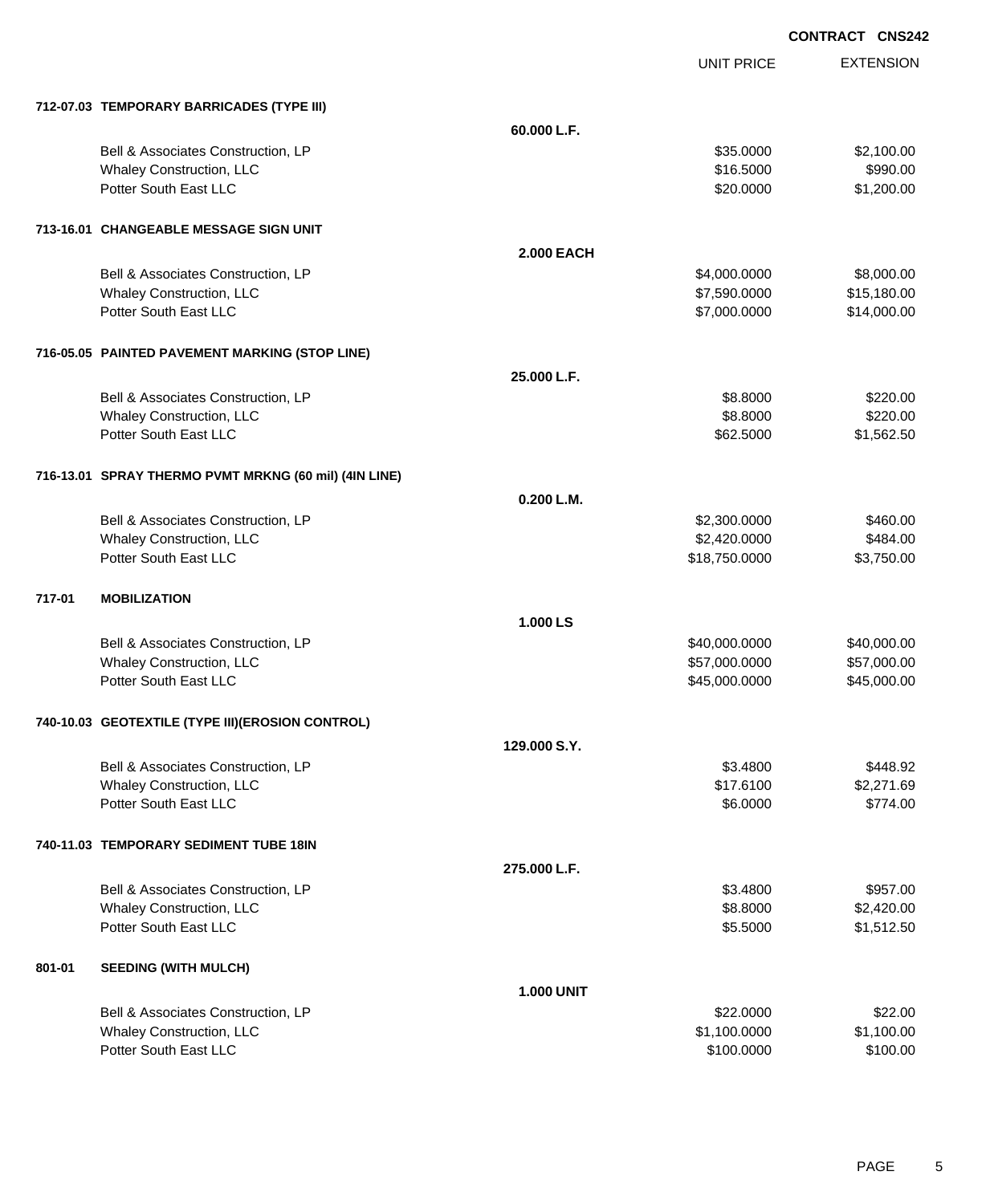UNIT PRICE EXTENSION

|        | 712-07.03 TEMPORARY BARRICADES (TYPE III)             |                   |               |             |
|--------|-------------------------------------------------------|-------------------|---------------|-------------|
|        |                                                       | 60.000 L.F.       |               |             |
|        | Bell & Associates Construction, LP                    |                   | \$35.0000     | \$2,100.00  |
|        | Whaley Construction, LLC                              |                   | \$16.5000     | \$990.00    |
|        | Potter South East LLC                                 |                   | \$20.0000     | \$1,200.00  |
|        | 713-16.01 CHANGEABLE MESSAGE SIGN UNIT                |                   |               |             |
|        |                                                       | <b>2.000 EACH</b> |               |             |
|        | Bell & Associates Construction, LP                    |                   | \$4,000.0000  | \$8,000.00  |
|        | Whaley Construction, LLC                              |                   | \$7,590.0000  | \$15,180.00 |
|        | Potter South East LLC                                 |                   | \$7,000.0000  | \$14,000.00 |
|        | 716-05.05 PAINTED PAVEMENT MARKING (STOP LINE)        |                   |               |             |
|        |                                                       | 25,000 L.F.       |               |             |
|        | Bell & Associates Construction, LP                    |                   | \$8.8000      | \$220.00    |
|        | Whaley Construction, LLC                              |                   | \$8.8000      | \$220.00    |
|        | Potter South East LLC                                 |                   | \$62.5000     | \$1,562.50  |
|        | 716-13.01 SPRAY THERMO PVMT MRKNG (60 mil) (4IN LINE) |                   |               |             |
|        |                                                       | 0.200 L.M.        |               |             |
|        | Bell & Associates Construction, LP                    |                   | \$2,300.0000  | \$460.00    |
|        | Whaley Construction, LLC                              |                   | \$2,420.0000  | \$484.00    |
|        | Potter South East LLC                                 |                   | \$18,750.0000 | \$3,750.00  |
| 717-01 | <b>MOBILIZATION</b>                                   |                   |               |             |
|        |                                                       | 1.000 LS          |               |             |
|        | Bell & Associates Construction, LP                    |                   | \$40,000.0000 | \$40,000.00 |
|        | Whaley Construction, LLC                              |                   | \$57,000.0000 | \$57,000.00 |
|        | Potter South East LLC                                 |                   | \$45,000.0000 | \$45,000.00 |
|        | 740-10.03 GEOTEXTILE (TYPE III) (EROSION CONTROL)     |                   |               |             |
|        |                                                       | 129,000 S.Y.      |               |             |
|        | Bell & Associates Construction, LP                    |                   | \$3.4800      | \$448.92    |
|        | Whaley Construction, LLC                              |                   | \$17.6100     | \$2,271.69  |
|        | Potter South East LLC                                 |                   | \$6.0000      | \$774.00    |
|        | 740-11.03 TEMPORARY SEDIMENT TUBE 18IN                |                   |               |             |
|        |                                                       | 275.000 L.F.      |               |             |
|        | Bell & Associates Construction, LP                    |                   | \$3.4800      | \$957.00    |
|        | Whaley Construction, LLC                              |                   | \$8.8000      | \$2,420.00  |
|        | Potter South East LLC                                 |                   | \$5.5000      | \$1,512.50  |
| 801-01 | <b>SEEDING (WITH MULCH)</b>                           |                   |               |             |
|        |                                                       | <b>1.000 UNIT</b> |               |             |
|        | Bell & Associates Construction, LP                    |                   | \$22.0000     | \$22.00     |
|        | Whaley Construction, LLC                              |                   | \$1,100.0000  | \$1,100.00  |
|        | Potter South East LLC                                 |                   | \$100.0000    | \$100.00    |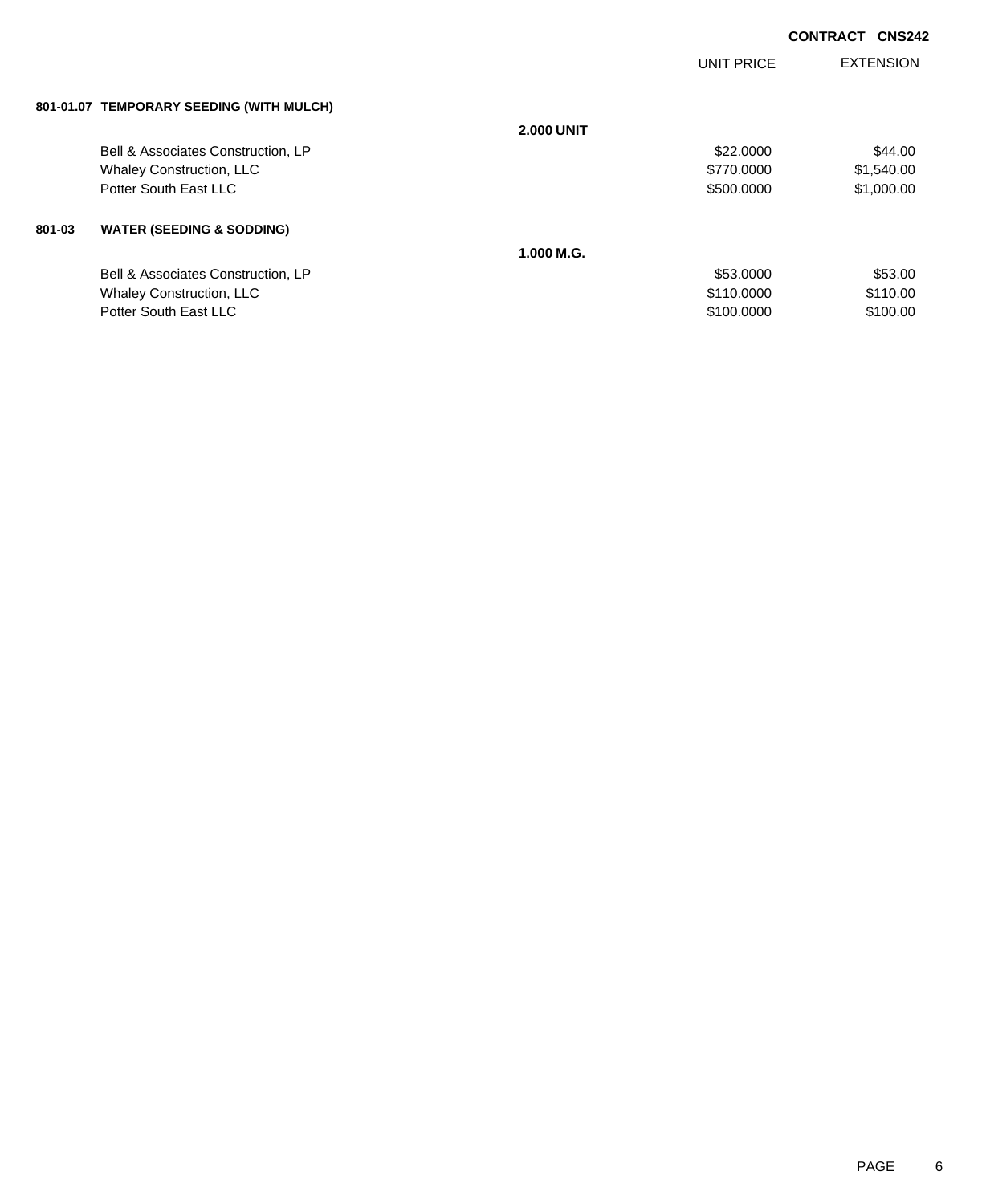|                                                | UNIT PRICE | <b>EXTENSION</b> |
|------------------------------------------------|------------|------------------|
| 801-01.07 TEMPORARY SEEDING (WITH MULCH)       |            |                  |
| <b>2.000 UNIT</b>                              |            |                  |
| Bell & Associates Construction, LP             | \$22,0000  | \$44.00          |
| <b>Whaley Construction, LLC</b>                | \$770,0000 | \$1,540.00       |
| Potter South East LLC                          | \$500,0000 | \$1,000.00       |
| 801-03<br><b>WATER (SEEDING &amp; SODDING)</b> |            |                  |
| 1.000 M.G.                                     |            |                  |
| Bell & Associates Construction, LP             | \$53,0000  | \$53.00          |
| <b>Whaley Construction, LLC</b>                | \$110,0000 | \$110.00         |
| Potter South East LLC                          | \$100,0000 | \$100.00         |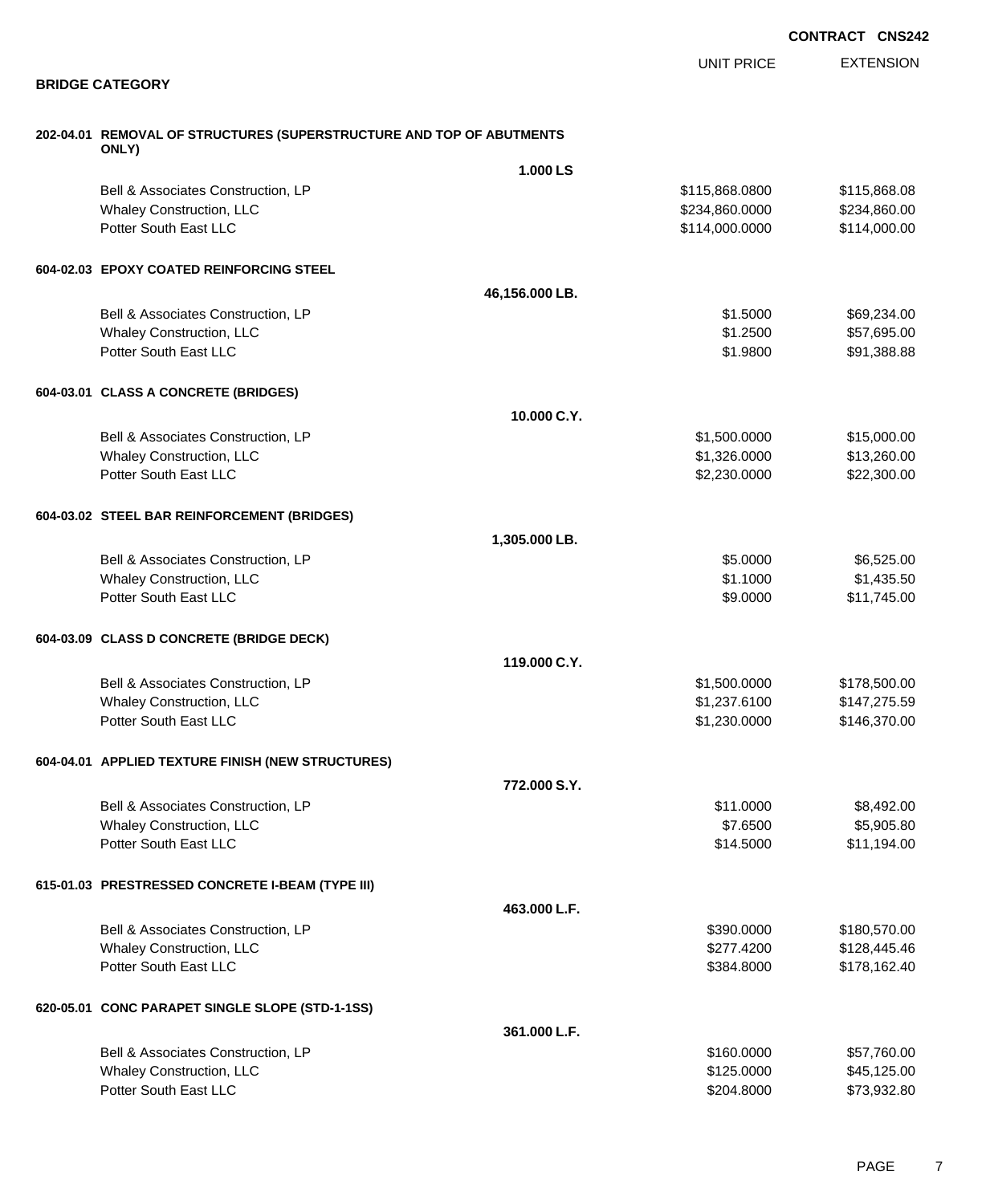EXTENSION UNIT PRICE

#### **BRIDGE CATEGORY**

| 202-04.01 REMOVAL OF STRUCTURES (SUPERSTRUCTURE AND TOP OF ABUTMENTS<br>ONLY) |                |                |              |
|-------------------------------------------------------------------------------|----------------|----------------|--------------|
|                                                                               | 1.000 LS       |                |              |
| Bell & Associates Construction, LP                                            |                | \$115,868.0800 | \$115,868.08 |
| Whaley Construction, LLC                                                      |                | \$234,860.0000 | \$234,860.00 |
| Potter South East LLC                                                         |                | \$114,000.0000 | \$114,000.00 |
| 604-02.03 EPOXY COATED REINFORCING STEEL                                      |                |                |              |
|                                                                               | 46,156.000 LB. |                |              |
| Bell & Associates Construction, LP                                            |                | \$1.5000       | \$69,234.00  |
| <b>Whaley Construction, LLC</b>                                               |                | \$1.2500       | \$57,695.00  |
| Potter South East LLC                                                         |                | \$1.9800       | \$91,388.88  |
| 604-03.01 CLASS A CONCRETE (BRIDGES)                                          |                |                |              |
|                                                                               | 10.000 C.Y.    |                |              |
| Bell & Associates Construction, LP                                            |                | \$1,500.0000   | \$15,000.00  |
| <b>Whaley Construction, LLC</b>                                               |                | \$1,326.0000   | \$13,260.00  |
| Potter South East LLC                                                         |                | \$2,230.0000   | \$22,300.00  |
| 604-03.02 STEEL BAR REINFORCEMENT (BRIDGES)                                   |                |                |              |
|                                                                               | 1,305.000 LB.  |                |              |
| Bell & Associates Construction, LP                                            |                | \$5.0000       | \$6,525.00   |
| Whaley Construction, LLC                                                      |                | \$1.1000       | \$1,435.50   |
| Potter South East LLC                                                         |                | \$9.0000       | \$11,745.00  |
| 604-03.09 CLASS D CONCRETE (BRIDGE DECK)                                      |                |                |              |
|                                                                               | 119.000 C.Y.   |                |              |
| Bell & Associates Construction, LP                                            |                | \$1,500.0000   | \$178,500.00 |
| <b>Whaley Construction, LLC</b>                                               |                | \$1,237.6100   | \$147,275.59 |
| Potter South East LLC                                                         |                | \$1,230.0000   | \$146,370.00 |
| 604-04.01 APPLIED TEXTURE FINISH (NEW STRUCTURES)                             |                |                |              |
|                                                                               | 772,000 S.Y.   |                |              |
| Bell & Associates Construction, LP                                            |                | \$11.0000      | \$8,492.00   |
| <b>Whaley Construction, LLC</b>                                               |                | \$7.6500       | \$5,905.80   |
| Potter South East LLC                                                         |                | \$14.5000      | \$11,194.00  |
| 615-01.03 PRESTRESSED CONCRETE I-BEAM (TYPE III)                              |                |                |              |
|                                                                               | 463.000 L.F.   |                |              |
| Bell & Associates Construction, LP                                            |                | \$390.0000     | \$180,570.00 |
| Whaley Construction, LLC                                                      |                | \$277.4200     | \$128,445.46 |
| Potter South East LLC                                                         |                | \$384.8000     | \$178,162.40 |
| 620-05.01 CONC PARAPET SINGLE SLOPE (STD-1-1SS)                               |                |                |              |
|                                                                               | 361.000 L.F.   |                |              |
| Bell & Associates Construction, LP                                            |                | \$160.0000     | \$57,760.00  |
| Whaley Construction, LLC                                                      |                | \$125.0000     | \$45,125.00  |
| Potter South East LLC                                                         |                | \$204.8000     | \$73,932.80  |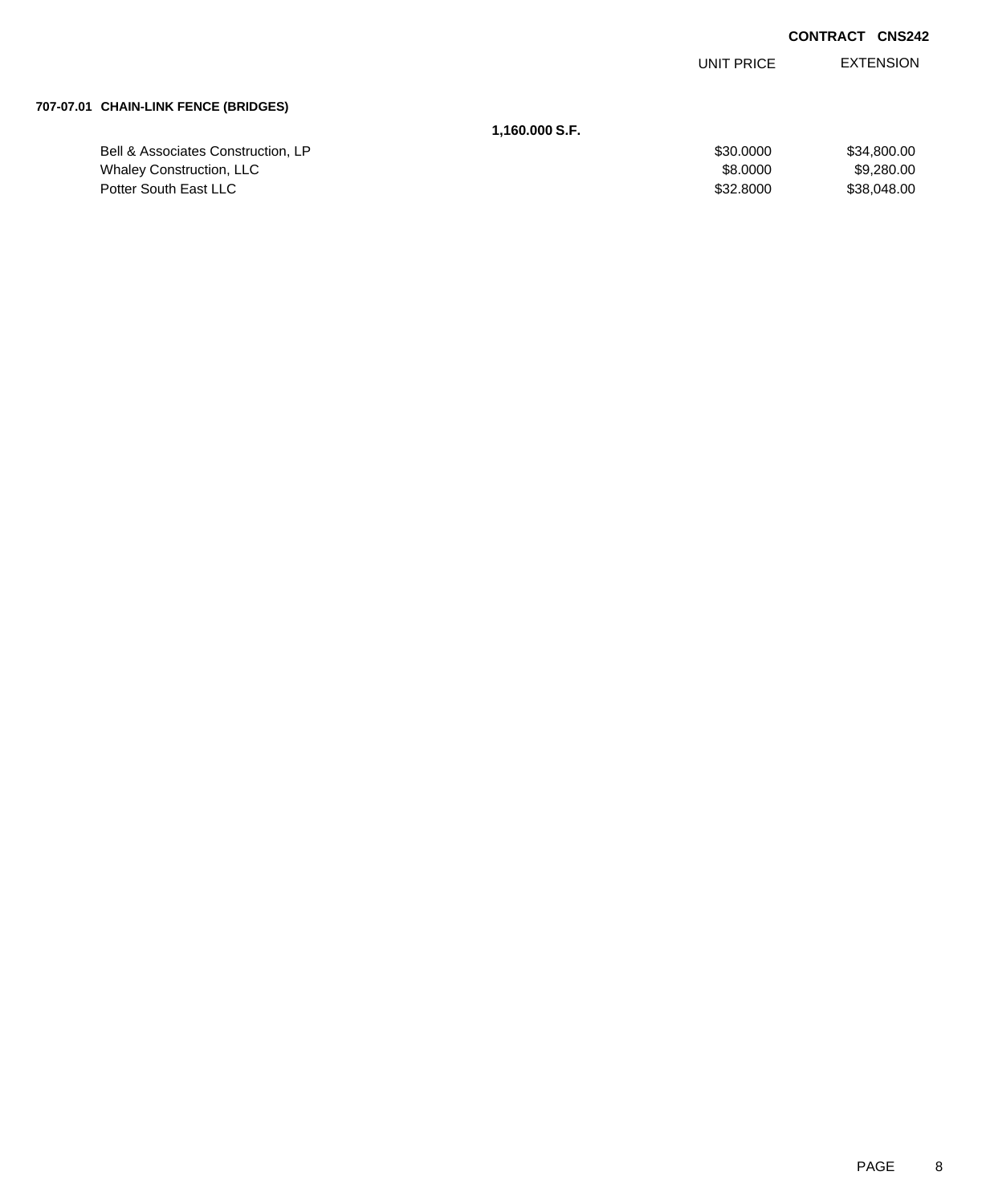EXTENSION UNIT PRICE

### **707-07.01 CHAIN-LINK FENCE (BRIDGES)**

|                                    | 1.160.000 S.F. |             |
|------------------------------------|----------------|-------------|
| Bell & Associates Construction, LP | \$30,0000      | \$34,800.00 |
| <b>Whaley Construction, LLC</b>    | \$8,0000       | \$9.280.00  |
| Potter South East LLC              | \$32,8000      | \$38,048,00 |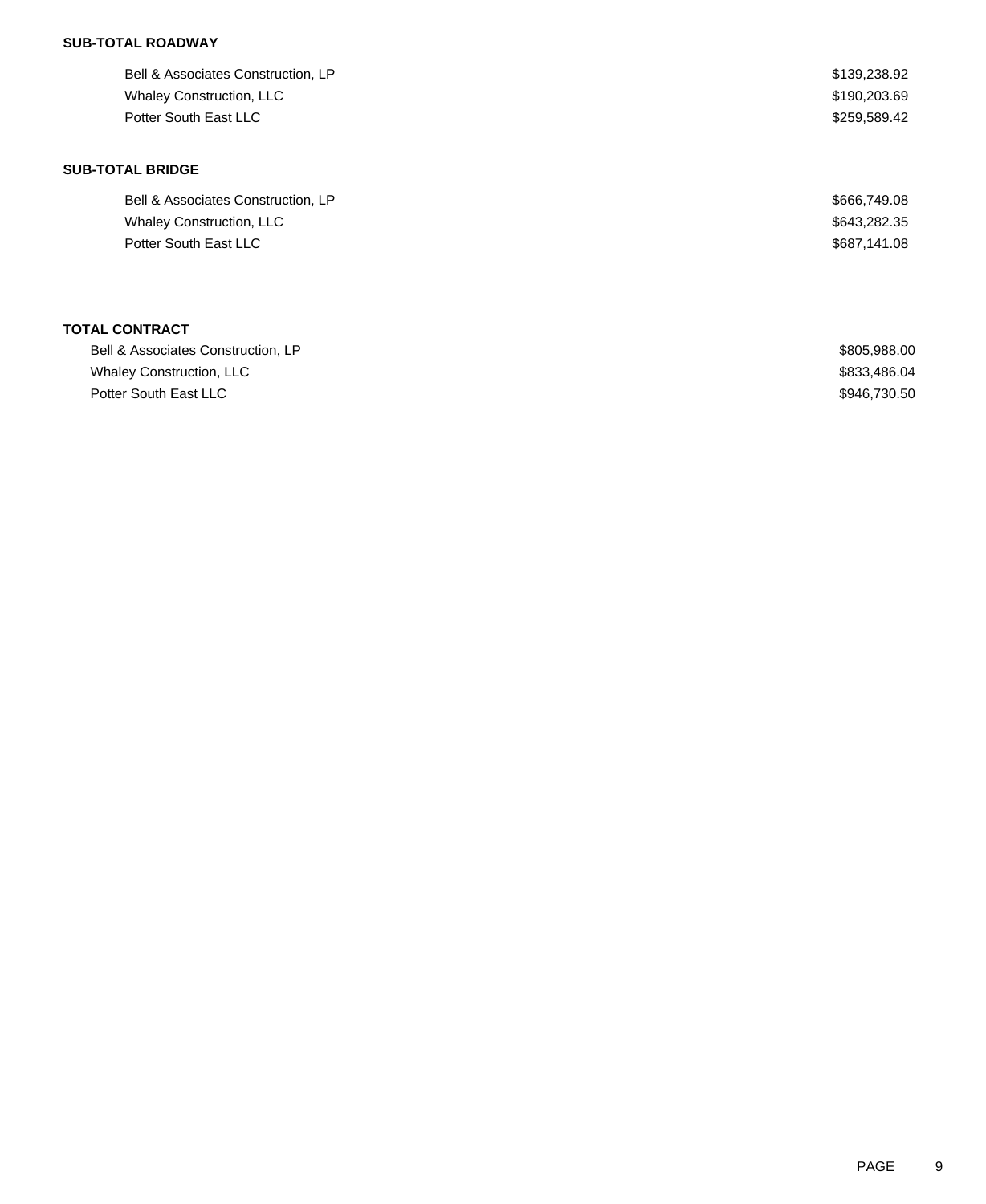## **SUB-TOTAL ROADWAY**

| Bell & Associates Construction, LP | \$139,238.92 |
|------------------------------------|--------------|
| <b>Whaley Construction, LLC</b>    | \$190,203.69 |
| Potter South East LLC              | \$259,589.42 |
|                                    |              |
| <b>SUB-TOTAL BRIDGE</b>            |              |
| Bell & Associates Construction, LP | \$666,749.08 |
| <b>Whaley Construction, LLC</b>    | \$643,282.35 |
| Potter South East LLC              | \$687,141.08 |
|                                    |              |
|                                    |              |

## **TOTAL CONTRACT**

| Bell & Associates Construction, LP | \$805,988,00 |
|------------------------------------|--------------|
| <b>Whaley Construction, LLC</b>    | \$833,486.04 |
| Potter South East LLC              | \$946.730.50 |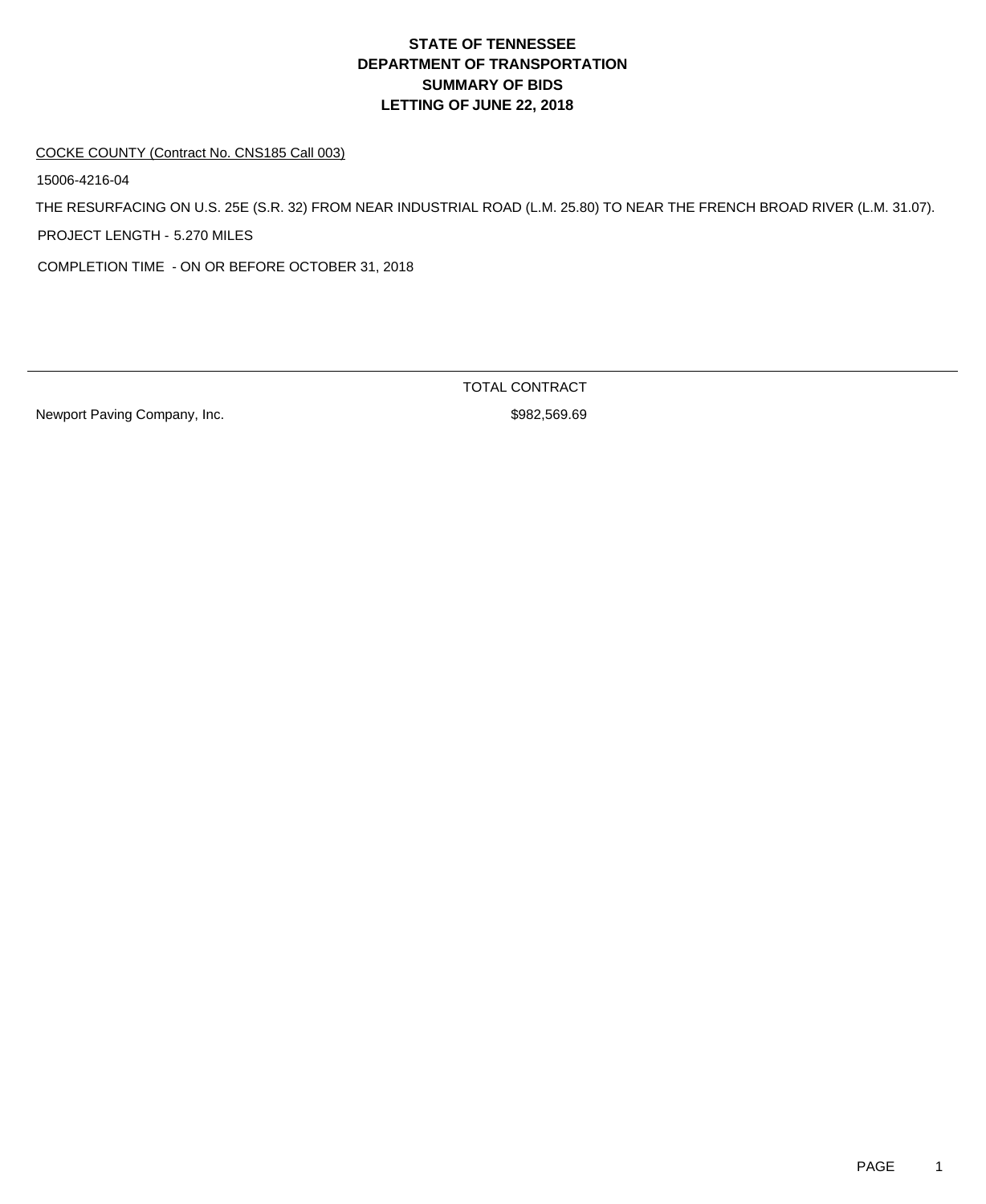# **DEPARTMENT OF TRANSPORTATION SUMMARY OF BIDS LETTING OF JUNE 22, 2018 STATE OF TENNESSEE**

#### COCKE COUNTY (Contract No. CNS185 Call 003)

15006-4216-04

THE RESURFACING ON U.S. 25E (S.R. 32) FROM NEAR INDUSTRIAL ROAD (L.M. 25.80) TO NEAR THE FRENCH BROAD RIVER (L.M. 31.07). PROJECT LENGTH - 5.270 MILES

COMPLETION TIME - ON OR BEFORE OCTOBER 31, 2018

Newport Paving Company, Inc. 6982,569.69

TOTAL CONTRACT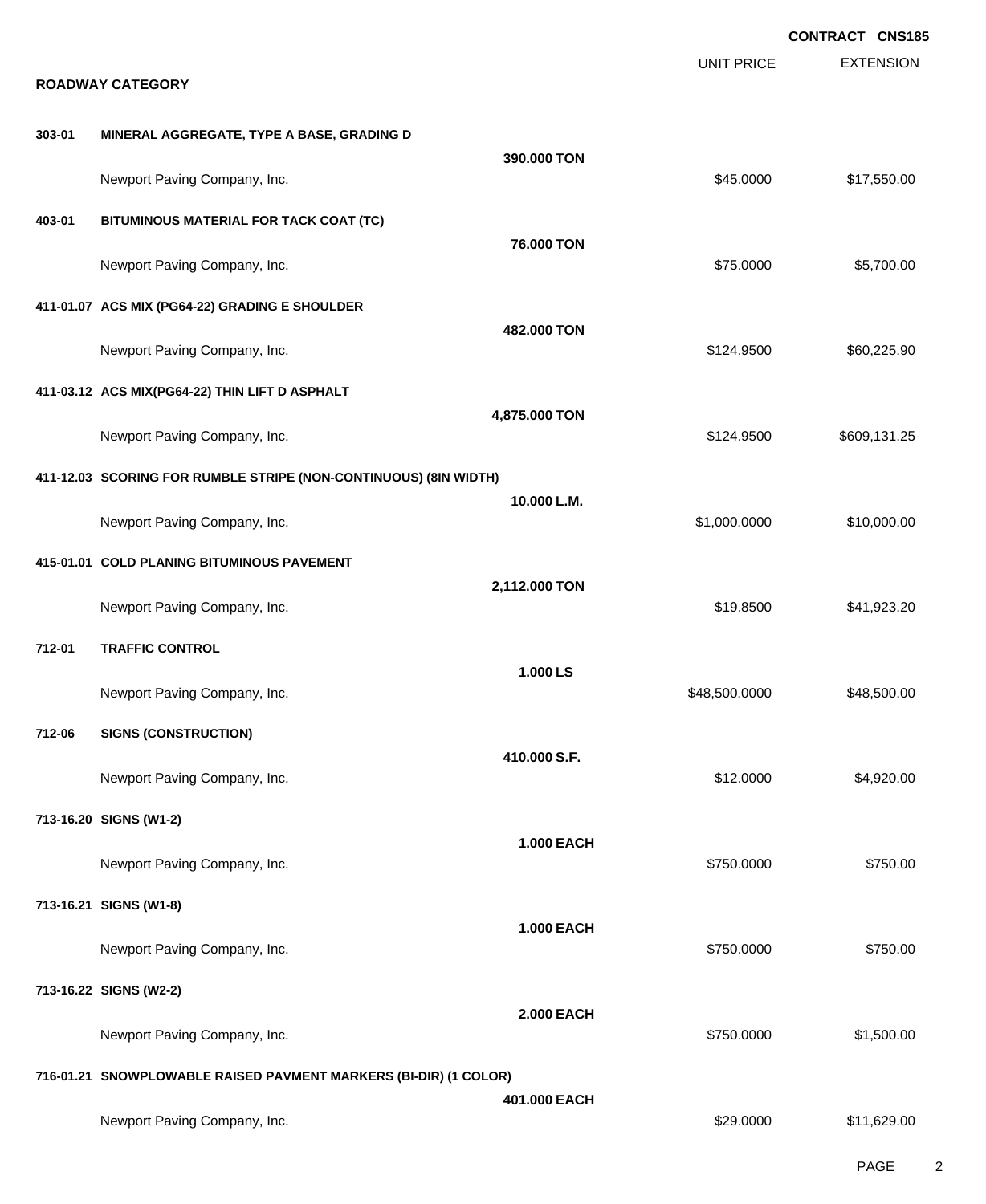|        |                                                                  |                   |                   | <b>CONTRACT CNS185</b> |
|--------|------------------------------------------------------------------|-------------------|-------------------|------------------------|
|        | <b>ROADWAY CATEGORY</b>                                          |                   | <b>UNIT PRICE</b> | <b>EXTENSION</b>       |
|        |                                                                  |                   |                   |                        |
| 303-01 | MINERAL AGGREGATE, TYPE A BASE, GRADING D                        | 390.000 TON       |                   |                        |
|        | Newport Paving Company, Inc.                                     |                   | \$45.0000         | \$17,550.00            |
| 403-01 | BITUMINOUS MATERIAL FOR TACK COAT (TC)                           |                   |                   |                        |
|        | Newport Paving Company, Inc.                                     | 76.000 TON        | \$75.0000         | \$5,700.00             |
|        | 411-01.07 ACS MIX (PG64-22) GRADING E SHOULDER                   |                   |                   |                        |
|        | Newport Paving Company, Inc.                                     | 482.000 TON       | \$124.9500        | \$60,225.90            |
|        | 411-03.12 ACS MIX(PG64-22) THIN LIFT D ASPHALT                   |                   |                   |                        |
|        | Newport Paving Company, Inc.                                     | 4,875.000 TON     | \$124.9500        | \$609,131.25           |
|        | 411-12.03 SCORING FOR RUMBLE STRIPE (NON-CONTINUOUS) (8IN WIDTH) |                   |                   |                        |
|        | Newport Paving Company, Inc.                                     | 10.000 L.M.       | \$1,000.0000      | \$10,000.00            |
|        | 415-01.01 COLD PLANING BITUMINOUS PAVEMENT                       |                   |                   |                        |
|        | Newport Paving Company, Inc.                                     | 2,112.000 TON     | \$19.8500         | \$41,923.20            |
| 712-01 | <b>TRAFFIC CONTROL</b>                                           |                   |                   |                        |
|        | Newport Paving Company, Inc.                                     | 1.000 LS          | \$48,500.0000     | \$48,500.00            |
| 712-06 | <b>SIGNS (CONSTRUCTION)</b>                                      |                   |                   |                        |
|        | Newport Paving Company, Inc.                                     | 410,000 S.F.      | \$12.0000         | \$4,920.00             |
|        | 713-16.20 SIGNS (W1-2)                                           |                   |                   |                        |
|        | Newport Paving Company, Inc.                                     | <b>1.000 EACH</b> | \$750.0000        | \$750.00               |
|        | 713-16.21 SIGNS (W1-8)                                           |                   |                   |                        |
|        | Newport Paving Company, Inc.                                     | <b>1.000 EACH</b> | \$750.0000        | \$750.00               |
|        | 713-16.22 SIGNS (W2-2)                                           |                   |                   |                        |
|        | Newport Paving Company, Inc.                                     | <b>2.000 EACH</b> | \$750.0000        | \$1,500.00             |
|        | 716-01.21 SNOWPLOWABLE RAISED PAVMENT MARKERS (BI-DIR) (1 COLOR) |                   |                   |                        |
|        | Newport Paving Company, Inc.                                     | 401.000 EACH      | \$29.0000         | \$11,629.00            |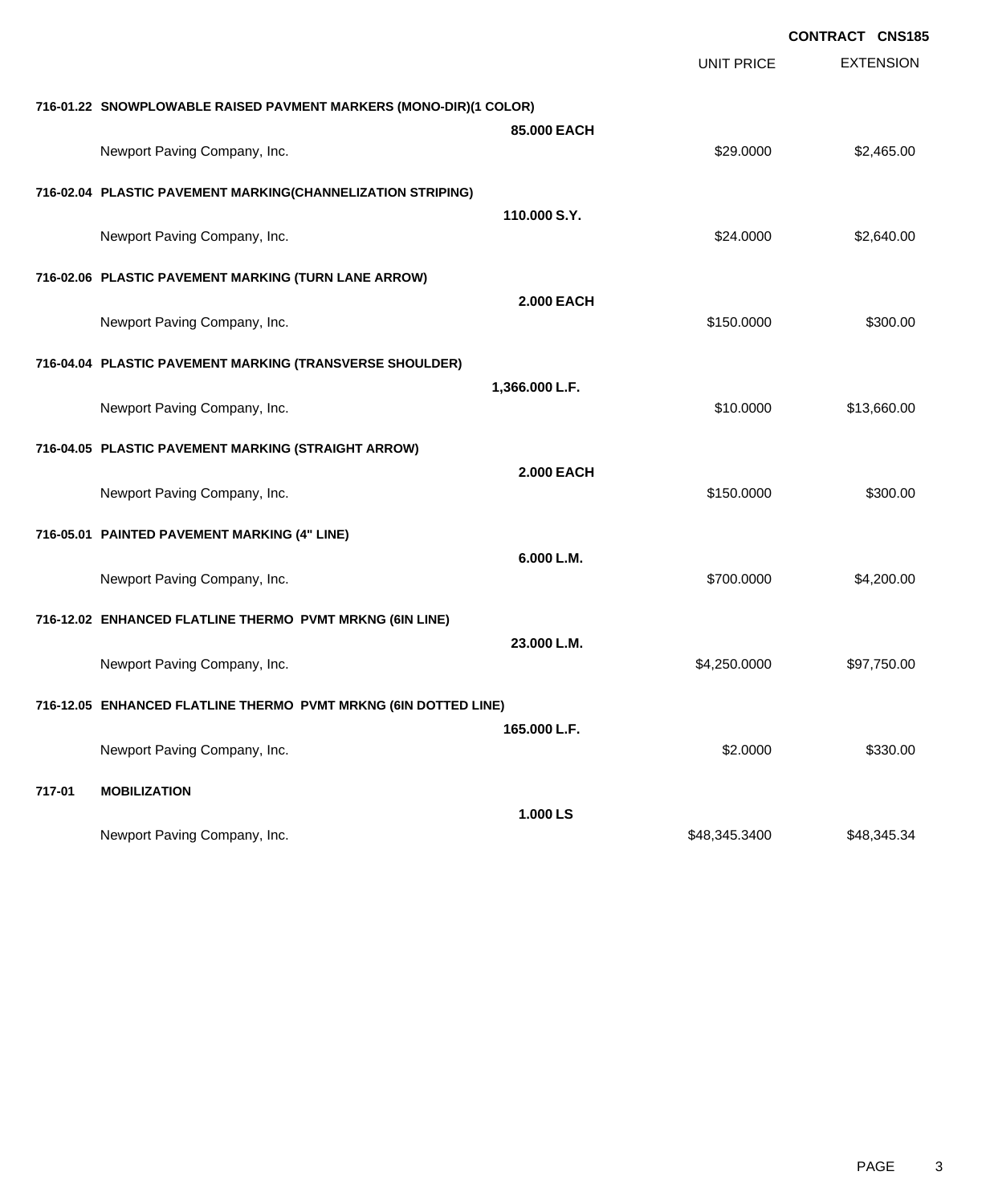|        |                                                                   |                   | <b>CONTRACT CNS185</b> |                  |
|--------|-------------------------------------------------------------------|-------------------|------------------------|------------------|
|        |                                                                   |                   | <b>UNIT PRICE</b>      | <b>EXTENSION</b> |
|        | 716-01.22 SNOWPLOWABLE RAISED PAVMENT MARKERS (MONO-DIR)(1 COLOR) |                   |                        |                  |
|        | Newport Paving Company, Inc.                                      | 85,000 EACH       | \$29.0000              | \$2,465.00       |
|        | 716-02.04 PLASTIC PAVEMENT MARKING(CHANNELIZATION STRIPING)       |                   |                        |                  |
|        | Newport Paving Company, Inc.                                      | 110,000 S.Y.      | \$24.0000              | \$2,640.00       |
|        | 716-02.06 PLASTIC PAVEMENT MARKING (TURN LANE ARROW)              |                   |                        |                  |
|        | Newport Paving Company, Inc.                                      | <b>2.000 EACH</b> | \$150.0000             | \$300.00         |
|        | 716-04.04 PLASTIC PAVEMENT MARKING (TRANSVERSE SHOULDER)          |                   |                        |                  |
|        | Newport Paving Company, Inc.                                      | 1,366.000 L.F.    | \$10.0000              | \$13,660.00      |
|        | 716-04.05 PLASTIC PAVEMENT MARKING (STRAIGHT ARROW)               |                   |                        |                  |
|        | Newport Paving Company, Inc.                                      | <b>2.000 EACH</b> | \$150.0000             | \$300.00         |
|        | 716-05.01 PAINTED PAVEMENT MARKING (4" LINE)                      |                   |                        |                  |
|        | Newport Paving Company, Inc.                                      | 6.000 L.M.        | \$700.0000             | \$4,200.00       |
|        | 716-12.02 ENHANCED FLATLINE THERMO PVMT MRKNG (6IN LINE)          |                   |                        |                  |
|        | Newport Paving Company, Inc.                                      | 23.000 L.M.       | \$4,250.0000           | \$97,750.00      |
|        | 716-12.05 ENHANCED FLATLINE THERMO PVMT MRKNG (6IN DOTTED LINE)   |                   |                        |                  |
|        | Newport Paving Company, Inc.                                      | 165.000 L.F.      | \$2.0000               | \$330.00         |
| 717-01 | <b>MOBILIZATION</b>                                               |                   |                        |                  |
|        | Newport Paving Company, Inc.                                      | 1.000 LS          | \$48,345.3400          | \$48,345.34      |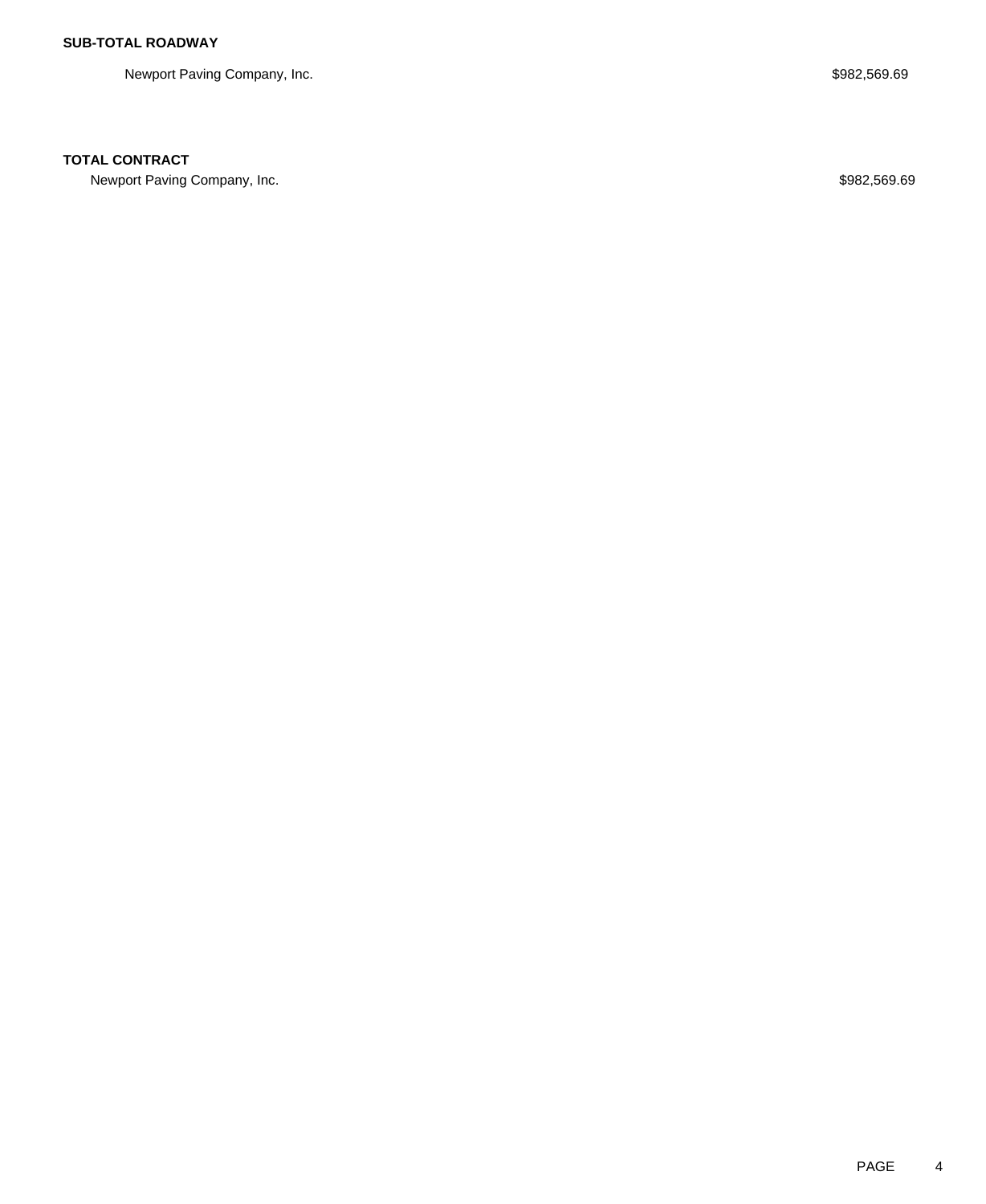Newport Paving Company, Inc. 6982,569.69

## **TOTAL CONTRACT**

Newport Paving Company, Inc. 6982,569.69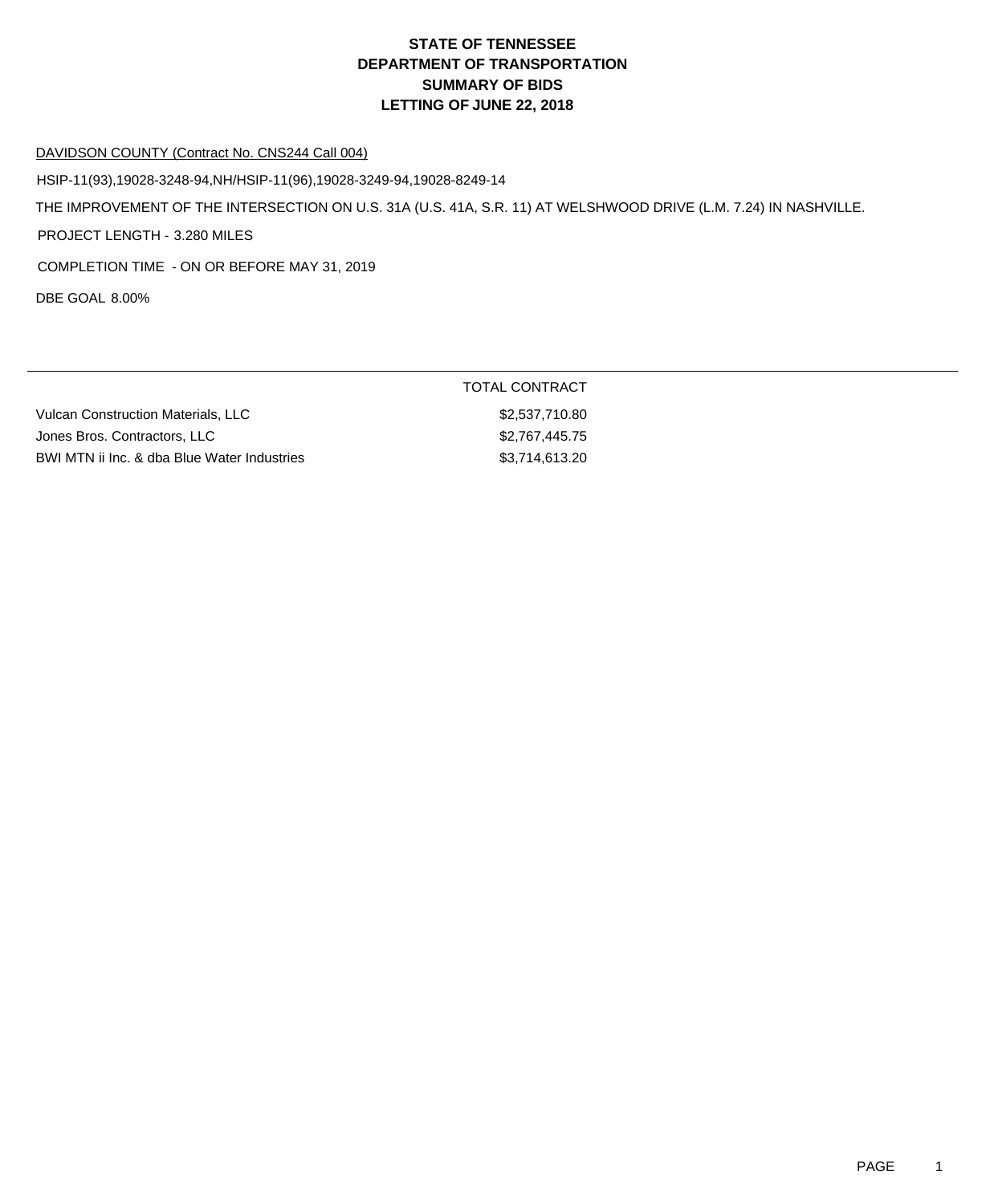# **DEPARTMENT OF TRANSPORTATION SUMMARY OF BIDS LETTING OF JUNE 22, 2018 STATE OF TENNESSEE**

#### DAVIDSON COUNTY (Contract No. CNS244 Call 004)

HSIP-11(93),19028-3248-94,NH/HSIP-11(96),19028-3249-94,19028-8249-14

THE IMPROVEMENT OF THE INTERSECTION ON U.S. 31A (U.S. 41A, S.R. 11) AT WELSHWOOD DRIVE (L.M. 7.24) IN NASHVILLE.

PROJECT LENGTH - 3.280 MILES

COMPLETION TIME - ON OR BEFORE MAY 31, 2019

DBE GOAL 8.00%

|                                             | TOTAL CONTRACT |
|---------------------------------------------|----------------|
| <b>Vulcan Construction Materials, LLC</b>   | \$2.537.710.80 |
| Jones Bros. Contractors, LLC                | \$2.767.445.75 |
| BWI MTN ii Inc. & dba Blue Water Industries | \$3,714,613.20 |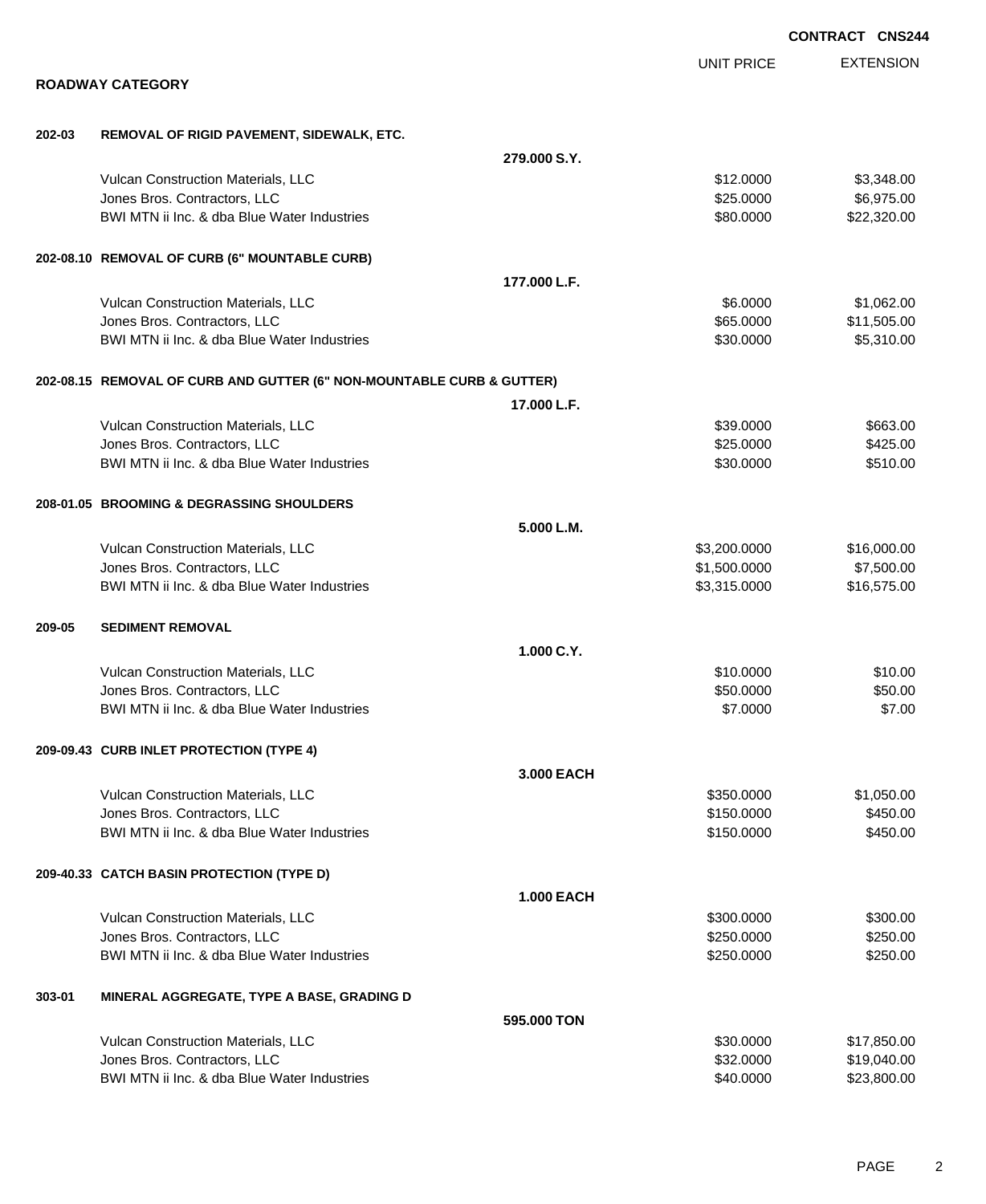|        |                                                                       |                   |                   | <b>CONTRACT CNS244</b> |
|--------|-----------------------------------------------------------------------|-------------------|-------------------|------------------------|
|        |                                                                       |                   | <b>UNIT PRICE</b> | <b>EXTENSION</b>       |
|        | <b>ROADWAY CATEGORY</b>                                               |                   |                   |                        |
| 202-03 | REMOVAL OF RIGID PAVEMENT, SIDEWALK, ETC.                             |                   |                   |                        |
|        |                                                                       | 279,000 S.Y.      |                   |                        |
|        | Vulcan Construction Materials, LLC                                    |                   | \$12.0000         | \$3,348.00             |
|        | Jones Bros. Contractors, LLC                                          |                   | \$25.0000         | \$6,975.00             |
|        | BWI MTN ii Inc. & dba Blue Water Industries                           |                   | \$80.0000         | \$22,320.00            |
|        | 202-08.10 REMOVAL OF CURB (6" MOUNTABLE CURB)                         |                   |                   |                        |
|        |                                                                       | 177.000 L.F.      |                   |                        |
|        | Vulcan Construction Materials, LLC                                    |                   | \$6.0000          | \$1,062.00             |
|        | Jones Bros. Contractors, LLC                                          |                   | \$65.0000         | \$11,505.00            |
|        | BWI MTN ii Inc. & dba Blue Water Industries                           |                   | \$30.0000         | \$5,310.00             |
|        | 202-08.15 REMOVAL OF CURB AND GUTTER (6" NON-MOUNTABLE CURB & GUTTER) |                   |                   |                        |
|        |                                                                       | 17.000 L.F.       |                   |                        |
|        | Vulcan Construction Materials, LLC                                    |                   | \$39.0000         | \$663.00               |
|        | Jones Bros. Contractors, LLC                                          |                   | \$25.0000         | \$425.00               |
|        | BWI MTN ii Inc. & dba Blue Water Industries                           |                   | \$30.0000         | \$510.00               |
|        | 208-01.05 BROOMING & DEGRASSING SHOULDERS                             |                   |                   |                        |
|        |                                                                       | 5.000 L.M.        |                   |                        |
|        | Vulcan Construction Materials, LLC                                    |                   | \$3,200.0000      | \$16,000.00            |
|        | Jones Bros. Contractors, LLC                                          |                   | \$1,500.0000      | \$7,500.00             |
|        | BWI MTN ii Inc. & dba Blue Water Industries                           |                   | \$3,315.0000      | \$16,575.00            |
| 209-05 | <b>SEDIMENT REMOVAL</b>                                               |                   |                   |                        |
|        |                                                                       | 1.000 C.Y.        |                   |                        |
|        | Vulcan Construction Materials, LLC                                    |                   | \$10,0000         | \$10.00                |
|        | Jones Bros. Contractors, LLC                                          |                   | \$50.0000         | \$50.00                |
|        | BWI MTN ii Inc. & dba Blue Water Industries                           |                   | \$7.0000          | \$7.00                 |
|        | 209-09.43 CURB INLET PROTECTION (TYPE 4)                              |                   |                   |                        |
|        |                                                                       | 3.000 EACH        |                   |                        |
|        | Vulcan Construction Materials, LLC                                    |                   | \$350.0000        | \$1,050.00             |
|        | Jones Bros. Contractors, LLC                                          |                   | \$150.0000        | \$450.00               |
|        | BWI MTN ii Inc. & dba Blue Water Industries                           |                   | \$150.0000        | \$450.00               |
|        | 209-40.33 CATCH BASIN PROTECTION (TYPE D)                             |                   |                   |                        |
|        |                                                                       | <b>1.000 EACH</b> |                   |                        |
|        | Vulcan Construction Materials, LLC                                    |                   | \$300.0000        | \$300.00               |
|        | Jones Bros. Contractors, LLC                                          |                   | \$250.0000        | \$250.00               |
|        | BWI MTN ii Inc. & dba Blue Water Industries                           |                   | \$250.0000        | \$250.00               |
| 303-01 | MINERAL AGGREGATE, TYPE A BASE, GRADING D                             |                   |                   |                        |
|        |                                                                       | 595.000 TON       |                   |                        |
|        | Vulcan Construction Materials, LLC                                    |                   | \$30.0000         | \$17,850.00            |
|        | Jones Bros. Contractors, LLC                                          |                   | \$32.0000         | \$19,040.00            |
|        | BWI MTN ii Inc. & dba Blue Water Industries                           |                   | \$40.0000         | \$23,800.00            |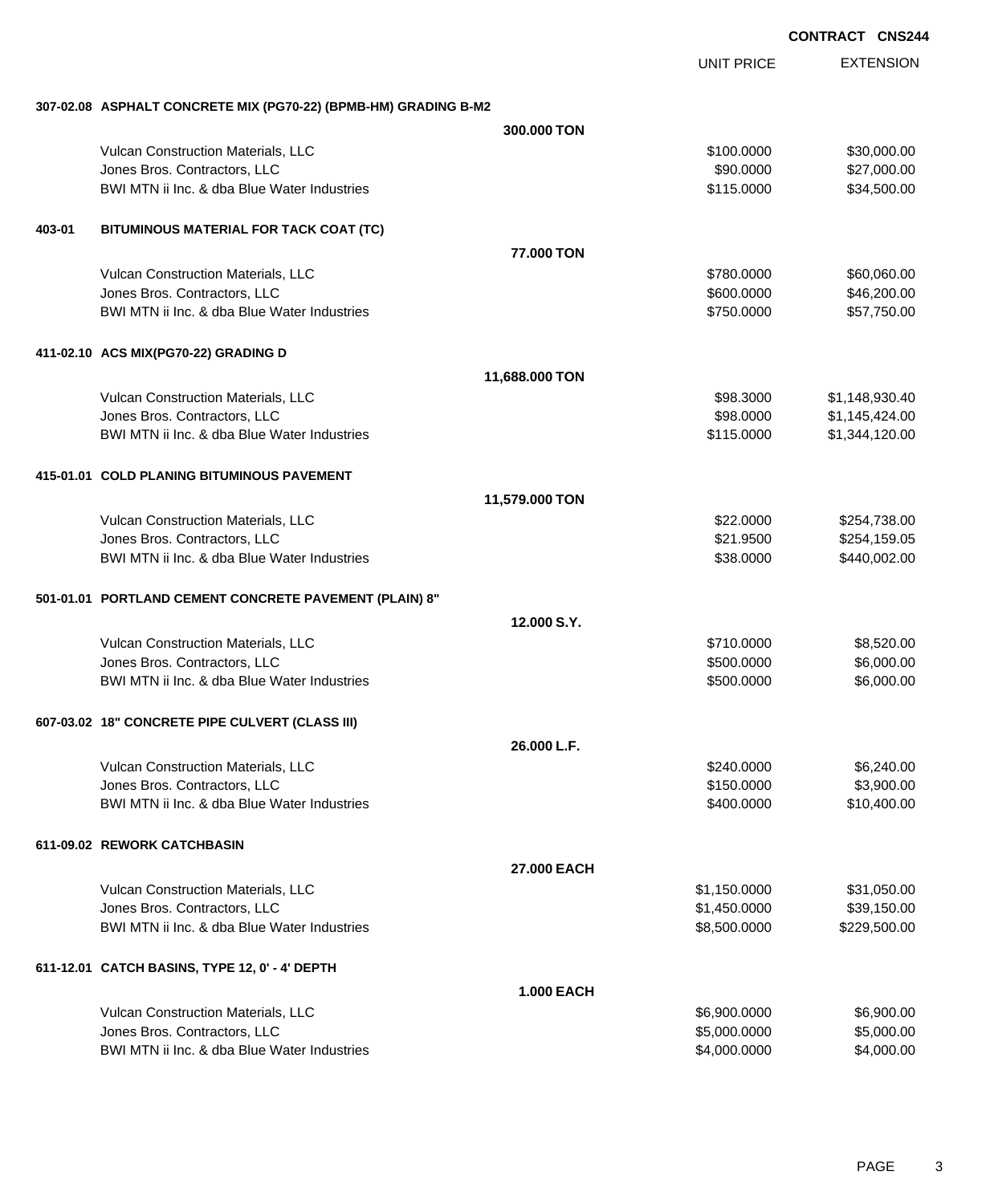|        |                                                                 |                   | <b>UNIT PRICE</b> | <b>EXTENSION</b> |
|--------|-----------------------------------------------------------------|-------------------|-------------------|------------------|
|        | 307-02.08 ASPHALT CONCRETE MIX (PG70-22) (BPMB-HM) GRADING B-M2 |                   |                   |                  |
|        |                                                                 | 300,000 TON       |                   |                  |
|        | Vulcan Construction Materials, LLC                              |                   | \$100.0000        | \$30,000.00      |
|        | Jones Bros. Contractors, LLC                                    |                   | \$90.0000         | \$27,000.00      |
|        | BWI MTN ii Inc. & dba Blue Water Industries                     |                   | \$115.0000        | \$34,500.00      |
| 403-01 | BITUMINOUS MATERIAL FOR TACK COAT (TC)                          |                   |                   |                  |
|        |                                                                 | 77.000 TON        |                   |                  |
|        | Vulcan Construction Materials, LLC                              |                   | \$780.0000        | \$60,060.00      |
|        | Jones Bros. Contractors, LLC                                    |                   | \$600.0000        | \$46,200.00      |
|        | BWI MTN ii Inc. & dba Blue Water Industries                     |                   | \$750.0000        | \$57,750.00      |
|        | 411-02.10 ACS MIX(PG70-22) GRADING D                            |                   |                   |                  |
|        |                                                                 | 11,688.000 TON    |                   |                  |
|        | Vulcan Construction Materials, LLC                              |                   | \$98.3000         | \$1,148,930.40   |
|        | Jones Bros. Contractors, LLC                                    |                   | \$98.0000         | \$1,145,424.00   |
|        | BWI MTN ii Inc. & dba Blue Water Industries                     |                   | \$115.0000        | \$1,344,120.00   |
|        | 415-01.01 COLD PLANING BITUMINOUS PAVEMENT                      |                   |                   |                  |
|        |                                                                 | 11,579.000 TON    |                   |                  |
|        | Vulcan Construction Materials, LLC                              |                   | \$22.0000         | \$254,738.00     |
|        | Jones Bros. Contractors, LLC                                    |                   | \$21.9500         | \$254,159.05     |
|        | BWI MTN ii Inc. & dba Blue Water Industries                     |                   | \$38.0000         | \$440,002.00     |
|        | 501-01.01 PORTLAND CEMENT CONCRETE PAVEMENT (PLAIN) 8"          |                   |                   |                  |
|        |                                                                 | 12.000 S.Y.       |                   |                  |
|        | Vulcan Construction Materials, LLC                              |                   | \$710.0000        | \$8,520.00       |
|        | Jones Bros. Contractors, LLC                                    |                   | \$500.0000        | \$6,000.00       |
|        | BWI MTN ii Inc. & dba Blue Water Industries                     |                   | \$500.0000        | \$6,000.00       |
|        | 607-03.02 18" CONCRETE PIPE CULVERT (CLASS III)                 |                   |                   |                  |
|        |                                                                 | 26.000 L.F.       |                   |                  |
|        | Vulcan Construction Materials, LLC                              |                   | \$240.0000        | \$6,240.00       |
|        | Jones Bros. Contractors, LLC                                    |                   | \$150.0000        | \$3,900.00       |
|        | BWI MTN ii Inc. & dba Blue Water Industries                     |                   | \$400.0000        | \$10,400.00      |
|        | 611-09.02 REWORK CATCHBASIN                                     |                   |                   |                  |
|        |                                                                 | 27.000 EACH       |                   |                  |
|        | Vulcan Construction Materials, LLC                              |                   | \$1,150.0000      | \$31,050.00      |
|        | Jones Bros. Contractors, LLC                                    |                   | \$1,450.0000      | \$39,150.00      |
|        | BWI MTN ii Inc. & dba Blue Water Industries                     |                   | \$8,500.0000      | \$229,500.00     |
|        | 611-12.01 CATCH BASINS, TYPE 12, 0' - 4' DEPTH                  |                   |                   |                  |
|        |                                                                 | <b>1.000 EACH</b> |                   |                  |
|        | Vulcan Construction Materials, LLC                              |                   | \$6,900.0000      | \$6,900.00       |
|        | Jones Bros. Contractors, LLC                                    |                   | \$5,000.0000      | \$5,000.00       |
|        | BWI MTN ii Inc. & dba Blue Water Industries                     |                   | \$4,000.0000      | \$4,000.00       |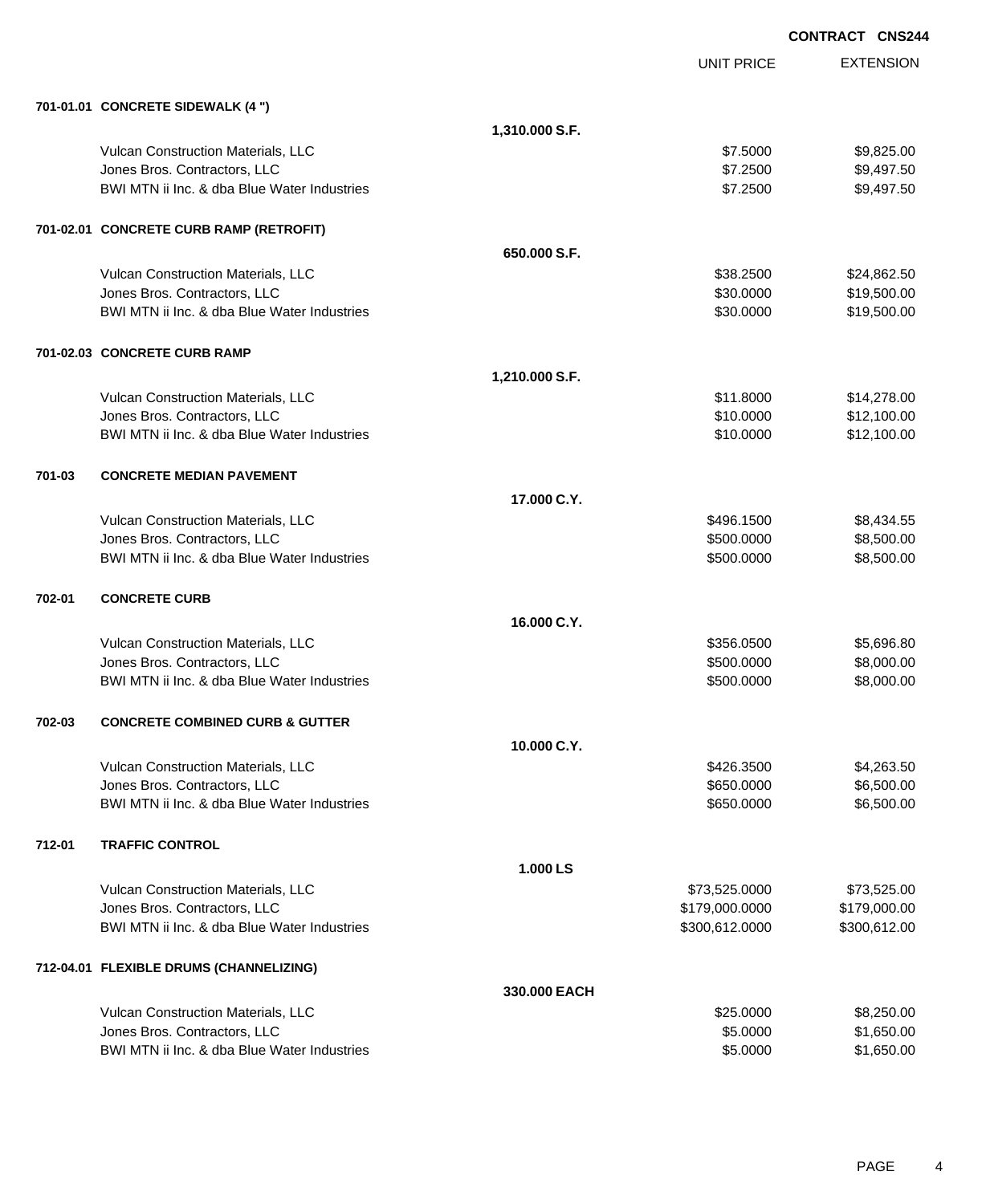EXTENSION **CONTRACT CNS244** UNIT PRICE **701-01.01 CONCRETE SIDEWALK (4 ") 1,310.000 S.F.** Vulcan Construction Materials, LLC 6000 \$9,825.00 Jones Bros. Contractors, LLC \$7.2500 \$9,497.50 BWI MTN ii Inc. & dba Blue Water Industries **\$2.2500 \$9,497.50** \$9,497.50 **701-02.01 CONCRETE CURB RAMP (RETROFIT) 650.000 S.F.** Vulcan Construction Materials, LLC 600 and the state of the state of the state of the state of the state of the state of the state of the state of the state of the state of the state of the state of the state of the state  $Jones\ Bros.$  Contractors, LLC  $$30.0000$   $$19,500.00$ BWI MTN ii Inc. & dba Blue Water Industries **\$30.000 \$19,500.00** \$19,500.00 **701-02.03 CONCRETE CURB RAMP 1,210.000 S.F.** Vulcan Construction Materials, LLC 6. The state of the state of the state of the state of the state of the state of the state of the state of the state of the state of the state of the state of the state of the state of th Jones Bros. Contractors, LLC \$10.0000 \$12,100.00 BWI MTN ii Inc. & dba Blue Water Industries **\$10.000 \$12,100.00** \$12,100.00 **701-03 CONCRETE MEDIAN PAVEMENT 17.000 C.Y.** Vulcan Construction Materials, LLC 68,434.55 dones Bros. Contractors, LLC 6. The state of the state of the state of the state of the state of the state of the state of the state of the state of the state of the state of the state of the state of the state of the stat BWI MTN ii Inc. & dba Blue Water Industries **\$500.000 \$8,500.000 \$8,500.000** \$8,500.00 **702-01 CONCRETE CURB 16.000 C.Y.** Vulcan Construction Materials, LLC 66 and the state of the state of the state  $$356.0500$  \$5,696.80 dones Bros. Contractors, LLC 6. The state of the state of the state of the state of the state of the state of the state of the state of the state of the state of the state of the state of the state of the state of the stat BWI MTN ii Inc. & dba Blue Water Industries **\$500.000 \$8,000.000 \$8,000.00** \$8,000.00 **702-03 CONCRETE COMBINED CURB & GUTTER 10.000 C.Y.** Vulcan Construction Materials, LLC 6.62 and 2008 and 2008 \$426.3500 \$426.3500 \$4,263.50 dones Bros. Contractors, LLC 650.000 \$650.000 \$650.000 \$650.000 \$6,500.00 BWI MTN ii Inc. & dba Blue Water Industries **\$650.000 \$650.000 \$650.000** \$6,500.00 **712-01 TRAFFIC CONTROL 1.000 LS** Vulcan Construction Materials, LLC 673,525.000 \$73,525.000 \$73,525.000 Jones Bros. Contractors, LLC \$179,000.0000 \$179,000.00 BWI MTN ii Inc. & dba Blue Water Industries **\$300,612.000** \$300,612.000 \$300,612.00 **712-04.01 FLEXIBLE DRUMS (CHANNELIZING) 330.000 EACH**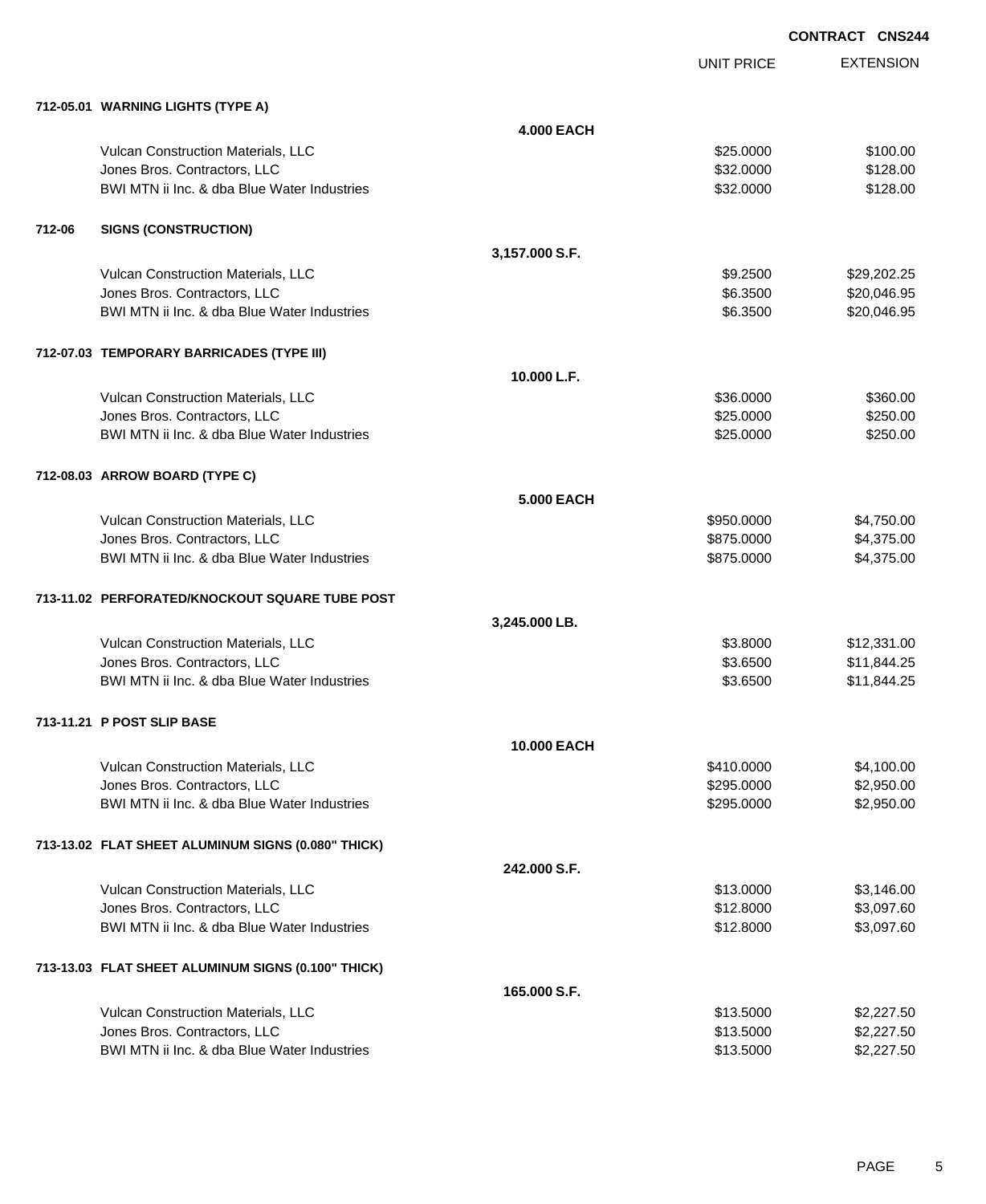UNIT PRICE EXTENSION

|        | 712-05.01 WARNING LIGHTS (TYPE A)                                  |                    |                      |                            |
|--------|--------------------------------------------------------------------|--------------------|----------------------|----------------------------|
|        |                                                                    | <b>4.000 EACH</b>  |                      |                            |
|        | Vulcan Construction Materials, LLC                                 |                    | \$25.0000            | \$100.00                   |
|        | Jones Bros. Contractors, LLC                                       |                    | \$32.0000            | \$128.00                   |
|        | BWI MTN ii Inc. & dba Blue Water Industries                        |                    | \$32.0000            | \$128.00                   |
|        |                                                                    |                    |                      |                            |
| 712-06 | <b>SIGNS (CONSTRUCTION)</b>                                        |                    |                      |                            |
|        |                                                                    | 3,157.000 S.F.     |                      |                            |
|        | Vulcan Construction Materials, LLC                                 |                    | \$9.2500             | \$29,202.25                |
|        | Jones Bros. Contractors, LLC                                       |                    | \$6.3500             | \$20,046.95                |
|        | BWI MTN ii Inc. & dba Blue Water Industries                        |                    | \$6.3500             | \$20,046.95                |
|        | 712-07.03 TEMPORARY BARRICADES (TYPE III)                          |                    |                      |                            |
|        |                                                                    | 10.000 L.F.        |                      |                            |
|        | Vulcan Construction Materials, LLC                                 |                    | \$36.0000            | \$360.00                   |
|        | Jones Bros. Contractors, LLC                                       |                    | \$25.0000            | \$250.00                   |
|        | BWI MTN ii Inc. & dba Blue Water Industries                        |                    | \$25.0000            | \$250.00                   |
|        | 712-08.03 ARROW BOARD (TYPE C)                                     |                    |                      |                            |
|        |                                                                    | <b>5.000 EACH</b>  |                      |                            |
|        | Vulcan Construction Materials, LLC                                 |                    | \$950.0000           | \$4,750.00                 |
|        | Jones Bros. Contractors, LLC                                       |                    | \$875.0000           | \$4,375.00                 |
|        | BWI MTN ii Inc. & dba Blue Water Industries                        |                    | \$875.0000           | \$4,375.00                 |
|        |                                                                    |                    |                      |                            |
|        | 713-11.02 PERFORATED/KNOCKOUT SQUARE TUBE POST                     |                    |                      |                            |
|        |                                                                    | 3,245.000 LB.      |                      |                            |
|        | Vulcan Construction Materials, LLC<br>Jones Bros. Contractors, LLC |                    | \$3.8000             | \$12,331.00<br>\$11,844.25 |
|        | BWI MTN ii Inc. & dba Blue Water Industries                        |                    | \$3.6500<br>\$3.6500 | \$11,844.25                |
|        |                                                                    |                    |                      |                            |
|        | 713-11.21 P POST SLIP BASE                                         |                    |                      |                            |
|        |                                                                    | <b>10,000 EACH</b> |                      |                            |
|        | Vulcan Construction Materials, LLC                                 |                    | \$410.0000           | \$4,100.00                 |
|        | Jones Bros. Contractors, LLC                                       |                    | \$295.0000           | \$2,950.00                 |
|        | BWI MTN ii Inc. & dba Blue Water Industries                        |                    | \$295.0000           | \$2,950.00                 |
|        | 713-13.02 FLAT SHEET ALUMINUM SIGNS (0.080" THICK)                 |                    |                      |                            |
|        |                                                                    | 242.000 S.F.       |                      |                            |
|        | Vulcan Construction Materials, LLC                                 |                    | \$13.0000            | \$3,146.00                 |
|        | Jones Bros. Contractors, LLC                                       |                    | \$12.8000            | \$3,097.60                 |
|        | BWI MTN ii Inc. & dba Blue Water Industries                        |                    | \$12.8000            | \$3,097.60                 |
|        | 713-13.03 FLAT SHEET ALUMINUM SIGNS (0.100" THICK)                 |                    |                      |                            |
|        |                                                                    | 165.000 S.F.       |                      |                            |
|        | Vulcan Construction Materials, LLC                                 |                    | \$13.5000            | \$2,227.50                 |
|        | Jones Bros. Contractors, LLC                                       |                    | \$13.5000            | \$2,227.50                 |
|        | BWI MTN ii Inc. & dba Blue Water Industries                        |                    | \$13.5000            | \$2,227.50                 |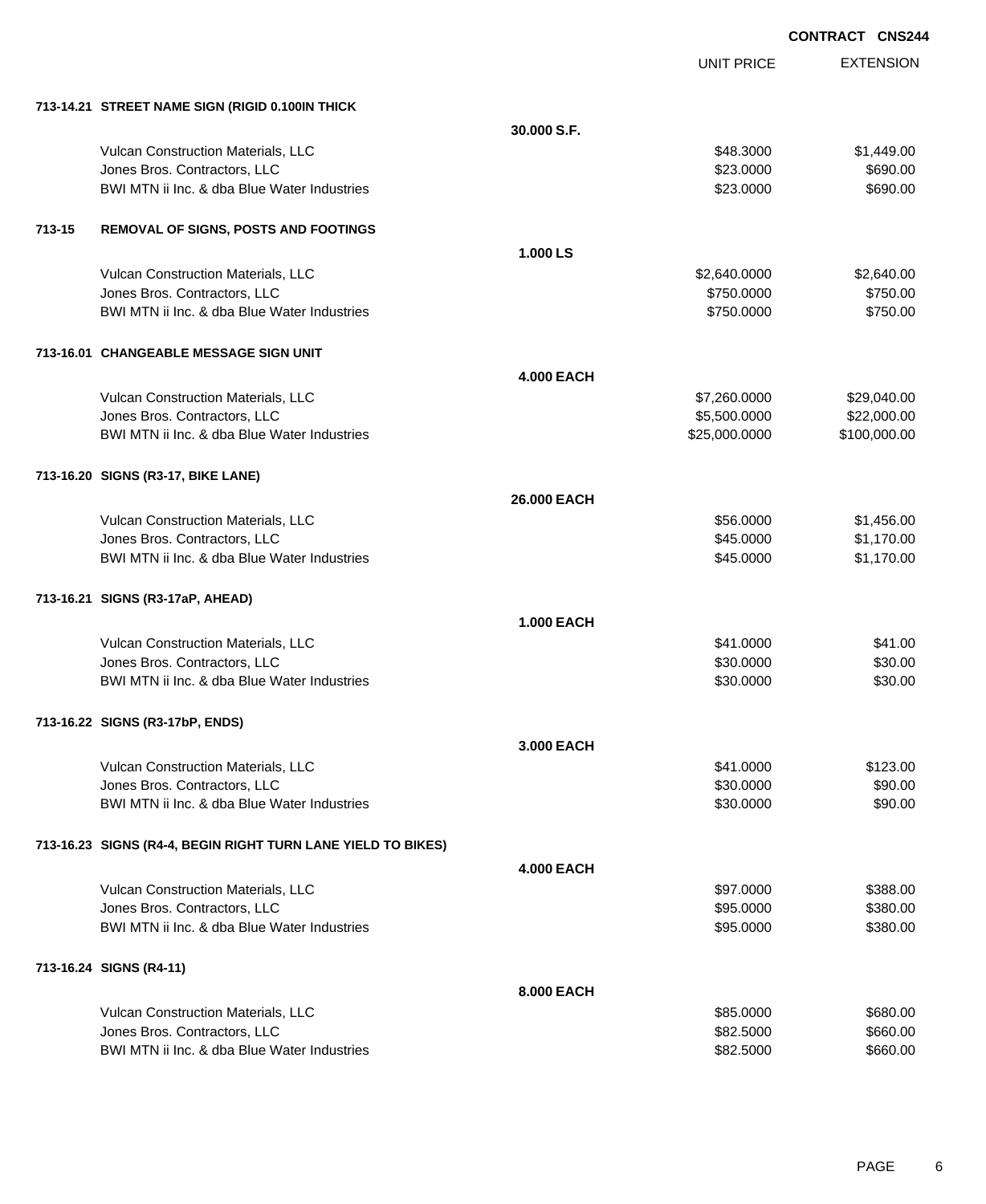UNIT PRICE

|  | 713-14.21 STREET NAME SIGN (RIGID 0.100IN THICK |  |  |
|--|-------------------------------------------------|--|--|
|  |                                                 |  |  |
|  |                                                 |  |  |

|        | 713-14.21 SIREEI NAME SIGN (RIGID 0.100IN THICK              |                   |               |              |
|--------|--------------------------------------------------------------|-------------------|---------------|--------------|
|        |                                                              | 30,000 S.F.       |               |              |
|        | Vulcan Construction Materials, LLC                           |                   | \$48.3000     | \$1,449.00   |
|        | Jones Bros. Contractors, LLC                                 |                   | \$23.0000     | \$690.00     |
|        | BWI MTN ii Inc. & dba Blue Water Industries                  |                   | \$23.0000     | \$690.00     |
| 713-15 | <b>REMOVAL OF SIGNS, POSTS AND FOOTINGS</b>                  |                   |               |              |
|        |                                                              | 1.000 LS          |               |              |
|        | Vulcan Construction Materials, LLC                           |                   | \$2,640.0000  | \$2,640.00   |
|        | Jones Bros. Contractors, LLC                                 |                   | \$750.0000    | \$750.00     |
|        | BWI MTN ii Inc. & dba Blue Water Industries                  |                   | \$750.0000    | \$750.00     |
|        | 713-16.01 CHANGEABLE MESSAGE SIGN UNIT                       |                   |               |              |
|        |                                                              | <b>4.000 EACH</b> |               |              |
|        | Vulcan Construction Materials, LLC                           |                   | \$7,260.0000  | \$29,040.00  |
|        | Jones Bros. Contractors, LLC                                 |                   | \$5,500.0000  | \$22,000.00  |
|        | BWI MTN ii Inc. & dba Blue Water Industries                  |                   | \$25,000.0000 | \$100,000.00 |
|        | 713-16.20 SIGNS (R3-17, BIKE LANE)                           |                   |               |              |
|        |                                                              | 26.000 EACH       |               |              |
|        | Vulcan Construction Materials, LLC                           |                   | \$56.0000     | \$1,456.00   |
|        | Jones Bros. Contractors, LLC                                 |                   | \$45.0000     | \$1,170.00   |
|        | BWI MTN ii Inc. & dba Blue Water Industries                  |                   | \$45.0000     | \$1,170.00   |
|        | 713-16.21 SIGNS (R3-17aP, AHEAD)                             |                   |               |              |
|        |                                                              | <b>1.000 EACH</b> |               |              |
|        | Vulcan Construction Materials, LLC                           |                   | \$41.0000     | \$41.00      |
|        | Jones Bros. Contractors, LLC                                 |                   | \$30.0000     | \$30.00      |
|        | BWI MTN ii Inc. & dba Blue Water Industries                  |                   | \$30.0000     | \$30.00      |
|        | 713-16.22 SIGNS (R3-17bP, ENDS)                              |                   |               |              |
|        |                                                              | 3.000 EACH        |               |              |
|        | Vulcan Construction Materials, LLC                           |                   | \$41.0000     | \$123.00     |
|        | Jones Bros. Contractors. LLC                                 |                   | \$30.0000     | \$90.00      |
|        | BWI MTN ii Inc. & dba Blue Water Industries                  |                   | \$30.0000     | \$90.00      |
|        | 713-16.23 SIGNS (R4-4, BEGIN RIGHT TURN LANE YIELD TO BIKES) |                   |               |              |
|        |                                                              | <b>4.000 EACH</b> |               |              |
|        | Vulcan Construction Materials, LLC                           |                   | \$97.0000     | \$388.00     |
|        | Jones Bros. Contractors, LLC                                 |                   | \$95.0000     | \$380.00     |
|        | BWI MTN ii Inc. & dba Blue Water Industries                  |                   | \$95.0000     | \$380.00     |
|        | 713-16.24 SIGNS (R4-11)                                      |                   |               |              |
|        |                                                              | 8.000 EACH        |               |              |
|        | Vulcan Construction Materials, LLC                           |                   | \$85.0000     | \$680.00     |
|        | Jones Bros. Contractors, LLC                                 |                   | \$82.5000     | \$660.00     |
|        | BWI MTN ii Inc. & dba Blue Water Industries                  |                   | \$82.5000     | \$660.00     |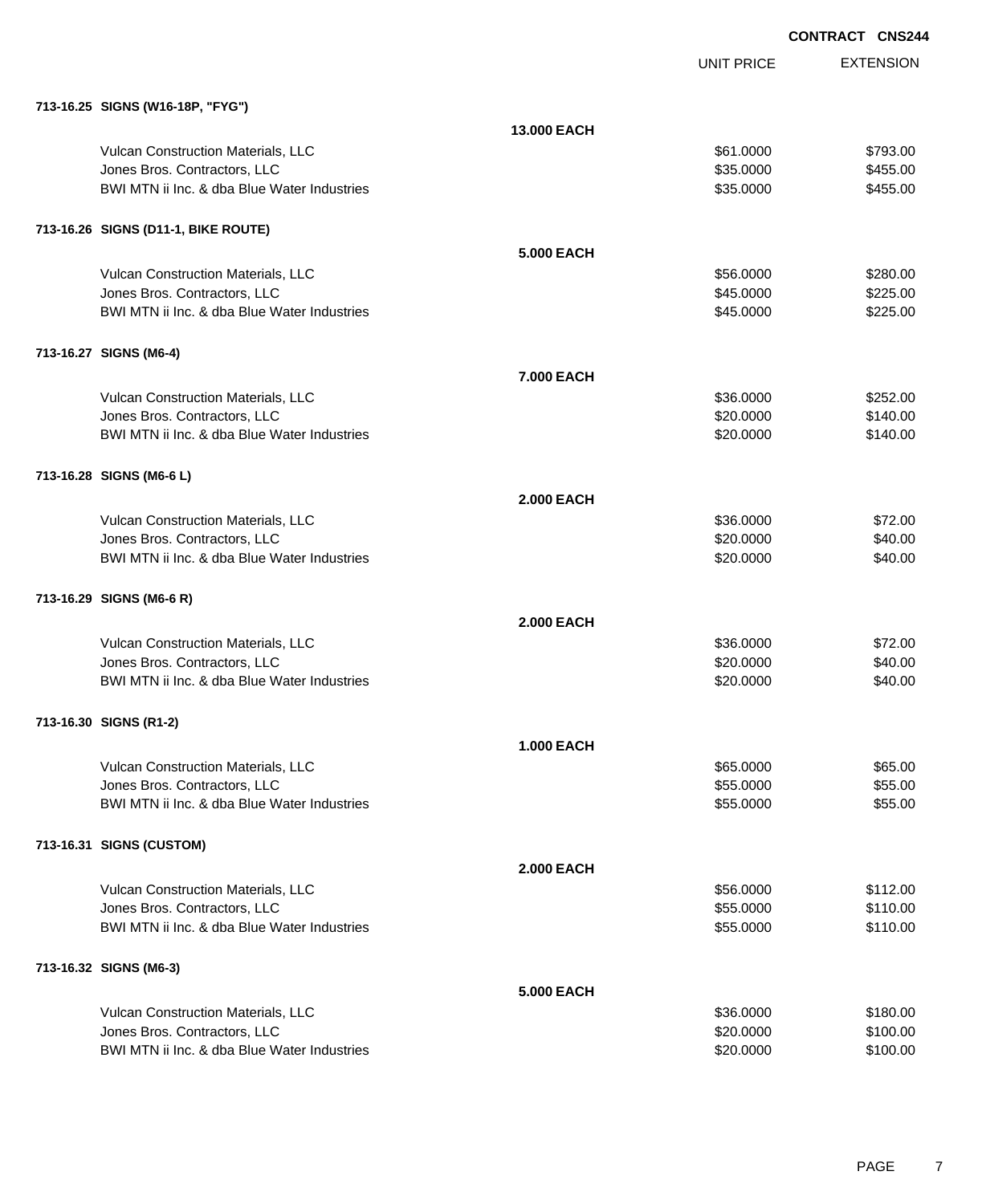UNIT PRICE EXTENSION

| 713-16.25 SIGNS (W16-18P, "FYG")            |                   |           |          |
|---------------------------------------------|-------------------|-----------|----------|
|                                             | 13.000 EACH       |           |          |
| Vulcan Construction Materials, LLC          |                   | \$61.0000 | \$793.00 |
| Jones Bros. Contractors, LLC                |                   | \$35.0000 | \$455.00 |
| BWI MTN ii Inc. & dba Blue Water Industries |                   | \$35.0000 | \$455.00 |
| 713-16.26 SIGNS (D11-1, BIKE ROUTE)         |                   |           |          |
|                                             | <b>5.000 EACH</b> |           |          |
| Vulcan Construction Materials, LLC          |                   | \$56.0000 | \$280.00 |
| Jones Bros. Contractors, LLC                |                   | \$45.0000 | \$225.00 |
| BWI MTN ii Inc. & dba Blue Water Industries |                   | \$45.0000 | \$225.00 |
|                                             |                   |           |          |
| 713-16.27 SIGNS (M6-4)                      | 7.000 EACH        |           |          |
| Vulcan Construction Materials, LLC          |                   | \$36.0000 | \$252.00 |
| Jones Bros. Contractors, LLC                |                   | \$20.0000 | \$140.00 |
| BWI MTN ii Inc. & dba Blue Water Industries |                   | \$20.0000 | \$140.00 |
|                                             |                   |           |          |
| 713-16.28 SIGNS (M6-6 L)                    |                   |           |          |
|                                             | <b>2.000 EACH</b> |           |          |
| Vulcan Construction Materials, LLC          |                   | \$36.0000 | \$72.00  |
| Jones Bros. Contractors, LLC                |                   | \$20.0000 | \$40.00  |
| BWI MTN ii Inc. & dba Blue Water Industries |                   | \$20.0000 | \$40.00  |
| 713-16.29 SIGNS (M6-6 R)                    |                   |           |          |
|                                             | <b>2.000 EACH</b> |           |          |
| Vulcan Construction Materials, LLC          |                   | \$36.0000 | \$72.00  |
| Jones Bros. Contractors, LLC                |                   | \$20.0000 | \$40.00  |
| BWI MTN ii Inc. & dba Blue Water Industries |                   | \$20.0000 | \$40.00  |
| 713-16.30 SIGNS (R1-2)                      |                   |           |          |
|                                             | <b>1.000 EACH</b> |           |          |
| Vulcan Construction Materials, LLC          |                   | \$65.0000 | \$65.00  |
| Jones Bros. Contractors, LLC                |                   | \$55.0000 | \$55.00  |
| BWI MTN ii Inc. & dba Blue Water Industries |                   | \$55.0000 | \$55.00  |
| 713-16.31 SIGNS (CUSTOM)                    |                   |           |          |
|                                             | <b>2.000 EACH</b> |           |          |
| Vulcan Construction Materials, LLC          |                   | \$56.0000 | \$112.00 |
| Jones Bros. Contractors, LLC                |                   | \$55.0000 | \$110.00 |
| BWI MTN ii Inc. & dba Blue Water Industries |                   | \$55.0000 | \$110.00 |
| 713-16.32 SIGNS (M6-3)                      |                   |           |          |
|                                             | <b>5.000 EACH</b> |           |          |
| Vulcan Construction Materials, LLC          |                   | \$36.0000 | \$180.00 |
| Jones Bros. Contractors, LLC                |                   | \$20.0000 | \$100.00 |
| BWI MTN ii Inc. & dba Blue Water Industries |                   | \$20.0000 | \$100.00 |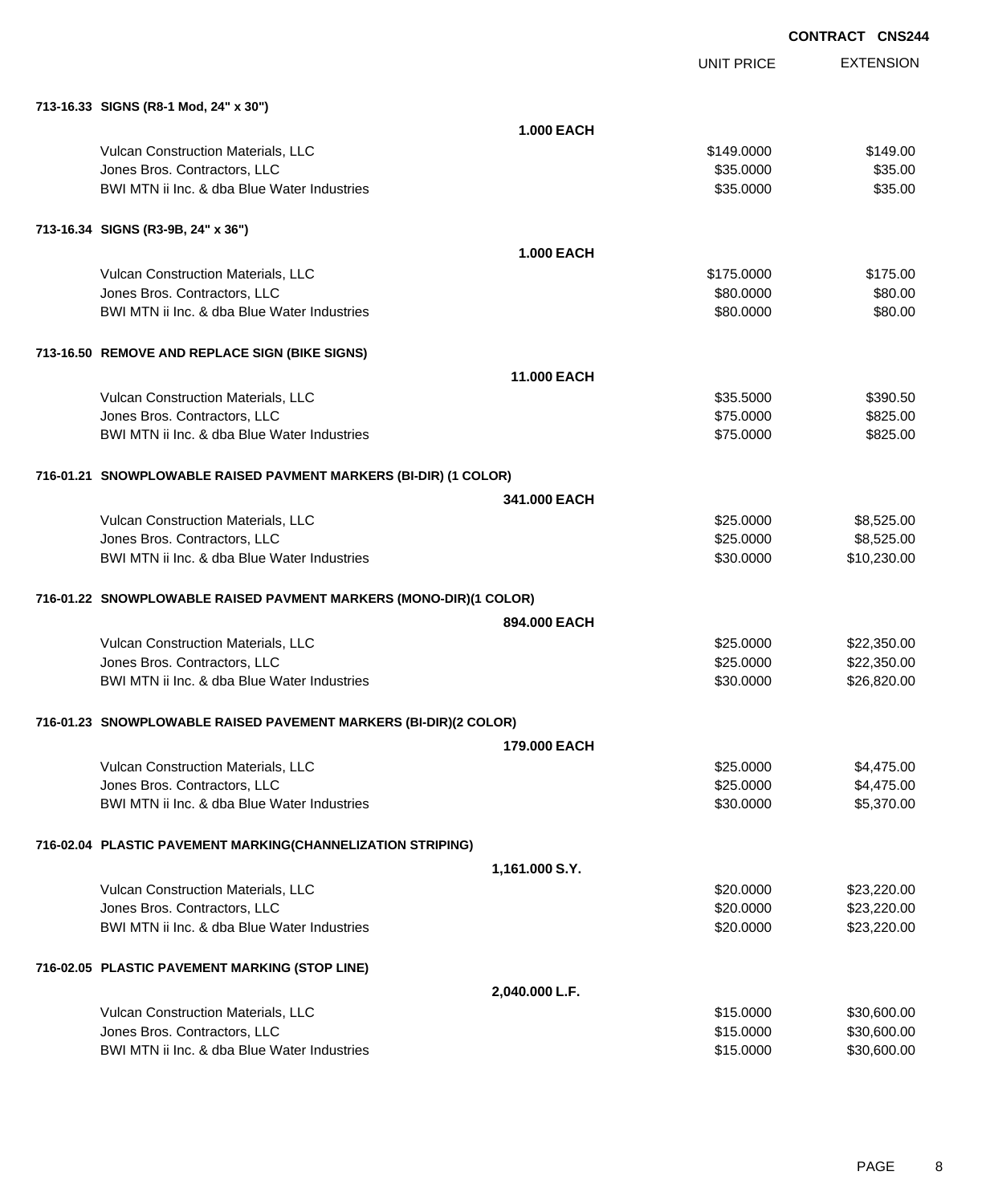UNIT PRICE

|  | 713-16.33 SIGNS (R8-1 Mod. 24" x 30") |
|--|---------------------------------------|

| 713-16.33 SIGNS (R8-1 Mod, 24" x 30")                             |                    |            |             |  |
|-------------------------------------------------------------------|--------------------|------------|-------------|--|
|                                                                   | <b>1.000 EACH</b>  |            |             |  |
| Vulcan Construction Materials, LLC                                |                    | \$149.0000 | \$149.00    |  |
| Jones Bros. Contractors, LLC                                      |                    | \$35.0000  | \$35.00     |  |
| BWI MTN ii Inc. & dba Blue Water Industries                       |                    | \$35.0000  | \$35.00     |  |
| 713-16.34 SIGNS (R3-9B, 24" x 36")                                |                    |            |             |  |
|                                                                   | <b>1.000 EACH</b>  |            |             |  |
| Vulcan Construction Materials, LLC                                |                    | \$175.0000 | \$175.00    |  |
| Jones Bros. Contractors, LLC                                      |                    | \$80.0000  | \$80.00     |  |
| BWI MTN ii Inc. & dba Blue Water Industries                       |                    | \$80.0000  | \$80.00     |  |
| 713-16.50 REMOVE AND REPLACE SIGN (BIKE SIGNS)                    |                    |            |             |  |
|                                                                   | <b>11.000 EACH</b> |            |             |  |
| Vulcan Construction Materials, LLC                                |                    | \$35.5000  | \$390.50    |  |
| Jones Bros. Contractors, LLC                                      |                    | \$75.0000  | \$825.00    |  |
| BWI MTN ii Inc. & dba Blue Water Industries                       |                    | \$75.0000  | \$825.00    |  |
| 716-01.21 SNOWPLOWABLE RAISED PAVMENT MARKERS (BI-DIR) (1 COLOR)  |                    |            |             |  |
|                                                                   | 341,000 EACH       |            |             |  |
| Vulcan Construction Materials, LLC                                |                    | \$25.0000  | \$8,525.00  |  |
| Jones Bros. Contractors, LLC                                      |                    | \$25.0000  | \$8,525.00  |  |
| BWI MTN ii Inc. & dba Blue Water Industries                       |                    | \$30.0000  | \$10,230.00 |  |
| 716-01.22 SNOWPLOWABLE RAISED PAVMENT MARKERS (MONO-DIR)(1 COLOR) |                    |            |             |  |
|                                                                   | 894.000 EACH       |            |             |  |
| Vulcan Construction Materials, LLC                                |                    | \$25.0000  | \$22,350.00 |  |
| Jones Bros. Contractors, LLC                                      |                    | \$25.0000  | \$22,350.00 |  |
| BWI MTN ii Inc. & dba Blue Water Industries                       |                    | \$30.0000  | \$26,820.00 |  |
| 716-01.23 SNOWPLOWABLE RAISED PAVEMENT MARKERS (BI-DIR)(2 COLOR)  |                    |            |             |  |
|                                                                   | 179,000 EACH       |            |             |  |
| Vulcan Construction Materials, LLC                                |                    | \$25.0000  | \$4,475.00  |  |
| Jones Bros. Contractors, LLC                                      |                    | \$25.0000  | \$4,475.00  |  |
| BWI MTN ii Inc. & dba Blue Water Industries                       |                    | \$30.0000  | \$5,370.00  |  |
| 716-02.04 PLASTIC PAVEMENT MARKING(CHANNELIZATION STRIPING)       |                    |            |             |  |
|                                                                   | 1,161.000 S.Y.     |            |             |  |
| Vulcan Construction Materials, LLC                                |                    | \$20.0000  | \$23,220.00 |  |
| Jones Bros. Contractors, LLC                                      |                    | \$20.0000  | \$23,220.00 |  |
| BWI MTN ii Inc. & dba Blue Water Industries                       |                    | \$20.0000  | \$23,220.00 |  |
| 716-02.05 PLASTIC PAVEMENT MARKING (STOP LINE)                    |                    |            |             |  |
|                                                                   | 2,040.000 L.F.     |            |             |  |
| Vulcan Construction Materials, LLC                                |                    | \$15.0000  | \$30,600.00 |  |
| Jones Bros. Contractors, LLC                                      |                    | \$15.0000  | \$30,600.00 |  |
| BWI MTN ii Inc. & dba Blue Water Industries                       |                    | \$15.0000  | \$30,600.00 |  |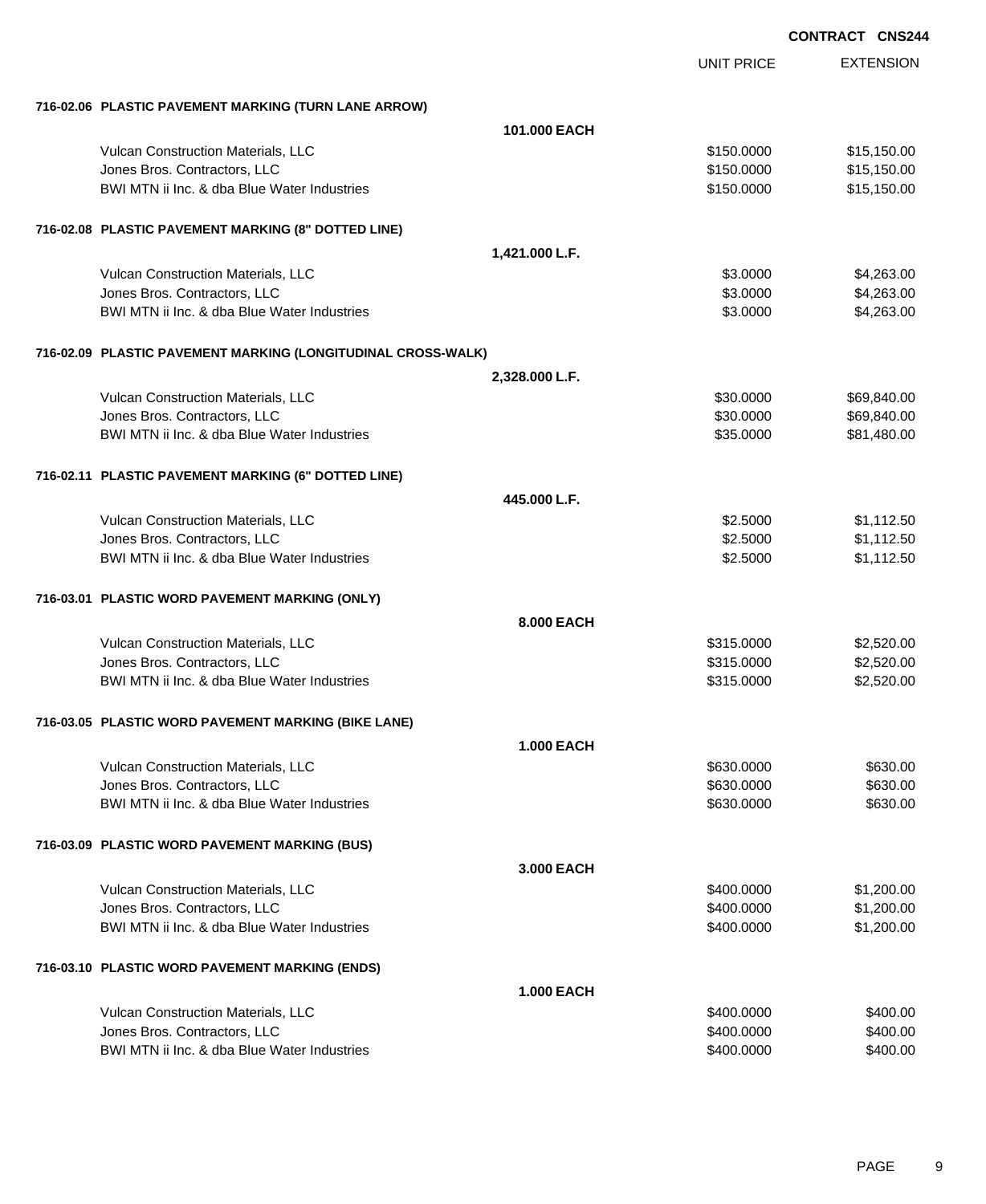|                                                              | <b>UNIT PRICE</b> | <b>EXTENSION</b> |
|--------------------------------------------------------------|-------------------|------------------|
| 716-02.06 PLASTIC PAVEMENT MARKING (TURN LANE ARROW)         |                   |                  |
| 101.000 EACH                                                 |                   |                  |
| Vulcan Construction Materials, LLC                           | \$150,0000        | \$15,150.00      |
| Jones Bros. Contractors, LLC                                 | \$150.0000        | \$15,150.00      |
| BWI MTN ii Inc. & dba Blue Water Industries                  | \$150.0000        | \$15,150.00      |
| 716-02.08 PLASTIC PAVEMENT MARKING (8" DOTTED LINE)          |                   |                  |
| 1,421.000 L.F.                                               |                   |                  |
| Vulcan Construction Materials, LLC                           | \$3.0000          | \$4,263.00       |
| Jones Bros. Contractors, LLC                                 | \$3.0000          | \$4,263.00       |
| BWI MTN ii Inc. & dba Blue Water Industries                  | \$3.0000          | \$4,263.00       |
| 716-02.09 PLASTIC PAVEMENT MARKING (LONGITUDINAL CROSS-WALK) |                   |                  |
| 2,328.000 L.F.                                               |                   |                  |
| Vulcan Construction Materials, LLC                           | \$30.0000         | \$69,840.00      |
| Jones Bros. Contractors, LLC                                 | \$30.0000         | \$69,840.00      |
| BWI MTN ii Inc. & dba Blue Water Industries                  | \$35.0000         | \$81,480.00      |
| 716-02.11 PLASTIC PAVEMENT MARKING (6" DOTTED LINE)          |                   |                  |
| 445,000 L.F.                                                 |                   |                  |
| Vulcan Construction Materials, LLC                           | \$2.5000          | \$1,112.50       |
| Jones Bros. Contractors, LLC                                 | \$2.5000          | \$1,112.50       |
| BWI MTN ii Inc. & dba Blue Water Industries                  | \$2.5000          | \$1,112.50       |
| 716-03.01 PLASTIC WORD PAVEMENT MARKING (ONLY)               |                   |                  |
| 8,000 EACH                                                   |                   |                  |
| Vulcan Construction Materials, LLC                           | \$315,0000        | \$2,520.00       |
| Jones Bros. Contractors, LLC                                 | \$315.0000        | \$2,520.00       |
| BWI MTN ii Inc. & dba Blue Water Industries                  | \$315.0000        | \$2,520.00       |
| 716-03.05 PLASTIC WORD PAVEMENT MARKING (BIKE LANE)          |                   |                  |
| <b>1.000 EACH</b>                                            |                   |                  |
| Vulcan Construction Materials, LLC                           | \$630.0000        | \$630.00         |
| Jones Bros. Contractors, LLC                                 | \$630.0000        | \$630.00         |
| BWI MTN ii Inc. & dba Blue Water Industries                  | \$630.0000        | \$630.00         |
| 716-03.09 PLASTIC WORD PAVEMENT MARKING (BUS)                |                   |                  |
| 3,000 EACH                                                   |                   |                  |
| Vulcan Construction Materials, LLC                           | \$400,0000        | \$1,200.00       |
| Jones Bros. Contractors, LLC                                 | \$400.0000        | \$1,200.00       |
| BWI MTN ii Inc. & dba Blue Water Industries                  | \$400.0000        | \$1,200.00       |
| 716-03.10 PLASTIC WORD PAVEMENT MARKING (ENDS)               |                   |                  |
| <b>1.000 EACH</b>                                            |                   |                  |
| Vulcan Construction Materials, LLC                           | \$400.0000        | \$400.00         |
| Jones Bros. Contractors, LLC                                 | \$400.0000        | \$400.00         |
| BWI MTN ii Inc. & dba Blue Water Industries                  | \$400.0000        | \$400.00         |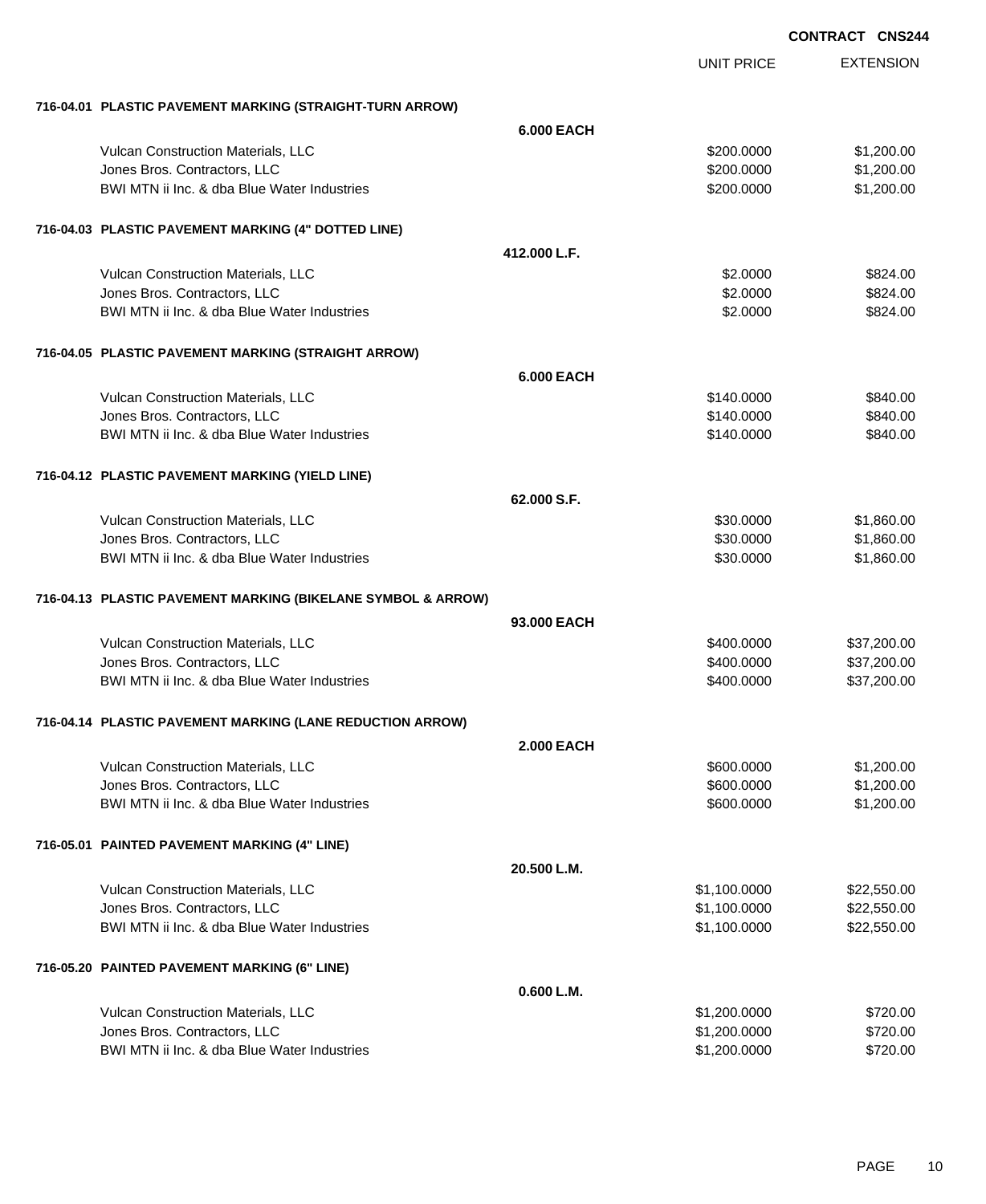|                                                              |                   | <b>UNIT PRICE</b> | <b>EXTENSION</b> |
|--------------------------------------------------------------|-------------------|-------------------|------------------|
| 716-04.01 PLASTIC PAVEMENT MARKING (STRAIGHT-TURN ARROW)     |                   |                   |                  |
|                                                              | <b>6.000 EACH</b> |                   |                  |
| Vulcan Construction Materials, LLC                           |                   | \$200.0000        | \$1,200.00       |
| Jones Bros. Contractors, LLC                                 |                   | \$200.0000        | \$1,200.00       |
| BWI MTN ii Inc. & dba Blue Water Industries                  |                   | \$200.0000        | \$1,200.00       |
| 716-04.03 PLASTIC PAVEMENT MARKING (4" DOTTED LINE)          |                   |                   |                  |
|                                                              | 412.000 L.F.      |                   |                  |
| Vulcan Construction Materials, LLC                           |                   | \$2.0000          | \$824.00         |
| Jones Bros. Contractors, LLC                                 |                   | \$2.0000          | \$824.00         |
| BWI MTN ii Inc. & dba Blue Water Industries                  |                   | \$2.0000          | \$824.00         |
| 716-04.05 PLASTIC PAVEMENT MARKING (STRAIGHT ARROW)          |                   |                   |                  |
|                                                              | <b>6.000 EACH</b> |                   |                  |
| Vulcan Construction Materials, LLC                           |                   | \$140.0000        | \$840.00         |
| Jones Bros. Contractors, LLC                                 |                   | \$140.0000        | \$840.00         |
| BWI MTN ii Inc. & dba Blue Water Industries                  |                   | \$140.0000        | \$840.00         |
| 716-04.12 PLASTIC PAVEMENT MARKING (YIELD LINE)              |                   |                   |                  |
|                                                              | 62.000 S.F.       |                   |                  |
| Vulcan Construction Materials, LLC                           |                   | \$30.0000         | \$1,860.00       |
| Jones Bros. Contractors, LLC                                 |                   | \$30.0000         | \$1,860.00       |
| BWI MTN ii Inc. & dba Blue Water Industries                  |                   | \$30.0000         | \$1,860.00       |
| 716-04.13 PLASTIC PAVEMENT MARKING (BIKELANE SYMBOL & ARROW) |                   |                   |                  |
|                                                              | 93.000 EACH       |                   |                  |
| Vulcan Construction Materials, LLC                           |                   | \$400.0000        | \$37,200.00      |
| Jones Bros. Contractors, LLC                                 |                   | \$400.0000        | \$37,200.00      |
| BWI MTN ii Inc. & dba Blue Water Industries                  |                   | \$400.0000        | \$37,200.00      |
| 716-04.14 PLASTIC PAVEMENT MARKING (LANE REDUCTION ARROW)    |                   |                   |                  |
|                                                              | <b>2.000 EACH</b> |                   |                  |
| Vulcan Construction Materials, LLC                           |                   | \$600.0000        | \$1,200.00       |
| Jones Bros. Contractors, LLC                                 |                   | \$600.0000        | \$1,200.00       |
| BWI MTN ii Inc. & dba Blue Water Industries                  |                   | \$600.0000        | \$1,200.00       |
| 716-05.01 PAINTED PAVEMENT MARKING (4" LINE)                 |                   |                   |                  |
|                                                              | 20.500 L.M.       |                   |                  |
| Vulcan Construction Materials, LLC                           |                   | \$1,100.0000      | \$22,550.00      |
| Jones Bros. Contractors, LLC                                 |                   | \$1,100.0000      | \$22,550.00      |
| BWI MTN ii Inc. & dba Blue Water Industries                  |                   | \$1,100.0000      | \$22,550.00      |
| 716-05.20 PAINTED PAVEMENT MARKING (6" LINE)                 |                   |                   |                  |
|                                                              | 0.600 L.M.        |                   |                  |
| Vulcan Construction Materials, LLC                           |                   | \$1,200.0000      | \$720.00         |
| Jones Bros. Contractors, LLC                                 |                   | \$1,200.0000      | \$720.00         |
| BWI MTN ii Inc. & dba Blue Water Industries                  |                   | \$1,200.0000      | \$720.00         |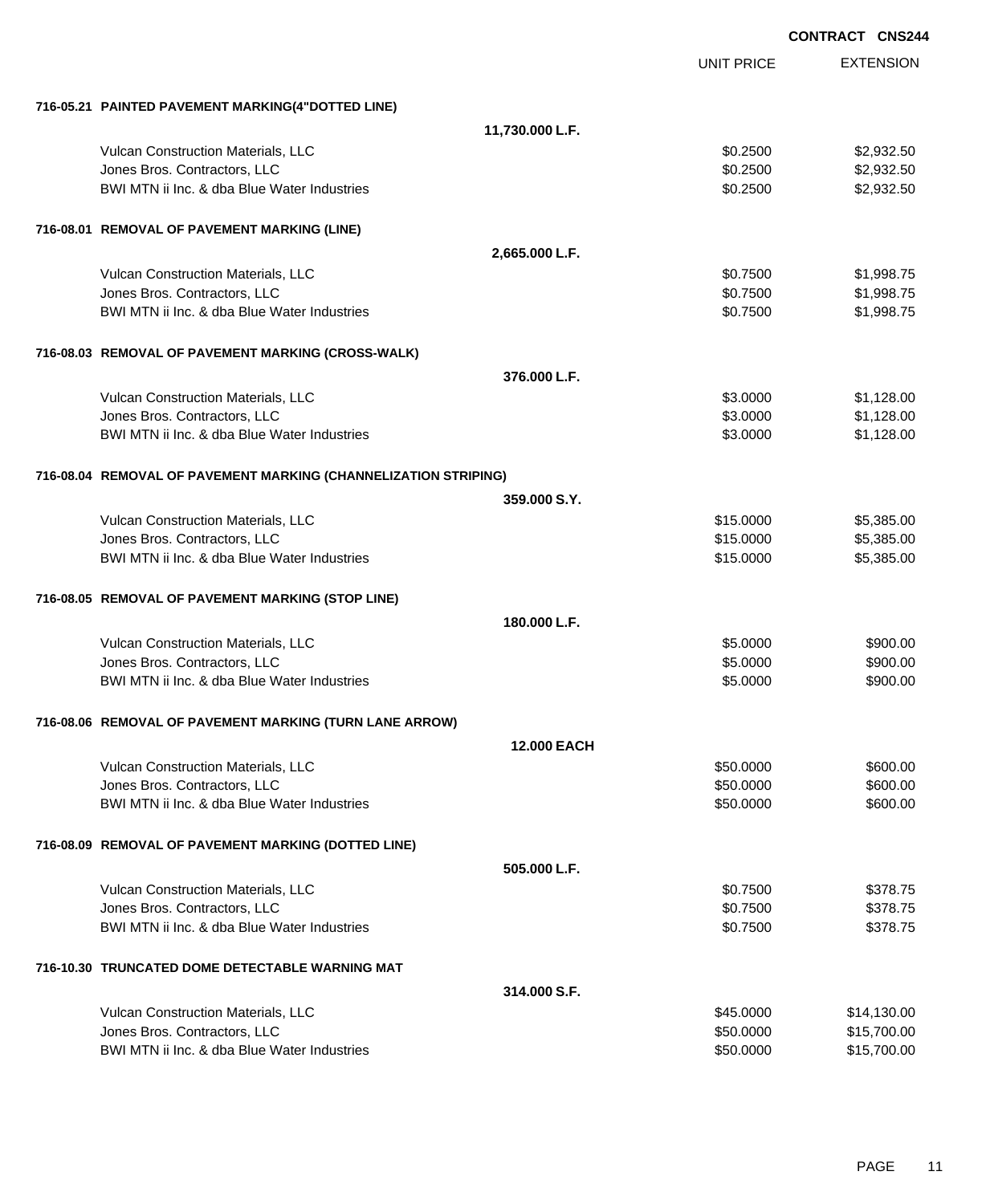|                                                                    |                    |                      | <b>CONTRACT CNS244</b>   |
|--------------------------------------------------------------------|--------------------|----------------------|--------------------------|
|                                                                    |                    | <b>UNIT PRICE</b>    | <b>EXTENSION</b>         |
|                                                                    |                    |                      |                          |
| 716-05.21 PAINTED PAVEMENT MARKING(4"DOTTED LINE)                  | 11,730.000 L.F.    |                      |                          |
|                                                                    |                    |                      |                          |
| Vulcan Construction Materials, LLC<br>Jones Bros. Contractors, LLC |                    | \$0.2500<br>\$0.2500 | \$2,932.50               |
| BWI MTN ii Inc. & dba Blue Water Industries                        |                    | \$0.2500             | \$2,932.50<br>\$2,932.50 |
|                                                                    |                    |                      |                          |
| 716-08.01 REMOVAL OF PAVEMENT MARKING (LINE)                       |                    |                      |                          |
|                                                                    | 2,665.000 L.F.     |                      |                          |
| Vulcan Construction Materials, LLC                                 |                    | \$0.7500             | \$1,998.75               |
| Jones Bros. Contractors, LLC                                       |                    | \$0.7500             | \$1,998.75               |
| BWI MTN ii Inc. & dba Blue Water Industries                        |                    | \$0.7500             | \$1,998.75               |
| 716-08.03 REMOVAL OF PAVEMENT MARKING (CROSS-WALK)                 |                    |                      |                          |
|                                                                    | 376,000 L.F.       |                      |                          |
| Vulcan Construction Materials, LLC                                 |                    | \$3.0000             | \$1,128.00               |
| Jones Bros. Contractors, LLC                                       |                    | \$3.0000             | \$1,128.00               |
| BWI MTN ii Inc. & dba Blue Water Industries                        |                    | \$3.0000             | \$1,128.00               |
| 716-08.04 REMOVAL OF PAVEMENT MARKING (CHANNELIZATION STRIPING)    |                    |                      |                          |
|                                                                    | 359.000 S.Y.       |                      |                          |
| Vulcan Construction Materials, LLC                                 |                    | \$15.0000            | \$5,385.00               |
| Jones Bros. Contractors, LLC                                       |                    | \$15.0000            | \$5,385.00               |
| BWI MTN ii Inc. & dba Blue Water Industries                        |                    | \$15.0000            | \$5,385.00               |
|                                                                    |                    |                      |                          |
| 716-08.05 REMOVAL OF PAVEMENT MARKING (STOP LINE)                  |                    |                      |                          |
|                                                                    | 180.000 L.F.       |                      |                          |
| Vulcan Construction Materials, LLC                                 |                    | \$5.0000             | \$900.00                 |
| Jones Bros. Contractors, LLC                                       |                    | \$5.0000             | \$900.00                 |
| BWI MTN ii Inc. & dba Blue Water Industries                        |                    | \$5.0000             | \$900.00                 |
| 716-08.06 REMOVAL OF PAVEMENT MARKING (TURN LANE ARROW)            |                    |                      |                          |
|                                                                    | <b>12.000 EACH</b> |                      |                          |
| Vulcan Construction Materials, LLC                                 |                    | \$50.0000            | \$600.00                 |
| Jones Bros. Contractors, LLC                                       |                    | \$50.0000            | \$600.00                 |
| BWI MTN ii Inc. & dba Blue Water Industries                        |                    | \$50.0000            | \$600.00                 |
| 716-08.09 REMOVAL OF PAVEMENT MARKING (DOTTED LINE)                |                    |                      |                          |
|                                                                    | 505.000 L.F.       |                      |                          |
| Vulcan Construction Materials, LLC                                 |                    | \$0.7500             | \$378.75                 |
| Jones Bros. Contractors, LLC                                       |                    | \$0.7500             | \$378.75                 |
| BWI MTN ii Inc. & dba Blue Water Industries                        |                    | \$0.7500             | \$378.75                 |
| 716-10.30 TRUNCATED DOME DETECTABLE WARNING MAT                    |                    |                      |                          |
|                                                                    | 314,000 S.F.       |                      |                          |
| Vulcan Construction Materials, LLC                                 |                    | \$45.0000            | \$14,130.00              |
| Jones Bros. Contractors, LLC                                       |                    | \$50.0000            | \$15,700.00              |
| BWI MTN ii Inc. & dba Blue Water Industries                        |                    | \$50.0000            | \$15,700.00              |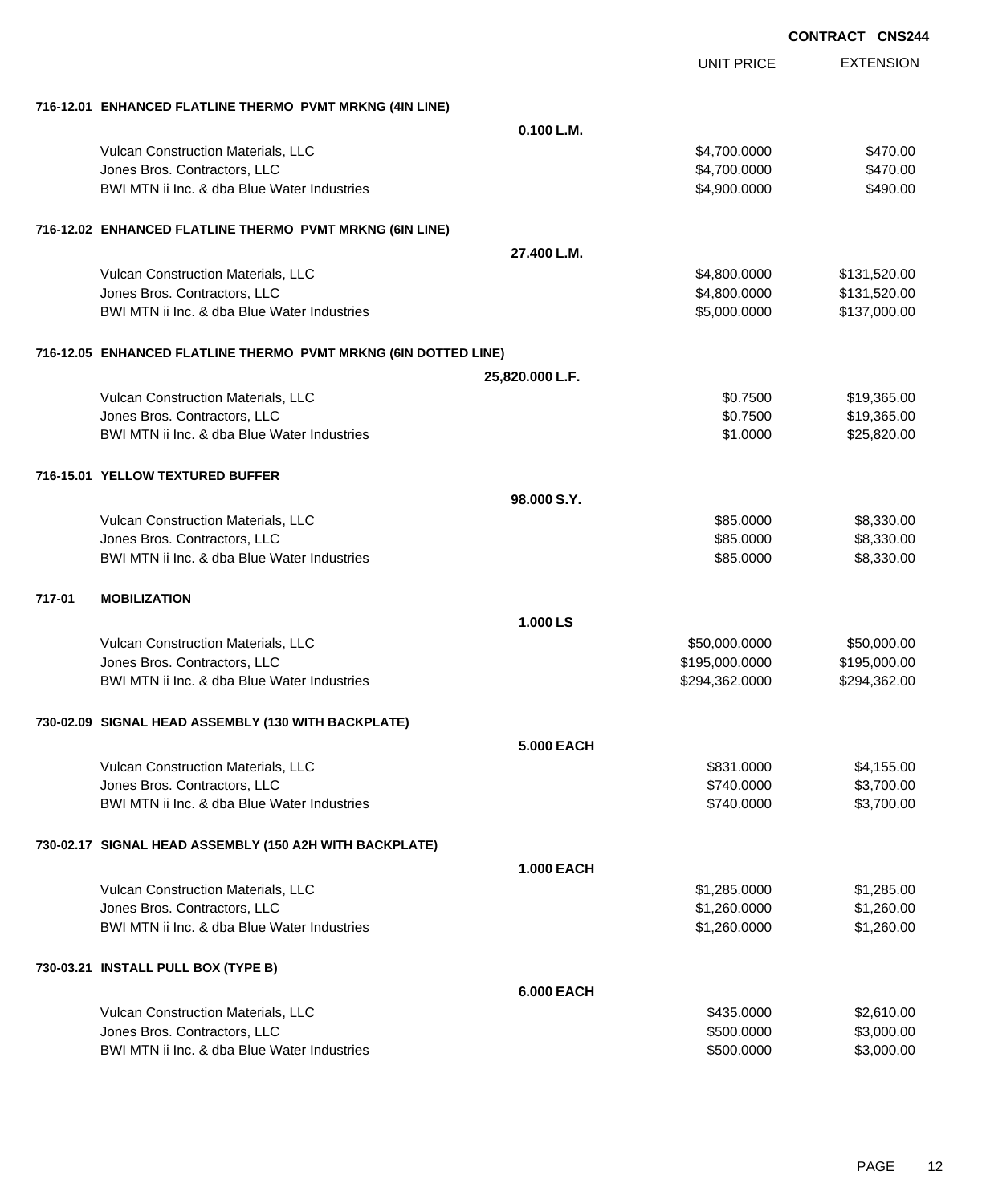|        |                                                                 |                   | <b>UNIT PRICE</b> | <b>EXTENSION</b> |
|--------|-----------------------------------------------------------------|-------------------|-------------------|------------------|
|        | 716-12.01 ENHANCED FLATLINE THERMO PVMT MRKNG (4IN LINE)        |                   |                   |                  |
|        |                                                                 | 0.100 L.M.        |                   |                  |
|        | Vulcan Construction Materials, LLC                              |                   | \$4,700.0000      | \$470.00         |
|        | Jones Bros. Contractors, LLC                                    |                   | \$4,700.0000      | \$470.00         |
|        | BWI MTN ii Inc. & dba Blue Water Industries                     |                   | \$4,900.0000      | \$490.00         |
|        | 716-12.02 ENHANCED FLATLINE THERMO PVMT MRKNG (6IN LINE)        |                   |                   |                  |
|        |                                                                 | 27.400 L.M.       |                   |                  |
|        | Vulcan Construction Materials, LLC                              |                   | \$4,800.0000      | \$131,520.00     |
|        | Jones Bros. Contractors, LLC                                    |                   | \$4,800.0000      | \$131,520.00     |
|        | BWI MTN ii Inc. & dba Blue Water Industries                     |                   | \$5,000.0000      | \$137,000.00     |
|        | 716-12.05 ENHANCED FLATLINE THERMO PVMT MRKNG (6IN DOTTED LINE) |                   |                   |                  |
|        |                                                                 | 25,820.000 L.F.   |                   |                  |
|        | Vulcan Construction Materials, LLC                              |                   | \$0.7500          | \$19,365.00      |
|        | Jones Bros. Contractors, LLC                                    |                   | \$0.7500          | \$19,365.00      |
|        | BWI MTN ii Inc. & dba Blue Water Industries                     |                   | \$1.0000          | \$25,820.00      |
|        | 716-15.01 YELLOW TEXTURED BUFFER                                |                   |                   |                  |
|        |                                                                 | 98,000 S.Y.       |                   |                  |
|        | Vulcan Construction Materials, LLC                              |                   | \$85.0000         | \$8,330.00       |
|        | Jones Bros. Contractors, LLC                                    |                   | \$85.0000         | \$8,330.00       |
|        | BWI MTN ii Inc. & dba Blue Water Industries                     |                   | \$85.0000         | \$8,330.00       |
| 717-01 | <b>MOBILIZATION</b>                                             |                   |                   |                  |
|        |                                                                 | 1.000LS           |                   |                  |
|        | Vulcan Construction Materials, LLC                              |                   | \$50,000.0000     | \$50,000.00      |
|        | Jones Bros. Contractors, LLC                                    |                   | \$195,000.0000    | \$195,000.00     |
|        | BWI MTN ii Inc. & dba Blue Water Industries                     |                   | \$294,362.0000    | \$294,362.00     |
|        | 730-02.09 SIGNAL HEAD ASSEMBLY (130 WITH BACKPLATE)             |                   |                   |                  |
|        |                                                                 | 5.000 EACH        |                   |                  |
|        | Vulcan Construction Materials, LLC                              |                   | \$831.0000        | \$4,155.00       |
|        | Jones Bros. Contractors, LLC                                    |                   | \$740.0000        | \$3,700.00       |
|        | BWI MTN ii Inc. & dba Blue Water Industries                     |                   | \$740.0000        | \$3,700.00       |
|        | 730-02.17 SIGNAL HEAD ASSEMBLY (150 A2H WITH BACKPLATE)         |                   |                   |                  |
|        |                                                                 | <b>1.000 EACH</b> |                   |                  |
|        | Vulcan Construction Materials, LLC                              |                   | \$1,285.0000      | \$1,285.00       |
|        | Jones Bros. Contractors, LLC                                    |                   | \$1,260.0000      | \$1,260.00       |
|        | BWI MTN ii Inc. & dba Blue Water Industries                     |                   | \$1,260.0000      | \$1,260.00       |
|        | 730-03.21 INSTALL PULL BOX (TYPE B)                             |                   |                   |                  |
|        |                                                                 | <b>6.000 EACH</b> |                   |                  |
|        | Vulcan Construction Materials, LLC                              |                   | \$435.0000        | \$2,610.00       |
|        | Jones Bros. Contractors, LLC                                    |                   | \$500.0000        | \$3,000.00       |
|        | BWI MTN ii Inc. & dba Blue Water Industries                     |                   | \$500.0000        | \$3,000.00       |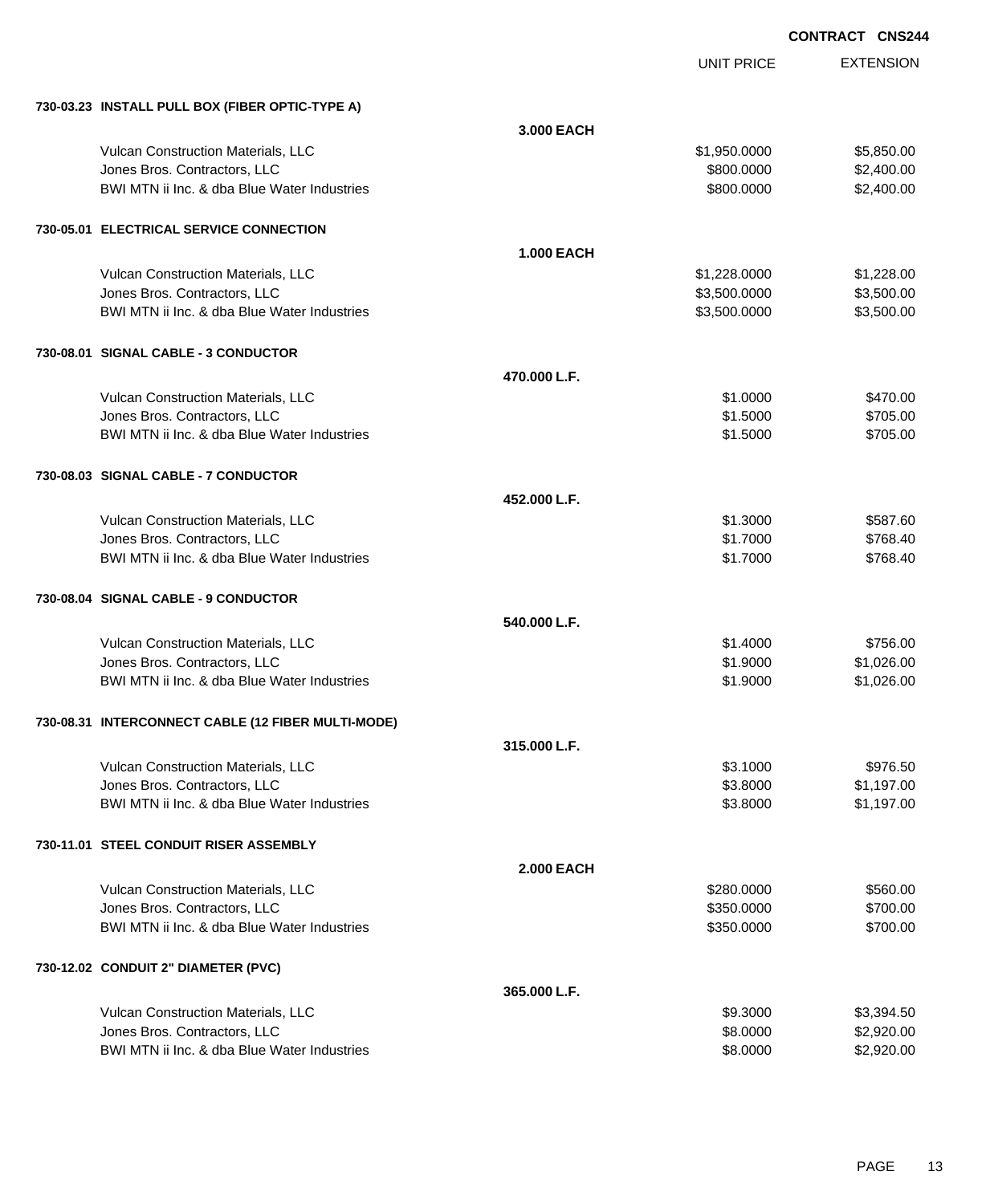UNIT PRICE

| 730-03.23 INSTALL PULL BOX (FIBER OPTIC-TYPE A)    |                   |              |            |
|----------------------------------------------------|-------------------|--------------|------------|
|                                                    | 3.000 EACH        |              |            |
| Vulcan Construction Materials, LLC                 |                   | \$1,950.0000 | \$5,850.00 |
| Jones Bros. Contractors, LLC                       |                   | \$800.0000   | \$2,400.00 |
| BWI MTN ii Inc. & dba Blue Water Industries        |                   | \$800.0000   | \$2,400.00 |
|                                                    |                   |              |            |
| 730-05.01 ELECTRICAL SERVICE CONNECTION            |                   |              |            |
|                                                    | <b>1.000 EACH</b> |              |            |
| Vulcan Construction Materials, LLC                 |                   | \$1,228.0000 | \$1,228.00 |
| Jones Bros. Contractors, LLC                       |                   | \$3,500.0000 | \$3,500.00 |
| BWI MTN ii Inc. & dba Blue Water Industries        |                   | \$3,500.0000 | \$3,500.00 |
|                                                    |                   |              |            |
| 730-08.01 SIGNAL CABLE - 3 CONDUCTOR               |                   |              |            |
|                                                    | 470.000 L.F.      |              |            |
| Vulcan Construction Materials, LLC                 |                   | \$1.0000     | \$470.00   |
| Jones Bros. Contractors, LLC                       |                   | \$1.5000     | \$705.00   |
| BWI MTN ii Inc. & dba Blue Water Industries        |                   | \$1.5000     | \$705.00   |
|                                                    |                   |              |            |
| 730-08.03 SIGNAL CABLE - 7 CONDUCTOR               |                   |              |            |
|                                                    | 452.000 L.F.      |              |            |
| Vulcan Construction Materials, LLC                 |                   | \$1.3000     | \$587.60   |
| Jones Bros. Contractors, LLC                       |                   | \$1.7000     | \$768.40   |
| BWI MTN ii Inc. & dba Blue Water Industries        |                   | \$1.7000     | \$768.40   |
|                                                    |                   |              |            |
| 730-08.04 SIGNAL CABLE - 9 CONDUCTOR               |                   |              |            |
|                                                    | 540.000 L.F.      |              |            |
| Vulcan Construction Materials, LLC                 |                   | \$1.4000     | \$756.00   |
| Jones Bros. Contractors, LLC                       |                   | \$1.9000     | \$1,026.00 |
| BWI MTN ii Inc. & dba Blue Water Industries        |                   | \$1.9000     | \$1,026.00 |
|                                                    |                   |              |            |
| 730-08.31 INTERCONNECT CABLE (12 FIBER MULTI-MODE) |                   |              |            |
|                                                    | 315,000 L.F.      |              |            |
| Vulcan Construction Materials, LLC                 |                   | \$3.1000     | \$976.50   |
| Jones Bros. Contractors, LLC                       |                   | \$3.8000     | \$1,197.00 |
| BWI MTN ii Inc. & dba Blue Water Industries        |                   | \$3.8000     | \$1,197.00 |
| 730-11.01 STEEL CONDUIT RISER ASSEMBLY             |                   |              |            |
|                                                    | <b>2.000 EACH</b> |              |            |
| Vulcan Construction Materials, LLC                 |                   | \$280.0000   | \$560.00   |
| Jones Bros. Contractors, LLC                       |                   | \$350.0000   | \$700.00   |
| BWI MTN ii Inc. & dba Blue Water Industries        |                   | \$350.0000   | \$700.00   |
|                                                    |                   |              |            |
| 730-12.02 CONDUIT 2" DIAMETER (PVC)                |                   |              |            |
|                                                    | 365.000 L.F.      |              |            |
| Vulcan Construction Materials, LLC                 |                   | \$9.3000     | \$3,394.50 |
| Jones Bros. Contractors, LLC                       |                   | \$8.0000     | \$2,920.00 |
| BWI MTN ii Inc. & dba Blue Water Industries        |                   | \$8.0000     | \$2,920.00 |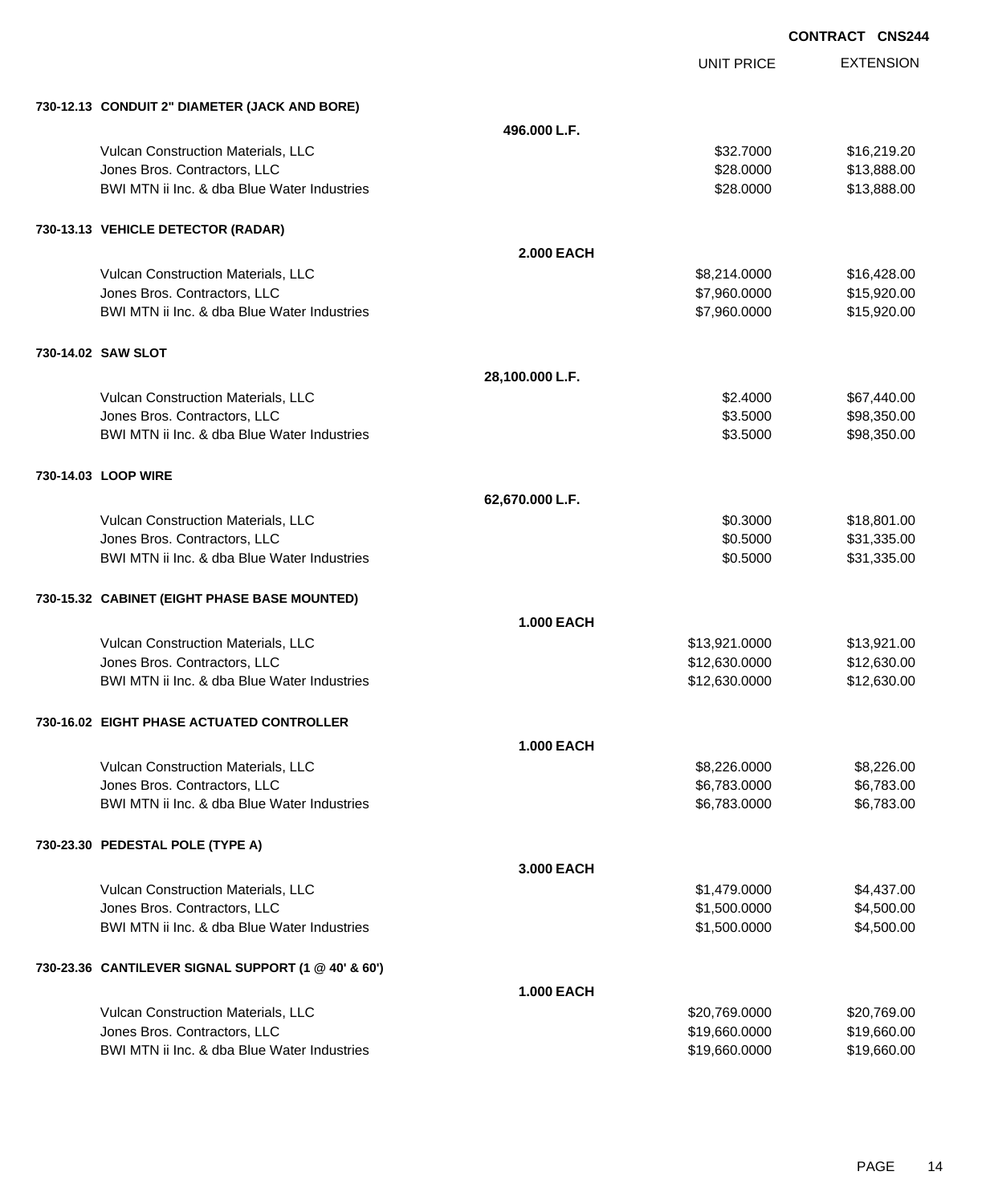UNIT PRICE

| 730-12.13 CONDUIT 2" DIAMETER (JACK AND BORE)       |                   |               |             |
|-----------------------------------------------------|-------------------|---------------|-------------|
|                                                     | 496,000 L.F.      |               |             |
| Vulcan Construction Materials, LLC                  |                   | \$32.7000     | \$16,219.20 |
| Jones Bros. Contractors, LLC                        |                   | \$28.0000     | \$13,888.00 |
| BWI MTN ii Inc. & dba Blue Water Industries         |                   | \$28.0000     | \$13,888.00 |
| 730-13.13 VEHICLE DETECTOR (RADAR)                  |                   |               |             |
|                                                     | <b>2.000 EACH</b> |               |             |
| Vulcan Construction Materials, LLC                  |                   | \$8,214.0000  | \$16,428.00 |
| Jones Bros. Contractors, LLC                        |                   | \$7,960.0000  | \$15,920.00 |
| BWI MTN ii Inc. & dba Blue Water Industries         |                   | \$7,960.0000  | \$15,920.00 |
| 730-14.02 SAW SLOT                                  |                   |               |             |
|                                                     | 28,100.000 L.F.   |               |             |
| Vulcan Construction Materials, LLC                  |                   | \$2.4000      | \$67,440.00 |
| Jones Bros. Contractors, LLC                        |                   | \$3.5000      | \$98,350.00 |
| BWI MTN ii Inc. & dba Blue Water Industries         |                   | \$3.5000      | \$98,350.00 |
| 730-14.03 LOOP WIRE                                 |                   |               |             |
|                                                     | 62,670.000 L.F.   |               |             |
| Vulcan Construction Materials, LLC                  |                   | \$0.3000      | \$18,801.00 |
| Jones Bros. Contractors, LLC                        |                   | \$0.5000      | \$31,335.00 |
| BWI MTN ii Inc. & dba Blue Water Industries         |                   | \$0.5000      | \$31,335.00 |
| 730-15.32 CABINET (EIGHT PHASE BASE MOUNTED)        |                   |               |             |
|                                                     | <b>1.000 EACH</b> |               |             |
| Vulcan Construction Materials, LLC                  |                   | \$13,921.0000 | \$13,921.00 |
| Jones Bros. Contractors, LLC                        |                   | \$12,630.0000 | \$12,630.00 |
| BWI MTN ii Inc. & dba Blue Water Industries         |                   | \$12,630.0000 | \$12,630.00 |
| 730-16.02 EIGHT PHASE ACTUATED CONTROLLER           |                   |               |             |
|                                                     | <b>1.000 EACH</b> |               |             |
| Vulcan Construction Materials, LLC                  |                   | \$8,226.0000  | \$8,226.00  |
| Jones Bros. Contractors, LLC                        |                   | \$6,783.0000  | \$6,783.00  |
| BWI MTN ii Inc. & dba Blue Water Industries         |                   | \$6,783.0000  | \$6,783.00  |
| 730-23.30 PEDESTAL POLE (TYPE A)                    |                   |               |             |
|                                                     | 3.000 EACH        |               |             |
| Vulcan Construction Materials, LLC                  |                   | \$1,479.0000  | \$4,437.00  |
| Jones Bros. Contractors, LLC                        |                   | \$1,500.0000  | \$4,500.00  |
| BWI MTN ii Inc. & dba Blue Water Industries         |                   | \$1,500.0000  | \$4,500.00  |
| 730-23.36 CANTILEVER SIGNAL SUPPORT (1 @ 40' & 60') |                   |               |             |
|                                                     | <b>1.000 EACH</b> |               |             |
| Vulcan Construction Materials, LLC                  |                   | \$20,769.0000 | \$20,769.00 |
| Jones Bros. Contractors, LLC                        |                   | \$19,660.0000 | \$19,660.00 |
| BWI MTN ii Inc. & dba Blue Water Industries         |                   | \$19,660.0000 | \$19,660.00 |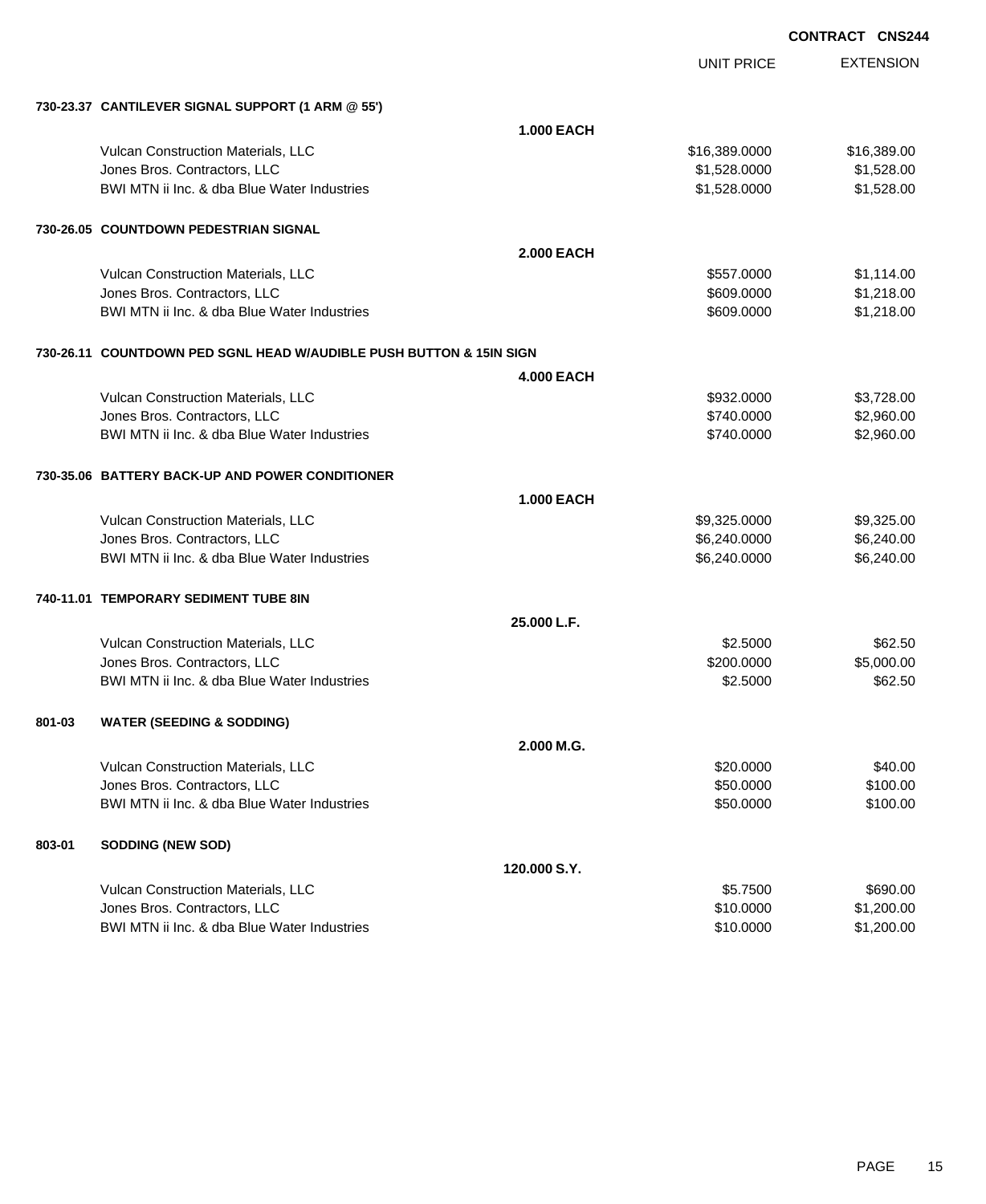UNIT PRICE

|        | 730-23.37 CANTILEVER SIGNAL SUPPORT (1 ARM @ 55')                   |                   |               |             |
|--------|---------------------------------------------------------------------|-------------------|---------------|-------------|
|        |                                                                     | <b>1.000 EACH</b> |               |             |
|        | Vulcan Construction Materials, LLC                                  |                   | \$16,389.0000 | \$16,389.00 |
|        | Jones Bros. Contractors, LLC                                        |                   | \$1,528.0000  | \$1,528.00  |
|        | BWI MTN ii Inc. & dba Blue Water Industries                         |                   | \$1,528.0000  | \$1,528.00  |
|        | 730-26.05 COUNTDOWN PEDESTRIAN SIGNAL                               |                   |               |             |
|        |                                                                     | <b>2.000 EACH</b> |               |             |
|        | Vulcan Construction Materials, LLC                                  |                   | \$557.0000    | \$1,114.00  |
|        | Jones Bros. Contractors, LLC                                        |                   | \$609.0000    | \$1,218.00  |
|        | BWI MTN ii Inc. & dba Blue Water Industries                         |                   | \$609.0000    | \$1,218.00  |
|        | 730-26.11 COUNTDOWN PED SGNL HEAD W/AUDIBLE PUSH BUTTON & 15IN SIGN |                   |               |             |
|        |                                                                     | <b>4.000 EACH</b> |               |             |
|        | Vulcan Construction Materials, LLC                                  |                   | \$932,0000    | \$3,728.00  |
|        | Jones Bros. Contractors, LLC                                        |                   | \$740.0000    | \$2,960.00  |
|        | BWI MTN ii Inc. & dba Blue Water Industries                         |                   | \$740.0000    | \$2,960.00  |
|        | 730-35.06 BATTERY BACK-UP AND POWER CONDITIONER                     |                   |               |             |
|        |                                                                     | <b>1.000 EACH</b> |               |             |
|        | Vulcan Construction Materials, LLC                                  |                   | \$9,325.0000  | \$9,325.00  |
|        | Jones Bros. Contractors, LLC                                        |                   | \$6,240.0000  | \$6,240.00  |
|        | BWI MTN ii Inc. & dba Blue Water Industries                         |                   | \$6,240.0000  | \$6,240.00  |
|        | 740-11.01 TEMPORARY SEDIMENT TUBE 8IN                               |                   |               |             |
|        |                                                                     | 25.000 L.F.       |               |             |
|        | Vulcan Construction Materials, LLC                                  |                   | \$2.5000      | \$62.50     |
|        | Jones Bros. Contractors, LLC                                        |                   | \$200.0000    | \$5,000.00  |
|        | BWI MTN ii Inc. & dba Blue Water Industries                         |                   | \$2.5000      | \$62.50     |
| 801-03 | <b>WATER (SEEDING &amp; SODDING)</b>                                |                   |               |             |
|        |                                                                     | 2.000 M.G.        |               |             |
|        | Vulcan Construction Materials, LLC                                  |                   | \$20.0000     | \$40.00     |
|        | Jones Bros. Contractors, LLC                                        |                   | \$50.0000     | \$100.00    |
|        | BWI MTN ii Inc. & dba Blue Water Industries                         |                   | \$50.0000     | \$100.00    |
| 803-01 | <b>SODDING (NEW SOD)</b>                                            |                   |               |             |
|        |                                                                     | 120.000 S.Y.      |               |             |
|        | Vulcan Construction Materials, LLC                                  |                   | \$5.7500      | \$690.00    |
|        | Jones Bros. Contractors, LLC                                        |                   | \$10.0000     | \$1,200.00  |
|        | BWI MTN ii Inc. & dba Blue Water Industries                         |                   | \$10.0000     | \$1,200.00  |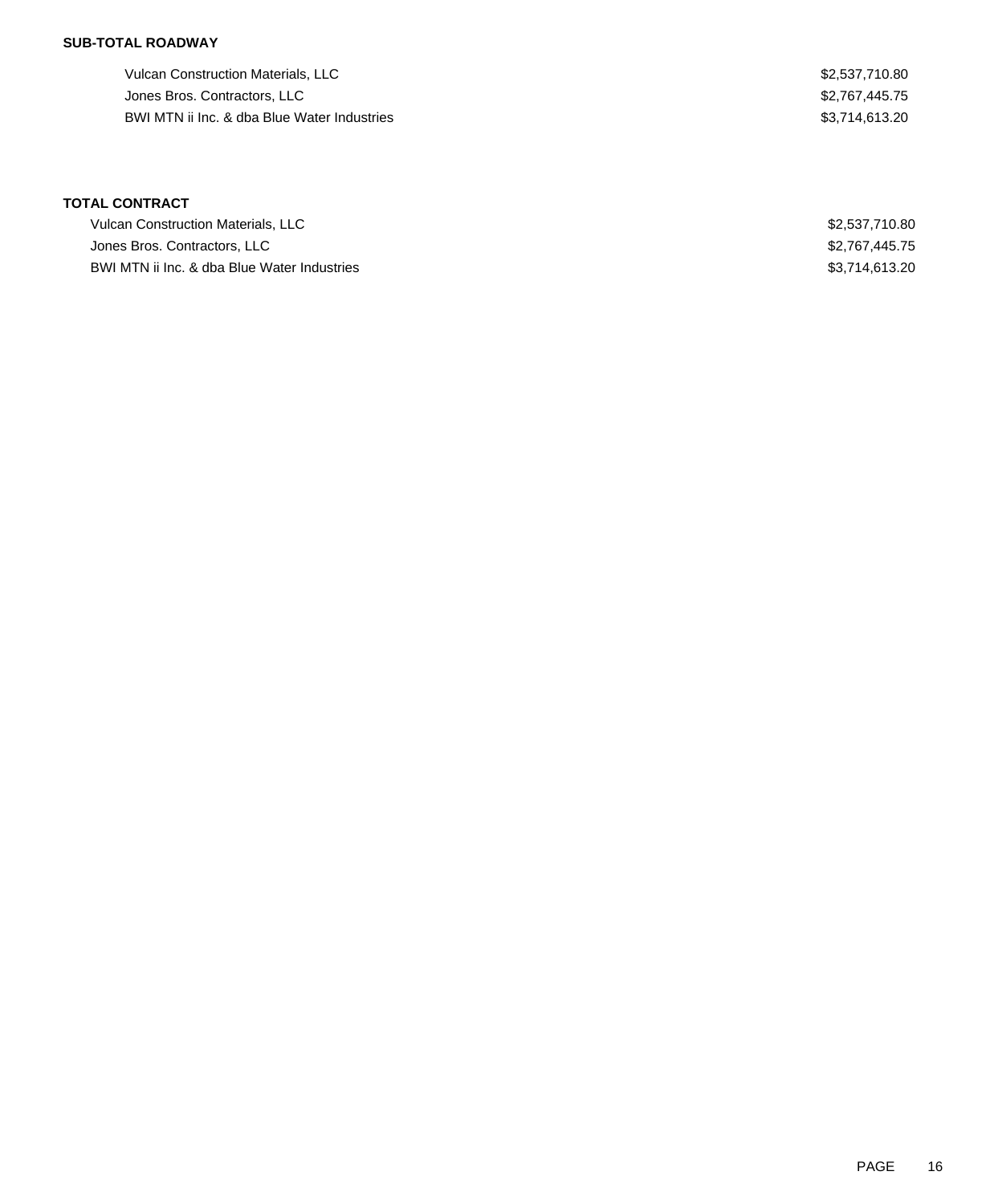## **SUB-TOTAL ROADWAY**

Vulcan Construction Materials, LLC 62,537,710.80 Jones Bros. Contractors, LLC 62,767,445.75 BWI MTN ii Inc. & dba Blue Water Industries \$3,714,613.20

## **TOTAL CONTRACT**

| Vulcan Construction Materials, LLC          | \$2,537,710.80 |
|---------------------------------------------|----------------|
| Jones Bros. Contractors, LLC                | \$2,767,445.75 |
| BWI MTN ii Inc. & dba Blue Water Industries | \$3,714,613.20 |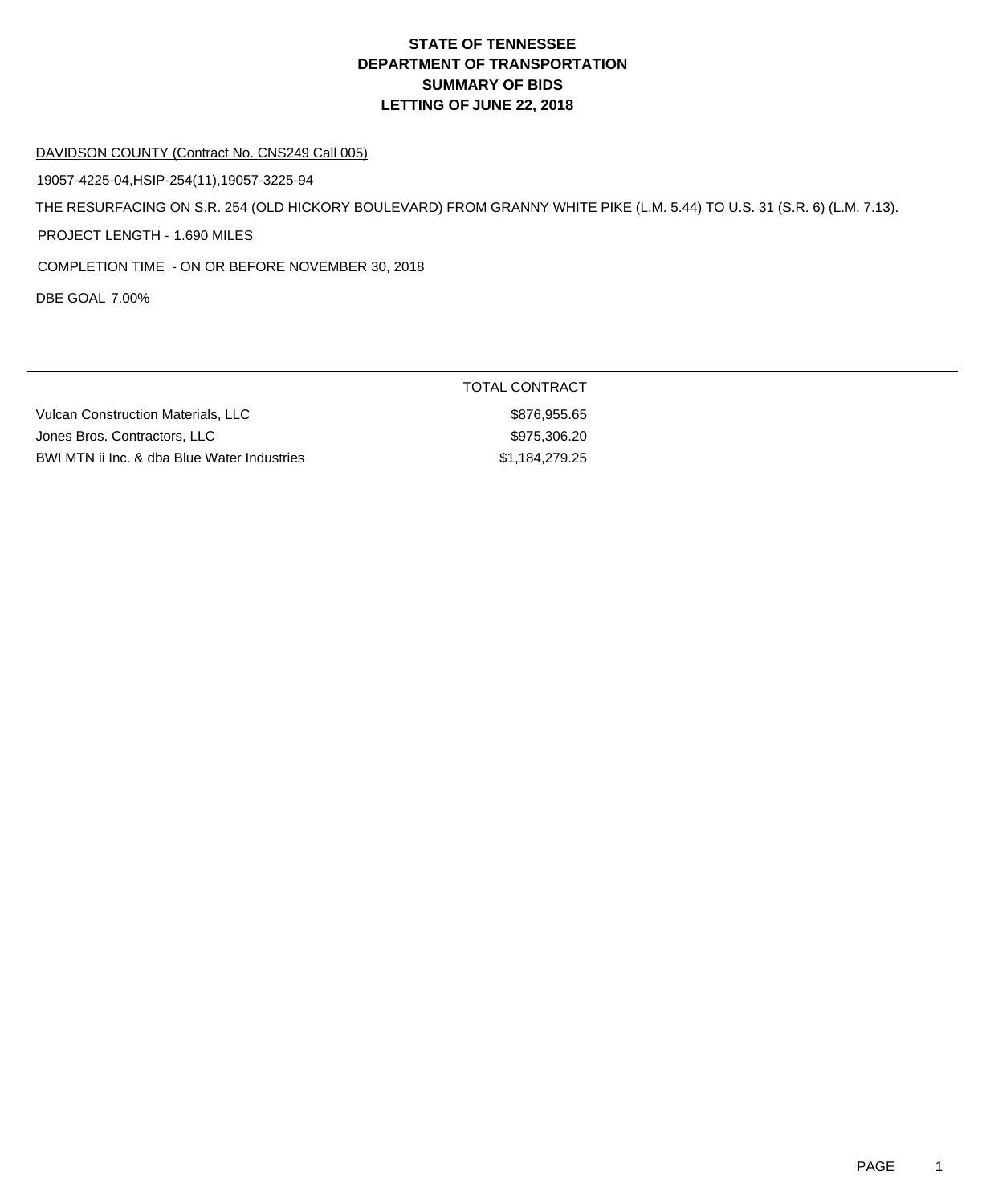# **DEPARTMENT OF TRANSPORTATION SUMMARY OF BIDS LETTING OF JUNE 22, 2018 STATE OF TENNESSEE**

#### DAVIDSON COUNTY (Contract No. CNS249 Call 005)

19057-4225-04,HSIP-254(11),19057-3225-94

THE RESURFACING ON S.R. 254 (OLD HICKORY BOULEVARD) FROM GRANNY WHITE PIKE (L.M. 5.44) TO U.S. 31 (S.R. 6) (L.M. 7.13).

PROJECT LENGTH - 1.690 MILES

COMPLETION TIME - ON OR BEFORE NOVEMBER 30, 2018

DBE GOAL 7.00%

|                                             | TOTAL CONTRACT |
|---------------------------------------------|----------------|
| Vulcan Construction Materials, LLC          | \$876.955.65   |
| Jones Bros. Contractors, LLC                | \$975.306.20   |
| BWI MTN ii Inc. & dba Blue Water Industries | \$1,184,279.25 |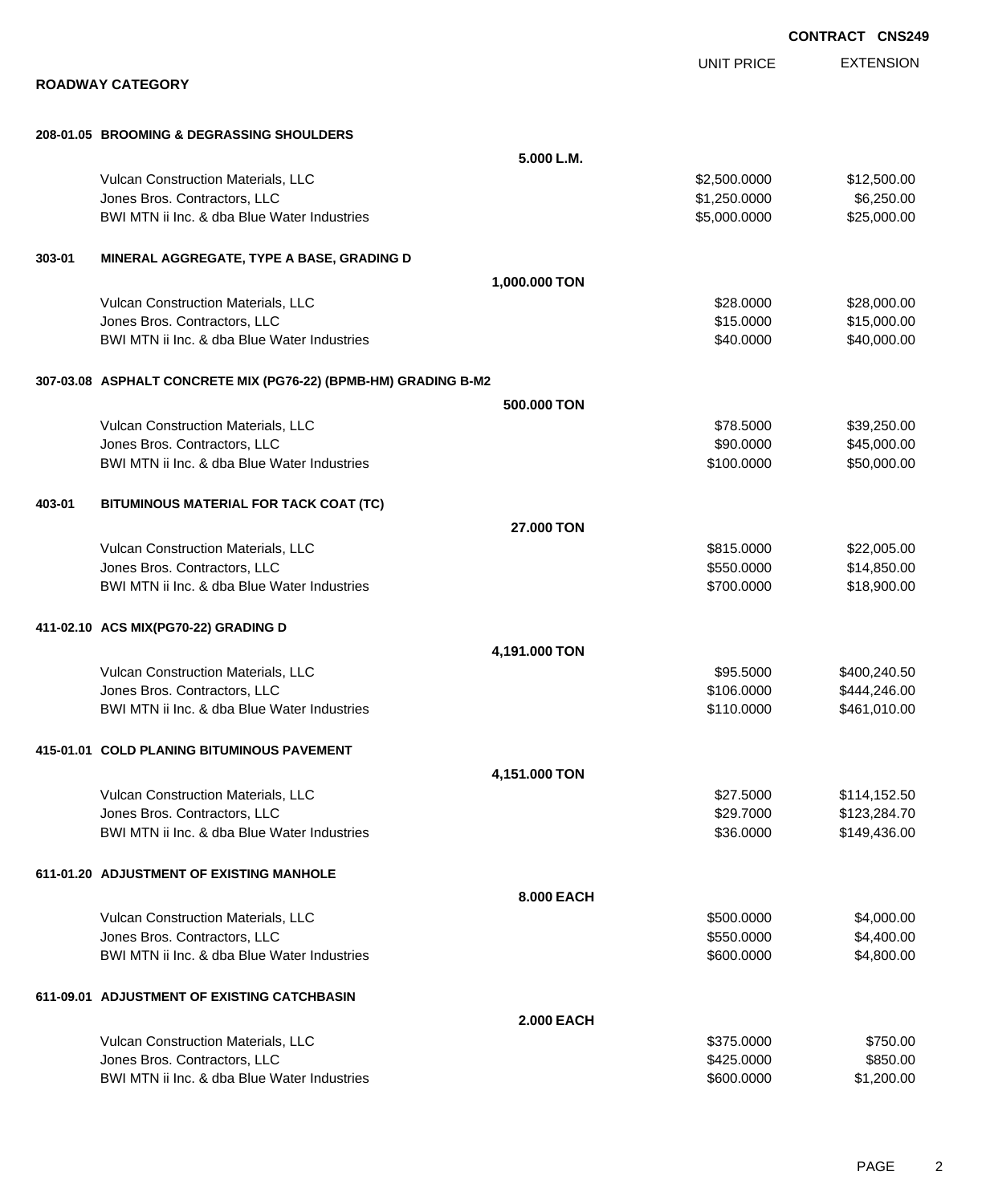|        |                                                                 |                   |                   | <b>CONTRACT CNS24</b> |
|--------|-----------------------------------------------------------------|-------------------|-------------------|-----------------------|
|        |                                                                 |                   | <b>UNIT PRICE</b> | <b>EXTENSION</b>      |
|        | <b>ROADWAY CATEGORY</b>                                         |                   |                   |                       |
|        | 208-01.05 BROOMING & DEGRASSING SHOULDERS                       |                   |                   |                       |
|        |                                                                 | 5.000 L.M.        |                   |                       |
|        | Vulcan Construction Materials, LLC                              |                   | \$2,500.0000      | \$12,500.00           |
|        | Jones Bros. Contractors, LLC                                    |                   | \$1,250.0000      | \$6,250.00            |
|        | BWI MTN ii Inc. & dba Blue Water Industries                     |                   | \$5,000.0000      | \$25,000.00           |
| 303-01 | MINERAL AGGREGATE, TYPE A BASE, GRADING D                       |                   |                   |                       |
|        |                                                                 | 1,000.000 TON     |                   |                       |
|        | Vulcan Construction Materials, LLC                              |                   | \$28.0000         | \$28,000.00           |
|        | Jones Bros. Contractors, LLC                                    |                   | \$15.0000         | \$15,000.00           |
|        | BWI MTN ii Inc. & dba Blue Water Industries                     |                   | \$40.0000         | \$40,000.00           |
|        | 307-03.08 ASPHALT CONCRETE MIX (PG76-22) (BPMB-HM) GRADING B-M2 |                   |                   |                       |
|        |                                                                 | 500.000 TON       |                   |                       |
|        | Vulcan Construction Materials, LLC                              |                   | \$78.5000         | \$39,250.00           |
|        | Jones Bros. Contractors, LLC                                    |                   | \$90.0000         | \$45,000.00           |
|        | BWI MTN ii Inc. & dba Blue Water Industries                     |                   | \$100.0000        | \$50,000.00           |
| 403-01 | BITUMINOUS MATERIAL FOR TACK COAT (TC)                          |                   |                   |                       |
|        |                                                                 | 27.000 TON        |                   |                       |
|        | Vulcan Construction Materials, LLC                              |                   | \$815.0000        | \$22,005.00           |
|        | Jones Bros. Contractors, LLC                                    |                   | \$550.0000        | \$14,850.00           |
|        | BWI MTN ii Inc. & dba Blue Water Industries                     |                   | \$700.0000        | \$18,900.00           |
|        | 411-02.10 ACS MIX(PG70-22) GRADING D                            |                   |                   |                       |
|        |                                                                 | 4,191.000 TON     |                   |                       |
|        | Vulcan Construction Materials, LLC                              |                   | \$95.5000         | \$400,240.50          |
|        | Jones Bros. Contractors, LLC                                    |                   | \$106.0000        | \$444,246.00          |
|        | BWI MTN ii Inc. & dba Blue Water Industries                     |                   | \$110.0000        | \$461,010.00          |
|        | 415-01.01 COLD PLANING BITUMINOUS PAVEMENT                      |                   |                   |                       |
|        |                                                                 | 4,151.000 TON     |                   |                       |
|        | Vulcan Construction Materials, LLC                              |                   | \$27.5000         | \$114,152.50          |
|        | Jones Bros. Contractors, LLC                                    |                   | \$29.7000         | \$123,284.70          |
|        | BWI MTN ii Inc. & dba Blue Water Industries                     |                   | \$36.0000         | \$149,436.00          |
|        | 611-01.20 ADJUSTMENT OF EXISTING MANHOLE                        |                   |                   |                       |
|        |                                                                 | 8,000 EACH        |                   |                       |
|        | Vulcan Construction Materials, LLC                              |                   | \$500.0000        | \$4,000.00            |
|        | Jones Bros. Contractors, LLC                                    |                   | \$550.0000        | \$4,400.00            |
|        | BWI MTN ii Inc. & dba Blue Water Industries                     |                   | \$600.0000        | \$4,800.00            |
|        | 611-09.01 ADJUSTMENT OF EXISTING CATCHBASIN                     |                   |                   |                       |
|        |                                                                 | <b>2.000 EACH</b> |                   |                       |
|        | Vulcan Construction Materials, LLC                              |                   | \$375.0000        | \$750.00              |
|        | Jones Bros. Contractors, LLC                                    |                   | \$425.0000        | \$850.00              |
|        | BWI MTN ii Inc. & dba Blue Water Industries                     |                   | \$600.0000        | \$1,200.00            |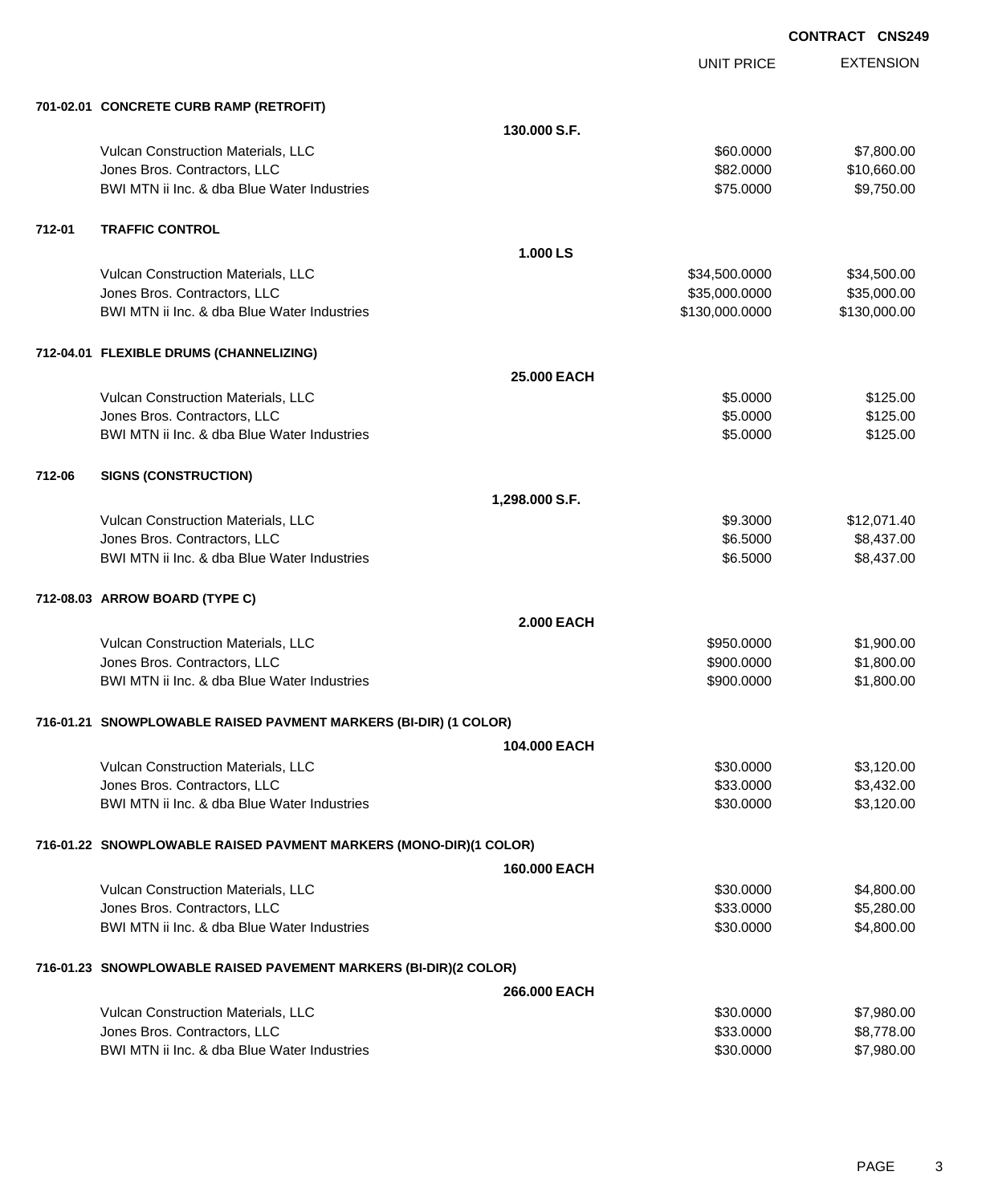UNIT PRICE

|        | 701-02.01 CONCRETE CURB RAMP (RETROFIT)                           |                   |                |              |
|--------|-------------------------------------------------------------------|-------------------|----------------|--------------|
|        |                                                                   | 130.000 S.F.      |                |              |
|        | Vulcan Construction Materials, LLC                                |                   | \$60.0000      | \$7,800.00   |
|        | Jones Bros. Contractors, LLC                                      |                   | \$82.0000      | \$10,660.00  |
|        | BWI MTN ii Inc. & dba Blue Water Industries                       |                   | \$75.0000      | \$9,750.00   |
| 712-01 | <b>TRAFFIC CONTROL</b>                                            |                   |                |              |
|        |                                                                   | 1.000 LS          |                |              |
|        | Vulcan Construction Materials, LLC                                |                   | \$34,500.0000  | \$34,500.00  |
|        | Jones Bros. Contractors, LLC                                      |                   | \$35,000.0000  | \$35,000.00  |
|        | BWI MTN ii Inc. & dba Blue Water Industries                       |                   | \$130,000.0000 | \$130,000.00 |
|        | 712-04.01 FLEXIBLE DRUMS (CHANNELIZING)                           |                   |                |              |
|        |                                                                   | 25.000 EACH       |                |              |
|        | Vulcan Construction Materials, LLC                                |                   | \$5.0000       | \$125.00     |
|        | Jones Bros. Contractors, LLC                                      |                   | \$5.0000       | \$125.00     |
|        | BWI MTN ii Inc. & dba Blue Water Industries                       |                   | \$5.0000       | \$125.00     |
| 712-06 | <b>SIGNS (CONSTRUCTION)</b>                                       |                   |                |              |
|        |                                                                   | 1,298.000 S.F.    |                |              |
|        | Vulcan Construction Materials, LLC                                |                   | \$9.3000       | \$12,071.40  |
|        | Jones Bros. Contractors, LLC                                      |                   | \$6.5000       | \$8,437.00   |
|        | BWI MTN ii Inc. & dba Blue Water Industries                       |                   | \$6.5000       | \$8,437.00   |
|        | 712-08.03 ARROW BOARD (TYPE C)                                    |                   |                |              |
|        |                                                                   | <b>2.000 EACH</b> |                |              |
|        | Vulcan Construction Materials, LLC                                |                   | \$950.0000     | \$1,900.00   |
|        | Jones Bros. Contractors, LLC                                      |                   | \$900.0000     | \$1,800.00   |
|        | BWI MTN ii Inc. & dba Blue Water Industries                       |                   | \$900.0000     | \$1,800.00   |
|        | 716-01.21 SNOWPLOWABLE RAISED PAVMENT MARKERS (BI-DIR) (1 COLOR)  |                   |                |              |
|        |                                                                   | 104.000 EACH      |                |              |
|        | Vulcan Construction Materials, LLC                                |                   | \$30.0000      | \$3,120.00   |
|        | Jones Bros. Contractors, LLC                                      |                   | \$33.0000      | \$3,432.00   |
|        | BWI MTN ii Inc. & dba Blue Water Industries                       |                   | \$30.0000      | \$3,120.00   |
|        | 716-01.22 SNOWPLOWABLE RAISED PAVMENT MARKERS (MONO-DIR)(1 COLOR) |                   |                |              |
|        |                                                                   | 160.000 EACH      |                |              |
|        | Vulcan Construction Materials, LLC                                |                   | \$30.0000      | \$4,800.00   |
|        | Jones Bros. Contractors, LLC                                      |                   | \$33.0000      | \$5,280.00   |
|        | BWI MTN ii Inc. & dba Blue Water Industries                       |                   | \$30.0000      | \$4,800.00   |
|        | 716-01.23 SNOWPLOWABLE RAISED PAVEMENT MARKERS (BI-DIR)(2 COLOR)  |                   |                |              |
|        |                                                                   | 266.000 EACH      |                |              |
|        | Vulcan Construction Materials, LLC                                |                   | \$30.0000      | \$7,980.00   |
|        | Jones Bros. Contractors, LLC                                      |                   | \$33.0000      | \$8,778.00   |
|        | BWI MTN ii Inc. & dba Blue Water Industries                       |                   | \$30.0000      | \$7,980.00   |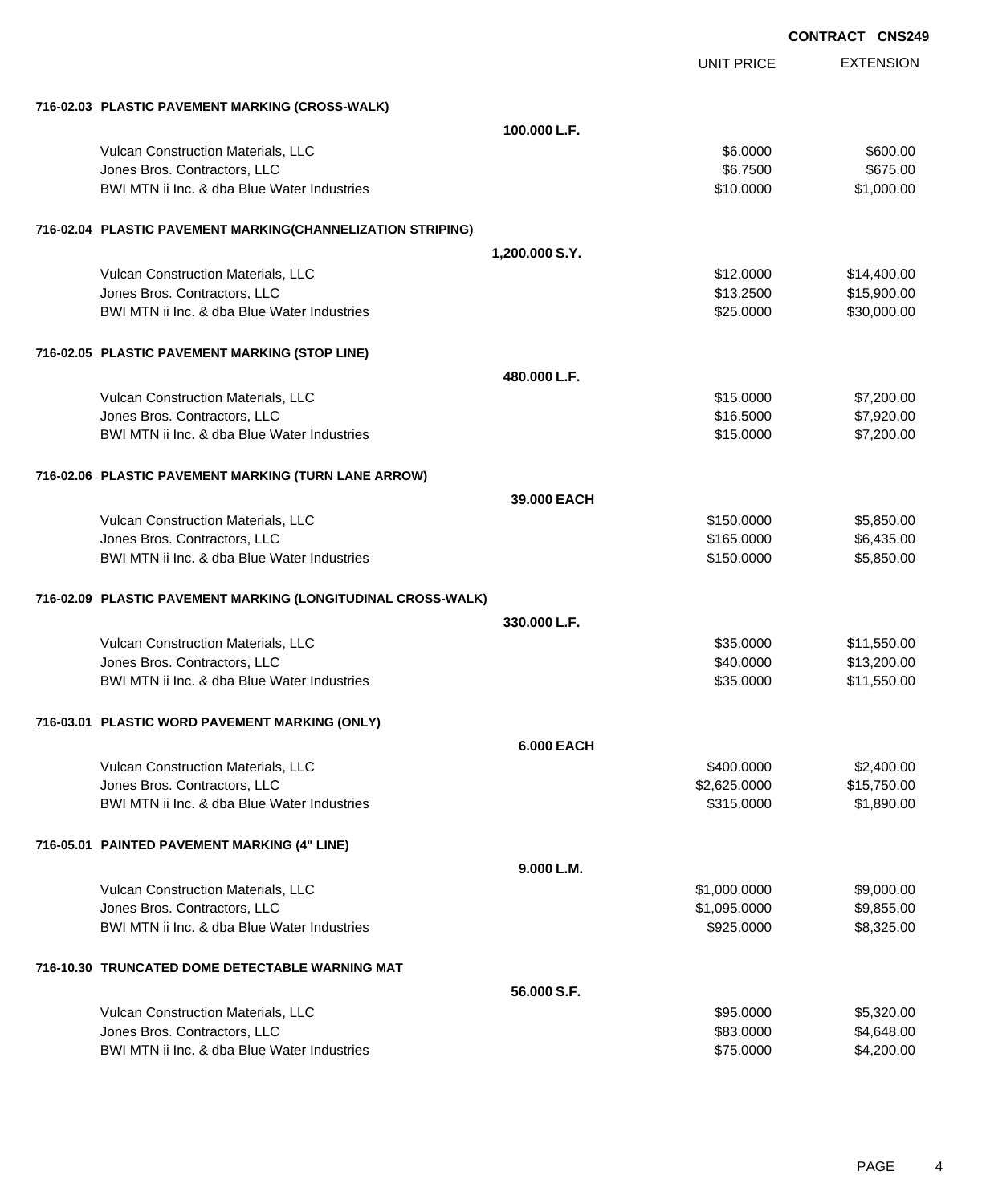|                                                                             |                            | <b>CONIRACI CNSZ4</b>      |
|-----------------------------------------------------------------------------|----------------------------|----------------------------|
|                                                                             | <b>UNIT PRICE</b>          | <b>EXTENSION</b>           |
| 716-02.03 PLASTIC PAVEMENT MARKING (CROSS-WALK)                             |                            |                            |
| 100.000 L.F.                                                                |                            |                            |
| Vulcan Construction Materials, LLC                                          | \$6.0000                   | \$600.00                   |
| Jones Bros. Contractors, LLC                                                | \$6.7500                   | \$675.00                   |
| BWI MTN ii Inc. & dba Blue Water Industries                                 | \$10.0000                  | \$1,000.00                 |
| 716-02.04 PLASTIC PAVEMENT MARKING(CHANNELIZATION STRIPING)                 |                            |                            |
| 1,200.000 S.Y.                                                              |                            |                            |
| Vulcan Construction Materials, LLC                                          | \$12.0000                  | \$14,400.00                |
| Jones Bros. Contractors, LLC                                                | \$13.2500                  | \$15,900.00                |
| BWI MTN ii Inc. & dba Blue Water Industries                                 | \$25.0000                  | \$30,000.00                |
| 716-02.05 PLASTIC PAVEMENT MARKING (STOP LINE)                              |                            |                            |
| 480.000 L.F.                                                                |                            |                            |
| Vulcan Construction Materials, LLC                                          | \$15.0000                  | \$7,200.00                 |
| Jones Bros. Contractors, LLC<br>BWI MTN ii Inc. & dba Blue Water Industries | \$16.5000                  | \$7,920.00                 |
|                                                                             | \$15.0000                  | \$7,200.00                 |
| 716-02.06 PLASTIC PAVEMENT MARKING (TURN LANE ARROW)                        |                            |                            |
|                                                                             | 39,000 EACH                |                            |
| Vulcan Construction Materials, LLC                                          | \$150.0000                 | \$5,850.00                 |
| Jones Bros. Contractors, LLC<br>BWI MTN ii Inc. & dba Blue Water Industries | \$165.0000<br>\$150.0000   | \$6,435.00<br>\$5,850.00   |
|                                                                             |                            |                            |
| 716-02.09 PLASTIC PAVEMENT MARKING (LONGITUDINAL CROSS-WALK)                |                            |                            |
| 330,000 L.F.                                                                |                            |                            |
| Vulcan Construction Materials, LLC<br>Jones Bros. Contractors, LLC          | \$35.0000<br>\$40.0000     | \$11,550.00<br>\$13,200.00 |
| BWI MTN ii Inc. & dba Blue Water Industries                                 | \$35.0000                  | \$11,550.00                |
|                                                                             |                            |                            |
| 716-03.01 PLASTIC WORD PAVEMENT MARKING (ONLY)                              |                            |                            |
|                                                                             | <b>6.000 EACH</b>          |                            |
| Vulcan Construction Materials, LLC<br>Jones Bros. Contractors, LLC          | \$400.0000<br>\$2,625.0000 | \$2,400.00<br>\$15,750.00  |
| BWI MTN ii Inc. & dba Blue Water Industries                                 | \$315.0000                 | \$1,890.00                 |
| 716-05.01 PAINTED PAVEMENT MARKING (4" LINE)                                |                            |                            |
|                                                                             | 9.000 L.M.                 |                            |
| Vulcan Construction Materials, LLC                                          | \$1,000.0000               | \$9,000.00                 |
| Jones Bros. Contractors, LLC                                                | \$1,095.0000               | \$9,855.00                 |
| BWI MTN ii Inc. & dba Blue Water Industries                                 | \$925.0000                 | \$8,325.00                 |
| 716-10.30 TRUNCATED DOME DETECTABLE WARNING MAT                             |                            |                            |
|                                                                             | 56.000 S.F.                |                            |
| Vulcan Construction Materials, LLC                                          | \$95.0000                  | \$5,320.00                 |
| Jones Bros. Contractors, LLC                                                | \$83.0000                  | \$4,648.00                 |
| BWI MTN ii Inc. & dba Blue Water Industries                                 | \$75.0000                  | \$4,200.00                 |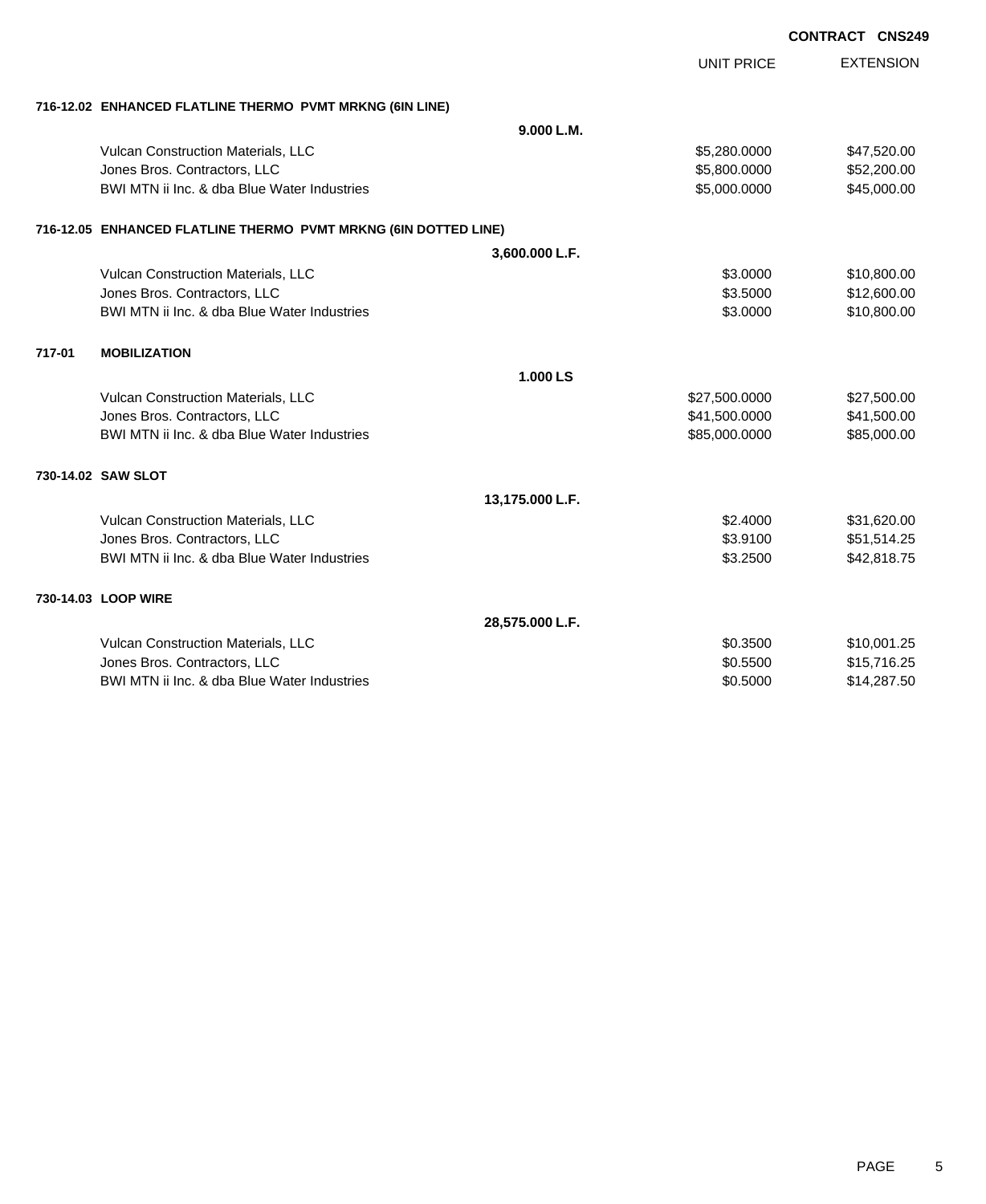| <b>CONTRACT CNS249</b> |  |
|------------------------|--|
|------------------------|--|

|        |                                                                 |                 | <b>UNIT PRICE</b> | <b>EXTENSION</b> |
|--------|-----------------------------------------------------------------|-----------------|-------------------|------------------|
|        | 716-12.02 ENHANCED FLATLINE THERMO PVMT MRKNG (6IN LINE)        |                 |                   |                  |
|        |                                                                 | 9.000 L.M.      |                   |                  |
|        | Vulcan Construction Materials, LLC                              |                 | \$5,280.0000      | \$47,520.00      |
|        | Jones Bros. Contractors, LLC                                    |                 | \$5,800.0000      | \$52,200.00      |
|        | BWI MTN ii Inc. & dba Blue Water Industries                     |                 | \$5,000.0000      | \$45,000.00      |
|        | 716-12.05 ENHANCED FLATLINE THERMO PVMT MRKNG (6IN DOTTED LINE) |                 |                   |                  |
|        |                                                                 | 3,600.000 L.F.  |                   |                  |
|        | Vulcan Construction Materials, LLC                              |                 | \$3,0000          | \$10,800.00      |
|        | Jones Bros. Contractors, LLC                                    |                 | \$3.5000          | \$12,600.00      |
|        | BWI MTN ii Inc. & dba Blue Water Industries                     |                 | \$3.0000          | \$10,800.00      |
| 717-01 | <b>MOBILIZATION</b>                                             |                 |                   |                  |
|        |                                                                 | 1.000 LS        |                   |                  |
|        | Vulcan Construction Materials, LLC                              |                 | \$27,500.0000     | \$27,500.00      |
|        | Jones Bros. Contractors, LLC                                    |                 | \$41,500.0000     | \$41,500.00      |
|        | BWI MTN ii Inc. & dba Blue Water Industries                     |                 | \$85,000.0000     | \$85,000.00      |
|        | 730-14.02 SAW SLOT                                              |                 |                   |                  |
|        |                                                                 | 13,175.000 L.F. |                   |                  |
|        | Vulcan Construction Materials, LLC                              |                 | \$2.4000          | \$31,620.00      |
|        | Jones Bros. Contractors, LLC                                    |                 | \$3.9100          | \$51,514.25      |
|        | BWI MTN ii Inc. & dba Blue Water Industries                     |                 | \$3.2500          | \$42,818.75      |
|        | 730-14.03 LOOP WIRE                                             |                 |                   |                  |
|        |                                                                 | 28,575.000 L.F. |                   |                  |
|        | Vulcan Construction Materials, LLC                              |                 | \$0.3500          | \$10,001.25      |
|        | Jones Bros. Contractors, LLC                                    |                 | \$0.5500          | \$15,716.25      |
|        | BWI MTN ii Inc. & dba Blue Water Industries                     |                 | \$0.5000          | \$14,287.50      |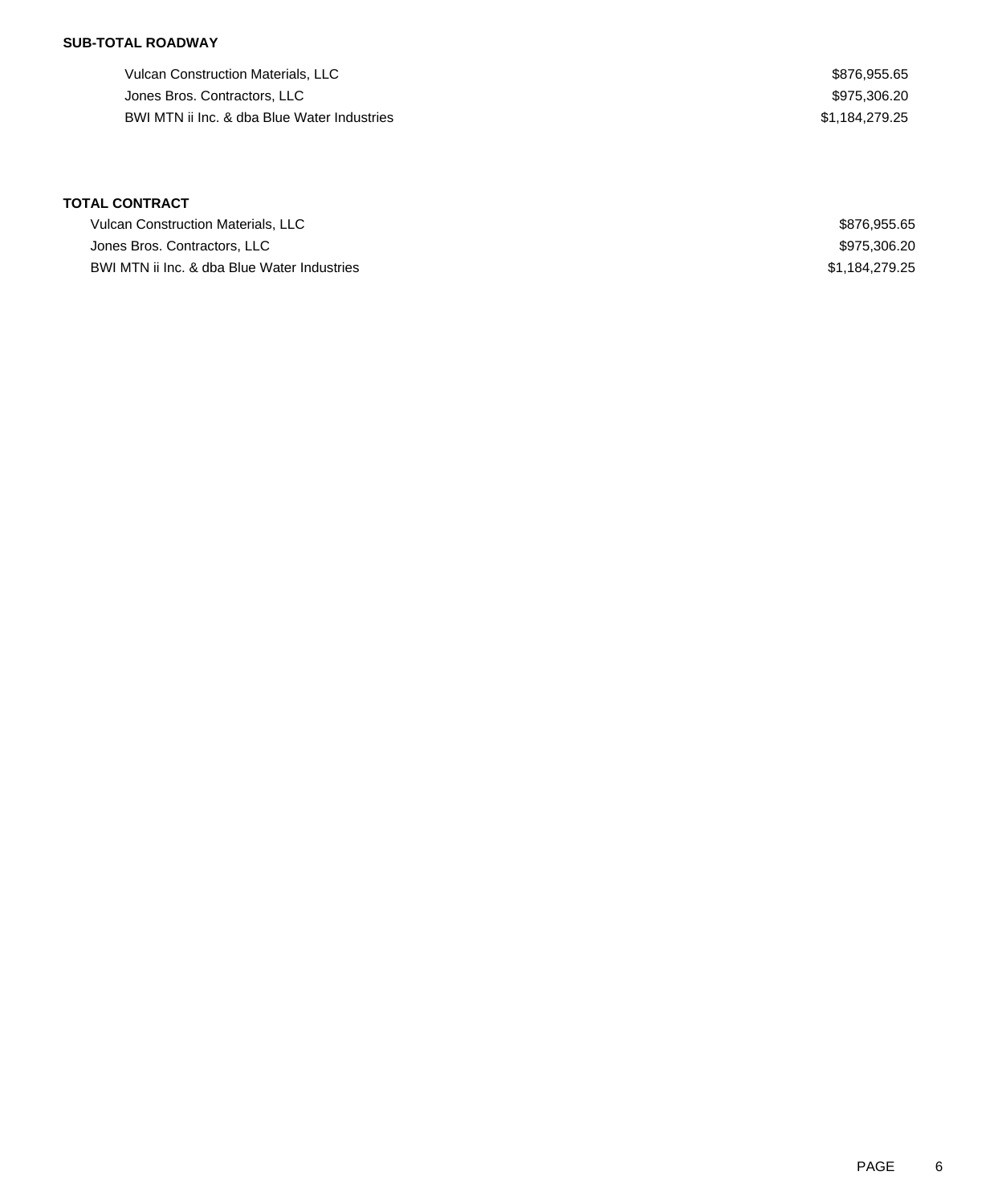## **SUB-TOTAL ROADWAY**

Vulcan Construction Materials, LLC 66 and 200 and 200 and 200 and 200 and 200 and 200 and 200 and 200 and 200 and 200 and 200 and 200 and 200 and 200 and 200 and 200 and 200 and 200 and 200 and 200 and 200 and 200 and 200 Jones Bros. Contractors, LLC \$975,306.20 BWI MTN ii Inc. & dba Blue Water Industries **\$1,184,279.25** 

## **TOTAL CONTRACT**

| Vulcan Construction Materials, LLC          | \$876,955.65   |
|---------------------------------------------|----------------|
| Jones Bros. Contractors, LLC                | \$975.306.20   |
| BWI MTN ii Inc. & dba Blue Water Industries | \$1,184,279.25 |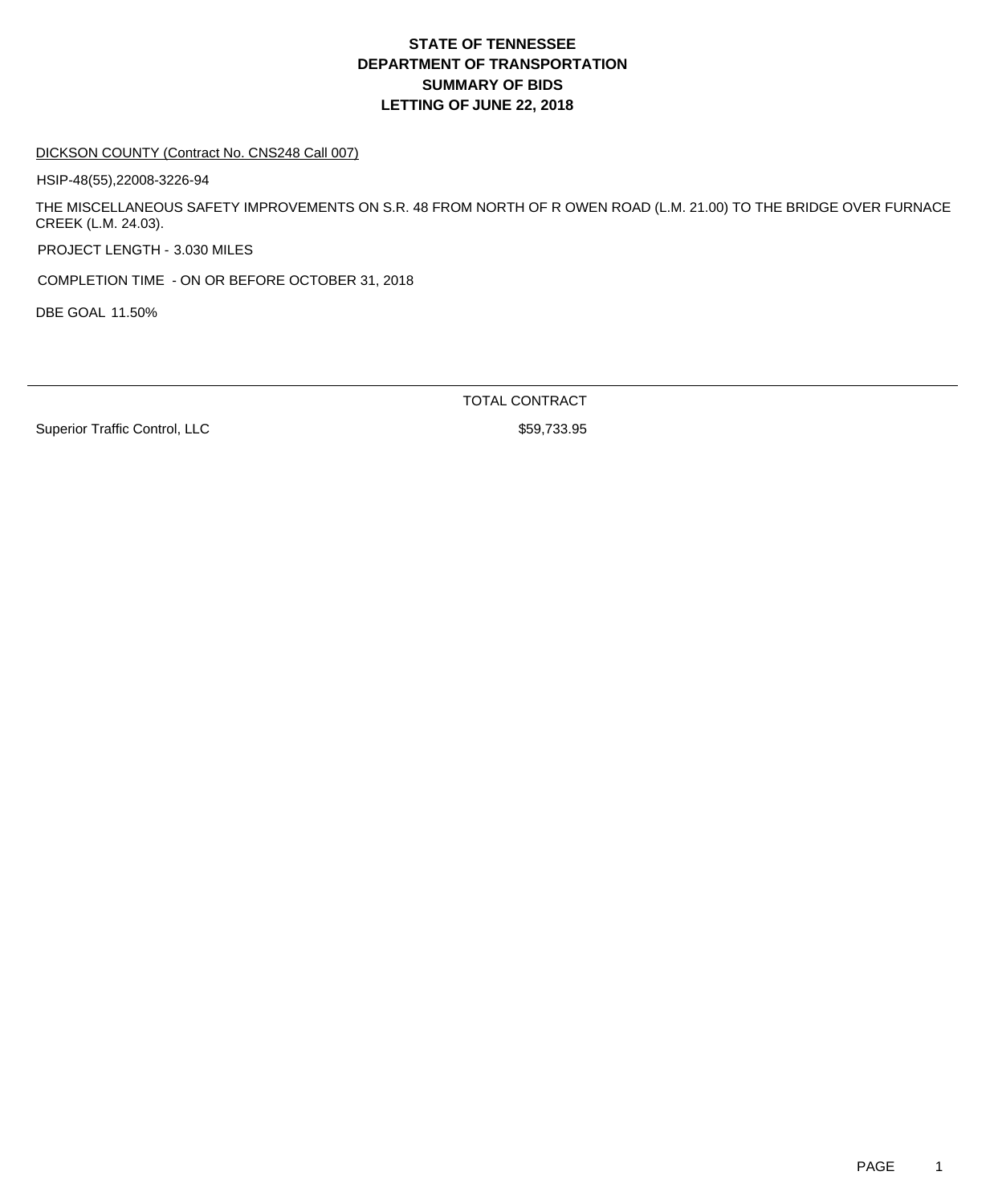# **DEPARTMENT OF TRANSPORTATION SUMMARY OF BIDS LETTING OF JUNE 22, 2018 STATE OF TENNESSEE**

#### DICKSON COUNTY (Contract No. CNS248 Call 007)

HSIP-48(55),22008-3226-94

THE MISCELLANEOUS SAFETY IMPROVEMENTS ON S.R. 48 FROM NORTH OF R OWEN ROAD (L.M. 21.00) TO THE BRIDGE OVER FURNACE CREEK (L.M. 24.03).

PROJECT LENGTH - 3.030 MILES

COMPLETION TIME - ON OR BEFORE OCTOBER 31, 2018

DBE GOAL 11.50%

TOTAL CONTRACT

Superior Traffic Control, LLC \$59,733.95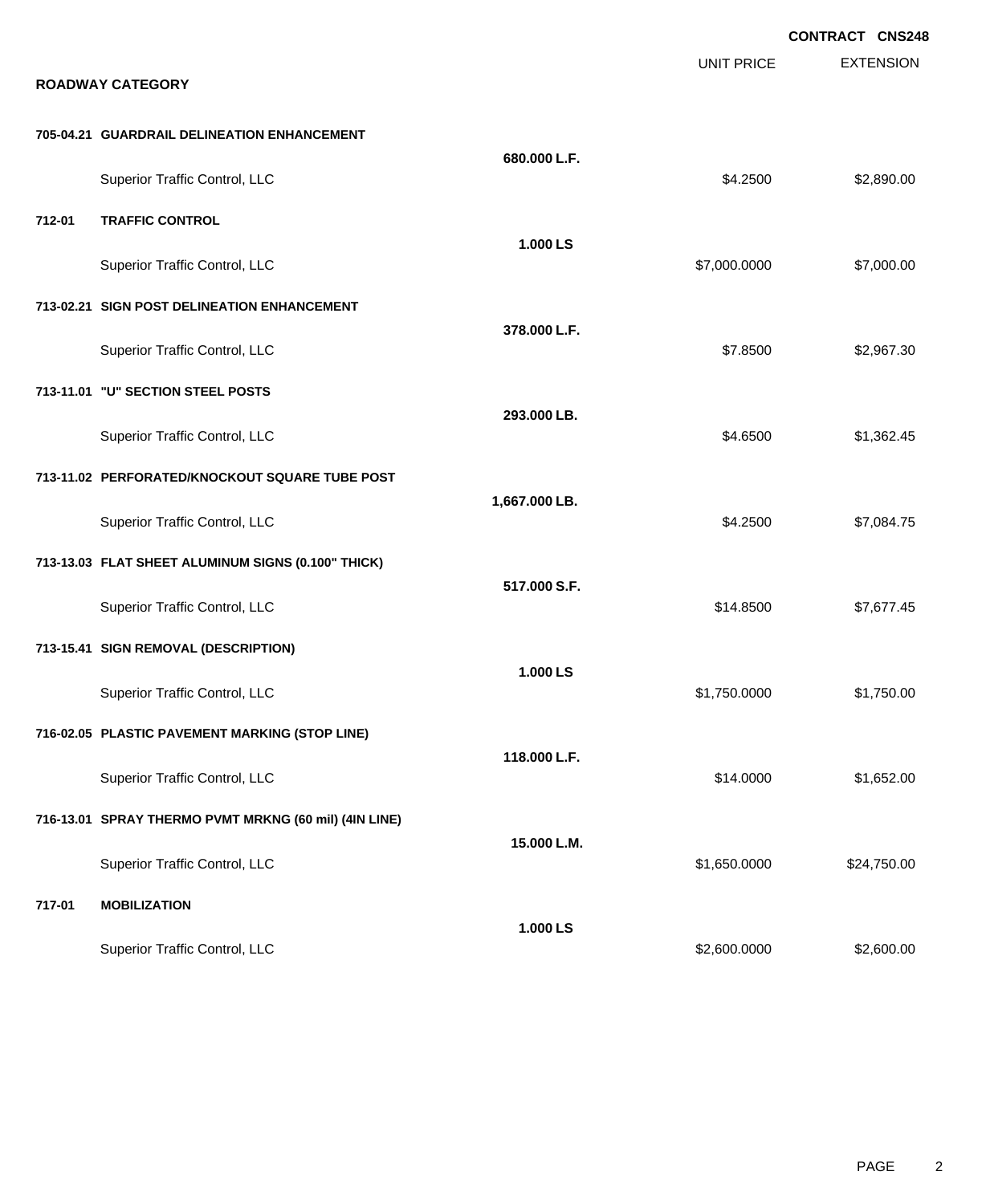|        |                                                       |               | <b>UNIT PRICE</b> | <b>CONTRACT CNS248</b><br><b>EXTENSION</b> |
|--------|-------------------------------------------------------|---------------|-------------------|--------------------------------------------|
|        | <b>ROADWAY CATEGORY</b>                               |               |                   |                                            |
|        | 705-04.21 GUARDRAIL DELINEATION ENHANCEMENT           |               |                   |                                            |
|        | Superior Traffic Control, LLC                         | 680.000 L.F.  | \$4.2500          | \$2,890.00                                 |
| 712-01 | <b>TRAFFIC CONTROL</b>                                |               |                   |                                            |
|        | Superior Traffic Control, LLC                         | 1.000 LS      | \$7,000.0000      | \$7,000.00                                 |
|        | 713-02.21 SIGN POST DELINEATION ENHANCEMENT           |               |                   |                                            |
|        | Superior Traffic Control, LLC                         | 378.000 L.F.  | \$7.8500          | \$2,967.30                                 |
|        | 713-11.01 "U" SECTION STEEL POSTS                     |               |                   |                                            |
|        | Superior Traffic Control, LLC                         | 293.000 LB.   | \$4.6500          | \$1,362.45                                 |
|        | 713-11.02 PERFORATED/KNOCKOUT SQUARE TUBE POST        |               |                   |                                            |
|        | Superior Traffic Control, LLC                         | 1,667.000 LB. | \$4.2500          | \$7,084.75                                 |
|        | 713-13.03 FLAT SHEET ALUMINUM SIGNS (0.100" THICK)    |               |                   |                                            |
|        | Superior Traffic Control, LLC                         | 517.000 S.F.  | \$14.8500         | \$7,677.45                                 |
|        | 713-15.41 SIGN REMOVAL (DESCRIPTION)                  |               |                   |                                            |
|        | Superior Traffic Control, LLC                         | 1.000 LS      | \$1,750.0000      | \$1,750.00                                 |
|        | 716-02.05 PLASTIC PAVEMENT MARKING (STOP LINE)        |               |                   |                                            |
|        | Superior Traffic Control, LLC                         | 118.000 L.F.  | \$14.0000         | \$1,652.00                                 |
|        | 716-13.01 SPRAY THERMO PVMT MRKNG (60 mil) (4IN LINE) |               |                   |                                            |
|        | Superior Traffic Control, LLC                         | 15.000 L.M.   | \$1,650.0000      | \$24,750.00                                |
| 717-01 | <b>MOBILIZATION</b>                                   |               |                   |                                            |
|        | Superior Traffic Control, LLC                         | 1.000 LS      | \$2,600.0000      | \$2,600.00                                 |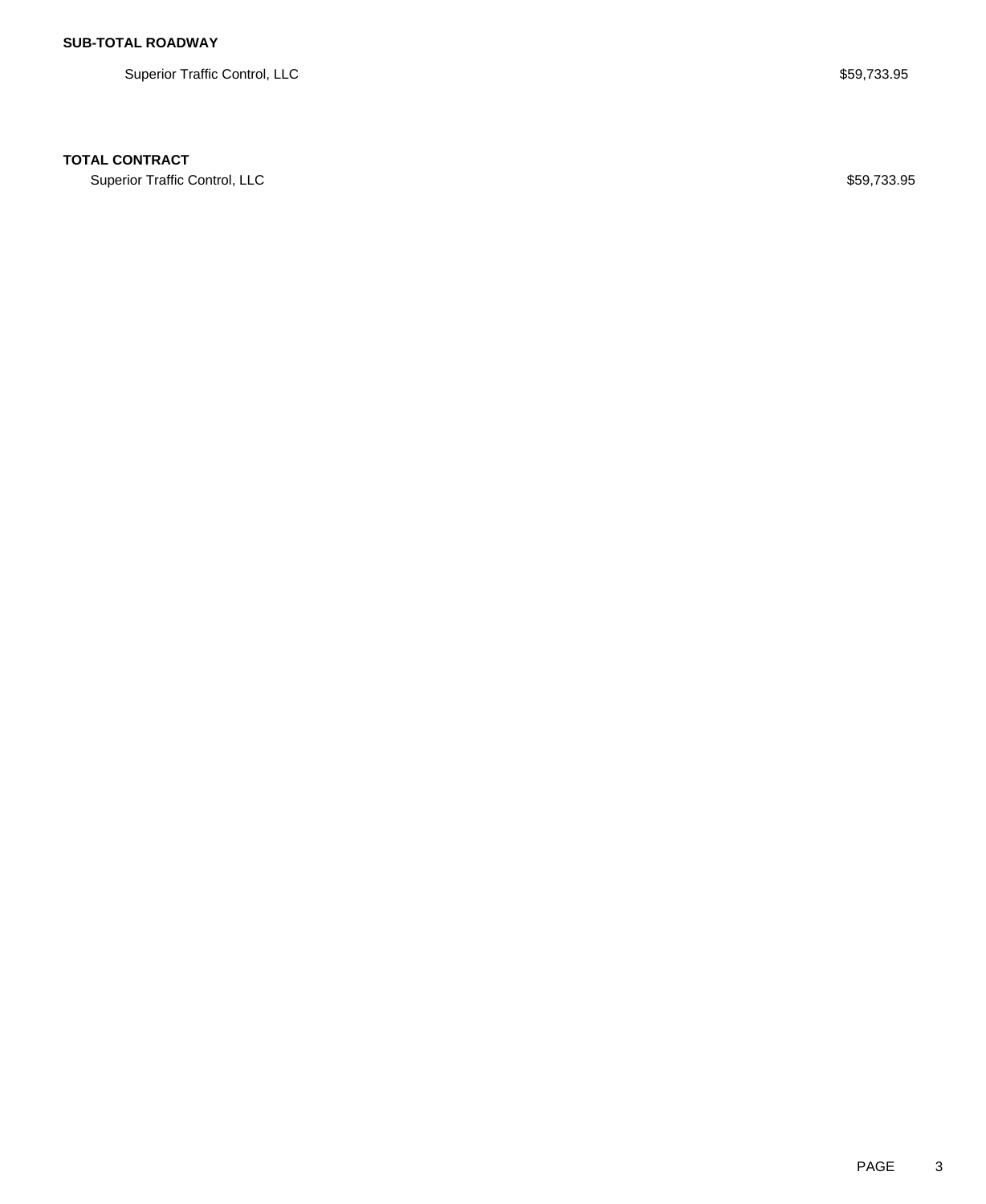Superior Traffic Control, LLC **\$59,733.95** 

### **TOTAL CONTRACT**

Superior Traffic Control, LLC \$59,733.95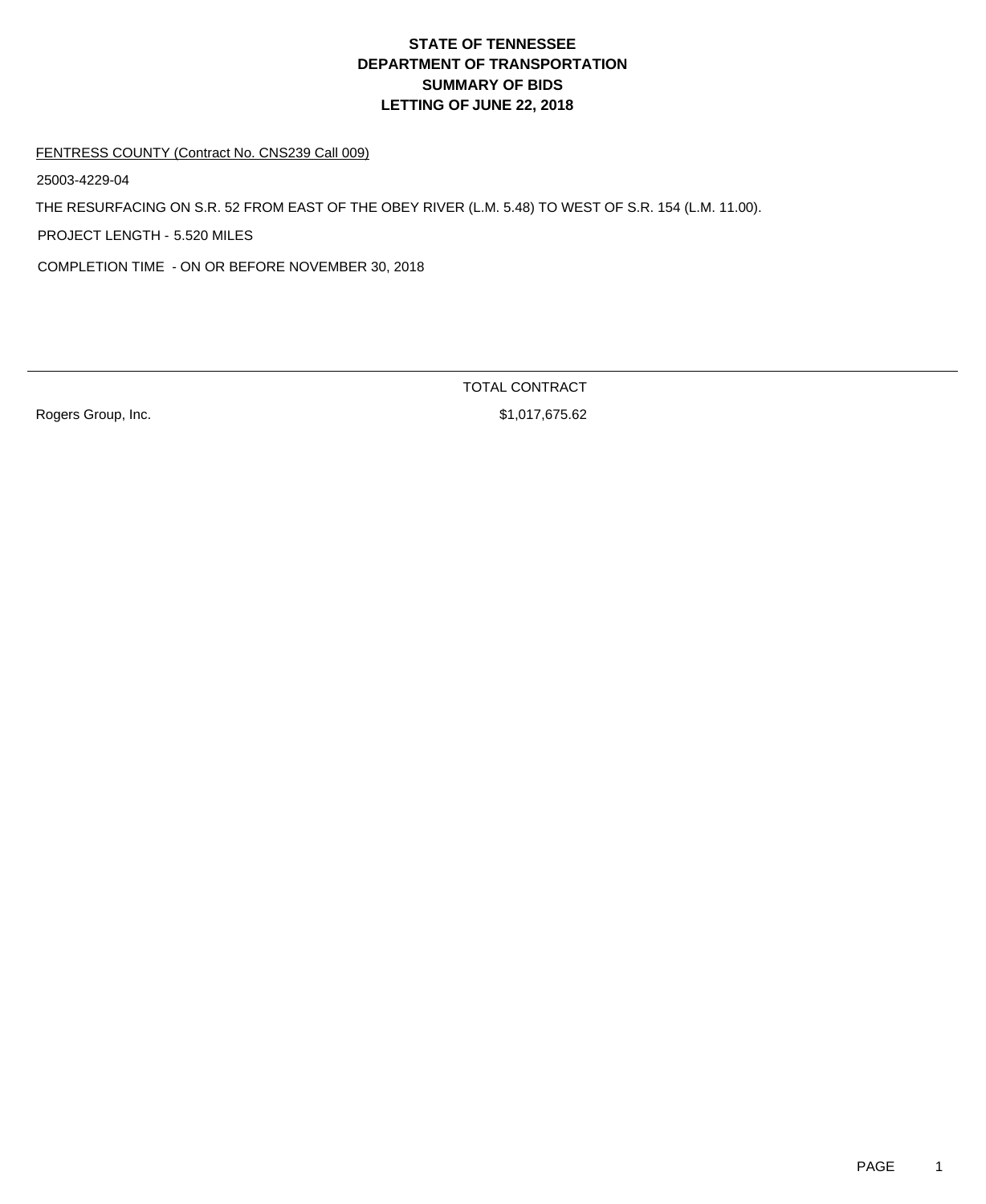#### FENTRESS COUNTY (Contract No. CNS239 Call 009)

25003-4229-04

THE RESURFACING ON S.R. 52 FROM EAST OF THE OBEY RIVER (L.M. 5.48) TO WEST OF S.R. 154 (L.M. 11.00).

PROJECT LENGTH - 5.520 MILES

COMPLETION TIME - ON OR BEFORE NOVEMBER 30, 2018

Rogers Group, Inc. 62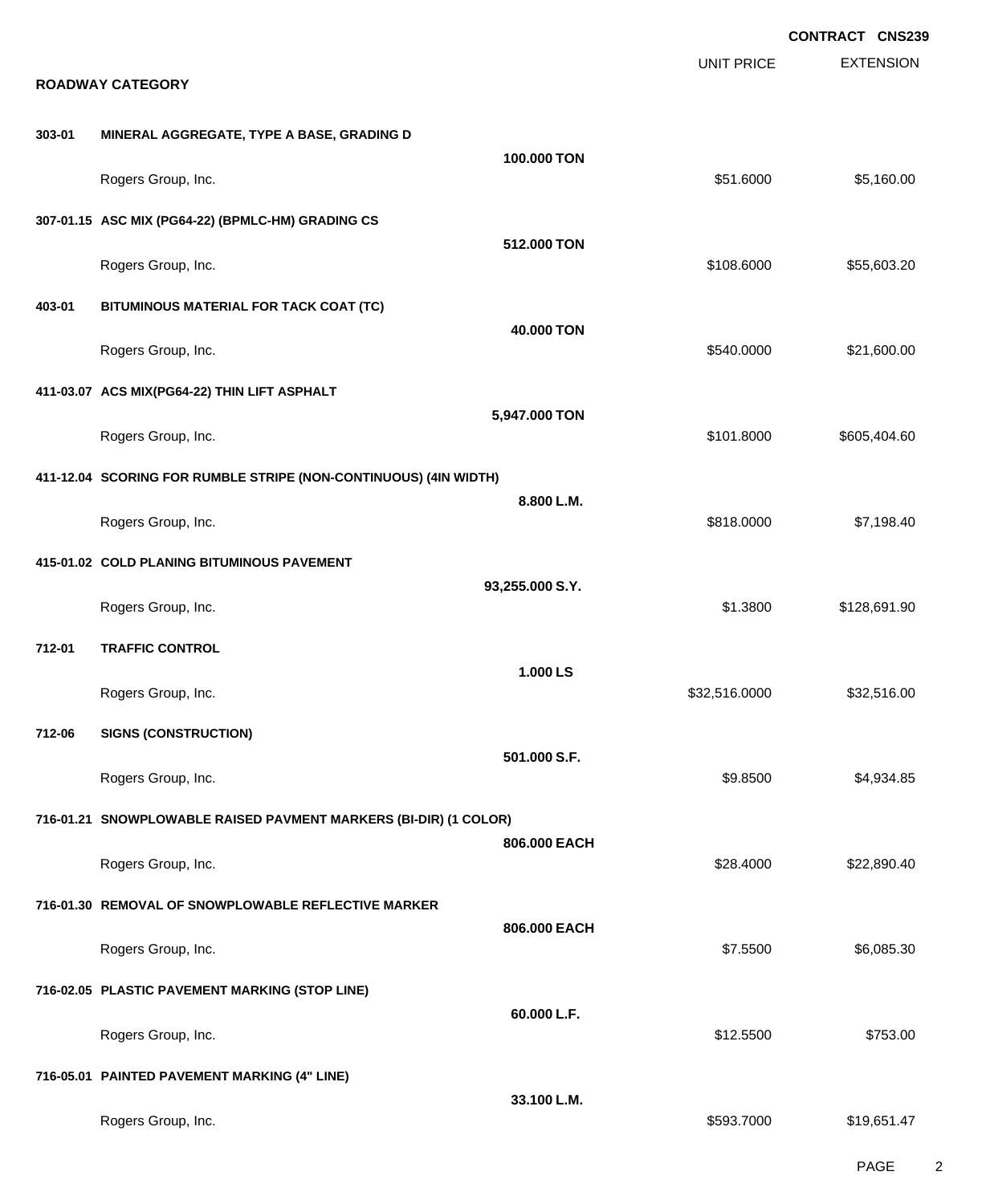|        |                                                                  |                 |                   | <b>CONTRACT CNS239</b> |
|--------|------------------------------------------------------------------|-----------------|-------------------|------------------------|
|        | <b>ROADWAY CATEGORY</b>                                          |                 | <b>UNIT PRICE</b> | <b>EXTENSION</b>       |
|        |                                                                  |                 |                   |                        |
| 303-01 | MINERAL AGGREGATE, TYPE A BASE, GRADING D                        | 100.000 TON     |                   |                        |
|        | Rogers Group, Inc.                                               |                 | \$51.6000         | \$5,160.00             |
|        | 307-01.15 ASC MIX (PG64-22) (BPMLC-HM) GRADING CS                |                 |                   |                        |
|        | Rogers Group, Inc.                                               | 512.000 TON     | \$108.6000        | \$55,603.20            |
| 403-01 | BITUMINOUS MATERIAL FOR TACK COAT (TC)                           |                 |                   |                        |
|        | Rogers Group, Inc.                                               | 40,000 TON      | \$540.0000        | \$21,600.00            |
|        | 411-03.07 ACS MIX(PG64-22) THIN LIFT ASPHALT                     |                 |                   |                        |
|        | Rogers Group, Inc.                                               | 5,947.000 TON   | \$101.8000        | \$605,404.60           |
|        | 411-12.04 SCORING FOR RUMBLE STRIPE (NON-CONTINUOUS) (4IN WIDTH) |                 |                   |                        |
|        | Rogers Group, Inc.                                               | 8.800 L.M.      | \$818.0000        | \$7,198.40             |
|        | 415-01.02 COLD PLANING BITUMINOUS PAVEMENT                       |                 |                   |                        |
|        | Rogers Group, Inc.                                               | 93,255.000 S.Y. | \$1.3800          | \$128,691.90           |
| 712-01 | <b>TRAFFIC CONTROL</b>                                           |                 |                   |                        |
|        | Rogers Group, Inc.                                               | 1.000 LS        | \$32,516.0000     | \$32,516.00            |
| 712-06 | <b>SIGNS (CONSTRUCTION)</b>                                      |                 |                   |                        |
|        | Rogers Group, Inc.                                               | 501.000 S.F.    | \$9.8500          | \$4,934.85             |
|        | 716-01.21 SNOWPLOWABLE RAISED PAVMENT MARKERS (BI-DIR) (1 COLOR) |                 |                   |                        |
|        | Rogers Group, Inc.                                               | 806.000 EACH    | \$28.4000         | \$22,890.40            |
|        | 716-01.30 REMOVAL OF SNOWPLOWABLE REFLECTIVE MARKER              |                 |                   |                        |
|        | Rogers Group, Inc.                                               | 806,000 EACH    | \$7.5500          | \$6,085.30             |
|        | 716-02.05 PLASTIC PAVEMENT MARKING (STOP LINE)                   |                 |                   |                        |
|        | Rogers Group, Inc.                                               | 60.000 L.F.     | \$12.5500         | \$753.00               |
|        | 716-05.01 PAINTED PAVEMENT MARKING (4" LINE)                     |                 |                   |                        |
|        | Rogers Group, Inc.                                               | 33.100 L.M.     | \$593.7000        | \$19,651.47            |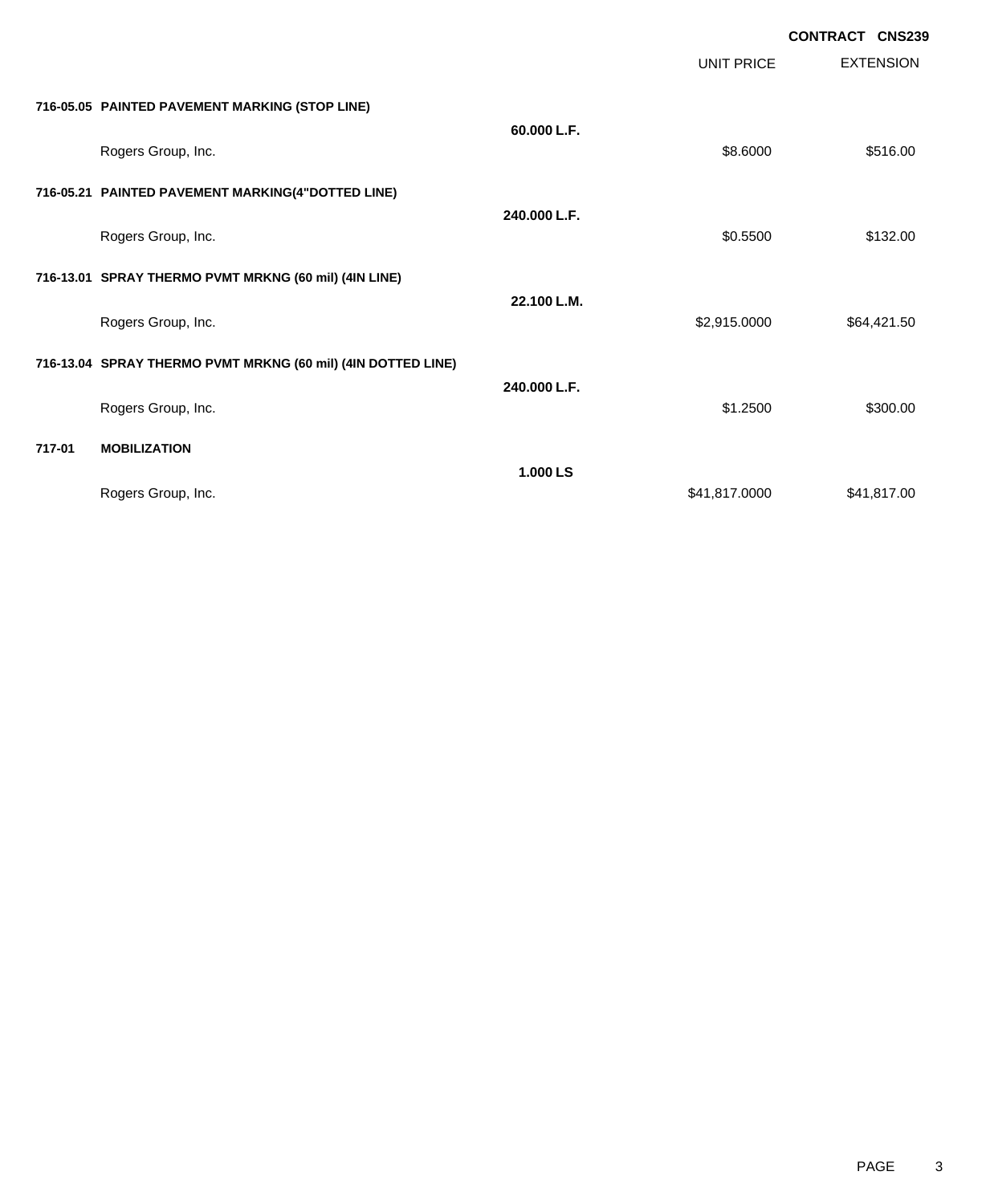|        |                                                              |              | <b>UNIT PRICE</b> | <b>CONTRACT CNS239</b><br><b>EXTENSION</b> |
|--------|--------------------------------------------------------------|--------------|-------------------|--------------------------------------------|
|        | 716-05.05 PAINTED PAVEMENT MARKING (STOP LINE)               |              |                   |                                            |
|        | Rogers Group, Inc.                                           | 60.000 L.F.  | \$8.6000          | \$516.00                                   |
|        | 716-05.21 PAINTED PAVEMENT MARKING(4"DOTTED LINE)            |              |                   |                                            |
|        | Rogers Group, Inc.                                           | 240.000 L.F. | \$0.5500          | \$132.00                                   |
|        | 716-13.01 SPRAY THERMO PVMT MRKNG (60 mil) (4IN LINE)        |              |                   |                                            |
|        | Rogers Group, Inc.                                           | 22.100 L.M.  | \$2,915.0000      | \$64,421.50                                |
|        | 716-13.04 SPRAY THERMO PVMT MRKNG (60 mil) (4IN DOTTED LINE) | 240,000 L.F. |                   |                                            |
|        | Rogers Group, Inc.                                           |              | \$1.2500          | \$300.00                                   |
| 717-01 | <b>MOBILIZATION</b>                                          | 1.000 LS     |                   |                                            |
|        | Rogers Group, Inc.                                           |              | \$41,817.0000     | \$41,817.00                                |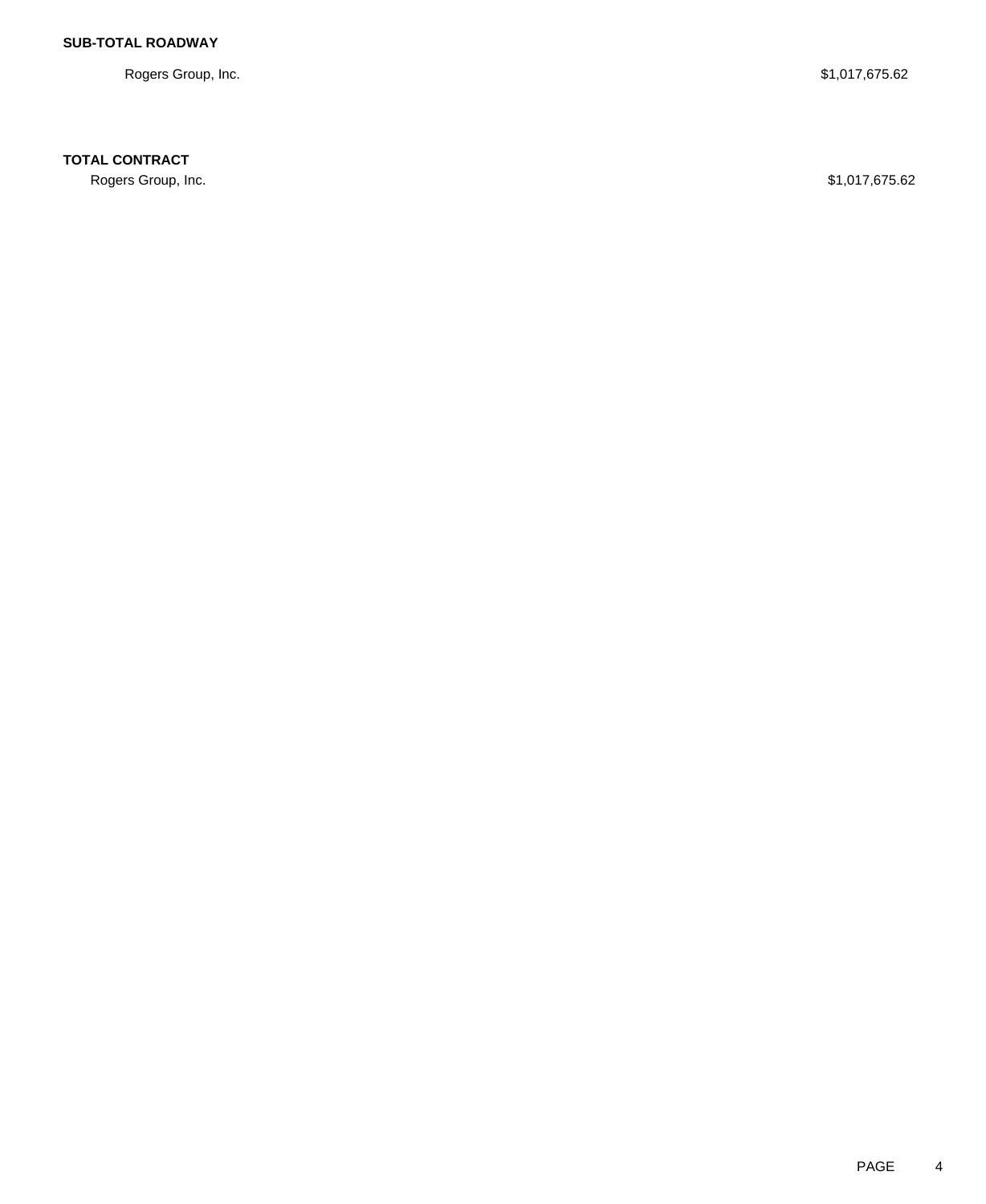Rogers Group, Inc. \$1,017,675.62

**TOTAL CONTRACT**

Rogers Group, Inc. \$1,017,675.62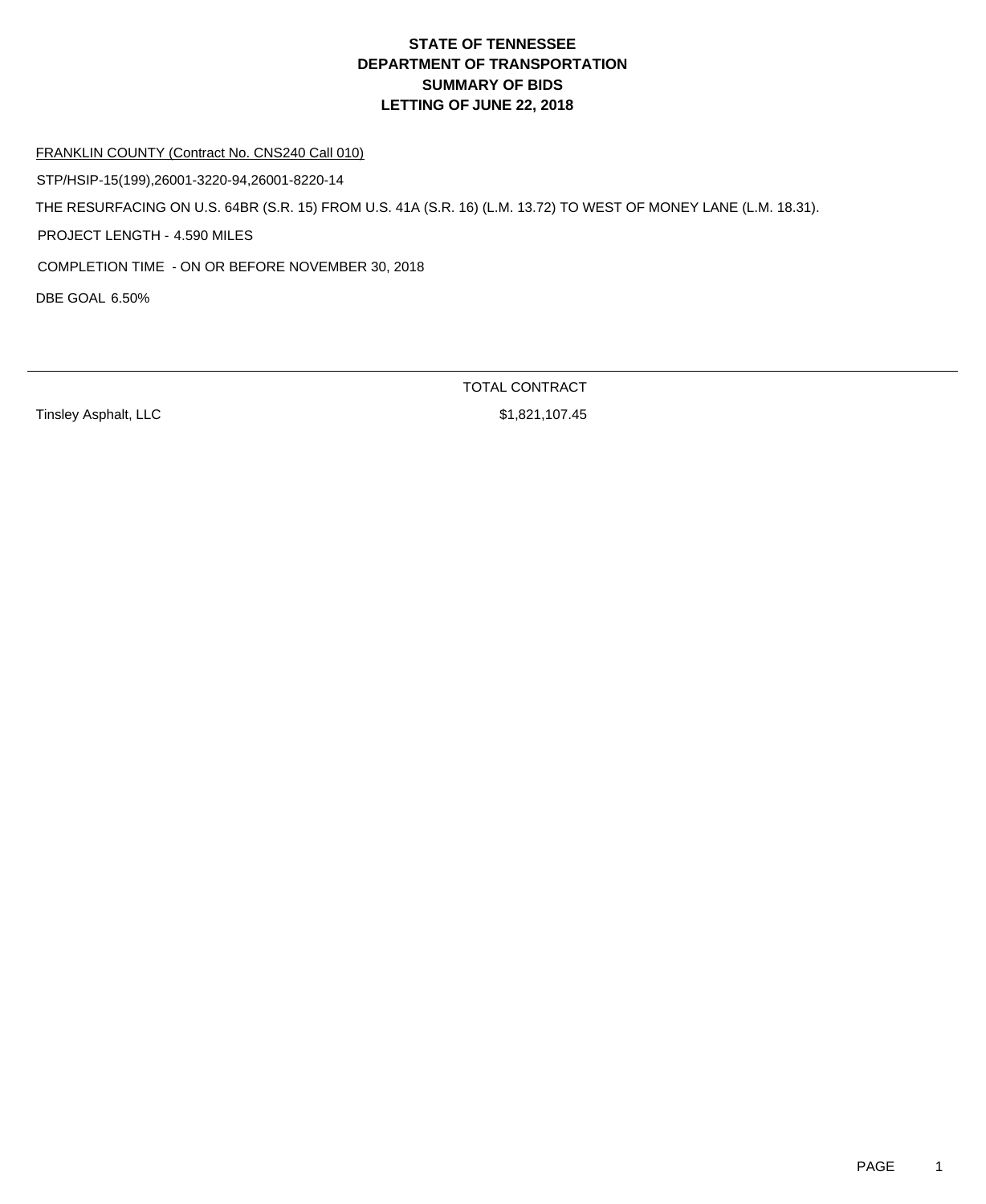FRANKLIN COUNTY (Contract No. CNS240 Call 010)

STP/HSIP-15(199),26001-3220-94,26001-8220-14

THE RESURFACING ON U.S. 64BR (S.R. 15) FROM U.S. 41A (S.R. 16) (L.M. 13.72) TO WEST OF MONEY LANE (L.M. 18.31).

PROJECT LENGTH - 4.590 MILES

COMPLETION TIME - ON OR BEFORE NOVEMBER 30, 2018

DBE GOAL 6.50%

Tinsley Asphalt, LLC \$1,821,107.45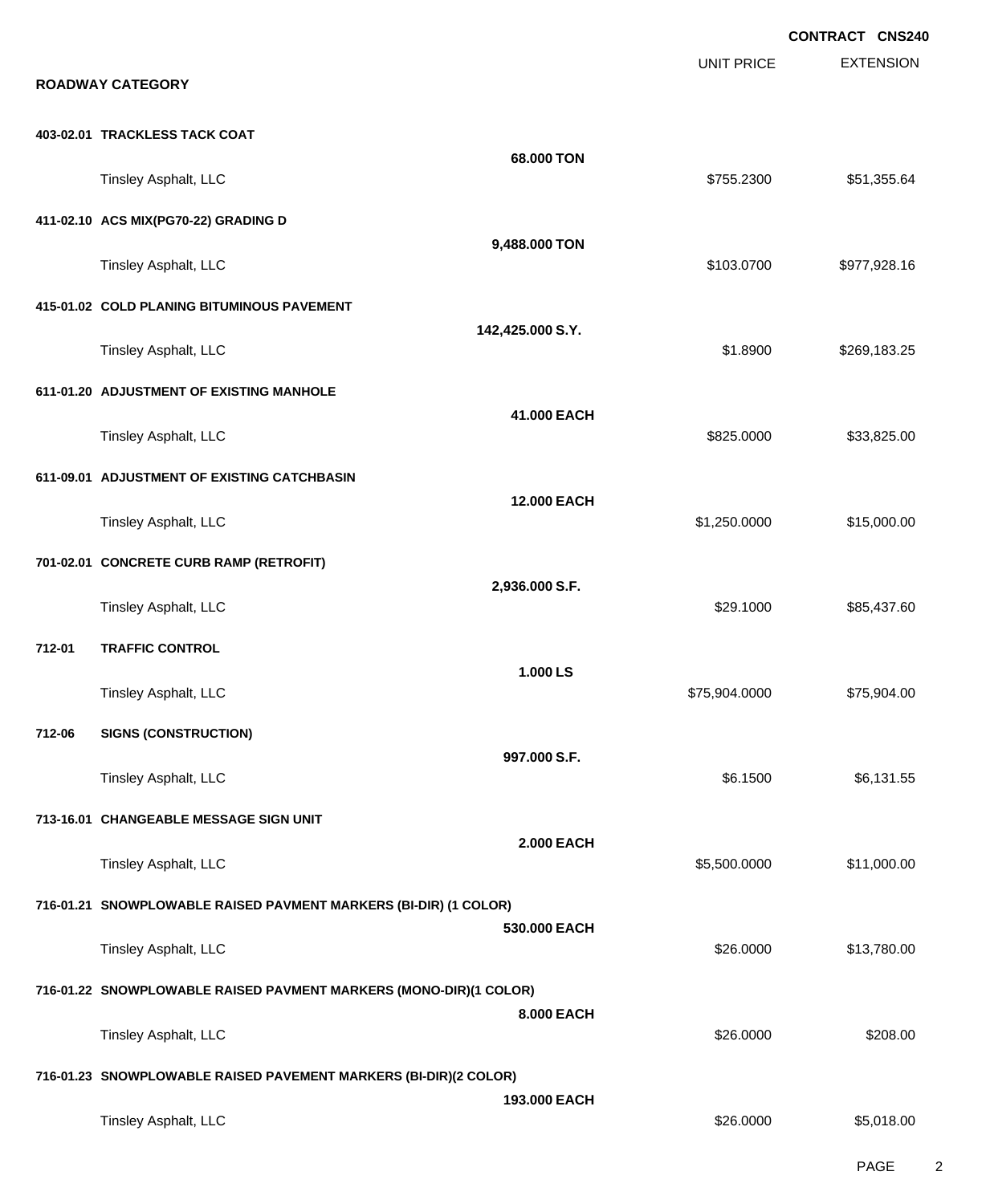EXTENSION **CONTRACT CNS240** UNIT PRICE **ROADWAY CATEGORY 403-02.01 TRACKLESS TACK COAT 68.000 TON** Tinsley Asphalt, LLC \$51,355.64 **411-02.10 ACS MIX(PG70-22) GRADING D 9,488.000 TON** Tinsley Asphalt, LLC 6. 2012 12:30 12:30 12:30 12:30 12:30 12:30 12:30 12:30 12:30 12:30 12:30 12:30 12:30 12:30 12:30 12:30 12:30 12:30 12:30 12:30 12:30 12:30 12:30 12:30 12:30 12:30 12:30 12:30 12:30 12:30 12:30 12:30 1 **415-01.02 COLD PLANING BITUMINOUS PAVEMENT 142,425.000 S.Y.** Tinsley Asphalt, LLC 6.899,183.25 **611-01.20 ADJUSTMENT OF EXISTING MANHOLE 41.000 EACH** Tinsley Asphalt, LLC \$33,825.000 \$33,825.000 \$33,825.000 \$33,825.000 \$33,825.000 \$33,825.00 **611-09.01 ADJUSTMENT OF EXISTING CATCHBASIN 12.000 EACH** Tinsley Asphalt, LLC \$15,000.00 \$15,000.00 **701-02.01 CONCRETE CURB RAMP (RETROFIT) 2,936.000 S.F.** Tinsley Asphalt, LLC \$29.1000 \$85,437.60 **712-01 TRAFFIC CONTROL 1.000 LS** Tinsley Asphalt, LLC \$75,904.000 \$75,904.000 \$75,904.000 \$75,904.000 \$75,904.000 \$75,904.00 **712-06 SIGNS (CONSTRUCTION) 997.000 S.F.** Tinsley Asphalt, LLC 6.131.55 **713-16.01 CHANGEABLE MESSAGE SIGN UNIT 2.000 EACH** Tinsley Asphalt, LLC 611,000.000 \$11,000.00 **716-01.21 SNOWPLOWABLE RAISED PAVMENT MARKERS (BI-DIR) (1 COLOR) 530.000 EACH** Tinsley Asphalt, LLC \$13,780.00 **716-01.22 SNOWPLOWABLE RAISED PAVMENT MARKERS (MONO-DIR)(1 COLOR) 8.000 EACH** Tinsley Asphalt, LLC \$26.000 \$208.00 **716-01.23 SNOWPLOWABLE RAISED PAVEMENT MARKERS (BI-DIR)(2 COLOR) 193.000 EACH** Tinsley Asphalt, LLC \$26.0000 \$5,018.00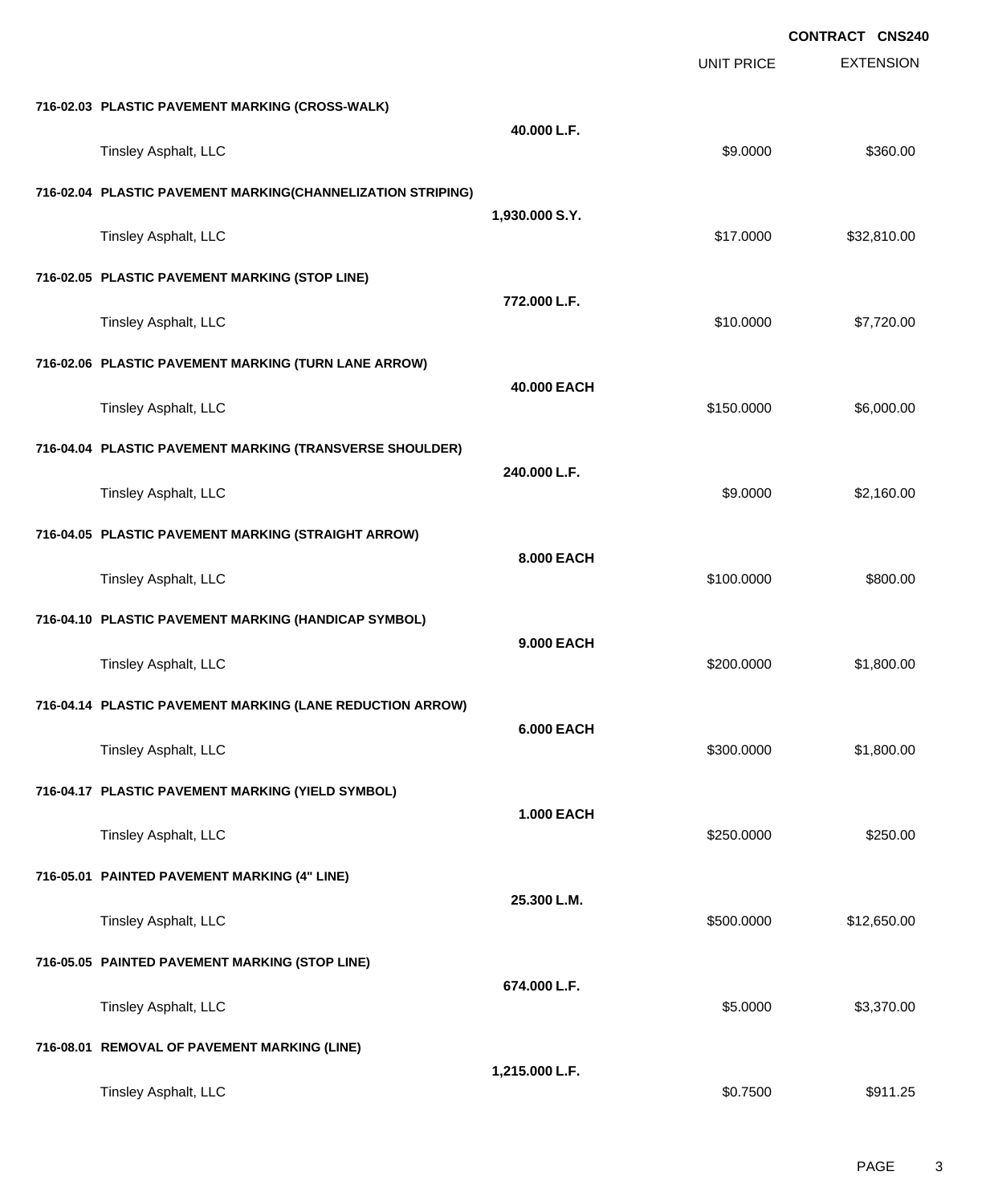|                                                             |                   | <b>UNIT PRICE</b> | <b>EXTENSION</b> |
|-------------------------------------------------------------|-------------------|-------------------|------------------|
| 716-02.03 PLASTIC PAVEMENT MARKING (CROSS-WALK)             |                   |                   |                  |
| Tinsley Asphalt, LLC                                        | 40.000 L.F.       | \$9.0000          | \$360.00         |
| 716-02.04 PLASTIC PAVEMENT MARKING(CHANNELIZATION STRIPING) |                   |                   |                  |
| Tinsley Asphalt, LLC                                        | 1,930.000 S.Y.    | \$17.0000         | \$32,810.00      |
| 716-02.05 PLASTIC PAVEMENT MARKING (STOP LINE)              | 772.000 L.F.      |                   |                  |
| Tinsley Asphalt, LLC                                        |                   | \$10.0000         | \$7,720.00       |
| 716-02.06 PLASTIC PAVEMENT MARKING (TURN LANE ARROW)        | 40.000 EACH       |                   |                  |
| Tinsley Asphalt, LLC                                        |                   | \$150.0000        | \$6,000.00       |
| 716-04.04 PLASTIC PAVEMENT MARKING (TRANSVERSE SHOULDER)    | 240.000 L.F.      |                   |                  |
| Tinsley Asphalt, LLC                                        |                   | \$9.0000          | \$2,160.00       |
| 716-04.05 PLASTIC PAVEMENT MARKING (STRAIGHT ARROW)         | 8.000 EACH        |                   |                  |
| Tinsley Asphalt, LLC                                        |                   | \$100.0000        | \$800.00         |
| 716-04.10 PLASTIC PAVEMENT MARKING (HANDICAP SYMBOL)        | <b>9.000 EACH</b> |                   |                  |
| Tinsley Asphalt, LLC                                        |                   | \$200.0000        | \$1,800.00       |
| 716-04.14 PLASTIC PAVEMENT MARKING (LANE REDUCTION ARROW)   | <b>6.000 EACH</b> |                   |                  |
| Tinsley Asphalt, LLC                                        |                   | \$300.0000        | \$1,800.00       |
| 716-04.17 PLASTIC PAVEMENT MARKING (YIELD SYMBOL)           | <b>1.000 EACH</b> |                   |                  |
| Tinsley Asphalt, LLC                                        |                   | \$250.0000        | \$250.00         |
| 716-05.01 PAINTED PAVEMENT MARKING (4" LINE)                | 25.300 L.M.       |                   |                  |
| Tinsley Asphalt, LLC                                        |                   | \$500.0000        | \$12,650.00      |
| 716-05.05 PAINTED PAVEMENT MARKING (STOP LINE)              | 674.000 L.F.      |                   |                  |
| Tinsley Asphalt, LLC                                        |                   | \$5.0000          | \$3,370.00       |
| 716-08.01 REMOVAL OF PAVEMENT MARKING (LINE)                | 1,215.000 L.F.    |                   |                  |
| Tinsley Asphalt, LLC                                        |                   | \$0.7500          | \$911.25         |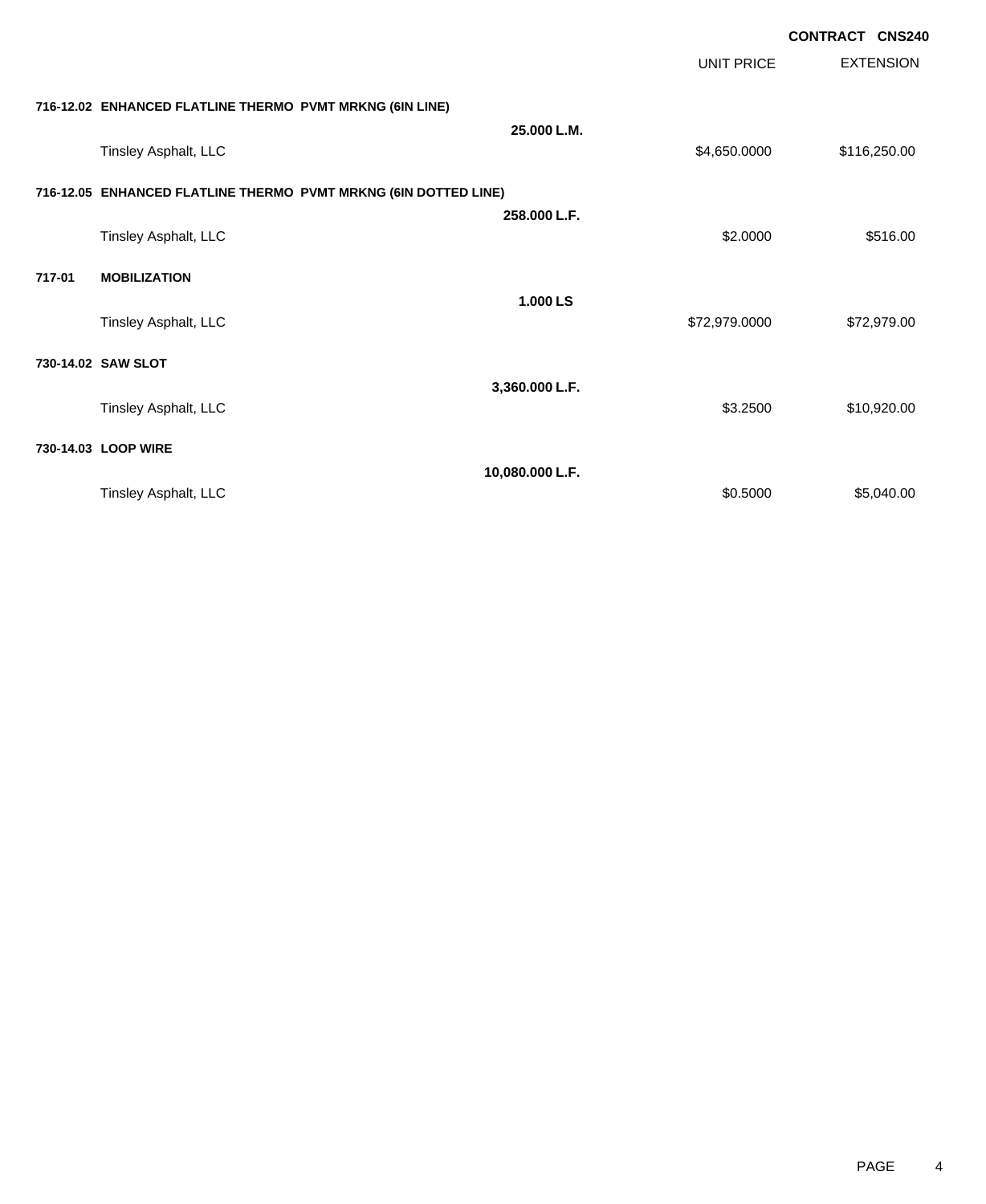|        |                                                                 |                 |               | <b>CONTRACT CNS240</b> |                  |
|--------|-----------------------------------------------------------------|-----------------|---------------|------------------------|------------------|
|        |                                                                 |                 | UNIT PRICE    |                        | <b>EXTENSION</b> |
|        | 716-12.02 ENHANCED FLATLINE THERMO PVMT MRKNG (6IN LINE)        |                 |               |                        |                  |
|        | Tinsley Asphalt, LLC                                            | 25.000 L.M.     | \$4,650.0000  |                        | \$116,250.00     |
|        | 716-12.05 ENHANCED FLATLINE THERMO PVMT MRKNG (6IN DOTTED LINE) |                 |               |                        |                  |
|        | Tinsley Asphalt, LLC                                            | 258,000 L.F.    | \$2.0000      |                        | \$516.00         |
| 717-01 | <b>MOBILIZATION</b>                                             |                 |               |                        |                  |
|        | Tinsley Asphalt, LLC                                            | 1.000 LS        | \$72,979.0000 |                        | \$72,979.00      |
|        | 730-14.02 SAW SLOT                                              |                 |               |                        |                  |
|        | Tinsley Asphalt, LLC                                            | 3,360.000 L.F.  | \$3.2500      |                        | \$10,920.00      |
|        | 730-14.03 LOOP WIRE                                             |                 |               |                        |                  |
|        | Tinsley Asphalt, LLC                                            | 10,080.000 L.F. | \$0.5000      |                        | \$5,040.00       |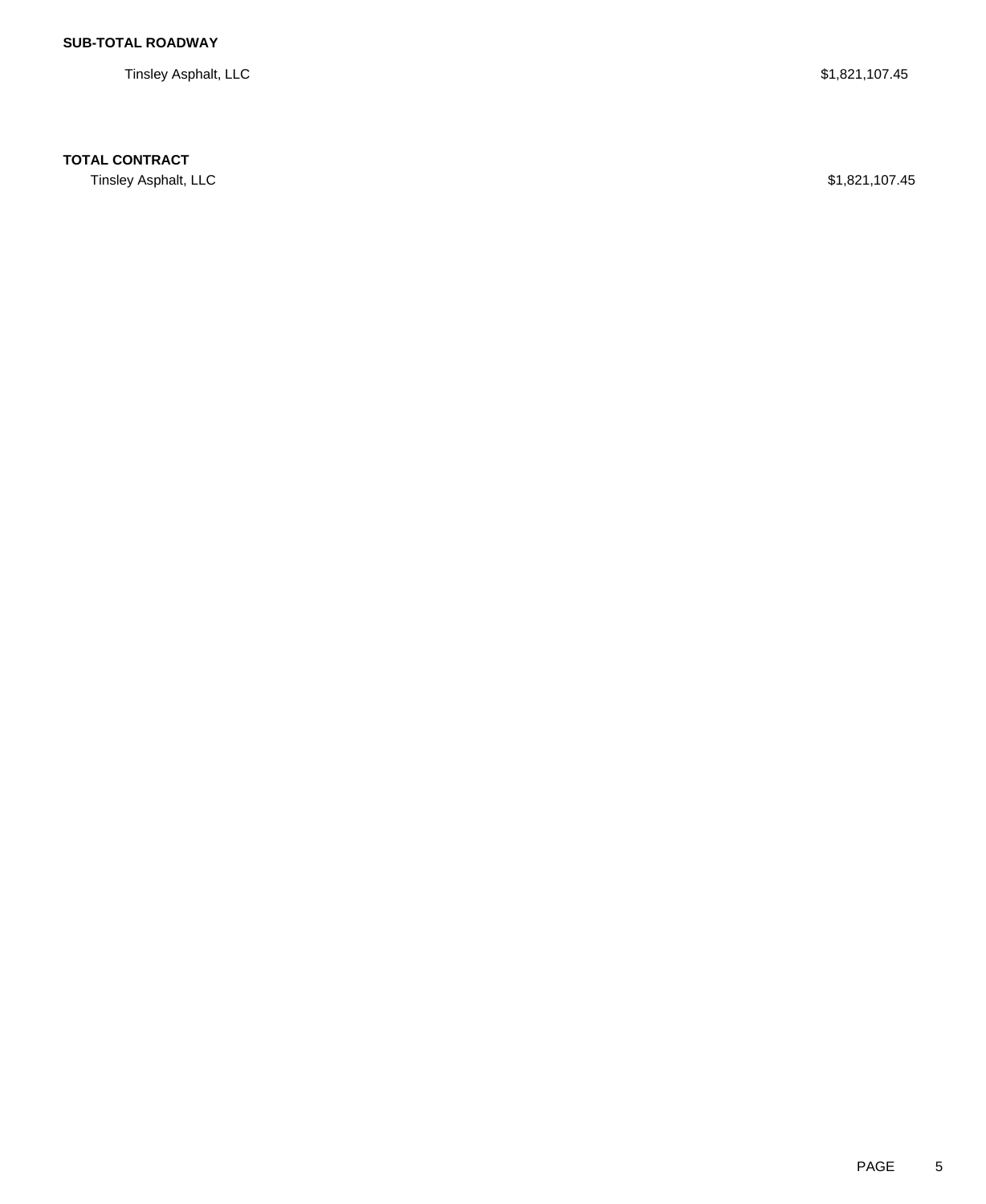Tinsley Asphalt, LLC \$1,821,107.45

## **TOTAL CONTRACT**

Tinsley Asphalt, LLC \$1,821,107.45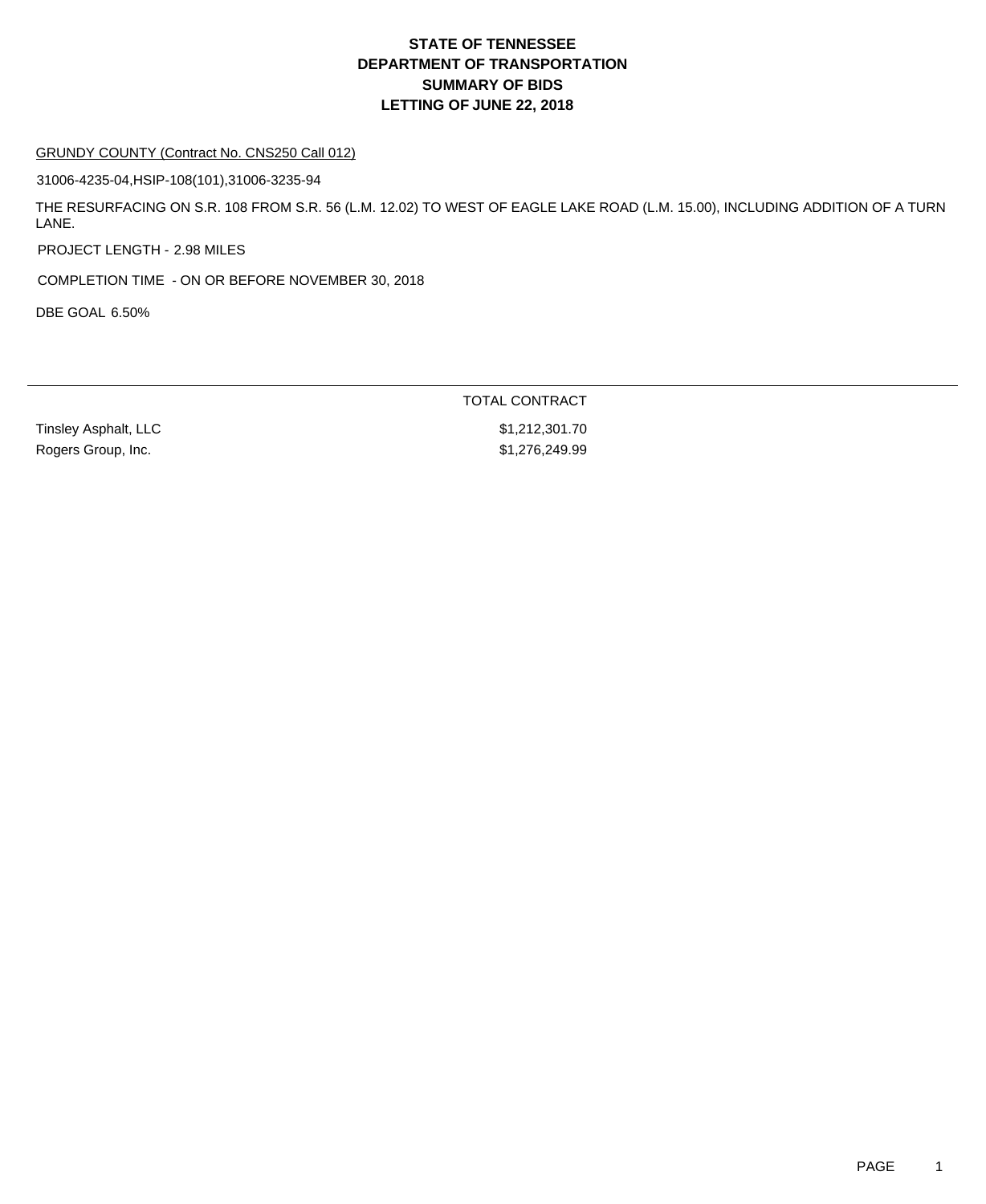#### GRUNDY COUNTY (Contract No. CNS250 Call 012)

31006-4235-04,HSIP-108(101),31006-3235-94

THE RESURFACING ON S.R. 108 FROM S.R. 56 (L.M. 12.02) TO WEST OF EAGLE LAKE ROAD (L.M. 15.00), INCLUDING ADDITION OF A TURN LANE.

PROJECT LENGTH - 2.98 MILES

COMPLETION TIME - ON OR BEFORE NOVEMBER 30, 2018

DBE GOAL 6.50%

Rogers Group, Inc. **\$1,276,249.99** 

Tinsley Asphalt, LLC \$1,212,301.70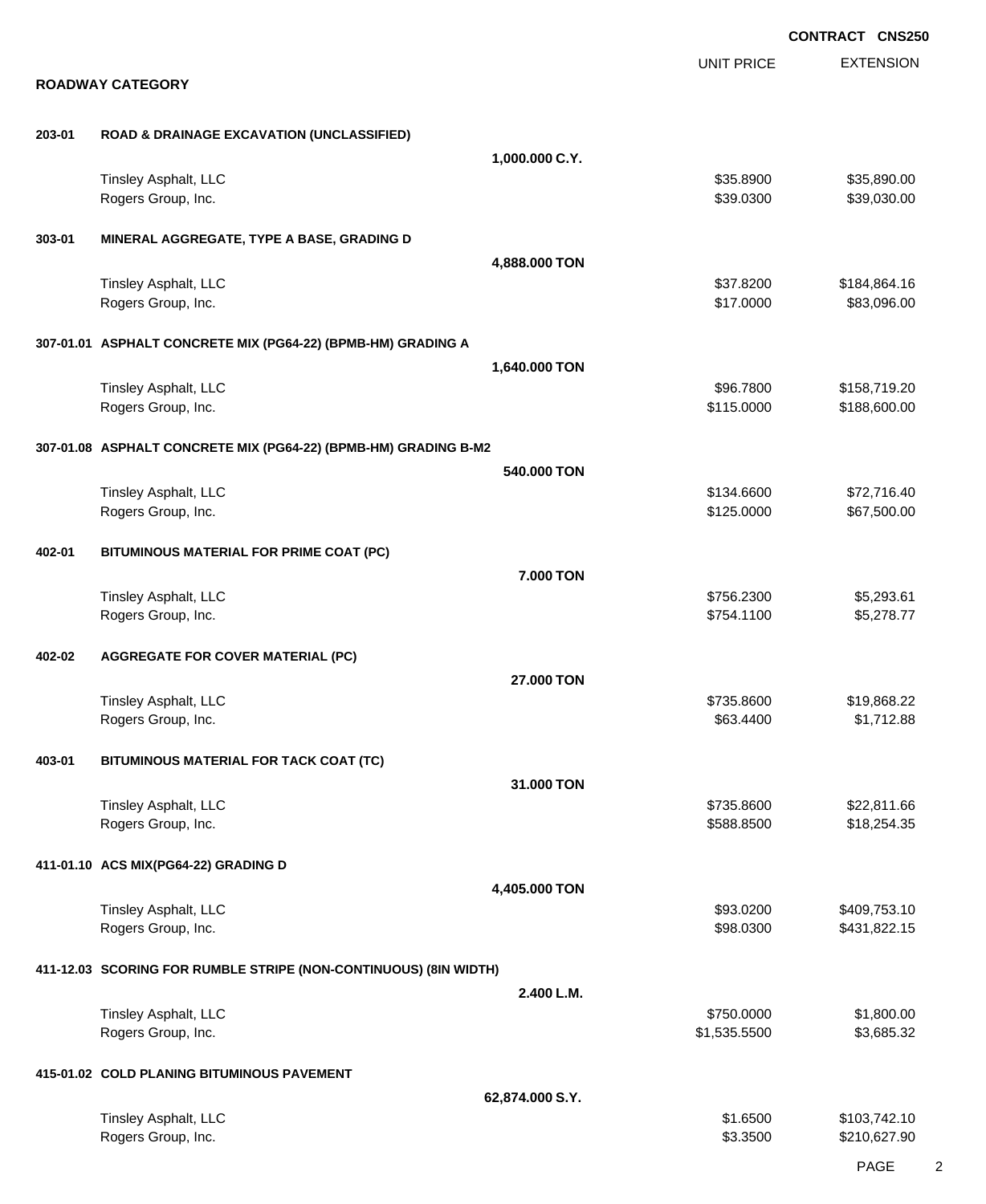|        |                                                                  |                   |                            | <b>CONTRACT CNS250</b>       |
|--------|------------------------------------------------------------------|-------------------|----------------------------|------------------------------|
|        |                                                                  |                   | <b>UNIT PRICE</b>          | <b>EXTENSION</b>             |
|        | <b>ROADWAY CATEGORY</b>                                          |                   |                            |                              |
| 203-01 | <b>ROAD &amp; DRAINAGE EXCAVATION (UNCLASSIFIED)</b>             |                   |                            |                              |
|        |                                                                  | 1,000.000 C.Y.    |                            |                              |
|        | Tinsley Asphalt, LLC                                             |                   | \$35.8900                  | \$35,890.00                  |
|        | Rogers Group, Inc.                                               |                   | \$39.0300                  | \$39,030.00                  |
| 303-01 | MINERAL AGGREGATE, TYPE A BASE, GRADING D                        |                   |                            |                              |
|        |                                                                  | 4,888.000 TON     |                            |                              |
|        | Tinsley Asphalt, LLC                                             |                   | \$37.8200                  | \$184,864.16                 |
|        | Rogers Group, Inc.                                               |                   | \$17.0000                  | \$83,096.00                  |
|        | 307-01.01 ASPHALT CONCRETE MIX (PG64-22) (BPMB-HM) GRADING A     |                   |                            |                              |
|        |                                                                  | 1,640.000 TON     |                            |                              |
|        | Tinsley Asphalt, LLC                                             |                   | \$96.7800                  | \$158,719.20                 |
|        | Rogers Group, Inc.                                               |                   | \$115.0000                 | \$188,600.00                 |
|        | 307-01.08 ASPHALT CONCRETE MIX (PG64-22) (BPMB-HM) GRADING B-M2  |                   |                            |                              |
|        |                                                                  | 540.000 TON       |                            |                              |
|        | Tinsley Asphalt, LLC<br>Rogers Group, Inc.                       |                   | \$134.6600<br>\$125.0000   | \$72,716.40<br>\$67,500.00   |
|        |                                                                  |                   |                            |                              |
| 402-01 | BITUMINOUS MATERIAL FOR PRIME COAT (PC)                          |                   |                            |                              |
|        |                                                                  | 7.000 TON         |                            |                              |
|        | Tinsley Asphalt, LLC<br>Rogers Group, Inc.                       |                   | \$756.2300<br>\$754.1100   | \$5,293.61<br>\$5,278.77     |
|        |                                                                  |                   |                            |                              |
| 402-02 | <b>AGGREGATE FOR COVER MATERIAL (PC)</b>                         |                   |                            |                              |
|        |                                                                  | <b>27,000 TON</b> |                            |                              |
|        | Tinsley Asphalt, LLC                                             |                   | \$735.8600<br>\$63.4400    | \$19,868.22                  |
|        | Rogers Group, Inc.                                               |                   |                            | \$1,712.88                   |
| 403-01 | BITUMINOUS MATERIAL FOR TACK COAT (TC)                           |                   |                            |                              |
|        |                                                                  | 31.000 TON        |                            |                              |
|        | Tinsley Asphalt, LLC<br>Rogers Group, Inc.                       |                   | \$735.8600<br>\$588.8500   | \$22,811.66<br>\$18,254.35   |
|        |                                                                  |                   |                            |                              |
|        | 411-01.10 ACS MIX(PG64-22) GRADING D                             |                   |                            |                              |
|        |                                                                  | 4,405.000 TON     |                            |                              |
|        | Tinsley Asphalt, LLC<br>Rogers Group, Inc.                       |                   | \$93.0200<br>\$98.0300     | \$409,753.10<br>\$431,822.15 |
|        |                                                                  |                   |                            |                              |
|        | 411-12.03 SCORING FOR RUMBLE STRIPE (NON-CONTINUOUS) (8IN WIDTH) |                   |                            |                              |
|        |                                                                  | 2.400 L.M.        |                            |                              |
|        | Tinsley Asphalt, LLC<br>Rogers Group, Inc.                       |                   | \$750.0000<br>\$1,535.5500 | \$1,800.00<br>\$3,685.32     |
|        |                                                                  |                   |                            |                              |
|        | 415-01.02 COLD PLANING BITUMINOUS PAVEMENT                       |                   |                            |                              |
|        |                                                                  | 62,874.000 S.Y.   |                            |                              |
|        | Tinsley Asphalt, LLC<br>Rogers Group, Inc.                       |                   | \$1.6500<br>\$3.3500       | \$103,742.10<br>\$210,627.90 |
|        |                                                                  |                   |                            |                              |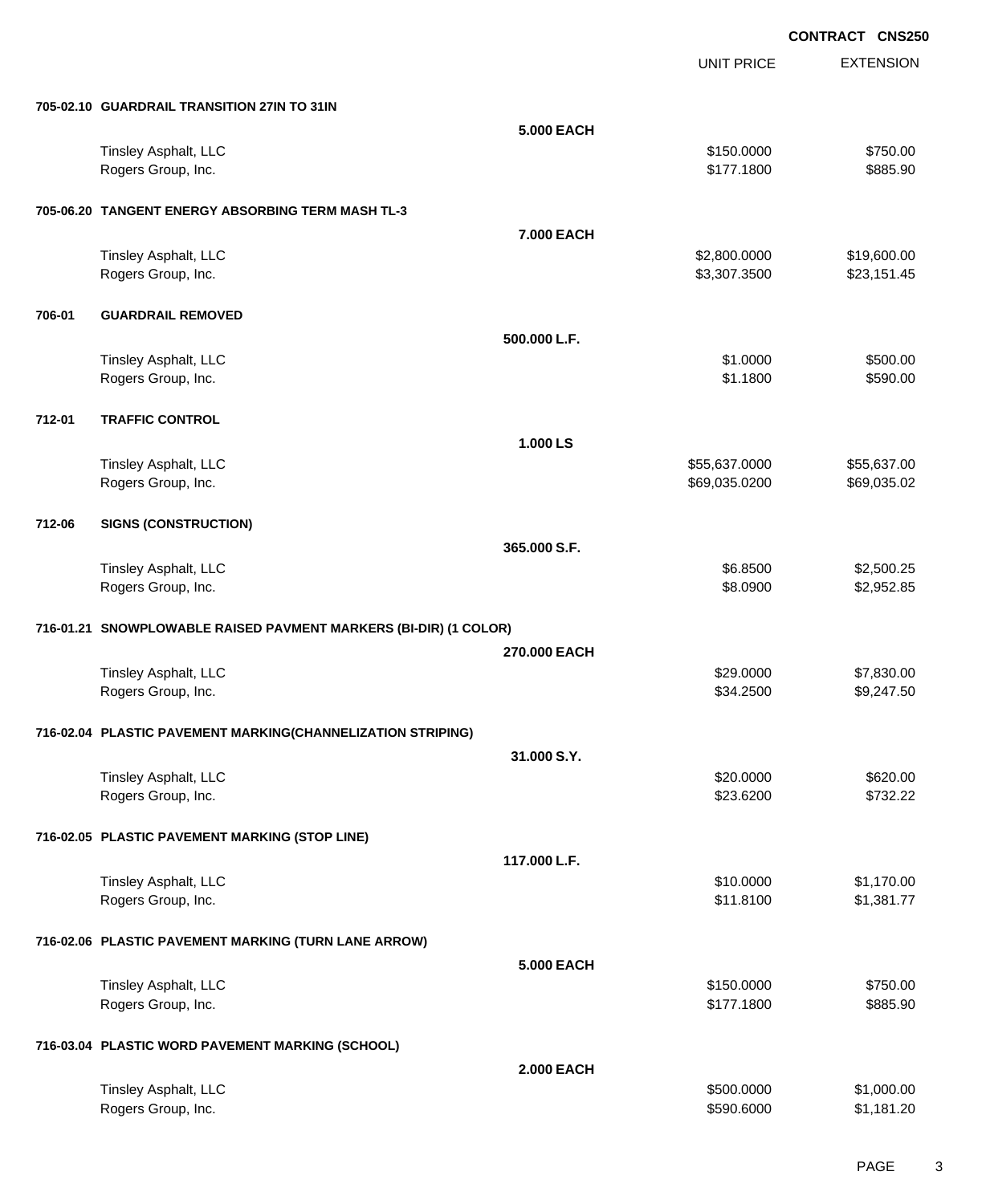UNIT PRICE

EXTENSION

| 705-02.10 GUARDRAIL TRANSITION 27IN TO 31IN |  |
|---------------------------------------------|--|

|        | 705-02.10 GUARDRAIL TRANSITION 27IN TO 31IN                      |                   |               |             |
|--------|------------------------------------------------------------------|-------------------|---------------|-------------|
|        |                                                                  | 5.000 EACH        |               |             |
|        | Tinsley Asphalt, LLC                                             |                   | \$150.0000    | \$750.00    |
|        | Rogers Group, Inc.                                               |                   | \$177.1800    | \$885.90    |
|        |                                                                  |                   |               |             |
|        | 705-06.20 TANGENT ENERGY ABSORBING TERM MASH TL-3                |                   |               |             |
|        |                                                                  | 7.000 EACH        |               |             |
|        |                                                                  |                   | \$2,800.0000  | \$19,600.00 |
|        | Tinsley Asphalt, LLC<br>Rogers Group, Inc.                       |                   | \$3,307.3500  | \$23,151.45 |
|        |                                                                  |                   |               |             |
| 706-01 | <b>GUARDRAIL REMOVED</b>                                         |                   |               |             |
|        |                                                                  |                   |               |             |
|        |                                                                  | 500.000 L.F.      |               |             |
|        | Tinsley Asphalt, LLC                                             |                   | \$1.0000      | \$500.00    |
|        | Rogers Group, Inc.                                               |                   | \$1.1800      | \$590.00    |
|        |                                                                  |                   |               |             |
| 712-01 | <b>TRAFFIC CONTROL</b>                                           |                   |               |             |
|        |                                                                  | 1.000 LS          |               |             |
|        | Tinsley Asphalt, LLC                                             |                   | \$55,637.0000 | \$55,637.00 |
|        | Rogers Group, Inc.                                               |                   | \$69,035.0200 | \$69,035.02 |
|        |                                                                  |                   |               |             |
| 712-06 | <b>SIGNS (CONSTRUCTION)</b>                                      |                   |               |             |
|        |                                                                  | 365.000 S.F.      |               |             |
|        | Tinsley Asphalt, LLC                                             |                   | \$6.8500      | \$2,500.25  |
|        | Rogers Group, Inc.                                               |                   | \$8.0900      | \$2,952.85  |
|        |                                                                  |                   |               |             |
|        | 716-01.21 SNOWPLOWABLE RAISED PAVMENT MARKERS (BI-DIR) (1 COLOR) |                   |               |             |
|        |                                                                  | 270.000 EACH      |               |             |
|        | Tinsley Asphalt, LLC                                             |                   | \$29.0000     | \$7,830.00  |
|        | Rogers Group, Inc.                                               |                   | \$34.2500     | \$9,247.50  |
|        |                                                                  |                   |               |             |
|        | 716-02.04 PLASTIC PAVEMENT MARKING(CHANNELIZATION STRIPING)      |                   |               |             |
|        |                                                                  | 31.000 S.Y.       |               |             |
|        | Tinsley Asphalt, LLC                                             |                   | \$20.0000     | \$620.00    |
|        | Rogers Group, Inc.                                               |                   | \$23.6200     | \$732.22    |
|        |                                                                  |                   |               |             |
|        | 716-02.05 PLASTIC PAVEMENT MARKING (STOP LINE)                   |                   |               |             |
|        |                                                                  | 117.000 L.F.      |               |             |
|        |                                                                  |                   |               |             |
|        | Tinsley Asphalt, LLC                                             |                   | \$10.0000     | \$1,170.00  |
|        | Rogers Group, Inc.                                               |                   | \$11.8100     | \$1,381.77  |
|        |                                                                  |                   |               |             |
|        | 716-02.06 PLASTIC PAVEMENT MARKING (TURN LANE ARROW)             |                   |               |             |
|        |                                                                  | <b>5.000 EACH</b> |               |             |
|        | Tinsley Asphalt, LLC                                             |                   | \$150.0000    | \$750.00    |
|        | Rogers Group, Inc.                                               |                   | \$177.1800    | \$885.90    |
|        |                                                                  |                   |               |             |
|        | 716-03.04 PLASTIC WORD PAVEMENT MARKING (SCHOOL)                 |                   |               |             |
|        |                                                                  | <b>2.000 EACH</b> |               |             |
|        | Tinsley Asphalt, LLC                                             |                   | \$500.0000    | \$1,000.00  |
|        | Rogers Group, Inc.                                               |                   | \$590.6000    | \$1,181.20  |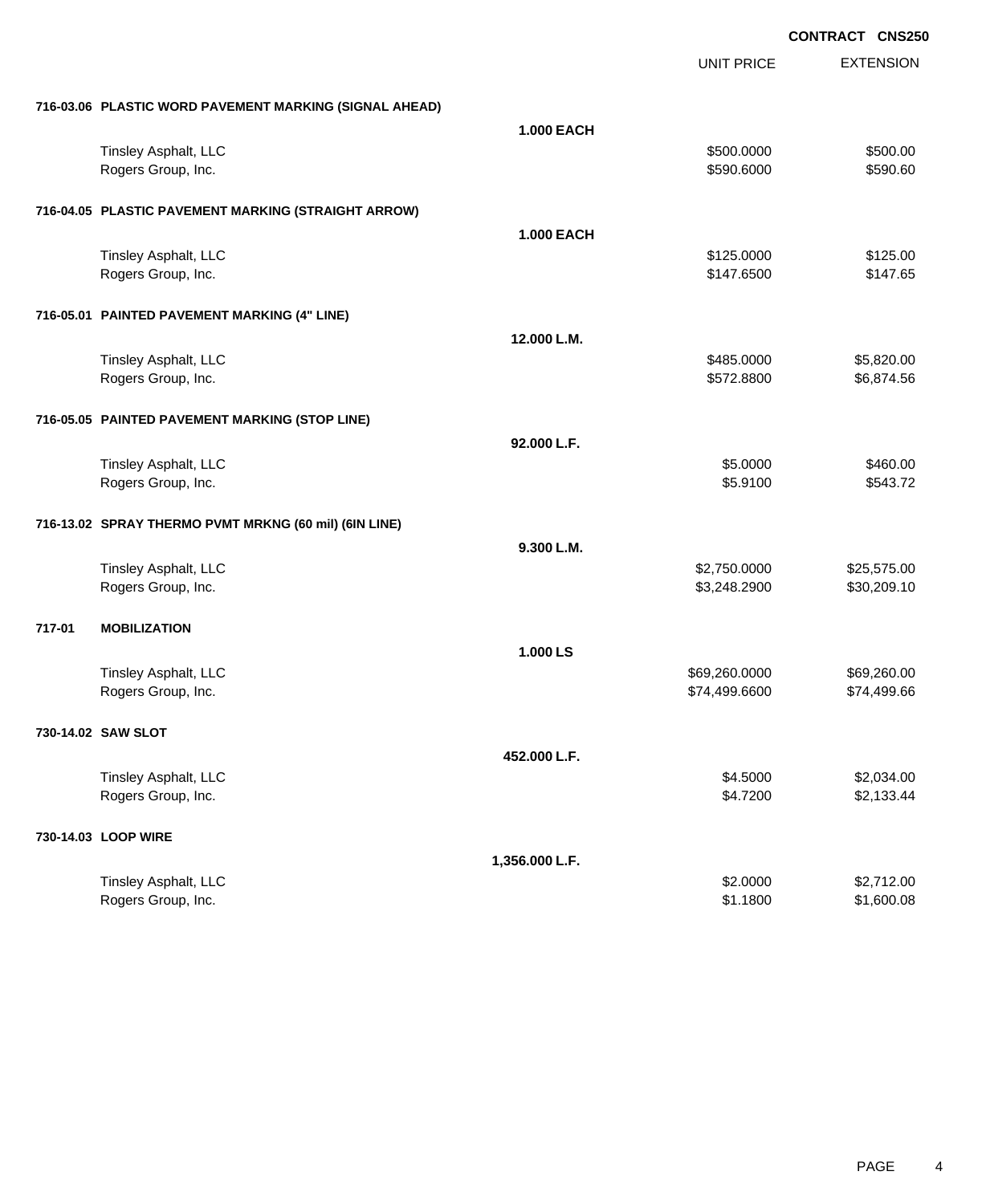|        |                                                        |                   | <b>UNIT PRICE</b> | <b>EXTENSION</b> |
|--------|--------------------------------------------------------|-------------------|-------------------|------------------|
|        | 716-03.06 PLASTIC WORD PAVEMENT MARKING (SIGNAL AHEAD) |                   |                   |                  |
|        |                                                        | <b>1.000 EACH</b> |                   |                  |
|        | Tinsley Asphalt, LLC                                   |                   | \$500.0000        | \$500.00         |
|        | Rogers Group, Inc.                                     |                   | \$590.6000        | \$590.60         |
|        | 716-04.05 PLASTIC PAVEMENT MARKING (STRAIGHT ARROW)    |                   |                   |                  |
|        |                                                        | <b>1.000 EACH</b> |                   |                  |
|        | Tinsley Asphalt, LLC                                   |                   | \$125.0000        | \$125.00         |
|        | Rogers Group, Inc.                                     |                   | \$147.6500        | \$147.65         |
|        | 716-05.01 PAINTED PAVEMENT MARKING (4" LINE)           |                   |                   |                  |
|        |                                                        | 12.000 L.M.       |                   |                  |
|        | Tinsley Asphalt, LLC                                   |                   | \$485.0000        | \$5,820.00       |
|        | Rogers Group, Inc.                                     |                   | \$572.8800        | \$6,874.56       |
|        | 716-05.05 PAINTED PAVEMENT MARKING (STOP LINE)         |                   |                   |                  |
|        |                                                        | 92.000 L.F.       |                   |                  |
|        | Tinsley Asphalt, LLC                                   |                   | \$5.0000          | \$460.00         |
|        | Rogers Group, Inc.                                     |                   | \$5.9100          | \$543.72         |
|        | 716-13.02 SPRAY THERMO PVMT MRKNG (60 mil) (6IN LINE)  |                   |                   |                  |
|        |                                                        | 9.300 L.M.        |                   |                  |
|        | Tinsley Asphalt, LLC                                   |                   | \$2,750.0000      | \$25,575.00      |
|        | Rogers Group, Inc.                                     |                   | \$3,248.2900      | \$30,209.10      |
| 717-01 | <b>MOBILIZATION</b>                                    |                   |                   |                  |
|        |                                                        | 1.000 LS          |                   |                  |
|        | Tinsley Asphalt, LLC                                   |                   | \$69,260.0000     | \$69,260.00      |
|        | Rogers Group, Inc.                                     |                   | \$74,499.6600     | \$74,499.66      |
|        | 730-14.02 SAW SLOT                                     |                   |                   |                  |
|        |                                                        | 452.000 L.F.      |                   |                  |
|        | Tinsley Asphalt, LLC                                   |                   | \$4.5000          | \$2,034.00       |
|        | Rogers Group, Inc.                                     |                   | \$4.7200          | \$2,133.44       |
|        | 730-14.03 LOOP WIRE                                    |                   |                   |                  |
|        |                                                        | 1,356.000 L.F.    |                   |                  |
|        | Tinsley Asphalt, LLC                                   |                   | \$2.0000          | \$2,712.00       |
|        | Rogers Group, Inc.                                     |                   | \$1.1800          | \$1,600.08       |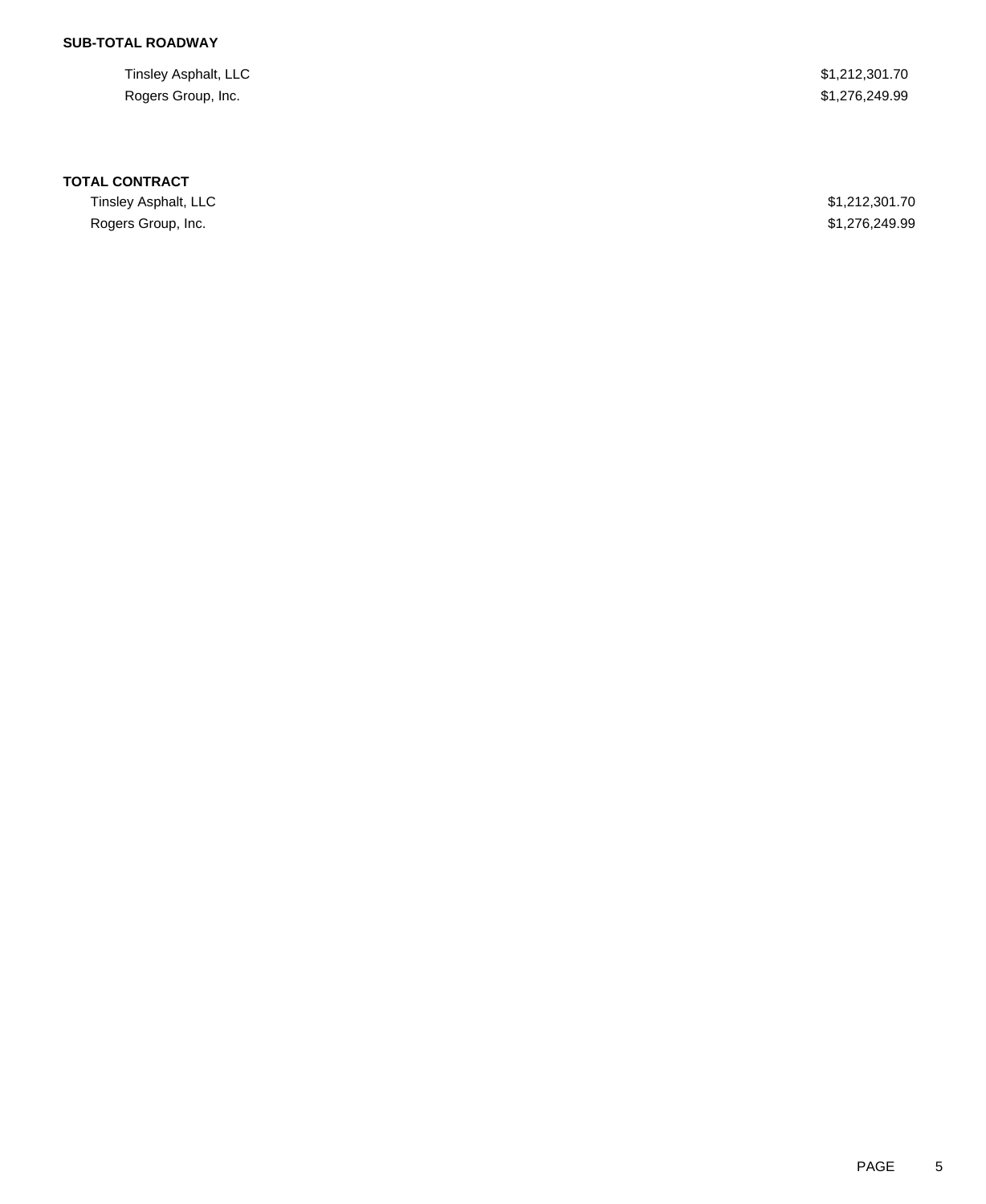## **SUB-TOTAL ROADWAY**

Tinsley Asphalt, LLC \$1,212,301.70 Rogers Group, Inc. \$1,276,249.99

### **TOTAL CONTRACT**

Tinsley Asphalt, LLC \$1,212,301.70 Rogers Group, Inc. \$1,276,249.99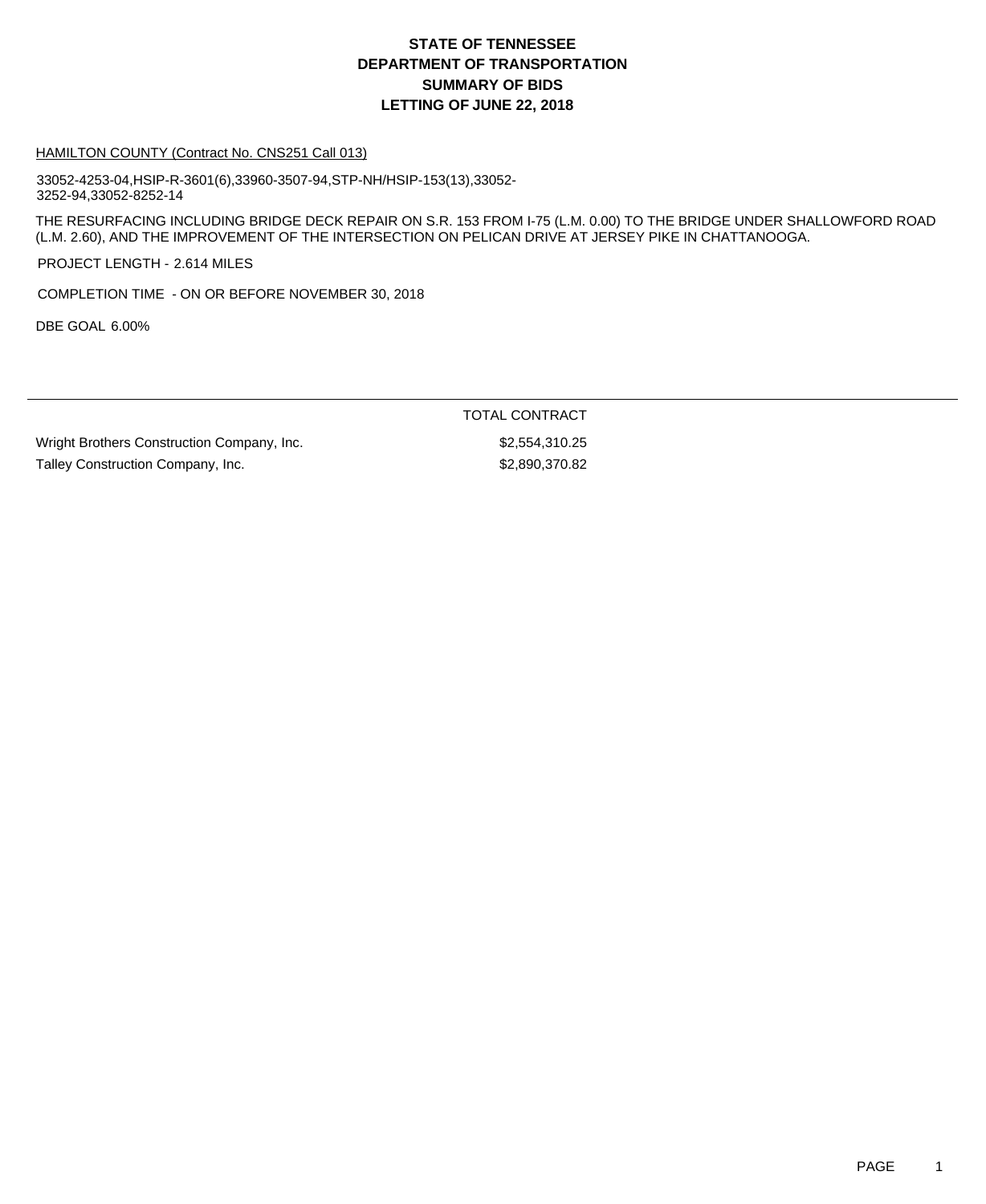#### HAMILTON COUNTY (Contract No. CNS251 Call 013)

33052-4253-04,HSIP-R-3601(6),33960-3507-94,STP-NH/HSIP-153(13),33052- 3252-94,33052-8252-14

THE RESURFACING INCLUDING BRIDGE DECK REPAIR ON S.R. 153 FROM I-75 (L.M. 0.00) TO THE BRIDGE UNDER SHALLOWFORD ROAD (L.M. 2.60), AND THE IMPROVEMENT OF THE INTERSECTION ON PELICAN DRIVE AT JERSEY PIKE IN CHATTANOOGA.

PROJECT LENGTH - 2.614 MILES

COMPLETION TIME - ON OR BEFORE NOVEMBER 30, 2018

DBE GOAL 6.00%

#### TOTAL CONTRACT

Wright Brothers Construction Company, Inc.  $$2,554,310.25$ Talley Construction Company, Inc. 6. The state of the state of the state of the state of the state of the state of the state of the state of the state of the state of the state of the state of the state of the state of the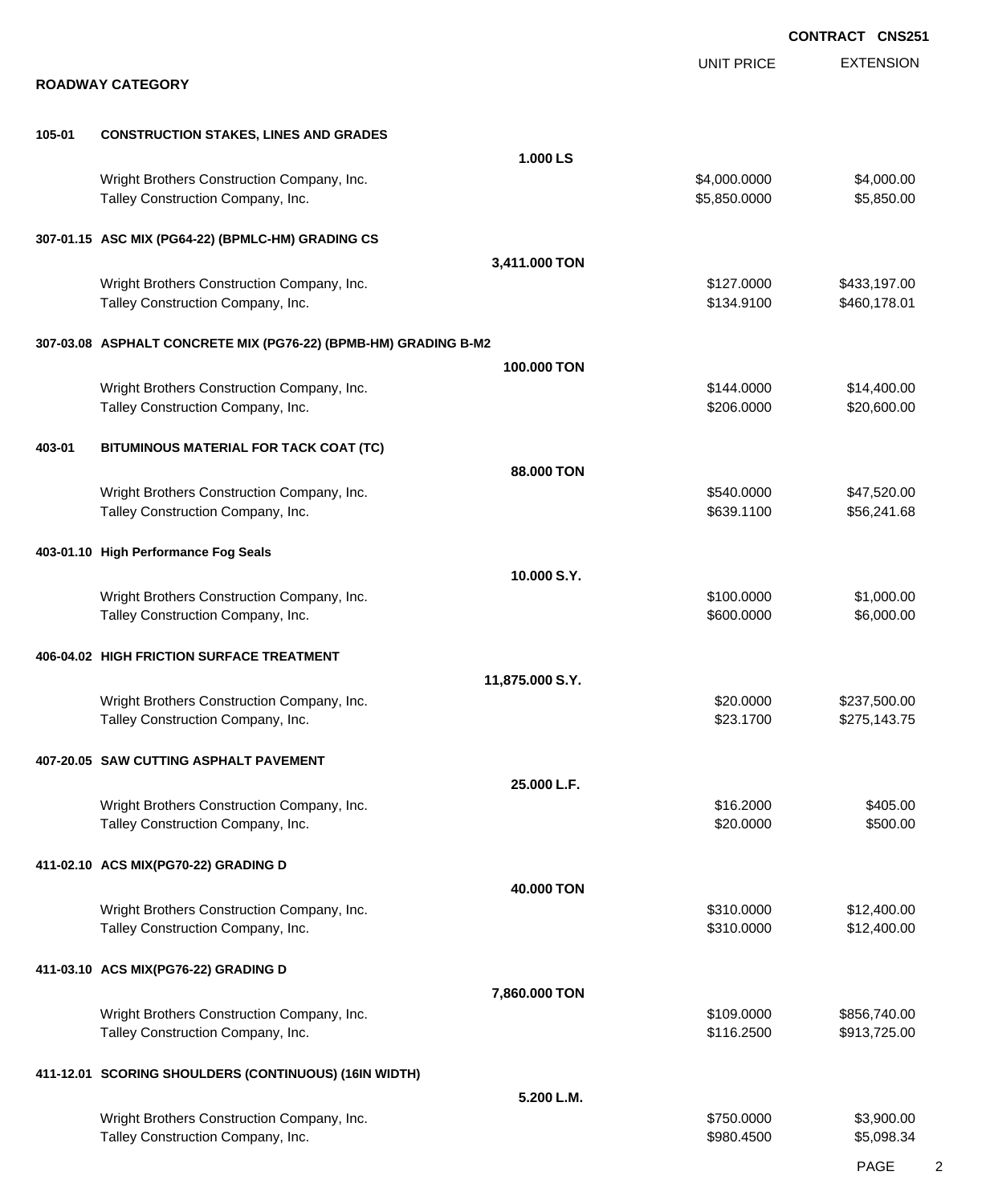|        |                                                                                 |                 |                              | <b>CONTRACT CNS251</b>       |
|--------|---------------------------------------------------------------------------------|-----------------|------------------------------|------------------------------|
|        | <b>ROADWAY CATEGORY</b>                                                         |                 | <b>UNIT PRICE</b>            | <b>EXTENSION</b>             |
|        |                                                                                 |                 |                              |                              |
| 105-01 | <b>CONSTRUCTION STAKES, LINES AND GRADES</b>                                    | 1.000 LS        |                              |                              |
|        |                                                                                 |                 |                              |                              |
|        | Wright Brothers Construction Company, Inc.<br>Talley Construction Company, Inc. |                 | \$4,000.0000<br>\$5,850.0000 | \$4,000.00<br>\$5,850.00     |
|        | 307-01.15 ASC MIX (PG64-22) (BPMLC-HM) GRADING CS                               |                 |                              |                              |
|        |                                                                                 | 3,411.000 TON   |                              |                              |
|        | Wright Brothers Construction Company, Inc.<br>Talley Construction Company, Inc. |                 | \$127.0000<br>\$134.9100     | \$433,197.00<br>\$460,178.01 |
|        | 307-03.08 ASPHALT CONCRETE MIX (PG76-22) (BPMB-HM) GRADING B-M2                 |                 |                              |                              |
|        |                                                                                 | 100,000 TON     |                              |                              |
|        | Wright Brothers Construction Company, Inc.                                      |                 | \$144,0000                   | \$14,400.00                  |
|        | Talley Construction Company, Inc.                                               |                 | \$206.0000                   | \$20,600.00                  |
| 403-01 | BITUMINOUS MATERIAL FOR TACK COAT (TC)                                          |                 |                              |                              |
|        |                                                                                 | 88.000 TON      |                              |                              |
|        | Wright Brothers Construction Company, Inc.<br>Talley Construction Company, Inc. |                 | \$540.0000<br>\$639.1100     | \$47,520.00<br>\$56,241.68   |
|        | 403-01.10 High Performance Fog Seals                                            |                 |                              |                              |
|        |                                                                                 | 10.000 S.Y.     |                              |                              |
|        | Wright Brothers Construction Company, Inc.<br>Talley Construction Company, Inc. |                 | \$100.0000<br>\$600.0000     | \$1,000.00<br>\$6,000.00     |
|        | 406-04.02 HIGH FRICTION SURFACE TREATMENT                                       |                 |                              |                              |
|        |                                                                                 | 11,875.000 S.Y. |                              |                              |
|        | Wright Brothers Construction Company, Inc.<br>Talley Construction Company, Inc. |                 | \$20.0000<br>\$23.1700       | \$237,500.00<br>\$275,143.75 |
|        | 407-20.05 SAW CUTTING ASPHALT PAVEMENT                                          |                 |                              |                              |
|        |                                                                                 | 25.000 L.F.     |                              |                              |
|        | Wright Brothers Construction Company, Inc.<br>Talley Construction Company, Inc. |                 | \$16.2000<br>\$20.0000       | \$405.00<br>\$500.00         |
|        | 411-02.10 ACS MIX(PG70-22) GRADING D                                            |                 |                              |                              |
|        |                                                                                 | 40.000 TON      |                              |                              |
|        | Wright Brothers Construction Company, Inc.<br>Talley Construction Company, Inc. |                 | \$310.0000<br>\$310.0000     | \$12,400.00<br>\$12,400.00   |
|        | 411-03.10 ACS MIX(PG76-22) GRADING D                                            |                 |                              |                              |
|        |                                                                                 | 7,860.000 TON   |                              |                              |
|        | Wright Brothers Construction Company, Inc.<br>Talley Construction Company, Inc. |                 | \$109.0000<br>\$116.2500     | \$856,740.00<br>\$913,725.00 |
|        | 411-12.01 SCORING SHOULDERS (CONTINUOUS) (16IN WIDTH)                           |                 |                              |                              |
|        |                                                                                 | 5.200 L.M.      |                              |                              |
|        | Wright Brothers Construction Company, Inc.<br>Talley Construction Company, Inc. |                 | \$750.0000<br>\$980.4500     | \$3,900.00<br>\$5,098.34     |
|        |                                                                                 |                 |                              |                              |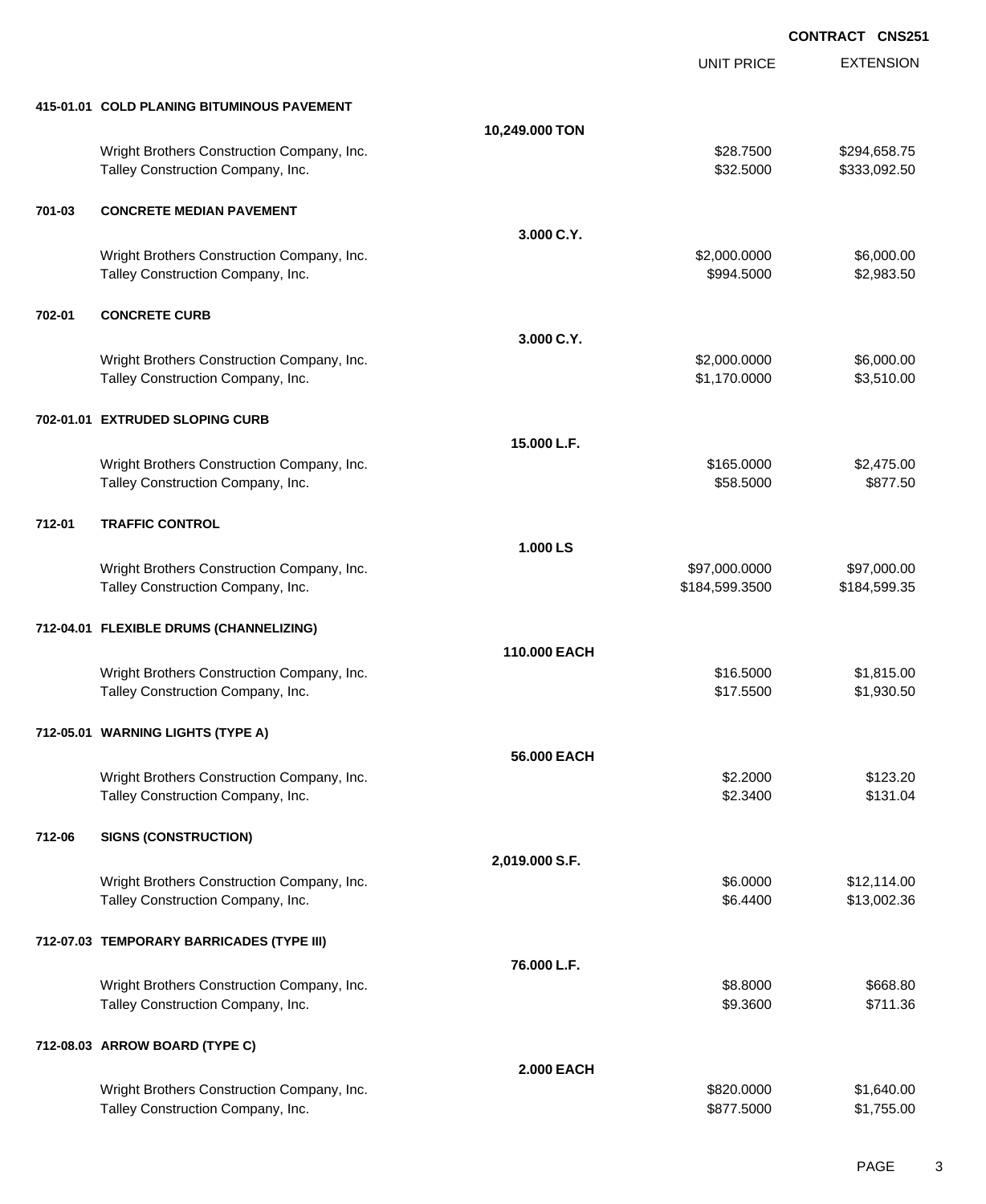EXTENSION **CONTRACT CNS251** UNIT PRICE **415-01.01 COLD PLANING BITUMINOUS PAVEMENT 10,249.000 TON** Wright Brothers Construction Company, Inc. \$28.7500 \$294,658.75 Talley Construction Company, Inc. 6. The Construction Company, Inc. 6. The Construction Company, Inc. 6. The Construction Company, Inc. 6. The Construction Company, Inc. 6. The Construction Company, Inc. 6. The Constructio **701-03 CONCRETE MEDIAN PAVEMENT 3.000 C.Y.** Wright Brothers Construction Company, Inc. 6. 2000 10000 \$2,000.0000 \$6,000.000 \$6,000.00 Talley Construction Company, Inc. 6. The Construction Company, Inc. 6. The Construction Company, Inc. 6. The Construction Company, Inc. 6. The Construction Company, Inc. 6. The Construction Company, Inc. 6. The Constructio **702-01 CONCRETE CURB 3.000 C.Y.** Wright Brothers Construction Company, Inc. 6. 2008.000 \$2,000.0000 \$6,000.000 \$6,000.00 Talley Construction Company, Inc. 6. The Construction Company, Inc. 6. The Construction Company, Inc. 6. The Construction Company, Inc. 6. The Construction Company, Inc. 6. The Construction Company, Inc. 6. The Constructio **702-01.01 EXTRUDED SLOPING CURB 15.000 L.F.** Wright Brothers Construction Company, Inc. 6. 2012 12:30 12:30 12:30 12:30 12:30 12:30 12:30 12:30 12:30 12:30 Talley Construction Company, Inc. 6877.50 **712-01 TRAFFIC CONTROL 1.000 LS** Wright Brothers Construction Company, Inc. 697,000.000 \$97,000.000 \$97,000.000 \$97,000.00 Talley Construction Company, Inc. 6. The Construction Company, Inc. \$184,599.3500 \$184,599.3500 \$184,599.35 **712-04.01 FLEXIBLE DRUMS (CHANNELIZING) 110.000 EACH** Wright Brothers Construction Company, Inc. 6. 2012 12:30 12:30 12:31 12:32 16:5000 \$1,815.00 Talley Construction Company, Inc. 6. The Construction Company, Inc. 6. The Construction Company, Inc. 6. The Construction Company, Inc. 6. The Construction Company, Inc. 6. The Construction Company, Inc. 6. The Constructio **712-05.01 WARNING LIGHTS (TYPE A) 56.000 EACH** Wright Brothers Construction Company, Inc. 6123.20 \$123.20 \$123.20 Talley Construction Company, Inc. 6131.04 **712-06 SIGNS (CONSTRUCTION) 2,019.000 S.F.** Wright Brothers Construction Company, Inc. 6. 2000 \$12,114.00 Talley Construction Company, Inc. 6. The Construction Company, Inc. 6. The Construction Company, Inc. 6.13,002.36 **712-07.03 TEMPORARY BARRICADES (TYPE III) 76.000 L.F.** Wright Brothers Construction Company, Inc. 68.8000 \$668.80 Talley Construction Company, Inc. 6711.36 **712-08.03 ARROW BOARD (TYPE C) 2.000 EACH** Wright Brothers Construction Company, Inc. 6. The Construction Company, Inc. 6. The Construction Company, Inc. 51,640.00

Talley Construction Company, Inc. 6. The Construction Company, Inc. 6. The Construction Company, Inc. 6. The Construction Company, Inc. 6. The Construction Company, Inc. 6. The Construction Company, Inc. 6. The Constructio

PAGE 3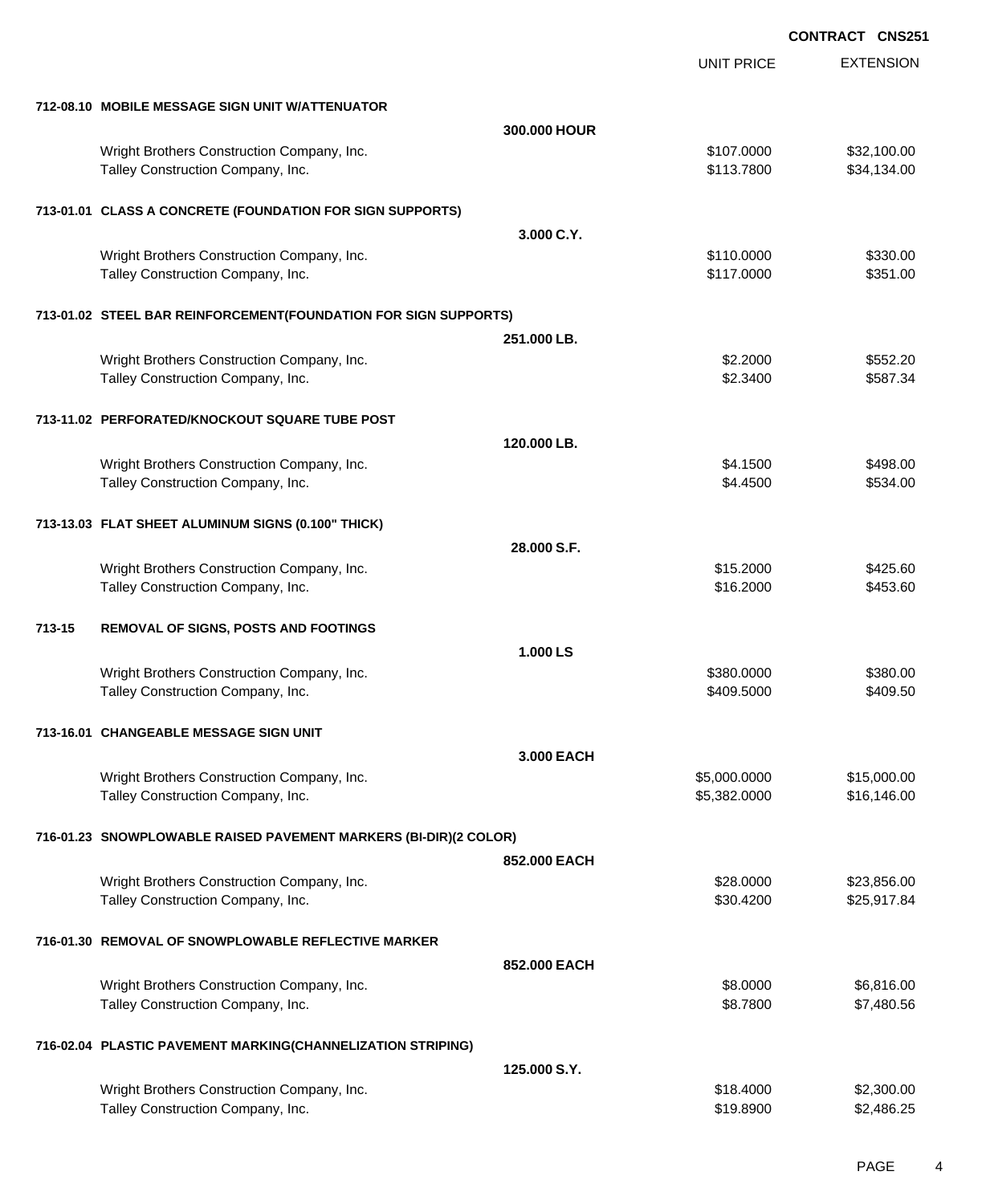EXTENSION **CONTRACT CNS251** UNIT PRICE **712-08.10 MOBILE MESSAGE SIGN UNIT W/ATTENUATOR 300.000 HOUR** Wright Brothers Construction Company, Inc. 632,100.00 \$107.0000 \$32,100.00 Talley Construction Company, Inc. 6. The Construction Company, Inc. 6. The Construction Company, Inc. 6. The Construction Company, Inc. 6. The Construction Company, Inc. 6. The Construction Company, Inc. 6. The Constructio **713-01.01 CLASS A CONCRETE (FOUNDATION FOR SIGN SUPPORTS) 3.000 C.Y.** Wright Brothers Construction Company, Inc. 6330.00 \$310.0000 \$330.00 Talley Construction Company, Inc. 6351.00 \$351.00 \$351.00 \$351.00 **713-01.02 STEEL BAR REINFORCEMENT(FOUNDATION FOR SIGN SUPPORTS) 251.000 LB.** Wright Brothers Construction Company, Inc. 6. 2000 \$552.2000 \$552.2000 \$552.2000 Talley Construction Company, Inc. 6587.34 **713-11.02 PERFORATED/KNOCKOUT SQUARE TUBE POST 120.000 LB.** Wright Brothers Construction Company, Inc. 64.1500 \$4.1500 \$498.00 Talley Construction Company, Inc. 6534.00 \$534.00 \$534.00 \$534.00 **713-13.03 FLAT SHEET ALUMINUM SIGNS (0.100" THICK) 28.000 S.F.** Wright Brothers Construction Company, Inc. \$15.2000 \$425.60 Talley Construction Company, Inc. 6453.60 **713-15 REMOVAL OF SIGNS, POSTS AND FOOTINGS 1.000 LS** Wright Brothers Construction Company, Inc. 6380.000 \$380.000 \$380.000 \$380.000 Talley Construction Company, Inc. 6409.5000 \$409.5000 \$409.5000 \$409.5000 \$409.5000 **713-16.01 CHANGEABLE MESSAGE SIGN UNIT 3.000 EACH** Wright Brothers Construction Company, Inc. 6. The State of the State of the State of State State State State State State State State State State State State State State State State State State State State State State State Talley Construction Company, Inc. 6. The Construction Company, Inc. 6.5382.0000 \$16,146.00 **716-01.23 SNOWPLOWABLE RAISED PAVEMENT MARKERS (BI-DIR)(2 COLOR) 852.000 EACH** Wright Brothers Construction Company, Inc. 6. The Construction Company, Inc. \$28.0000 \$23,856.00 Talley Construction Company, Inc. 6. The Construction Company, Inc. 6. The Construction Company, Inc. 6. The Construction Company, Inc. 6. The Construction Company, Inc. 6. The Construction Company, Inc. 6. The Constructio **716-01.30 REMOVAL OF SNOWPLOWABLE REFLECTIVE MARKER 852.000 EACH** Wright Brothers Construction Company, Inc. 6.6916.00 \$6,816.00 \$6,816.00 Talley Construction Company, Inc. 6. The Construction Company, Inc. 6. The Construction Company, Inc. 6. The Construction Company, Inc. 6. The Construction Company, Inc. 6. The Construction Company, Inc. 6. The Constructio **716-02.04 PLASTIC PAVEMENT MARKING(CHANNELIZATION STRIPING) 125.000 S.Y.** Wright Brothers Construction Company, Inc. 6. 2008 1998 18:4000 \$2,300.00 Talley Construction Company, Inc. 6. The Construction Company, Inc. 6. The Construction Company, Inc. 6. The Construction Company, Inc. 6. The Construction Company, Inc. 6. The Construction Company, Inc. 6. The Constructio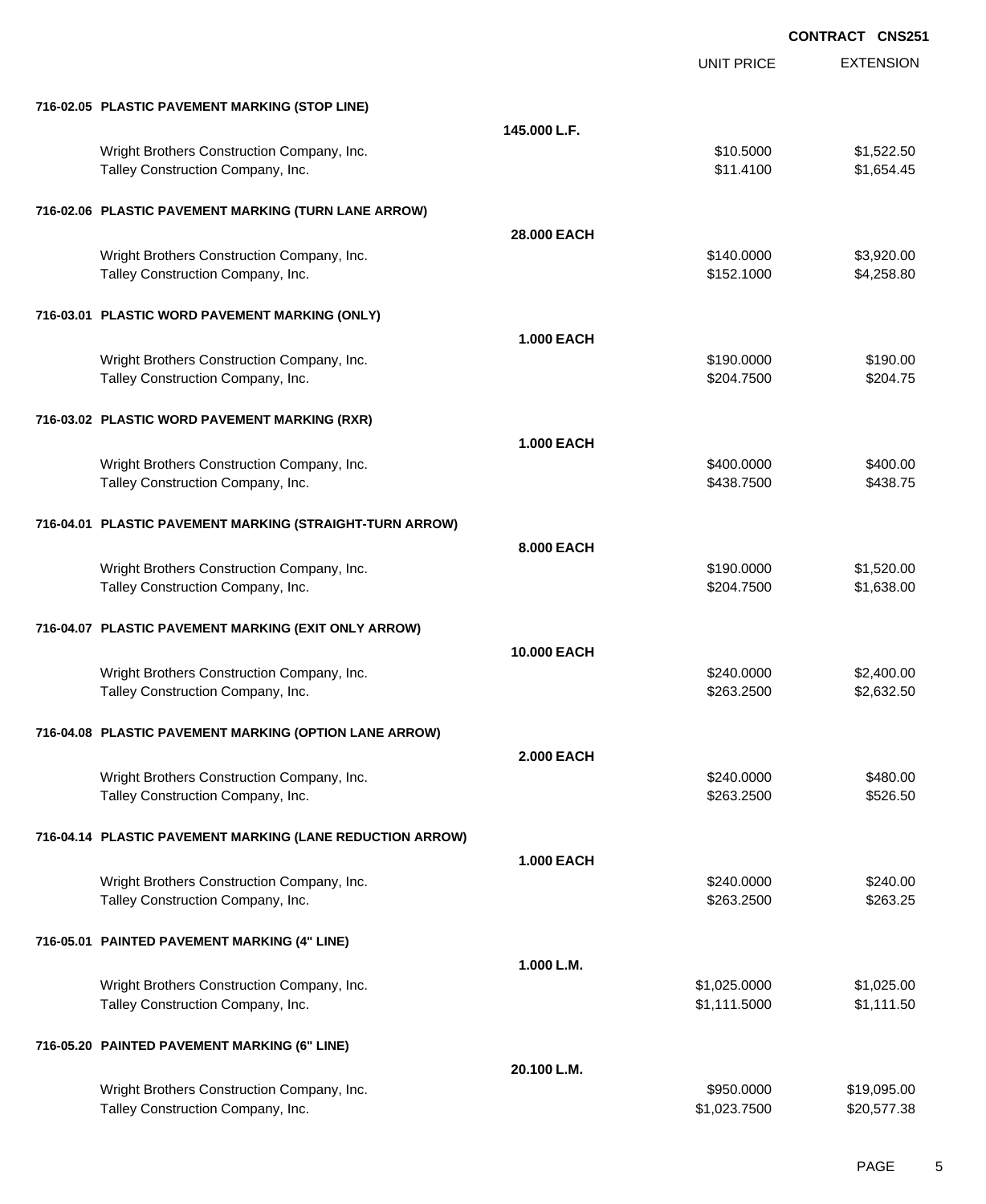|                                                           |                   |                   | <b>CONTRACT CNS251</b> |
|-----------------------------------------------------------|-------------------|-------------------|------------------------|
|                                                           |                   | <b>UNIT PRICE</b> | <b>EXTENSION</b>       |
| 716-02.05 PLASTIC PAVEMENT MARKING (STOP LINE)            |                   |                   |                        |
|                                                           | 145,000 L.F.      |                   |                        |
| Wright Brothers Construction Company, Inc.                |                   | \$10.5000         | \$1,522.50             |
| Talley Construction Company, Inc.                         |                   | \$11.4100         | \$1,654.45             |
| 716-02.06 PLASTIC PAVEMENT MARKING (TURN LANE ARROW)      |                   |                   |                        |
|                                                           | 28,000 EACH       |                   |                        |
| Wright Brothers Construction Company, Inc.                |                   | \$140.0000        | \$3,920.00             |
| Talley Construction Company, Inc.                         |                   | \$152.1000        | \$4,258.80             |
| 716-03.01 PLASTIC WORD PAVEMENT MARKING (ONLY)            |                   |                   |                        |
|                                                           | <b>1.000 EACH</b> |                   |                        |
| Wright Brothers Construction Company, Inc.                |                   | \$190.0000        | \$190.00               |
| Talley Construction Company, Inc.                         |                   | \$204.7500        | \$204.75               |
| 716-03.02 PLASTIC WORD PAVEMENT MARKING (RXR)             |                   |                   |                        |
|                                                           | <b>1.000 EACH</b> |                   |                        |
| Wright Brothers Construction Company, Inc.                |                   | \$400.0000        | \$400.00               |
| Talley Construction Company, Inc.                         |                   | \$438.7500        | \$438.75               |
| 716-04.01 PLASTIC PAVEMENT MARKING (STRAIGHT-TURN ARROW)  |                   |                   |                        |
|                                                           | 8.000 EACH        |                   |                        |
| Wright Brothers Construction Company, Inc.                |                   | \$190.0000        | \$1,520.00             |
| Talley Construction Company, Inc.                         |                   | \$204.7500        | \$1,638.00             |
| 716-04.07 PLASTIC PAVEMENT MARKING (EXIT ONLY ARROW)      |                   |                   |                        |
|                                                           | 10,000 EACH       |                   |                        |
| Wright Brothers Construction Company, Inc.                |                   | \$240.0000        | \$2,400.00             |
| Talley Construction Company, Inc.                         |                   | \$263.2500        | \$2,632.50             |
| 716-04.08 PLASTIC PAVEMENT MARKING (OPTION LANE ARROW)    |                   |                   |                        |
|                                                           | <b>2.000 EACH</b> |                   |                        |
| Wright Brothers Construction Company, Inc.                |                   | \$240.0000        | \$480.00               |
| Talley Construction Company, Inc.                         |                   | \$263.2500        | \$526.50               |
| 716-04.14 PLASTIC PAVEMENT MARKING (LANE REDUCTION ARROW) |                   |                   |                        |
|                                                           | <b>1.000 EACH</b> |                   |                        |
| Wright Brothers Construction Company, Inc.                |                   | \$240.0000        | \$240.00               |
| Talley Construction Company, Inc.                         |                   | \$263.2500        | \$263.25               |
| 716-05.01 PAINTED PAVEMENT MARKING (4" LINE)              |                   |                   |                        |
|                                                           | 1.000 L.M.        |                   |                        |
| Wright Brothers Construction Company, Inc.                |                   | \$1,025.0000      | \$1,025.00             |
| Talley Construction Company, Inc.                         |                   | \$1,111.5000      | \$1,111.50             |
| 716-05.20 PAINTED PAVEMENT MARKING (6" LINE)              |                   |                   |                        |
|                                                           | 20.100 L.M.       |                   |                        |
| Wright Brothers Construction Company, Inc.                |                   | \$950.0000        | \$19,095.00            |
| Talley Construction Company, Inc.                         |                   | \$1,023.7500      | \$20,577.38            |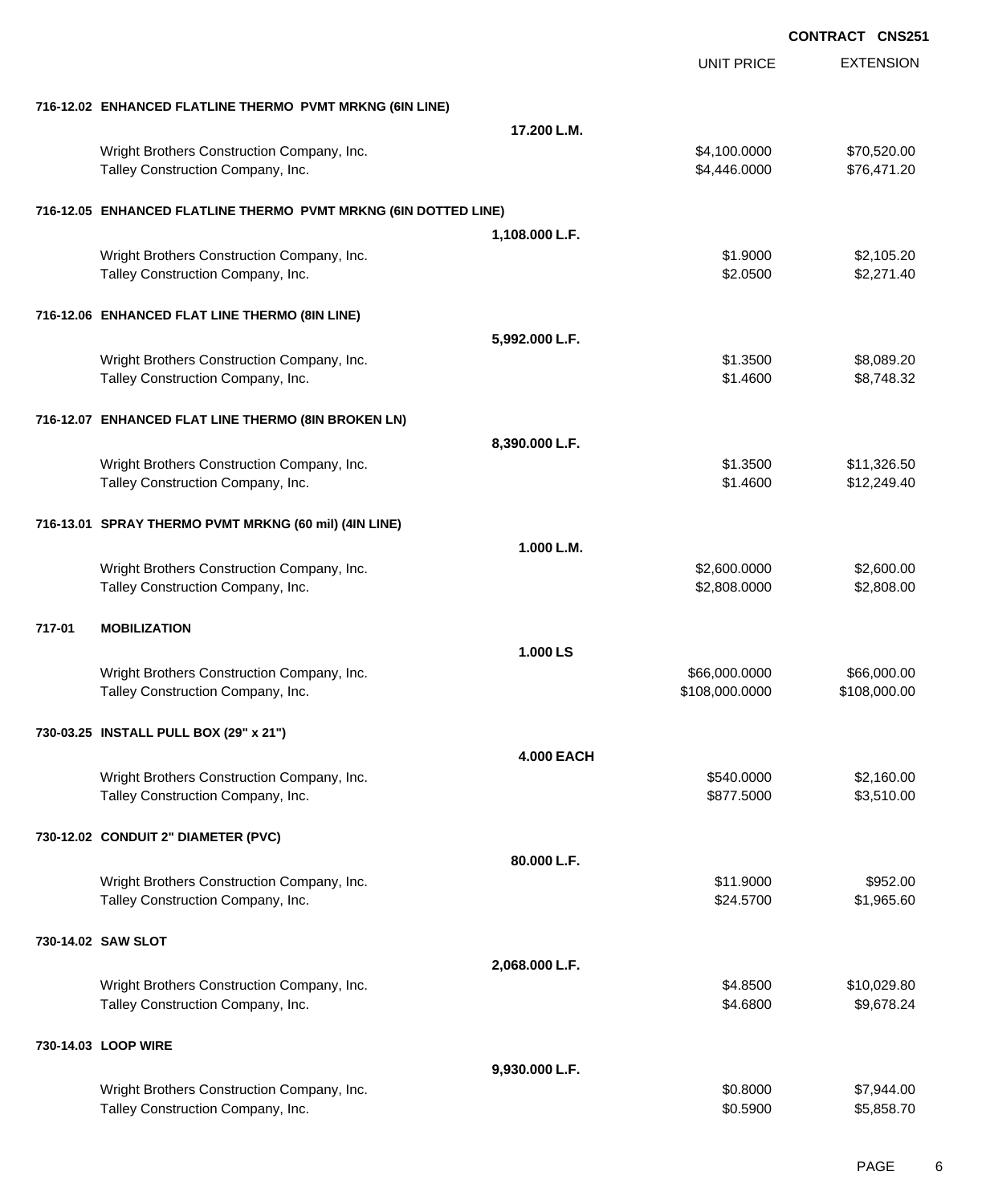EXTENSION **CONTRACT CNS251** UNIT PRICE **716-12.02 ENHANCED FLATLINE THERMO PVMT MRKNG (6IN LINE) 17.200 L.M.** Wright Brothers Construction Company, Inc. 6. The Construction Company, Inc. \$4,100.0000 \$70,520.00 Talley Construction Company, Inc. 6. The Construction Company, Inc. 6. The Construction Company, Inc. 6. The Construction Company, Inc. 6. The Construction Company, Inc. 6. The Construction Company, Inc. 6. The Constructio **716-12.05 ENHANCED FLATLINE THERMO PVMT MRKNG (6IN DOTTED LINE) 1,108.000 L.F.** Wright Brothers Construction Company, Inc. 6. 2012 1.9000 \$1.9000 \$2,105.20 Talley Construction Company, Inc. 6. The Construction Company, Inc. 6. The Construction Company, Inc. 6. The Construction Company, Inc. 6. The Construction Company, Inc. 6. The Construction Company, Inc. 6. The Constructio **716-12.06 ENHANCED FLAT LINE THERMO (8IN LINE) 5,992.000 L.F.** Wright Brothers Construction Company, Inc. 6. 2012 12:3500 \$8,089.20 Talley Construction Company, Inc. 6. The state of the state of the state of the state of the state of the state of the state of the state of the state of the state of the state of the state of the state of the state of the **716-12.07 ENHANCED FLAT LINE THERMO (8IN BROKEN LN) 8,390.000 L.F.** Wright Brothers Construction Company, Inc. 6. 2011 1.326.50 \$1.3500 \$1.3500 \$11,326.50 Talley Construction Company, Inc. 6. The Construction Company, Inc. 612,249.40 **716-13.01 SPRAY THERMO PVMT MRKNG (60 mil) (4IN LINE) 1.000 L.M.** Wright Brothers Construction Company, Inc. 6. 2.600.000 \$2,600.000 \$2,600.000 \$2,600.00 Talley Construction Company, Inc. 6. The Construction Company, Inc. 6. The Construction Company, Inc. 6. The Construction Company, Inc. 6. The Construction Company, Inc. 6. The Construction Company, Inc. 6. The Constructio **717-01 MOBILIZATION 1.000 LS** Wright Brothers Construction Company, Inc.  $$66,000.0000$  \$66,000.000 \$66,000.000 Talley Construction Company, Inc. 6. The Construction Company, Inc. 6. The Construction Company, Inc. 6. The Construction Company, Inc. 6. The Construction Company, Inc. 6. The Construction Company, Inc. 6. The Constructio **730-03.25 INSTALL PULL BOX (29" x 21") 4.000 EACH** Wright Brothers Construction Company, Inc. 6. The Construction Company, Inc. 6540.0000 \$2,160.00 Talley Construction Company, Inc. 6. The Construction Company, Inc. 6. The Construction Company, Inc. 6. The Construction Company, Inc. 6. The Construction Company, Inc. 6. The Construction Company, Inc. 6. The Constructio **730-12.02 CONDUIT 2" DIAMETER (PVC) 80.000 L.F.** Wright Brothers Construction Company, Inc. \$11.9000 \$952.00 Talley Construction Company, Inc. 69 and the state of the state of the state of the state of the state of the state of the state of the state of the state of the state of the state of the state of the state of the state of **730-14.02 SAW SLOT 2,068.000 L.F.** Wright Brothers Construction Company, Inc. 6. The Construction Company, Inc. 64.8500 \$10,029.80 Talley Construction Company, Inc. 6. The Construction Company, Inc. 6. The Construction Company, Inc. 6. The Construction Company, Inc. 6. The Construction Company, Inc. 6. The Construction Company, Inc. 6. The Constructio **730-14.03 LOOP WIRE 9,930.000 L.F.** Wright Brothers Construction Company, Inc. 6. 2012 12:30 12:30 12:30 12:30 12:30 12:30 12:30 12:30 12:30 12:30 Talley Construction Company, Inc. 6. The Construction Company, Inc. 6. The Construction Company, Inc. 6. The Construction Company, Inc. 6. The Construction Company, Inc. 6. The Construction Company, Inc. 6. The Constructio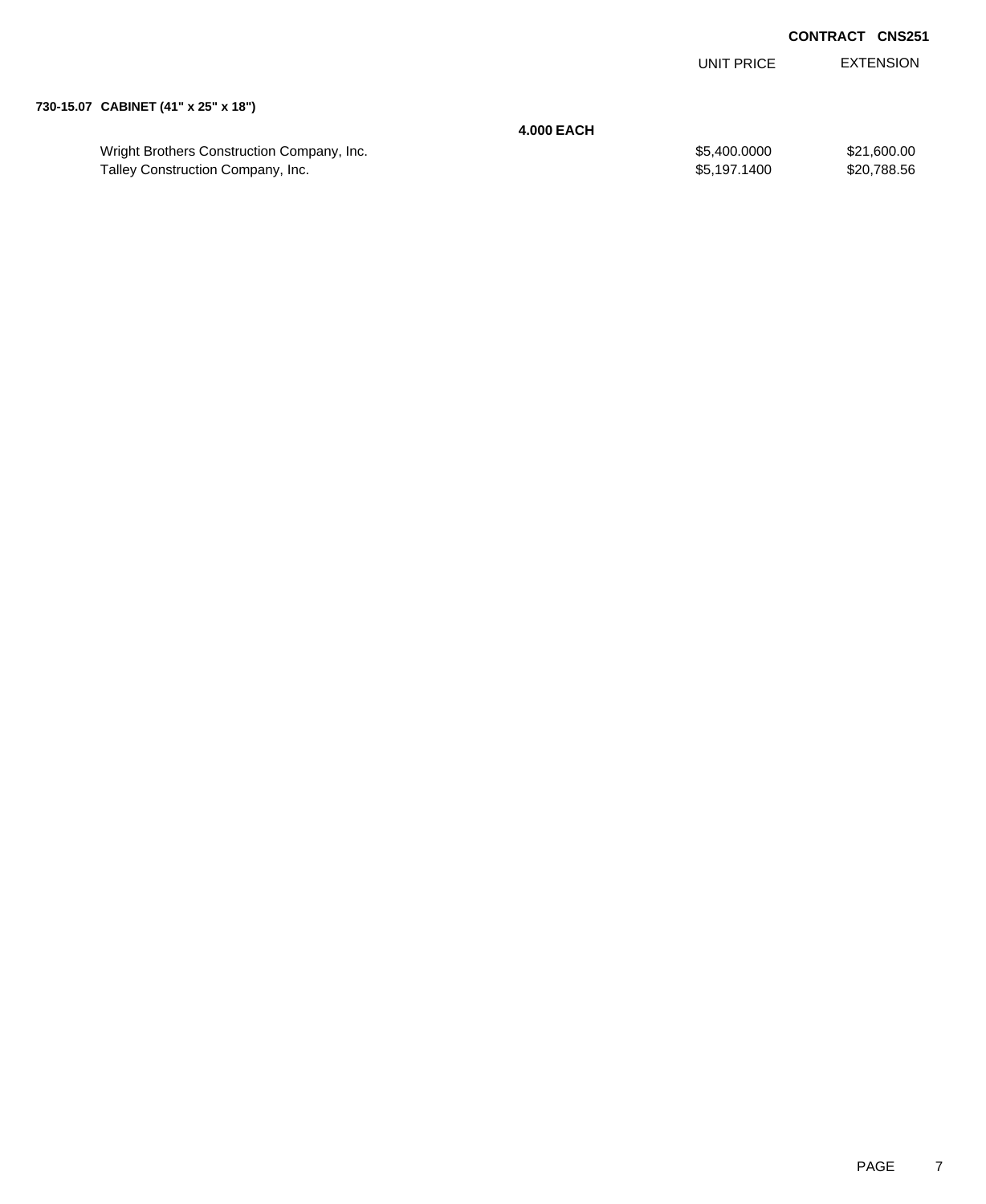|                                            |                   | UNIT PRICE   | <b>EXTENSION</b> |
|--------------------------------------------|-------------------|--------------|------------------|
| 730-15.07 CABINET (41" x 25" x 18")        |                   |              |                  |
|                                            | <b>4.000 EACH</b> |              |                  |
| Wright Brothers Construction Company, Inc. |                   | \$5,400.0000 | \$21,600.00      |

Talley Construction Company, Inc. 6. The state of the state of the state of the state of the state of the state of the state of the state of the state of the state of the state of the state of the state of the state of the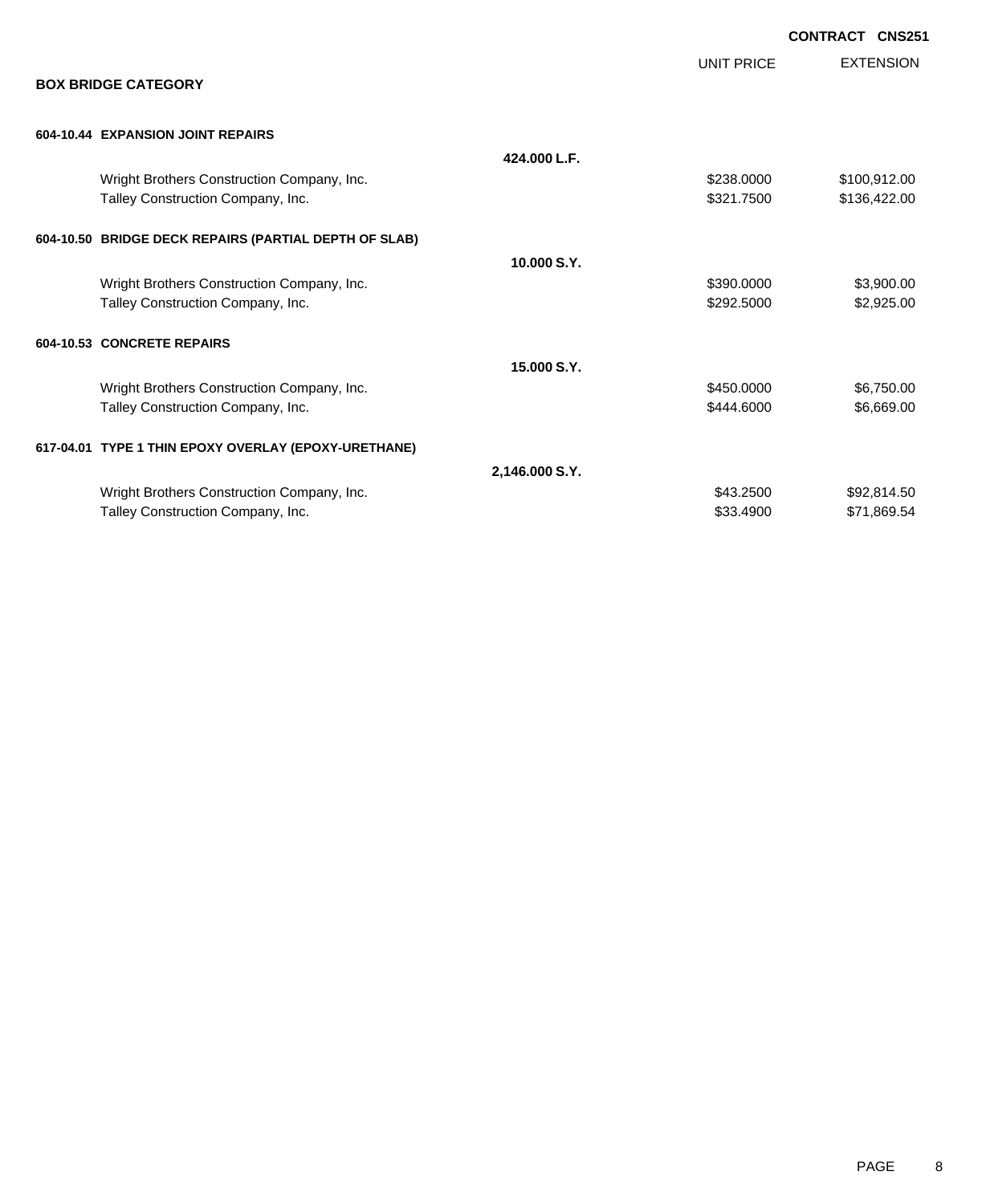|                                                       |                |                   | <b>CONTRACT CNS251</b> |                  |
|-------------------------------------------------------|----------------|-------------------|------------------------|------------------|
| <b>BOX BRIDGE CATEGORY</b>                            |                | <b>UNIT PRICE</b> |                        | <b>EXTENSION</b> |
| 604-10.44 EXPANSION JOINT REPAIRS                     |                |                   |                        |                  |
|                                                       | 424.000 L.F.   |                   |                        |                  |
| Wright Brothers Construction Company, Inc.            |                | \$238.0000        |                        | \$100,912.00     |
| Talley Construction Company, Inc.                     |                | \$321.7500        |                        | \$136,422.00     |
| 604-10.50 BRIDGE DECK REPAIRS (PARTIAL DEPTH OF SLAB) |                |                   |                        |                  |
|                                                       | 10.000 S.Y.    |                   |                        |                  |
| Wright Brothers Construction Company, Inc.            |                | \$390.0000        |                        | \$3,900.00       |
| Talley Construction Company, Inc.                     |                | \$292.5000        |                        | \$2,925.00       |
| 604-10.53 CONCRETE REPAIRS                            |                |                   |                        |                  |
|                                                       | 15,000 S.Y.    |                   |                        |                  |
| Wright Brothers Construction Company, Inc.            |                | \$450,0000        |                        | \$6,750.00       |
| Talley Construction Company, Inc.                     |                | \$444.6000        |                        | \$6,669.00       |
| 617-04.01 TYPE 1 THIN EPOXY OVERLAY (EPOXY-URETHANE)  |                |                   |                        |                  |
|                                                       | 2,146.000 S.Y. |                   |                        |                  |
| Wright Brothers Construction Company, Inc.            |                | \$43.2500         |                        | \$92,814.50      |
| Talley Construction Company, Inc.                     |                | \$33.4900         |                        | \$71,869.54      |
|                                                       |                |                   |                        |                  |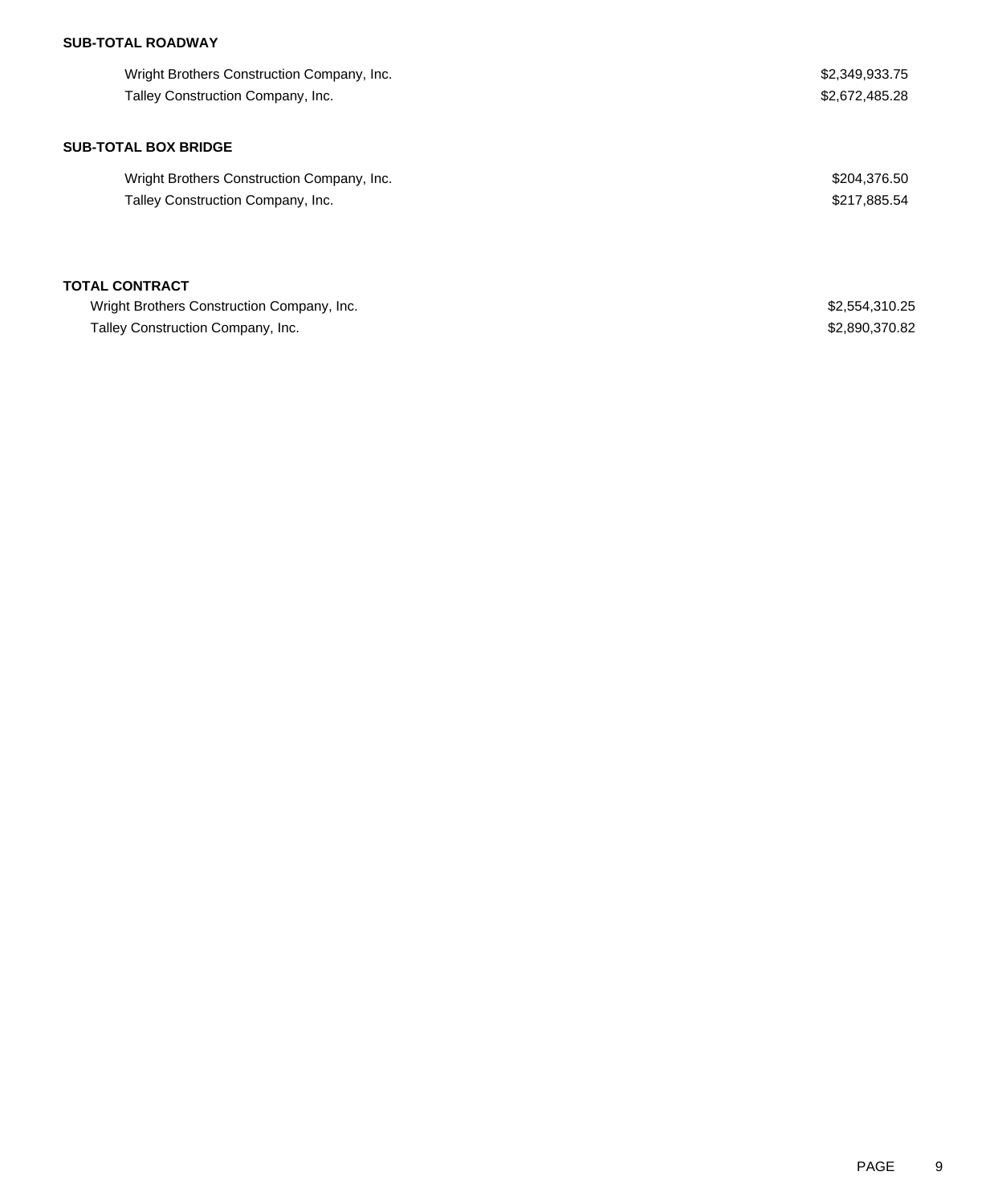## **SUB-TOTAL ROADWAY**

| Wright Brothers Construction Company, Inc. | \$2,349,933.75 |
|--------------------------------------------|----------------|
| Talley Construction Company, Inc.          | \$2,672,485.28 |
| <b>SUB-TOTAL BOX BRIDGE</b>                |                |
| Wright Brothers Construction Company, Inc. | \$204,376.50   |
| Talley Construction Company, Inc.          | \$217,885.54   |
| <b>TOTAL CONTRACT</b>                      |                |
| Wright Brothers Construction Company, Inc. | \$2,554,310.25 |
| Talley Construction Company, Inc.          | \$2,890,370.82 |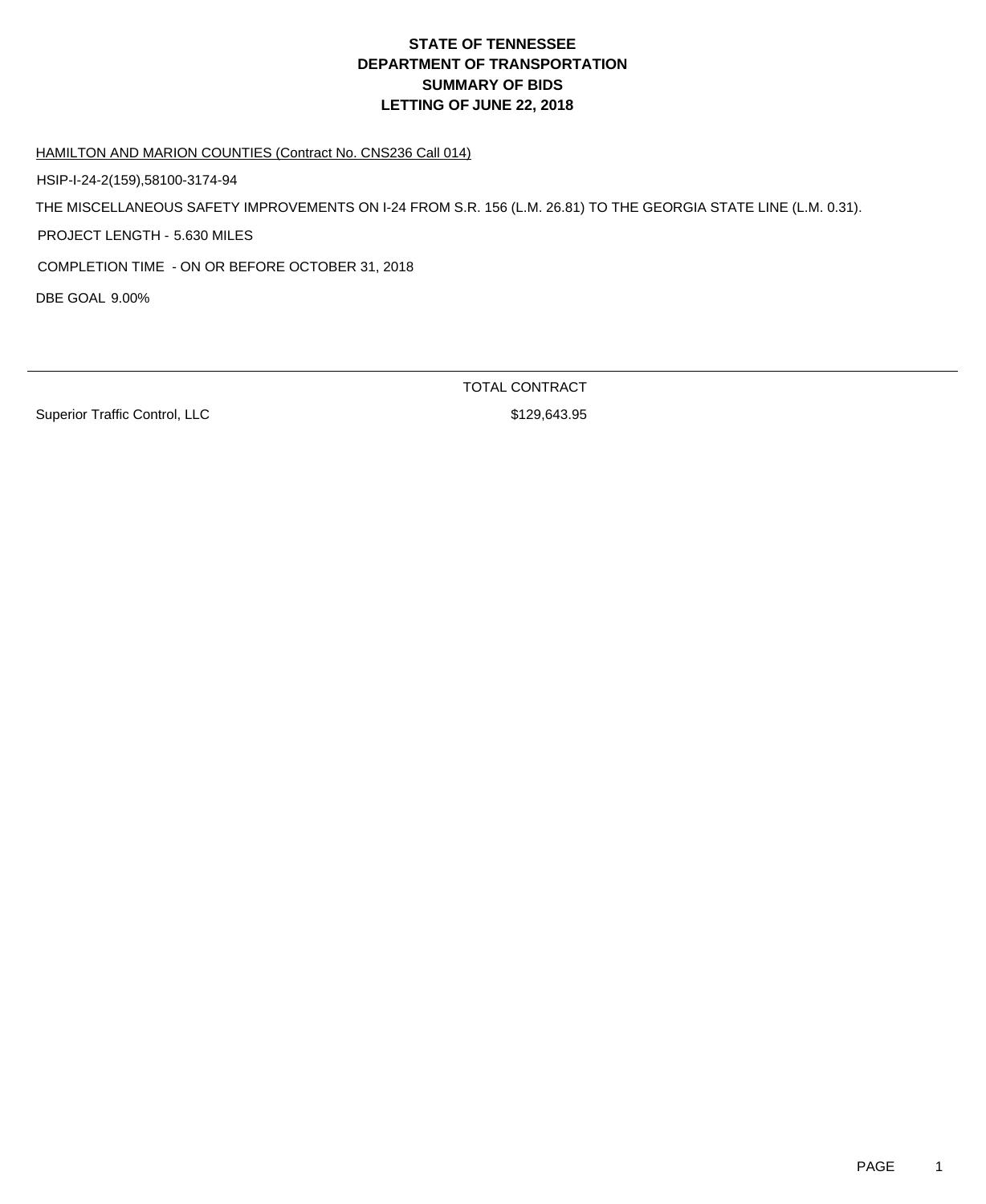HAMILTON AND MARION COUNTIES (Contract No. CNS236 Call 014)

HSIP-I-24-2(159),58100-3174-94

THE MISCELLANEOUS SAFETY IMPROVEMENTS ON I-24 FROM S.R. 156 (L.M. 26.81) TO THE GEORGIA STATE LINE (L.M. 0.31).

PROJECT LENGTH - 5.630 MILES

COMPLETION TIME - ON OR BEFORE OCTOBER 31, 2018

DBE GOAL 9.00%

Superior Traffic Control, LLC \$129,643.95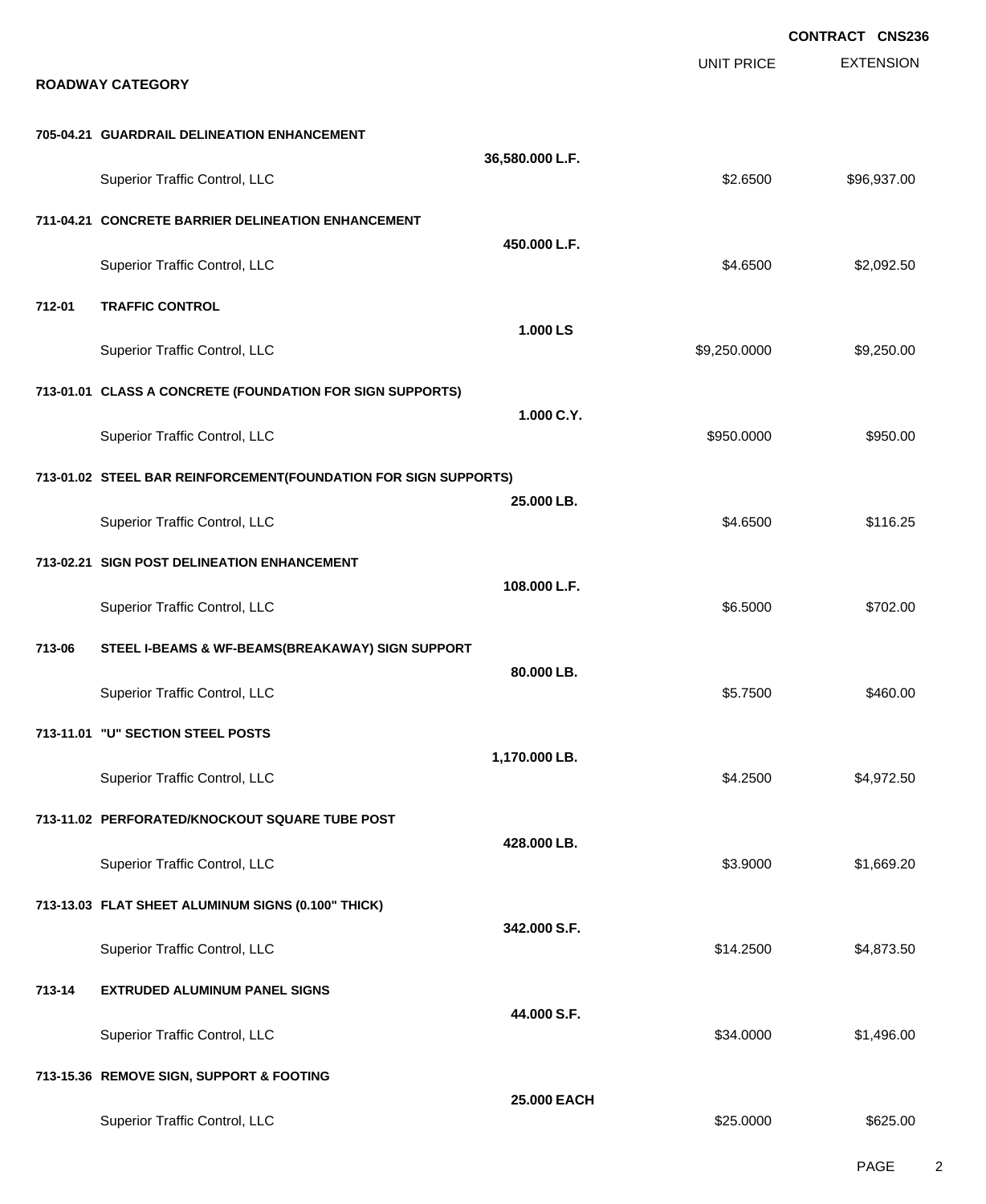|        |                                                                 |                 |                   | <b>CONTRACT CNS236</b> |
|--------|-----------------------------------------------------------------|-----------------|-------------------|------------------------|
|        | <b>ROADWAY CATEGORY</b>                                         |                 | <b>UNIT PRICE</b> | <b>EXTENSION</b>       |
|        | 705-04.21 GUARDRAIL DELINEATION ENHANCEMENT                     |                 |                   |                        |
|        | Superior Traffic Control, LLC                                   | 36,580.000 L.F. | \$2.6500          | \$96,937.00            |
|        | 711-04.21 CONCRETE BARRIER DELINEATION ENHANCEMENT              |                 |                   |                        |
|        | Superior Traffic Control, LLC                                   | 450.000 L.F.    | \$4.6500          | \$2,092.50             |
| 712-01 | <b>TRAFFIC CONTROL</b>                                          |                 |                   |                        |
|        | Superior Traffic Control, LLC                                   | 1.000 LS        | \$9,250.0000      | \$9,250.00             |
|        | 713-01.01 CLASS A CONCRETE (FOUNDATION FOR SIGN SUPPORTS)       |                 |                   |                        |
|        | Superior Traffic Control, LLC                                   | 1.000 C.Y.      | \$950.0000        | \$950.00               |
|        | 713-01.02 STEEL BAR REINFORCEMENT(FOUNDATION FOR SIGN SUPPORTS) |                 |                   |                        |
|        | Superior Traffic Control, LLC                                   | 25.000 LB.      | \$4.6500          | \$116.25               |
|        | 713-02.21 SIGN POST DELINEATION ENHANCEMENT                     |                 |                   |                        |
|        | Superior Traffic Control, LLC                                   | 108.000 L.F.    | \$6.5000          | \$702.00               |
| 713-06 | STEEL I-BEAMS & WF-BEAMS(BREAKAWAY) SIGN SUPPORT                |                 |                   |                        |
|        | Superior Traffic Control, LLC                                   | 80.000 LB.      | \$5.7500          | \$460.00               |
|        | 713-11.01 "U" SECTION STEEL POSTS                               |                 |                   |                        |
|        | Superior Traffic Control, LLC                                   | 1,170.000 LB.   | \$4.2500          | \$4,972.50             |
|        | 713-11.02 PERFORATED/KNOCKOUT SQUARE TUBE POST                  |                 |                   |                        |
|        | Superior Traffic Control, LLC                                   | 428.000 LB.     | \$3.9000          | \$1,669.20             |
|        | 713-13.03 FLAT SHEET ALUMINUM SIGNS (0.100" THICK)              |                 |                   |                        |
|        | Superior Traffic Control, LLC                                   | 342.000 S.F.    | \$14.2500         | \$4,873.50             |
| 713-14 | <b>EXTRUDED ALUMINUM PANEL SIGNS</b>                            |                 |                   |                        |
|        | Superior Traffic Control, LLC                                   | 44.000 S.F.     | \$34.0000         | \$1,496.00             |
|        | 713-15.36 REMOVE SIGN, SUPPORT & FOOTING                        |                 |                   |                        |
|        | Superior Traffic Control, LLC                                   | 25.000 EACH     | \$25.0000         | \$625.00               |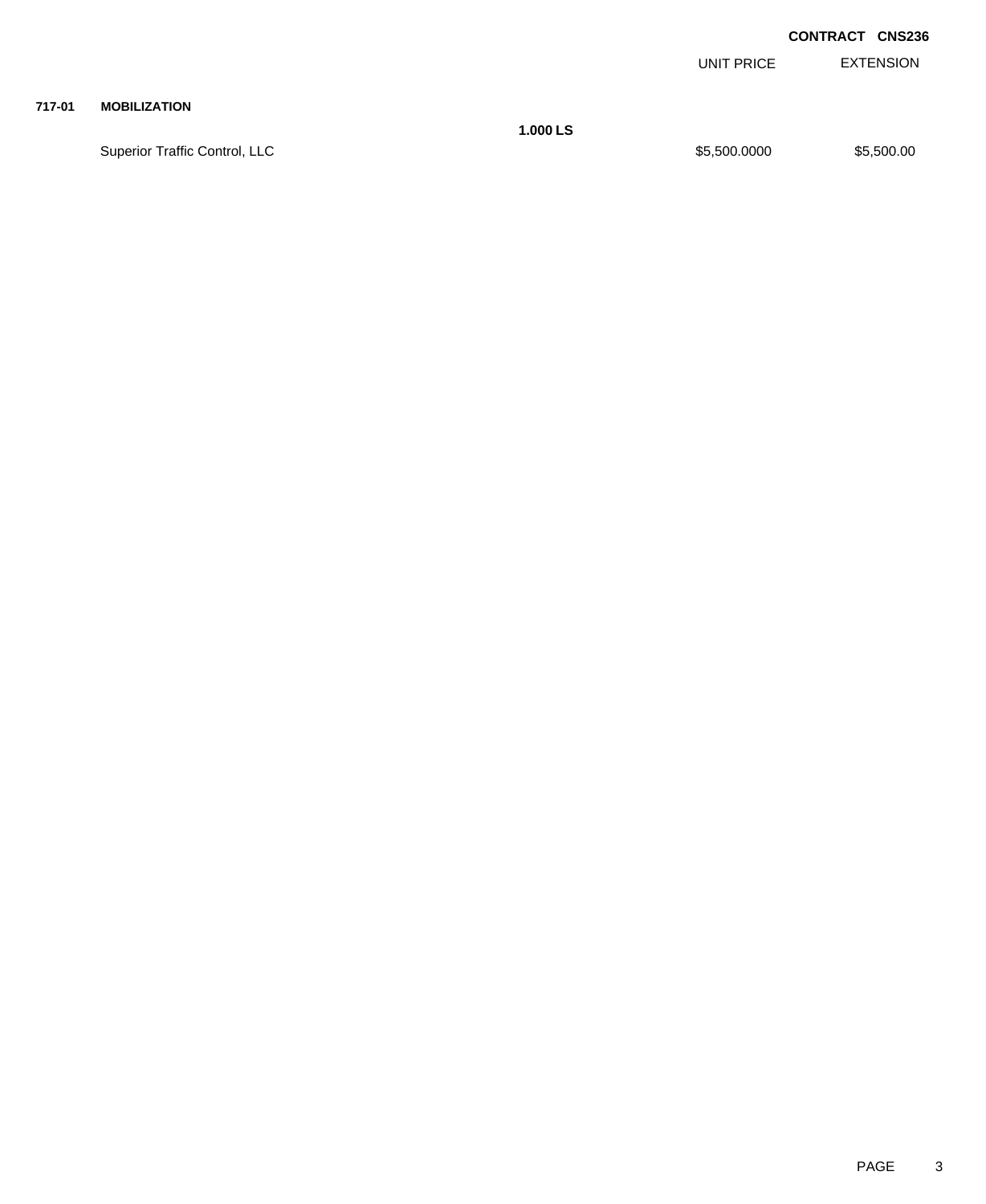EXTENSION UNIT PRICE

### **717-01 MOBILIZATION**

Superior Traffic Control, LLC 65,500.000 \$5,500.000 \$5,500.000 \$5,500.000

**1.000 LS**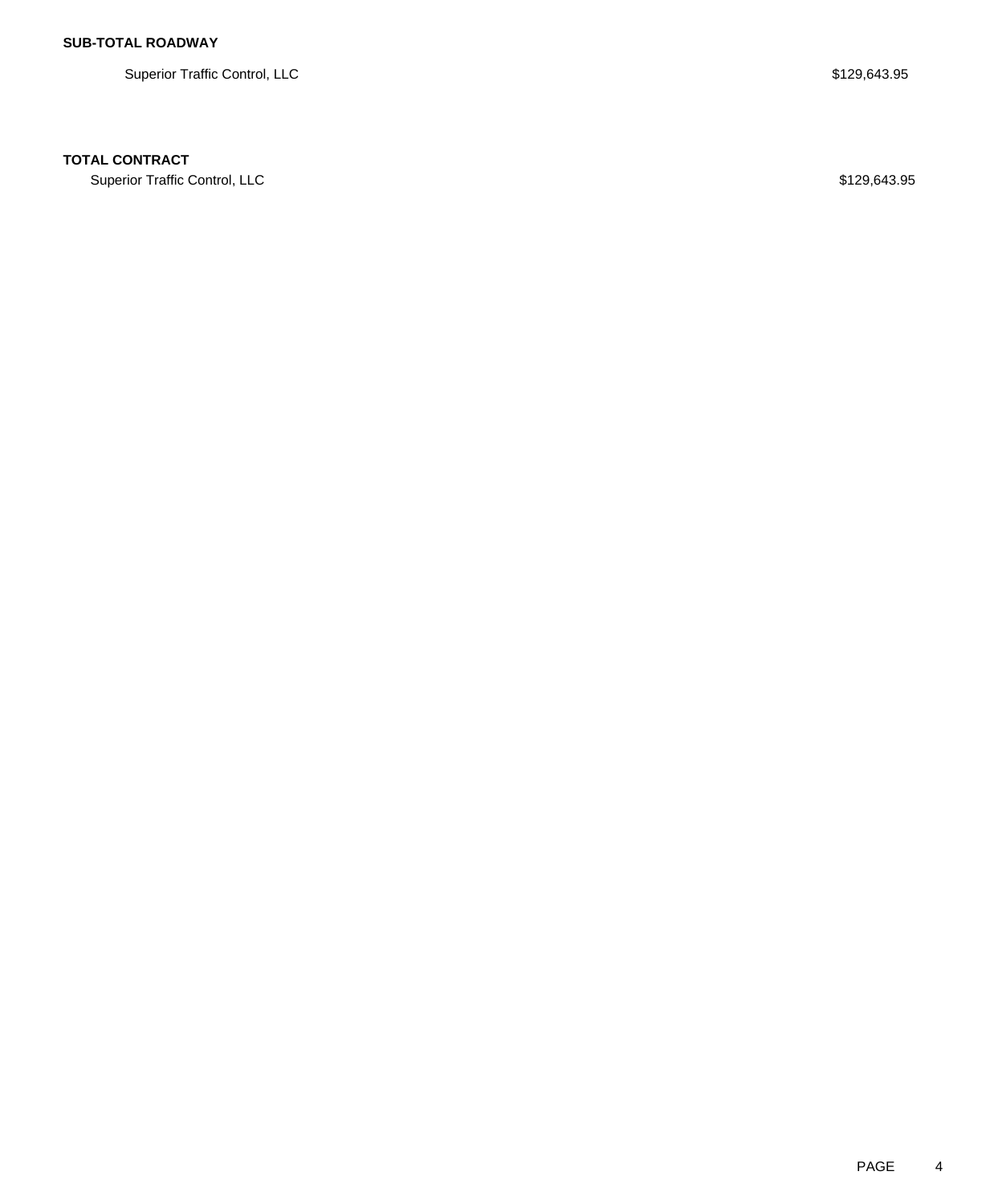Superior Traffic Control, LLC \$129,643.95

## **TOTAL CONTRACT**

Superior Traffic Control, LLC \$129,643.95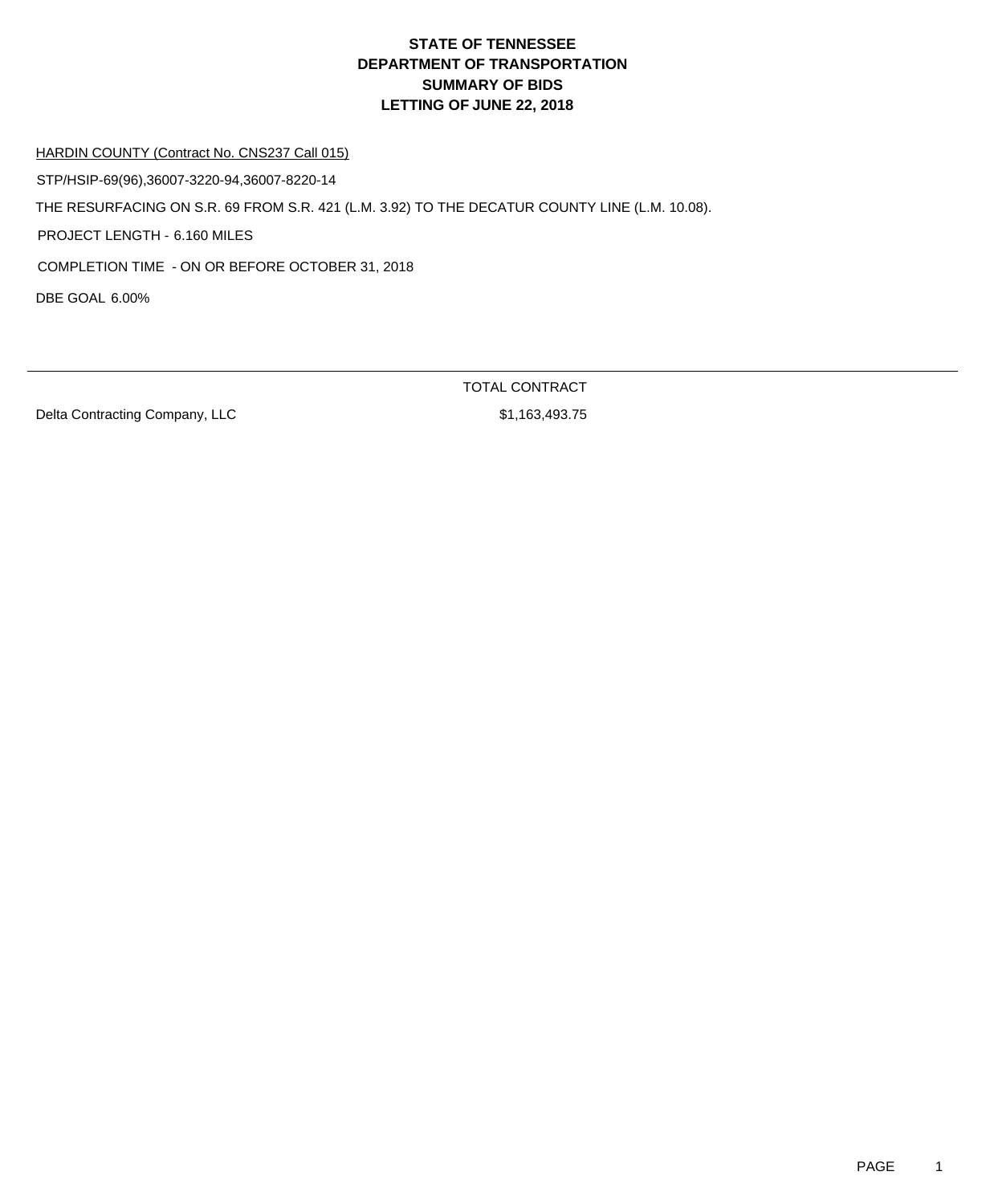HARDIN COUNTY (Contract No. CNS237 Call 015)

STP/HSIP-69(96),36007-3220-94,36007-8220-14

THE RESURFACING ON S.R. 69 FROM S.R. 421 (L.M. 3.92) TO THE DECATUR COUNTY LINE (L.M. 10.08).

PROJECT LENGTH - 6.160 MILES

COMPLETION TIME - ON OR BEFORE OCTOBER 31, 2018

DBE GOAL 6.00%

Delta Contracting Company, LLC \$1,163,493.75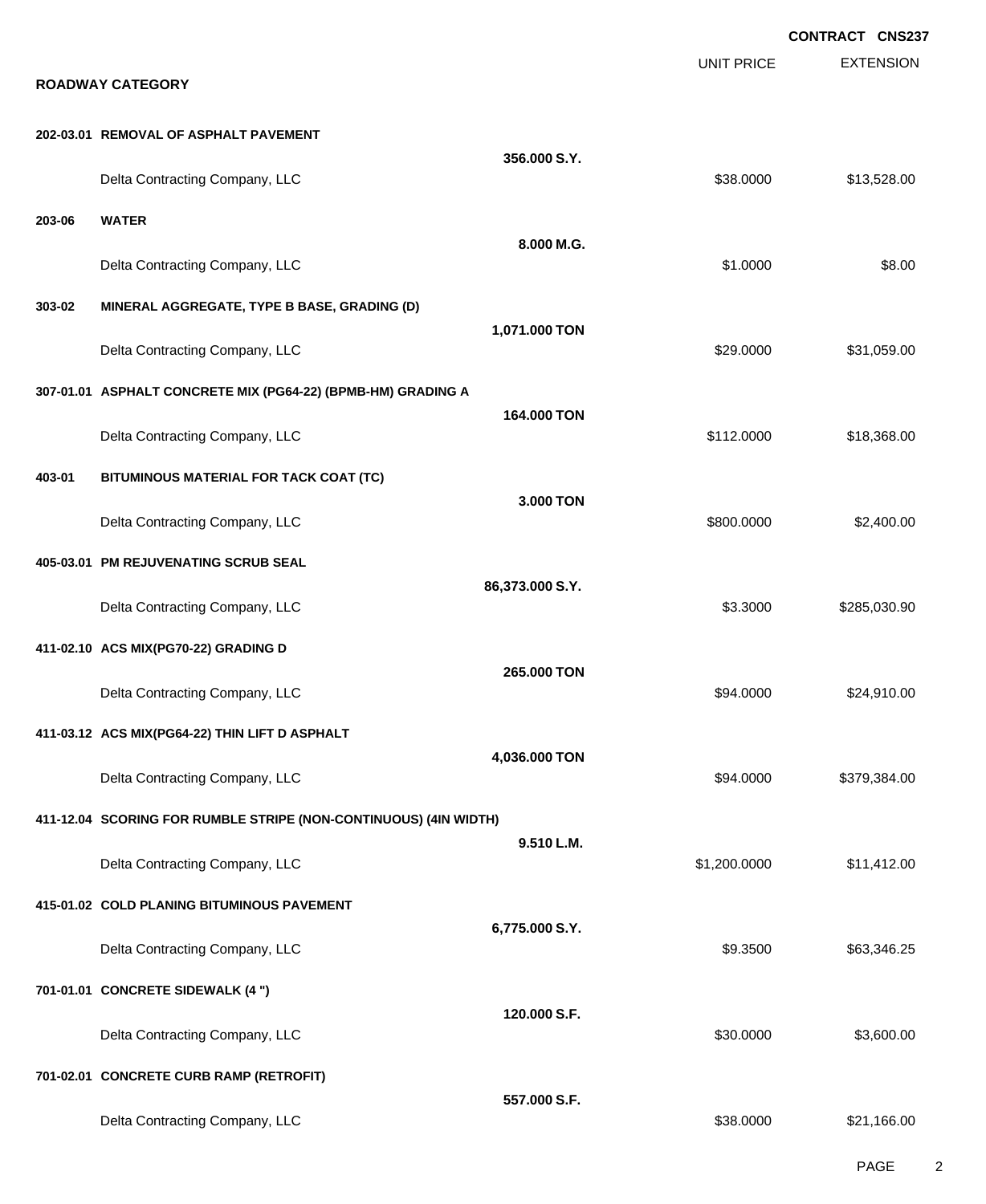|        |                                                                  |                 |                   | <b>CONTRACT CNS237</b> |
|--------|------------------------------------------------------------------|-----------------|-------------------|------------------------|
|        | <b>ROADWAY CATEGORY</b>                                          |                 | <b>UNIT PRICE</b> | <b>EXTENSION</b>       |
|        | 202-03.01 REMOVAL OF ASPHALT PAVEMENT                            |                 |                   |                        |
|        | Delta Contracting Company, LLC                                   | 356.000 S.Y.    | \$38.0000         | \$13,528.00            |
| 203-06 | <b>WATER</b>                                                     | 8.000 M.G.      |                   |                        |
|        | Delta Contracting Company, LLC                                   |                 | \$1.0000          | \$8.00                 |
| 303-02 | MINERAL AGGREGATE, TYPE B BASE, GRADING (D)                      |                 |                   |                        |
|        | Delta Contracting Company, LLC                                   | 1,071.000 TON   | \$29.0000         | \$31,059.00            |
|        | 307-01.01 ASPHALT CONCRETE MIX (PG64-22) (BPMB-HM) GRADING A     |                 |                   |                        |
|        | Delta Contracting Company, LLC                                   | 164.000 TON     | \$112.0000        | \$18,368.00            |
| 403-01 | BITUMINOUS MATERIAL FOR TACK COAT (TC)                           | 3.000 TON       |                   |                        |
|        | Delta Contracting Company, LLC                                   |                 | \$800.0000        | \$2,400.00             |
|        | 405-03.01 PM REJUVENATING SCRUB SEAL                             |                 |                   |                        |
|        | Delta Contracting Company, LLC                                   | 86,373.000 S.Y. | \$3.3000          | \$285,030.90           |
|        | 411-02.10 ACS MIX(PG70-22) GRADING D                             |                 |                   |                        |
|        | Delta Contracting Company, LLC                                   | 265.000 TON     | \$94,0000         | \$24,910.00            |
|        | 411-03.12 ACS MIX(PG64-22) THIN LIFT D ASPHALT                   |                 |                   |                        |
|        | Delta Contracting Company, LLC                                   | 4,036.000 TON   | \$94.0000         | \$379,384.00           |
|        | 411-12.04 SCORING FOR RUMBLE STRIPE (NON-CONTINUOUS) (4IN WIDTH) |                 |                   |                        |
|        | Delta Contracting Company, LLC                                   | 9.510 L.M.      | \$1,200.0000      | \$11,412.00            |
|        | 415-01.02 COLD PLANING BITUMINOUS PAVEMENT                       |                 |                   |                        |
|        | Delta Contracting Company, LLC                                   | 6,775.000 S.Y.  | \$9.3500          | \$63,346.25            |
|        | 701-01.01 CONCRETE SIDEWALK (4 ")                                |                 |                   |                        |
|        | Delta Contracting Company, LLC                                   | 120.000 S.F.    | \$30.0000         | \$3,600.00             |
|        | 701-02.01 CONCRETE CURB RAMP (RETROFIT)                          |                 |                   |                        |
|        | Delta Contracting Company, LLC                                   | 557.000 S.F.    | \$38.0000         | \$21,166.00            |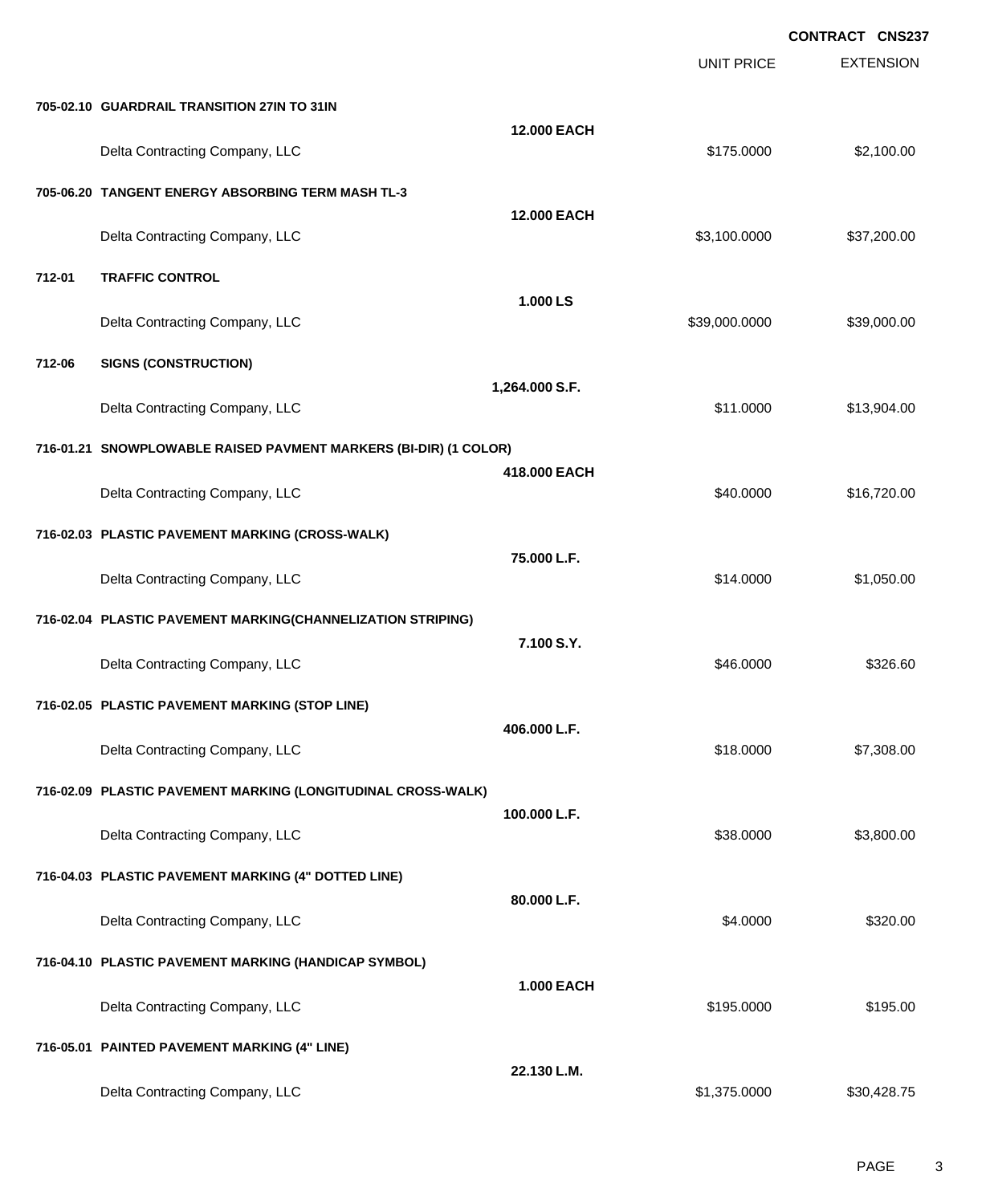|        |                                                                  |                    |                   | <b>CONTRACT CNS237</b> |
|--------|------------------------------------------------------------------|--------------------|-------------------|------------------------|
|        |                                                                  |                    | <b>UNIT PRICE</b> | <b>EXTENSION</b>       |
|        | 705-02.10 GUARDRAIL TRANSITION 27IN TO 31IN                      |                    |                   |                        |
|        | Delta Contracting Company, LLC                                   | <b>12.000 EACH</b> | \$175.0000        | \$2,100.00             |
|        | 705-06.20 TANGENT ENERGY ABSORBING TERM MASH TL-3                |                    |                   |                        |
|        |                                                                  | <b>12.000 EACH</b> |                   |                        |
|        | Delta Contracting Company, LLC                                   |                    | \$3,100.0000      | \$37,200.00            |
| 712-01 | <b>TRAFFIC CONTROL</b>                                           |                    |                   |                        |
|        | Delta Contracting Company, LLC                                   | 1.000 LS           | \$39,000.0000     | \$39,000.00            |
| 712-06 | <b>SIGNS (CONSTRUCTION)</b>                                      |                    |                   |                        |
|        | Delta Contracting Company, LLC                                   | 1,264.000 S.F.     | \$11.0000         | \$13,904.00            |
|        | 716-01.21 SNOWPLOWABLE RAISED PAVMENT MARKERS (BI-DIR) (1 COLOR) |                    |                   |                        |
|        | Delta Contracting Company, LLC                                   | 418.000 EACH       | \$40.0000         | \$16,720.00            |
|        | 716-02.03 PLASTIC PAVEMENT MARKING (CROSS-WALK)                  |                    |                   |                        |
|        | Delta Contracting Company, LLC                                   | 75.000 L.F.        | \$14.0000         | \$1,050.00             |
|        | 716-02.04 PLASTIC PAVEMENT MARKING(CHANNELIZATION STRIPING)      |                    |                   |                        |
|        |                                                                  | 7.100 S.Y.         |                   |                        |
|        | Delta Contracting Company, LLC                                   |                    | \$46,0000         | \$326.60               |
|        | 716-02.05 PLASTIC PAVEMENT MARKING (STOP LINE)                   |                    |                   |                        |
|        | Delta Contracting Company, LLC                                   | 406.000 L.F.       | \$18.0000         | \$7,308.00             |
|        | 716-02.09 PLASTIC PAVEMENT MARKING (LONGITUDINAL CROSS-WALK)     |                    |                   |                        |
|        | Delta Contracting Company, LLC                                   | 100.000 L.F.       | \$38.0000         | \$3,800.00             |
|        | 716-04.03 PLASTIC PAVEMENT MARKING (4" DOTTED LINE)              |                    |                   |                        |
|        | Delta Contracting Company, LLC                                   | 80.000 L.F.        | \$4.0000          | \$320.00               |
|        | 716-04.10 PLASTIC PAVEMENT MARKING (HANDICAP SYMBOL)             |                    |                   |                        |
|        | Delta Contracting Company, LLC                                   | <b>1.000 EACH</b>  | \$195.0000        | \$195.00               |
|        | 716-05.01 PAINTED PAVEMENT MARKING (4" LINE)                     |                    |                   |                        |
|        |                                                                  | 22.130 L.M.        |                   |                        |
|        | Delta Contracting Company, LLC                                   |                    | \$1,375.0000      | \$30,428.75            |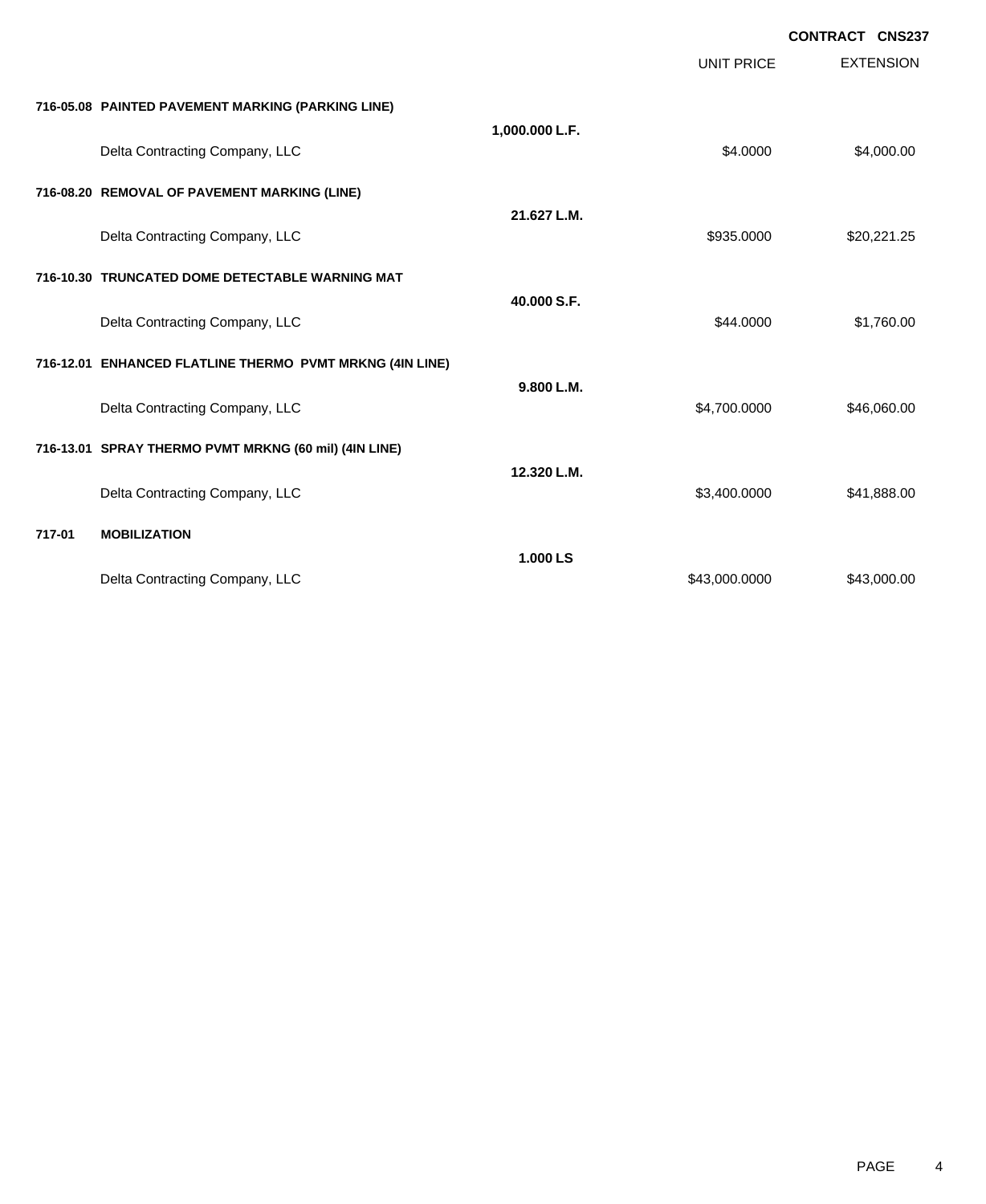|        |                                                          |                |                   | <b>CONTRACT CNS237</b> |
|--------|----------------------------------------------------------|----------------|-------------------|------------------------|
|        |                                                          |                | <b>UNIT PRICE</b> | <b>EXTENSION</b>       |
|        | 716-05.08 PAINTED PAVEMENT MARKING (PARKING LINE)        |                |                   |                        |
|        | Delta Contracting Company, LLC                           | 1,000.000 L.F. | \$4.0000          | \$4,000.00             |
|        | 716-08.20 REMOVAL OF PAVEMENT MARKING (LINE)             |                |                   |                        |
|        | Delta Contracting Company, LLC                           | 21.627 L.M.    | \$935.0000        | \$20,221.25            |
|        | 716-10.30 TRUNCATED DOME DETECTABLE WARNING MAT          |                |                   |                        |
|        | Delta Contracting Company, LLC                           | 40,000 S.F.    | \$44.0000         | \$1,760.00             |
|        | 716-12.01 ENHANCED FLATLINE THERMO PVMT MRKNG (4IN LINE) |                |                   |                        |
|        | Delta Contracting Company, LLC                           | 9.800 L.M.     | \$4,700.0000      | \$46,060.00            |
|        | 716-13.01 SPRAY THERMO PVMT MRKNG (60 mil) (4IN LINE)    |                |                   |                        |
|        | Delta Contracting Company, LLC                           | 12.320 L.M.    | \$3,400.0000      | \$41,888.00            |
| 717-01 | <b>MOBILIZATION</b>                                      |                |                   |                        |
|        | Delta Contracting Company, LLC                           | 1.000 LS       | \$43,000.0000     | \$43,000.00            |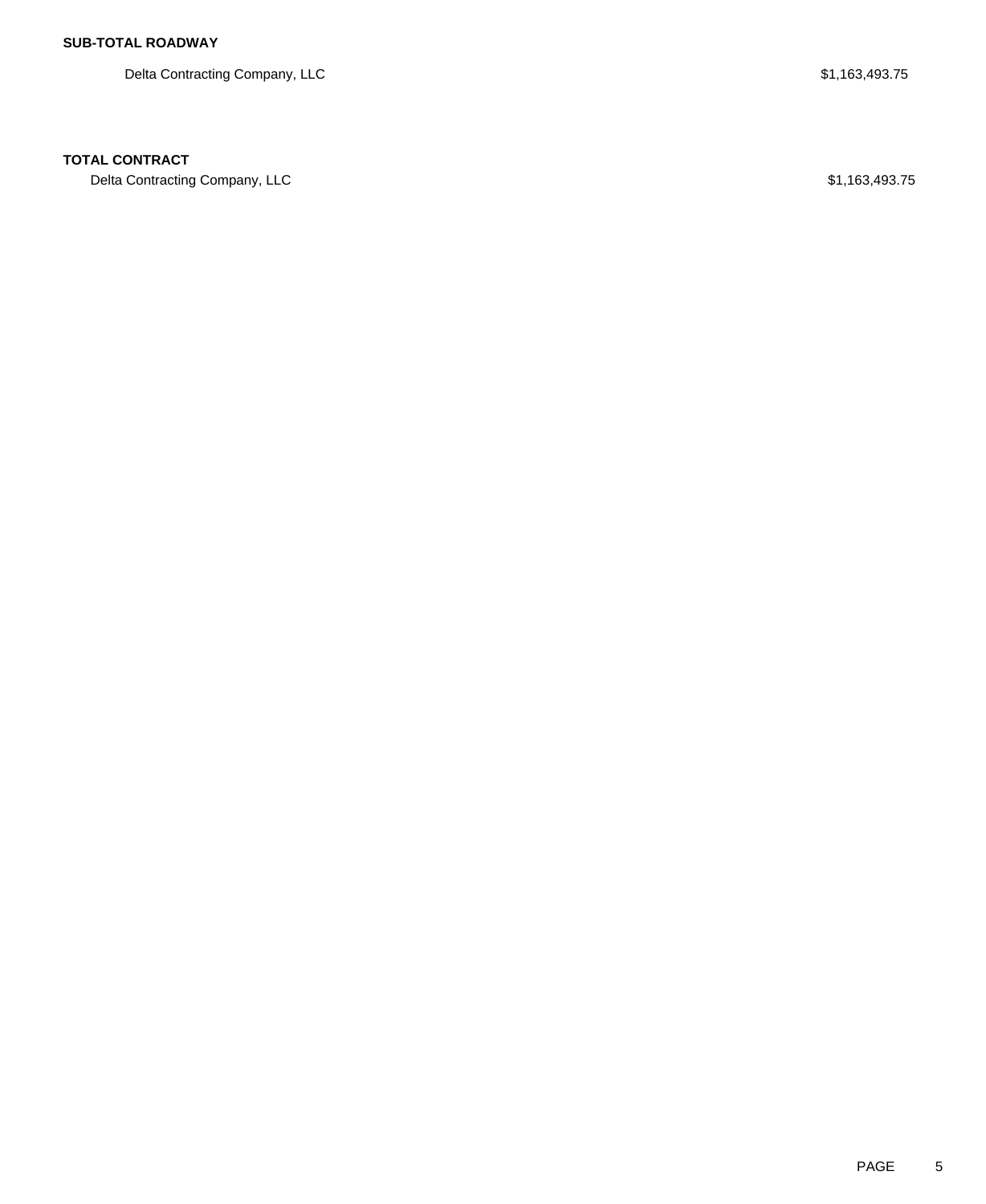Delta Contracting Company, LLC  $$1,163,493.75$ 

## **TOTAL CONTRACT**

Delta Contracting Company, LLC \$1,163,493.75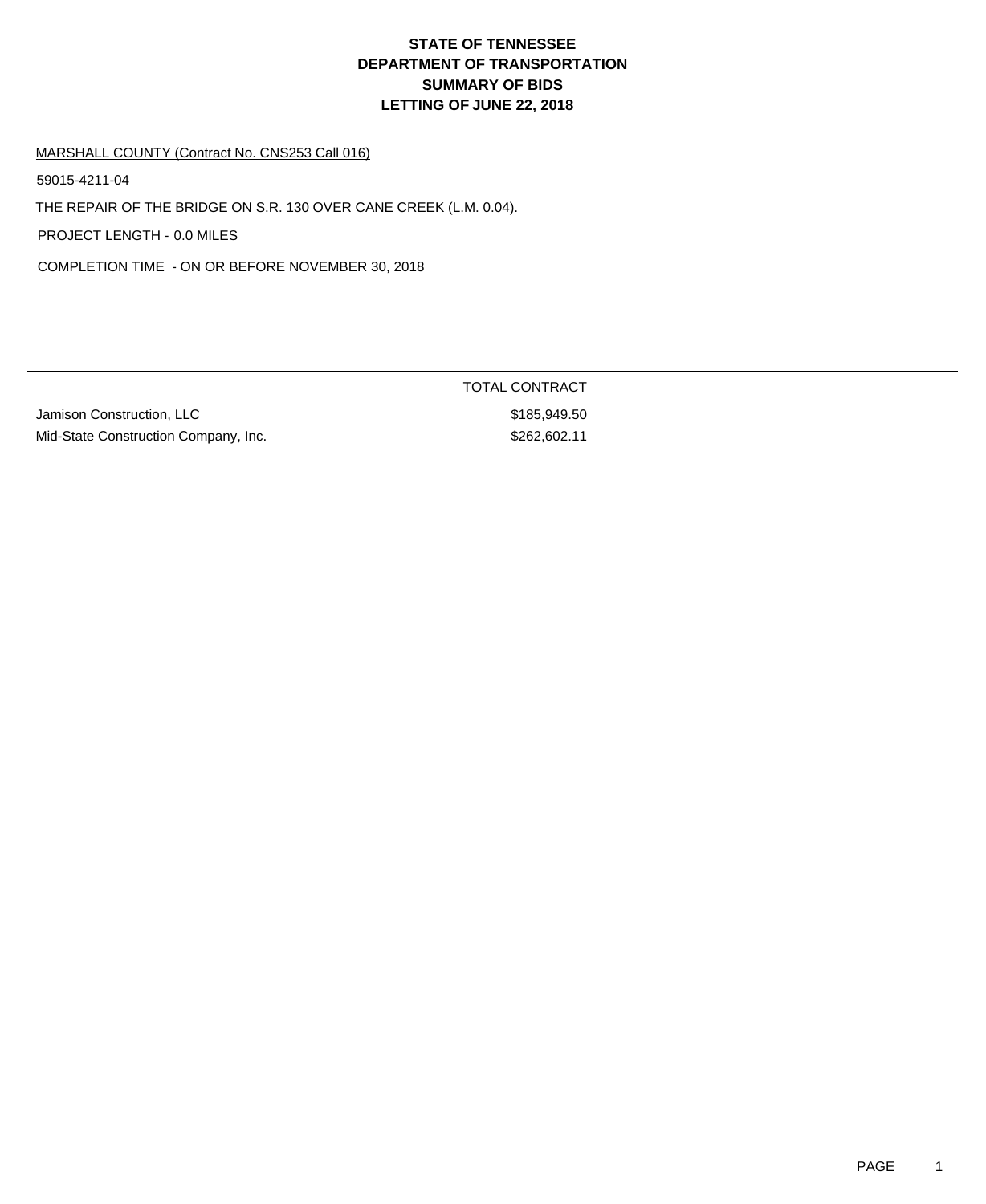MARSHALL COUNTY (Contract No. CNS253 Call 016)

59015-4211-04

THE REPAIR OF THE BRIDGE ON S.R. 130 OVER CANE CREEK (L.M. 0.04).

PROJECT LENGTH - 0.0 MILES

COMPLETION TIME - ON OR BEFORE NOVEMBER 30, 2018

Jamison Construction, LLC \$185,949.50 Mid-State Construction Company, Inc. 602.002.11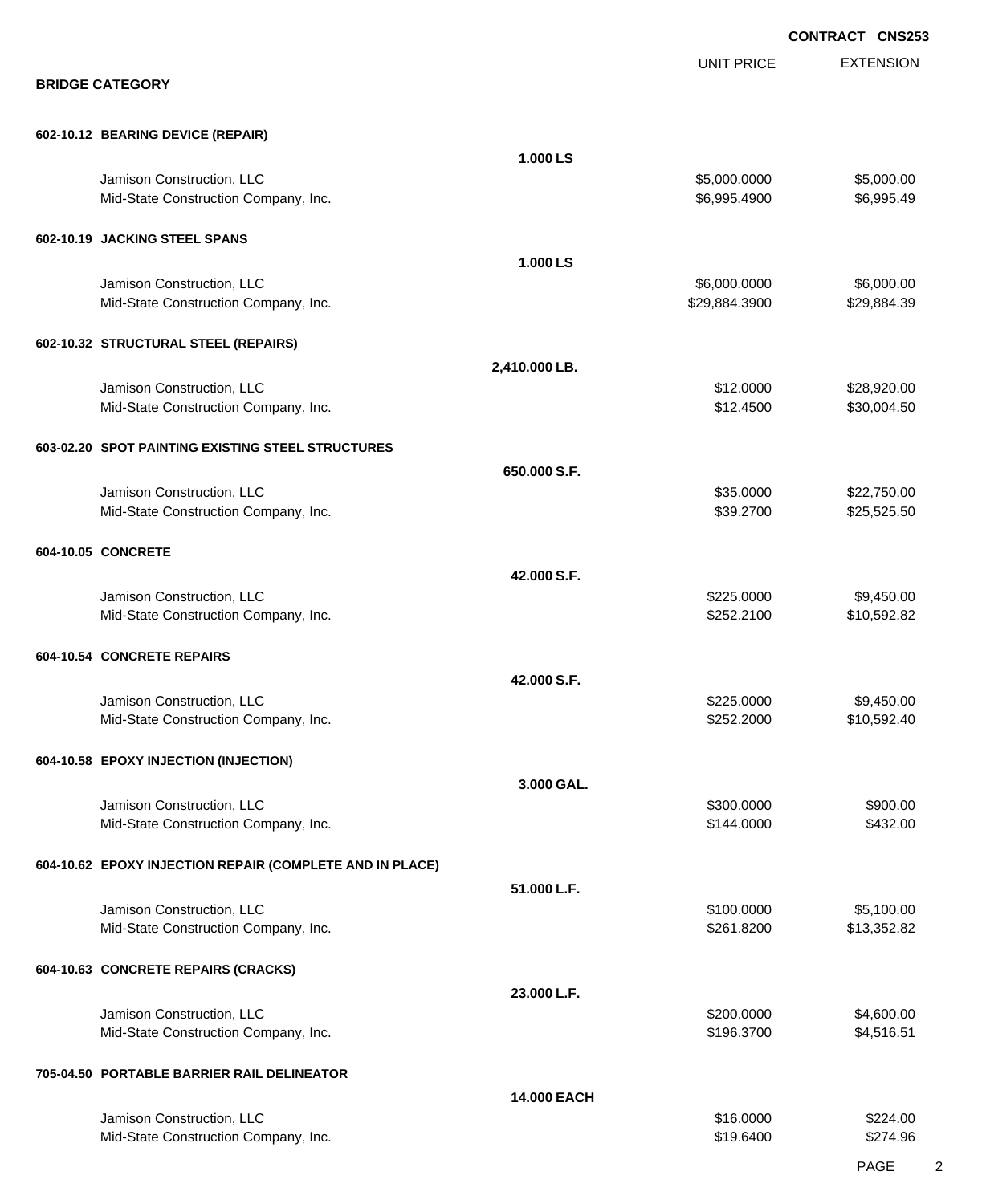|                                                                   |                    |                              | <b>CONTRACT CNS253</b>   |
|-------------------------------------------------------------------|--------------------|------------------------------|--------------------------|
| <b>BRIDGE CATEGORY</b>                                            |                    | <b>UNIT PRICE</b>            | <b>EXTENSION</b>         |
|                                                                   |                    |                              |                          |
| 602-10.12 BEARING DEVICE (REPAIR)                                 |                    |                              |                          |
|                                                                   | 1.000 LS           |                              |                          |
| Jamison Construction, LLC<br>Mid-State Construction Company, Inc. |                    | \$5,000.0000<br>\$6,995.4900 | \$5,000.00<br>\$6,995.49 |
| 602-10.19 JACKING STEEL SPANS                                     |                    |                              |                          |
|                                                                   | 1.000 LS           |                              |                          |
| Jamison Construction, LLC                                         |                    | \$6,000.0000                 | \$6,000.00               |
| Mid-State Construction Company, Inc.                              |                    | \$29,884.3900                | \$29,884.39              |
| 602-10.32 STRUCTURAL STEEL (REPAIRS)                              |                    |                              |                          |
|                                                                   | 2,410.000 LB.      |                              |                          |
| Jamison Construction, LLC                                         |                    | \$12.0000                    | \$28,920.00              |
| Mid-State Construction Company, Inc.                              |                    | \$12.4500                    | \$30,004.50              |
| 603-02.20 SPOT PAINTING EXISTING STEEL STRUCTURES                 |                    |                              |                          |
|                                                                   | 650.000 S.F.       |                              |                          |
| Jamison Construction, LLC                                         |                    | \$35.0000                    | \$22,750.00              |
| Mid-State Construction Company, Inc.                              |                    | \$39.2700                    | \$25,525.50              |
| 604-10.05 CONCRETE                                                |                    |                              |                          |
|                                                                   | 42.000 S.F.        |                              |                          |
| Jamison Construction, LLC                                         |                    | \$225.0000                   | \$9,450.00               |
| Mid-State Construction Company, Inc.                              |                    | \$252.2100                   | \$10,592.82              |
| 604-10.54 CONCRETE REPAIRS                                        |                    |                              |                          |
|                                                                   | 42.000 S.F.        |                              |                          |
| Jamison Construction, LLC                                         |                    | \$225.0000                   | \$9,450.00               |
| Mid-State Construction Company, Inc.                              |                    | \$252.2000                   | \$10,592.40              |
| 604-10.58 EPOXY INJECTION (INJECTION)                             |                    |                              |                          |
|                                                                   | 3.000 GAL.         |                              |                          |
| Jamison Construction, LLC                                         |                    | \$300.0000                   | \$900.00                 |
| Mid-State Construction Company, Inc.                              |                    | \$144.0000                   | \$432.00                 |
| 604-10.62 EPOXY INJECTION REPAIR (COMPLETE AND IN PLACE)          |                    |                              |                          |
|                                                                   | 51.000 L.F.        |                              |                          |
| Jamison Construction, LLC                                         |                    | \$100.0000                   | \$5,100.00               |
| Mid-State Construction Company, Inc.                              |                    | \$261.8200                   | \$13,352.82              |
| 604-10.63 CONCRETE REPAIRS (CRACKS)                               |                    |                              |                          |
|                                                                   | 23.000 L.F.        |                              |                          |
| Jamison Construction, LLC                                         |                    | \$200.0000                   | \$4,600.00               |
| Mid-State Construction Company, Inc.                              |                    | \$196.3700                   | \$4,516.51               |
| 705-04.50 PORTABLE BARRIER RAIL DELINEATOR                        |                    |                              |                          |
|                                                                   | <b>14,000 EACH</b> |                              |                          |
| Jamison Construction, LLC                                         |                    | \$16.0000                    | \$224.00                 |
| Mid-State Construction Company, Inc.                              |                    | \$19.6400                    | \$274.96                 |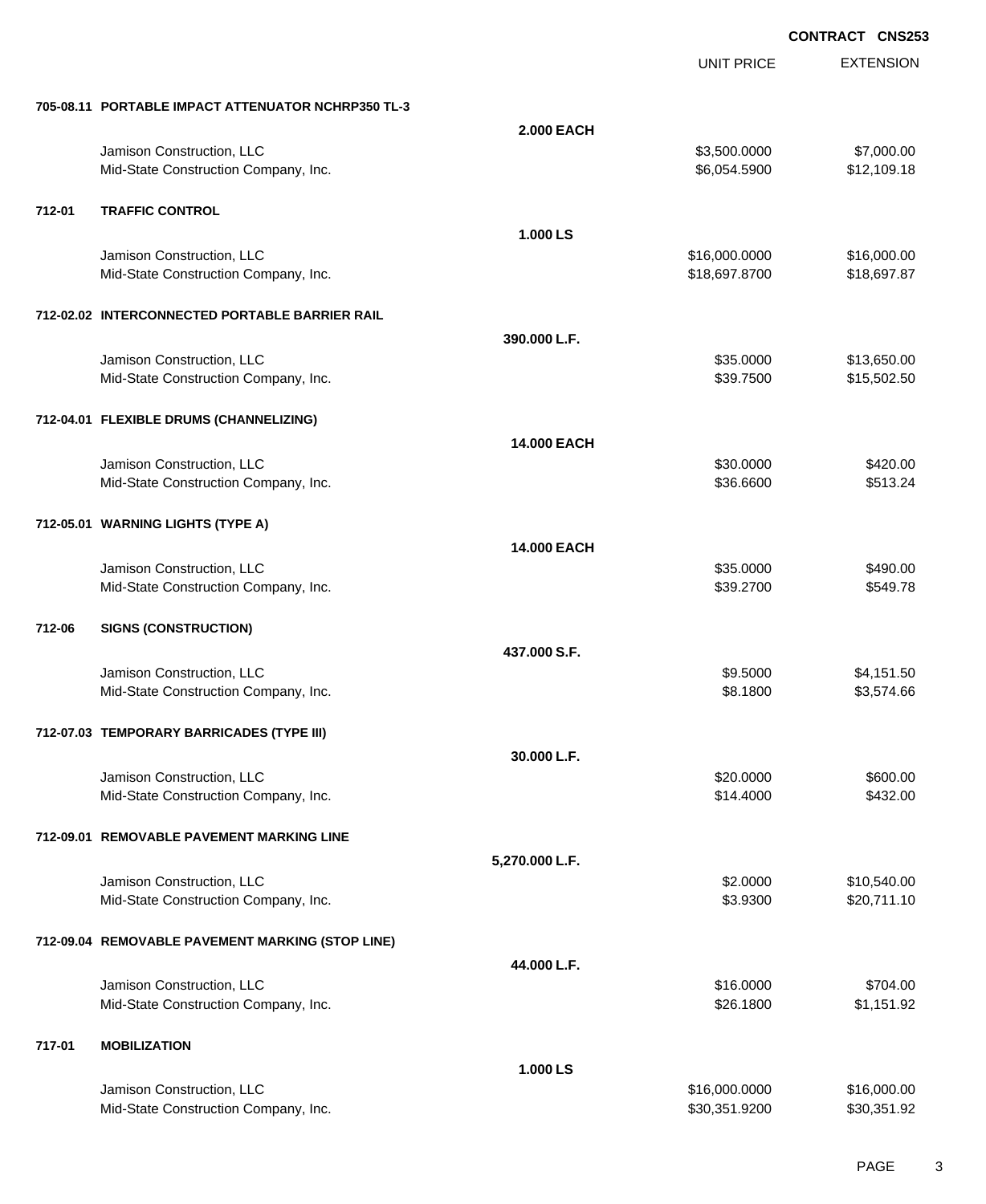|        |                                                                   |                   | <b>UNIT PRICE</b>              | <b>EXTENSION</b>           |
|--------|-------------------------------------------------------------------|-------------------|--------------------------------|----------------------------|
|        | 705-08.11 PORTABLE IMPACT ATTENUATOR NCHRP350 TL-3                |                   |                                |                            |
|        |                                                                   | <b>2.000 EACH</b> |                                |                            |
|        | Jamison Construction, LLC<br>Mid-State Construction Company, Inc. |                   | \$3,500.0000<br>\$6,054.5900   | \$7,000.00<br>\$12,109.18  |
|        |                                                                   |                   |                                |                            |
| 712-01 | <b>TRAFFIC CONTROL</b>                                            |                   |                                |                            |
|        |                                                                   | 1.000 LS          |                                |                            |
|        | Jamison Construction, LLC                                         |                   | \$16,000.0000                  | \$16,000.00                |
|        | Mid-State Construction Company, Inc.                              |                   | \$18,697.8700                  | \$18,697.87                |
|        | 712-02.02 INTERCONNECTED PORTABLE BARRIER RAIL                    |                   |                                |                            |
|        |                                                                   | 390.000 L.F.      |                                |                            |
|        | Jamison Construction, LLC                                         |                   | \$35.0000                      | \$13,650.00                |
|        | Mid-State Construction Company, Inc.                              |                   | \$39.7500                      | \$15,502.50                |
|        | 712-04.01 FLEXIBLE DRUMS (CHANNELIZING)                           |                   |                                |                            |
|        |                                                                   | 14.000 EACH       |                                |                            |
|        | Jamison Construction, LLC                                         |                   | \$30.0000                      | \$420.00                   |
|        | Mid-State Construction Company, Inc.                              |                   | \$36.6600                      | \$513.24                   |
|        | 712-05.01 WARNING LIGHTS (TYPE A)                                 |                   |                                |                            |
|        |                                                                   | 14.000 EACH       |                                |                            |
|        | Jamison Construction, LLC                                         |                   | \$35.0000                      | \$490.00                   |
|        | Mid-State Construction Company, Inc.                              |                   | \$39.2700                      | \$549.78                   |
| 712-06 | <b>SIGNS (CONSTRUCTION)</b>                                       |                   |                                |                            |
|        |                                                                   | 437.000 S.F.      |                                |                            |
|        | Jamison Construction, LLC                                         |                   | \$9.5000                       | \$4,151.50                 |
|        | Mid-State Construction Company, Inc.                              |                   | \$8.1800                       | \$3,574.66                 |
|        | 712-07.03 TEMPORARY BARRICADES (TYPE III)                         |                   |                                |                            |
|        |                                                                   | 30.000 L.F.       |                                |                            |
|        | Jamison Construction, LLC                                         |                   | \$20.0000                      | \$600.00                   |
|        | Mid-State Construction Company, Inc.                              |                   | \$14.4000                      | \$432.00                   |
|        | 712-09.01 REMOVABLE PAVEMENT MARKING LINE                         |                   |                                |                            |
|        |                                                                   | 5,270.000 L.F.    |                                |                            |
|        | Jamison Construction, LLC                                         |                   | \$2.0000                       | \$10,540.00                |
|        | Mid-State Construction Company, Inc.                              |                   | \$3.9300                       | \$20,711.10                |
|        |                                                                   |                   |                                |                            |
|        | 712-09.04 REMOVABLE PAVEMENT MARKING (STOP LINE)                  |                   |                                |                            |
|        |                                                                   | 44.000 L.F.       | \$16.0000                      |                            |
|        | Jamison Construction, LLC<br>Mid-State Construction Company, Inc. |                   | \$26.1800                      | \$704.00<br>\$1,151.92     |
|        |                                                                   |                   |                                |                            |
| 717-01 | <b>MOBILIZATION</b>                                               |                   |                                |                            |
|        |                                                                   | 1.000 LS          |                                |                            |
|        | Jamison Construction, LLC<br>Mid-State Construction Company, Inc. |                   | \$16,000.0000<br>\$30,351.9200 | \$16,000.00<br>\$30,351.92 |
|        |                                                                   |                   |                                |                            |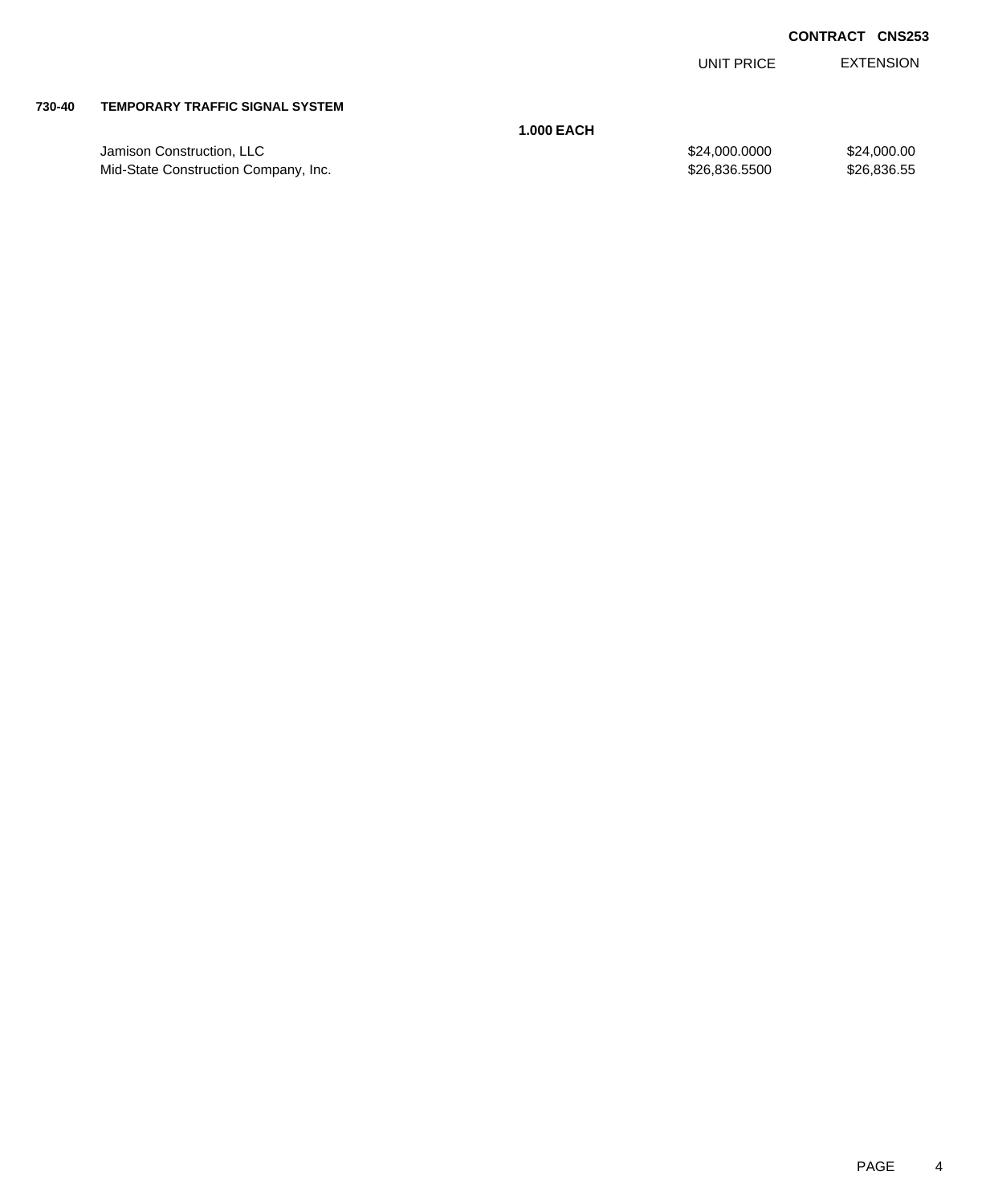EXTENSION UNIT PRICE

#### **730-40 TEMPORARY TRAFFIC SIGNAL SYSTEM**

Jamison Construction, LLC 6000000 \$24,000.000 \$24,000.000 \$24,000.000 Mid-State Construction Company, Inc. 6. The State Construction Company, Inc. \$26,836.5500 \$26,836.5500

**1.000 EACH**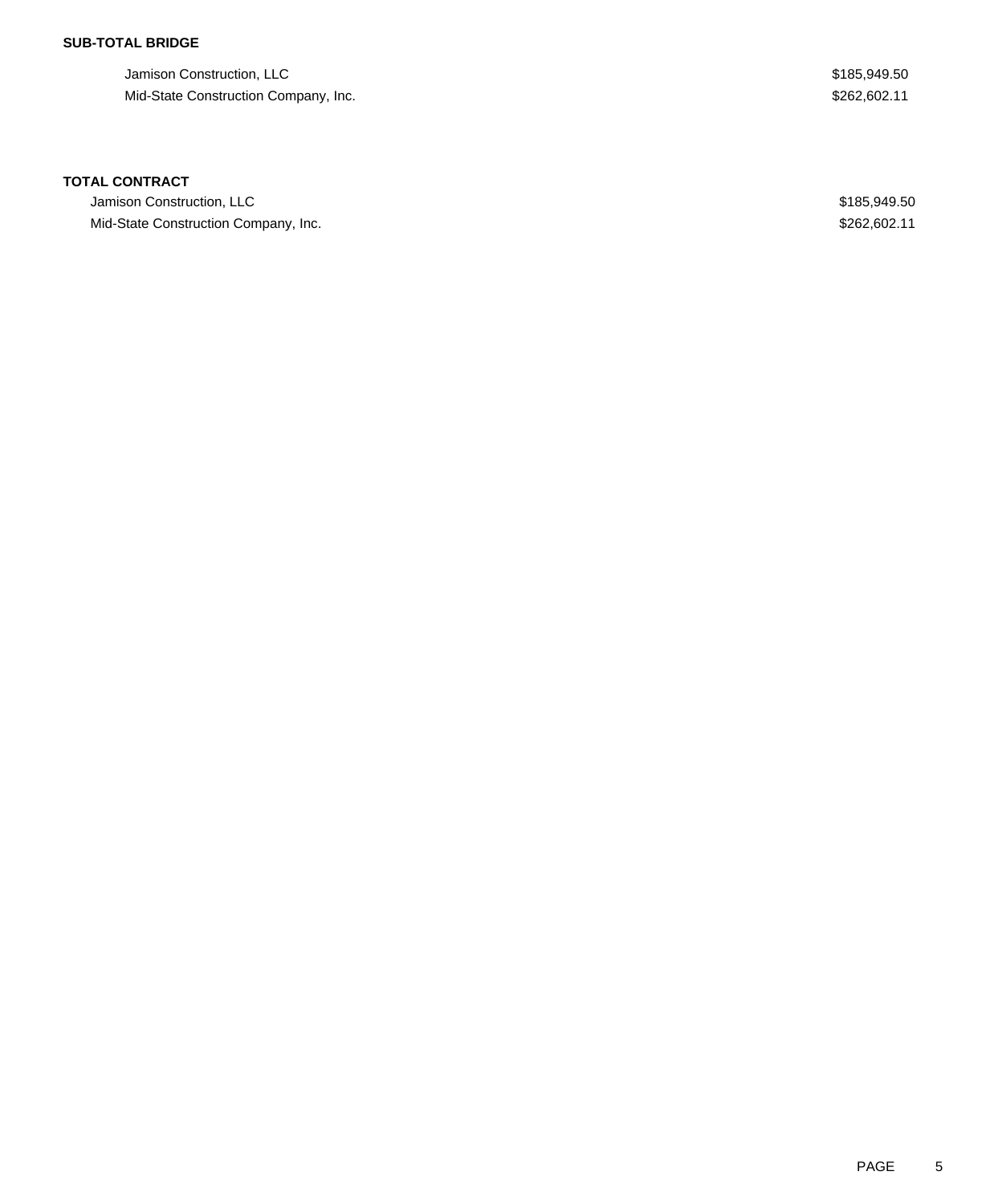### **SUB-TOTAL BRIDGE**

Jamison Construction, LLC  $$185,949.50$ Mid-State Construction Company, Inc. \$262,602.11

#### **TOTAL CONTRACT**

Jamison Construction, LLC  $$185,949.50$ Mid-State Construction Company, Inc. \$262,602.11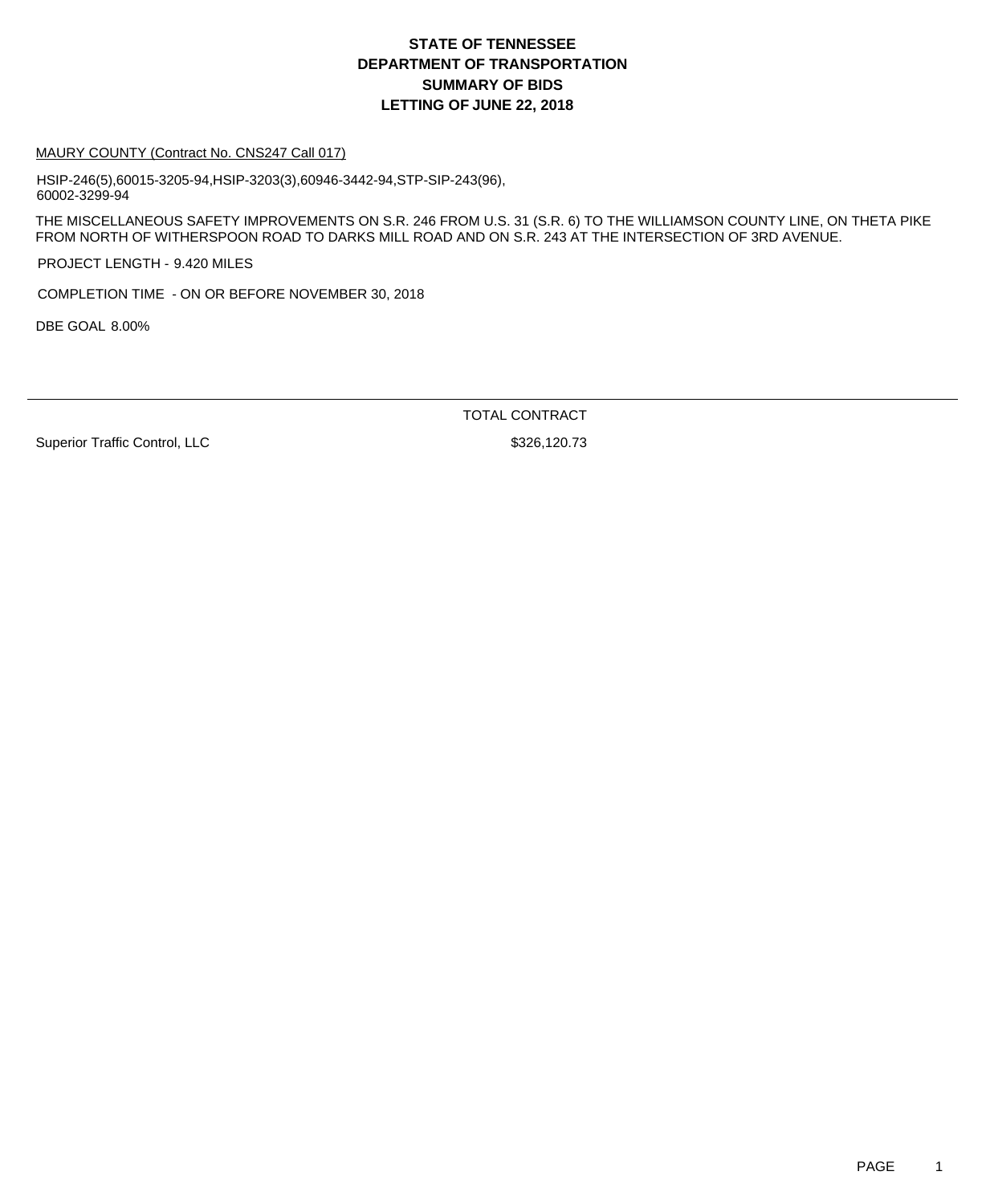#### MAURY COUNTY (Contract No. CNS247 Call 017)

HSIP-246(5),60015-3205-94,HSIP-3203(3),60946-3442-94,STP-SIP-243(96), 60002-3299-94

THE MISCELLANEOUS SAFETY IMPROVEMENTS ON S.R. 246 FROM U.S. 31 (S.R. 6) TO THE WILLIAMSON COUNTY LINE, ON THETA PIKE FROM NORTH OF WITHERSPOON ROAD TO DARKS MILL ROAD AND ON S.R. 243 AT THE INTERSECTION OF 3RD AVENUE.

PROJECT LENGTH - 9.420 MILES

COMPLETION TIME - ON OR BEFORE NOVEMBER 30, 2018

DBE GOAL 8.00%

TOTAL CONTRACT

Superior Traffic Control, LLC \$326,120.73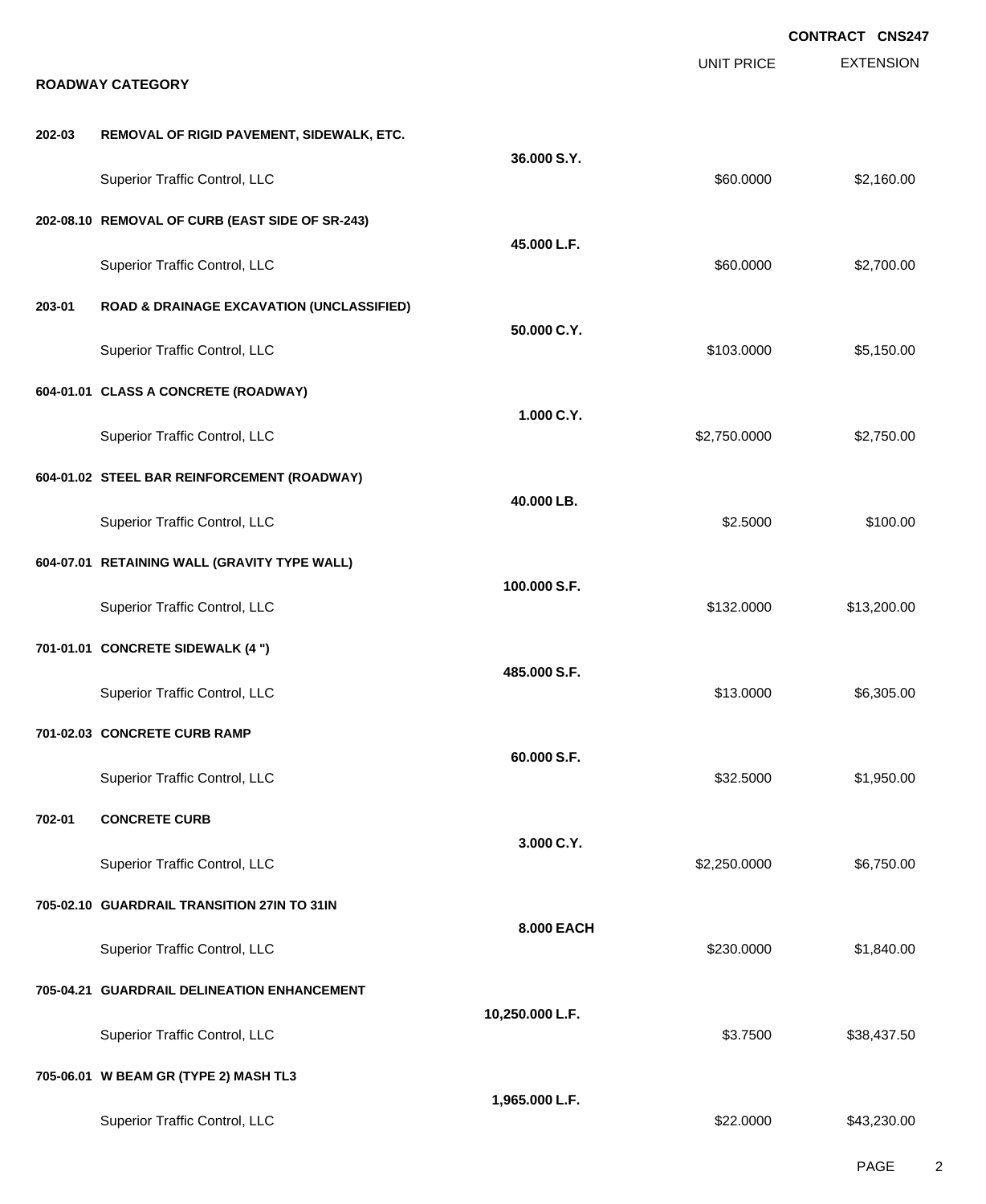|        |                                                      |                 |                   | CONTRACT CNS247  |
|--------|------------------------------------------------------|-----------------|-------------------|------------------|
|        | <b>ROADWAY CATEGORY</b>                              |                 | <b>UNIT PRICE</b> | <b>EXTENSION</b> |
|        |                                                      |                 |                   |                  |
| 202-03 | REMOVAL OF RIGID PAVEMENT, SIDEWALK, ETC.            | 36.000 S.Y.     |                   |                  |
|        | Superior Traffic Control, LLC                        |                 | \$60.0000         | \$2,160.00       |
|        | 202-08.10 REMOVAL OF CURB (EAST SIDE OF SR-243)      |                 |                   |                  |
|        | Superior Traffic Control, LLC                        | 45.000 L.F.     | \$60.0000         | \$2,700.00       |
| 203-01 | <b>ROAD &amp; DRAINAGE EXCAVATION (UNCLASSIFIED)</b> |                 |                   |                  |
|        | Superior Traffic Control, LLC                        | 50.000 C.Y.     | \$103.0000        | \$5,150.00       |
|        | 604-01.01 CLASS A CONCRETE (ROADWAY)                 |                 |                   |                  |
|        | Superior Traffic Control, LLC                        | 1.000 C.Y.      | \$2,750.0000      | \$2,750.00       |
|        | 604-01.02 STEEL BAR REINFORCEMENT (ROADWAY)          |                 |                   |                  |
|        | Superior Traffic Control, LLC                        | 40.000 LB.      | \$2.5000          | \$100.00         |
|        | 604-07.01 RETAINING WALL (GRAVITY TYPE WALL)         |                 |                   |                  |
|        | Superior Traffic Control, LLC                        | 100.000 S.F.    | \$132.0000        | \$13,200.00      |
|        | 701-01.01 CONCRETE SIDEWALK (4 ")                    |                 |                   |                  |
|        | Superior Traffic Control, LLC                        | 485.000 S.F.    | \$13.0000         | \$6,305.00       |
|        | 701-02.03 CONCRETE CURB RAMP                         |                 |                   |                  |
|        | Superior Traffic Control, LLC                        | 60.000 S.F.     | \$32.5000         | \$1,950.00       |
| 702-01 | <b>CONCRETE CURB</b>                                 |                 |                   |                  |
|        | Superior Traffic Control, LLC                        | 3.000 C.Y.      | \$2,250.0000      | \$6,750.00       |
|        | 705-02.10 GUARDRAIL TRANSITION 27IN TO 31IN          |                 |                   |                  |
|        | Superior Traffic Control, LLC                        | 8.000 EACH      | \$230.0000        | \$1,840.00       |
|        | 705-04.21 GUARDRAIL DELINEATION ENHANCEMENT          |                 |                   |                  |
|        | Superior Traffic Control, LLC                        | 10,250.000 L.F. | \$3.7500          | \$38,437.50      |
|        | 705-06.01 W BEAM GR (TYPE 2) MASH TL3                |                 |                   |                  |
|        | Superior Traffic Control, LLC                        | 1,965.000 L.F.  | \$22.0000         | \$43,230.00      |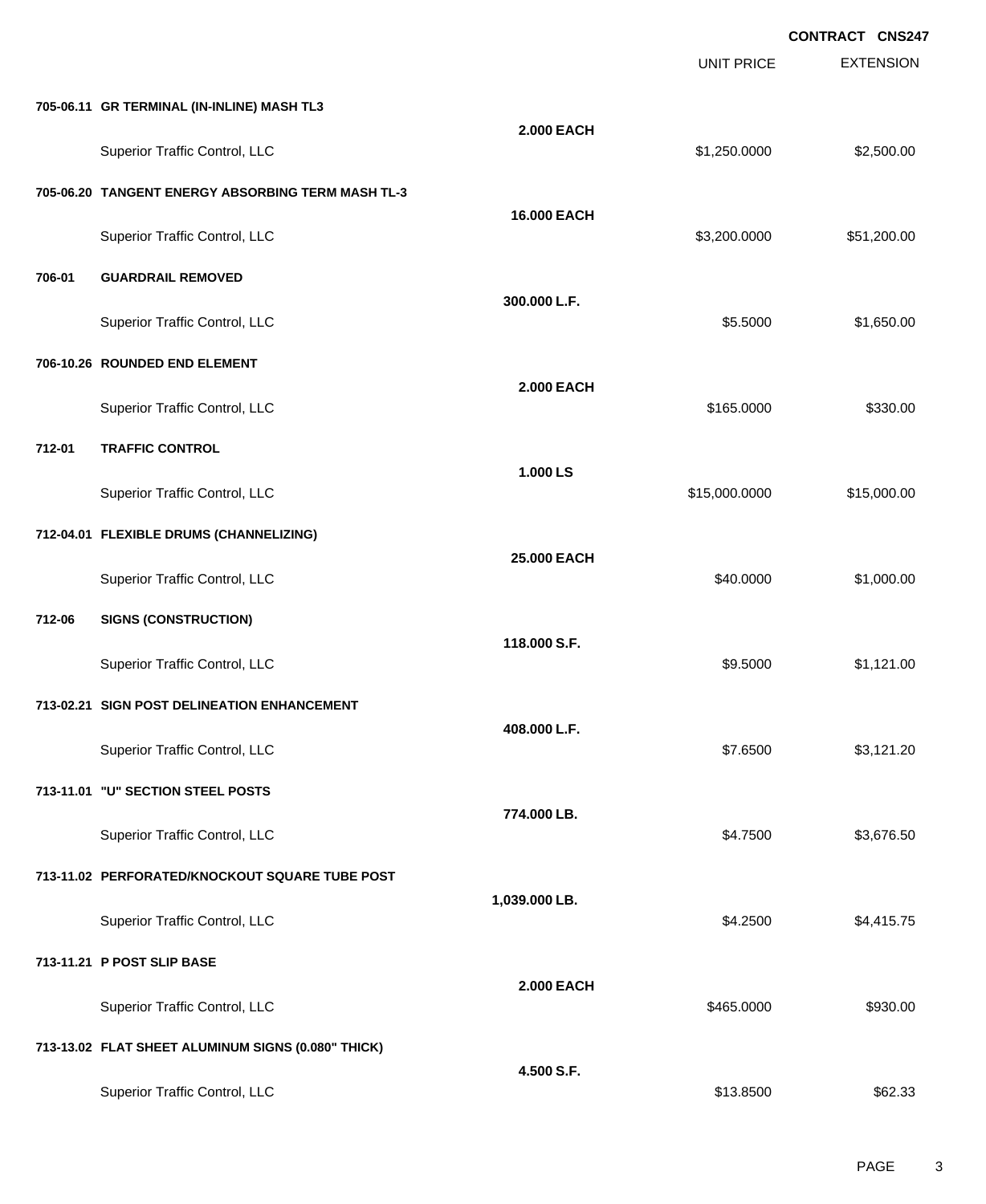|        |                                                    |                   |                   | <b>CONTRACT CNS247</b> |
|--------|----------------------------------------------------|-------------------|-------------------|------------------------|
|        |                                                    |                   | <b>UNIT PRICE</b> | <b>EXTENSION</b>       |
|        | 705-06.11 GR TERMINAL (IN-INLINE) MASH TL3         |                   |                   |                        |
|        | Superior Traffic Control, LLC                      | <b>2.000 EACH</b> | \$1,250.0000      | \$2,500.00             |
|        | 705-06.20 TANGENT ENERGY ABSORBING TERM MASH TL-3  |                   |                   |                        |
|        | Superior Traffic Control, LLC                      | 16.000 EACH       | \$3,200.0000      | \$51,200.00            |
| 706-01 | <b>GUARDRAIL REMOVED</b>                           |                   |                   |                        |
|        | Superior Traffic Control, LLC                      | 300.000 L.F.      | \$5.5000          | \$1,650.00             |
|        | 706-10.26 ROUNDED END ELEMENT                      |                   |                   |                        |
|        | Superior Traffic Control, LLC                      | <b>2.000 EACH</b> | \$165.0000        | \$330.00               |
| 712-01 | <b>TRAFFIC CONTROL</b>                             |                   |                   |                        |
|        | Superior Traffic Control, LLC                      | 1.000 LS          | \$15,000.0000     | \$15,000.00            |
|        | 712-04.01 FLEXIBLE DRUMS (CHANNELIZING)            |                   |                   |                        |
|        | Superior Traffic Control, LLC                      | 25.000 EACH       | \$40.0000         | \$1,000.00             |
| 712-06 | <b>SIGNS (CONSTRUCTION)</b>                        |                   |                   |                        |
|        | Superior Traffic Control, LLC                      | 118.000 S.F.      | \$9.5000          | \$1,121.00             |
|        | 713-02.21 SIGN POST DELINEATION ENHANCEMENT        |                   |                   |                        |
|        | Superior Traffic Control, LLC                      | 408.000 L.F.      | \$7.6500          | \$3,121.20             |
|        | 713-11.01 "U" SECTION STEEL POSTS                  |                   |                   |                        |
|        | Superior Traffic Control, LLC                      | 774.000 LB.       | \$4.7500          | \$3,676.50             |
|        | 713-11.02 PERFORATED/KNOCKOUT SQUARE TUBE POST     |                   |                   |                        |
|        | Superior Traffic Control, LLC                      | 1,039.000 LB.     | \$4.2500          | \$4,415.75             |
|        | 713-11.21 P POST SLIP BASE                         |                   |                   |                        |
|        | Superior Traffic Control, LLC                      | <b>2.000 EACH</b> | \$465.0000        | \$930.00               |
|        | 713-13.02 FLAT SHEET ALUMINUM SIGNS (0.080" THICK) |                   |                   |                        |
|        | Superior Traffic Control, LLC                      | 4.500 S.F.        | \$13.8500         | \$62.33                |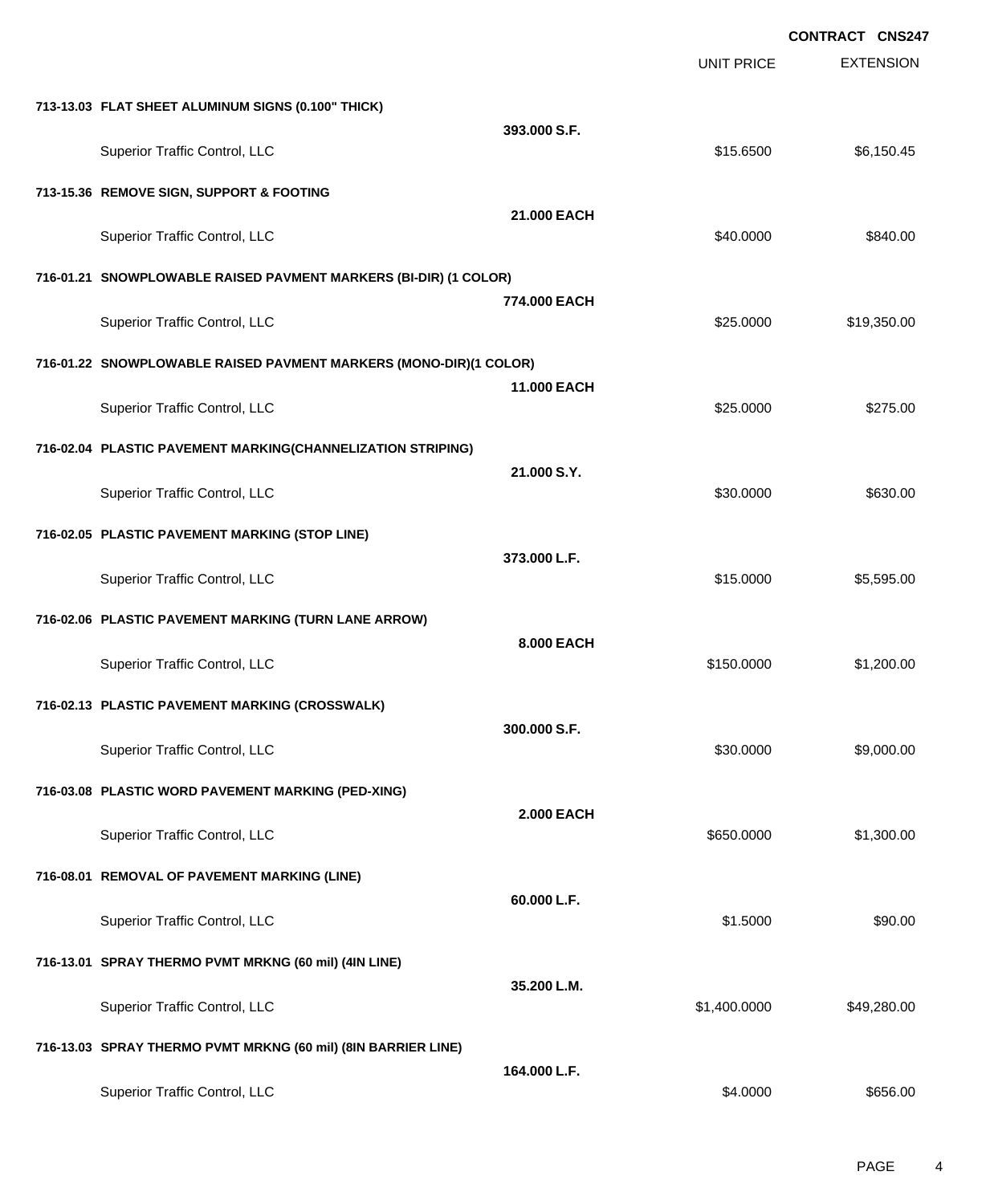|                                                                   |                    |                   | <b>CONTRACT CNS247</b> |
|-------------------------------------------------------------------|--------------------|-------------------|------------------------|
|                                                                   |                    | <b>UNIT PRICE</b> | <b>EXTENSION</b>       |
| 713-13.03 FLAT SHEET ALUMINUM SIGNS (0.100" THICK)                |                    |                   |                        |
| Superior Traffic Control, LLC                                     | 393.000 S.F.       | \$15.6500         | \$6,150.45             |
| 713-15.36 REMOVE SIGN, SUPPORT & FOOTING                          |                    |                   |                        |
| Superior Traffic Control, LLC                                     | 21.000 EACH        | \$40.0000         | \$840.00               |
| 716-01.21 SNOWPLOWABLE RAISED PAVMENT MARKERS (BI-DIR) (1 COLOR)  |                    |                   |                        |
| Superior Traffic Control, LLC                                     | 774,000 EACH       | \$25.0000         | \$19,350.00            |
| 716-01.22 SNOWPLOWABLE RAISED PAVMENT MARKERS (MONO-DIR)(1 COLOR) |                    |                   |                        |
| Superior Traffic Control, LLC                                     | <b>11.000 EACH</b> | \$25.0000         | \$275.00               |
| 716-02.04 PLASTIC PAVEMENT MARKING(CHANNELIZATION STRIPING)       |                    |                   |                        |
| Superior Traffic Control, LLC                                     | 21.000 S.Y.        | \$30.0000         | \$630.00               |
| 716-02.05 PLASTIC PAVEMENT MARKING (STOP LINE)                    |                    |                   |                        |
| Superior Traffic Control, LLC                                     | 373.000 L.F.       | \$15.0000         | \$5,595.00             |
| 716-02.06 PLASTIC PAVEMENT MARKING (TURN LANE ARROW)              |                    |                   |                        |
| Superior Traffic Control, LLC                                     | 8.000 EACH         | \$150.0000        | \$1,200.00             |
| 716-02.13 PLASTIC PAVEMENT MARKING (CROSSWALK)                    |                    |                   |                        |
| Superior Traffic Control, LLC                                     | 300.000 S.F.       | \$30.0000         | \$9,000.00             |
| 716-03.08 PLASTIC WORD PAVEMENT MARKING (PED-XING)                |                    |                   |                        |
| Superior Traffic Control, LLC                                     | <b>2.000 EACH</b>  | \$650.0000        | \$1,300.00             |
| 716-08.01 REMOVAL OF PAVEMENT MARKING (LINE)                      |                    |                   |                        |
| Superior Traffic Control, LLC                                     | 60.000 L.F.        | \$1.5000          | \$90.00                |
| 716-13.01 SPRAY THERMO PVMT MRKNG (60 mil) (4IN LINE)             |                    |                   |                        |
| Superior Traffic Control, LLC                                     | 35.200 L.M.        | \$1,400.0000      | \$49,280.00            |
| 716-13.03 SPRAY THERMO PVMT MRKNG (60 mil) (8IN BARRIER LINE)     |                    |                   |                        |
| Superior Traffic Control, LLC                                     | 164.000 L.F.       | \$4.0000          | \$656.00               |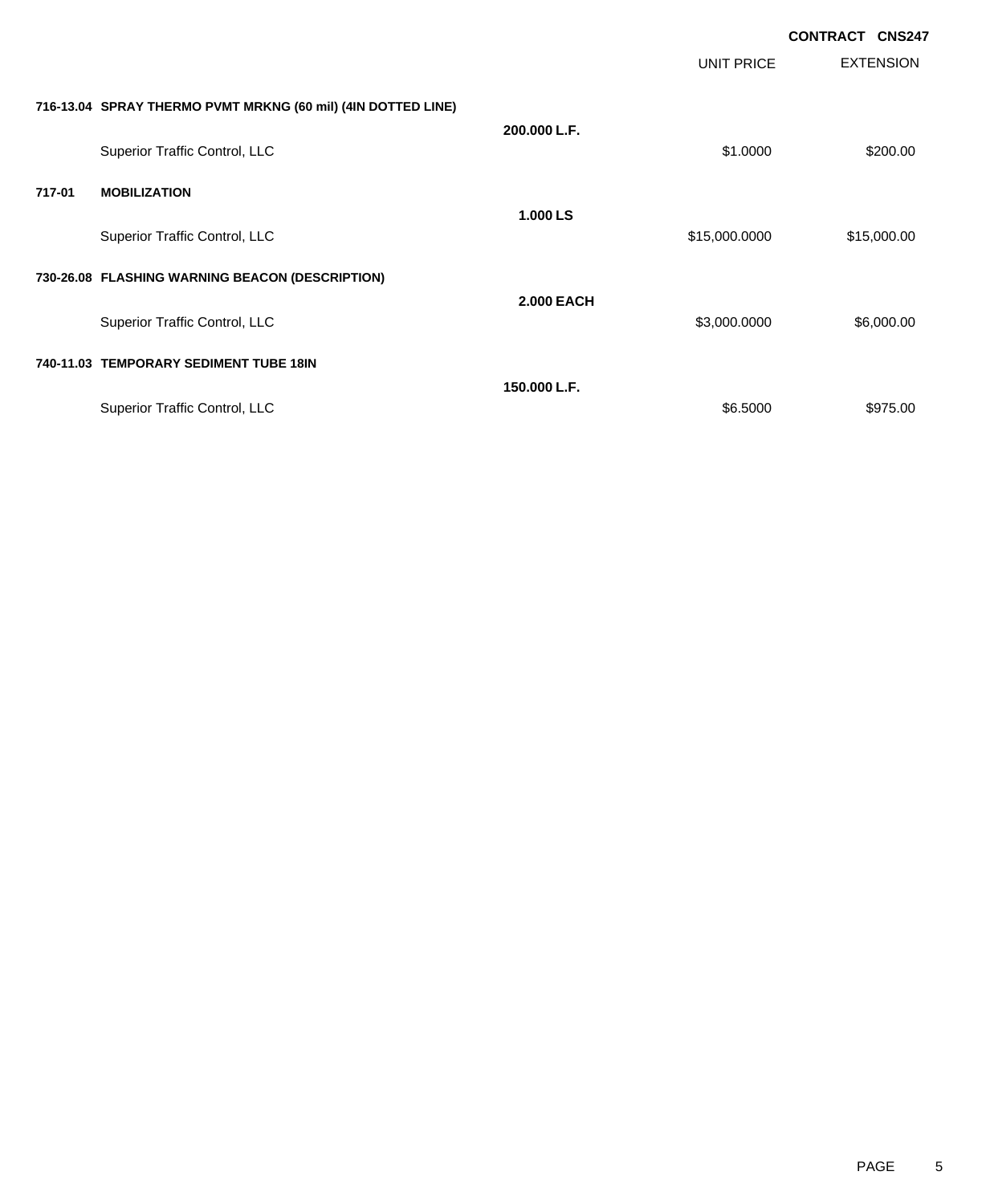|        |                                                              |                   | <b>UNIT PRICE</b> | <b>CONTRACT CNS247</b><br><b>EXTENSION</b> |
|--------|--------------------------------------------------------------|-------------------|-------------------|--------------------------------------------|
|        | 716-13.04 SPRAY THERMO PVMT MRKNG (60 mil) (4IN DOTTED LINE) |                   |                   |                                            |
|        | Superior Traffic Control, LLC                                | 200.000 L.F.      | \$1.0000          | \$200.00                                   |
| 717-01 | <b>MOBILIZATION</b>                                          |                   |                   |                                            |
|        | Superior Traffic Control, LLC                                | 1.000 LS          | \$15,000.0000     | \$15,000.00                                |
|        | 730-26.08 FLASHING WARNING BEACON (DESCRIPTION)              |                   |                   |                                            |
|        | Superior Traffic Control, LLC                                | <b>2.000 EACH</b> | \$3,000.0000      | \$6,000.00                                 |
|        | 740-11.03 TEMPORARY SEDIMENT TUBE 18IN                       |                   |                   |                                            |
|        | Superior Traffic Control, LLC                                | 150.000 L.F.      | \$6.5000          | \$975.00                                   |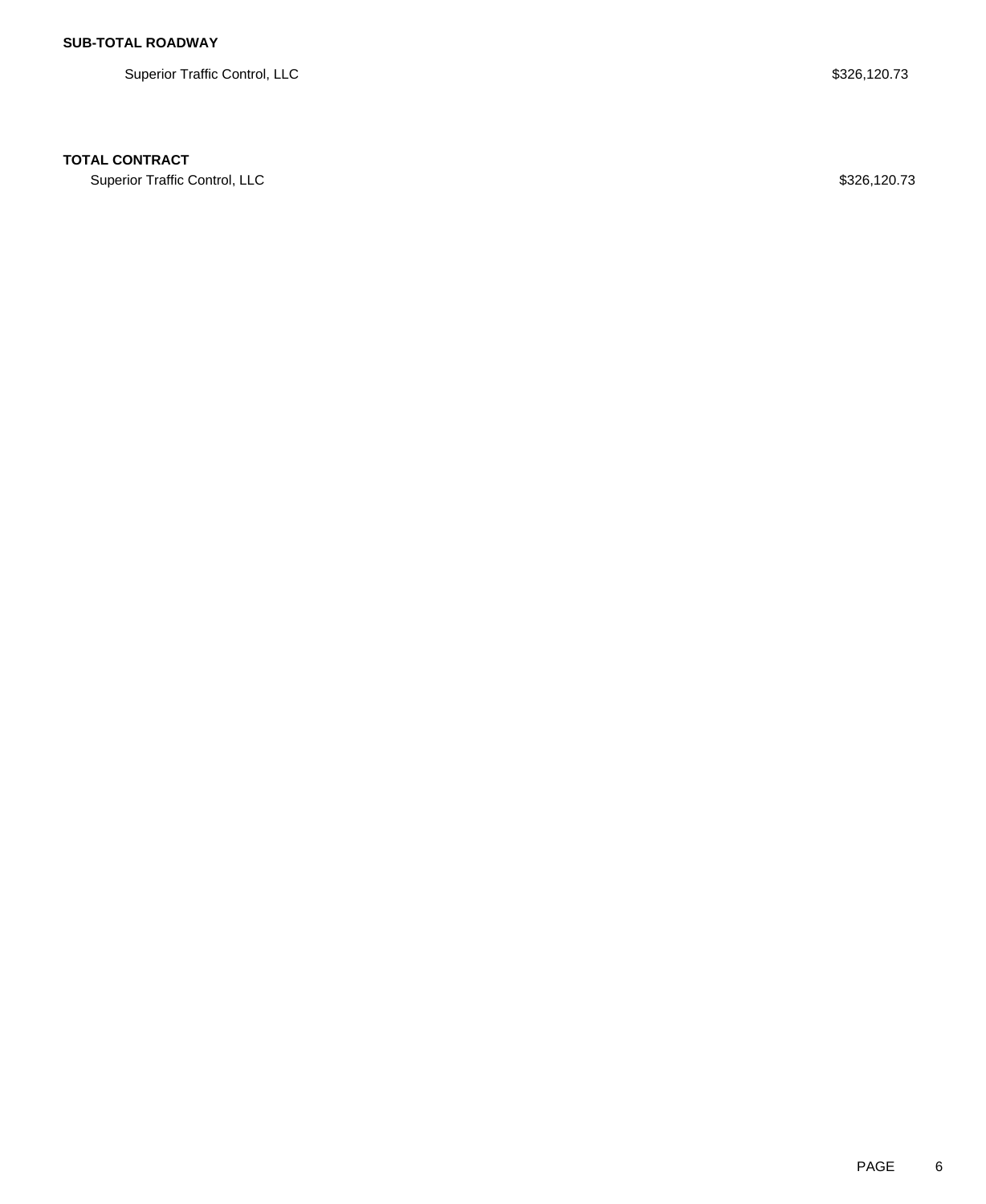Superior Traffic Control, LLC \$326,120.73

### **TOTAL CONTRACT**

Superior Traffic Control, LLC \$326,120.73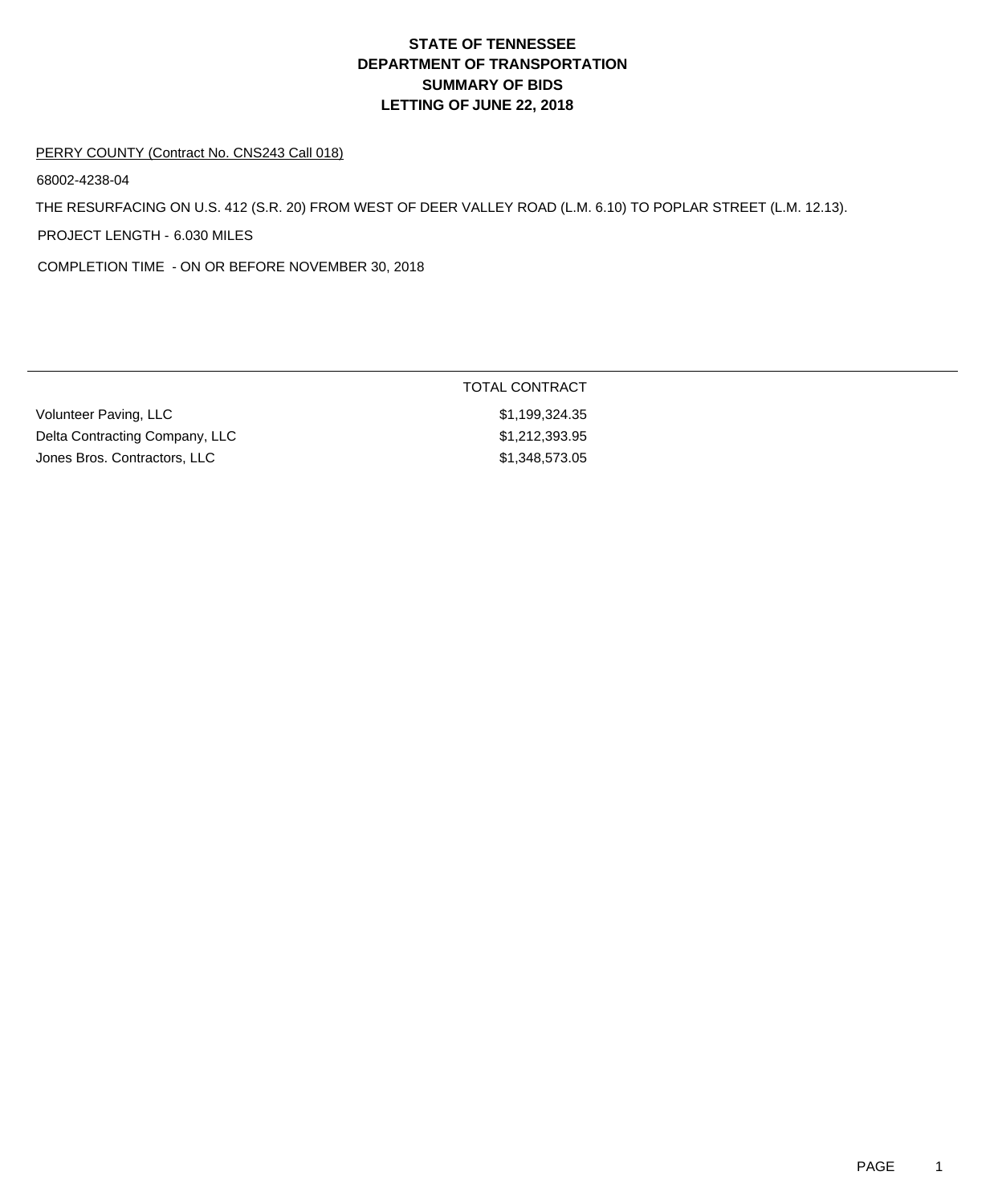#### PERRY COUNTY (Contract No. CNS243 Call 018)

68002-4238-04

THE RESURFACING ON U.S. 412 (S.R. 20) FROM WEST OF DEER VALLEY ROAD (L.M. 6.10) TO POPLAR STREET (L.M. 12.13).

PROJECT LENGTH - 6.030 MILES

COMPLETION TIME - ON OR BEFORE NOVEMBER 30, 2018

|                                | TOTAL CONTRACT |
|--------------------------------|----------------|
| Volunteer Paving, LLC          | \$1,199,324.35 |
| Delta Contracting Company, LLC | \$1,212,393.95 |
| Jones Bros. Contractors, LLC   | \$1,348,573.05 |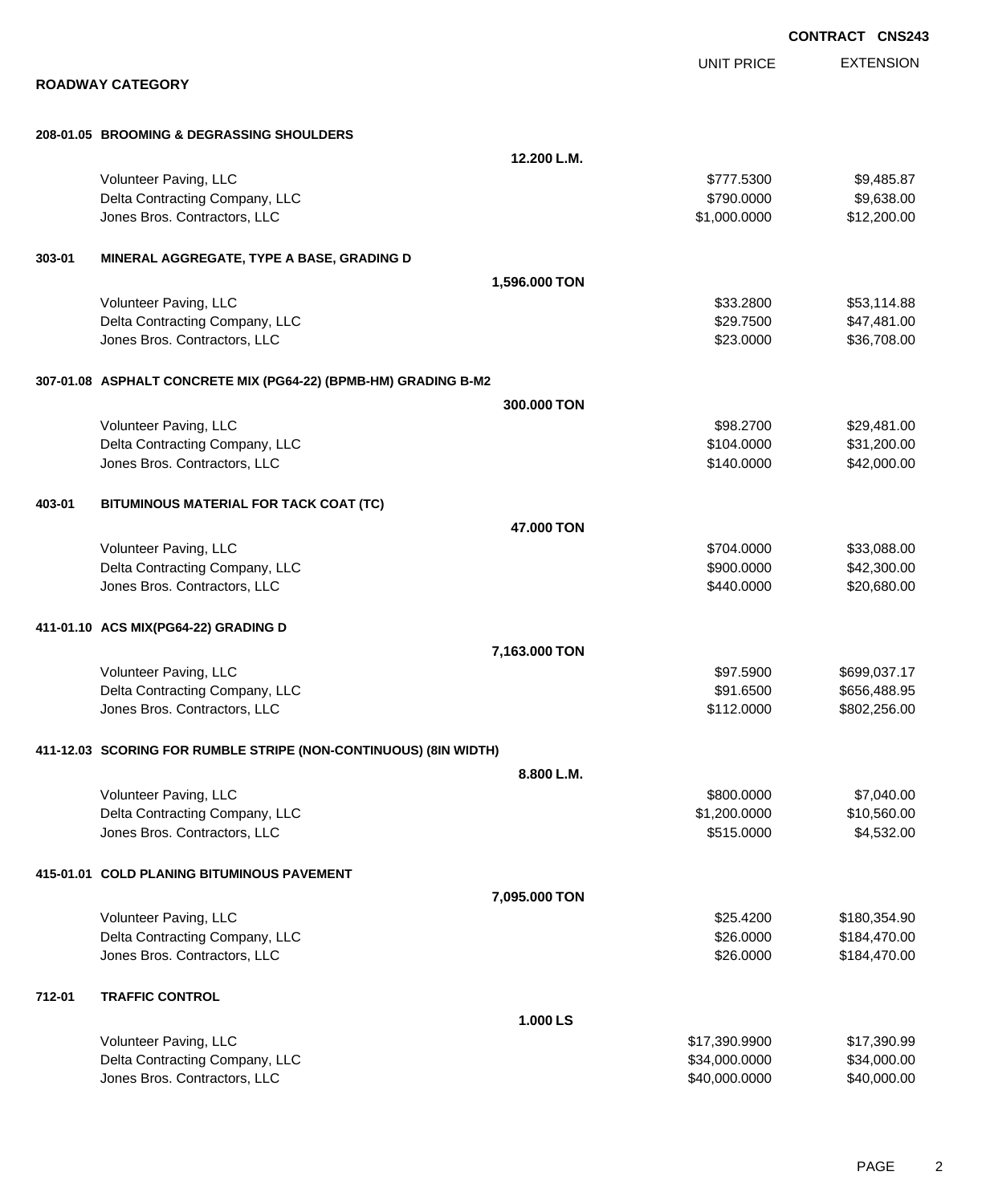|        |                                                                  |               |                   | <b>CONIRACI CNS24</b> |
|--------|------------------------------------------------------------------|---------------|-------------------|-----------------------|
|        |                                                                  |               | <b>UNIT PRICE</b> | <b>EXTENSION</b>      |
|        | <b>ROADWAY CATEGORY</b>                                          |               |                   |                       |
|        | 208-01.05 BROOMING & DEGRASSING SHOULDERS                        |               |                   |                       |
|        |                                                                  | 12.200 L.M.   |                   |                       |
|        | Volunteer Paving, LLC                                            |               | \$777.5300        | \$9,485.87            |
|        | Delta Contracting Company, LLC                                   |               | \$790.0000        | \$9,638.00            |
|        | Jones Bros. Contractors, LLC                                     |               | \$1,000.0000      | \$12,200.00           |
| 303-01 | MINERAL AGGREGATE, TYPE A BASE, GRADING D                        |               |                   |                       |
|        |                                                                  | 1,596.000 TON |                   |                       |
|        | Volunteer Paving, LLC                                            |               | \$33.2800         | \$53,114.88           |
|        | Delta Contracting Company, LLC                                   |               | \$29.7500         | \$47,481.00           |
|        | Jones Bros. Contractors, LLC                                     |               | \$23.0000         | \$36,708.00           |
|        | 307-01.08 ASPHALT CONCRETE MIX (PG64-22) (BPMB-HM) GRADING B-M2  |               |                   |                       |
|        |                                                                  | 300.000 TON   |                   |                       |
|        | Volunteer Paving, LLC                                            |               | \$98.2700         | \$29,481.00           |
|        | Delta Contracting Company, LLC                                   |               | \$104.0000        | \$31,200.00           |
|        | Jones Bros. Contractors, LLC                                     |               | \$140.0000        | \$42,000.00           |
| 403-01 | BITUMINOUS MATERIAL FOR TACK COAT (TC)                           |               |                   |                       |
|        |                                                                  | 47.000 TON    |                   |                       |
|        | Volunteer Paving, LLC                                            |               | \$704.0000        | \$33,088.00           |
|        | Delta Contracting Company, LLC                                   |               | \$900.0000        | \$42,300.00           |
|        | Jones Bros. Contractors, LLC                                     |               | \$440.0000        | \$20,680.00           |
|        | 411-01.10 ACS MIX(PG64-22) GRADING D                             |               |                   |                       |
|        |                                                                  | 7,163.000 TON |                   |                       |
|        | Volunteer Paving, LLC                                            |               | \$97.5900         | \$699,037.17          |
|        | Delta Contracting Company, LLC                                   |               | \$91.6500         | \$656,488.95          |
|        | Jones Bros. Contractors, LLC                                     |               | \$112.0000        | \$802,256.00          |
|        | 411-12.03 SCORING FOR RUMBLE STRIPE (NON-CONTINUOUS) (8IN WIDTH) |               |                   |                       |
|        |                                                                  | 8.800 L.M.    |                   |                       |
|        | Volunteer Paving, LLC                                            |               | \$800.0000        | \$7,040.00            |
|        | Delta Contracting Company, LLC                                   |               | \$1,200.0000      | \$10,560.00           |
|        | Jones Bros. Contractors, LLC                                     |               | \$515.0000        | \$4,532.00            |
|        | 415-01.01 COLD PLANING BITUMINOUS PAVEMENT                       |               |                   |                       |
|        |                                                                  | 7,095.000 TON |                   |                       |
|        | Volunteer Paving, LLC                                            |               | \$25.4200         | \$180,354.90          |
|        | Delta Contracting Company, LLC                                   |               | \$26.0000         | \$184,470.00          |
|        | Jones Bros. Contractors, LLC                                     |               | \$26.0000         | \$184,470.00          |
| 712-01 | <b>TRAFFIC CONTROL</b>                                           |               |                   |                       |
|        |                                                                  | 1.000 LS      |                   |                       |
|        | Volunteer Paving, LLC                                            |               | \$17,390.9900     | \$17,390.99           |
|        | Delta Contracting Company, LLC                                   |               | \$34,000.0000     | \$34,000.00           |

Jones Bros. Contractors, LLC \$40,000.0000 \$40,000.00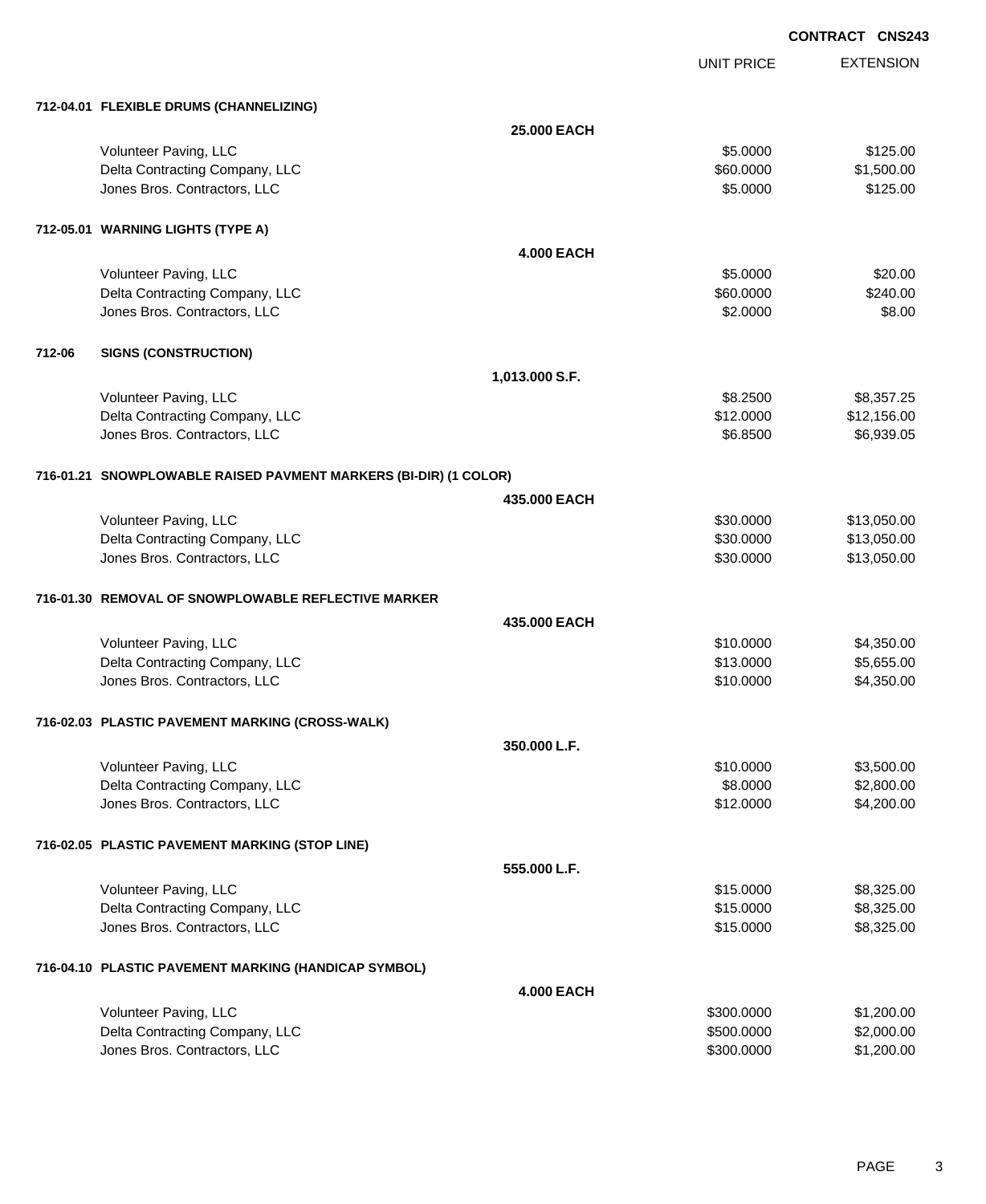UNIT PRICE

EXTENSION

|        | 712-04.01 FLEXIBLE DRUMS (CHANNELIZING)                          |                   |            |             |
|--------|------------------------------------------------------------------|-------------------|------------|-------------|
|        |                                                                  | 25.000 EACH       |            |             |
|        | Volunteer Paving, LLC                                            |                   | \$5.0000   | \$125.00    |
|        | Delta Contracting Company, LLC                                   |                   | \$60.0000  | \$1,500.00  |
|        | Jones Bros. Contractors, LLC                                     |                   | \$5.0000   | \$125.00    |
|        |                                                                  |                   |            |             |
|        | 712-05.01 WARNING LIGHTS (TYPE A)                                |                   |            |             |
|        |                                                                  | <b>4.000 EACH</b> |            |             |
|        | Volunteer Paving, LLC                                            |                   | \$5.0000   | \$20.00     |
|        | Delta Contracting Company, LLC                                   |                   | \$60.0000  | \$240.00    |
|        | Jones Bros. Contractors, LLC                                     |                   | \$2.0000   | \$8.00      |
| 712-06 | <b>SIGNS (CONSTRUCTION)</b>                                      |                   |            |             |
|        |                                                                  | 1,013.000 S.F.    |            |             |
|        | Volunteer Paving, LLC                                            |                   | \$8.2500   | \$8,357.25  |
|        | Delta Contracting Company, LLC                                   |                   | \$12.0000  | \$12,156.00 |
|        | Jones Bros. Contractors, LLC                                     |                   | \$6.8500   | \$6,939.05  |
|        | 716-01.21 SNOWPLOWABLE RAISED PAVMENT MARKERS (BI-DIR) (1 COLOR) |                   |            |             |
|        |                                                                  | 435.000 EACH      |            |             |
|        | Volunteer Paving, LLC                                            |                   | \$30.0000  | \$13,050.00 |
|        | Delta Contracting Company, LLC                                   |                   | \$30.0000  | \$13,050.00 |
|        | Jones Bros. Contractors, LLC                                     |                   | \$30.0000  | \$13,050.00 |
|        | 716-01.30 REMOVAL OF SNOWPLOWABLE REFLECTIVE MARKER              |                   |            |             |
|        |                                                                  | 435.000 EACH      |            |             |
|        | Volunteer Paving, LLC                                            |                   | \$10.0000  | \$4,350.00  |
|        | Delta Contracting Company, LLC                                   |                   | \$13.0000  | \$5,655.00  |
|        | Jones Bros. Contractors, LLC                                     |                   | \$10.0000  | \$4,350.00  |
|        | 716-02.03 PLASTIC PAVEMENT MARKING (CROSS-WALK)                  |                   |            |             |
|        |                                                                  | 350.000 L.F.      |            |             |
|        | Volunteer Paving, LLC                                            |                   | \$10.0000  | \$3,500.00  |
|        | Delta Contracting Company, LLC                                   |                   | \$8.0000   | \$2,800.00  |
|        | Jones Bros. Contractors, LLC                                     |                   | \$12.0000  | \$4,200.00  |
|        | 716-02.05 PLASTIC PAVEMENT MARKING (STOP LINE)                   |                   |            |             |
|        |                                                                  | 555.000 L.F.      |            |             |
|        | Volunteer Paving, LLC                                            |                   | \$15.0000  | \$8,325.00  |
|        | Delta Contracting Company, LLC                                   |                   | \$15.0000  | \$8,325.00  |
|        | Jones Bros. Contractors, LLC                                     |                   | \$15.0000  | \$8,325.00  |
|        | 716-04.10 PLASTIC PAVEMENT MARKING (HANDICAP SYMBOL)             |                   |            |             |
|        |                                                                  | <b>4.000 EACH</b> |            |             |
|        | Volunteer Paving, LLC                                            |                   | \$300.0000 | \$1,200.00  |
|        | Delta Contracting Company, LLC                                   |                   | \$500.0000 | \$2,000.00  |
|        | Jones Bros. Contractors, LLC                                     |                   | \$300.0000 | \$1,200.00  |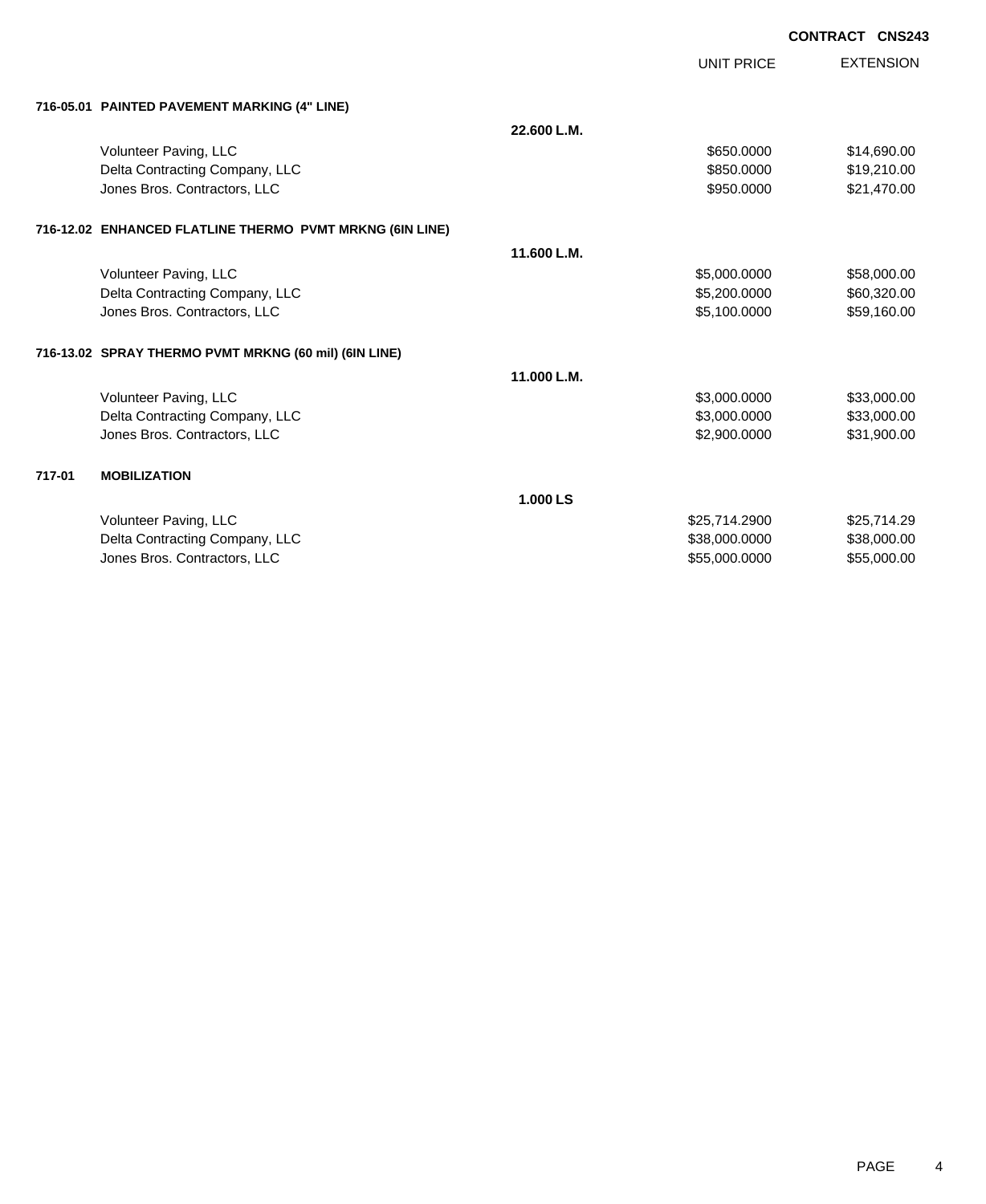UNIT PRICE EXTENSION

| 716-05.01 PAINTED PAVEMENT MARKING (4" LINE) |  |
|----------------------------------------------|--|
|                                              |  |

|        | 716-05.01   PAINTED PAVEMENT MARKING (4" LINE)           |             |               |             |
|--------|----------------------------------------------------------|-------------|---------------|-------------|
|        |                                                          | 22.600 L.M. |               |             |
|        | Volunteer Paving, LLC                                    |             | \$650,0000    | \$14,690.00 |
|        | Delta Contracting Company, LLC                           |             | \$850,0000    | \$19,210.00 |
|        | Jones Bros. Contractors, LLC                             |             | \$950.0000    | \$21,470.00 |
|        | 716-12.02 ENHANCED FLATLINE THERMO PVMT MRKNG (6IN LINE) |             |               |             |
|        |                                                          | 11.600 L.M. |               |             |
|        | Volunteer Paving, LLC                                    |             | \$5,000.0000  | \$58,000.00 |
|        | Delta Contracting Company, LLC                           |             | \$5,200.0000  | \$60,320.00 |
|        | Jones Bros. Contractors, LLC                             |             | \$5,100.0000  | \$59,160.00 |
|        | 716-13.02 SPRAY THERMO PVMT MRKNG (60 mil) (6IN LINE)    |             |               |             |
|        |                                                          | 11.000 L.M. |               |             |
|        | Volunteer Paving, LLC                                    |             | \$3,000.0000  | \$33,000.00 |
|        | Delta Contracting Company, LLC                           |             | \$3,000.0000  | \$33,000.00 |
|        | Jones Bros. Contractors, LLC                             |             | \$2,900.0000  | \$31,900.00 |
| 717-01 | <b>MOBILIZATION</b>                                      |             |               |             |
|        |                                                          | 1.000 LS    |               |             |
|        | Volunteer Paving, LLC                                    |             | \$25,714.2900 | \$25,714.29 |
|        | Delta Contracting Company, LLC                           |             | \$38,000.0000 | \$38,000.00 |
|        | Jones Bros. Contractors, LLC                             |             | \$55,000.0000 | \$55,000.00 |
|        |                                                          |             |               |             |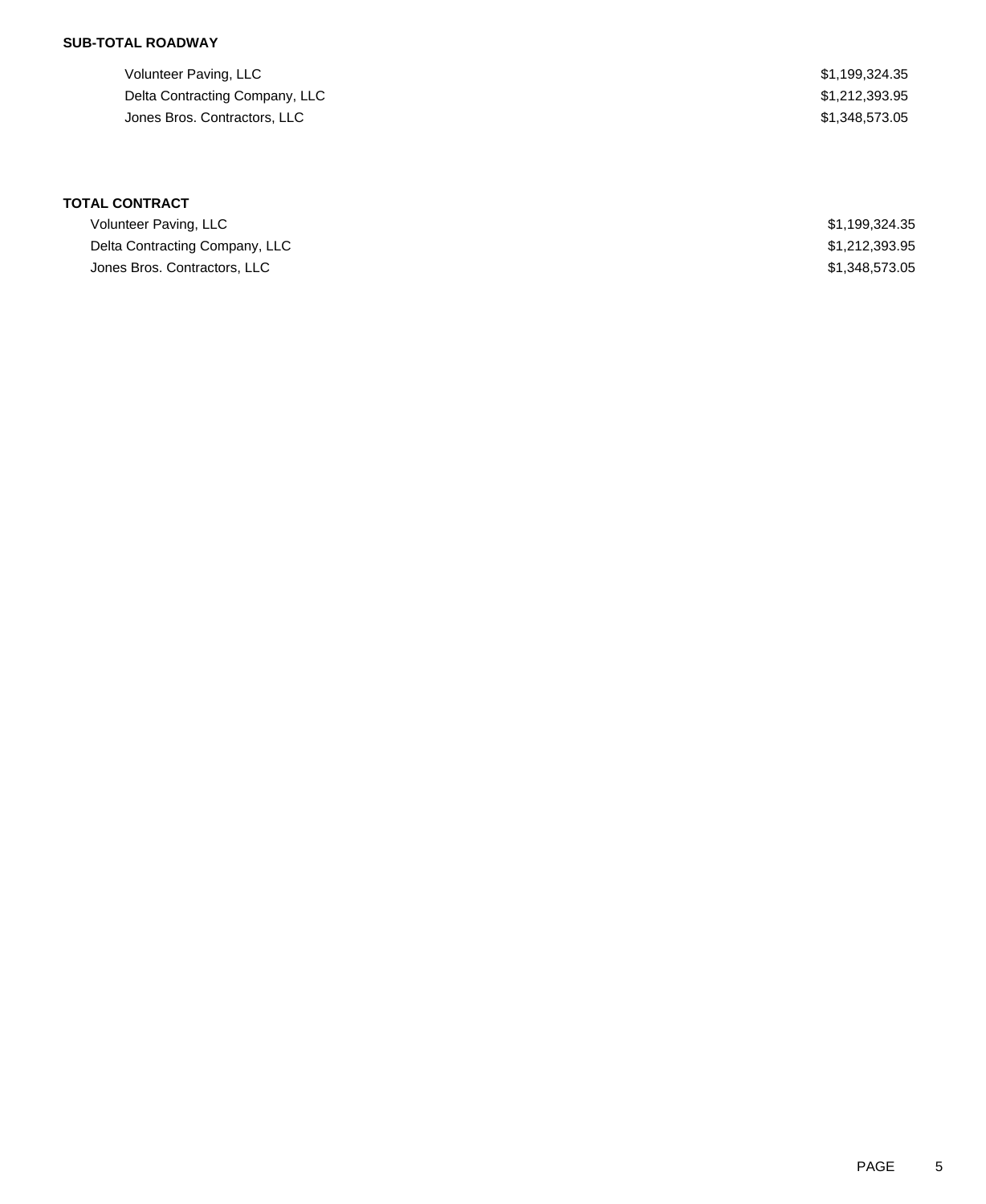### **SUB-TOTAL ROADWAY**

Volunteer Paving, LLC \$1,199,324.35 Delta Contracting Company, LLC  $$1,212,393.95$ Jones Bros. Contractors, LLC \$1,348,573.05

# **TOTAL CONTRACT**

| Volunteer Paving, LLC          | \$1.199.324.35 |
|--------------------------------|----------------|
| Delta Contracting Company, LLC | \$1,212,393.95 |
| Jones Bros. Contractors, LLC   | \$1,348,573,05 |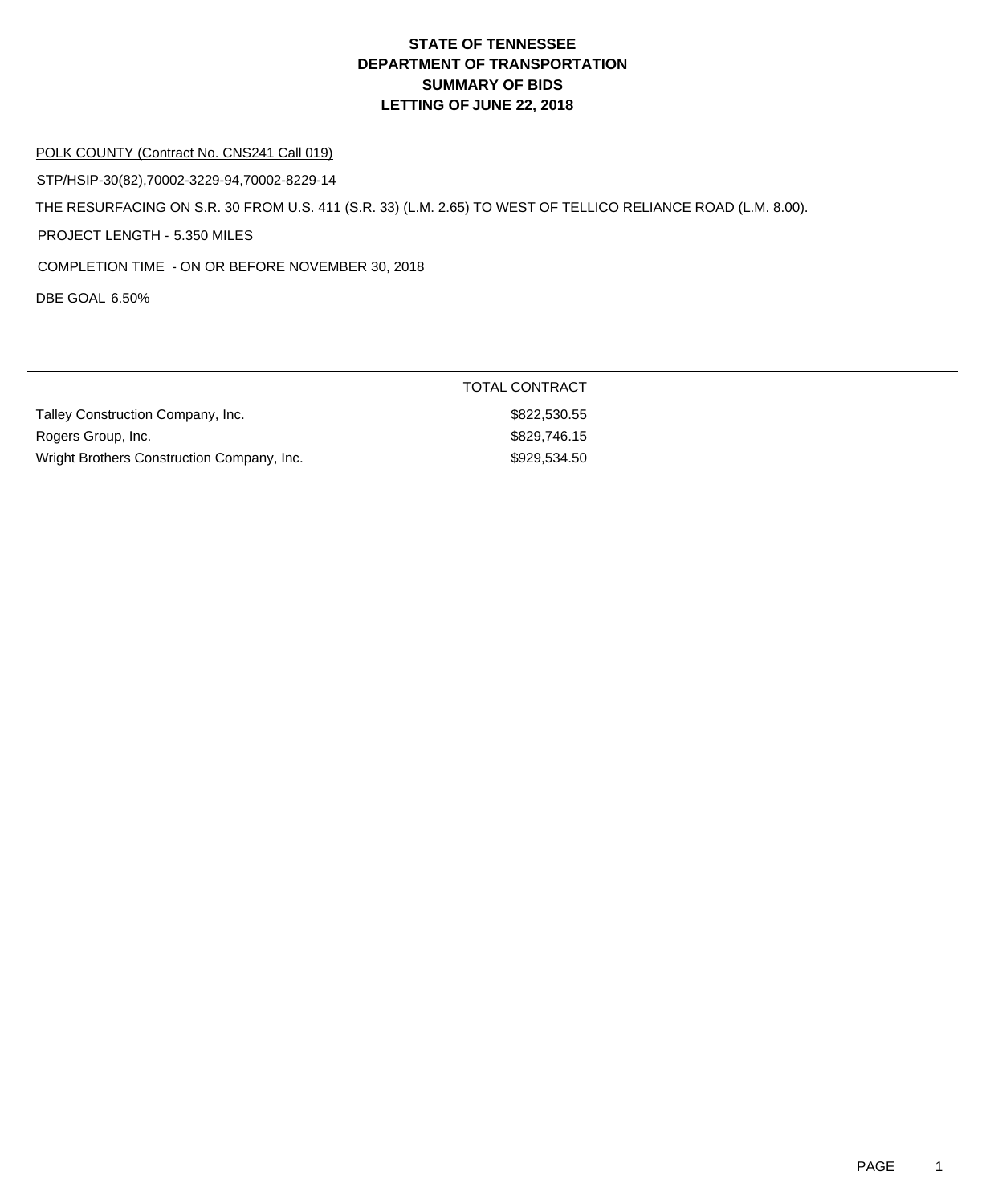#### POLK COUNTY (Contract No. CNS241 Call 019)

STP/HSIP-30(82),70002-3229-94,70002-8229-14

THE RESURFACING ON S.R. 30 FROM U.S. 411 (S.R. 33) (L.M. 2.65) TO WEST OF TELLICO RELIANCE ROAD (L.M. 8.00).

PROJECT LENGTH - 5.350 MILES

COMPLETION TIME - ON OR BEFORE NOVEMBER 30, 2018

DBE GOAL 6.50%

|                                            | TOTAL CONTRACT |
|--------------------------------------------|----------------|
| Talley Construction Company, Inc.          | \$822.530.55   |
| Rogers Group, Inc.                         | \$829.746.15   |
| Wright Brothers Construction Company, Inc. | \$929.534.50   |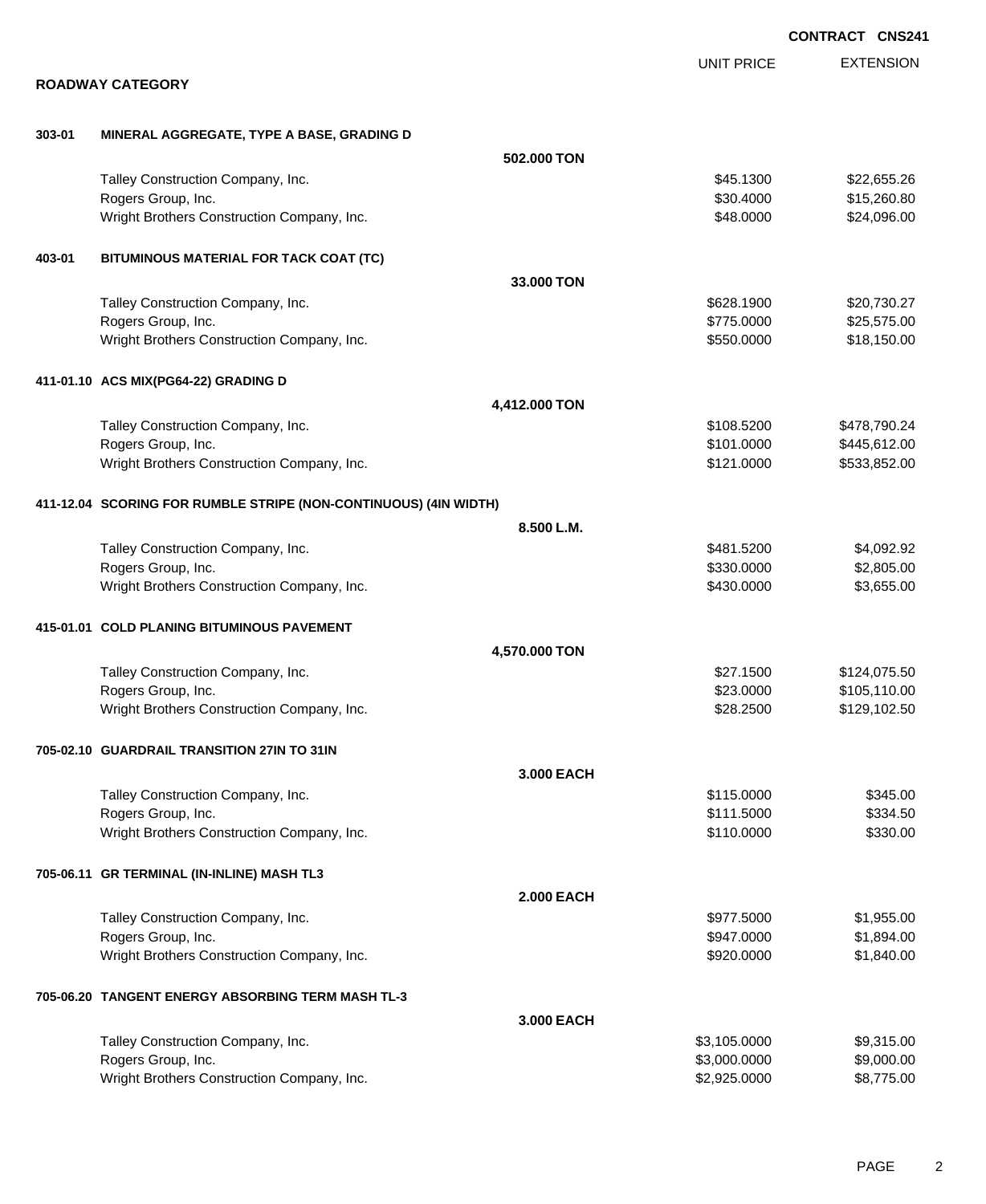|        |                                                                  |                   |                   | <b>CONTRACT CNS241</b> |
|--------|------------------------------------------------------------------|-------------------|-------------------|------------------------|
|        |                                                                  |                   | <b>UNIT PRICE</b> | <b>EXTENSION</b>       |
|        | <b>ROADWAY CATEGORY</b>                                          |                   |                   |                        |
| 303-01 | MINERAL AGGREGATE, TYPE A BASE, GRADING D                        |                   |                   |                        |
|        |                                                                  | 502,000 TON       |                   |                        |
|        | Talley Construction Company, Inc.                                |                   | \$45.1300         | \$22,655.26            |
|        | Rogers Group, Inc.                                               |                   | \$30.4000         | \$15,260.80            |
|        | Wright Brothers Construction Company, Inc.                       |                   | \$48.0000         | \$24,096.00            |
| 403-01 | BITUMINOUS MATERIAL FOR TACK COAT (TC)                           |                   |                   |                        |
|        |                                                                  | 33,000 TON        |                   |                        |
|        | Talley Construction Company, Inc.                                |                   | \$628.1900        | \$20,730.27            |
|        | Rogers Group, Inc.                                               |                   | \$775.0000        | \$25,575.00            |
|        | Wright Brothers Construction Company, Inc.                       |                   | \$550.0000        | \$18,150.00            |
|        | 411-01.10 ACS MIX(PG64-22) GRADING D                             |                   |                   |                        |
|        |                                                                  | 4,412.000 TON     |                   |                        |
|        | Talley Construction Company, Inc.                                |                   | \$108.5200        | \$478,790.24           |
|        | Rogers Group, Inc.                                               |                   | \$101.0000        | \$445,612.00           |
|        | Wright Brothers Construction Company, Inc.                       |                   | \$121.0000        | \$533,852.00           |
|        | 411-12.04 SCORING FOR RUMBLE STRIPE (NON-CONTINUOUS) (4IN WIDTH) |                   |                   |                        |
|        |                                                                  | 8.500 L.M.        |                   |                        |
|        | Talley Construction Company, Inc.                                |                   | \$481.5200        | \$4,092.92             |
|        | Rogers Group, Inc.                                               |                   | \$330.0000        | \$2,805.00             |
|        | Wright Brothers Construction Company, Inc.                       |                   | \$430.0000        | \$3,655.00             |
|        | 415-01.01 COLD PLANING BITUMINOUS PAVEMENT                       |                   |                   |                        |
|        |                                                                  | 4,570.000 TON     |                   |                        |
|        | Talley Construction Company, Inc.                                |                   | \$27.1500         | \$124,075.50           |
|        | Rogers Group, Inc.                                               |                   | \$23.0000         | \$105,110.00           |
|        | Wright Brothers Construction Company, Inc.                       |                   | \$28.2500         | \$129,102.50           |
|        | 705-02.10 GUARDRAIL TRANSITION 27IN TO 31IN                      |                   |                   |                        |
|        |                                                                  | 3.000 EACH        |                   |                        |
|        | Talley Construction Company, Inc.                                |                   | \$115.0000        | \$345.00               |
|        | Rogers Group, Inc.                                               |                   | \$111.5000        | \$334.50               |
|        | Wright Brothers Construction Company, Inc.                       |                   | \$110.0000        | \$330.00               |
|        | 705-06.11 GR TERMINAL (IN-INLINE) MASH TL3                       |                   |                   |                        |
|        |                                                                  | <b>2.000 EACH</b> |                   |                        |
|        | Talley Construction Company, Inc.                                |                   | \$977.5000        | \$1,955.00             |
|        | Rogers Group, Inc.                                               |                   | \$947.0000        | \$1,894.00             |
|        | Wright Brothers Construction Company, Inc.                       |                   | \$920.0000        | \$1,840.00             |
|        | 705-06.20 TANGENT ENERGY ABSORBING TERM MASH TL-3                |                   |                   |                        |
|        |                                                                  | 3.000 EACH        |                   |                        |
|        | Talley Construction Company, Inc.                                |                   | \$3,105.0000      | \$9,315.00             |
|        | Rogers Group, Inc.                                               |                   | \$3,000.0000      | \$9,000.00             |
|        | Wright Brothers Construction Company, Inc.                       |                   | \$2,925.0000      | \$8,775.00             |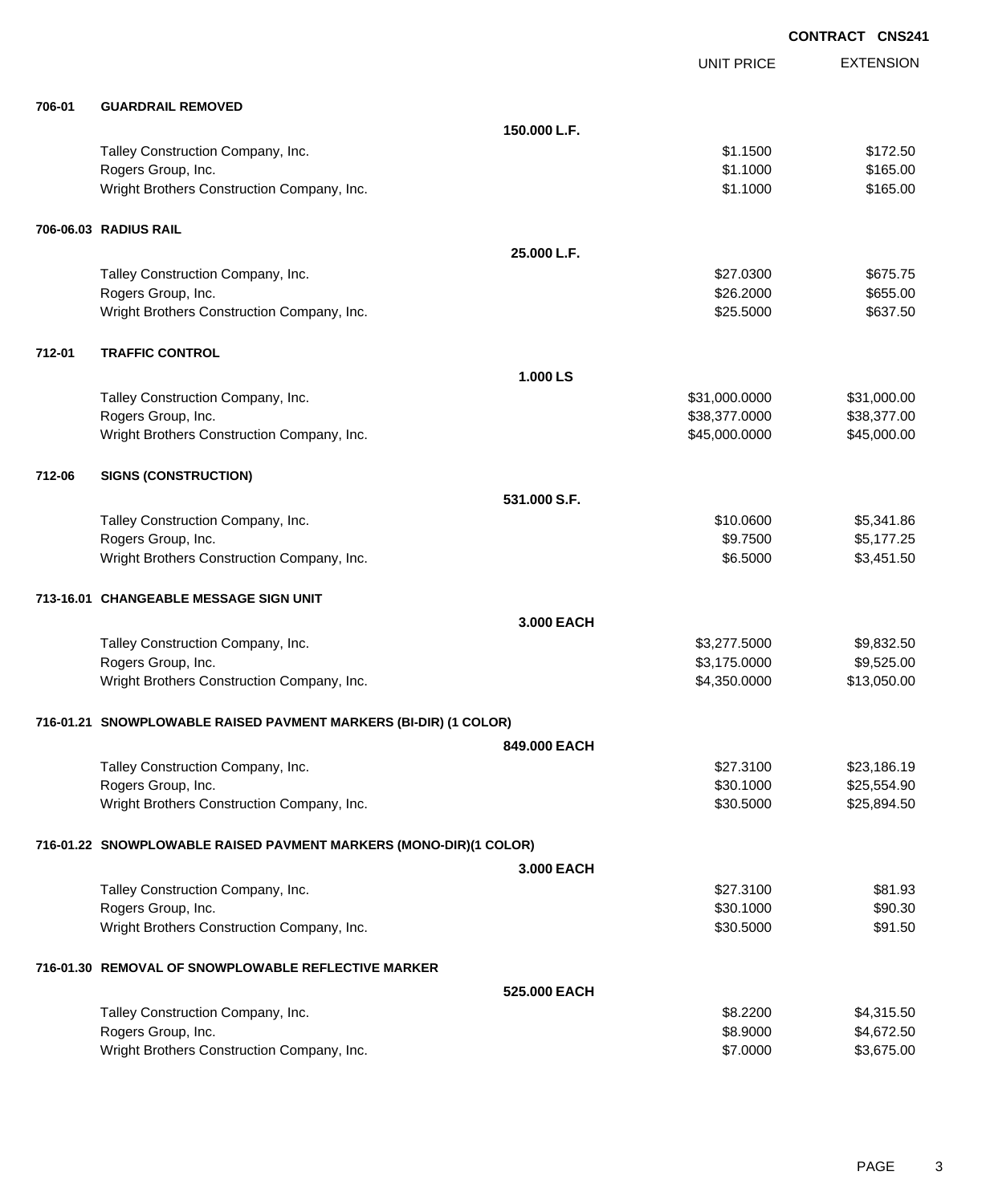|        |                                                                   |              |                   | <b>CONTRACT CNS241</b> |
|--------|-------------------------------------------------------------------|--------------|-------------------|------------------------|
|        |                                                                   |              | <b>UNIT PRICE</b> | <b>EXTENSION</b>       |
| 706-01 | <b>GUARDRAIL REMOVED</b>                                          |              |                   |                        |
|        |                                                                   | 150,000 L.F. |                   |                        |
|        | Talley Construction Company, Inc.                                 |              | \$1.1500          | \$172.50               |
|        | Rogers Group, Inc.                                                |              | \$1.1000          | \$165.00               |
|        | Wright Brothers Construction Company, Inc.                        |              | \$1.1000          | \$165.00               |
|        | 706-06.03 RADIUS RAIL                                             |              |                   |                        |
|        |                                                                   | 25,000 L.F.  |                   |                        |
|        | Talley Construction Company, Inc.                                 |              | \$27.0300         | \$675.75               |
|        | Rogers Group, Inc.                                                |              | \$26.2000         | \$655.00               |
|        | Wright Brothers Construction Company, Inc.                        |              | \$25.5000         | \$637.50               |
| 712-01 | <b>TRAFFIC CONTROL</b>                                            |              |                   |                        |
|        |                                                                   | 1.000 LS     |                   |                        |
|        | Talley Construction Company, Inc.                                 |              | \$31,000.0000     | \$31,000.00            |
|        | Rogers Group, Inc.                                                |              | \$38,377.0000     | \$38,377.00            |
|        | Wright Brothers Construction Company, Inc.                        |              | \$45,000.0000     | \$45,000.00            |
| 712-06 | <b>SIGNS (CONSTRUCTION)</b>                                       |              |                   |                        |
|        |                                                                   | 531,000 S.F. |                   |                        |
|        | Talley Construction Company, Inc.                                 |              | \$10.0600         | \$5,341.86             |
|        | Rogers Group, Inc.                                                |              | \$9.7500          | \$5,177.25             |
|        | Wright Brothers Construction Company, Inc.                        |              | \$6.5000          | \$3,451.50             |
|        | 713-16.01 CHANGEABLE MESSAGE SIGN UNIT                            |              |                   |                        |
|        |                                                                   | 3.000 EACH   |                   |                        |
|        | Talley Construction Company, Inc.                                 |              | \$3,277.5000      | \$9,832.50             |
|        | Rogers Group, Inc.                                                |              | \$3,175.0000      | \$9,525.00             |
|        | Wright Brothers Construction Company, Inc.                        |              | \$4,350.0000      | \$13,050.00            |
|        | 716-01.21 SNOWPLOWABLE RAISED PAVMENT MARKERS (BI-DIR) (1 COLOR)  |              |                   |                        |
|        |                                                                   | 849,000 EACH |                   |                        |
|        | Talley Construction Company, Inc.                                 |              | \$27.3100         | \$23,186.19            |
|        | Rogers Group, Inc.                                                |              | \$30.1000         | \$25,554.90            |
|        | Wright Brothers Construction Company, Inc.                        |              | \$30.5000         | \$25,894.50            |
|        | 716-01.22 SNOWPLOWABLE RAISED PAVMENT MARKERS (MONO-DIR)(1 COLOR) |              |                   |                        |
|        |                                                                   | 3,000 EACH   |                   |                        |
|        | Talley Construction Company, Inc.                                 |              | \$27.3100         | \$81.93                |
|        | Rogers Group, Inc.                                                |              | \$30.1000         | \$90.30                |
|        | Wright Brothers Construction Company, Inc.                        |              | \$30.5000         | \$91.50                |
|        | 716-01.30 REMOVAL OF SNOWPLOWABLE REFLECTIVE MARKER               |              |                   |                        |
|        |                                                                   | 525.000 EACH |                   |                        |
|        | Talley Construction Company, Inc.                                 |              | \$8.2200          | \$4,315.50             |
|        | Rogers Group, Inc.                                                |              | \$8.9000          | \$4,672.50             |
|        | Wright Brothers Construction Company, Inc.                        |              | \$7.0000          | \$3,675.00             |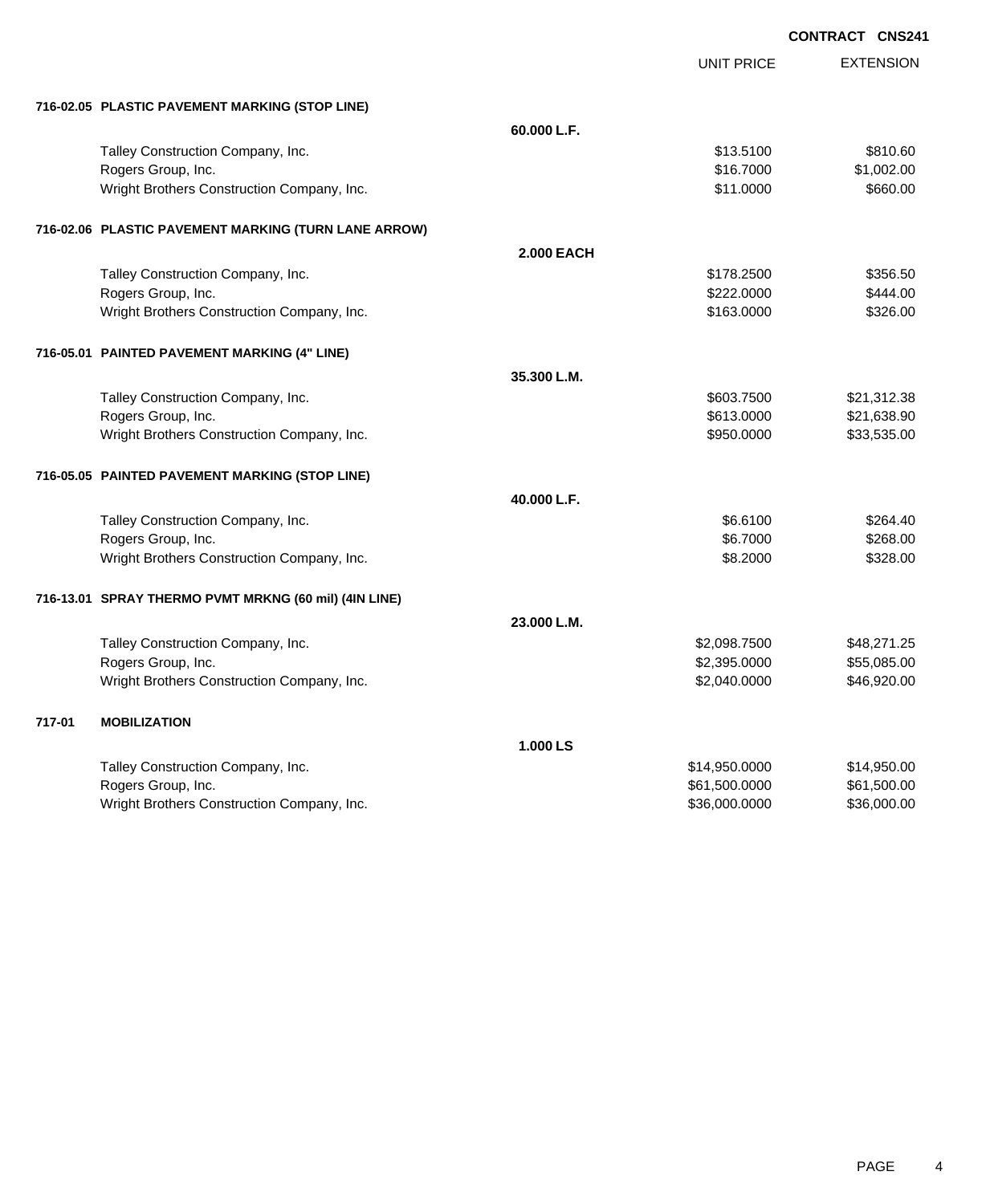UNIT PRICE EXTENSION

|        | 716-02.05 PLASTIC PAVEMENT MARKING (STOP LINE)        |                   |               |             |
|--------|-------------------------------------------------------|-------------------|---------------|-------------|
|        |                                                       | 60.000 L.F.       |               |             |
|        | Talley Construction Company, Inc.                     |                   | \$13.5100     | \$810.60    |
|        | Rogers Group, Inc.                                    |                   | \$16.7000     | \$1,002.00  |
|        | Wright Brothers Construction Company, Inc.            |                   | \$11.0000     | \$660.00    |
|        | 716-02.06 PLASTIC PAVEMENT MARKING (TURN LANE ARROW)  |                   |               |             |
|        |                                                       | <b>2.000 EACH</b> |               |             |
|        | Talley Construction Company, Inc.                     |                   | \$178.2500    | \$356.50    |
|        | Rogers Group, Inc.                                    |                   | \$222.0000    | \$444.00    |
|        | Wright Brothers Construction Company, Inc.            |                   | \$163.0000    | \$326.00    |
|        | 716-05.01 PAINTED PAVEMENT MARKING (4" LINE)          |                   |               |             |
|        |                                                       | 35.300 L.M.       |               |             |
|        | Talley Construction Company, Inc.                     |                   | \$603.7500    | \$21,312.38 |
|        | Rogers Group, Inc.                                    |                   | \$613.0000    | \$21,638.90 |
|        | Wright Brothers Construction Company, Inc.            |                   | \$950.0000    | \$33,535.00 |
|        | 716-05.05 PAINTED PAVEMENT MARKING (STOP LINE)        |                   |               |             |
|        |                                                       | 40.000 L.F.       |               |             |
|        | Talley Construction Company, Inc.                     |                   | \$6.6100      | \$264.40    |
|        | Rogers Group, Inc.                                    |                   | \$6.7000      | \$268.00    |
|        | Wright Brothers Construction Company, Inc.            |                   | \$8.2000      | \$328.00    |
|        | 716-13.01 SPRAY THERMO PVMT MRKNG (60 mil) (4IN LINE) |                   |               |             |
|        |                                                       | 23.000 L.M.       |               |             |
|        | Talley Construction Company, Inc.                     |                   | \$2,098.7500  | \$48,271.25 |
|        | Rogers Group, Inc.                                    |                   | \$2,395.0000  | \$55,085.00 |
|        | Wright Brothers Construction Company, Inc.            |                   | \$2,040.0000  | \$46,920.00 |
| 717-01 | <b>MOBILIZATION</b>                                   |                   |               |             |
|        |                                                       | 1.000 LS          |               |             |
|        | Talley Construction Company, Inc.                     |                   | \$14,950.0000 | \$14,950.00 |
|        | Rogers Group, Inc.                                    |                   | \$61,500.0000 | \$61,500.00 |
|        | Wright Brothers Construction Company, Inc.            |                   | \$36,000.0000 | \$36,000.00 |
|        |                                                       |                   |               |             |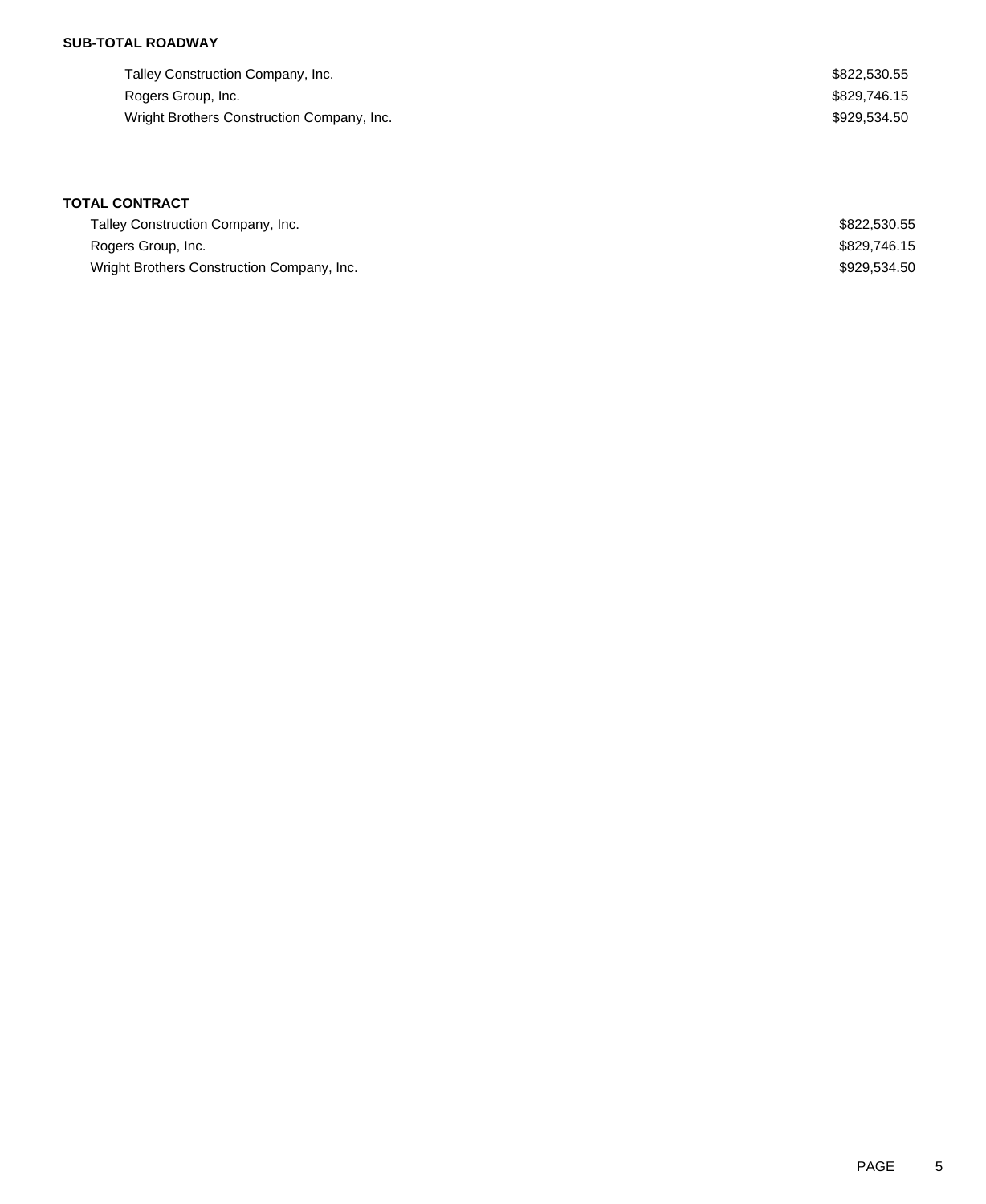### **SUB-TOTAL ROADWAY**

| Talley Construction Company, Inc.          | \$822,530.55 |
|--------------------------------------------|--------------|
| Rogers Group, Inc.                         | \$829.746.15 |
| Wright Brothers Construction Company, Inc. | \$929.534.50 |

## **TOTAL CONTRACT**

| Talley Construction Company, Inc.          | \$822,530.55 |
|--------------------------------------------|--------------|
| Rogers Group, Inc.                         | \$829,746.15 |
| Wright Brothers Construction Company, Inc. | \$929.534.50 |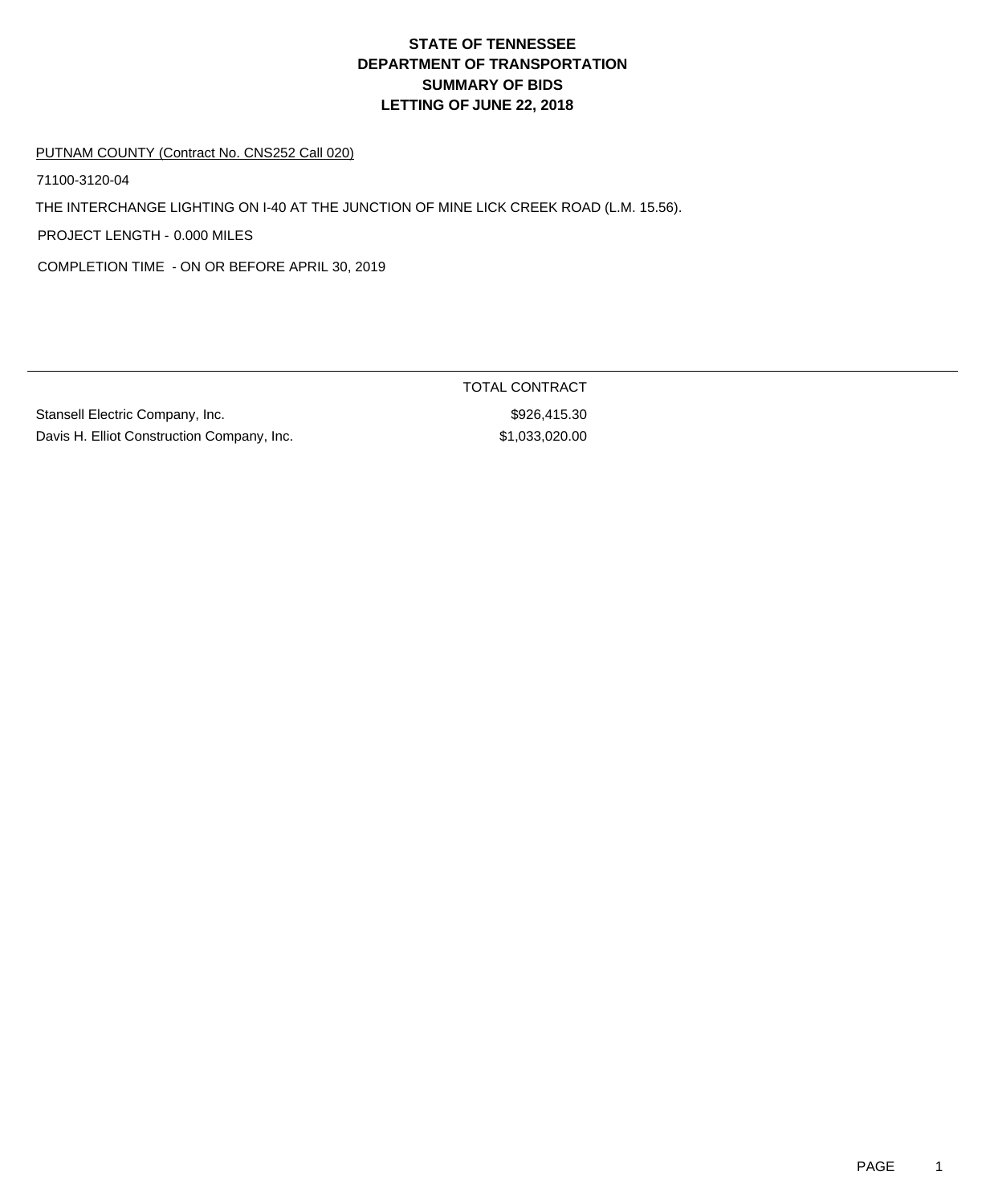#### PUTNAM COUNTY (Contract No. CNS252 Call 020)

71100-3120-04

THE INTERCHANGE LIGHTING ON I-40 AT THE JUNCTION OF MINE LICK CREEK ROAD (L.M. 15.56).

PROJECT LENGTH - 0.000 MILES

COMPLETION TIME - ON OR BEFORE APRIL 30, 2019

Stansell Electric Company, Inc. 6. The Stansell Electric Company, Inc. 6. The Stansell Stansell Standard Standard Standard Standard Standard Standard Standard Standard Standard Standard Standard Standard Standard Standard Davis H. Elliot Construction Company, Inc.  $$1,033,020.00$ 

TOTAL CONTRACT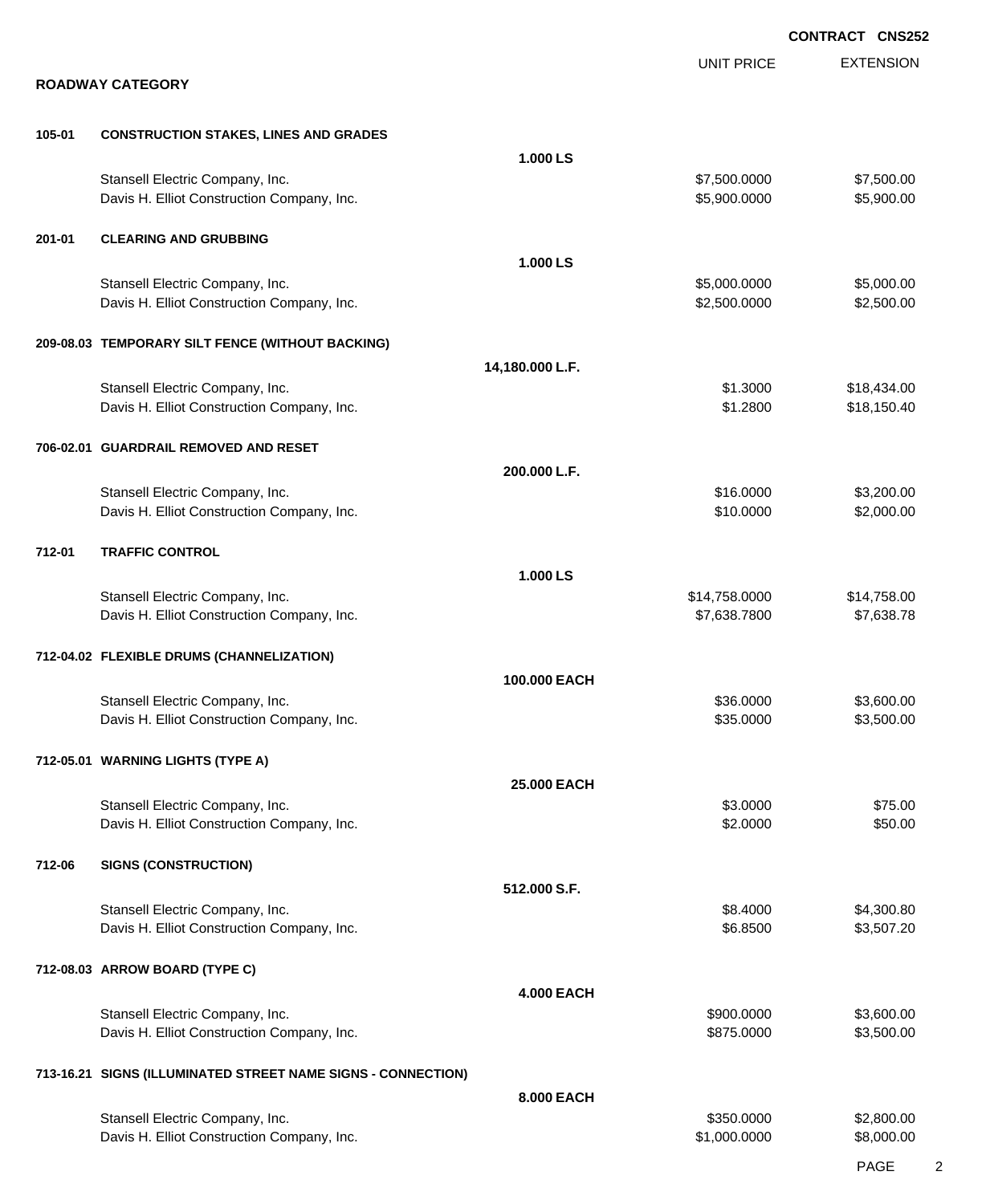|        |                                                                               |                   |                               | <b>CONTRACT CNS252</b>     |
|--------|-------------------------------------------------------------------------------|-------------------|-------------------------------|----------------------------|
|        | <b>ROADWAY CATEGORY</b>                                                       |                   | <b>UNIT PRICE</b>             | <b>EXTENSION</b>           |
| 105-01 | <b>CONSTRUCTION STAKES, LINES AND GRADES</b>                                  |                   |                               |                            |
|        |                                                                               | 1.000 LS          |                               |                            |
|        | Stansell Electric Company, Inc.<br>Davis H. Elliot Construction Company, Inc. |                   | \$7,500.0000<br>\$5,900.0000  | \$7,500.00<br>\$5,900.00   |
| 201-01 | <b>CLEARING AND GRUBBING</b>                                                  |                   |                               |                            |
|        |                                                                               | 1.000 LS          |                               |                            |
|        | Stansell Electric Company, Inc.<br>Davis H. Elliot Construction Company, Inc. |                   | \$5,000.0000<br>\$2,500.0000  | \$5,000.00<br>\$2,500.00   |
|        | 209-08.03 TEMPORARY SILT FENCE (WITHOUT BACKING)                              |                   |                               |                            |
|        |                                                                               | 14,180.000 L.F.   |                               |                            |
|        | Stansell Electric Company, Inc.<br>Davis H. Elliot Construction Company, Inc. |                   | \$1.3000<br>\$1.2800          | \$18,434.00<br>\$18,150.40 |
|        | 706-02.01 GUARDRAIL REMOVED AND RESET                                         |                   |                               |                            |
|        |                                                                               | 200.000 L.F.      |                               |                            |
|        | Stansell Electric Company, Inc.<br>Davis H. Elliot Construction Company, Inc. |                   | \$16.0000<br>\$10.0000        | \$3,200.00<br>\$2,000.00   |
| 712-01 | <b>TRAFFIC CONTROL</b>                                                        |                   |                               |                            |
|        |                                                                               | 1.000 LS          |                               |                            |
|        | Stansell Electric Company, Inc.<br>Davis H. Elliot Construction Company, Inc. |                   | \$14,758.0000<br>\$7,638.7800 | \$14,758.00<br>\$7,638.78  |
|        | 712-04.02 FLEXIBLE DRUMS (CHANNELIZATION)                                     |                   |                               |                            |
|        | Stansell Electric Company, Inc.                                               | 100.000 EACH      | \$36.0000                     | \$3,600.00                 |
|        | Davis H. Elliot Construction Company, Inc.                                    |                   | \$35.0000                     | \$3,500.00                 |
|        | 712-05.01 WARNING LIGHTS (TYPE A)                                             |                   |                               |                            |
|        |                                                                               | 25.000 EACH       |                               |                            |
|        | Stansell Electric Company, Inc.<br>Davis H. Elliot Construction Company, Inc. |                   | \$3.0000<br>\$2.0000          | \$75.00<br>\$50.00         |
| 712-06 | <b>SIGNS (CONSTRUCTION)</b>                                                   |                   |                               |                            |
|        |                                                                               | 512.000 S.F.      |                               |                            |
|        | Stansell Electric Company, Inc.<br>Davis H. Elliot Construction Company, Inc. |                   | \$8.4000<br>\$6.8500          | \$4,300.80<br>\$3,507.20   |
|        | 712-08.03 ARROW BOARD (TYPE C)                                                |                   |                               |                            |
|        | Stansell Electric Company, Inc.                                               | <b>4.000 EACH</b> | \$900.0000                    | \$3,600.00                 |
|        | Davis H. Elliot Construction Company, Inc.                                    |                   | \$875.0000                    | \$3,500.00                 |
|        | 713-16.21 SIGNS (ILLUMINATED STREET NAME SIGNS - CONNECTION)                  |                   |                               |                            |
|        |                                                                               | 8.000 EACH        |                               |                            |
|        | Stansell Electric Company, Inc.<br>Davis H. Elliot Construction Company, Inc. |                   | \$350.0000<br>\$1,000.0000    | \$2,800.00<br>\$8,000.00   |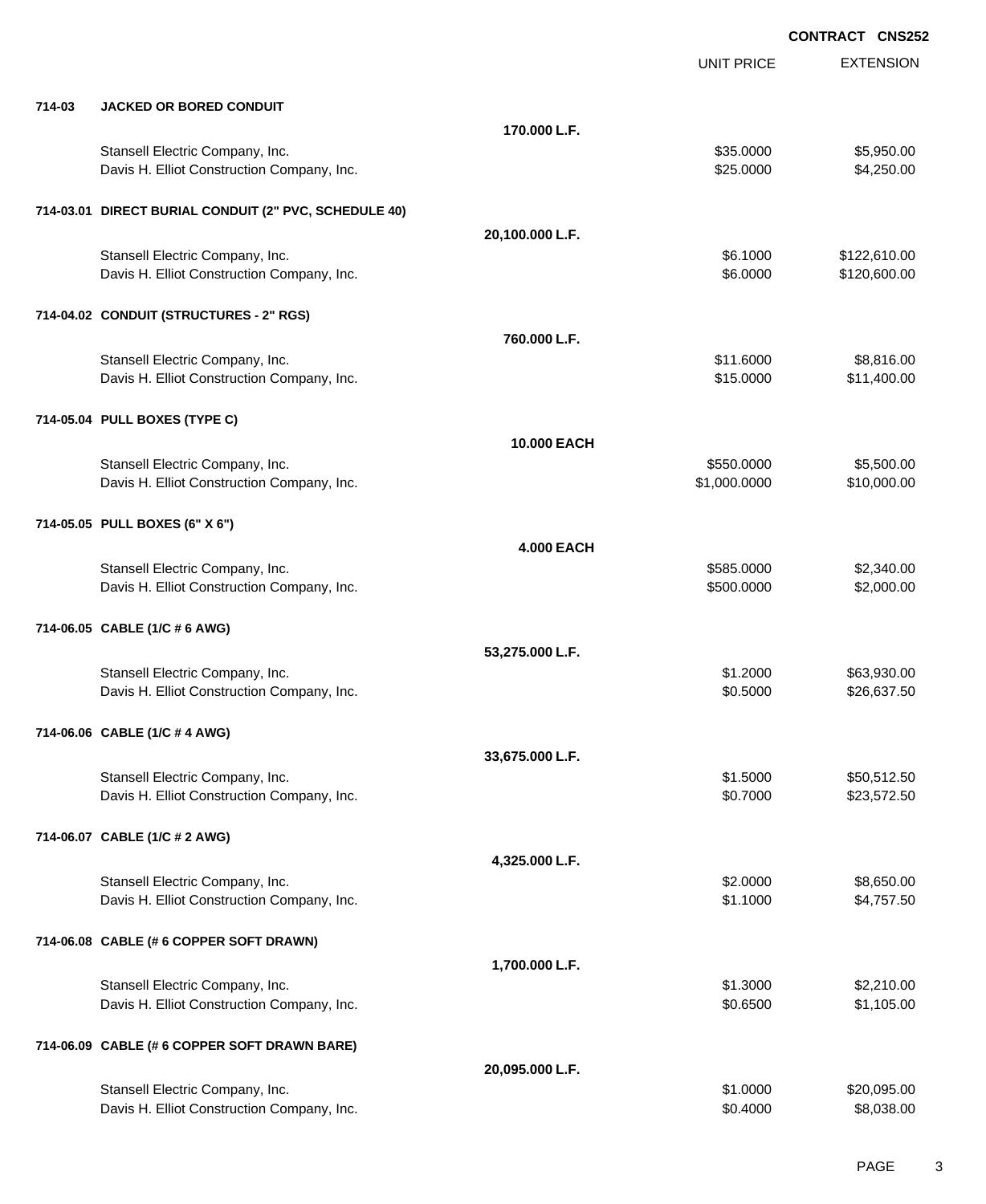EXTENSION **CONTRACT CNS252** UNIT PRICE **714-03 JACKED OR BORED CONDUIT 170.000 L.F.** Stansell Electric Company, Inc. 6. The Standard Company, Inc. \$35.0000 \$5,950.00 Davis H. Elliot Construction Company, Inc. 6. 2000 \$4,250.000 \$4,250.000 \$4,250.00 **714-03.01 DIRECT BURIAL CONDUIT (2" PVC, SCHEDULE 40) 20,100.000 L.F.** Stansell Electric Company, Inc. 6. The Standard Standard Standard Standard Standard Standard Standard Standard Standard Standard Standard Standard Standard Standard Standard Standard Standard Standard Standard Standard Sta Davis H. Elliot Construction Company, Inc. 6. 2000 \$120,600.00 \$120,600.00 **714-04.02 CONDUIT (STRUCTURES - 2" RGS) 760.000 L.F.** Stansell Electric Company, Inc. 68,816.00 \$8,816.00 Davis H. Elliot Construction Company, Inc.  $$11,400.00$   $$11,400.00$ **714-05.04 PULL BOXES (TYPE C) 10.000 EACH** Stansell Electric Company, Inc. 6. The Standard Standard Standard Standard Standard Standard Standard Standard Standard Standard Standard Standard Standard Standard Standard Standard Standard Standard Standard Standard Sta Davis H. Elliot Construction Company, Inc. 6. 2010 12:00:000 \$1,000.0000 \$10,000.000 \$10,000.00 **714-05.05 PULL BOXES (6" X 6") 4.000 EACH** Stansell Electric Company, Inc. 6. The Standard Standard Standard Standard Standard Standard Standard Standard Standard Standard Standard Standard Standard Standard Standard Standard Standard Standard Standard Standard Sta Davis H. Elliot Construction Company, Inc. 6. The Construction Company, Inc. 6. The Construction Company, Inc. 500.000 \$2,000.00 **714-06.05 CABLE (1/C # 6 AWG) 53,275.000 L.F.** Stansell Electric Company, Inc. 663,930.00 \$63,930.00 \$63,930.00 Davis H. Elliot Construction Company, Inc.  $$0.5000$  \$26,637.50 **714-06.06 CABLE (1/C # 4 AWG) 33,675.000 L.F.** Stansell Electric Company, Inc. 6. The Standard Standard Standard Standard Standard Standard Standard Standard Standard Standard Standard Standard Standard Standard Standard Standard Standard Standard Standard Standard Sta Davis H. Elliot Construction Company, Inc. 60.000 \$23,572.50 **714-06.07 CABLE (1/C # 2 AWG) 4,325.000 L.F.** Stansell Electric Company, Inc. 6. The Standard Standard Standard Standard Standard Standard Standard Standard Standard Standard Standard Standard Standard Standard Standard Standard Standard Standard Standard Standard Sta Davis H. Elliot Construction Company, Inc. 6. 2012 12:30 12:30 12:30 12:30 12:30 12:30 12:30 12:30 12:30 12:30 **714-06.08 CABLE (# 6 COPPER SOFT DRAWN) 1,700.000 L.F.** Stansell Electric Company, Inc. 6. The Standard Company, Inc. 6. The Standard Company, Inc. 6. Standard Standard Standard Standard Standard Standard Standard Standard Standard Standard Standard Standard Standard Standard S Davis H. Elliot Construction Company, Inc. 6. 2012 12:30 \$1,105.00 \$1,105.00 \$1,105.00 **714-06.09 CABLE (# 6 COPPER SOFT DRAWN BARE) 20,095.000 L.F.** Stansell Electric Company, Inc. 6. The Standard Company, Inc. 6. The Standard Company, Inc. 6. The Standard Standard Standard Standard Standard Standard Standard Standard Standard Standard Standard Standard Standard Standa

Davis H. Elliot Construction Company, Inc. 6. 2012 12:30 12:30 12:30 12:30 12:30 12:30 12:30 13:30 13:30 13:30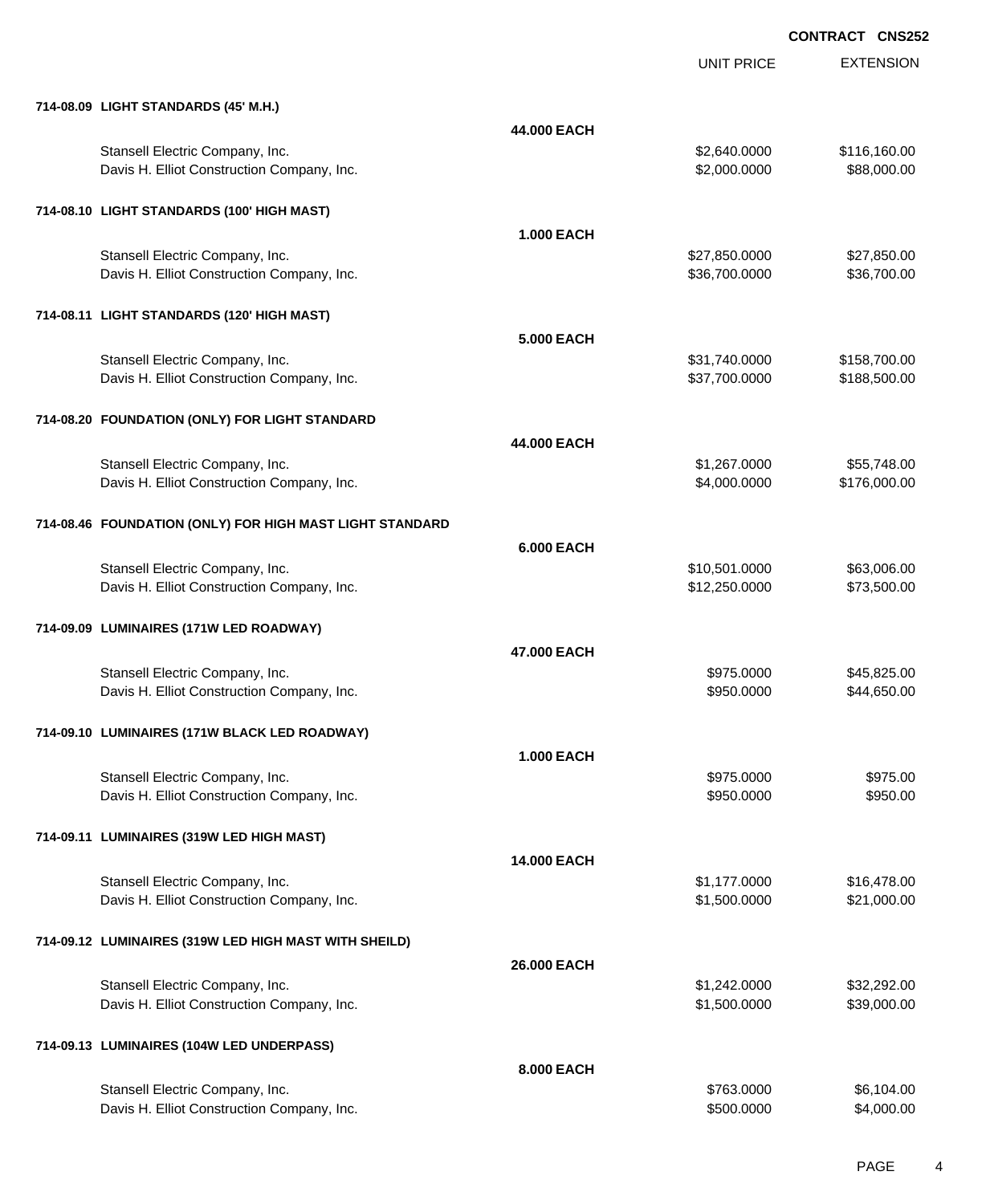UNIT PRICE EXTENSION

| 714-08.09 LIGHT STANDARDS (45' M.H.) |  |
|--------------------------------------|--|

| 714-08.09 LIGHT STANDARDS (45' M.H.)                                          |                   |                              |                             |
|-------------------------------------------------------------------------------|-------------------|------------------------------|-----------------------------|
|                                                                               | 44.000 EACH       |                              |                             |
| Stansell Electric Company, Inc.<br>Davis H. Elliot Construction Company, Inc. |                   | \$2,640.0000<br>\$2,000.0000 | \$116,160.00<br>\$88,000.00 |
| 714-08.10 LIGHT STANDARDS (100' HIGH MAST)                                    |                   |                              |                             |
|                                                                               | <b>1.000 EACH</b> |                              |                             |
| Stansell Electric Company, Inc.                                               |                   | \$27,850.0000                | \$27,850.00                 |
| Davis H. Elliot Construction Company, Inc.                                    |                   | \$36,700.0000                | \$36,700.00                 |
| 714-08.11 LIGHT STANDARDS (120' HIGH MAST)                                    |                   |                              |                             |
|                                                                               | <b>5.000 EACH</b> |                              |                             |
| Stansell Electric Company, Inc.                                               |                   | \$31,740.0000                | \$158,700.00                |
| Davis H. Elliot Construction Company, Inc.                                    |                   | \$37,700.0000                | \$188,500.00                |
| 714-08.20 FOUNDATION (ONLY) FOR LIGHT STANDARD                                |                   |                              |                             |
|                                                                               | 44.000 EACH       |                              |                             |
| Stansell Electric Company, Inc.                                               |                   | \$1,267.0000                 | \$55,748.00                 |
| Davis H. Elliot Construction Company, Inc.                                    |                   | \$4,000.0000                 | \$176,000.00                |
| 714-08.46 FOUNDATION (ONLY) FOR HIGH MAST LIGHT STANDARD                      |                   |                              |                             |
|                                                                               | <b>6.000 EACH</b> |                              |                             |
| Stansell Electric Company, Inc.                                               |                   | \$10,501.0000                | \$63,006.00                 |
| Davis H. Elliot Construction Company, Inc.                                    |                   | \$12,250.0000                | \$73,500.00                 |
| 714-09.09 LUMINAIRES (171W LED ROADWAY)                                       |                   |                              |                             |
|                                                                               | 47.000 EACH       |                              |                             |
| Stansell Electric Company, Inc.                                               |                   | \$975.0000                   | \$45,825.00                 |
| Davis H. Elliot Construction Company, Inc.                                    |                   | \$950.0000                   | \$44,650.00                 |
| 714-09.10 LUMINAIRES (171W BLACK LED ROADWAY)                                 |                   |                              |                             |
|                                                                               | <b>1.000 EACH</b> |                              |                             |
| Stansell Electric Company, Inc.                                               |                   | \$975.0000                   | \$975.00                    |
| Davis H. Elliot Construction Company, Inc.                                    |                   | \$950.0000                   | \$950.00                    |
| 714-09.11 LUMINAIRES (319W LED HIGH MAST)                                     |                   |                              |                             |
|                                                                               | 14.000 EACH       |                              |                             |
| Stansell Electric Company, Inc.                                               |                   | \$1,177.0000                 | \$16,478.00                 |
| Davis H. Elliot Construction Company, Inc.                                    |                   | \$1,500.0000                 | \$21,000.00                 |
| 714-09.12 LUMINAIRES (319W LED HIGH MAST WITH SHEILD)                         |                   |                              |                             |
|                                                                               | 26.000 EACH       |                              |                             |
| Stansell Electric Company, Inc.                                               |                   | \$1,242.0000                 | \$32,292.00                 |
| Davis H. Elliot Construction Company, Inc.                                    |                   | \$1,500.0000                 | \$39,000.00                 |
| 714-09.13 LUMINAIRES (104W LED UNDERPASS)                                     |                   |                              |                             |
|                                                                               | 8.000 EACH        |                              |                             |
| Stansell Electric Company, Inc.                                               |                   | \$763.0000                   | \$6,104.00                  |
| Davis H. Elliot Construction Company, Inc.                                    |                   | \$500.0000                   | \$4,000.00                  |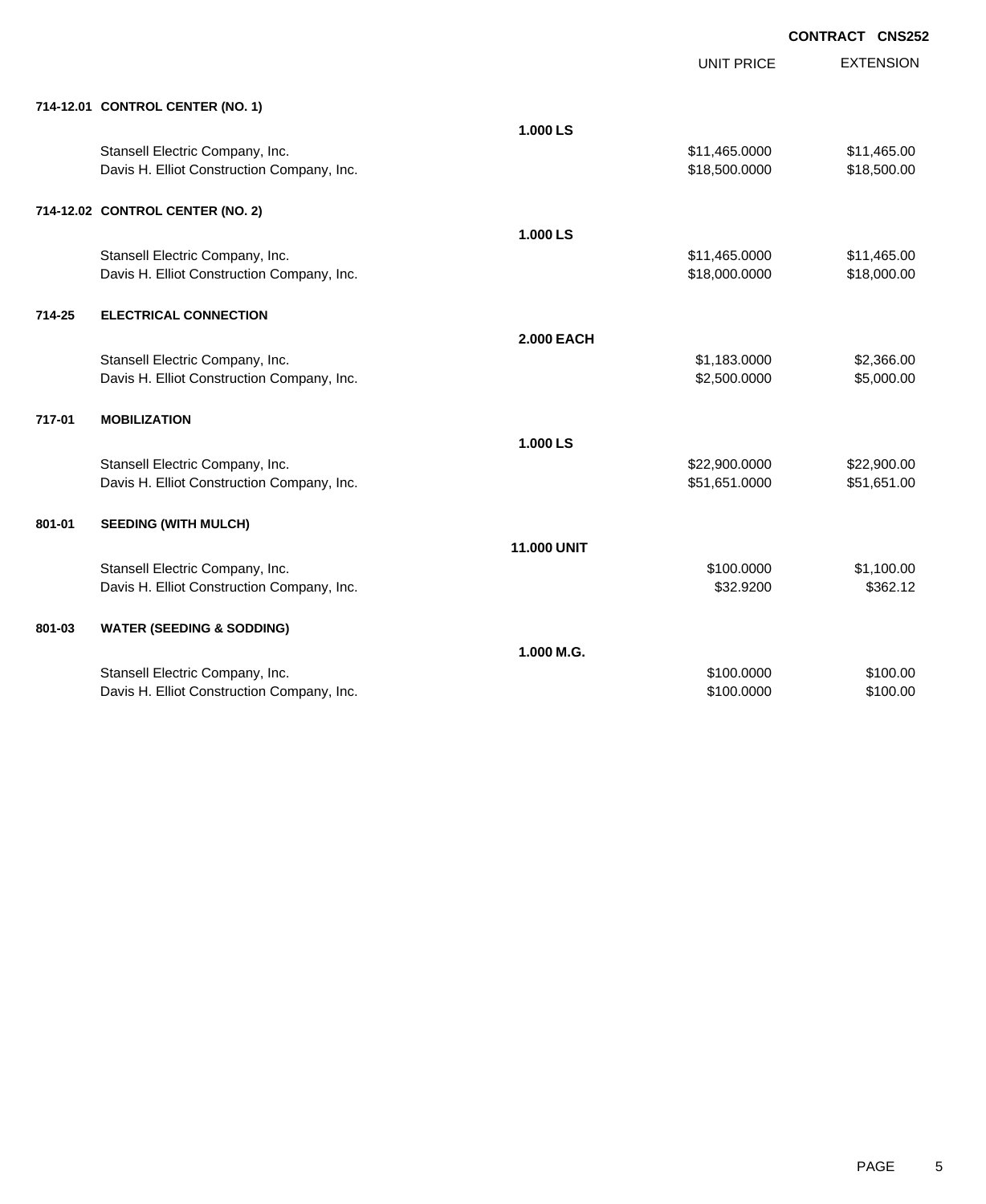|        |                                            |                    |                   | <b>CONTRACT CNS25</b> |
|--------|--------------------------------------------|--------------------|-------------------|-----------------------|
|        |                                            |                    | <b>UNIT PRICE</b> | <b>EXTENSION</b>      |
|        | 714-12.01 CONTROL CENTER (NO. 1)           |                    |                   |                       |
|        |                                            | 1.000 LS           |                   |                       |
|        | Stansell Electric Company, Inc.            |                    | \$11,465.0000     | \$11,465.00           |
|        | Davis H. Elliot Construction Company, Inc. |                    | \$18,500.0000     | \$18,500.00           |
|        | 714-12.02 CONTROL CENTER (NO. 2)           |                    |                   |                       |
|        |                                            | 1.000 LS           |                   |                       |
|        | Stansell Electric Company, Inc.            |                    | \$11,465.0000     | \$11,465.00           |
|        | Davis H. Elliot Construction Company, Inc. |                    | \$18,000.0000     | \$18,000.00           |
| 714-25 | <b>ELECTRICAL CONNECTION</b>               |                    |                   |                       |
|        |                                            | <b>2.000 EACH</b>  |                   |                       |
|        | Stansell Electric Company, Inc.            |                    | \$1,183.0000      | \$2,366.00            |
|        | Davis H. Elliot Construction Company, Inc. |                    | \$2,500.0000      | \$5,000.00            |
| 717-01 | <b>MOBILIZATION</b>                        |                    |                   |                       |
|        |                                            | 1.000 LS           |                   |                       |
|        | Stansell Electric Company, Inc.            |                    | \$22,900.0000     | \$22,900.00           |
|        | Davis H. Elliot Construction Company, Inc. |                    | \$51,651.0000     | \$51,651.00           |
| 801-01 | <b>SEEDING (WITH MULCH)</b>                |                    |                   |                       |
|        |                                            | <b>11.000 UNIT</b> |                   |                       |
|        | Stansell Electric Company, Inc.            |                    | \$100.0000        | \$1,100.00            |
|        | Davis H. Elliot Construction Company, Inc. |                    | \$32.9200         | \$362.12              |
| 801-03 | <b>WATER (SEEDING &amp; SODDING)</b>       |                    |                   |                       |
|        |                                            | 1.000 M.G.         |                   |                       |
|        | Stansell Electric Company, Inc.            |                    | \$100.0000        | \$100.00              |
|        | Davis H. Elliot Construction Company, Inc. |                    | \$100.0000        | \$100.00              |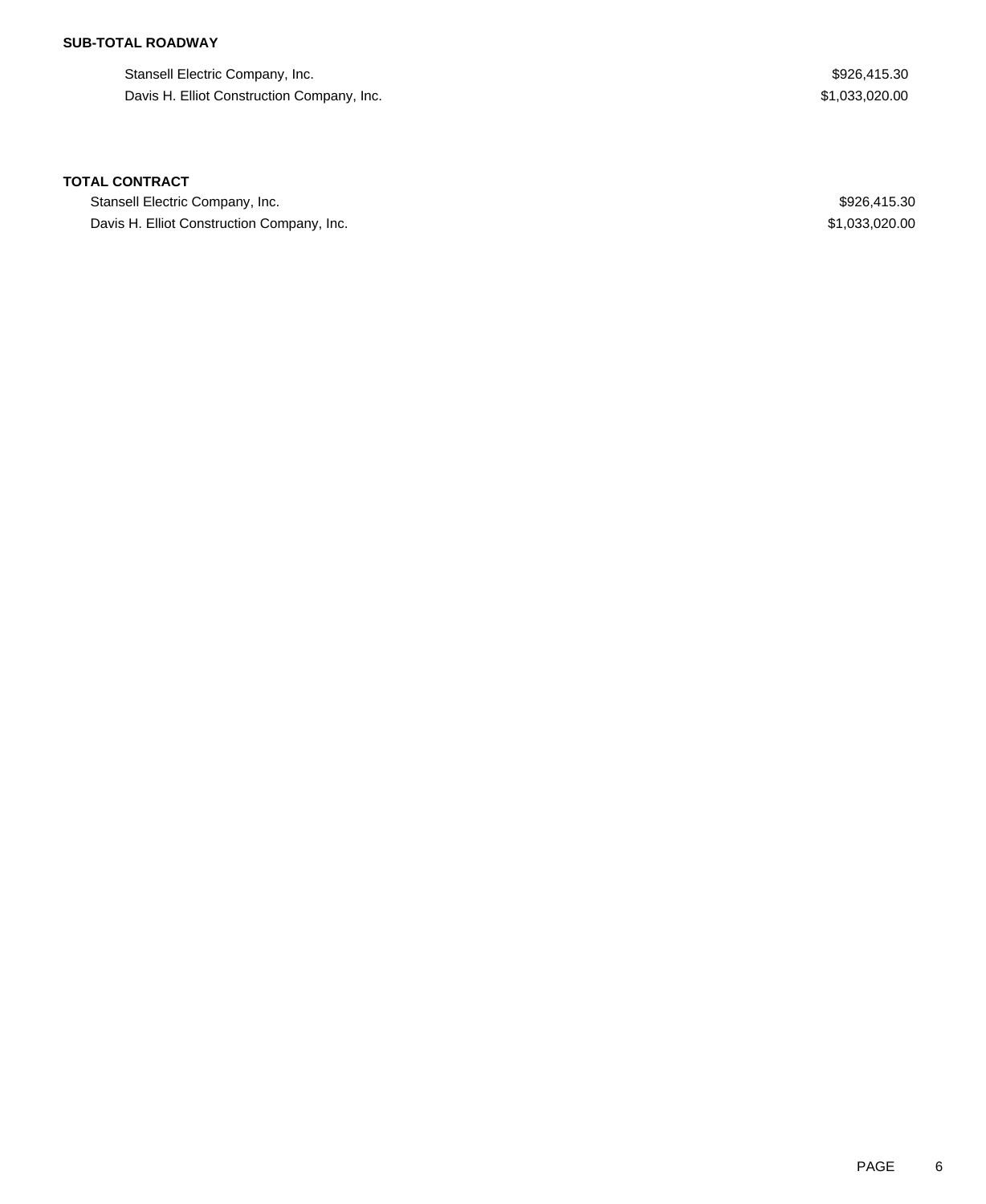### **SUB-TOTAL ROADWAY**

Stansell Electric Company, Inc. 6. The Stansell Electric Company, Inc. 6. The Stansell Electric Company, Inc. Davis H. Elliot Construction Company, Inc. 6. 2012 12:30 and 2013 12:30 and 31,033,020.00

#### **TOTAL CONTRACT**

Stansell Electric Company, Inc. 6. The Stansell Electric Company, Inc. 6. The Stansell Electric Company, Inc. Davis H. Elliot Construction Company, Inc. 6. The Construction Company, Inc. \$1,033,020.00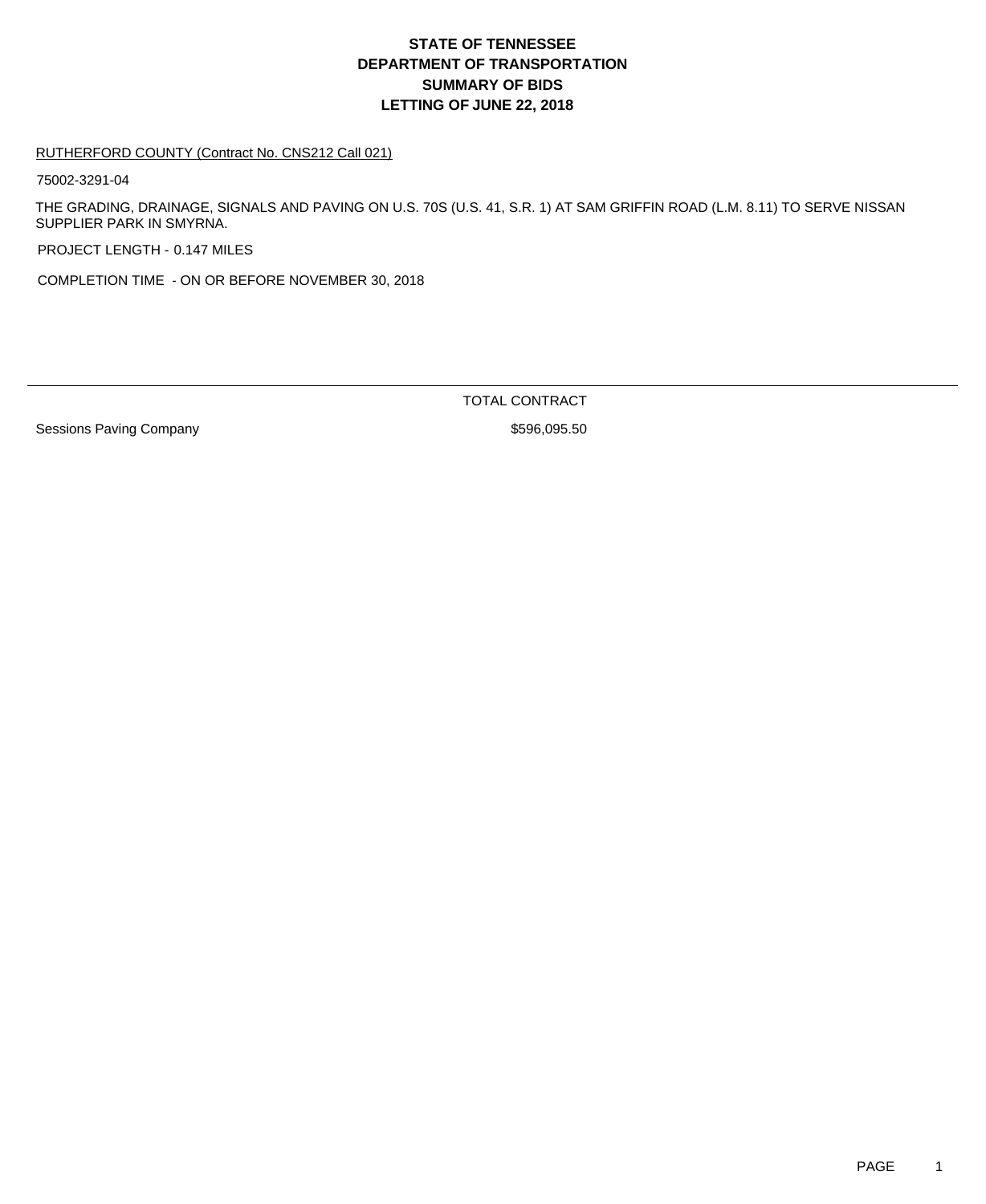#### RUTHERFORD COUNTY (Contract No. CNS212 Call 021)

75002-3291-04

THE GRADING, DRAINAGE, SIGNALS AND PAVING ON U.S. 70S (U.S. 41, S.R. 1) AT SAM GRIFFIN ROAD (L.M. 8.11) TO SERVE NISSAN SUPPLIER PARK IN SMYRNA.

PROJECT LENGTH - 0.147 MILES

COMPLETION TIME - ON OR BEFORE NOVEMBER 30, 2018

Sessions Paving Company **\$596,095.50** \$596,095.50

TOTAL CONTRACT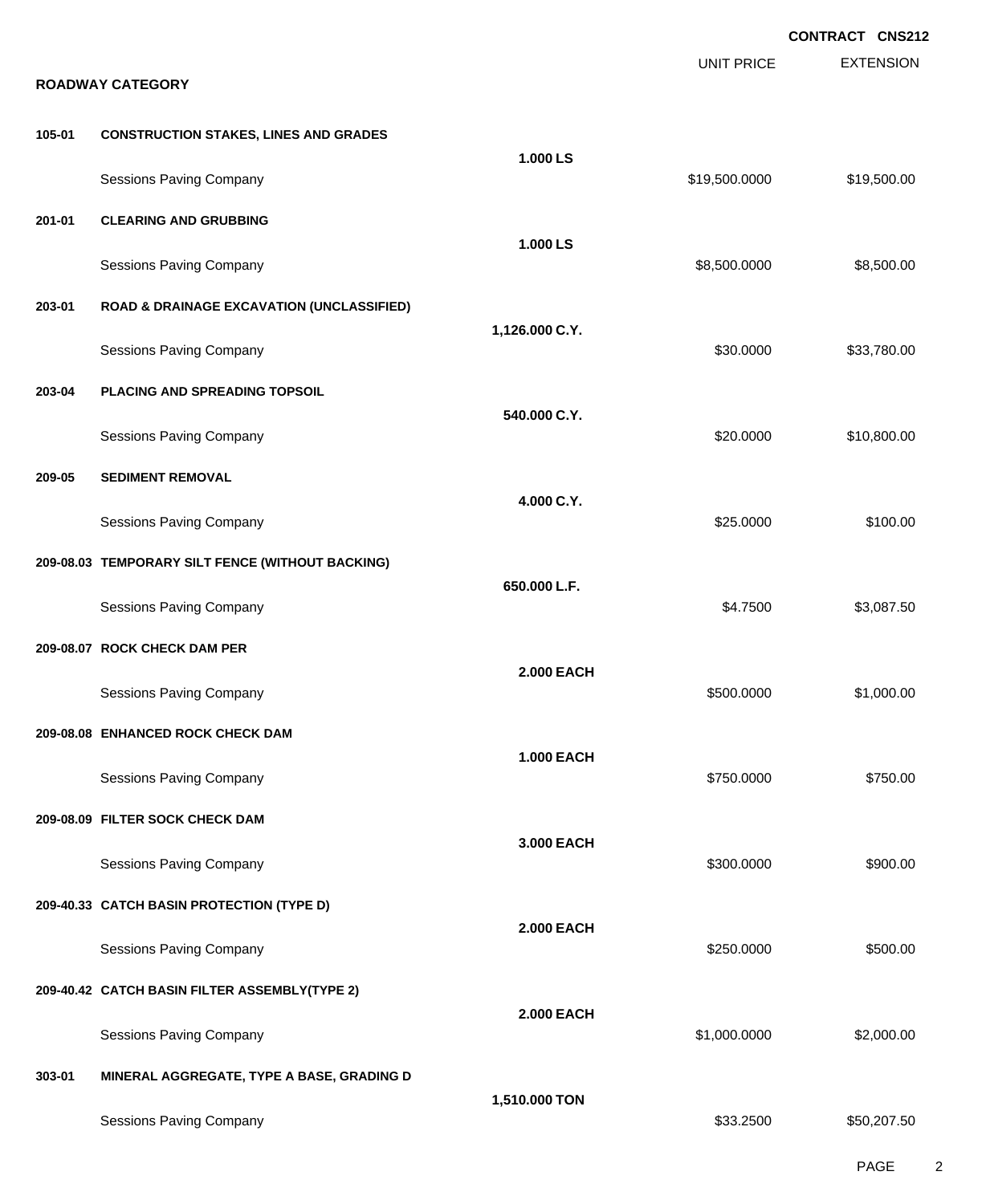|        |                                                      |                   |                   | <b>CONTRACT CNS212</b> |
|--------|------------------------------------------------------|-------------------|-------------------|------------------------|
|        | <b>ROADWAY CATEGORY</b>                              |                   | <b>UNIT PRICE</b> | <b>EXTENSION</b>       |
| 105-01 | <b>CONSTRUCTION STAKES, LINES AND GRADES</b>         |                   |                   |                        |
|        | Sessions Paving Company                              | 1.000 LS          | \$19,500.0000     | \$19,500.00            |
| 201-01 | <b>CLEARING AND GRUBBING</b>                         |                   |                   |                        |
|        | Sessions Paving Company                              | 1.000 LS          | \$8,500.0000      | \$8,500.00             |
| 203-01 | <b>ROAD &amp; DRAINAGE EXCAVATION (UNCLASSIFIED)</b> |                   |                   |                        |
|        | Sessions Paving Company                              | 1,126.000 C.Y.    | \$30.0000         | \$33,780.00            |
| 203-04 | PLACING AND SPREADING TOPSOIL                        |                   |                   |                        |
|        | <b>Sessions Paving Company</b>                       | 540.000 C.Y.      | \$20.0000         | \$10,800.00            |
| 209-05 | <b>SEDIMENT REMOVAL</b>                              |                   |                   |                        |
|        | Sessions Paving Company                              | 4.000 C.Y.        | \$25.0000         | \$100.00               |
|        | 209-08.03 TEMPORARY SILT FENCE (WITHOUT BACKING)     |                   |                   |                        |
|        | Sessions Paving Company                              | 650.000 L.F.      | \$4.7500          | \$3,087.50             |
|        | 209-08.07 ROCK CHECK DAM PER                         |                   |                   |                        |
|        | Sessions Paving Company                              | <b>2.000 EACH</b> | \$500.0000        | \$1,000.00             |
|        | 209-08.08 ENHANCED ROCK CHECK DAM                    |                   |                   |                        |
|        | <b>Sessions Paving Company</b>                       | <b>1.000 EACH</b> | \$750.0000        | \$750.00               |
|        | 209-08.09 FILTER SOCK CHECK DAM                      |                   |                   |                        |
|        | <b>Sessions Paving Company</b>                       | 3.000 EACH        | \$300.0000        | \$900.00               |
|        | 209-40.33 CATCH BASIN PROTECTION (TYPE D)            |                   |                   |                        |
|        | Sessions Paving Company                              | <b>2.000 EACH</b> | \$250.0000        | \$500.00               |
|        | 209-40.42 CATCH BASIN FILTER ASSEMBLY(TYPE 2)        |                   |                   |                        |
|        | Sessions Paving Company                              | <b>2.000 EACH</b> | \$1,000.0000      | \$2,000.00             |
| 303-01 | MINERAL AGGREGATE, TYPE A BASE, GRADING D            |                   |                   |                        |
|        | Sessions Paving Company                              | 1,510.000 TON     | \$33.2500         | \$50,207.50            |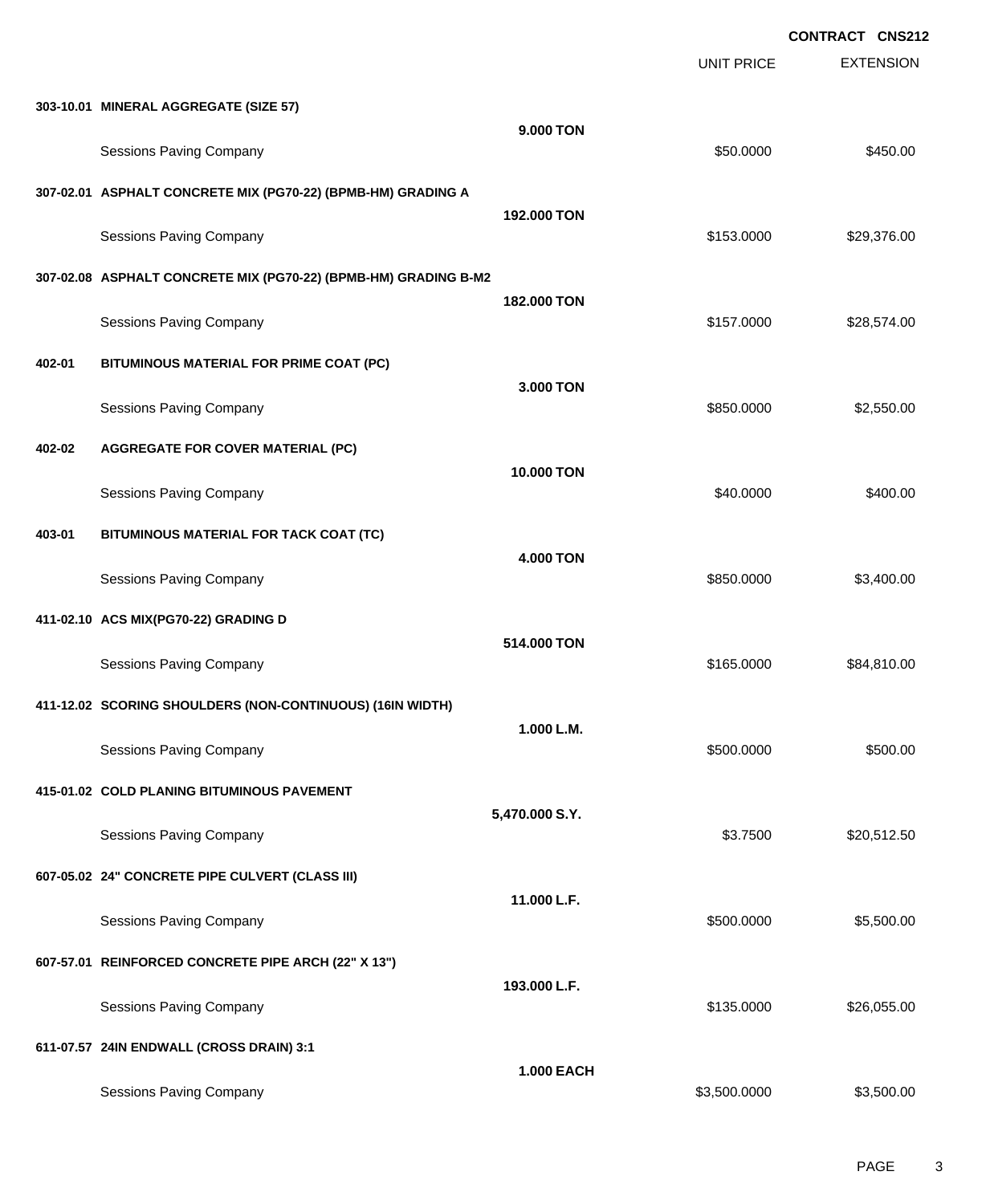|        |                                                                 |                   | <b>UNIT PRICE</b> | <b>EXTENSION</b> |
|--------|-----------------------------------------------------------------|-------------------|-------------------|------------------|
|        | 303-10.01 MINERAL AGGREGATE (SIZE 57)                           |                   |                   |                  |
|        | <b>Sessions Paving Company</b>                                  | 9.000 TON         | \$50.0000         | \$450.00         |
|        | 307-02.01 ASPHALT CONCRETE MIX (PG70-22) (BPMB-HM) GRADING A    |                   |                   |                  |
|        | Sessions Paving Company                                         | 192.000 TON       | \$153.0000        | \$29,376.00      |
|        | 307-02.08 ASPHALT CONCRETE MIX (PG70-22) (BPMB-HM) GRADING B-M2 |                   |                   |                  |
|        | <b>Sessions Paving Company</b>                                  | 182.000 TON       | \$157.0000        | \$28,574.00      |
| 402-01 | BITUMINOUS MATERIAL FOR PRIME COAT (PC)                         |                   |                   |                  |
|        | <b>Sessions Paving Company</b>                                  | 3.000 TON         | \$850.0000        | \$2,550.00       |
| 402-02 | <b>AGGREGATE FOR COVER MATERIAL (PC)</b>                        |                   |                   |                  |
|        | <b>Sessions Paving Company</b>                                  | 10.000 TON        | \$40.0000         | \$400.00         |
| 403-01 | BITUMINOUS MATERIAL FOR TACK COAT (TC)                          |                   |                   |                  |
|        | <b>Sessions Paving Company</b>                                  | <b>4.000 TON</b>  | \$850.0000        | \$3,400.00       |
|        | 411-02.10 ACS MIX(PG70-22) GRADING D                            |                   |                   |                  |
|        | Sessions Paving Company                                         | 514.000 TON       | \$165.0000        | \$84,810.00      |
|        | 411-12.02 SCORING SHOULDERS (NON-CONTINUOUS) (16IN WIDTH)       |                   |                   |                  |
|        | <b>Sessions Paving Company</b>                                  | 1.000 L.M.        | \$500.0000        | \$500.00         |
|        | 415-01.02 COLD PLANING BITUMINOUS PAVEMENT                      |                   |                   |                  |
|        | <b>Sessions Paving Company</b>                                  | 5,470.000 S.Y.    | \$3.7500          | \$20,512.50      |
|        | 607-05.02 24" CONCRETE PIPE CULVERT (CLASS III)                 |                   |                   |                  |
|        | <b>Sessions Paving Company</b>                                  | 11.000 L.F.       | \$500.0000        | \$5,500.00       |
|        | 607-57.01 REINFORCED CONCRETE PIPE ARCH (22" X 13")             |                   |                   |                  |
|        | <b>Sessions Paving Company</b>                                  | 193.000 L.F.      | \$135.0000        | \$26,055.00      |
|        | 611-07.57 24IN ENDWALL (CROSS DRAIN) 3:1                        |                   |                   |                  |
|        | Sessions Paving Company                                         | <b>1.000 EACH</b> | \$3,500.0000      | \$3,500.00       |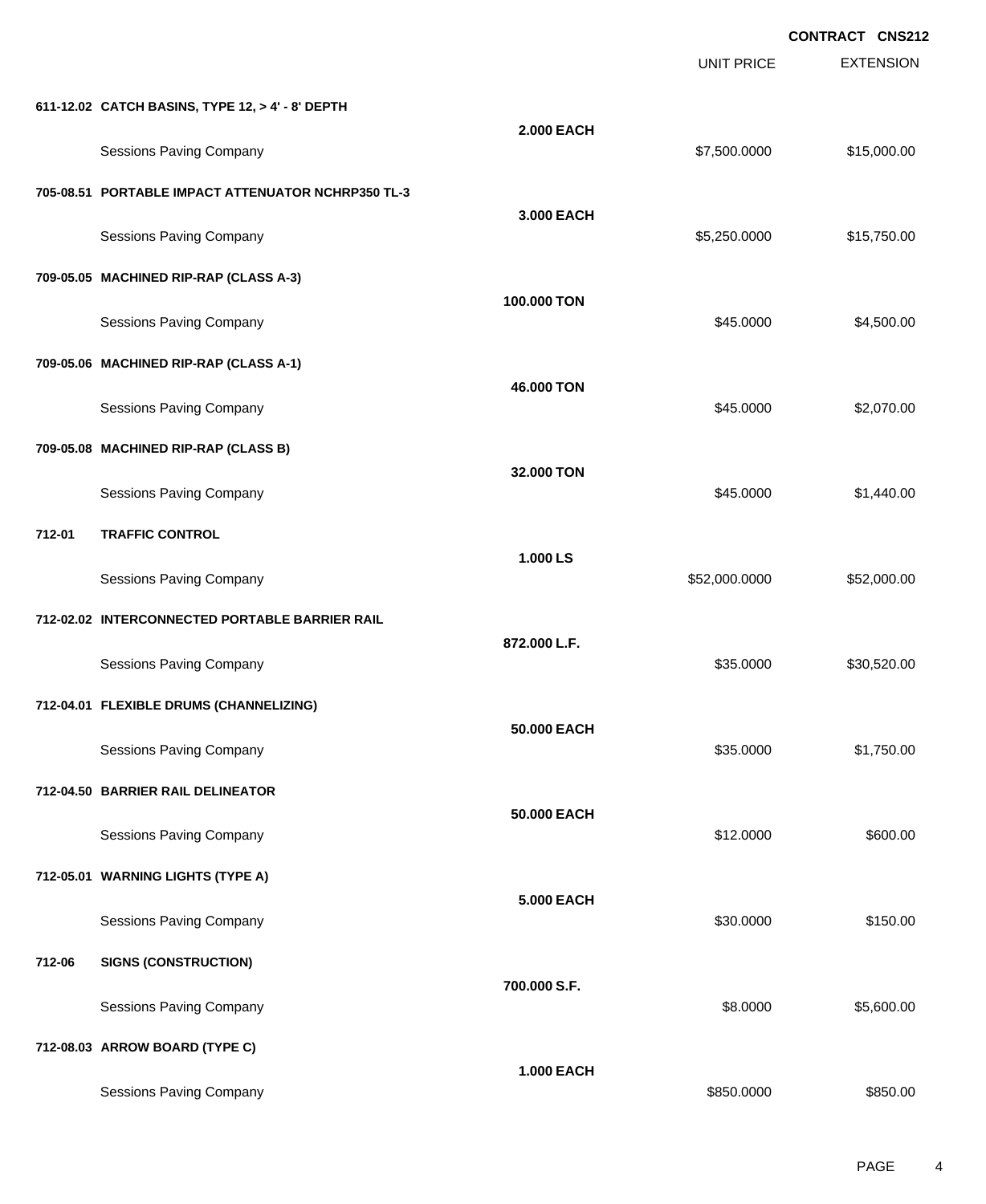|        |                                                    |                   | <b>UNIT PRICE</b> | <b>EXTENSION</b> |
|--------|----------------------------------------------------|-------------------|-------------------|------------------|
|        | 611-12.02 CATCH BASINS, TYPE 12, > 4' - 8' DEPTH   |                   |                   |                  |
|        | Sessions Paving Company                            | <b>2.000 EACH</b> | \$7,500.0000      | \$15,000.00      |
|        | 705-08.51 PORTABLE IMPACT ATTENUATOR NCHRP350 TL-3 |                   |                   |                  |
|        | Sessions Paving Company                            | 3.000 EACH        | \$5,250.0000      | \$15,750.00      |
|        | 709-05.05 MACHINED RIP-RAP (CLASS A-3)             |                   |                   |                  |
|        | Sessions Paving Company                            | 100.000 TON       | \$45.0000         | \$4,500.00       |
|        | 709-05.06 MACHINED RIP-RAP (CLASS A-1)             |                   |                   |                  |
|        | Sessions Paving Company                            | 46.000 TON        | \$45.0000         | \$2,070.00       |
|        | 709-05.08 MACHINED RIP-RAP (CLASS B)               |                   |                   |                  |
|        | Sessions Paving Company                            | 32.000 TON        | \$45.0000         | \$1,440.00       |
| 712-01 | <b>TRAFFIC CONTROL</b>                             |                   |                   |                  |
|        | Sessions Paving Company                            | 1.000 LS          | \$52,000.0000     | \$52,000.00      |
|        | 712-02.02 INTERCONNECTED PORTABLE BARRIER RAIL     |                   |                   |                  |
|        | <b>Sessions Paving Company</b>                     | 872.000 L.F.      | \$35.0000         | \$30,520.00      |
|        | 712-04.01 FLEXIBLE DRUMS (CHANNELIZING)            |                   |                   |                  |
|        | <b>Sessions Paving Company</b>                     | 50.000 EACH       | \$35.0000         | \$1,750.00       |
|        | 712-04.50 BARRIER RAIL DELINEATOR                  |                   |                   |                  |
|        | <b>Sessions Paving Company</b>                     | 50.000 EACH       | \$12.0000         | \$600.00         |
|        | 712-05.01 WARNING LIGHTS (TYPE A)                  |                   |                   |                  |
|        | <b>Sessions Paving Company</b>                     | <b>5.000 EACH</b> | \$30.0000         | \$150.00         |
| 712-06 | <b>SIGNS (CONSTRUCTION)</b>                        |                   |                   |                  |
|        | Sessions Paving Company                            | 700.000 S.F.      | \$8.0000          | \$5,600.00       |
|        | 712-08.03 ARROW BOARD (TYPE C)                     |                   |                   |                  |
|        | <b>Sessions Paving Company</b>                     | <b>1.000 EACH</b> | \$850.0000        | \$850.00         |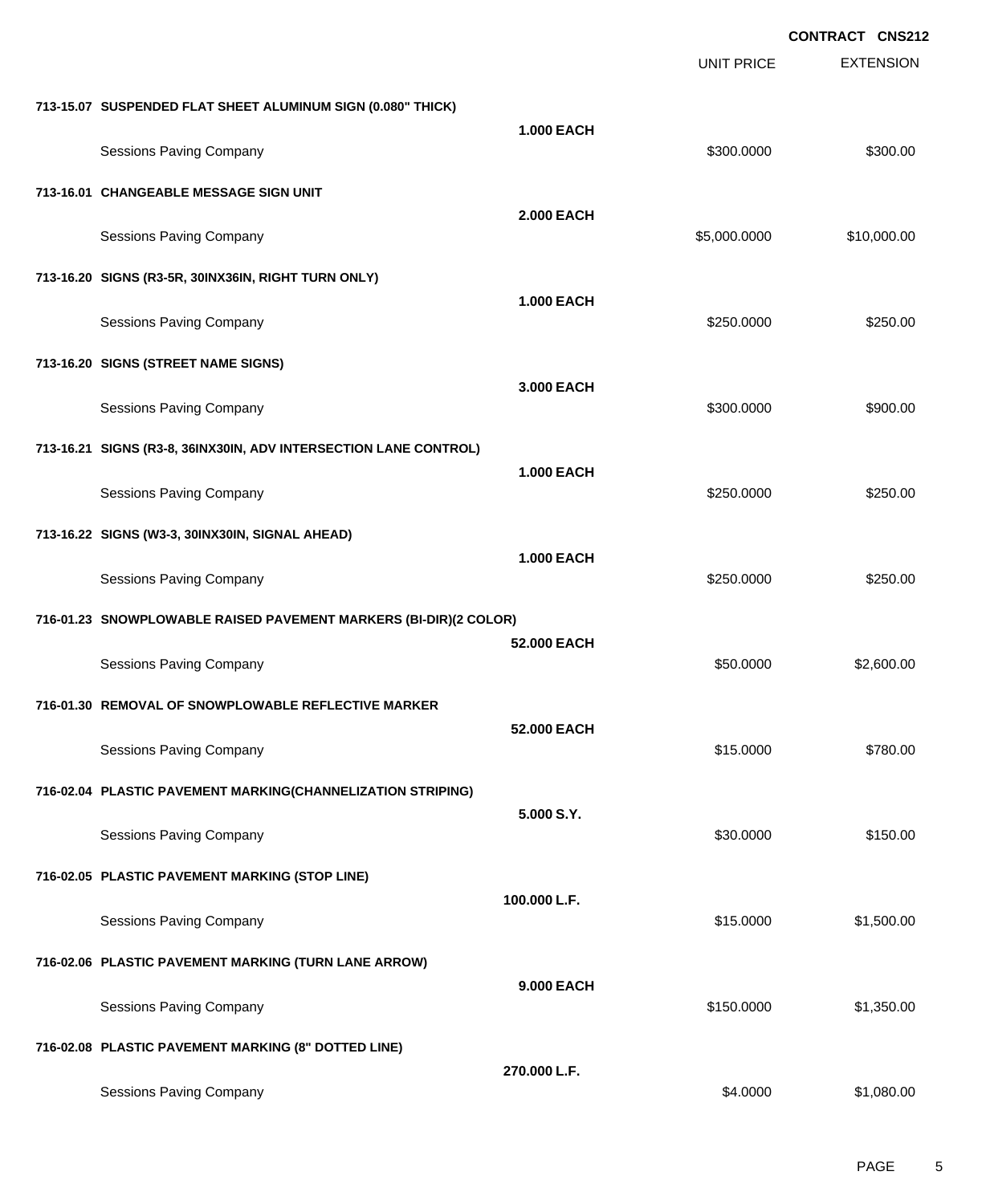UNIT PRICE

EXTENSION

**713-15.07 SUSPENDED FLAT SHEET ALUMINUM SIGN (0.080" THICK) 1.000 EACH** Sessions Paving Company **\$300.000 \$300.000 \$300.000** \$300.000 \$300.000 \$300.000 \$300.00 **713-16.01 CHANGEABLE MESSAGE SIGN UNIT 2.000 EACH** Sessions Paving Company 6.000.000 \$10,000.000 \$10,000.000 \$10,000.000 \$10,000.00 **713-16.20 SIGNS (R3-5R, 30INX36IN, RIGHT TURN ONLY) 1.000 EACH** Sessions Paving Company **\$250.000** \$250.000 \$250.000 \$250.000 \$250.000 \$250.000 \$250.00 **713-16.20 SIGNS (STREET NAME SIGNS) 3.000 EACH** Sessions Paving Company **\$300.000 \$900.00** \$900.00 \$900.00 \$900.00 \$900.00 \$900.00 \$900.00 \$900.00 \$900.00 \$900.00 \$900.00 \$900.00 \$900.00 \$900.00 \$900.00 \$900.00 \$900.00 \$900.00 \$900.00 \$900.00 \$900.00 \$900.00 \$900.00 \$90 **713-16.21 SIGNS (R3-8, 36INX30IN, ADV INTERSECTION LANE CONTROL) 1.000 EACH** Sessions Paving Company **\$250.000** \$250.000 \$250.000 \$250.000 \$250.000 \$250.000 \$250.00 **713-16.22 SIGNS (W3-3, 30INX30IN, SIGNAL AHEAD) 1.000 EACH** Sessions Paving Company **\$250.000** \$250.000 \$250.000 \$250.000 \$250.000 \$250.000 \$250.00 **716-01.23 SNOWPLOWABLE RAISED PAVEMENT MARKERS (BI-DIR)(2 COLOR) 52.000 EACH** Sessions Paving Company 62,600.00 **716-01.30 REMOVAL OF SNOWPLOWABLE REFLECTIVE MARKER 52.000 EACH** Sessions Paving Company **\$15.0000 \$780.00** \$15.0000 \$780.00 **716-02.04 PLASTIC PAVEMENT MARKING(CHANNELIZATION STRIPING) 5.000 S.Y.** Sessions Paving Company **\$150.00** \$150.00 \$150.00 \$150.00 \$150.00 \$150.00 \$150.00 \$150.00 \$150.00 \$150.00 \$150.00 \$150.00 \$150.00 \$150.00 \$150.00 \$150.00 \$150.00 \$150.00 \$150.00 \$150.00 \$150.00 \$150.00 \$150.00 \$150.00 \$150 **716-02.05 PLASTIC PAVEMENT MARKING (STOP LINE) 100.000 L.F.** Sessions Paving Company **\$15.0000** \$1,500.00 **716-02.06 PLASTIC PAVEMENT MARKING (TURN LANE ARROW) 9.000 EACH** Sessions Paving Company 6 (1,350.000) \$1,350.000 \$1,350.000 \$1,350.000 \$1,350.000 \$1,350.00 **716-02.08 PLASTIC PAVEMENT MARKING (8" DOTTED LINE) 270.000 L.F.** Sessions Paving Company **\$4.0000** \$1,080.00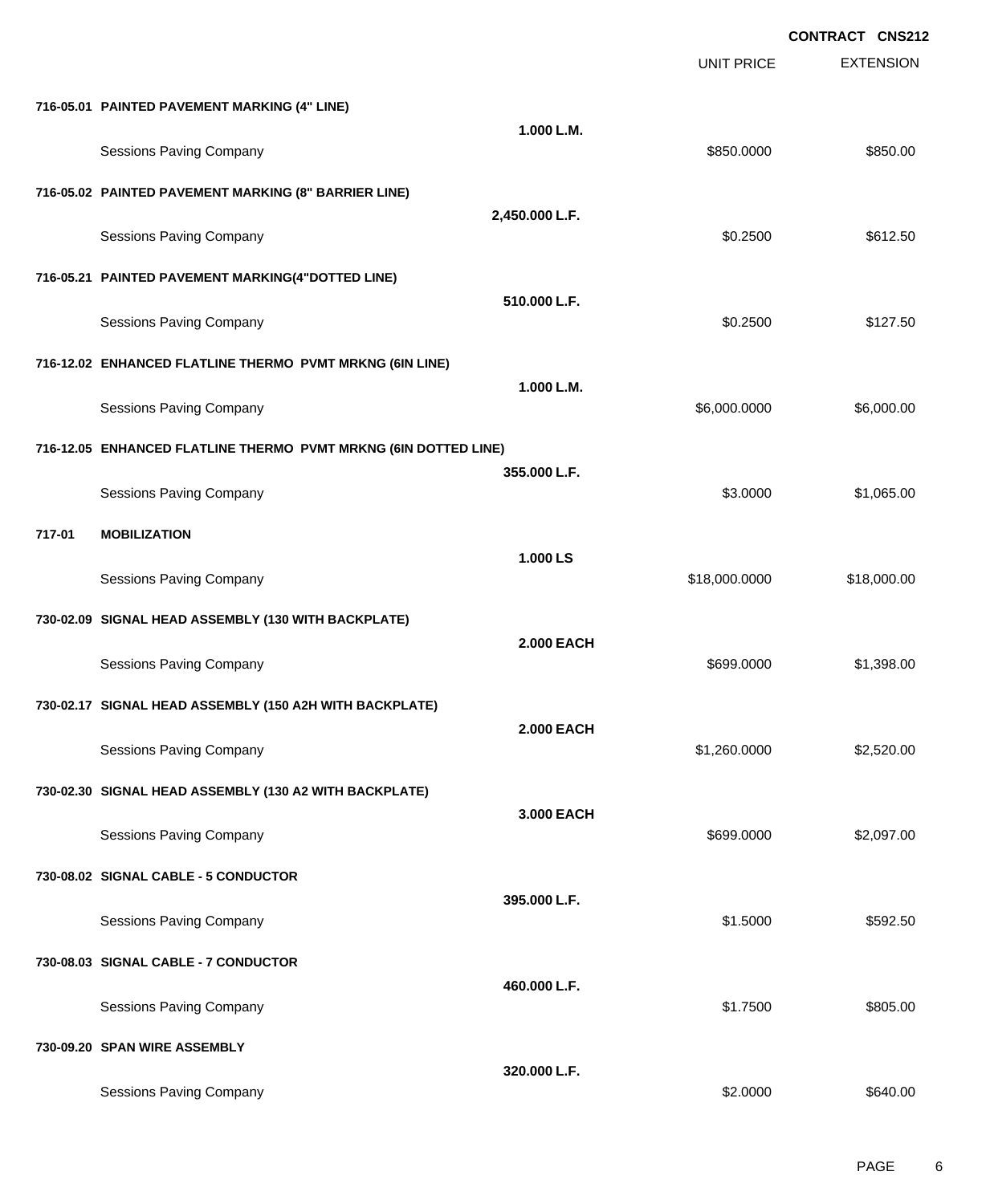EXTENSION **CONTRACT CNS212** UNIT PRICE **716-05.01 PAINTED PAVEMENT MARKING (4" LINE) 1.000 L.M.** Sessions Paving Company **\$850.000** \$850.000 \$850.000 \$850.000 \$850.000 \$850.000 \$850.000 \$850.00 **716-05.02 PAINTED PAVEMENT MARKING (8" BARRIER LINE) 2,450.000 L.F.** Sessions Paving Company \$612.50 **716-05.21 PAINTED PAVEMENT MARKING(4"DOTTED LINE) 510.000 L.F.** Sessions Paving Company **\$127.50** \$127.50 **716-12.02 ENHANCED FLATLINE THERMO PVMT MRKNG (6IN LINE) 1.000 L.M.** Sessions Paving Company 6,000.000 \$6,000.000 \$6,000.000 \$6,000.000 \$6,000.000 \$6,000.00 **716-12.05 ENHANCED FLATLINE THERMO PVMT MRKNG (6IN DOTTED LINE) 355.000 L.F.** Sessions Paving Company **\$1,065.00** \$1,065.00 **717-01 MOBILIZATION 1.000 LS** Sessions Paving Company **\$18,000.000 \$18,000.000 \$18,000.000** \$18,000.000 \$18,000.00 **730-02.09 SIGNAL HEAD ASSEMBLY (130 WITH BACKPLATE) 2.000 EACH** Sessions Paving Company **\$699.0000 \$1,398.00** \$1,398.00 **730-02.17 SIGNAL HEAD ASSEMBLY (150 A2H WITH BACKPLATE) 2.000 EACH** Sessions Paving Company \$1,260.0000 \$2,520.00 **730-02.30 SIGNAL HEAD ASSEMBLY (130 A2 WITH BACKPLATE) 3.000 EACH** Sessions Paving Company **\$699.0000 \$2,097.00** \$2,097.00 **730-08.02 SIGNAL CABLE - 5 CONDUCTOR 395.000 L.F.** Sessions Paving Company **\$1.5000** \$592.50 **730-08.03 SIGNAL CABLE - 7 CONDUCTOR 460.000 L.F.** Sessions Paving Company **\$1.7500** \$805.00 **730-09.20 SPAN WIRE ASSEMBLY 320.000 L.F.**

Sessions Paving Company **\$640.00** \$640.00 \$640.00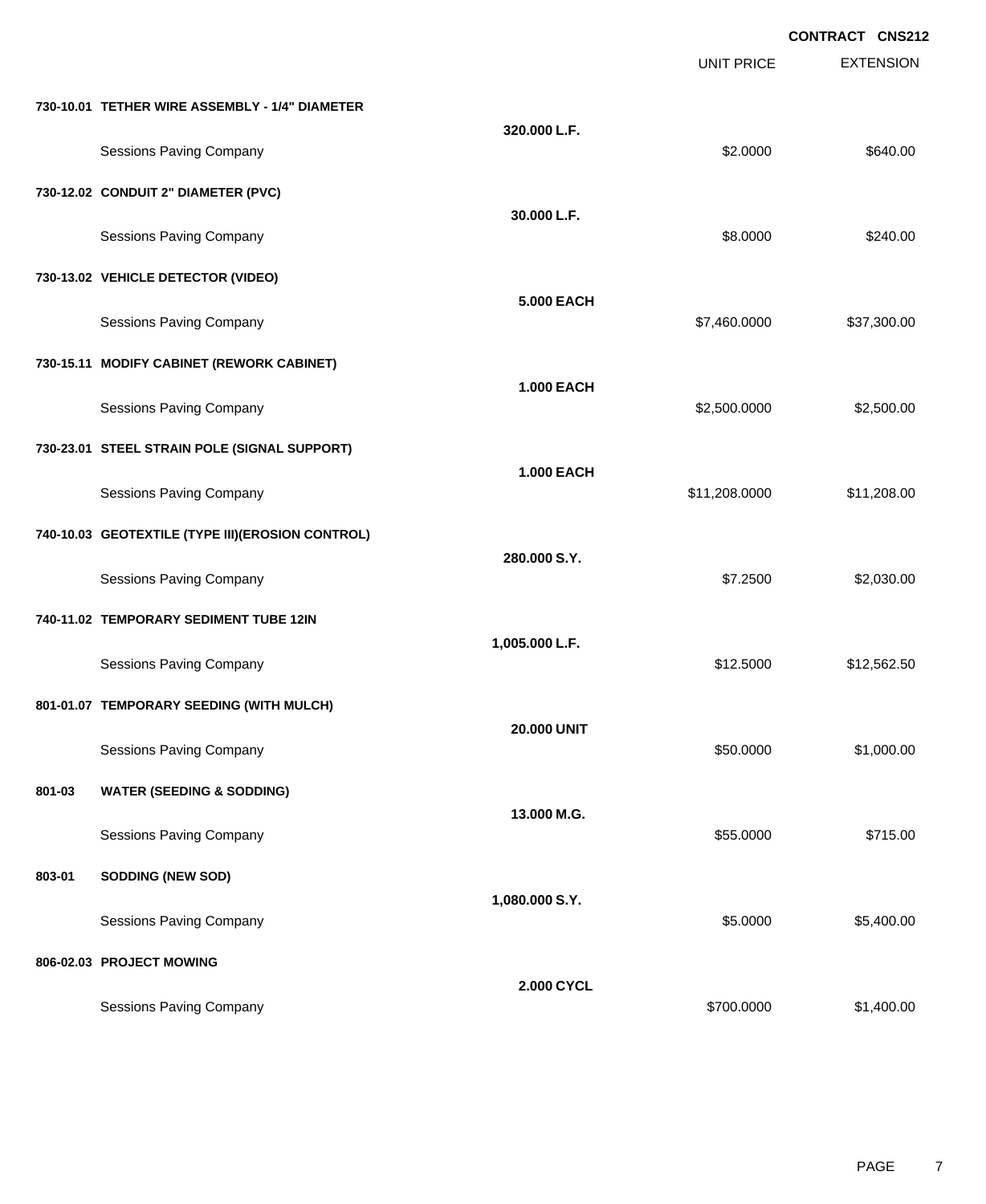|        |                                                   |                    | <b>UNIT PRICE</b> | <b>EXTENSION</b> |
|--------|---------------------------------------------------|--------------------|-------------------|------------------|
|        | 730-10.01 TETHER WIRE ASSEMBLY - 1/4" DIAMETER    |                    |                   |                  |
|        | <b>Sessions Paving Company</b>                    | 320.000 L.F.       | \$2.0000          | \$640.00         |
|        | 730-12.02 CONDUIT 2" DIAMETER (PVC)               |                    |                   |                  |
|        | <b>Sessions Paving Company</b>                    | 30.000 L.F.        | \$8.0000          | \$240.00         |
|        | 730-13.02 VEHICLE DETECTOR (VIDEO)                |                    |                   |                  |
|        | <b>Sessions Paving Company</b>                    | 5.000 EACH         | \$7,460.0000      | \$37,300.00      |
|        | 730-15.11 MODIFY CABINET (REWORK CABINET)         |                    |                   |                  |
|        | Sessions Paving Company                           | <b>1.000 EACH</b>  | \$2,500.0000      | \$2,500.00       |
|        | 730-23.01 STEEL STRAIN POLE (SIGNAL SUPPORT)      |                    |                   |                  |
|        | Sessions Paving Company                           | <b>1.000 EACH</b>  | \$11,208.0000     | \$11,208.00      |
|        | 740-10.03 GEOTEXTILE (TYPE III) (EROSION CONTROL) |                    |                   |                  |
|        | <b>Sessions Paving Company</b>                    | 280.000 S.Y.       | \$7.2500          | \$2,030.00       |
|        | 740-11.02 TEMPORARY SEDIMENT TUBE 12IN            |                    |                   |                  |
|        | Sessions Paving Company                           | 1,005.000 L.F.     | \$12.5000         | \$12,562.50      |
|        | 801-01.07 TEMPORARY SEEDING (WITH MULCH)          |                    |                   |                  |
|        | <b>Sessions Paving Company</b>                    | <b>20.000 UNIT</b> | \$50.0000         | \$1,000.00       |
| 801-03 | <b>WATER (SEEDING &amp; SODDING)</b>              |                    |                   |                  |
|        | Sessions Paving Company                           | 13.000 M.G.        | \$55.0000         | \$715.00         |
| 803-01 | SODDING (NEW SOD)                                 |                    |                   |                  |
|        | <b>Sessions Paving Company</b>                    | 1,080.000 S.Y.     | \$5.0000          | \$5,400.00       |
|        | 806-02.03 PROJECT MOWING                          |                    |                   |                  |
|        | <b>Sessions Paving Company</b>                    | 2.000 CYCL         | \$700.0000        | \$1,400.00       |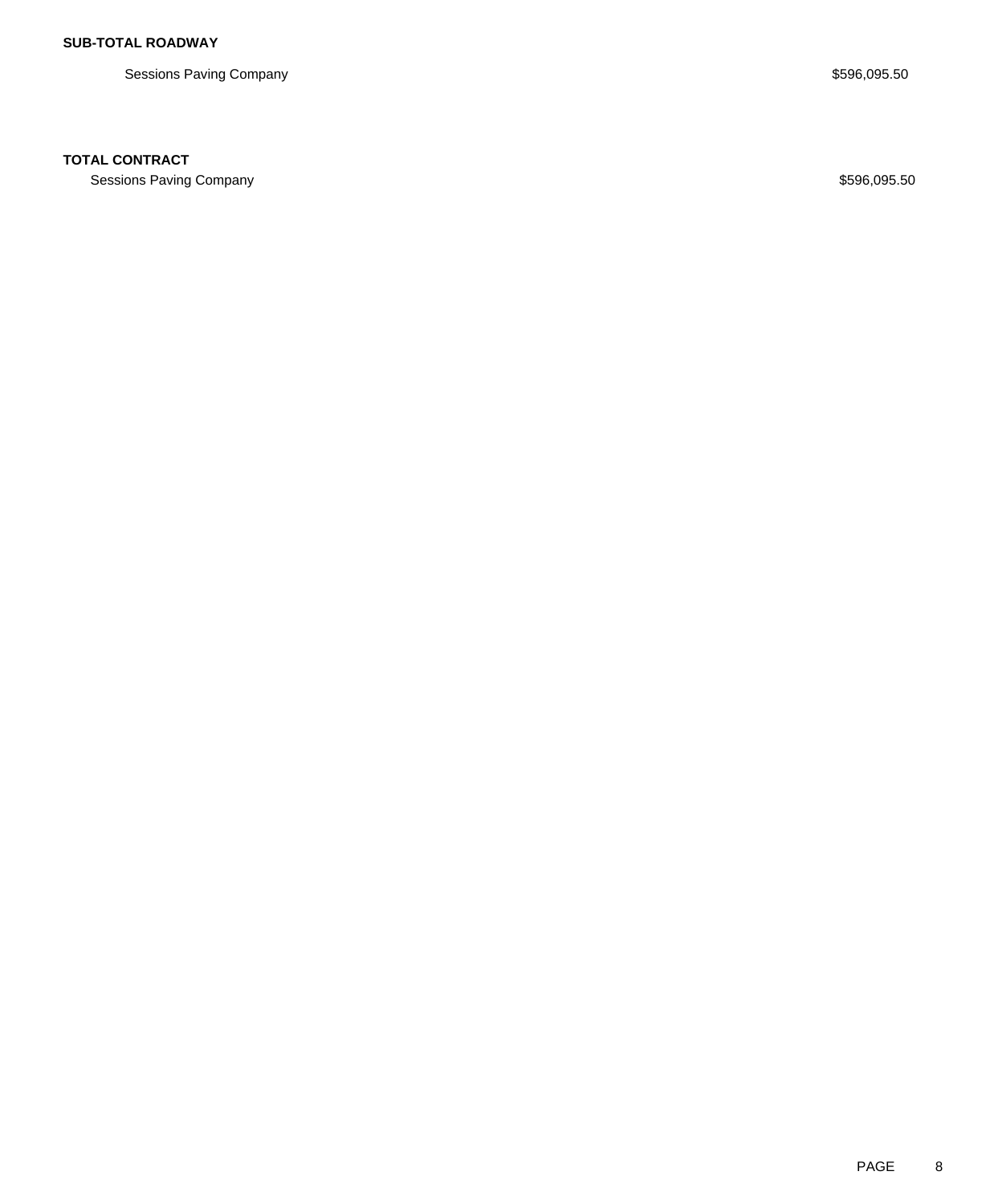Sessions Paving Company **\$596,095.50** Sessions Paving Company

### **TOTAL CONTRACT**

Sessions Paving Company **\$596,095.50** Sessions Paving Company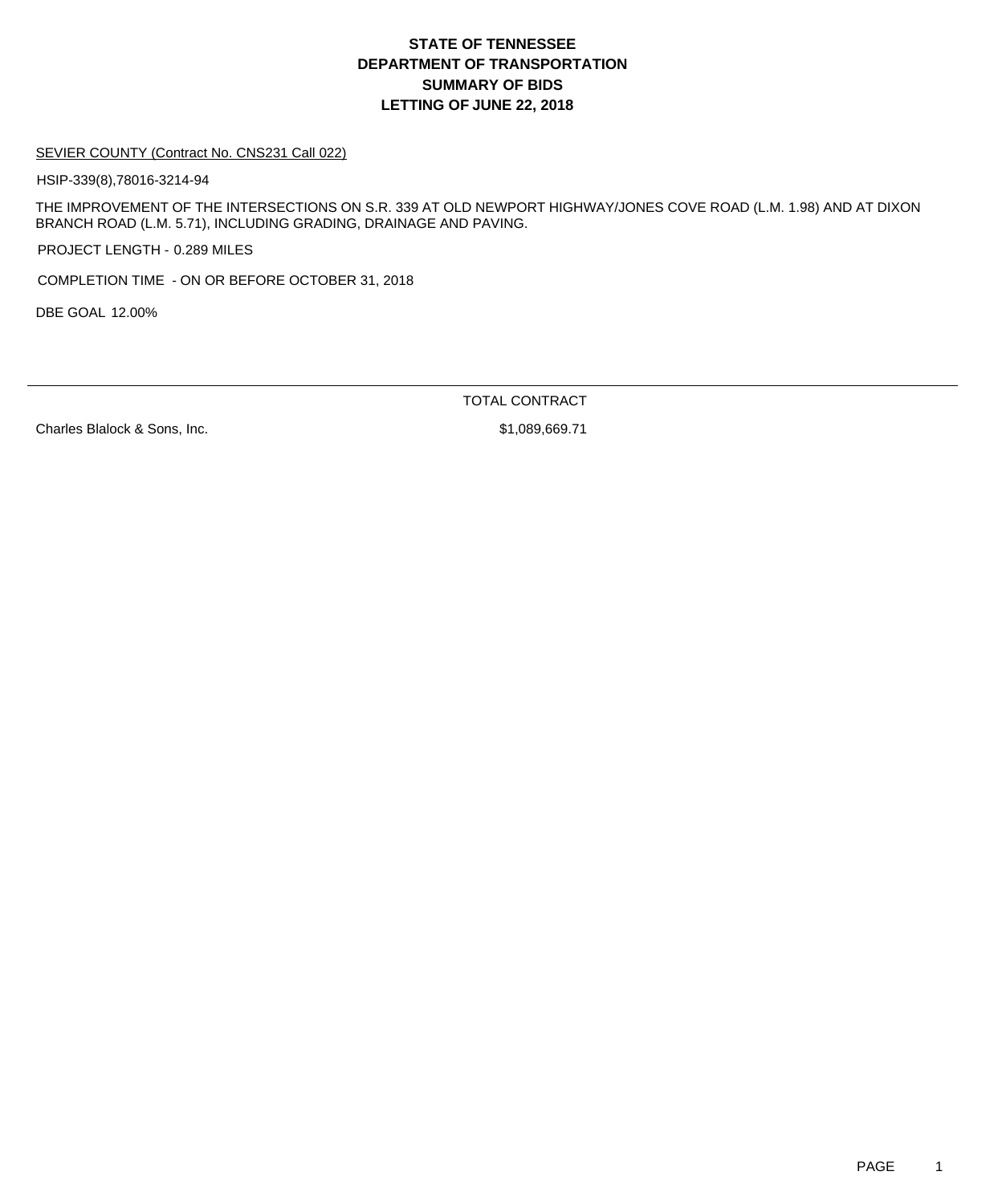#### SEVIER COUNTY (Contract No. CNS231 Call 022)

HSIP-339(8),78016-3214-94

THE IMPROVEMENT OF THE INTERSECTIONS ON S.R. 339 AT OLD NEWPORT HIGHWAY/JONES COVE ROAD (L.M. 1.98) AND AT DIXON BRANCH ROAD (L.M. 5.71), INCLUDING GRADING, DRAINAGE AND PAVING.

PROJECT LENGTH - 0.289 MILES

COMPLETION TIME - ON OR BEFORE OCTOBER 31, 2018

DBE GOAL 12.00%

TOTAL CONTRACT

Charles Blalock & Sons, Inc. \$1,089,669.71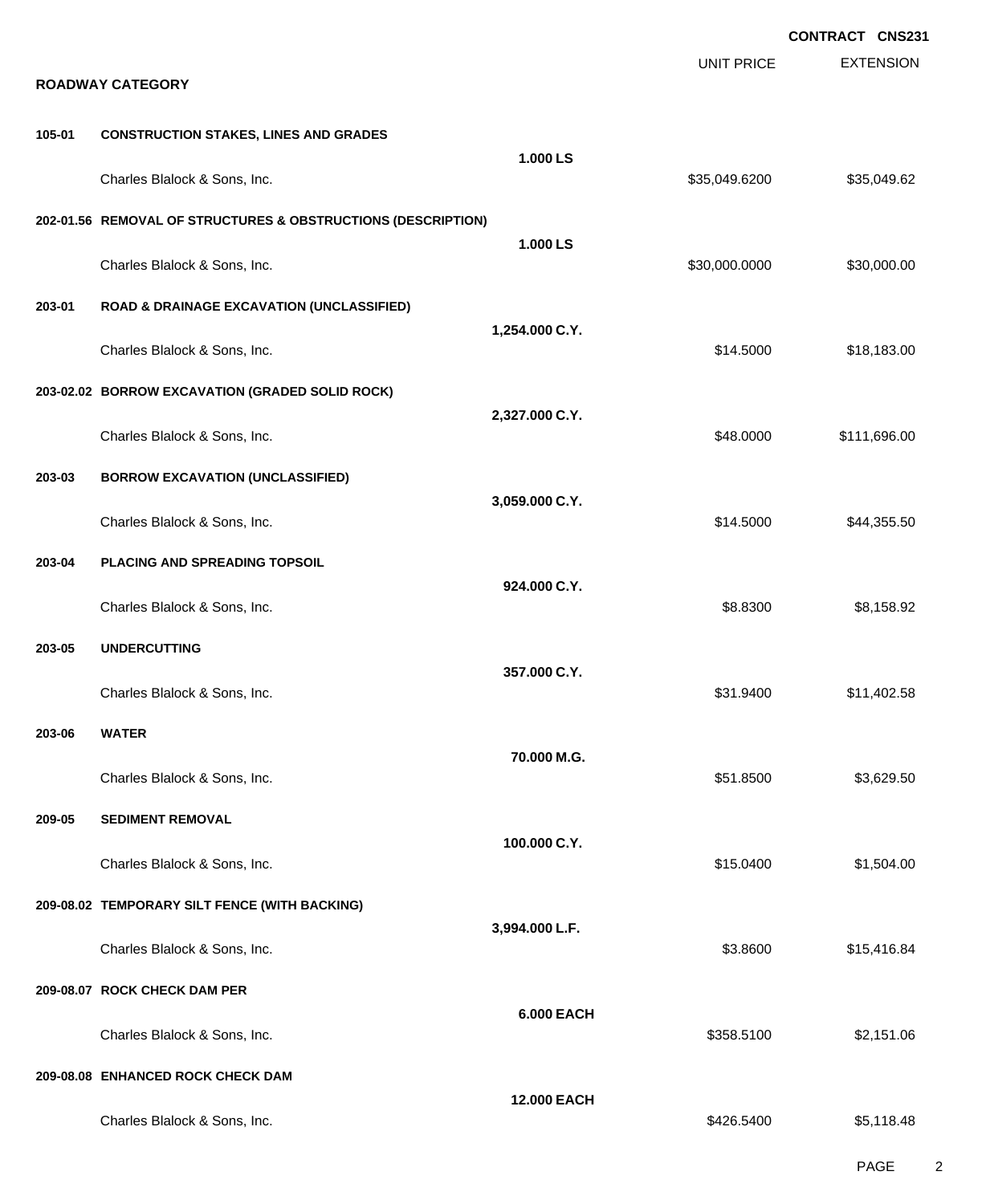|        |                                                              |                    |                   | <b>CONTRACT CNS231</b> |
|--------|--------------------------------------------------------------|--------------------|-------------------|------------------------|
|        | <b>ROADWAY CATEGORY</b>                                      |                    | <b>UNIT PRICE</b> | <b>EXTENSION</b>       |
| 105-01 | <b>CONSTRUCTION STAKES, LINES AND GRADES</b>                 |                    |                   |                        |
|        | Charles Blalock & Sons, Inc.                                 | 1.000LS            | \$35,049.6200     | \$35,049.62            |
|        | 202-01.56 REMOVAL OF STRUCTURES & OBSTRUCTIONS (DESCRIPTION) | 1.000 LS           |                   |                        |
|        | Charles Blalock & Sons, Inc.                                 |                    | \$30,000.0000     | \$30,000.00            |
| 203-01 | <b>ROAD &amp; DRAINAGE EXCAVATION (UNCLASSIFIED)</b>         |                    |                   |                        |
|        | Charles Blalock & Sons, Inc.                                 | 1,254.000 C.Y.     | \$14.5000         | \$18,183.00            |
|        | 203-02.02 BORROW EXCAVATION (GRADED SOLID ROCK)              |                    |                   |                        |
|        | Charles Blalock & Sons, Inc.                                 | 2,327.000 C.Y.     | \$48.0000         | \$111,696.00           |
| 203-03 | <b>BORROW EXCAVATION (UNCLASSIFIED)</b>                      |                    |                   |                        |
|        | Charles Blalock & Sons, Inc.                                 | 3,059.000 C.Y.     | \$14.5000         | \$44,355.50            |
| 203-04 | PLACING AND SPREADING TOPSOIL                                |                    |                   |                        |
|        | Charles Blalock & Sons, Inc.                                 | 924.000 C.Y.       | \$8.8300          | \$8,158.92             |
| 203-05 | <b>UNDERCUTTING</b>                                          |                    |                   |                        |
|        | Charles Blalock & Sons, Inc.                                 | 357.000 C.Y.       | \$31.9400         | \$11,402.58            |
| 203-06 | <b>WATER</b>                                                 |                    |                   |                        |
|        | Charles Blalock & Sons, Inc.                                 | 70.000 M.G.        | \$51.8500         | \$3,629.50             |
| 209-05 | <b>SEDIMENT REMOVAL</b>                                      |                    |                   |                        |
|        | Charles Blalock & Sons, Inc.                                 | 100.000 C.Y.       | \$15.0400         | \$1,504.00             |
|        | 209-08.02 TEMPORARY SILT FENCE (WITH BACKING)                |                    |                   |                        |
|        | Charles Blalock & Sons, Inc.                                 | 3,994.000 L.F.     | \$3.8600          | \$15,416.84            |
|        | 209-08.07 ROCK CHECK DAM PER                                 |                    |                   |                        |
|        | Charles Blalock & Sons, Inc.                                 | <b>6.000 EACH</b>  | \$358.5100        | \$2,151.06             |
|        | 209-08.08 ENHANCED ROCK CHECK DAM                            |                    |                   |                        |
|        | Charles Blalock & Sons, Inc.                                 | <b>12.000 EACH</b> | \$426.5400        | \$5,118.48             |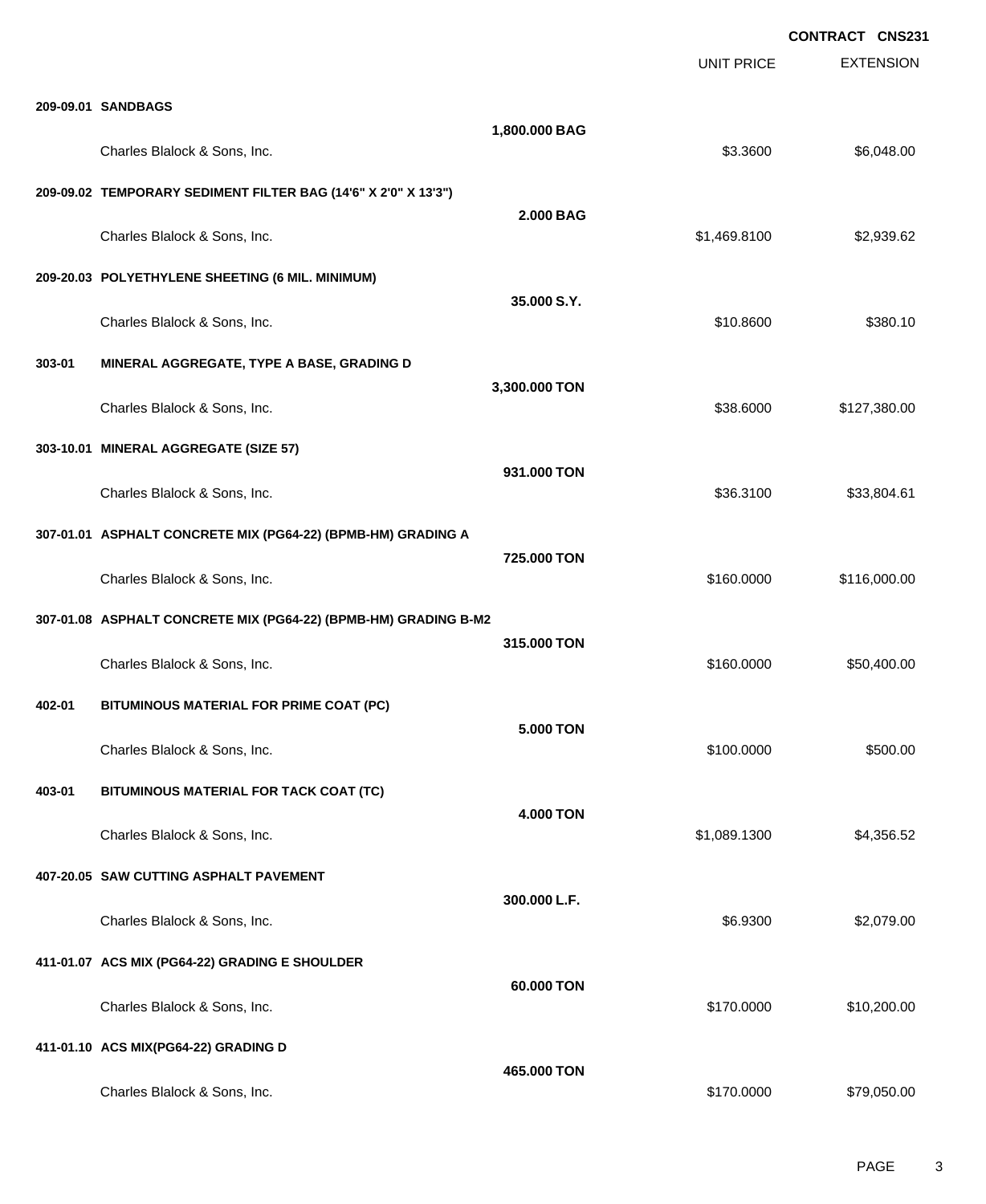EXTENSION **CONTRACT CNS231** UNIT PRICE **209-09.01 SANDBAGS 1,800.000 BAG** Charles Blalock & Sons, Inc. 6.699 (1999) 2012 12:00 (1999) 2012 12:00 (1999) 33.3600 \$6,048.00 **209-09.02 TEMPORARY SEDIMENT FILTER BAG (14'6" X 2'0" X 13'3") 2.000 BAG** Charles Blalock & Sons, Inc. \$1,469.8100 \$2,939.62 **209-20.03 POLYETHYLENE SHEETING (6 MIL. MINIMUM) 35.000 S.Y.** Charles Blalock & Sons, Inc. \$10.8600 \$380.10 **303-01 MINERAL AGGREGATE, TYPE A BASE, GRADING D 3,300.000 TON** Charles Blalock & Sons, Inc. \$38.6000 \$127,380.00 **303-10.01 MINERAL AGGREGATE (SIZE 57) 931.000 TON** Charles Blalock & Sons, Inc. 6.62.5100 \$33,804.61 **307-01.01 ASPHALT CONCRETE MIX (PG64-22) (BPMB-HM) GRADING A 725.000 TON** Charles Blalock & Sons, Inc. 6. 2010 12:00:00 \$160.0000 \$116,000.00 **307-01.08 ASPHALT CONCRETE MIX (PG64-22) (BPMB-HM) GRADING B-M2 315.000 TON** Charles Blalock & Sons, Inc. 6. 2012 12:30 12:30 12:30 12:30 12:30 12:30 12:30 12:30 12:30 12:30 12:30 12:30 12:30 12:30 12:30 12:30 12:30 12:30 12:30 12:30 12:30 12:30 12:30 12:30 12:30 12:30 12:30 12:30 12:30 12:30 12:30 **402-01 BITUMINOUS MATERIAL FOR PRIME COAT (PC) 5.000 TON** Charles Blalock & Sons, Inc. 6500.000 \$500.00 \$500.00 \$500.00 **403-01 BITUMINOUS MATERIAL FOR TACK COAT (TC) 4.000 TON** Charles Blalock & Sons, Inc. \$1,089.1300 \$4,356.52 **407-20.05 SAW CUTTING ASPHALT PAVEMENT 300.000 L.F.** Charles Blalock & Sons, Inc. 6.69300 \$2,079.00 **411-01.07 ACS MIX (PG64-22) GRADING E SHOULDER 60.000 TON** Charles Blalock & Sons, Inc. 6. 2009. [10] Charles Blalock & Sons, Inc. 6. 2009. [10] Charles Blalock & Sons, Inc. 2009. [10] 2009. [10] 2009. [10] 2009. [10] 2009. [10] 2009. [10] 2009. [10] 2009. [10] 2009. [10] 2009. [1 **411-01.10 ACS MIX(PG64-22) GRADING D 465.000 TON** Charles Blalock & Sons, Inc. 6. 2010 12:30 12:30 12:30 12:30 12:30 12:30 12:30 12:30 12:30 12:30 12:30 12:30 12:30 12:30 12:30 12:30 12:30 12:30 12:30 12:30 12:30 12:30 12:30 12:30 12:30 12:30 12:30 12:30 12:30 12:30 12:30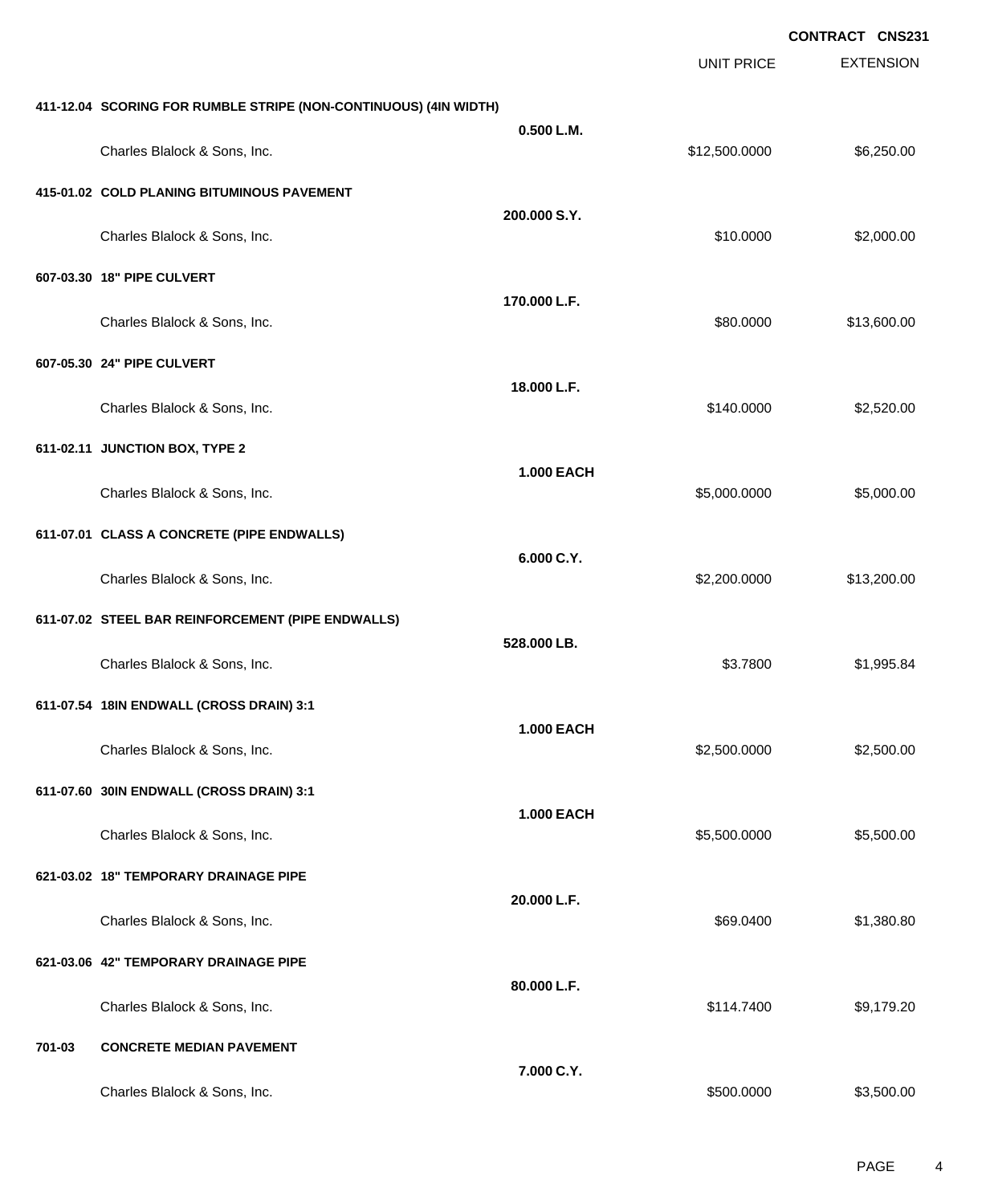|        |                                                                  |                   |                   | <b>CONTRACT CNS231</b> |
|--------|------------------------------------------------------------------|-------------------|-------------------|------------------------|
|        |                                                                  |                   | <b>UNIT PRICE</b> | <b>EXTENSION</b>       |
|        | 411-12.04 SCORING FOR RUMBLE STRIPE (NON-CONTINUOUS) (4IN WIDTH) |                   |                   |                        |
|        | Charles Blalock & Sons, Inc.                                     | 0.500 L.M.        | \$12,500.0000     | \$6,250.00             |
|        | 415-01.02 COLD PLANING BITUMINOUS PAVEMENT                       |                   |                   |                        |
|        | Charles Blalock & Sons, Inc.                                     | 200.000 S.Y.      | \$10.0000         | \$2,000.00             |
|        | 607-03.30 18" PIPE CULVERT                                       |                   |                   |                        |
|        | Charles Blalock & Sons, Inc.                                     | 170.000 L.F.      | \$80.0000         | \$13,600.00            |
|        | 607-05.30 24" PIPE CULVERT                                       |                   |                   |                        |
|        | Charles Blalock & Sons, Inc.                                     | 18.000 L.F.       | \$140.0000        | \$2,520.00             |
|        | 611-02.11 JUNCTION BOX, TYPE 2                                   |                   |                   |                        |
|        | Charles Blalock & Sons, Inc.                                     | <b>1.000 EACH</b> | \$5,000.0000      | \$5,000.00             |
|        | 611-07.01 CLASS A CONCRETE (PIPE ENDWALLS)                       |                   |                   |                        |
|        | Charles Blalock & Sons, Inc.                                     | 6.000 C.Y.        | \$2,200.0000      | \$13,200.00            |
|        | 611-07.02 STEEL BAR REINFORCEMENT (PIPE ENDWALLS)                |                   |                   |                        |
|        | Charles Blalock & Sons, Inc.                                     | 528.000 LB.       | \$3.7800          | \$1,995.84             |
|        | 611-07.54 18IN ENDWALL (CROSS DRAIN) 3:1                         |                   |                   |                        |
|        | Charles Blalock & Sons, Inc.                                     | <b>1.000 EACH</b> | \$2,500.0000      | \$2,500.00             |
|        | 611-07.60 30IN ENDWALL (CROSS DRAIN) 3:1                         |                   |                   |                        |
|        | Charles Blalock & Sons, Inc.                                     | <b>1.000 EACH</b> | \$5,500.0000      | \$5,500.00             |
|        | 621-03.02 18" TEMPORARY DRAINAGE PIPE                            |                   |                   |                        |
|        | Charles Blalock & Sons, Inc.                                     | 20.000 L.F.       | \$69.0400         | \$1,380.80             |
|        | 621-03.06 42" TEMPORARY DRAINAGE PIPE                            |                   |                   |                        |
|        | Charles Blalock & Sons, Inc.                                     | 80.000 L.F.       | \$114.7400        | \$9,179.20             |
| 701-03 | <b>CONCRETE MEDIAN PAVEMENT</b>                                  |                   |                   |                        |
|        | Charles Blalock & Sons, Inc.                                     | 7.000 C.Y.        | \$500.0000        | \$3,500.00             |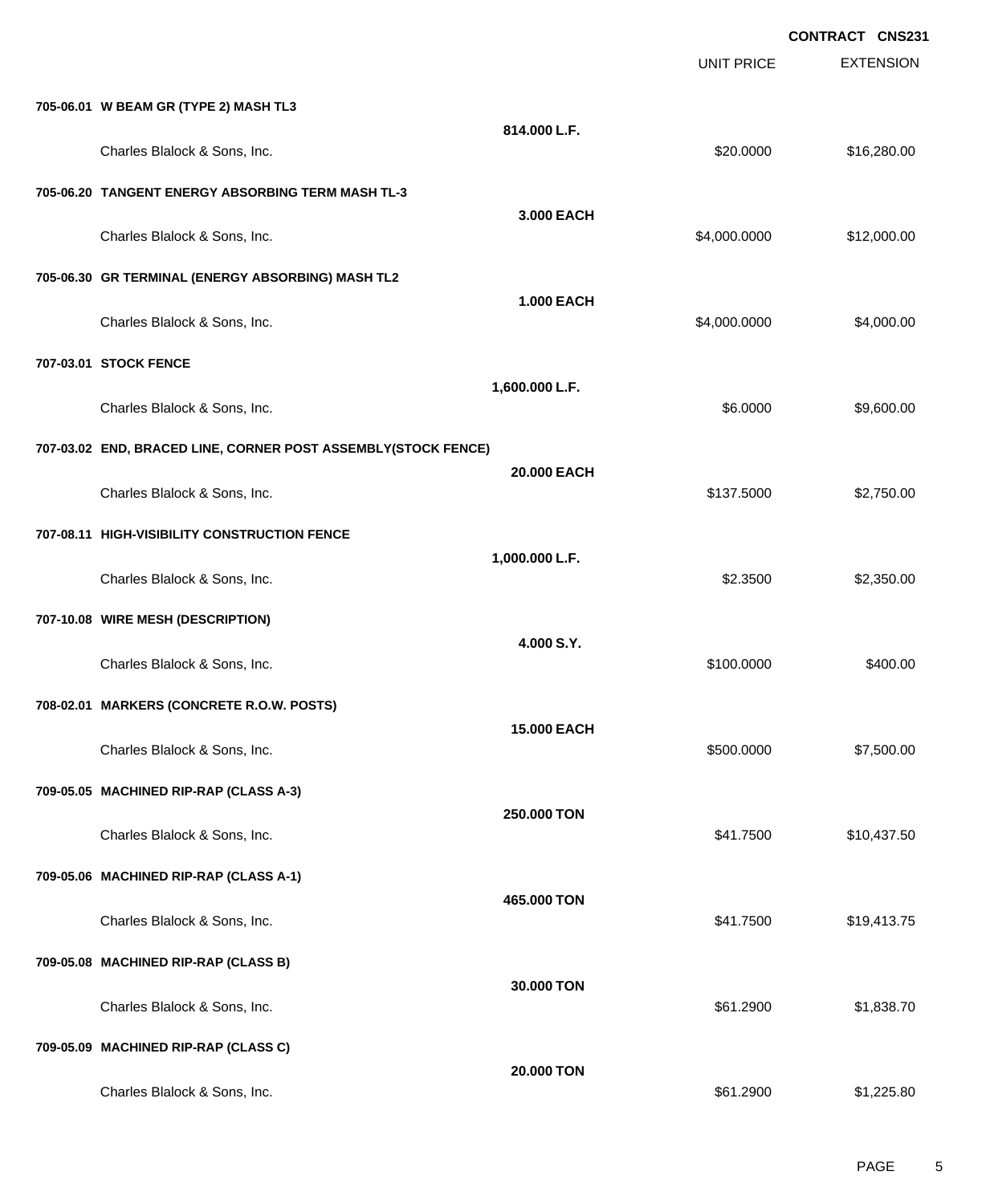|                                                               |                    |                   | <b>CONTRACT CNS231</b> |
|---------------------------------------------------------------|--------------------|-------------------|------------------------|
|                                                               |                    | <b>UNIT PRICE</b> | <b>EXTENSION</b>       |
| 705-06.01 W BEAM GR (TYPE 2) MASH TL3                         |                    |                   |                        |
| Charles Blalock & Sons, Inc.                                  | 814.000 L.F.       | \$20.0000         | \$16,280.00            |
| 705-06.20 TANGENT ENERGY ABSORBING TERM MASH TL-3             |                    |                   |                        |
| Charles Blalock & Sons, Inc.                                  | 3.000 EACH         | \$4,000.0000      | \$12,000.00            |
| 705-06.30 GR TERMINAL (ENERGY ABSORBING) MASH TL2             |                    |                   |                        |
| Charles Blalock & Sons, Inc.                                  | <b>1.000 EACH</b>  | \$4,000.0000      | \$4,000.00             |
| 707-03.01 STOCK FENCE                                         |                    |                   |                        |
| Charles Blalock & Sons, Inc.                                  | 1,600.000 L.F.     | \$6.0000          | \$9,600.00             |
| 707-03.02 END, BRACED LINE, CORNER POST ASSEMBLY(STOCK FENCE) |                    |                   |                        |
| Charles Blalock & Sons, Inc.                                  | 20.000 EACH        | \$137.5000        | \$2,750.00             |
| 707-08.11 HIGH-VISIBILITY CONSTRUCTION FENCE                  |                    |                   |                        |
| Charles Blalock & Sons, Inc.                                  | 1,000.000 L.F.     | \$2.3500          | \$2,350.00             |
| 707-10.08 WIRE MESH (DESCRIPTION)                             |                    |                   |                        |
| Charles Blalock & Sons, Inc.                                  | 4.000 S.Y.         | \$100.0000        | \$400.00               |
| 708-02.01 MARKERS (CONCRETE R.O.W. POSTS)                     |                    |                   |                        |
| Charles Blalock & Sons, Inc.                                  | <b>15.000 EACH</b> | \$500.0000        | \$7,500.00             |
| 709-05.05 MACHINED RIP-RAP (CLASS A-3)                        |                    |                   |                        |
| Charles Blalock & Sons, Inc.                                  | 250.000 TON        | \$41.7500         | \$10,437.50            |
| 709-05.06 MACHINED RIP-RAP (CLASS A-1)                        |                    |                   |                        |
| Charles Blalock & Sons, Inc.                                  | 465.000 TON        | \$41.7500         | \$19,413.75            |
| 709-05.08 MACHINED RIP-RAP (CLASS B)                          |                    |                   |                        |
| Charles Blalock & Sons, Inc.                                  | 30.000 TON         | \$61.2900         | \$1,838.70             |
| 709-05.09 MACHINED RIP-RAP (CLASS C)                          |                    |                   |                        |
| Charles Blalock & Sons, Inc.                                  | 20.000 TON         | \$61.2900         | \$1,225.80             |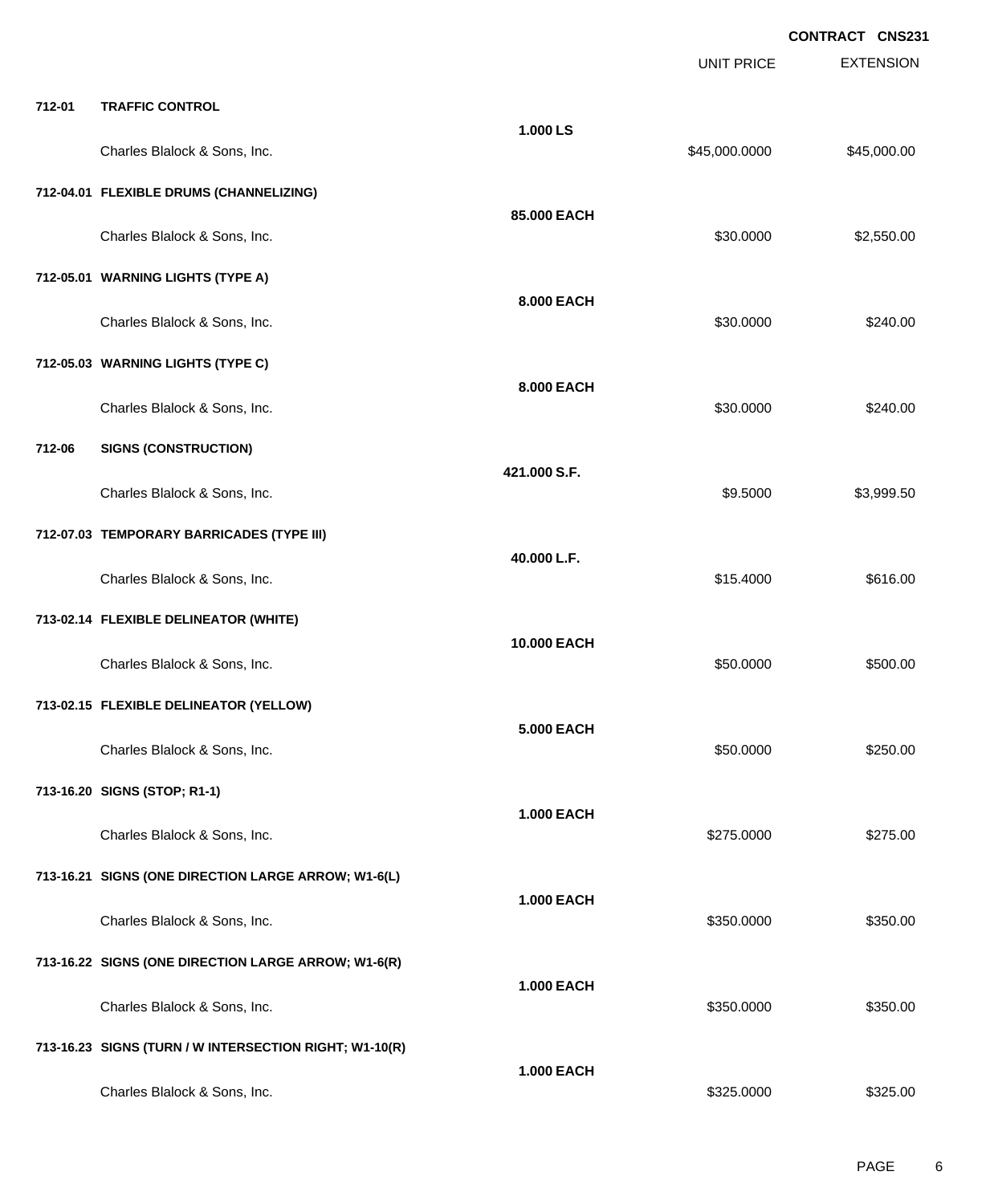|        |                                                        |                   | <b>UNIT PRICE</b> | <b>EXTENSION</b> |
|--------|--------------------------------------------------------|-------------------|-------------------|------------------|
| 712-01 | <b>TRAFFIC CONTROL</b>                                 |                   |                   |                  |
|        | Charles Blalock & Sons, Inc.                           | 1.000 LS          | \$45,000.0000     | \$45,000.00      |
|        | 712-04.01 FLEXIBLE DRUMS (CHANNELIZING)                |                   |                   |                  |
|        | Charles Blalock & Sons, Inc.                           | 85.000 EACH       | \$30.0000         | \$2,550.00       |
|        | 712-05.01 WARNING LIGHTS (TYPE A)                      |                   |                   |                  |
|        | Charles Blalock & Sons, Inc.                           | 8.000 EACH        | \$30.0000         | \$240.00         |
|        | 712-05.03 WARNING LIGHTS (TYPE C)                      |                   |                   |                  |
|        | Charles Blalock & Sons, Inc.                           | 8.000 EACH        | \$30.0000         | \$240.00         |
| 712-06 | <b>SIGNS (CONSTRUCTION)</b>                            |                   |                   |                  |
|        | Charles Blalock & Sons, Inc.                           | 421,000 S.F.      | \$9.5000          | \$3,999.50       |
|        | 712-07.03 TEMPORARY BARRICADES (TYPE III)              | 40.000 L.F.       |                   |                  |
|        | Charles Blalock & Sons, Inc.                           |                   | \$15.4000         | \$616.00         |
|        | 713-02.14 FLEXIBLE DELINEATOR (WHITE)                  | 10.000 EACH       |                   |                  |
|        | Charles Blalock & Sons, Inc.                           |                   | \$50.0000         | \$500.00         |
|        | 713-02.15 FLEXIBLE DELINEATOR (YELLOW)                 | <b>5.000 EACH</b> |                   |                  |
|        | Charles Blalock & Sons, Inc.                           |                   | \$50.0000         | \$250.00         |
|        | 713-16.20 SIGNS (STOP; R1-1)                           | <b>1.000 EACH</b> |                   |                  |
|        | Charles Blalock & Sons, Inc.                           |                   | \$275.0000        | \$275.00         |
|        | 713-16.21 SIGNS (ONE DIRECTION LARGE ARROW; W1-6(L)    | <b>1.000 EACH</b> |                   |                  |
|        | Charles Blalock & Sons, Inc.                           |                   | \$350.0000        | \$350.00         |
|        | 713-16.22 SIGNS (ONE DIRECTION LARGE ARROW; W1-6(R)    | <b>1.000 EACH</b> |                   |                  |
|        | Charles Blalock & Sons, Inc.                           |                   | \$350.0000        | \$350.00         |
|        | 713-16.23 SIGNS (TURN / W INTERSECTION RIGHT; W1-10(R) | <b>1.000 EACH</b> |                   |                  |
|        | Charles Blalock & Sons, Inc.                           |                   | \$325.0000        | \$325.00         |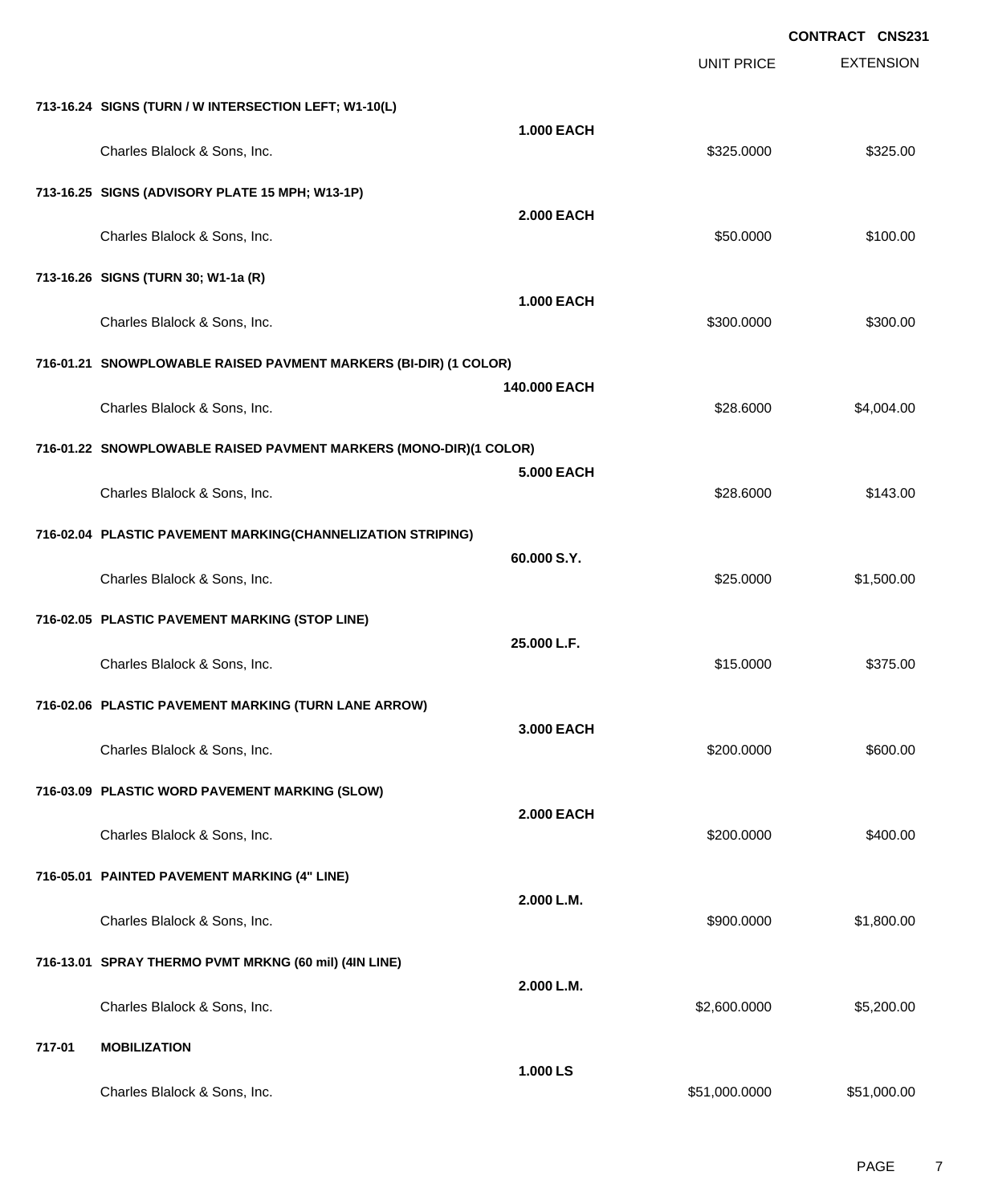UNIT PRICE

EXTENSION

|        | 713-16.24 SIGNS (TURN / W INTERSECTION LEFT; W1-10(L)             |                   |               |             |
|--------|-------------------------------------------------------------------|-------------------|---------------|-------------|
|        | Charles Blalock & Sons, Inc.                                      | <b>1.000 EACH</b> | \$325,0000    | \$325.00    |
|        | 713-16.25 SIGNS (ADVISORY PLATE 15 MPH; W13-1P)                   |                   |               |             |
|        | Charles Blalock & Sons, Inc.                                      | <b>2.000 EACH</b> | \$50.0000     | \$100.00    |
|        | 713-16.26 SIGNS (TURN 30; W1-1a (R)                               |                   |               |             |
|        | Charles Blalock & Sons, Inc.                                      | <b>1.000 EACH</b> | \$300.0000    | \$300.00    |
|        | 716-01.21 SNOWPLOWABLE RAISED PAVMENT MARKERS (BI-DIR) (1 COLOR)  |                   |               |             |
|        | Charles Blalock & Sons, Inc.                                      | 140,000 EACH      | \$28.6000     | \$4,004.00  |
|        | 716-01.22 SNOWPLOWABLE RAISED PAVMENT MARKERS (MONO-DIR)(1 COLOR) |                   |               |             |
|        | Charles Blalock & Sons, Inc.                                      | <b>5.000 EACH</b> | \$28.6000     | \$143.00    |
|        | 716-02.04 PLASTIC PAVEMENT MARKING(CHANNELIZATION STRIPING)       |                   |               |             |
|        | Charles Blalock & Sons, Inc.                                      | 60.000 S.Y.       | \$25.0000     | \$1,500.00  |
|        | 716-02.05 PLASTIC PAVEMENT MARKING (STOP LINE)                    |                   |               |             |
|        | Charles Blalock & Sons, Inc.                                      | 25.000 L.F.       | \$15.0000     | \$375.00    |
|        | 716-02.06 PLASTIC PAVEMENT MARKING (TURN LANE ARROW)              |                   |               |             |
|        | Charles Blalock & Sons, Inc.                                      | 3.000 EACH        | \$200.0000    | \$600.00    |
|        | 716-03.09 PLASTIC WORD PAVEMENT MARKING (SLOW)                    |                   |               |             |
|        | Charles Blalock & Sons, Inc.                                      | <b>2.000 EACH</b> | \$200.0000    | \$400.00    |
|        | 716-05.01 PAINTED PAVEMENT MARKING (4" LINE)                      |                   |               |             |
|        | Charles Blalock & Sons, Inc.                                      | 2.000 L.M.        | \$900.0000    | \$1,800.00  |
|        | 716-13.01 SPRAY THERMO PVMT MRKNG (60 mil) (4IN LINE)             |                   |               |             |
|        | Charles Blalock & Sons, Inc.                                      | 2.000 L.M.        | \$2,600.0000  | \$5,200.00  |
| 717-01 | <b>MOBILIZATION</b>                                               |                   |               |             |
|        | Charles Blalock & Sons, Inc.                                      | 1.000 LS          | \$51,000.0000 | \$51,000.00 |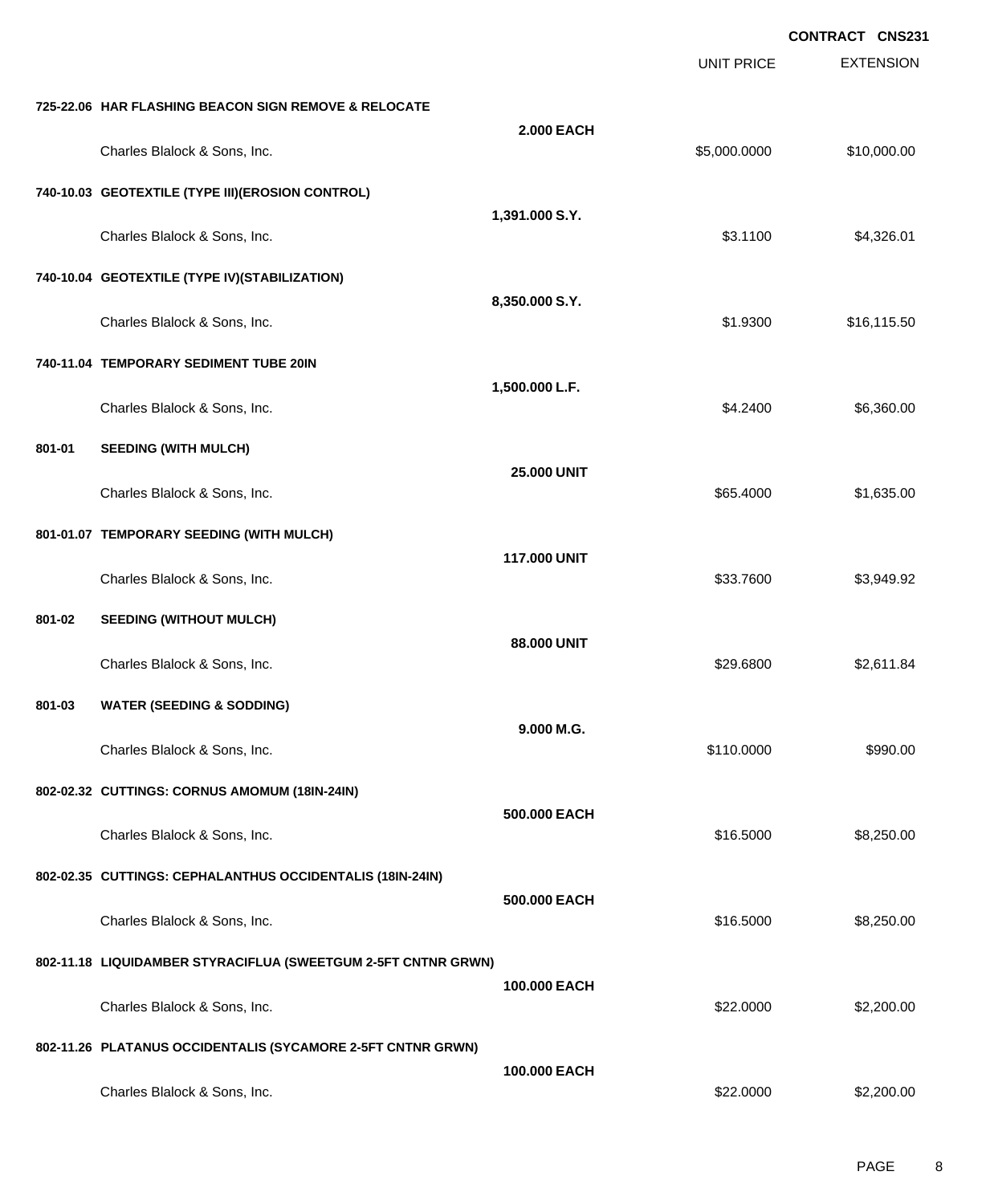EXTENSION **CONTRACT CNS231** UNIT PRICE **725-22.06 HAR FLASHING BEACON SIGN REMOVE & RELOCATE 2.000 EACH** Charles Blalock & Sons, Inc. 6. 2010 10:30 10:30 10:30 10:30 10:30 10:30 10:30 10:30 10:30 10:30 10:30 10:30 10:30 10:30 10:30 10:30 10:30 10:30 10:30 10:30 10:30 10:30 10:30 10:30 10:30 10:30 10:30 10:30 10:30 10:30 10:30 **740-10.03 GEOTEXTILE (TYPE III)(EROSION CONTROL) 1,391.000 S.Y.** Charles Blalock & Sons, Inc. \$3.1100 \$4,326.01 **740-10.04 GEOTEXTILE (TYPE IV)(STABILIZATION) 8,350.000 S.Y.** Charles Blalock & Sons, Inc. 6. 2012 12:300 \$1.9300 \$1.9300 \$1.6,115.50 **740-11.04 TEMPORARY SEDIMENT TUBE 20IN 1,500.000 L.F.** Charles Blalock & Sons, Inc. 6. 2400 \$6,360.00 **801-01 SEEDING (WITH MULCH) 25.000 UNIT** Charles Blalock & Sons, Inc. \$65.4000 \$1,635.00 **801-01.07 TEMPORARY SEEDING (WITH MULCH) 117.000 UNIT** Charles Blalock & Sons, Inc. \$3,949.92 **801-02 SEEDING (WITHOUT MULCH) 88.000 UNIT** Charles Blalock & Sons, Inc. \$29.6800 \$2,611.84 **801-03 WATER (SEEDING & SODDING) 9.000 M.G.** Charles Blalock & Sons, Inc. 6990.00 **802-02.32 CUTTINGS: CORNUS AMOMUM (18IN-24IN) 500.000 EACH** Charles Blalock & Sons, Inc. \$16.5000 \$8,250.00 **802-02.35 CUTTINGS: CEPHALANTHUS OCCIDENTALIS (18IN-24IN) 500.000 EACH** Charles Blalock & Sons, Inc. \$16.5000 \$8,250.00 **802-11.18 LIQUIDAMBER STYRACIFLUA (SWEETGUM 2-5FT CNTNR GRWN) 100.000 EACH** Charles Blalock & Sons, Inc. 6. 2009 6. 2010 12:30:30 12:30 12:30 12:30 12:30 12:30 12:30 12:30 12:30 12:30 12:30 12:30 12:30 12:30 12:30 12:30 12:30 12:30 12:30 12:30 12:30 12:30 12:30 12:30 12:30 12:30 12:30 12:30 12:30 **802-11.26 PLATANUS OCCIDENTALIS (SYCAMORE 2-5FT CNTNR GRWN) 100.000 EACH**

Charles Blalock & Sons, Inc. 6. 2009 6. 2010 12:30:30 12:30 12:30 12:30 12:30 12:30 12:30 12:30 12:30 12:30 12:30 12:30 12:30 12:30 12:30 12:30 12:30 12:30 12:30 12:30 12:30 12:30 12:30 12:30 12:30 12:30 12:30 12:30 12:30

PAGE 8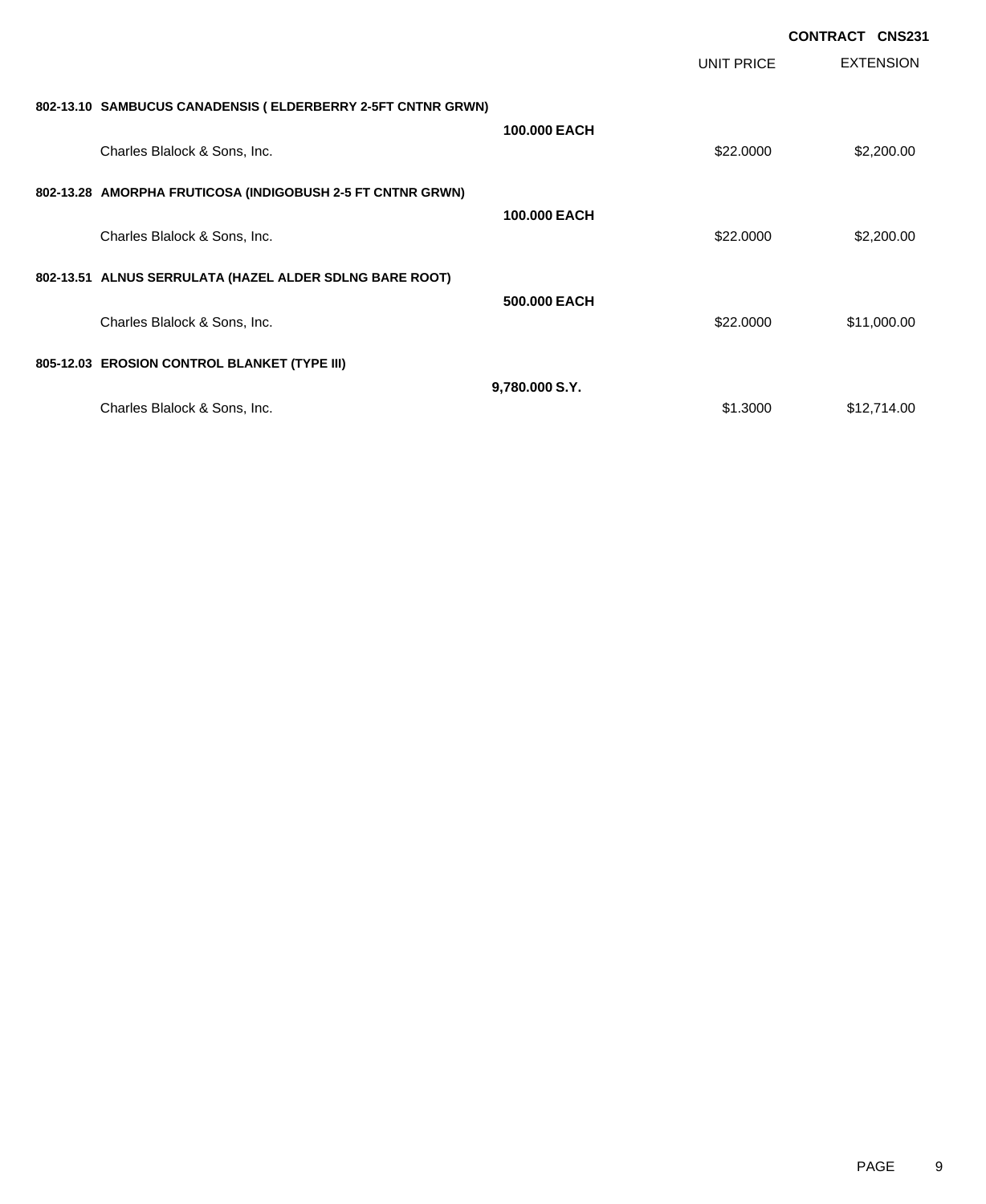|                                                              |                |            | <b>CONTRACT CNS231</b> |
|--------------------------------------------------------------|----------------|------------|------------------------|
|                                                              |                | UNIT PRICE | <b>EXTENSION</b>       |
| 802-13.10 SAMBUCUS CANADENSIS ( ELDERBERRY 2-5FT CNTNR GRWN) |                |            |                        |
| Charles Blalock & Sons, Inc.                                 | 100.000 EACH   | \$22.0000  | \$2,200.00             |
| 802-13.28 AMORPHA FRUTICOSA (INDIGOBUSH 2-5 FT CNTNR GRWN)   |                |            |                        |
| Charles Blalock & Sons, Inc.                                 | 100,000 EACH   | \$22.0000  | \$2,200.00             |
| 802-13.51 ALNUS SERRULATA (HAZEL ALDER SDLNG BARE ROOT)      |                |            |                        |
| Charles Blalock & Sons, Inc.                                 | 500,000 EACH   | \$22.0000  | \$11,000.00            |
| 805-12.03 EROSION CONTROL BLANKET (TYPE III)                 |                |            |                        |
| Charles Blalock & Sons, Inc.                                 | 9,780.000 S.Y. | \$1.3000   | \$12,714.00            |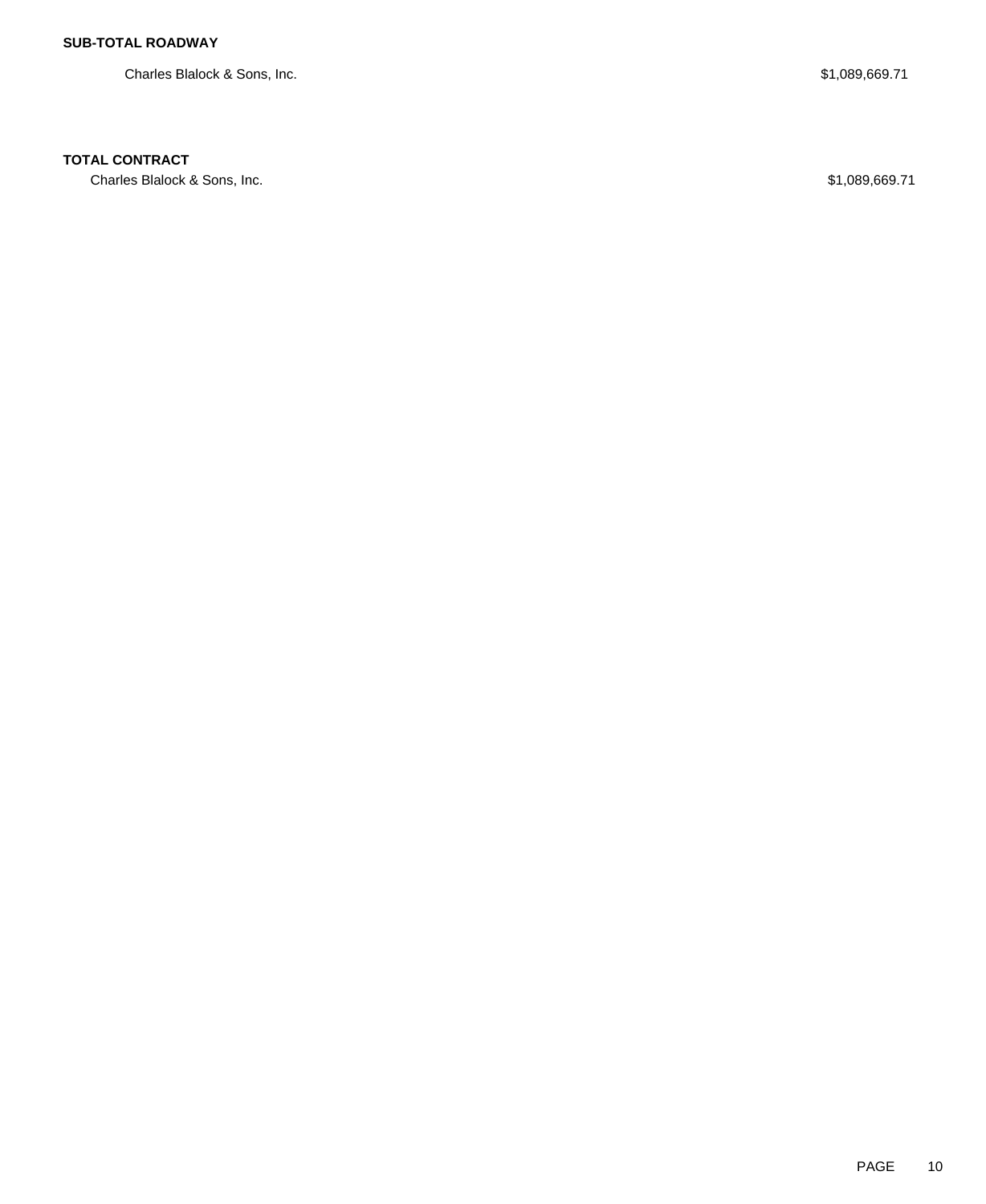Charles Blalock & Sons, Inc.  $$1,089,669.71$ 

## **TOTAL CONTRACT**

Charles Blalock & Sons, Inc. 6. The Sons of the Charles Blalock & Sons, Inc. 6. The Sons of the Charles Blalock & Sons, Inc.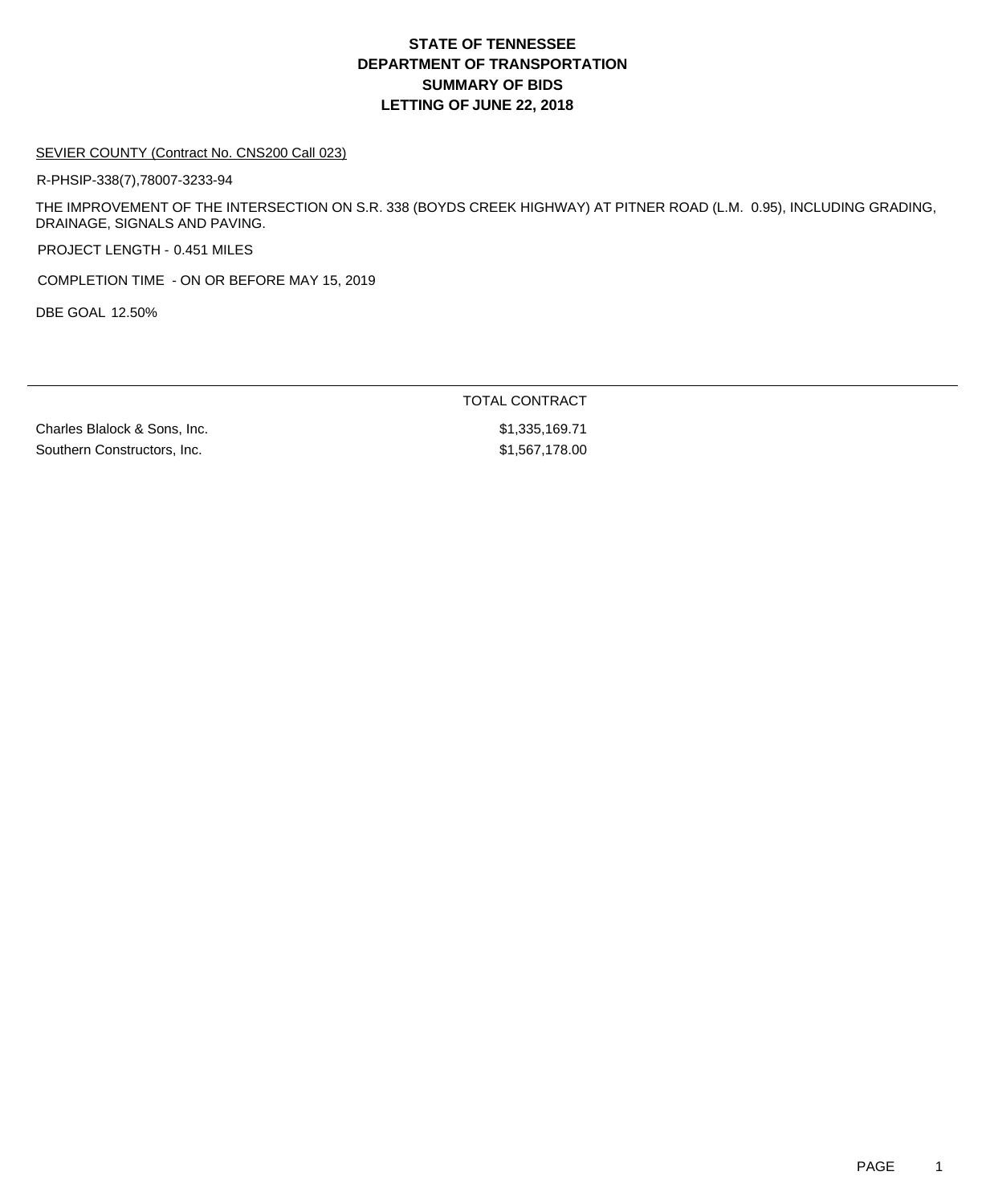## **DEPARTMENT OF TRANSPORTATION SUMMARY OF BIDS LETTING OF JUNE 22, 2018 STATE OF TENNESSEE**

#### SEVIER COUNTY (Contract No. CNS200 Call 023)

R-PHSIP-338(7),78007-3233-94

THE IMPROVEMENT OF THE INTERSECTION ON S.R. 338 (BOYDS CREEK HIGHWAY) AT PITNER ROAD (L.M. 0.95), INCLUDING GRADING, DRAINAGE, SIGNALS AND PAVING.

PROJECT LENGTH - 0.451 MILES

COMPLETION TIME - ON OR BEFORE MAY 15, 2019

DBE GOAL 12.50%

TOTAL CONTRACT Charles Blalock & Sons, Inc.  $$1,335,169.71$ Southern Constructors, Inc. 61,567,178.00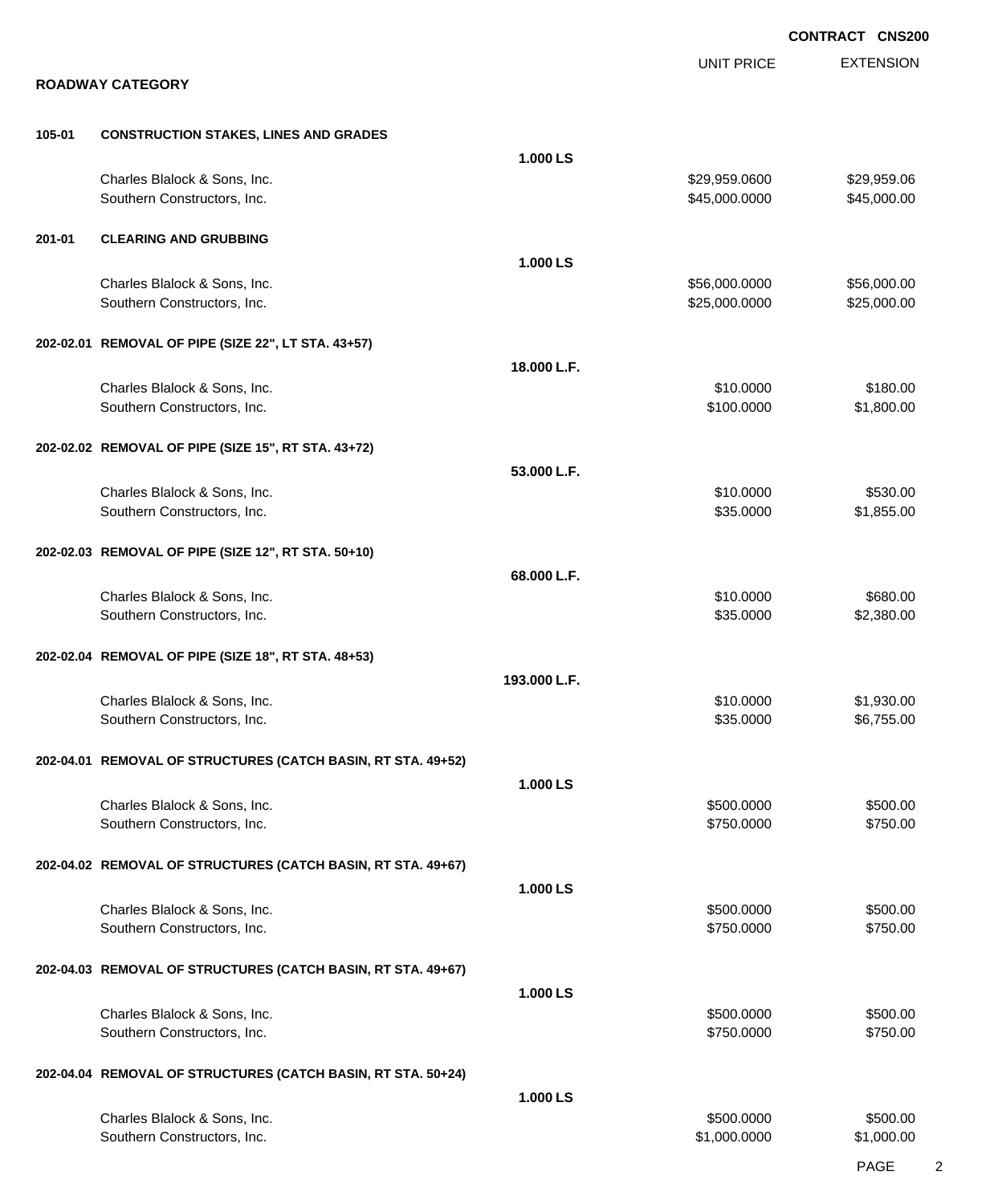|        |                                                              |              |                   | <b>CONTRACT CNS200</b> |
|--------|--------------------------------------------------------------|--------------|-------------------|------------------------|
|        | <b>ROADWAY CATEGORY</b>                                      |              | <b>UNIT PRICE</b> | <b>EXTENSION</b>       |
|        |                                                              |              |                   |                        |
| 105-01 | <b>CONSTRUCTION STAKES, LINES AND GRADES</b>                 |              |                   |                        |
|        |                                                              | 1.000 LS     |                   |                        |
|        | Charles Blalock & Sons, Inc.                                 |              | \$29,959.0600     | \$29,959.06            |
|        | Southern Constructors, Inc.                                  |              | \$45,000.0000     | \$45,000.00            |
| 201-01 | <b>CLEARING AND GRUBBING</b>                                 |              |                   |                        |
|        |                                                              | 1.000 LS     |                   |                        |
|        | Charles Blalock & Sons, Inc.                                 |              | \$56,000.0000     | \$56,000.00            |
|        | Southern Constructors, Inc.                                  |              | \$25,000.0000     | \$25,000.00            |
|        | 202-02.01 REMOVAL OF PIPE (SIZE 22", LT STA. 43+57)          |              |                   |                        |
|        |                                                              | 18.000 L.F.  |                   |                        |
|        | Charles Blalock & Sons, Inc.                                 |              | \$10,0000         | \$180.00               |
|        | Southern Constructors, Inc.                                  |              | \$100.0000        | \$1,800.00             |
|        | 202-02.02 REMOVAL OF PIPE (SIZE 15", RT STA. 43+72)          |              |                   |                        |
|        |                                                              | 53.000 L.F.  |                   |                        |
|        | Charles Blalock & Sons, Inc.                                 |              | \$10.0000         | \$530.00               |
|        | Southern Constructors, Inc.                                  |              | \$35.0000         | \$1,855.00             |
|        | 202-02.03 REMOVAL OF PIPE (SIZE 12", RT STA. 50+10)          |              |                   |                        |
|        |                                                              | 68.000 L.F.  |                   |                        |
|        | Charles Blalock & Sons, Inc.                                 |              | \$10.0000         | \$680.00               |
|        | Southern Constructors, Inc.                                  |              | \$35.0000         | \$2,380.00             |
|        | 202-02.04 REMOVAL OF PIPE (SIZE 18", RT STA. 48+53)          |              |                   |                        |
|        |                                                              | 193.000 L.F. |                   |                        |
|        | Charles Blalock & Sons, Inc.                                 |              | \$10.0000         | \$1,930.00             |
|        | Southern Constructors, Inc.                                  |              | \$35.0000         | \$6,755.00             |
|        | 202-04.01 REMOVAL OF STRUCTURES (CATCH BASIN, RT STA. 49+52) |              |                   |                        |
|        |                                                              | 1.000 LS     |                   |                        |
|        | Charles Blalock & Sons, Inc.                                 |              | \$500.0000        | \$500.00               |
|        | Southern Constructors, Inc.                                  |              | \$750.0000        | \$750.00               |
|        | 202-04.02 REMOVAL OF STRUCTURES (CATCH BASIN, RT STA. 49+67) |              |                   |                        |
|        |                                                              | 1.000 LS     |                   |                        |
|        | Charles Blalock & Sons, Inc.                                 |              | \$500.0000        | \$500.00               |
|        | Southern Constructors, Inc.                                  |              | \$750.0000        | \$750.00               |
|        | 202-04.03 REMOVAL OF STRUCTURES (CATCH BASIN, RT STA. 49+67) |              |                   |                        |
|        |                                                              | 1.000 LS     |                   |                        |
|        | Charles Blalock & Sons, Inc.                                 |              | \$500.0000        | \$500.00               |
|        | Southern Constructors, Inc.                                  |              | \$750.0000        | \$750.00               |
|        | 202-04.04 REMOVAL OF STRUCTURES (CATCH BASIN, RT STA. 50+24) |              |                   |                        |
|        |                                                              | 1.000 LS     |                   |                        |
|        | Charles Blalock & Sons, Inc.                                 |              | \$500.0000        | \$500.00               |
|        | Southern Constructors, Inc.                                  |              | \$1,000.0000      | \$1,000.00             |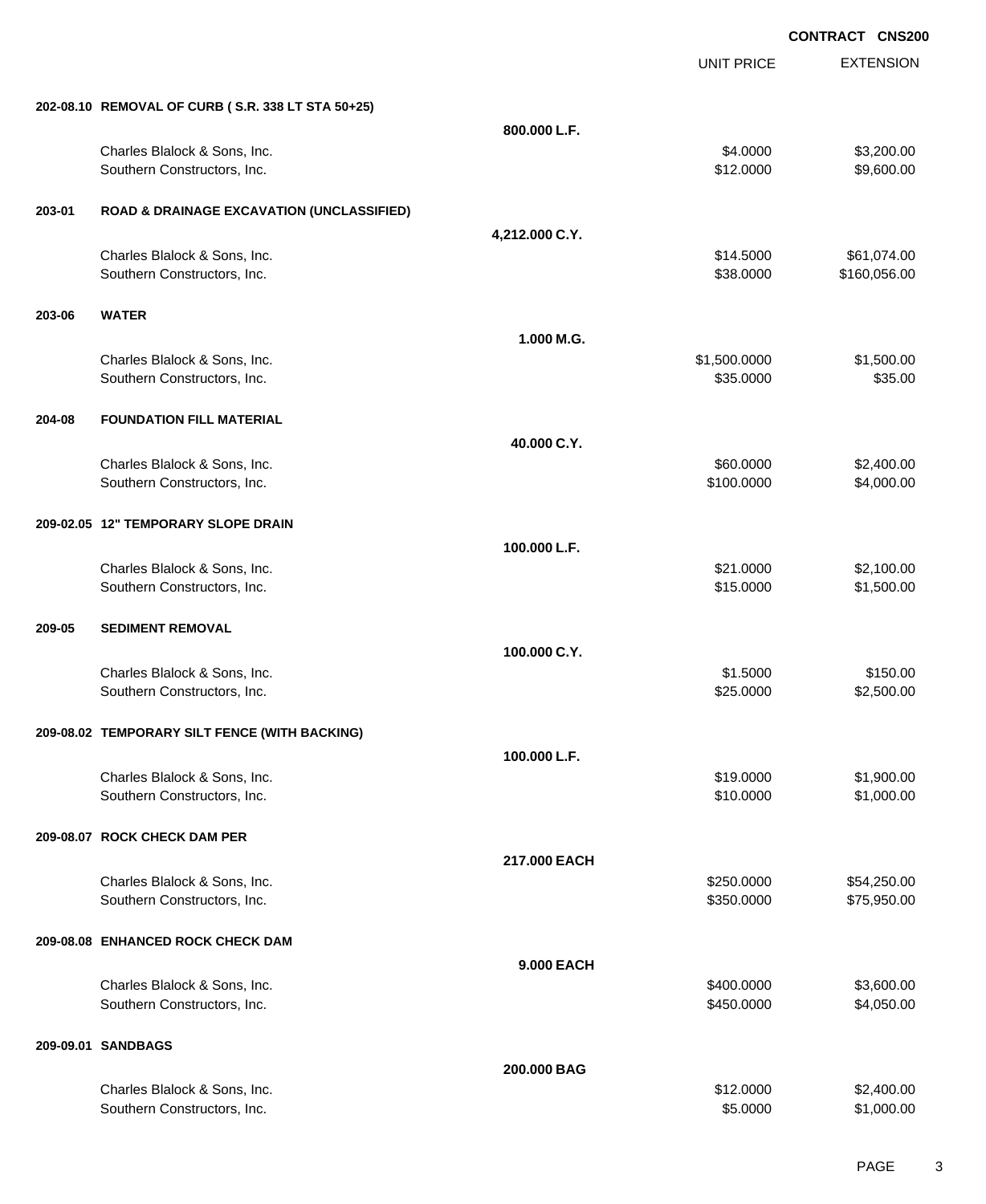EXTENSION **CONTRACT CNS200** UNIT PRICE **202-08.10 REMOVAL OF CURB ( S.R. 338 LT STA 50+25) 800.000 L.F.** Charles Blalock & Sons, Inc. 6. 2008. The State of the State of the State of the State of the State of the State of the State of the State of the State of the State of the State of the State of the State of the State of th Southern Constructors, Inc. 6. The Constructors of the Constructors, Inc. 6. The Constructors, Inc. 6. The Constructors of the Constructors of the Constructors of the Constructors of the Constructors of the Constructors of **203-01 ROAD & DRAINAGE EXCAVATION (UNCLASSIFIED) 4,212.000 C.Y.** Charles Blalock & Sons, Inc. \$14.5000 \$61,074.00 Southern Constructors, Inc. 6. The Constructors, Inc. 6. The Constructors, Inc. 6. The Constructors, Inc. 6. The Constructors of the Constructors, Inc. 6. The Constructors of the Constructors, Inc. 6. The Constructors of t **203-06 WATER 1.000 M.G.** Charles Blalock & Sons, Inc. 6. 2016 19:30:000 \$1,500.000 \$1,500.000 \$1,500.000 \$1,500.000 \$1,500.00 Southern Constructors, Inc. 6. The Southern Constructors, Inc. 6. The Southern Constructors, Inc. 6. The Southern Constructors, Inc. 6. The Southern Constructors, Inc. 6. The Southern Constructors, Inc. 6. The Southern Con **204-08 FOUNDATION FILL MATERIAL 40.000 C.Y.** Charles Blalock & Sons, Inc. 60.000 \$2,400.00 Southern Constructors, Inc. 6. The Constructors, Inc. 6. The Constructors, Inc. 6. The Constructors, Inc. 6. The Constructors of the Constructors, Inc. 6. The Constructors of the Constructors, Inc. 6. The Constructors of t **209-02.05 12" TEMPORARY SLOPE DRAIN 100.000 L.F.** Charles Blalock & Sons, Inc. 6. 2011 2012 12:30:30 \$21.0000 \$2,100.00 Southern Constructors, Inc. 6. The Constructors of the Constructors, Inc. 6. The Constructors, Inc. 6. The Constructors of the Constructors of the Constructors of the Constructors of the Constructors of the Constructors of **209-05 SEDIMENT REMOVAL 100.000 C.Y.** Charles Blalock & Sons, Inc. 6.6000 \$1.5000 \$1.5000 \$1.5000 \$1.5000 \$1.5000 \$1.5000 \$1.5000 \$1.5000 \$1.5000 \$1.5000 \$1.5000 \$1.5000 \$1.5000 \$1.5000 \$1.5000 \$1.5000 \$1.5000 \$1.5000 \$1.5000 \$1.5000 \$1.5000 \$1.5000 \$1.5000 \$1 Southern Constructors, Inc. 6. The Constructors, Inc. 6. The Constructors, Inc. 6. The Constructors, Inc. 6. S25.000 \$2,500.00 \$2,500.00 \$2,500.00 \$2,500.00 \$2,500.00 \$2,500.00 \$2,500.00 \$2,500.00 \$2,500.00 \$2,500.00 \$2,50 **209-08.02 TEMPORARY SILT FENCE (WITH BACKING) 100.000 L.F.** Charles Blalock & Sons, Inc. \$1,900.00 \$1,900.00 \$1,900.00 \$1,900.00 \$1,900.00 Southern Constructors, Inc. 6. The Constructors of the Constructors, Inc. 6. The Constructors, Inc. 6. The Constructors of the Constructors of the Constructors, Inc. 6. The Constructors of the Constructors of the Construct **209-08.07 ROCK CHECK DAM PER 217.000 EACH** Charles Blalock & Sons, Inc. 6. 250.000 \$54,250.000 \$54,250.000 \$54,250.000 \$54,250.00 Southern Constructors, Inc. 6. The Southern Constructors, Inc. 6. The Southern Constructors, Inc. 6. The Southern Constructors, Inc. 6. The Southern Constructors, Inc. 6. The Southern Constructors, Inc. 6. The Southern Con **209-08.08 ENHANCED ROCK CHECK DAM 9.000 EACH** Charles Blalock & Sons, Inc. 6. 2012 12:30 12:30 12:30 12:30 13:30 13:400.0000 \$3,600.000 \$3,600.00 Southern Constructors, Inc. 66 and the constructors, Inc. 6450.000 \$4,050.000 \$4,050.00 **209-09.01 SANDBAGS 200.000 BAG** Charles Blalock & Sons, Inc. 6. 2000 \$2,400.00

Southern Constructors, Inc. 6. The Constructors, Inc. 6. The Constructors, Inc. 6. The Constructors, Inc. 6. The Constructors of the Constructors, Inc. 6. The Constructors of the Constructors, Inc. 6. The Constructors of t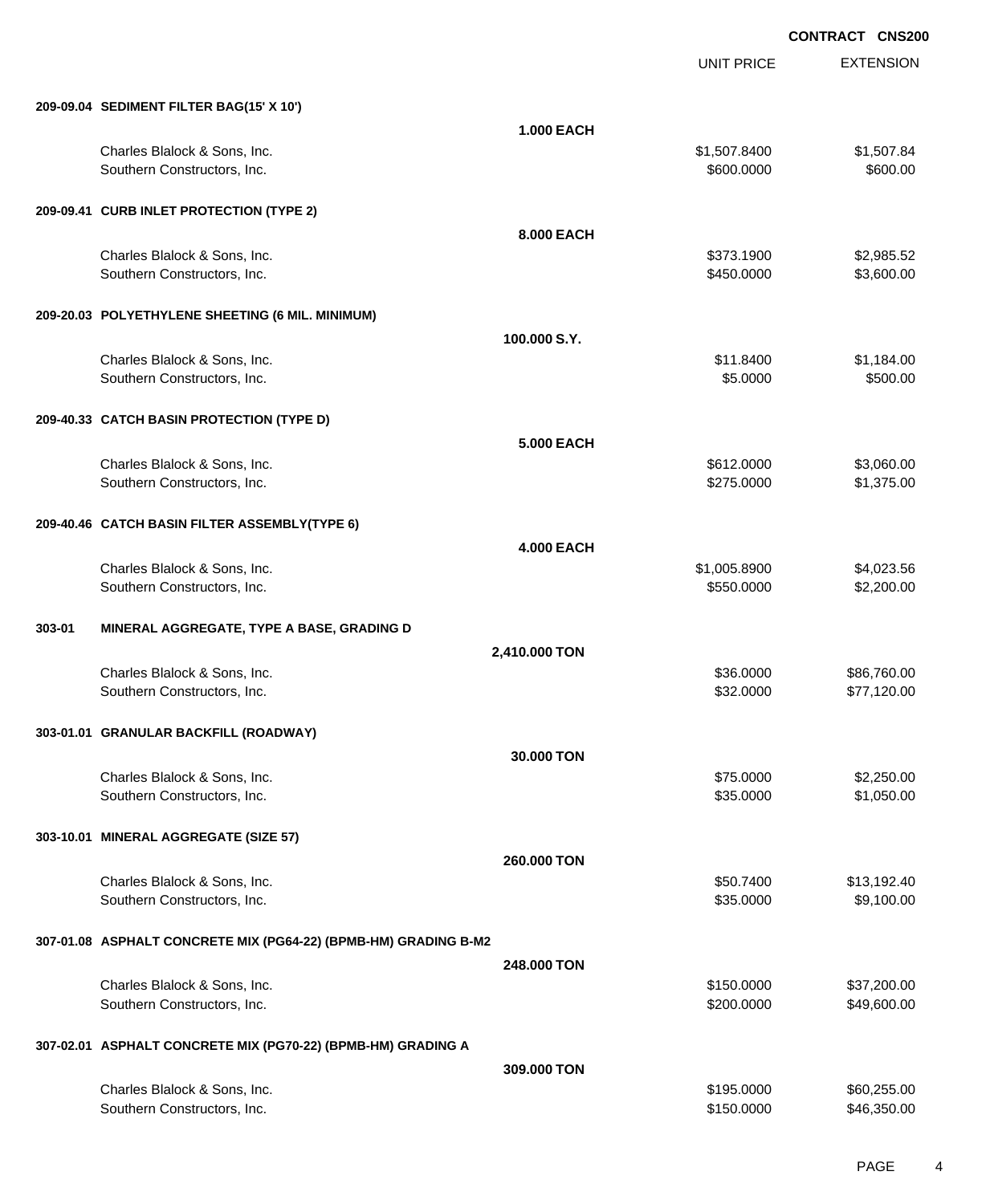UNIT PRICE EXTENSION

| 209-09.04 SEDIMENT FILTER BAG(15' X 10') |  |
|------------------------------------------|--|

|        | 209-09.04 SEDIMENT FILTER BAG(15' X 10')                        |                   |                          |                            |
|--------|-----------------------------------------------------------------|-------------------|--------------------------|----------------------------|
|        |                                                                 | <b>1.000 EACH</b> |                          |                            |
|        | Charles Blalock & Sons, Inc.                                    |                   | \$1,507.8400             | \$1,507.84                 |
|        | Southern Constructors, Inc.                                     |                   | \$600.0000               | \$600.00                   |
|        |                                                                 |                   |                          |                            |
|        | 209-09.41 CURB INLET PROTECTION (TYPE 2)                        |                   |                          |                            |
|        |                                                                 |                   |                          |                            |
|        |                                                                 | 8.000 EACH        |                          |                            |
|        | Charles Blalock & Sons, Inc.                                    |                   | \$373.1900               | \$2,985.52                 |
|        | Southern Constructors, Inc.                                     |                   | \$450.0000               | \$3,600.00                 |
|        |                                                                 |                   |                          |                            |
|        | 209-20.03 POLYETHYLENE SHEETING (6 MIL. MINIMUM)                |                   |                          |                            |
|        |                                                                 | 100.000 S.Y.      |                          |                            |
|        |                                                                 |                   |                          |                            |
|        | Charles Blalock & Sons, Inc.                                    |                   | \$11.8400<br>\$5.0000    | \$1,184.00<br>\$500.00     |
|        | Southern Constructors, Inc.                                     |                   |                          |                            |
|        |                                                                 |                   |                          |                            |
|        | 209-40.33 CATCH BASIN PROTECTION (TYPE D)                       |                   |                          |                            |
|        |                                                                 | 5,000 EACH        |                          |                            |
|        | Charles Blalock & Sons, Inc.                                    |                   | \$612.0000               | \$3,060.00                 |
|        | Southern Constructors, Inc.                                     |                   | \$275.0000               | \$1,375.00                 |
|        |                                                                 |                   |                          |                            |
|        | 209-40.46 CATCH BASIN FILTER ASSEMBLY(TYPE 6)                   |                   |                          |                            |
|        |                                                                 |                   |                          |                            |
|        |                                                                 | <b>4.000 EACH</b> |                          |                            |
|        | Charles Blalock & Sons, Inc.                                    |                   | \$1,005.8900             | \$4,023.56                 |
|        | Southern Constructors, Inc.                                     |                   | \$550.0000               | \$2,200.00                 |
|        |                                                                 |                   |                          |                            |
| 303-01 | MINERAL AGGREGATE, TYPE A BASE, GRADING D                       |                   |                          |                            |
|        |                                                                 | 2,410.000 TON     |                          |                            |
|        | Charles Blalock & Sons, Inc.                                    |                   | \$36.0000                | \$86,760.00                |
|        | Southern Constructors, Inc.                                     |                   | \$32.0000                | \$77,120.00                |
|        |                                                                 |                   |                          |                            |
|        | 303-01.01 GRANULAR BACKFILL (ROADWAY)                           |                   |                          |                            |
|        |                                                                 |                   |                          |                            |
|        |                                                                 |                   |                          |                            |
|        |                                                                 | 30.000 TON        |                          |                            |
|        | Charles Blalock & Sons, Inc.                                    |                   | \$75.0000                | \$2,250.00                 |
|        | Southern Constructors, Inc.                                     |                   | \$35.0000                | \$1,050.00                 |
|        |                                                                 |                   |                          |                            |
|        | 303-10.01 MINERAL AGGREGATE (SIZE 57)                           |                   |                          |                            |
|        |                                                                 |                   |                          |                            |
|        |                                                                 | 260,000 TON       |                          |                            |
|        | Charles Blalock & Sons, Inc.                                    |                   | \$50.7400                | \$13,192.40                |
|        | Southern Constructors, Inc.                                     |                   | \$35.0000                | \$9,100.00                 |
|        |                                                                 |                   |                          |                            |
|        | 307-01.08 ASPHALT CONCRETE MIX (PG64-22) (BPMB-HM) GRADING B-M2 |                   |                          |                            |
|        |                                                                 | 248.000 TON       |                          |                            |
|        |                                                                 |                   | \$150.0000               |                            |
|        | Charles Blalock & Sons, Inc.                                    |                   |                          | \$37,200.00                |
|        | Southern Constructors, Inc.                                     |                   | \$200.0000               | \$49,600.00                |
|        |                                                                 |                   |                          |                            |
|        | 307-02.01 ASPHALT CONCRETE MIX (PG70-22) (BPMB-HM) GRADING A    |                   |                          |                            |
|        |                                                                 | 309.000 TON       |                          |                            |
|        | Charles Blalock & Sons, Inc.<br>Southern Constructors, Inc.     |                   | \$195.0000<br>\$150.0000 | \$60,255.00<br>\$46,350.00 |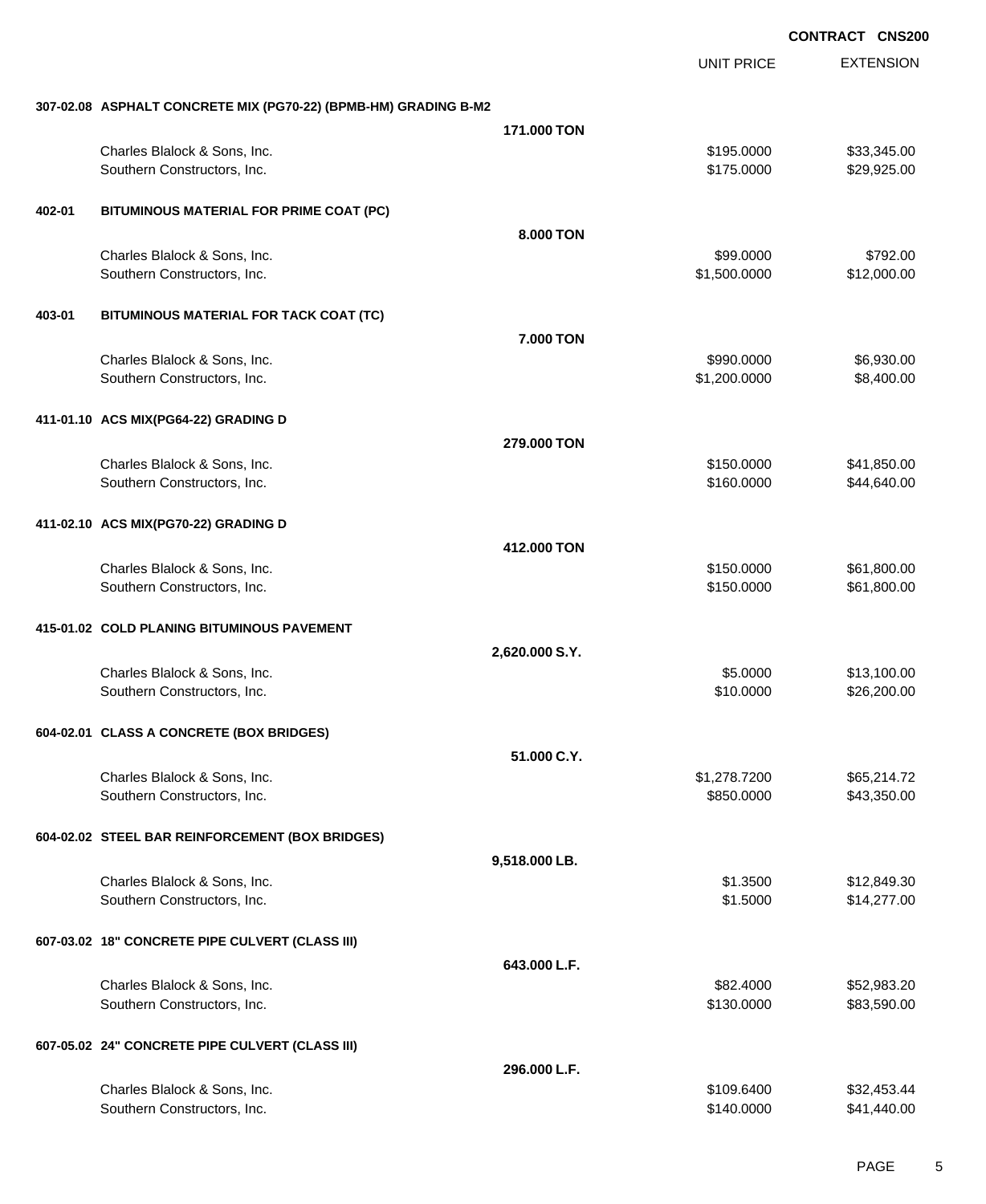|        |                                                                 |                |                   | <b>CONTRACT CNS200</b> |
|--------|-----------------------------------------------------------------|----------------|-------------------|------------------------|
|        |                                                                 |                | <b>UNIT PRICE</b> | <b>EXTENSION</b>       |
|        | 307-02.08 ASPHALT CONCRETE MIX (PG70-22) (BPMB-HM) GRADING B-M2 |                |                   |                        |
|        |                                                                 | 171,000 TON    |                   |                        |
|        | Charles Blalock & Sons, Inc.                                    |                | \$195.0000        | \$33,345.00            |
|        | Southern Constructors, Inc.                                     |                | \$175.0000        | \$29,925.00            |
| 402-01 | BITUMINOUS MATERIAL FOR PRIME COAT (PC)                         |                |                   |                        |
|        |                                                                 | 8.000 TON      |                   |                        |
|        | Charles Blalock & Sons, Inc.                                    |                | \$99.0000         | \$792.00               |
|        | Southern Constructors, Inc.                                     |                | \$1,500.0000      | \$12,000.00            |
| 403-01 | BITUMINOUS MATERIAL FOR TACK COAT (TC)                          |                |                   |                        |
|        |                                                                 | 7.000 TON      |                   |                        |
|        | Charles Blalock & Sons, Inc.                                    |                | \$990.0000        | \$6,930.00             |
|        | Southern Constructors, Inc.                                     |                | \$1,200.0000      | \$8,400.00             |
|        | 411-01.10 ACS MIX(PG64-22) GRADING D                            |                |                   |                        |
|        |                                                                 | 279.000 TON    |                   |                        |
|        | Charles Blalock & Sons, Inc.                                    |                | \$150.0000        | \$41,850.00            |
|        | Southern Constructors, Inc.                                     |                | \$160.0000        | \$44,640.00            |
|        | 411-02.10 ACS MIX(PG70-22) GRADING D                            |                |                   |                        |
|        |                                                                 | 412.000 TON    |                   |                        |
|        | Charles Blalock & Sons, Inc.                                    |                | \$150.0000        | \$61,800.00            |
|        | Southern Constructors, Inc.                                     |                | \$150.0000        | \$61,800.00            |
|        | 415-01.02 COLD PLANING BITUMINOUS PAVEMENT                      |                |                   |                        |
|        |                                                                 | 2,620.000 S.Y. |                   |                        |
|        | Charles Blalock & Sons, Inc.                                    |                | \$5.0000          | \$13,100.00            |
|        | Southern Constructors, Inc.                                     |                | \$10.0000         | \$26,200.00            |
|        | 604-02.01 CLASS A CONCRETE (BOX BRIDGES)                        |                |                   |                        |
|        |                                                                 | 51.000 C.Y.    |                   |                        |
|        | Charles Blalock & Sons, Inc.                                    |                | \$1,278.7200      | \$65,214.72            |
|        | Southern Constructors, Inc.                                     |                | \$850.0000        | \$43,350.00            |
|        | 604-02.02 STEEL BAR REINFORCEMENT (BOX BRIDGES)                 |                |                   |                        |
|        |                                                                 | 9,518.000 LB.  |                   |                        |
|        | Charles Blalock & Sons, Inc.                                    |                | \$1.3500          | \$12,849.30            |
|        | Southern Constructors, Inc.                                     |                | \$1.5000          | \$14,277.00            |
|        | 607-03.02 18" CONCRETE PIPE CULVERT (CLASS III)                 |                |                   |                        |
|        |                                                                 | 643.000 L.F.   |                   |                        |
|        | Charles Blalock & Sons, Inc.                                    |                | \$82.4000         | \$52,983.20            |
|        | Southern Constructors, Inc.                                     |                | \$130.0000        | \$83,590.00            |
|        | 607-05.02 24" CONCRETE PIPE CULVERT (CLASS III)                 |                |                   |                        |
|        |                                                                 | 296.000 L.F.   |                   |                        |
|        | Charles Blalock & Sons, Inc.                                    |                | \$109.6400        | \$32,453.44            |
|        | Southern Constructors, Inc.                                     |                | \$140.0000        | \$41,440.00            |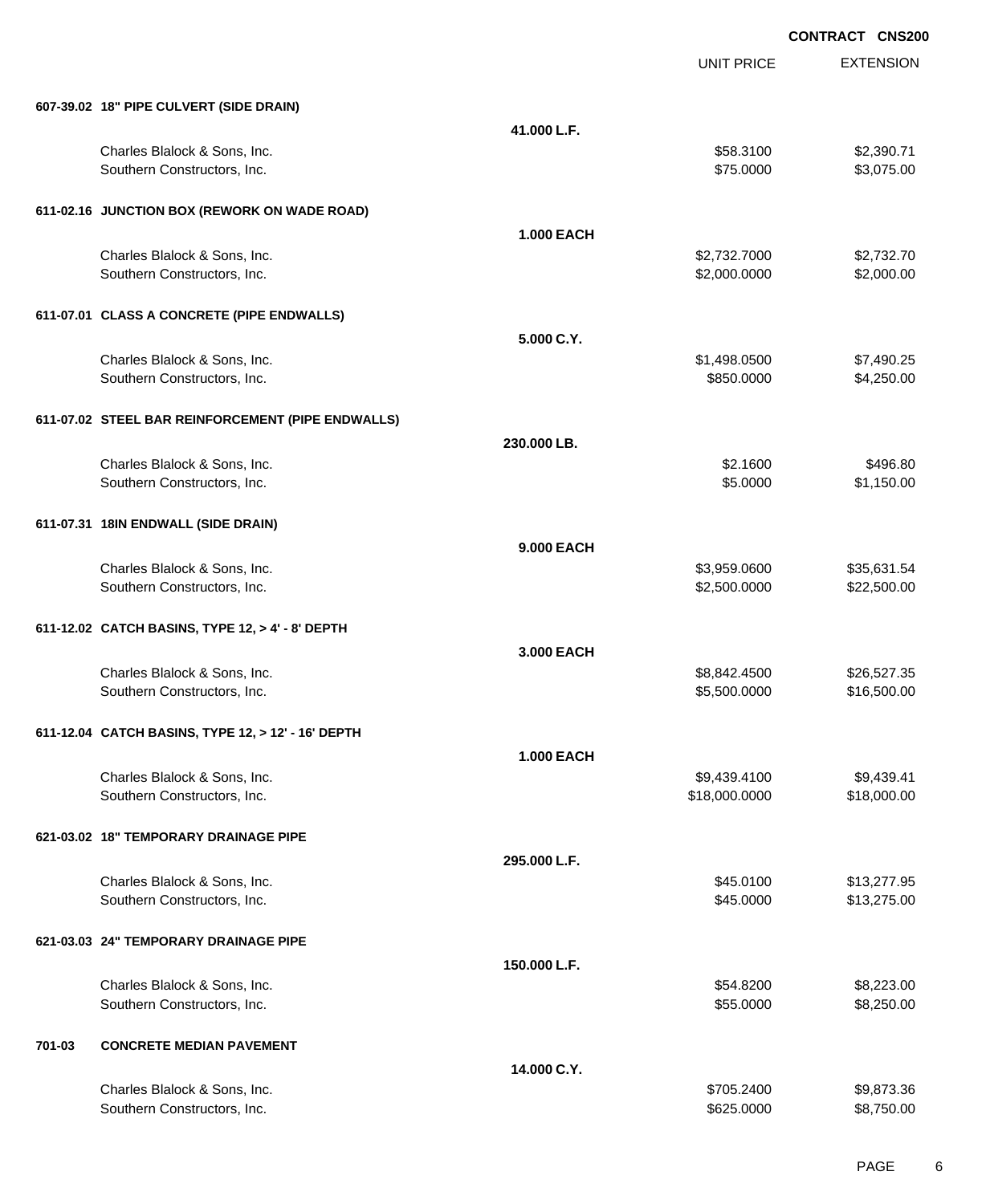EXTENSION **CONTRACT CNS200** UNIT PRICE **607-39.02 18" PIPE CULVERT (SIDE DRAIN) 41.000 L.F.** Charles Blalock & Sons, Inc. 6. 2012 12:399.71 12:399.71 12:399.71 12:399.71 12:399.71 12:399.71 12:399.71 12:399.71 Southern Constructors, Inc. 6. The Constructors of the Constructors, Inc. 6. The Constructors, Inc. 6. The Constructors of the Constructors of the Constructors of the Constructors of the Constructors of the Constructors of **611-02.16 JUNCTION BOX (REWORK ON WADE ROAD) 1.000 EACH** Charles Blalock & Sons, Inc. \$2,732.7000 \$2,732.7000 \$2,732.7000 \$2,732.7000 \$2,732.7000 \$2,732.7000 \$2,732.70 Southern Constructors, Inc. 6. 2000.000 \$2,000.000 \$2,000.000 \$2,000.000 \$2,000.00 **611-07.01 CLASS A CONCRETE (PIPE ENDWALLS) 5.000 C.Y.** Charles Blalock & Sons, Inc. \$1,498.0500 \$7,490.25 Southern Constructors, Inc. 66 and the constructors, Inc. 66 and the constructors, Inc. 66 and the constructors, Inc. 66 and the constructors, Inc. 66 and the constructors, Inc. 66 and the constructors, Inc. 66 and the con **611-07.02 STEEL BAR REINFORCEMENT (PIPE ENDWALLS) 230.000 LB.** Charles Blalock & Sons, Inc. 6. 2012 12:30 \$496.80 \$496.80 Southern Constructors, Inc. 6. The Southern Constructors, Inc. 6. The Southern Constructors, Inc. 6. The Southern Constructors, Inc. 6. The Southern Constructors, Inc. 6. The Southern Constructors, Inc. 6. The Southern Con **611-07.31 18IN ENDWALL (SIDE DRAIN) 9.000 EACH** Charles Blalock & Sons, Inc. \$3,631.54 Southern Constructors, Inc. 6. 2012. The state of the state of the state of the state of the state of the state of the state of the state of the state of the state of the state of the state of the state of the state of the **611-12.02 CATCH BASINS, TYPE 12, > 4' - 8' DEPTH 3.000 EACH** Charles Blalock & Sons, Inc. \$8,842.4500 \$26,527.35 Southern Constructors, Inc. 6. The Constructors, Inc. 6. The Constructors, Inc. 6. The Constructors, Inc. 6. The Constructors of the Constructors, Inc. 6. The Constructors of the Constructors, Inc. 6. The Constructors of t **611-12.04 CATCH BASINS, TYPE 12, > 12' - 16' DEPTH 1.000 EACH** Charles Blalock & Sons, Inc. 6. 2012 12:30 12:30 12:30 12:30 12:30 12:30 12:30 12:30 12:30 12:30 12:30 12:30 1 Southern Constructors, Inc. 6. 2010 12:00:000 \$18,000.000 \$18,000.000 \$18,000.000 \$18,000.00 **621-03.02 18" TEMPORARY DRAINAGE PIPE 295.000 L.F.** Charles Blalock & Sons, Inc. 6. 2012 12:30 12:30 12:30 12:30 12:30 12:30 12:30 12:30 12:30 12:30 13:3277.95 Southern Constructors, Inc. 6. The Southern Constructors, Inc. 6. The Southern Constructors, Inc. 6. The Southern Constructors, Inc. 6. The Southern Constructors, Inc. 6. The Southern Constructors, Inc. 6. The Southern Con **621-03.03 24" TEMPORARY DRAINAGE PIPE 150.000 L.F.** Charles Blalock & Sons, Inc. 6. 2012 1. 2013 1. 2014 1. 2014 1. 2014 1. 2015 1. 2014 1. 2015 1. 2016 1. 2017 1 Southern Constructors, Inc. 6. The Constructors of the Constructors, Inc. 6. The Constructors, Inc. 6. The Constructors of the Constructors of the Constructors of the Constructors of the Constructors of the Constructors of **701-03 CONCRETE MEDIAN PAVEMENT 14.000 C.Y.** Charles Blalock & Sons, Inc. 6. 2010 1. 2012 1. 2012 1. 2012 1. 2012 1. 2012 1. 2012 1. 2012 1. 2013 1. 2013 1 Southern Constructors, Inc. 6. The Constructors, Inc. 6. The Constructors, Inc. 6. The Constructors, Inc. 6. The Constructors of the Constructors, Inc. 6. The Constructors of the Constructors, Inc. 6. The Constructors of t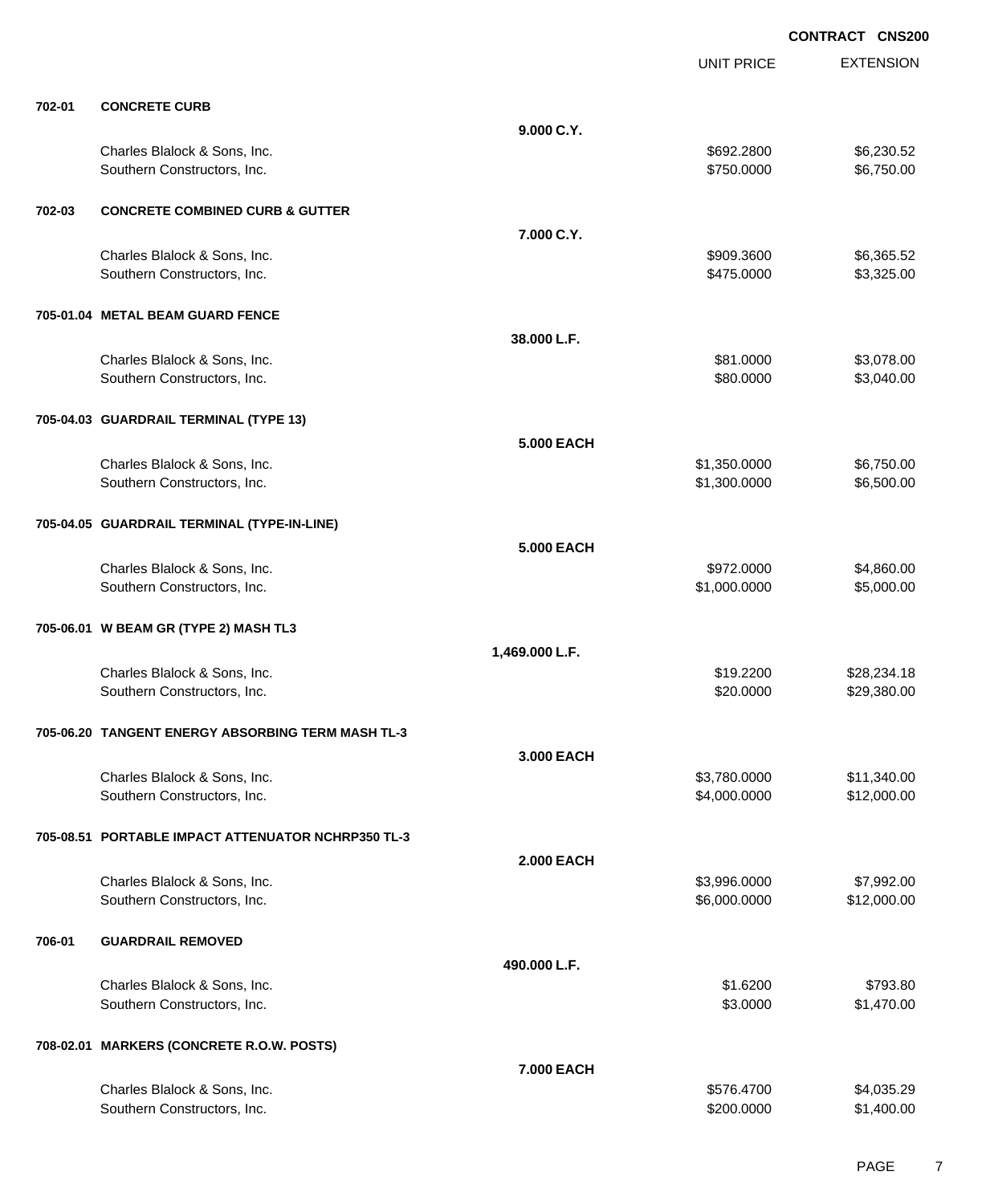EXTENSION **CONTRACT CNS200** UNIT PRICE **702-01 CONCRETE CURB 9.000 C.Y.** Charles Blalock & Sons, Inc. 6. 2008 12:30:52 12:30:52 12:30:52 12:30:52 12:30:52 12:30:52 12:30:52 12:30:52 1 Southern Constructors, Inc. 6. The Constructors of the Constructors, Inc. 6. The Constructors, Inc. 6.750.000 \$6,750.000 \$6,750.00 **702-03 CONCRETE COMBINED CURB & GUTTER 7.000 C.Y.** Charles Blalock & Sons, Inc. 6. 2012 12:30 12:30 12:30 12:30 13:300 12:30 13:300 12:30 13:300 12:30 13:30 13:30 Southern Constructors, Inc. 63,325.00 \$3,325.00 \$3,325.00 \$3,325.00 \$3,325.00 \$3,325.00 \$3,325.00 \$3,325.00 \$3,325.00 \$3,325.00 \$3,325.00 \$3,325.00 \$3,325.00 \$3,325.00 \$3,325.00 \$3,325.00 \$3,325.00 \$3,325.00 \$3,325.00 \$3,3 **705-01.04 METAL BEAM GUARD FENCE 38.000 L.F.** Charles Blalock & Sons, Inc. 6. 2012 12:30 12:30 12:30 12:30 12:30 12:30 12:30 12:30 12:30 13:3078.00 Southern Constructors, Inc. 6. The Constructors of the Constructors, Inc. 6. The Constructors, Inc. 6. The Constructors of the Constructors of the Constructors of the Constructors of the Constructors of the Constructors of **705-04.03 GUARDRAIL TERMINAL (TYPE 13) 5.000 EACH** Charles Blalock & Sons, Inc. \$1,350.0000 \$6,750.00 Southern Constructors, Inc. 6. The Constructors, Inc. 6. The Constructors, Inc. 6. The Constructors, Inc. 6. Southern Constructors, Inc. 6. Southern Constructors, Inc. 6. Southern Constructors, Inc. 6. Southern Constructor **705-04.05 GUARDRAIL TERMINAL (TYPE-IN-LINE) 5.000 EACH** Charles Blalock & Sons, Inc. 6. 2012. The Superintendent State of the State of State State State State State State State State State State State State State State State State State State State State State State State State Southern Constructors, Inc. 65,000.000 \$5,000.000 \$5,000.000 \$5,000.000 \$5,000.00 **705-06.01 W BEAM GR (TYPE 2) MASH TL3 1,469.000 L.F.** Charles Blalock & Sons, Inc. \$19.2200 \$28,234.18 Southern Constructors, Inc. 6. The Constructors, Inc. 6. The Constructors, Inc. 6. The Constructors, Inc. 6. The Constructors of the Constructors, Inc. 6. The Constructors of the Constructors, Inc. 6. The Constructors of t **705-06.20 TANGENT ENERGY ABSORBING TERM MASH TL-3 3.000 EACH** Charles Blalock & Sons, Inc. 6. 2010 12:00 12:00 13:00 13:00 14:00 14:00 14:00 14:00 14:00 14:00 14:00 14:00 14:00 14:00 14:00 14:00 14:00 14:00 14:00 14:00 14:00 14:00 14:00 14:00 14:00 14:00 14:00 14:00 14:00 14:00 14:00 Southern Constructors, Inc. 6. 2008. The set of the set of the set of the set of the set of the set of the set of the set of the set of the set of the set of the set of the set of the set of the set of the set of the set o **705-08.51 PORTABLE IMPACT ATTENUATOR NCHRP350 TL-3 2.000 EACH** Charles Blalock & Sons, Inc. 6. 2012 12:00 \$7,992.00 \$7,992.00 \$7,992.00 Southern Constructors, Inc. 6. The Constructors, Inc. 6. The Constructors, Inc. 6. The Constructors, Inc. 6. The Constructors of the Constructors, Inc. 6. The Constructors of the Constructors, Inc. 6. The Constructors of t **706-01 GUARDRAIL REMOVED 490.000 L.F.** Charles Blalock & Sons, Inc. 6793.80 Southern Constructors, Inc. 6. The Constructors of the Constructors, Inc. 6. The Constructors, Inc. 6. The Constructors of the Constructors of the Constructors, Inc. 6. The Constructors of the Constructors of the Construct **708-02.01 MARKERS (CONCRETE R.O.W. POSTS) 7.000 EACH** Charles Blalock & Sons, Inc. 6. 2012 12:30 12:30 12:30 12:30 12:30 12:30 12:30 12:30 12:30 12:30 12:30 12:30 1

Southern Constructors, Inc. 6. The Constructors, Inc. 6. The Constructors, Inc. 6. The Constructors, Inc. 6. The Constructors of the Constructors, Inc. 6. The Constructors of the Constructors, Inc. 6. The Constructors of t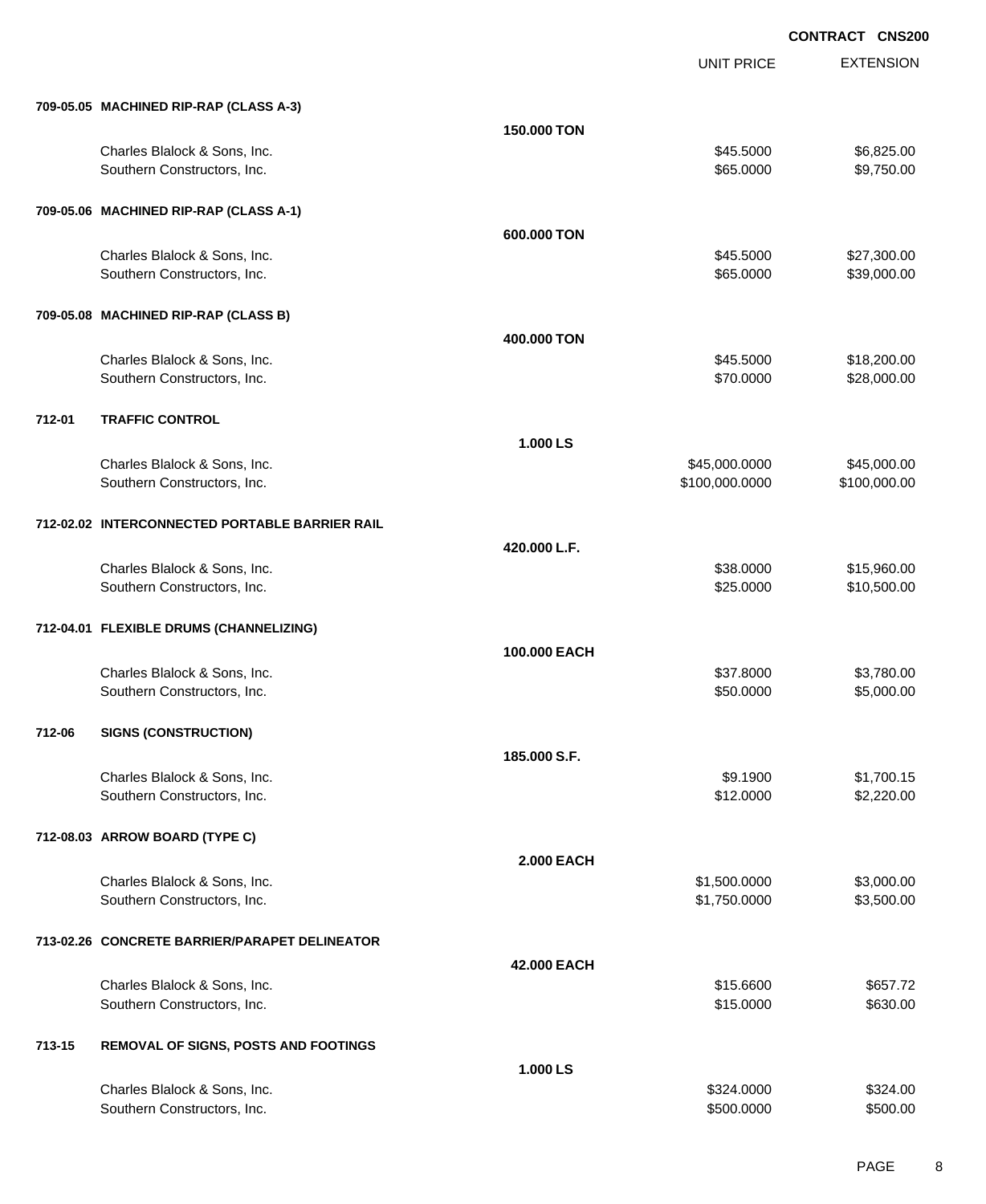|        |                                                |                   | <b>UNIT PRICE</b> | <b>EXTENSION</b> |
|--------|------------------------------------------------|-------------------|-------------------|------------------|
|        | 709-05.05 MACHINED RIP-RAP (CLASS A-3)         |                   |                   |                  |
|        |                                                | 150,000 TON       |                   |                  |
|        | Charles Blalock & Sons, Inc.                   |                   | \$45.5000         | \$6,825.00       |
|        | Southern Constructors, Inc.                    |                   | \$65.0000         | \$9,750.00       |
|        | 709-05.06 MACHINED RIP-RAP (CLASS A-1)         |                   |                   |                  |
|        |                                                | 600,000 TON       |                   |                  |
|        | Charles Blalock & Sons, Inc.                   |                   | \$45,5000         | \$27,300.00      |
|        | Southern Constructors, Inc.                    |                   | \$65.0000         | \$39,000.00      |
|        | 709-05.08 MACHINED RIP-RAP (CLASS B)           |                   |                   |                  |
|        |                                                | 400.000 TON       |                   |                  |
|        | Charles Blalock & Sons, Inc.                   |                   | \$45.5000         | \$18,200.00      |
|        | Southern Constructors, Inc.                    |                   | \$70.0000         | \$28,000.00      |
| 712-01 | <b>TRAFFIC CONTROL</b>                         |                   |                   |                  |
|        |                                                | 1.000 LS          |                   |                  |
|        | Charles Blalock & Sons, Inc.                   |                   | \$45,000.0000     | \$45,000.00      |
|        | Southern Constructors, Inc.                    |                   | \$100,000.0000    | \$100,000.00     |
|        | 712-02.02 INTERCONNECTED PORTABLE BARRIER RAIL |                   |                   |                  |
|        |                                                | 420.000 L.F.      |                   |                  |
|        | Charles Blalock & Sons, Inc.                   |                   | \$38.0000         | \$15,960.00      |
|        | Southern Constructors, Inc.                    |                   | \$25.0000         | \$10,500.00      |
|        | 712-04.01 FLEXIBLE DRUMS (CHANNELIZING)        |                   |                   |                  |
|        |                                                | 100.000 EACH      |                   |                  |
|        | Charles Blalock & Sons, Inc.                   |                   | \$37.8000         | \$3,780.00       |
|        | Southern Constructors, Inc.                    |                   | \$50.0000         | \$5,000.00       |
| 712-06 | <b>SIGNS (CONSTRUCTION)</b>                    |                   |                   |                  |
|        |                                                | 185.000 S.F.      |                   |                  |
|        | Charles Blalock & Sons, Inc.                   |                   | \$9.1900          | \$1,700.15       |
|        | Southern Constructors, Inc.                    |                   | \$12.0000         | \$2,220.00       |
|        | 712-08.03 ARROW BOARD (TYPE C)                 |                   |                   |                  |
|        |                                                | <b>2.000 EACH</b> |                   |                  |
|        | Charles Blalock & Sons, Inc.                   |                   | \$1,500.0000      | \$3,000.00       |
|        | Southern Constructors, Inc.                    |                   | \$1,750.0000      | \$3,500.00       |
|        | 713-02.26 CONCRETE BARRIER/PARAPET DELINEATOR  |                   |                   |                  |
|        |                                                | 42.000 EACH       |                   |                  |
|        | Charles Blalock & Sons, Inc.                   |                   | \$15.6600         | \$657.72         |
|        | Southern Constructors, Inc.                    |                   | \$15.0000         | \$630.00         |
| 713-15 | REMOVAL OF SIGNS, POSTS AND FOOTINGS           |                   |                   |                  |
|        |                                                | 1.000 LS          |                   |                  |
|        | Charles Blalock & Sons, Inc.                   |                   | \$324.0000        | \$324.00         |
|        | Southern Constructors, Inc.                    |                   | \$500.0000        | \$500.00         |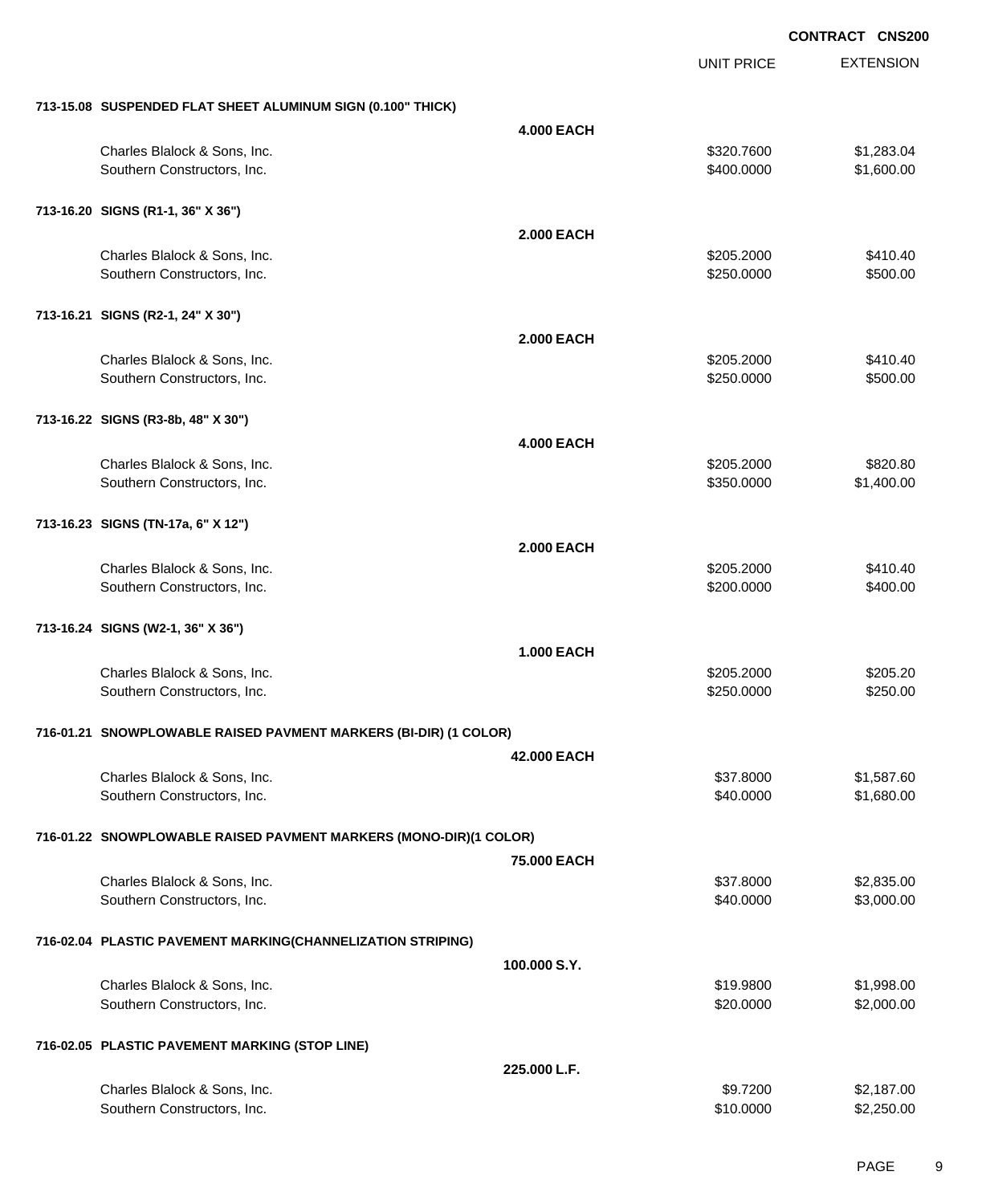|                                                                   |                   | UNIT PRICE | <b>EXTENSION</b> |
|-------------------------------------------------------------------|-------------------|------------|------------------|
| 713-15.08 SUSPENDED FLAT SHEET ALUMINUM SIGN (0.100" THICK)       |                   |            |                  |
|                                                                   | <b>4.000 EACH</b> |            |                  |
| Charles Blalock & Sons, Inc.                                      |                   | \$320.7600 | \$1,283.04       |
| Southern Constructors, Inc.                                       |                   | \$400.0000 | \$1,600.00       |
| 713-16.20 SIGNS (R1-1, 36" X 36")                                 |                   |            |                  |
|                                                                   | <b>2.000 EACH</b> |            |                  |
| Charles Blalock & Sons, Inc.                                      |                   | \$205.2000 | \$410.40         |
| Southern Constructors, Inc.                                       |                   | \$250.0000 | \$500.00         |
| 713-16.21 SIGNS (R2-1, 24" X 30")                                 |                   |            |                  |
|                                                                   | <b>2.000 EACH</b> |            |                  |
| Charles Blalock & Sons, Inc.                                      |                   | \$205.2000 | \$410.40         |
| Southern Constructors, Inc.                                       |                   | \$250.0000 | \$500.00         |
| 713-16.22 SIGNS (R3-8b, 48" X 30")                                |                   |            |                  |
|                                                                   | <b>4.000 EACH</b> |            |                  |
| Charles Blalock & Sons, Inc.                                      |                   | \$205.2000 | \$820.80         |
| Southern Constructors, Inc.                                       |                   | \$350.0000 | \$1,400.00       |
| 713-16.23 SIGNS (TN-17a, 6" X 12")                                |                   |            |                  |
|                                                                   | <b>2.000 EACH</b> |            |                  |
| Charles Blalock & Sons, Inc.                                      |                   | \$205.2000 | \$410.40         |
| Southern Constructors, Inc.                                       |                   | \$200.0000 | \$400.00         |
| 713-16.24 SIGNS (W2-1, 36" X 36")                                 |                   |            |                  |
|                                                                   | <b>1.000 EACH</b> |            |                  |
| Charles Blalock & Sons, Inc.                                      |                   | \$205.2000 | \$205.20         |
| Southern Constructors, Inc.                                       |                   | \$250.0000 | \$250.00         |
| 716-01.21 SNOWPLOWABLE RAISED PAVMENT MARKERS (BI-DIR) (1 COLOR)  |                   |            |                  |
|                                                                   | 42.000 EACH       |            |                  |
| Charles Blalock & Sons, Inc.                                      |                   | \$37.8000  | \$1,587.60       |
| Southern Constructors, Inc.                                       |                   | \$40.0000  | \$1,680.00       |
| 716-01.22 SNOWPLOWABLE RAISED PAVMENT MARKERS (MONO-DIR)(1 COLOR) |                   |            |                  |
|                                                                   | 75,000 EACH       |            |                  |
| Charles Blalock & Sons, Inc.                                      |                   | \$37.8000  | \$2,835.00       |
| Southern Constructors, Inc.                                       |                   | \$40.0000  | \$3,000.00       |
| 716-02.04 PLASTIC PAVEMENT MARKING(CHANNELIZATION STRIPING)       |                   |            |                  |
|                                                                   | 100.000 S.Y.      |            |                  |
| Charles Blalock & Sons, Inc.                                      |                   | \$19.9800  | \$1,998.00       |
| Southern Constructors, Inc.                                       |                   | \$20.0000  | \$2,000.00       |
| 716-02.05 PLASTIC PAVEMENT MARKING (STOP LINE)                    |                   |            |                  |
|                                                                   | 225.000 L.F.      |            |                  |
| Charles Blalock & Sons, Inc.                                      |                   | \$9.7200   | \$2,187.00       |
| Southern Constructors, Inc.                                       |                   | \$10.0000  | \$2,250.00       |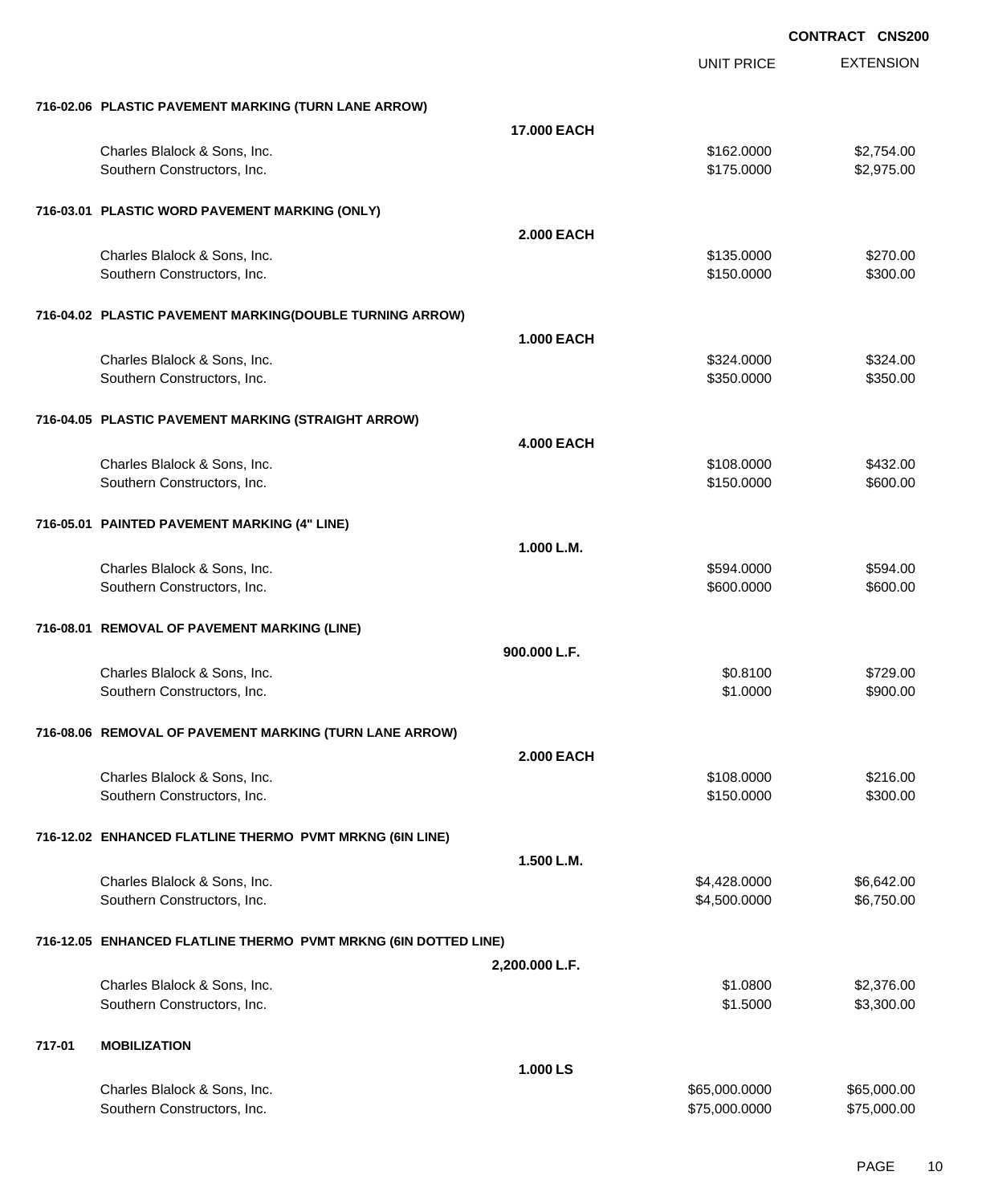EXTENSION **CONTRACT CNS200** UNIT PRICE **716-02.06 PLASTIC PAVEMENT MARKING (TURN LANE ARROW) 17.000 EACH** Charles Blalock & Sons, Inc. 6. 2010 1. 2010 1. 2010 1. 2010 1. 2010 1. 2010 1. 2010 1. 3162.0000 \$2,754.00 Southern Constructors, Inc. 6. The Constructors of the Constructors, Inc. 6. The Constructors, Inc. 6. The Constructors of the Constructors of the Constructors, Inc. 6. The Constructors of the Constructors of the Construct **716-03.01 PLASTIC WORD PAVEMENT MARKING (ONLY) 2.000 EACH** Charles Blalock & Sons, Inc. 6. 2010 12:30 12:30 12:30 12:30 12:30 12:30 12:30 12:30 12:30 12:30 12:30 12:30 1 Southern Constructors, Inc. 6300.00 \$300.00 \$300.00 \$300.00 \$300.00 **716-04.02 PLASTIC PAVEMENT MARKING(DOUBLE TURNING ARROW) 1.000 EACH** Charles Blalock & Sons, Inc. 6324.000 \$324.000 \$324.000 \$324.000 \$324.000 Southern Constructors, Inc. 6350.000 \$350.000 \$350.000 \$350.000 \$350.000 \$350.000 \$350.000 \$350.00 **716-04.05 PLASTIC PAVEMENT MARKING (STRAIGHT ARROW) 4.000 EACH** Charles Blalock & Sons, Inc. \$108.0000 \$432.00 Southern Constructors, Inc. 6600.00 \$600.00 \$600.00 \$600.00 **716-05.01 PAINTED PAVEMENT MARKING (4" LINE) 1.000 L.M.** Charles Blalock & Sons, Inc. 6. 2012 12:30 12:30 12:30 12:30 12:30 12:30 12:30 12:30 12:30 12:30 12:30 12:30 1 Southern Constructors, Inc. 6600.000 \$600.000 \$600.000 \$600.000 \$600.000 \$600.000 \$600.00 **716-08.01 REMOVAL OF PAVEMENT MARKING (LINE) 900.000 L.F.** Charles Blalock & Sons, Inc. **\$1.999.00** \$729.00 \$729.00 Southern Constructors, Inc. 6900.00 \$900.00 \$900.00 \$900.00 \$900.00 \$900.00 \$900.00 \$900.00 \$900.00 \$900.00 \$900 **716-08.06 REMOVAL OF PAVEMENT MARKING (TURN LANE ARROW) 2.000 EACH** Charles Blalock & Sons, Inc. 6216.000 \$216.00 \$216.00 Southern Constructors, Inc. 6300.00 \$300.00 \$300.00 \$300.00 \$300.00 **716-12.02 ENHANCED FLATLINE THERMO PVMT MRKNG (6IN LINE) 1.500 L.M.** Charles Blalock & Sons, Inc. 6.428.0000 \$6,642.00 Southern Constructors, Inc. 6. The Constructors, Inc. 6. The Constructors, Inc. 6. The Constructors, Inc. 6.4,500.000 \$6,750.00 **716-12.05 ENHANCED FLATLINE THERMO PVMT MRKNG (6IN DOTTED LINE) 2,200.000 L.F.** Charles Blalock & Sons, Inc. 6. 2012 12:376.00 \$2,376.00 \$2,376.00 \$2,376.00 Southern Constructors, Inc. 6. The Constructors of the Constructors, Inc. 6. The Constructors, Inc. 6. The Constructors of the Constructors of the Constructors of the Constructors of the Constructors of the Constructors of **717-01 MOBILIZATION 1.000 LS** Charles Blalock & Sons, Inc. 665,000.000 \$65,000.000 \$65,000.000 \$65,000.000 \$65,000.00

Southern Constructors, Inc. 6. The Constructors of the Constructors, Inc. 675,000.000 \$75,000.000 \$75,000.00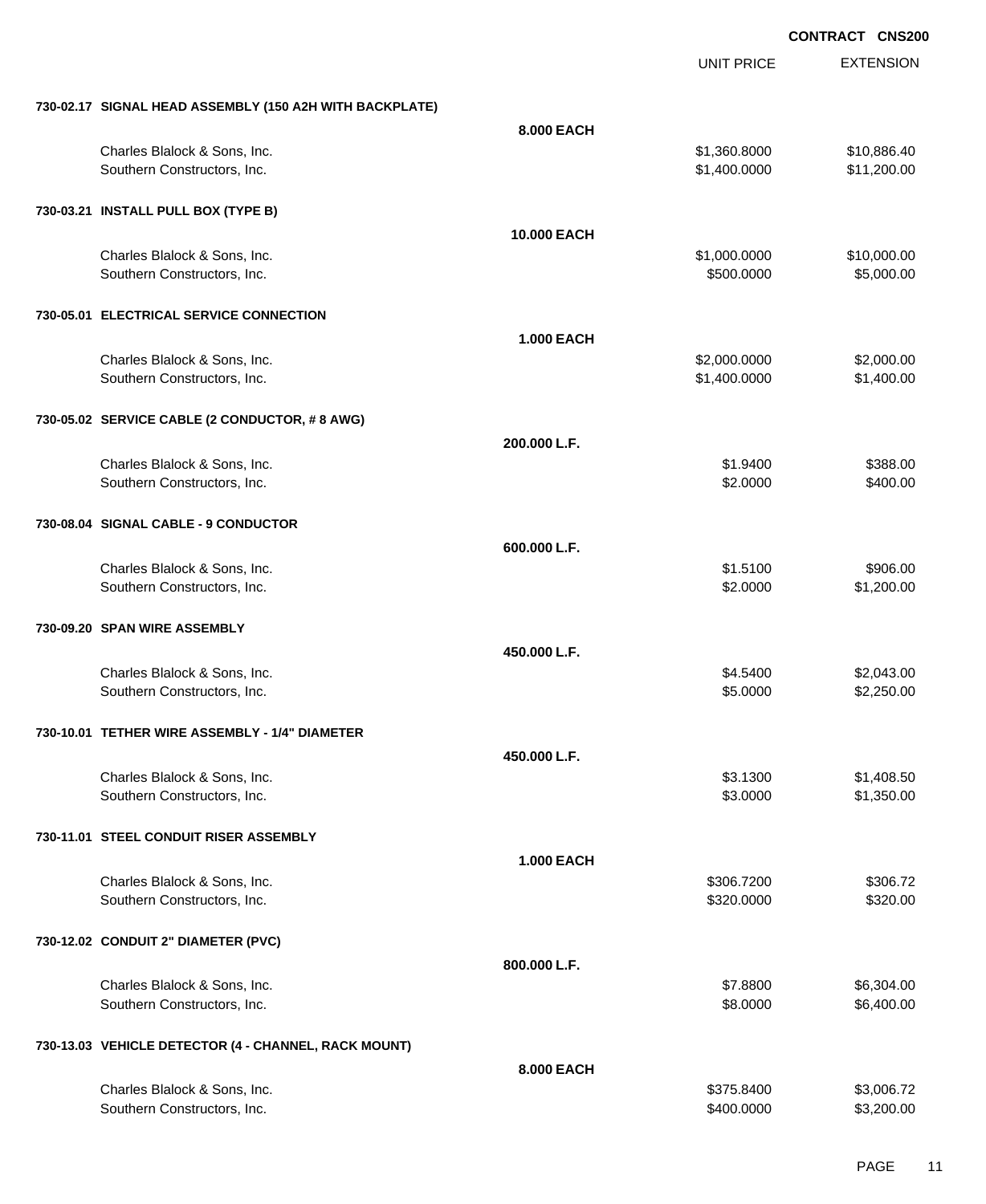|                                                             |                   | <b>UNIT PRICE</b>            | <b>EXTENSION</b>           |
|-------------------------------------------------------------|-------------------|------------------------------|----------------------------|
| 730-02.17 SIGNAL HEAD ASSEMBLY (150 A2H WITH BACKPLATE)     |                   |                              |                            |
|                                                             | 8.000 EACH        |                              |                            |
| Charles Blalock & Sons, Inc.<br>Southern Constructors, Inc. |                   | \$1,360.8000<br>\$1,400.0000 | \$10,886.40<br>\$11,200.00 |
| 730-03.21 INSTALL PULL BOX (TYPE B)                         |                   |                              |                            |
|                                                             | 10.000 EACH       |                              |                            |
| Charles Blalock & Sons, Inc.<br>Southern Constructors, Inc. |                   | \$1,000.0000<br>\$500.0000   | \$10,000.00<br>\$5,000.00  |
| 730-05.01 ELECTRICAL SERVICE CONNECTION                     |                   |                              |                            |
|                                                             | <b>1.000 EACH</b> |                              |                            |
| Charles Blalock & Sons, Inc.                                |                   | \$2,000.0000                 | \$2,000.00                 |
| Southern Constructors, Inc.                                 |                   | \$1,400.0000                 | \$1,400.00                 |
| 730-05.02 SERVICE CABLE (2 CONDUCTOR, #8 AWG)               |                   |                              |                            |
|                                                             | 200.000 L.F.      |                              |                            |
| Charles Blalock & Sons, Inc.                                |                   | \$1.9400                     | \$388.00                   |
| Southern Constructors, Inc.                                 |                   | \$2.0000                     | \$400.00                   |
| 730-08.04 SIGNAL CABLE - 9 CONDUCTOR                        |                   |                              |                            |
|                                                             | 600.000 L.F.      |                              |                            |
| Charles Blalock & Sons, Inc.                                |                   | \$1.5100                     | \$906.00                   |
| Southern Constructors, Inc.                                 |                   | \$2.0000                     | \$1,200.00                 |
| 730-09.20 SPAN WIRE ASSEMBLY                                |                   |                              |                            |
|                                                             | 450.000 L.F.      |                              |                            |
| Charles Blalock & Sons, Inc.                                |                   | \$4.5400                     | \$2,043.00                 |
| Southern Constructors, Inc.                                 |                   | \$5.0000                     | \$2,250.00                 |
| 730-10.01 TETHER WIRE ASSEMBLY - 1/4" DIAMETER              |                   |                              |                            |
|                                                             | 450.000 L.F.      |                              |                            |
| Charles Blalock & Sons, Inc.                                |                   | \$3.1300                     | \$1,408.50                 |
| Southern Constructors, Inc.                                 |                   | \$3.0000                     | \$1,350.00                 |
| 730-11.01 STEEL CONDUIT RISER ASSEMBLY                      |                   |                              |                            |
|                                                             | <b>1.000 EACH</b> |                              |                            |
| Charles Blalock & Sons, Inc.                                |                   | \$306.7200                   | \$306.72                   |
| Southern Constructors, Inc.                                 |                   | \$320.0000                   | \$320.00                   |
| 730-12.02 CONDUIT 2" DIAMETER (PVC)                         |                   |                              |                            |
|                                                             | 800.000 L.F.      |                              |                            |
| Charles Blalock & Sons, Inc.                                |                   | \$7.8800                     | \$6,304.00                 |
| Southern Constructors, Inc.                                 |                   | \$8.0000                     | \$6,400.00                 |
| 730-13.03 VEHICLE DETECTOR (4 - CHANNEL, RACK MOUNT)        |                   |                              |                            |
|                                                             | 8.000 EACH        |                              |                            |
| Charles Blalock & Sons, Inc.                                |                   | \$375.8400                   | \$3,006.72                 |
| Southern Constructors, Inc.                                 |                   | \$400.0000                   | \$3,200.00                 |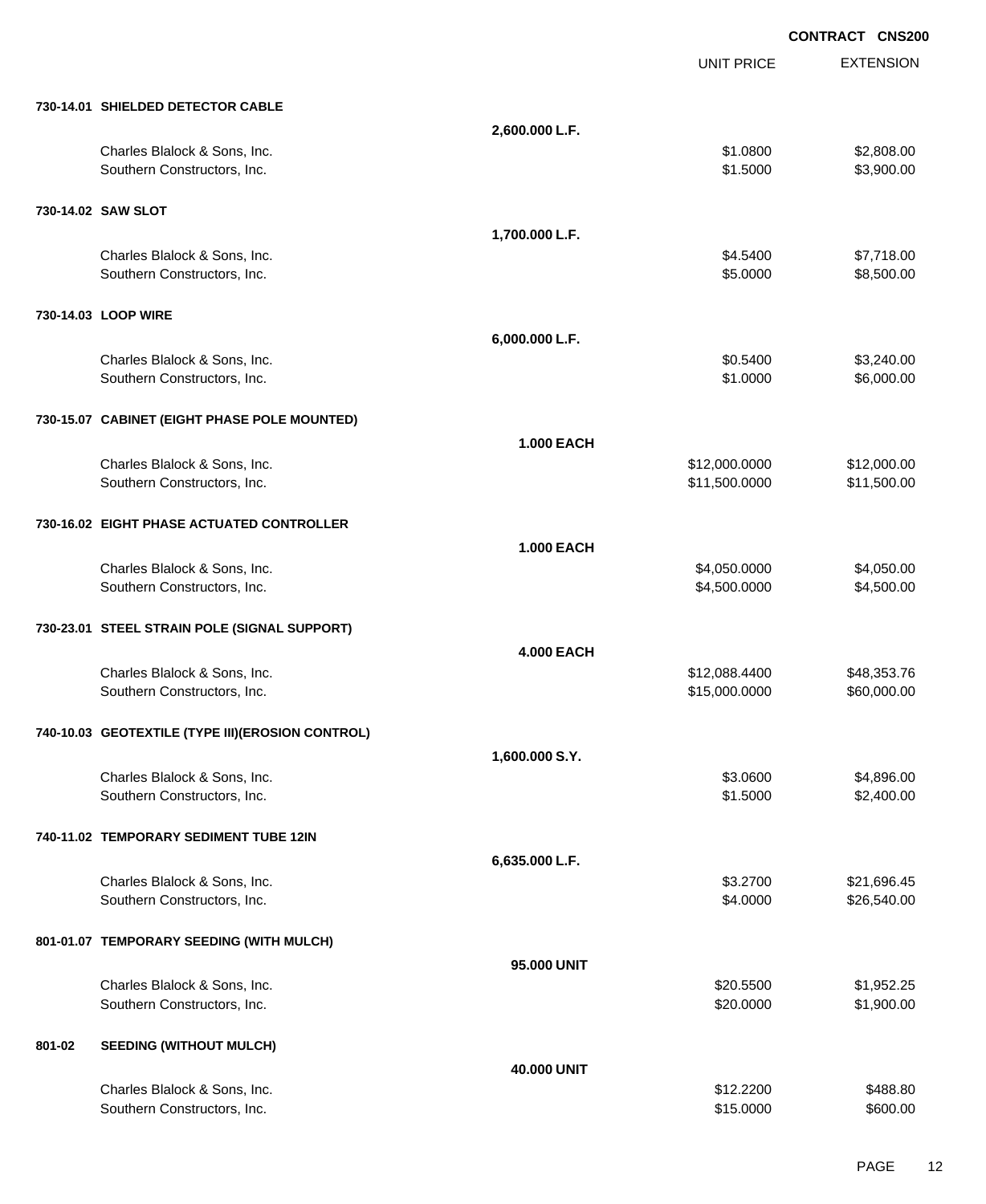EXTENSION **CONTRACT CNS200** UNIT PRICE **730-14.01 SHIELDED DETECTOR CABLE 2,600.000 L.F.** Charles Blalock & Sons, Inc. \$1.0800 \$2,808.00 Southern Constructors, Inc. 6. The Constructors of the Constructors, Inc. 6. The Constructors, Inc. 6. The Constructors of the Constructors of the Constructors of the Constructors of the Constructors of the Constructors of **730-14.02 SAW SLOT 1,700.000 L.F.** Charles Blalock & Sons, Inc. 6. 2012 12:35:36 (1992) 12:36:37 (1993) 12:36:37-18.00 \$7,718.00 Southern Constructors, Inc. 6. The Constructors, Inc. 6. The Constructors, Inc. 6. The Constructors, Inc. 6. Southern Constructors, Inc. 6. Southern Constructors, Inc. 6. The Constructors, Inc. 6. Southern Constructors, In **730-14.03 LOOP WIRE 6,000.000 L.F.** Charles Blalock & Sons, Inc. 6.6400 \$3,240.00 Southern Constructors, Inc. 6. The Constructors of the Constructors, Inc. 6. The Constructors, Inc. 6. The Constructors of the Constructors of the Constructors, Inc. 6. The Constructors of the Constructors of the Construct **730-15.07 CABINET (EIGHT PHASE POLE MOUNTED) 1.000 EACH** Charles Blalock & Sons, Inc. \$12,000.0000 \$12,000.00 Southern Constructors, Inc. 6. The Southern Constructors, Inc. 6. The Southern Constructors, Inc. 6. The Southern Constructors, Inc. 6. The Southern Constructors, Inc. 6. The Southern Constructors, Inc. 6. The Southern Con **730-16.02 EIGHT PHASE ACTUATED CONTROLLER 1.000 EACH** Charles Blalock & Sons, Inc. 6. 2012 12:30 12:30 12:30 12:30 12:30 12:30 12:30 12:30 12:30 12:30 12:30 12:30 12:30 12:30 12:30 12:30 12:30 12:30 12:30 12:30 12:30 12:30 12:30 12:30 12:30 12:30 12:30 12:30 12:30 12:30 12:30 Southern Constructors, Inc. 6. The Constructors of the Constructors, Inc. 6. The Constructors, Inc. 6. SA,500.000 \$4,500.000 \$4,500.00 **730-23.01 STEEL STRAIN POLE (SIGNAL SUPPORT) 4.000 EACH** Charles Blalock & Sons, Inc. \$12,088.4400 \$48,353.76 Southern Constructors, Inc. 660,000.000 \$60,000.000 \$60,000.000 \$60,000.000 \$60,000.00 **740-10.03 GEOTEXTILE (TYPE III)(EROSION CONTROL) 1,600.000 S.Y.** Charles Blalock & Sons, Inc. 6. 2012 12:30:00 \$4,896.00 \$4,896.00 \$4,896.00 Southern Constructors, Inc. 6. The Constructors of the Constructors, Inc. 6. The Constructors, Inc. 6. The Constructors of the Constructors, Inc. 6. The Constructors of the Constructors of the Constructors of the Construct **740-11.02 TEMPORARY SEDIMENT TUBE 12IN 6,635.000 L.F.** Charles Blalock & Sons, Inc. 6.27696.45 Southern Constructors, Inc. 626,540.00 \$26,540.00 \$26,540.00 \$26,540.00 **801-01.07 TEMPORARY SEEDING (WITH MULCH) 95.000 UNIT** Charles Blalock & Sons, Inc. \$20.5500 \$1,952.25 Southern Constructors, Inc. 6. The Constructors of the Constructors, Inc. 6. The Constructors, Inc. 6. The Constructors of the Constructors of the Constructors, Inc. 6. The Constructors of the Constructors of the Construct **801-02 SEEDING (WITHOUT MULCH) 40.000 UNIT**

Charles Blalock & Sons, Inc. 6. 2010 6. 2010 12:32 12:32 12:32200 \$488.80 Southern Constructors, Inc. 6600.00 \$600.00 \$600.00 \$600.00 \$600.00 \$600.00 \$600.00 \$600.00 \$600.00 \$600.00 \$600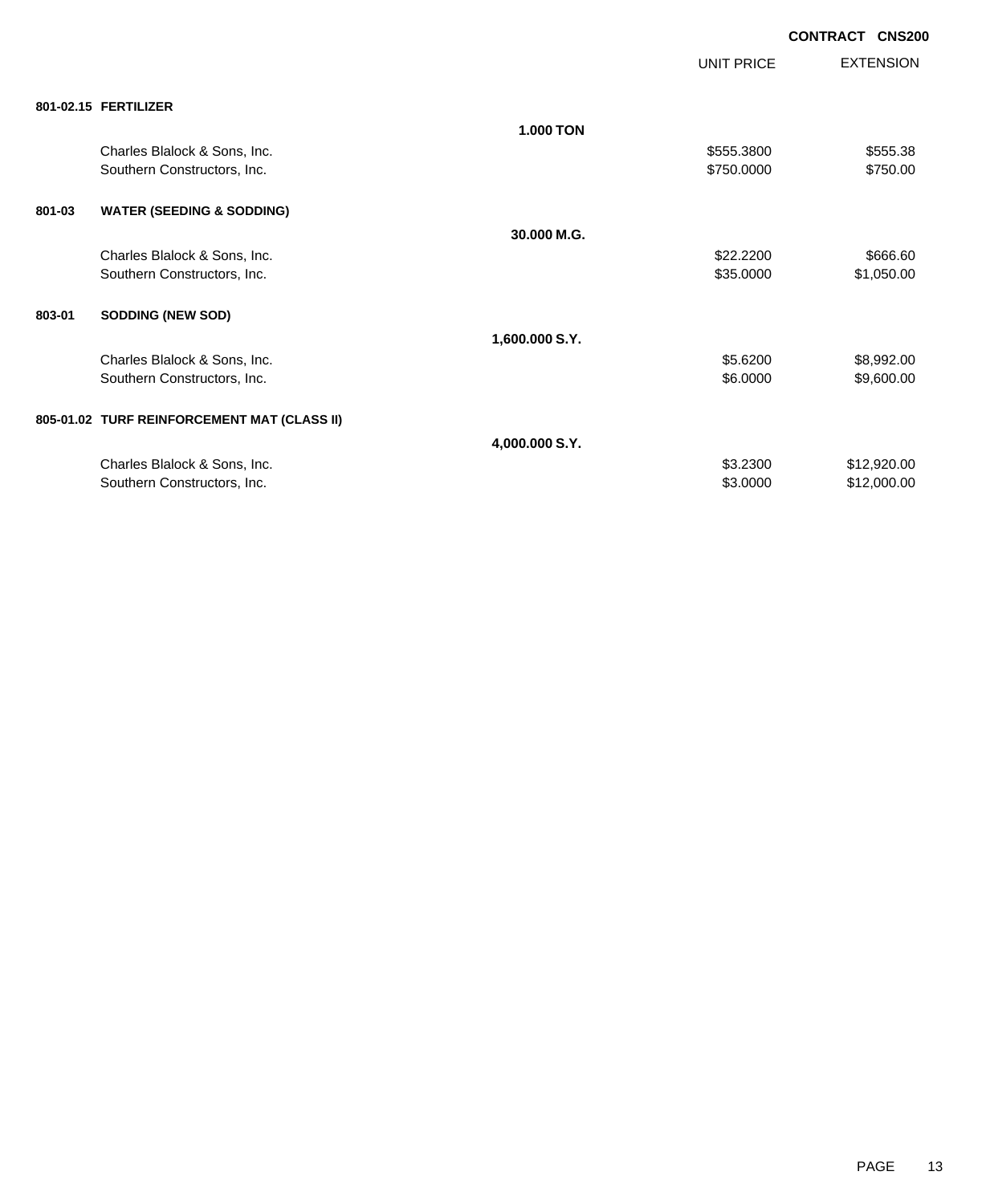| 801-02.15 FERTILIZER                           |             |
|------------------------------------------------|-------------|
|                                                |             |
|                                                |             |
| <b>1.000 TON</b>                               |             |
| \$555.3800<br>Charles Blalock & Sons, Inc.     | \$555.38    |
| Southern Constructors, Inc.<br>\$750.0000      | \$750.00    |
| 801-03<br><b>WATER (SEEDING &amp; SODDING)</b> |             |
| 30,000 M.G.                                    |             |
| Charles Blalock & Sons, Inc.<br>\$22,2200      | \$666.60    |
| Southern Constructors, Inc.<br>\$35.0000       | \$1,050.00  |
|                                                |             |
| <b>SODDING (NEW SOD)</b><br>803-01             |             |
| 1,600.000 S.Y.                                 |             |
| Charles Blalock & Sons, Inc.<br>\$5.6200       | \$8,992.00  |
| Southern Constructors, Inc.<br>\$6.0000        | \$9,600.00  |
| 805-01.02 TURF REINFORCEMENT MAT (CLASS II)    |             |
| 4,000.000 S.Y.                                 |             |
| \$3.2300<br>Charles Blalock & Sons, Inc.       | \$12,920.00 |
| Southern Constructors, Inc.<br>\$3.0000        | \$12,000.00 |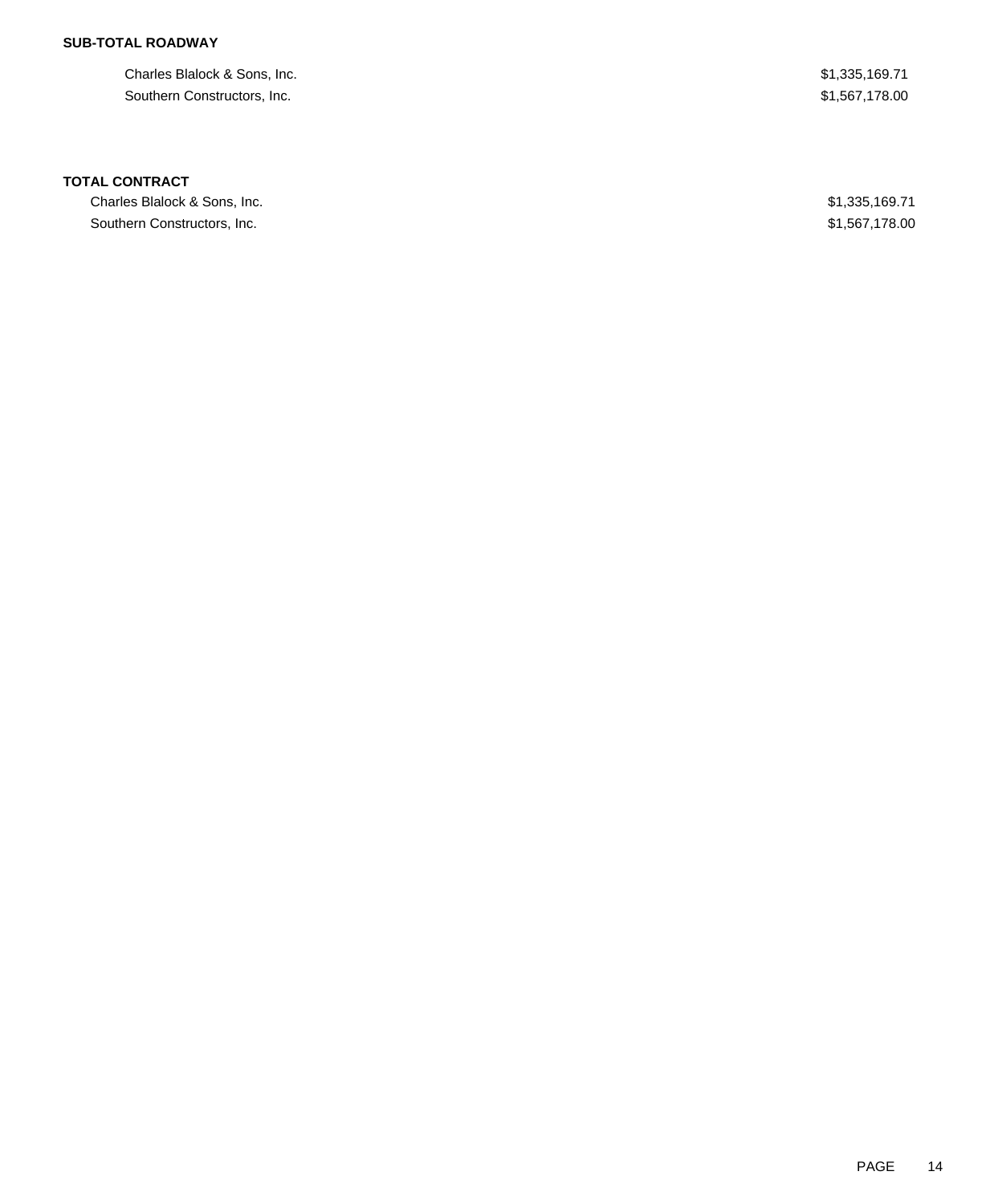## **SUB-TOTAL ROADWAY**

Charles Blalock & Sons, Inc.  $$1,335,169.71$ Southern Constructors, Inc.  $$1,567,178.00$ 

### **TOTAL CONTRACT**

Charles Blalock & Sons, Inc.  $$1,335,169.71$ Southern Constructors, Inc.  $$1,567,178.00$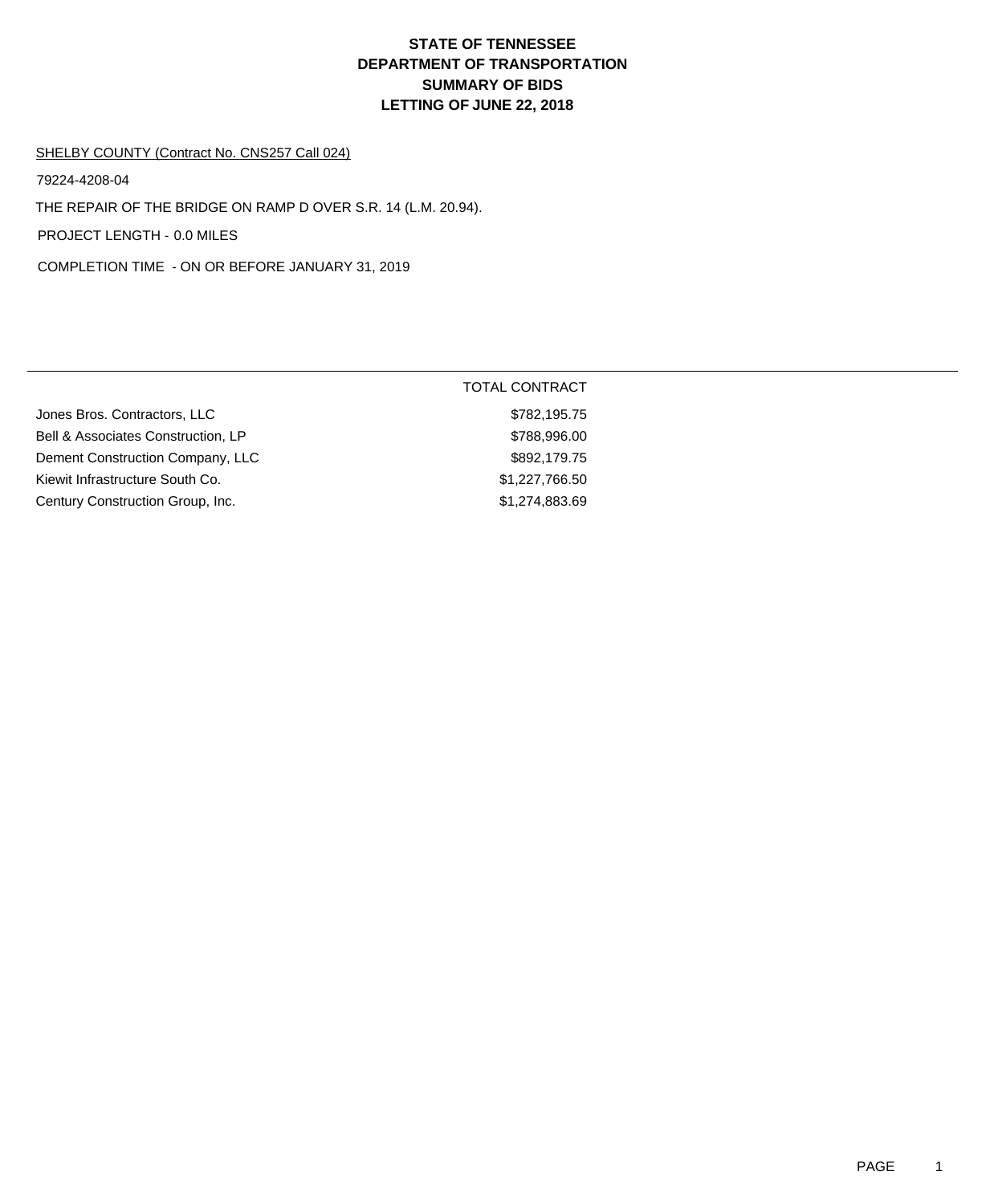# **DEPARTMENT OF TRANSPORTATION SUMMARY OF BIDS LETTING OF JUNE 22, 2018 STATE OF TENNESSEE**

### SHELBY COUNTY (Contract No. CNS257 Call 024)

79224-4208-04

THE REPAIR OF THE BRIDGE ON RAMP D OVER S.R. 14 (L.M. 20.94).

PROJECT LENGTH - 0.0 MILES

COMPLETION TIME - ON OR BEFORE JANUARY 31, 2019

| <b>TOTAL CONTRACT</b> |
|-----------------------|
| \$782,195.75          |
| \$788,996.00          |
| \$892,179.75          |
| \$1,227,766.50        |
| \$1,274,883.69        |
|                       |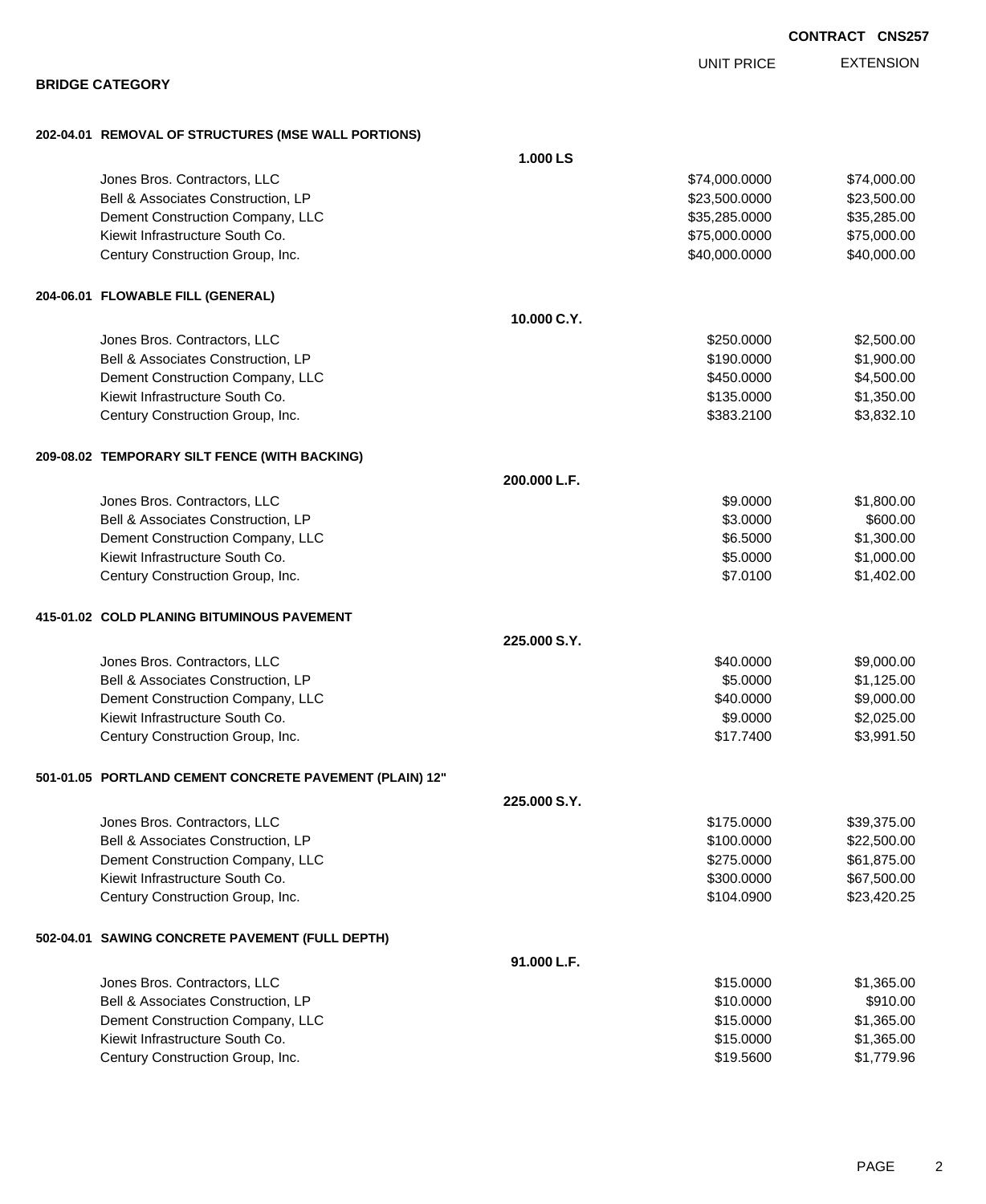|                                                         |              | <b>UNIT PRICE</b> | <b>EXTENSION</b> |
|---------------------------------------------------------|--------------|-------------------|------------------|
| <b>BRIDGE CATEGORY</b>                                  |              |                   |                  |
| 202-04.01 REMOVAL OF STRUCTURES (MSE WALL PORTIONS)     |              |                   |                  |
|                                                         | 1.000 LS     |                   |                  |
| Jones Bros. Contractors, LLC                            |              | \$74,000.0000     | \$74,000.00      |
| Bell & Associates Construction, LP                      |              | \$23,500.0000     | \$23,500.00      |
| Dement Construction Company, LLC                        |              | \$35,285.0000     | \$35,285.00      |
| Kiewit Infrastructure South Co.                         |              | \$75,000.0000     | \$75,000.00      |
| Century Construction Group, Inc.                        |              | \$40,000.0000     | \$40,000.00      |
| 204-06.01 FLOWABLE FILL (GENERAL)                       |              |                   |                  |
|                                                         | 10.000 C.Y.  |                   |                  |
| Jones Bros. Contractors, LLC                            |              | \$250.0000        | \$2,500.00       |
| Bell & Associates Construction, LP                      |              | \$190.0000        | \$1,900.00       |
| Dement Construction Company, LLC                        |              | \$450.0000        | \$4,500.00       |
| Kiewit Infrastructure South Co.                         |              | \$135.0000        | \$1,350.00       |
| Century Construction Group, Inc.                        |              | \$383.2100        | \$3,832.10       |
| 209-08.02 TEMPORARY SILT FENCE (WITH BACKING)           |              |                   |                  |
|                                                         | 200.000 L.F. |                   |                  |
| Jones Bros. Contractors, LLC                            |              | \$9.0000          | \$1,800.00       |
| Bell & Associates Construction, LP                      |              | \$3.0000          | \$600.00         |
| Dement Construction Company, LLC                        |              | \$6.5000          | \$1,300.00       |
| Kiewit Infrastructure South Co.                         |              | \$5.0000          | \$1,000.00       |
| Century Construction Group, Inc.                        |              | \$7.0100          | \$1,402.00       |
| 415-01.02 COLD PLANING BITUMINOUS PAVEMENT              |              |                   |                  |
|                                                         | 225,000 S.Y. |                   |                  |
| Jones Bros. Contractors, LLC                            |              | \$40.0000         | \$9,000.00       |
| Bell & Associates Construction, LP                      |              | \$5.0000          | \$1,125.00       |
| Dement Construction Company, LLC                        |              | \$40.0000         | \$9,000.00       |
| Kiewit Infrastructure South Co.                         |              | \$9.0000          | \$2,025.00       |
| Century Construction Group, Inc.                        |              | \$17.7400         | \$3,991.50       |
| 501-01.05 PORTLAND CEMENT CONCRETE PAVEMENT (PLAIN) 12" |              |                   |                  |
|                                                         | 225,000 S.Y. |                   |                  |
| Jones Bros. Contractors, LLC                            |              | \$175.0000        | \$39,375.00      |
| Bell & Associates Construction, LP                      |              | \$100.0000        | \$22,500.00      |
| Dement Construction Company, LLC                        |              | \$275.0000        | \$61,875.00      |
| Kiewit Infrastructure South Co.                         |              | \$300.0000        | \$67,500.00      |
| Century Construction Group, Inc.                        |              | \$104.0900        | \$23,420.25      |
| 502-04.01 SAWING CONCRETE PAVEMENT (FULL DEPTH)         |              |                   |                  |
|                                                         | 91.000 L.F.  |                   |                  |
| Jones Bros. Contractors, LLC                            |              | \$15.0000         | \$1,365.00       |
| Bell & Associates Construction, LP                      |              | \$10.0000         | \$910.00         |
| Dement Construction Company, LLC                        |              | \$15.0000         | \$1,365.00       |
| Kiewit Infrastructure South Co.                         |              | \$15.0000         | \$1,365.00       |

Century Construction Group, Inc. 61,779.96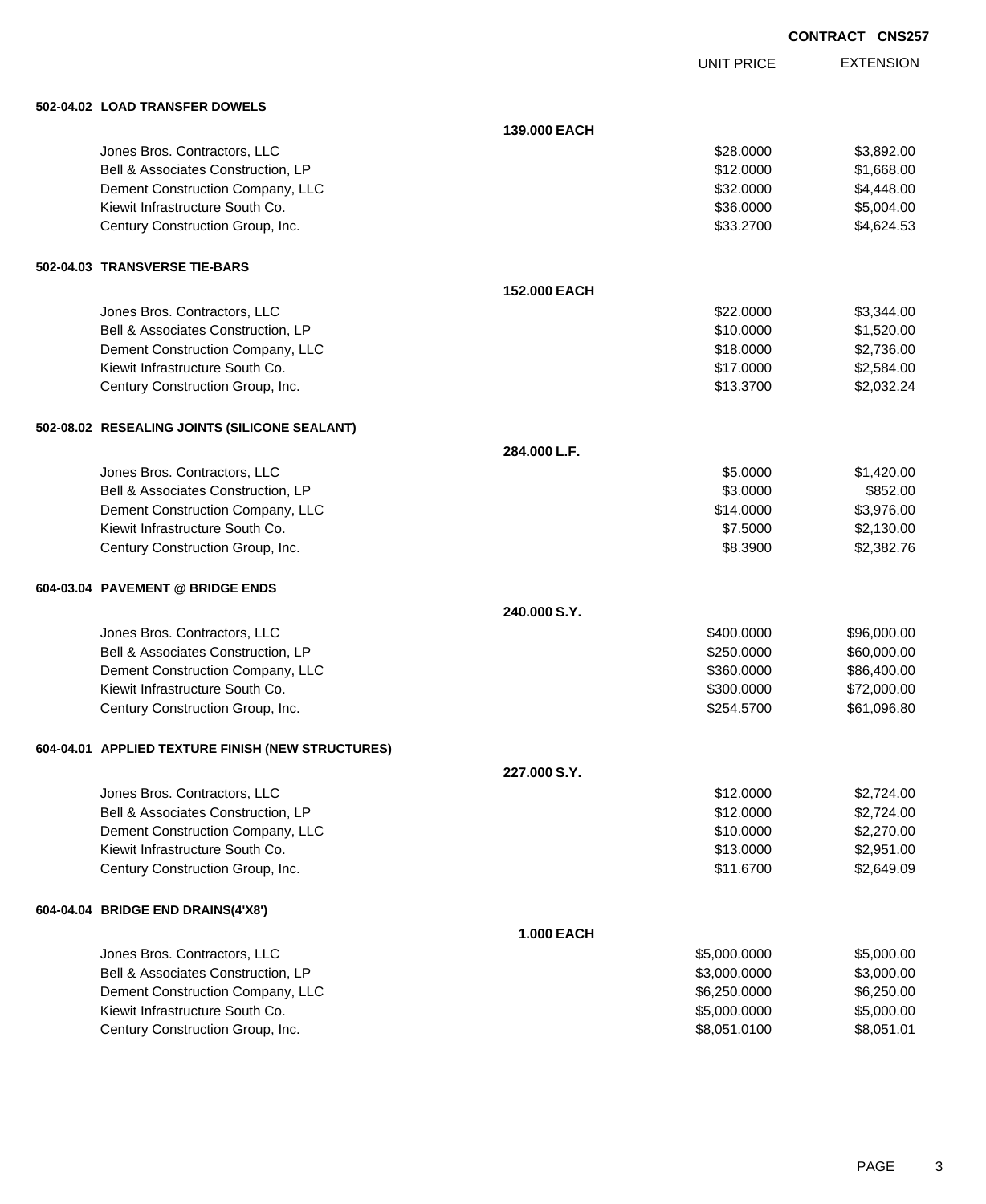UNIT PRICE

EXTENSION

|  | 502-04.02 LOAD TRANSFER DOWELS |  |
|--|--------------------------------|--|
|  |                                |  |

| 502-04.02 LOAD TRANSFER DOWELS                    |                   |              |             |
|---------------------------------------------------|-------------------|--------------|-------------|
|                                                   | 139.000 EACH      |              |             |
| Jones Bros. Contractors, LLC                      |                   | \$28.0000    | \$3,892.00  |
| Bell & Associates Construction, LP                |                   | \$12.0000    | \$1,668.00  |
| Dement Construction Company, LLC                  |                   | \$32.0000    | \$4,448.00  |
| Kiewit Infrastructure South Co.                   |                   | \$36.0000    | \$5,004.00  |
| Century Construction Group, Inc.                  |                   | \$33.2700    | \$4,624.53  |
| 502-04.03 TRANSVERSE TIE-BARS                     |                   |              |             |
|                                                   | 152.000 EACH      |              |             |
| Jones Bros. Contractors, LLC                      |                   | \$22.0000    | \$3,344.00  |
| Bell & Associates Construction, LP                |                   | \$10.0000    | \$1,520.00  |
| Dement Construction Company, LLC                  |                   | \$18.0000    | \$2,736.00  |
| Kiewit Infrastructure South Co.                   |                   | \$17.0000    | \$2,584.00  |
| Century Construction Group, Inc.                  |                   | \$13.3700    | \$2,032.24  |
| 502-08.02 RESEALING JOINTS (SILICONE SEALANT)     |                   |              |             |
|                                                   | 284.000 L.F.      |              |             |
| Jones Bros. Contractors, LLC                      |                   | \$5.0000     | \$1,420.00  |
| Bell & Associates Construction, LP                |                   | \$3.0000     | \$852.00    |
| Dement Construction Company, LLC                  |                   | \$14.0000    | \$3,976.00  |
| Kiewit Infrastructure South Co.                   |                   | \$7.5000     | \$2,130.00  |
| Century Construction Group, Inc.                  |                   | \$8.3900     | \$2,382.76  |
| 604-03.04 PAVEMENT @ BRIDGE ENDS                  |                   |              |             |
|                                                   | 240,000 S.Y.      |              |             |
| Jones Bros. Contractors, LLC                      |                   | \$400.0000   | \$96,000.00 |
| Bell & Associates Construction, LP                |                   | \$250.0000   | \$60,000.00 |
| Dement Construction Company, LLC                  |                   | \$360.0000   | \$86,400.00 |
| Kiewit Infrastructure South Co.                   |                   | \$300.0000   | \$72,000.00 |
| Century Construction Group, Inc.                  |                   | \$254.5700   | \$61,096.80 |
| 604-04.01 APPLIED TEXTURE FINISH (NEW STRUCTURES) |                   |              |             |
|                                                   | 227,000 S.Y.      |              |             |
| Jones Bros. Contractors, LLC                      |                   | \$12.0000    | \$2,724.00  |
| Bell & Associates Construction, LP                |                   | \$12.0000    | \$2,724.00  |
| Dement Construction Company, LLC                  |                   | \$10.0000    | \$2,270.00  |
| Kiewit Infrastructure South Co.                   |                   | \$13.0000    | \$2,951.00  |
| Century Construction Group, Inc.                  |                   | \$11.6700    | \$2,649.09  |
| 604-04.04 BRIDGE END DRAINS(4'X8')                |                   |              |             |
|                                                   | <b>1.000 EACH</b> |              |             |
| Jones Bros. Contractors, LLC                      |                   | \$5,000.0000 | \$5,000.00  |
| Bell & Associates Construction, LP                |                   | \$3,000.0000 | \$3,000.00  |
| Dement Construction Company, LLC                  |                   | \$6,250.0000 | \$6,250.00  |
| Kiewit Infrastructure South Co.                   |                   | \$5,000.0000 | \$5,000.00  |
| Century Construction Group, Inc.                  |                   | \$8,051.0100 | \$8,051.01  |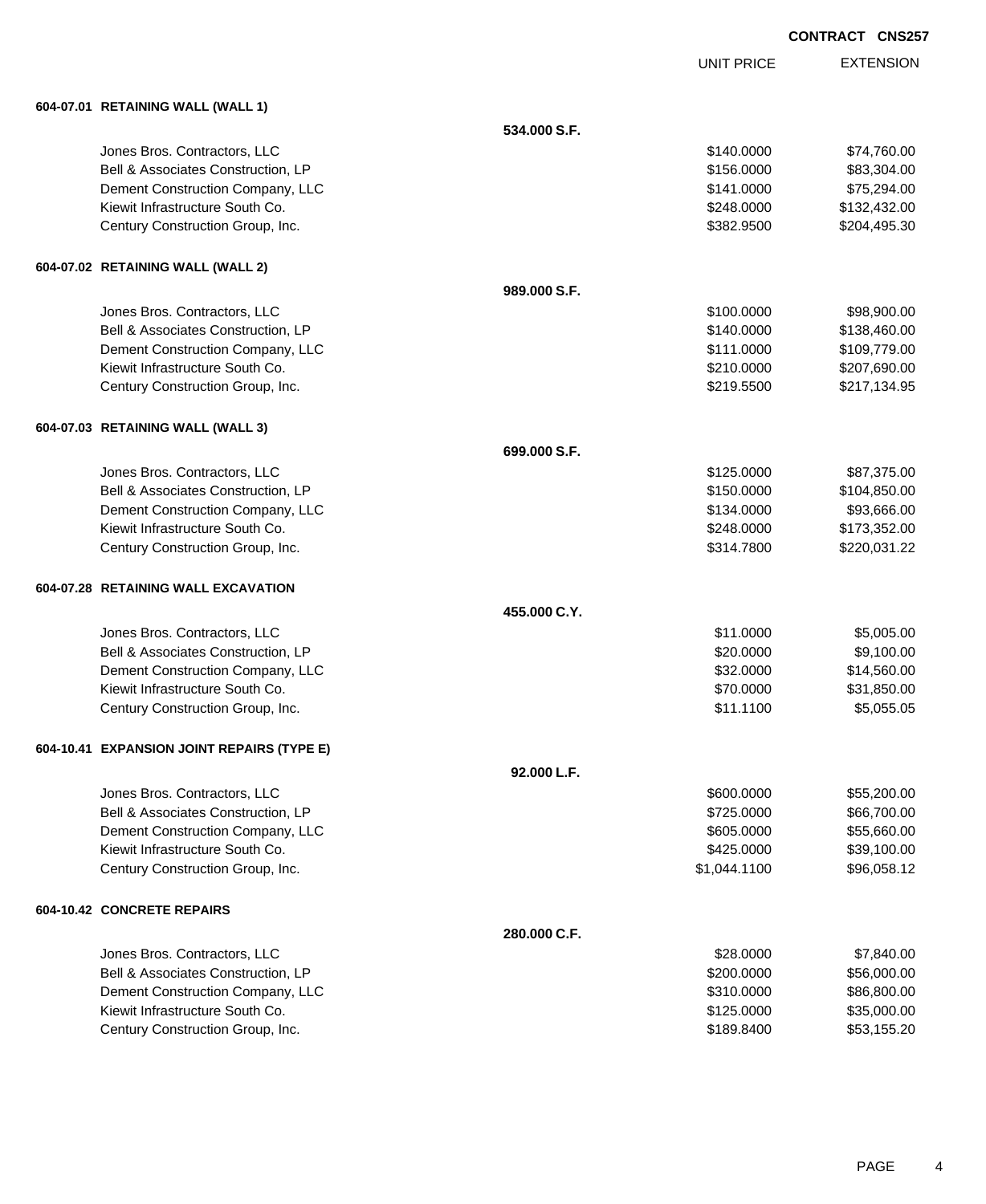UNIT PRICE

EXTENSION

| 604-07.01 RETAINING WALL (WALL 1) |  |  |
|-----------------------------------|--|--|

| 604-07.01 RETAINING WALL (WALL 1)          |              |              |              |
|--------------------------------------------|--------------|--------------|--------------|
|                                            | 534.000 S.F. |              |              |
| Jones Bros. Contractors, LLC               |              | \$140.0000   | \$74,760.00  |
| Bell & Associates Construction, LP         |              | \$156.0000   | \$83,304.00  |
| Dement Construction Company, LLC           |              | \$141.0000   | \$75,294.00  |
| Kiewit Infrastructure South Co.            |              | \$248.0000   | \$132,432.00 |
| Century Construction Group, Inc.           |              | \$382.9500   | \$204,495.30 |
| 604-07.02 RETAINING WALL (WALL 2)          |              |              |              |
|                                            | 989.000 S.F. |              |              |
| Jones Bros. Contractors, LLC               |              | \$100.0000   | \$98,900.00  |
| Bell & Associates Construction, LP         |              | \$140.0000   | \$138,460.00 |
| Dement Construction Company, LLC           |              | \$111.0000   | \$109,779.00 |
| Kiewit Infrastructure South Co.            |              | \$210.0000   | \$207,690.00 |
| Century Construction Group, Inc.           |              | \$219.5500   | \$217,134.95 |
| 604-07.03 RETAINING WALL (WALL 3)          |              |              |              |
|                                            | 699.000 S.F. |              |              |
| Jones Bros. Contractors, LLC               |              | \$125.0000   | \$87,375.00  |
| Bell & Associates Construction, LP         |              | \$150.0000   | \$104,850.00 |
| Dement Construction Company, LLC           |              | \$134.0000   | \$93,666.00  |
| Kiewit Infrastructure South Co.            |              | \$248.0000   | \$173,352.00 |
| Century Construction Group, Inc.           |              | \$314.7800   | \$220,031.22 |
| 604-07.28 RETAINING WALL EXCAVATION        |              |              |              |
|                                            | 455.000 C.Y. |              |              |
| Jones Bros. Contractors, LLC               |              | \$11.0000    | \$5,005.00   |
| Bell & Associates Construction, LP         |              | \$20.0000    | \$9,100.00   |
| Dement Construction Company, LLC           |              | \$32.0000    | \$14,560.00  |
| Kiewit Infrastructure South Co.            |              | \$70.0000    | \$31,850.00  |
| Century Construction Group, Inc.           |              | \$11.1100    | \$5,055.05   |
| 604-10.41 EXPANSION JOINT REPAIRS (TYPE E) |              |              |              |
|                                            | 92.000 L.F.  |              |              |
| Jones Bros. Contractors, LLC               |              | \$600.0000   | \$55,200.00  |
| Bell & Associates Construction, LP         |              | \$725.0000   | \$66,700.00  |
| Dement Construction Company, LLC           |              | \$605.0000   | \$55,660.00  |
| Kiewit Infrastructure South Co.            |              | \$425.0000   | \$39,100.00  |
| Century Construction Group, Inc.           |              | \$1,044.1100 | \$96,058.12  |
| 604-10.42 CONCRETE REPAIRS                 |              |              |              |
|                                            | 280.000 C.F. |              |              |
| Jones Bros. Contractors, LLC               |              | \$28.0000    | \$7,840.00   |
| Bell & Associates Construction, LP         |              | \$200.0000   | \$56,000.00  |
| Dement Construction Company, LLC           |              | \$310.0000   | \$86,800.00  |
| Kiewit Infrastructure South Co.            |              | \$125.0000   | \$35,000.00  |
| Century Construction Group, Inc.           |              | \$189.8400   | \$53,155.20  |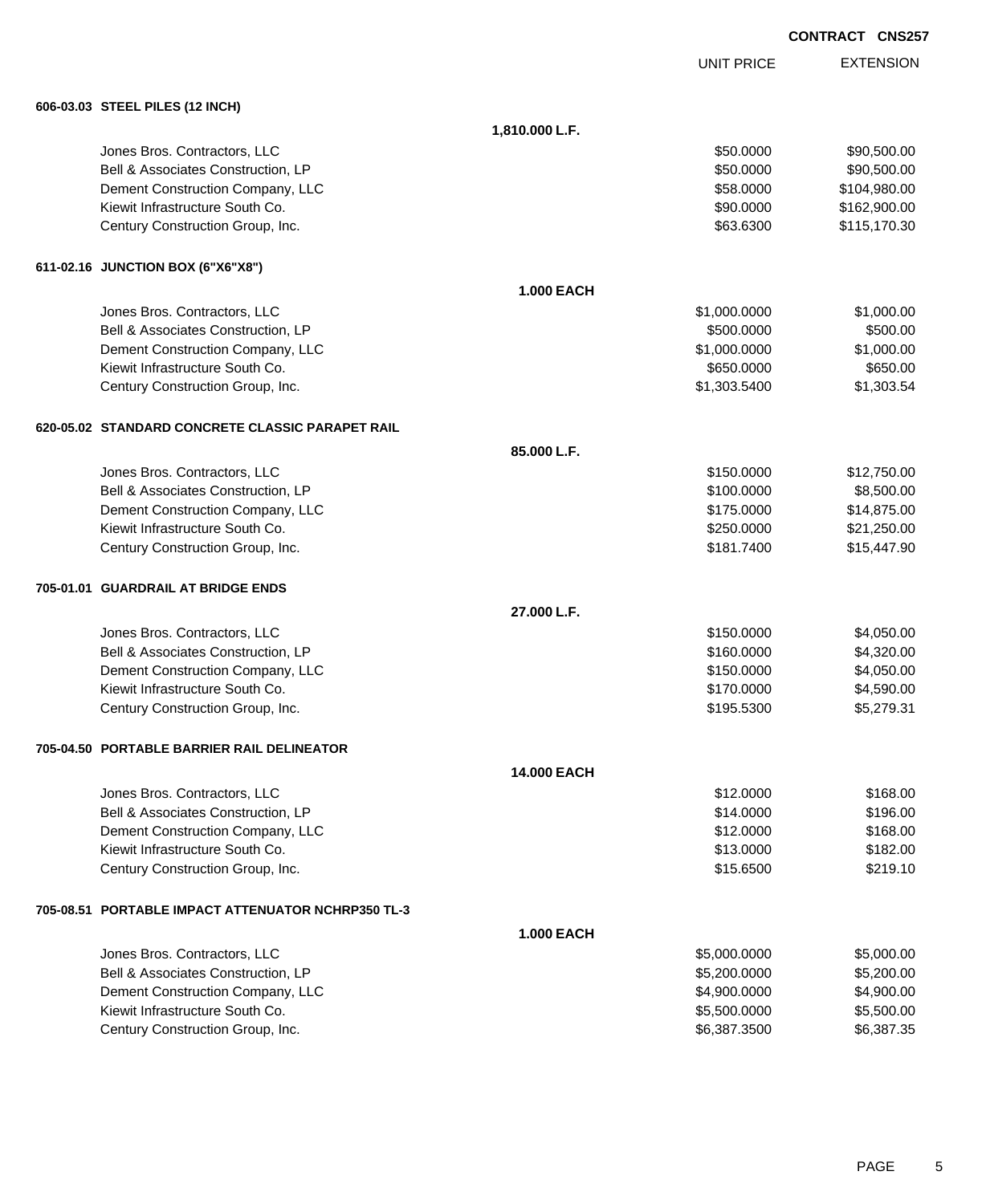|                                                    |                   |                   | <b>CONTRACT CNS257</b> |                  |
|----------------------------------------------------|-------------------|-------------------|------------------------|------------------|
|                                                    |                   | <b>UNIT PRICE</b> |                        | <b>EXTENSION</b> |
| 606-03.03 STEEL PILES (12 INCH)                    |                   |                   |                        |                  |
|                                                    | 1,810.000 L.F.    |                   |                        |                  |
| Jones Bros. Contractors, LLC                       |                   | \$50.0000         |                        | \$90,500.00      |
| Bell & Associates Construction, LP                 |                   | \$50.0000         |                        | \$90,500.00      |
| Dement Construction Company, LLC                   |                   | \$58.0000         |                        | \$104,980.00     |
| Kiewit Infrastructure South Co.                    |                   | \$90.0000         |                        | \$162,900.00     |
| Century Construction Group, Inc.                   |                   | \$63.6300         |                        | \$115,170.30     |
| 611-02.16 JUNCTION BOX (6"X6"X8")                  |                   |                   |                        |                  |
|                                                    | <b>1.000 EACH</b> |                   |                        |                  |
| Jones Bros. Contractors, LLC                       |                   | \$1,000.0000      |                        | \$1,000.00       |
| Bell & Associates Construction, LP                 |                   | \$500.0000        |                        | \$500.00         |
| Dement Construction Company, LLC                   |                   | \$1,000.0000      |                        | \$1,000.00       |
| Kiewit Infrastructure South Co.                    |                   | \$650.0000        |                        | \$650.00         |
| Century Construction Group, Inc.                   |                   | \$1,303.5400      |                        | \$1,303.54       |
| 620-05.02 STANDARD CONCRETE CLASSIC PARAPET RAIL   |                   |                   |                        |                  |
|                                                    | 85.000 L.F.       |                   |                        |                  |
| Jones Bros. Contractors, LLC                       |                   | \$150.0000        |                        | \$12,750.00      |
| Bell & Associates Construction, LP                 |                   | \$100.0000        |                        | \$8,500.00       |
| Dement Construction Company, LLC                   |                   | \$175.0000        |                        | \$14,875.00      |
| Kiewit Infrastructure South Co.                    |                   | \$250.0000        |                        | \$21,250.00      |
| Century Construction Group, Inc.                   |                   | \$181.7400        |                        | \$15,447.90      |
| 705-01.01 GUARDRAIL AT BRIDGE ENDS                 |                   |                   |                        |                  |
|                                                    | 27.000 L.F.       |                   |                        |                  |
| Jones Bros. Contractors, LLC                       |                   | \$150.0000        |                        | \$4,050.00       |
| Bell & Associates Construction, LP                 |                   | \$160.0000        |                        | \$4,320.00       |
| Dement Construction Company, LLC                   |                   | \$150.0000        |                        | \$4,050.00       |
| Kiewit Infrastructure South Co.                    |                   | \$170.0000        |                        | \$4,590.00       |
| Century Construction Group, Inc.                   |                   | \$195.5300        |                        | \$5,279.31       |
| 705-04.50 PORTABLE BARRIER RAIL DELINEATOR         |                   |                   |                        |                  |
|                                                    | 14.000 EACH       |                   |                        |                  |
| Jones Bros. Contractors, LLC                       |                   | \$12.0000         |                        | \$168.00         |
| Bell & Associates Construction, LP                 |                   | \$14.0000         |                        | \$196.00         |
| Dement Construction Company, LLC                   |                   | \$12.0000         |                        | \$168.00         |
| Kiewit Infrastructure South Co.                    |                   | \$13.0000         |                        | \$182.00         |
| Century Construction Group, Inc.                   |                   | \$15.6500         |                        | \$219.10         |
| 705-08.51 PORTABLE IMPACT ATTENUATOR NCHRP350 TL-3 |                   |                   |                        |                  |
|                                                    | <b>1.000 EACH</b> |                   |                        |                  |
| Jones Bros. Contractors, LLC                       |                   | \$5,000.0000      |                        | \$5,000.00       |
| Bell & Associates Construction, LP                 |                   | \$5,200.0000      |                        | \$5,200.00       |
| Dement Construction Company, LLC                   |                   | \$4,900.0000      |                        | \$4,900.00       |
| Kiewit Infrastructure South Co.                    |                   | \$5,500.0000      |                        | \$5,500.00       |

Century Construction Group, Inc. 6,387.3500 \$6,387.3500 \$6,387.3500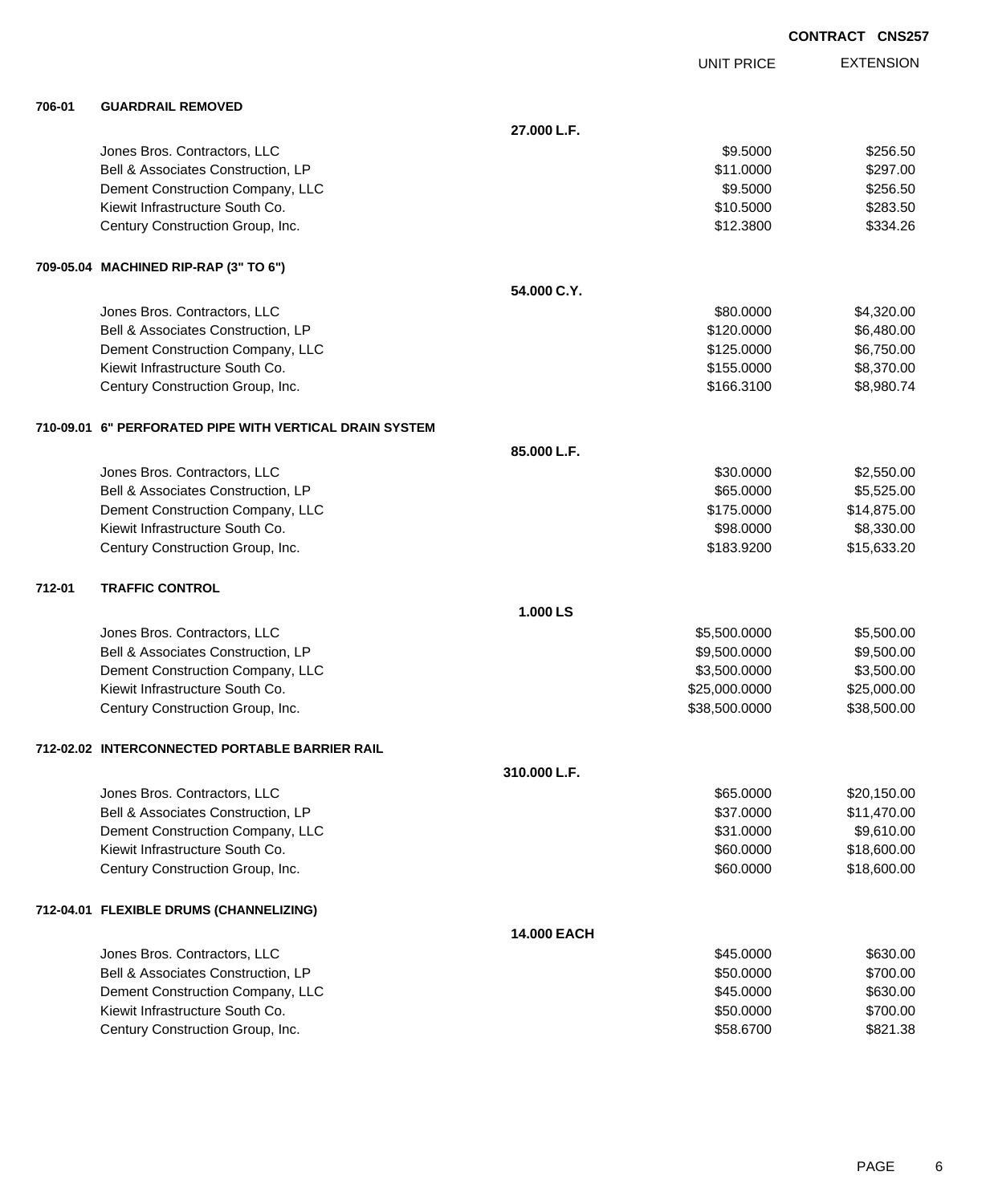UNIT PRICE

EXTENSION

| <b>GUARDRAIL REMOVED</b> |
|--------------------------|
|                          |

| 706-01 | <b>GUARDRAIL REMOVED</b>                                |              |               |             |
|--------|---------------------------------------------------------|--------------|---------------|-------------|
|        |                                                         | 27.000 L.F.  |               |             |
|        | Jones Bros. Contractors, LLC                            |              | \$9.5000      | \$256.50    |
|        | Bell & Associates Construction, LP                      |              | \$11.0000     | \$297.00    |
|        | Dement Construction Company, LLC                        |              | \$9.5000      | \$256.50    |
|        | Kiewit Infrastructure South Co.                         |              | \$10.5000     | \$283.50    |
|        | Century Construction Group, Inc.                        |              | \$12.3800     | \$334.26    |
|        | 709-05.04 MACHINED RIP-RAP (3" TO 6")                   |              |               |             |
|        |                                                         | 54.000 C.Y.  |               |             |
|        | Jones Bros. Contractors, LLC                            |              | \$80.0000     | \$4,320.00  |
|        | Bell & Associates Construction, LP                      |              | \$120.0000    | \$6,480.00  |
|        | Dement Construction Company, LLC                        |              | \$125.0000    | \$6,750.00  |
|        | Kiewit Infrastructure South Co.                         |              | \$155.0000    | \$8,370.00  |
|        | Century Construction Group, Inc.                        |              | \$166.3100    | \$8,980.74  |
|        | 710-09.01 6" PERFORATED PIPE WITH VERTICAL DRAIN SYSTEM |              |               |             |
|        |                                                         | 85.000 L.F.  |               |             |
|        | Jones Bros. Contractors, LLC                            |              | \$30.0000     | \$2,550.00  |
|        | Bell & Associates Construction, LP                      |              | \$65.0000     | \$5,525.00  |
|        | Dement Construction Company, LLC                        |              | \$175.0000    | \$14,875.00 |
|        | Kiewit Infrastructure South Co.                         |              | \$98.0000     | \$8,330.00  |
|        | Century Construction Group, Inc.                        |              | \$183.9200    | \$15,633.20 |
| 712-01 | <b>TRAFFIC CONTROL</b>                                  |              |               |             |
|        |                                                         | 1.000 LS     |               |             |
|        | Jones Bros. Contractors, LLC                            |              | \$5,500.0000  | \$5,500.00  |
|        | Bell & Associates Construction, LP                      |              | \$9,500.0000  | \$9,500.00  |
|        | Dement Construction Company, LLC                        |              | \$3,500.0000  | \$3,500.00  |
|        | Kiewit Infrastructure South Co.                         |              | \$25,000.0000 | \$25,000.00 |
|        | Century Construction Group, Inc.                        |              | \$38,500.0000 | \$38,500.00 |
|        | 712-02.02 INTERCONNECTED PORTABLE BARRIER RAIL          |              |               |             |
|        |                                                         | 310.000 L.F. |               |             |
|        | Jones Bros. Contractors, LLC                            |              | \$65.0000     | \$20,150.00 |
|        | Bell & Associates Construction, LP                      |              | \$37.0000     | \$11,470.00 |
|        | Dement Construction Company, LLC                        |              | \$31.0000     | \$9,610.00  |
|        | Kiewit Infrastructure South Co.                         |              | \$60.0000     | \$18,600.00 |
|        | Century Construction Group, Inc.                        |              | \$60.0000     | \$18,600.00 |
|        | 712-04.01 FLEXIBLE DRUMS (CHANNELIZING)                 |              |               |             |
|        |                                                         | 14.000 EACH  |               |             |
|        | Jones Bros. Contractors, LLC                            |              | \$45.0000     | \$630.00    |
|        | Bell & Associates Construction, LP                      |              | \$50.0000     | \$700.00    |
|        | Dement Construction Company, LLC                        |              | \$45.0000     | \$630.00    |
|        | Kiewit Infrastructure South Co.                         |              | \$50.0000     | \$700.00    |
|        | Century Construction Group, Inc.                        |              | \$58.6700     | \$821.38    |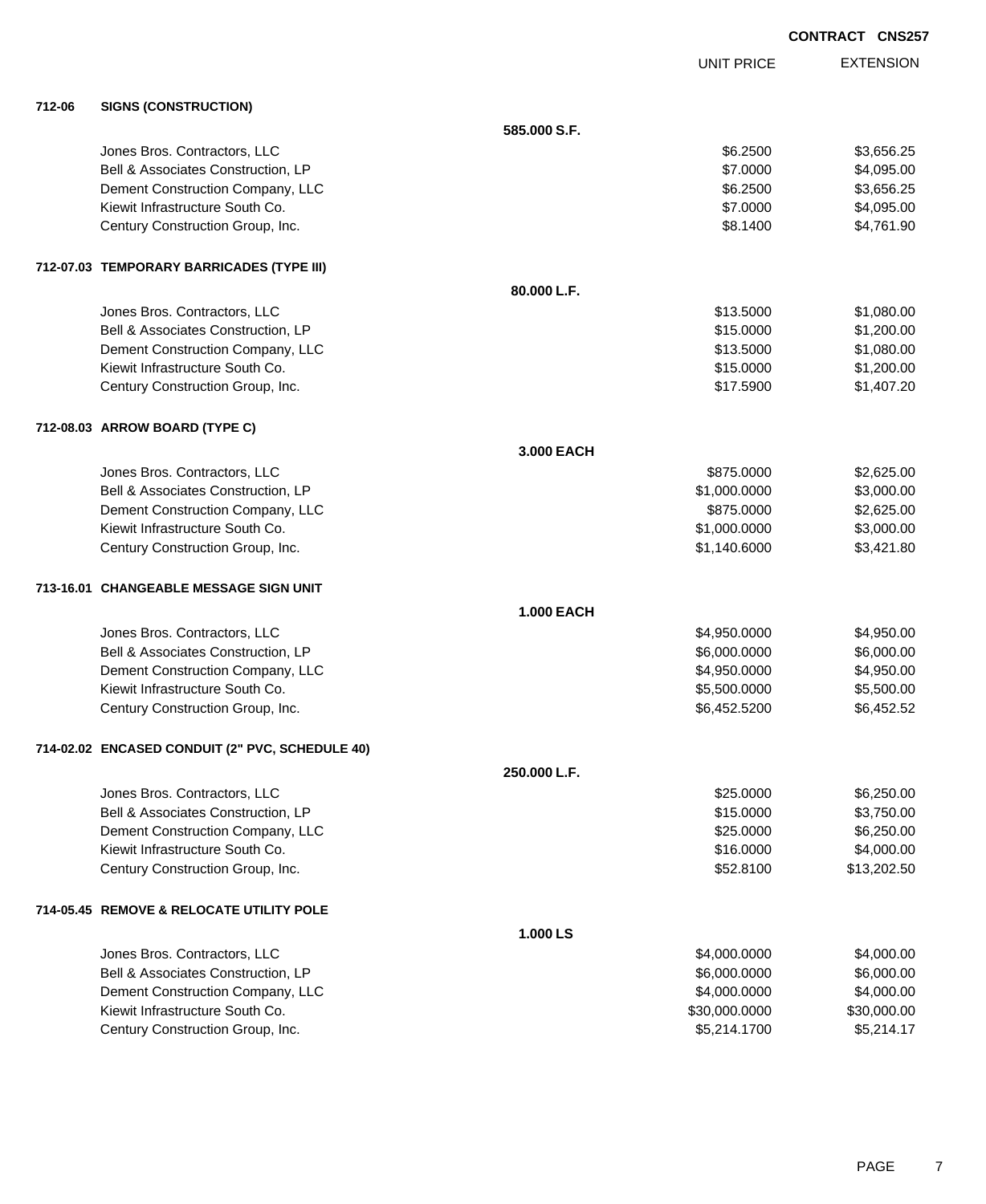|            | <b>CONTRACT CNS257</b> |                  |
|------------|------------------------|------------------|
| UNIT PRICE |                        | <b>EXTENSION</b> |

#### **712-06 SIGNS (CONSTRUCTION)**

| 712-06 | <b>SIGNS (CONSTRUCTION)</b>                     |              |               |             |
|--------|-------------------------------------------------|--------------|---------------|-------------|
|        |                                                 | 585.000 S.F. |               |             |
|        | Jones Bros. Contractors, LLC                    |              | \$6.2500      | \$3,656.25  |
|        | Bell & Associates Construction, LP              |              | \$7.0000      | \$4,095.00  |
|        | Dement Construction Company, LLC                |              | \$6.2500      | \$3,656.25  |
|        | Kiewit Infrastructure South Co.                 |              | \$7.0000      | \$4,095.00  |
|        | Century Construction Group, Inc.                |              | \$8.1400      | \$4,761.90  |
|        | 712-07.03 TEMPORARY BARRICADES (TYPE III)       |              |               |             |
|        |                                                 | 80.000 L.F.  |               |             |
|        | Jones Bros. Contractors, LLC                    |              | \$13.5000     | \$1,080.00  |
|        | Bell & Associates Construction, LP              |              | \$15.0000     | \$1,200.00  |
|        | Dement Construction Company, LLC                |              | \$13.5000     | \$1,080.00  |
|        | Kiewit Infrastructure South Co.                 |              | \$15.0000     | \$1,200.00  |
|        | Century Construction Group, Inc.                |              | \$17.5900     | \$1,407.20  |
|        | 712-08.03 ARROW BOARD (TYPE C)                  |              |               |             |
|        |                                                 | 3.000 EACH   |               |             |
|        | Jones Bros. Contractors, LLC                    |              | \$875.0000    | \$2,625.00  |
|        | Bell & Associates Construction, LP              |              | \$1,000.0000  | \$3,000.00  |
|        | Dement Construction Company, LLC                |              | \$875.0000    | \$2,625.00  |
|        | Kiewit Infrastructure South Co.                 |              | \$1,000.0000  | \$3,000.00  |
|        | Century Construction Group, Inc.                |              | \$1,140.6000  | \$3,421.80  |
|        | 713-16.01 CHANGEABLE MESSAGE SIGN UNIT          |              |               |             |
|        |                                                 | 1.000 EACH   |               |             |
|        | Jones Bros. Contractors, LLC                    |              | \$4,950.0000  | \$4,950.00  |
|        | Bell & Associates Construction, LP              |              | \$6,000.0000  | \$6,000.00  |
|        | Dement Construction Company, LLC                |              | \$4,950.0000  | \$4,950.00  |
|        | Kiewit Infrastructure South Co.                 |              | \$5,500.0000  | \$5,500.00  |
|        | Century Construction Group, Inc.                |              | \$6,452.5200  | \$6,452.52  |
|        | 714-02.02 ENCASED CONDUIT (2" PVC, SCHEDULE 40) |              |               |             |
|        |                                                 | 250.000 L.F. |               |             |
|        | Jones Bros. Contractors, LLC                    |              | \$25.0000     | \$6,250.00  |
|        | Bell & Associates Construction, LP              |              | \$15.0000     | \$3,750.00  |
|        | Dement Construction Company, LLC                |              | \$25.0000     | \$6,250.00  |
|        | Kiewit Infrastructure South Co.                 |              | \$16.0000     | \$4,000.00  |
|        | Century Construction Group, Inc.                |              | \$52.8100     | \$13,202.50 |
|        | 714-05.45 REMOVE & RELOCATE UTILITY POLE        |              |               |             |
|        |                                                 | 1.000 LS     |               |             |
|        | Jones Bros. Contractors, LLC                    |              | \$4,000.0000  | \$4,000.00  |
|        | Bell & Associates Construction, LP              |              | \$6,000.0000  | \$6,000.00  |
|        | Dement Construction Company, LLC                |              | \$4,000.0000  | \$4,000.00  |
|        | Kiewit Infrastructure South Co.                 |              | \$30,000.0000 | \$30,000.00 |
|        | Century Construction Group, Inc.                |              | \$5,214.1700  | \$5,214.17  |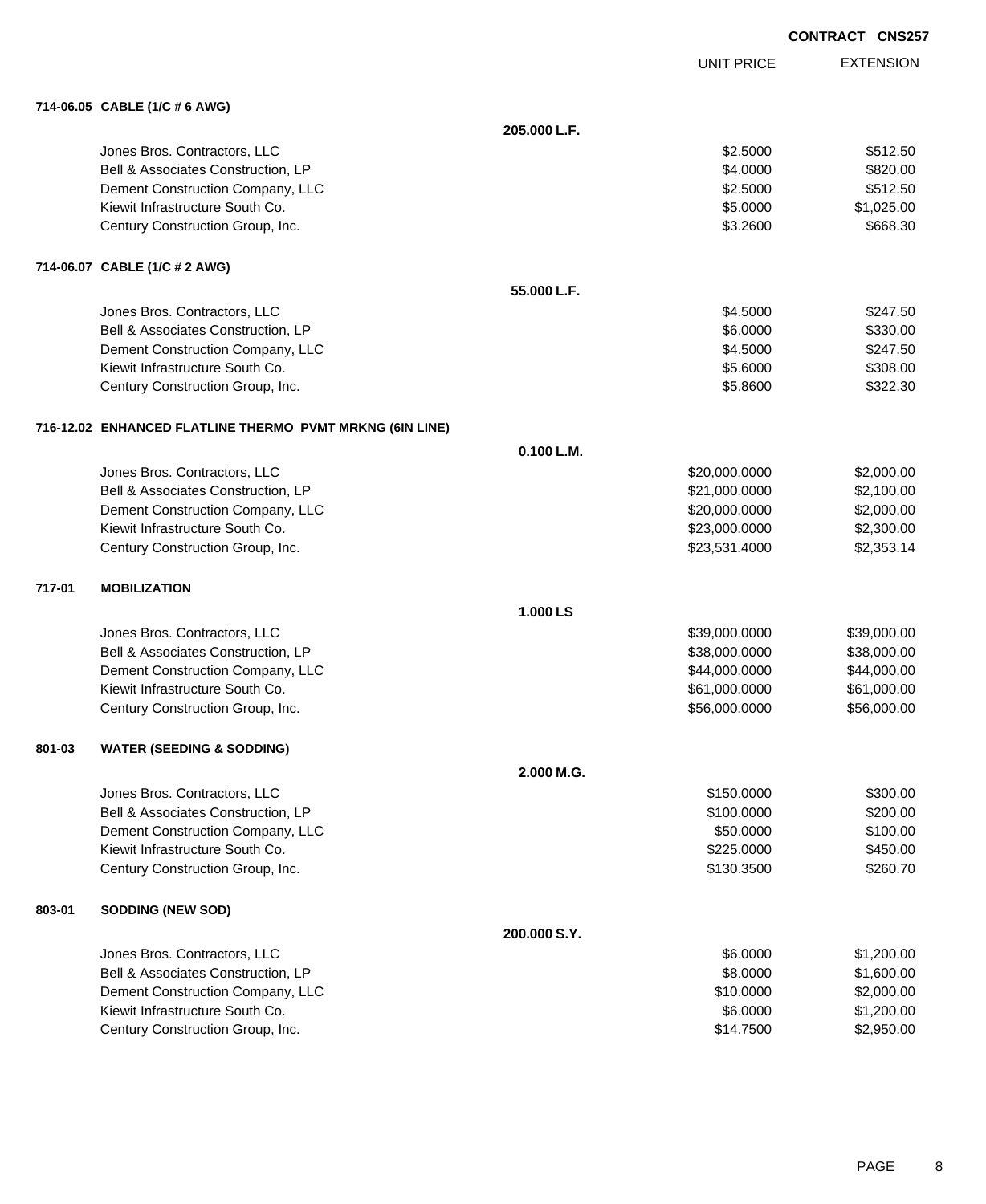|        |                                                          |              |                   | <b>CONTRACT CNS257</b> |
|--------|----------------------------------------------------------|--------------|-------------------|------------------------|
|        |                                                          |              | <b>UNIT PRICE</b> | <b>EXTENSION</b>       |
|        | 714-06.05 CABLE (1/C # 6 AWG)                            |              |                   |                        |
|        |                                                          | 205.000 L.F. |                   |                        |
|        | Jones Bros. Contractors, LLC                             |              | \$2.5000          | \$512.50               |
|        | Bell & Associates Construction, LP                       |              | \$4.0000          | \$820.00               |
|        | Dement Construction Company, LLC                         |              | \$2.5000          | \$512.50               |
|        | Kiewit Infrastructure South Co.                          |              | \$5.0000          | \$1,025.00             |
|        | Century Construction Group, Inc.                         |              | \$3.2600          | \$668.30               |
|        | 714-06.07 CABLE (1/C # 2 AWG)                            |              |                   |                        |
|        |                                                          | 55.000 L.F.  |                   |                        |
|        | Jones Bros. Contractors, LLC                             |              | \$4.5000          | \$247.50               |
|        | Bell & Associates Construction, LP                       |              | \$6.0000          | \$330.00               |
|        | Dement Construction Company, LLC                         |              | \$4.5000          | \$247.50               |
|        | Kiewit Infrastructure South Co.                          |              | \$5.6000          | \$308.00               |
|        | Century Construction Group, Inc.                         |              | \$5.8600          | \$322.30               |
|        | 716-12.02 ENHANCED FLATLINE THERMO PVMT MRKNG (6IN LINE) |              |                   |                        |
|        |                                                          | 0.100 L.M.   |                   |                        |
|        | Jones Bros. Contractors, LLC                             |              | \$20,000.0000     | \$2,000.00             |
|        | Bell & Associates Construction, LP                       |              | \$21,000.0000     | \$2,100.00             |
|        | Dement Construction Company, LLC                         |              | \$20,000.0000     | \$2,000.00             |
|        | Kiewit Infrastructure South Co.                          |              | \$23,000.0000     | \$2,300.00             |
|        | Century Construction Group, Inc.                         |              | \$23,531.4000     | \$2,353.14             |
| 717-01 | <b>MOBILIZATION</b>                                      |              |                   |                        |
|        |                                                          | 1.000 LS     |                   |                        |
|        | Jones Bros. Contractors, LLC                             |              | \$39,000.0000     | \$39,000.00            |
|        | Bell & Associates Construction, LP                       |              | \$38,000.0000     | \$38,000.00            |
|        | Dement Construction Company, LLC                         |              | \$44,000.0000     | \$44,000.00            |
|        | Kiewit Infrastructure South Co.                          |              | \$61,000.0000     | \$61,000.00            |
|        | Century Construction Group, Inc.                         |              | \$56,000.0000     | \$56,000.00            |
| 801-03 | <b>WATER (SEEDING &amp; SODDING)</b>                     |              |                   |                        |
|        |                                                          | 2.000 M.G.   |                   |                        |
|        | Jones Bros. Contractors, LLC                             |              | \$150.0000        | \$300.00               |
|        | Bell & Associates Construction, LP                       |              | \$100.0000        | \$200.00               |
|        | Dement Construction Company, LLC                         |              | \$50.0000         | \$100.00               |
|        | Kiewit Infrastructure South Co.                          |              | \$225.0000        | \$450.00               |
|        | Century Construction Group, Inc.                         |              | \$130.3500        | \$260.70               |
| 803-01 | <b>SODDING (NEW SOD)</b>                                 |              |                   |                        |
|        |                                                          | 200.000 S.Y. |                   |                        |
|        | Jones Bros. Contractors, LLC                             |              | \$6.0000          | \$1,200.00             |
|        | Bell & Associates Construction, LP                       |              | \$8.0000          | \$1,600.00             |
|        | Dement Construction Company, LLC                         |              | \$10.0000         | \$2,000.00             |
|        | Kiewit Infrastructure South Co.                          |              | \$6.0000          | \$1,200.00             |
|        | Century Construction Group, Inc.                         |              | \$14.7500         | \$2,950.00             |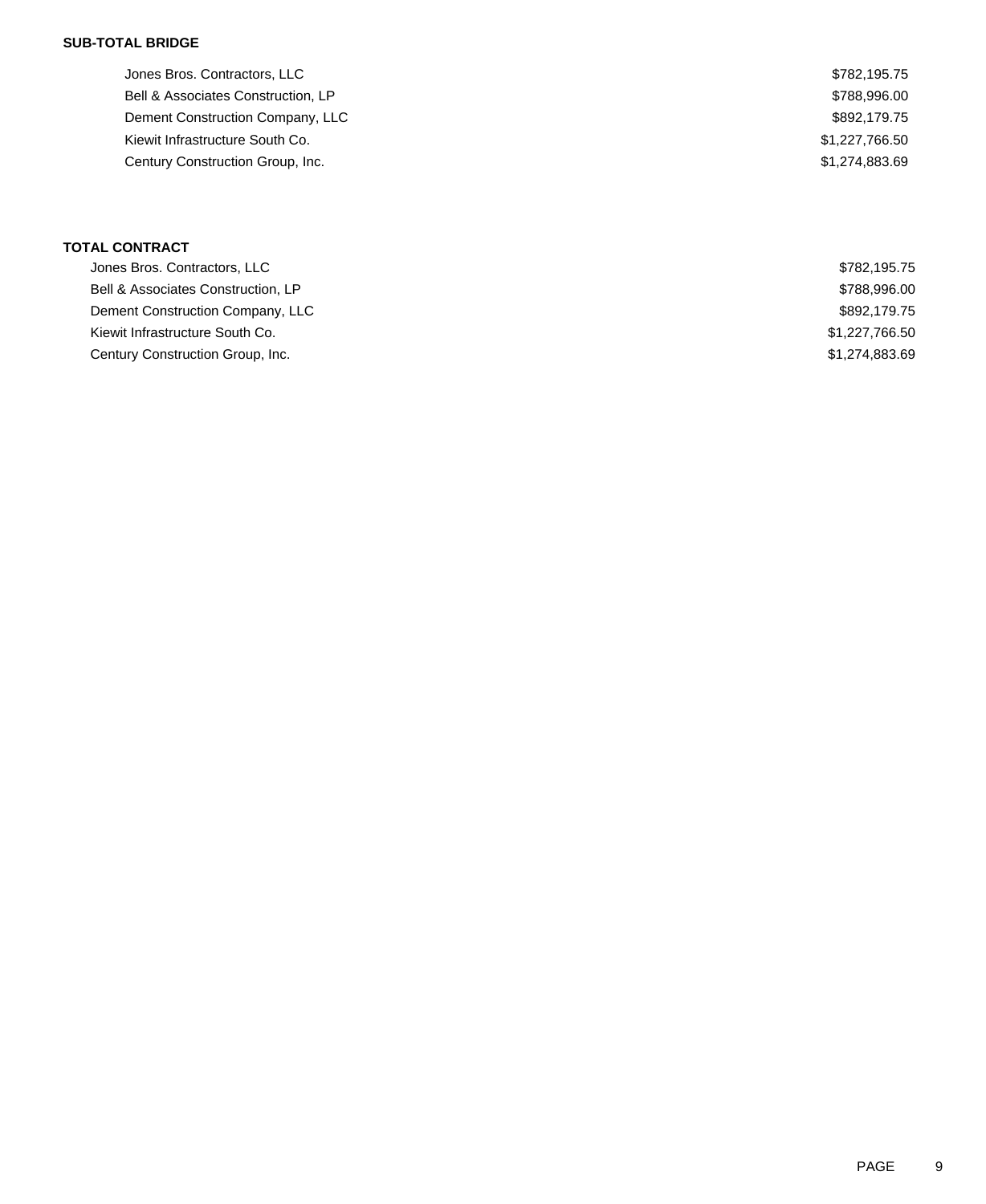### **SUB-TOTAL BRIDGE**

| Jones Bros. Contractors, LLC       | \$782,195.75   |
|------------------------------------|----------------|
| Bell & Associates Construction, LP | \$788,996.00   |
| Dement Construction Company, LLC   | \$892,179.75   |
| Kiewit Infrastructure South Co.    | \$1,227,766.50 |
| Century Construction Group, Inc.   | \$1,274,883.69 |
|                                    |                |

## **TOTAL CONTRACT**

| Jones Bros. Contractors, LLC       | \$782.195.75   |
|------------------------------------|----------------|
| Bell & Associates Construction, LP | \$788,996.00   |
| Dement Construction Company, LLC   | \$892,179.75   |
| Kiewit Infrastructure South Co.    | \$1,227,766.50 |
| Century Construction Group, Inc.   | \$1,274,883.69 |
|                                    |                |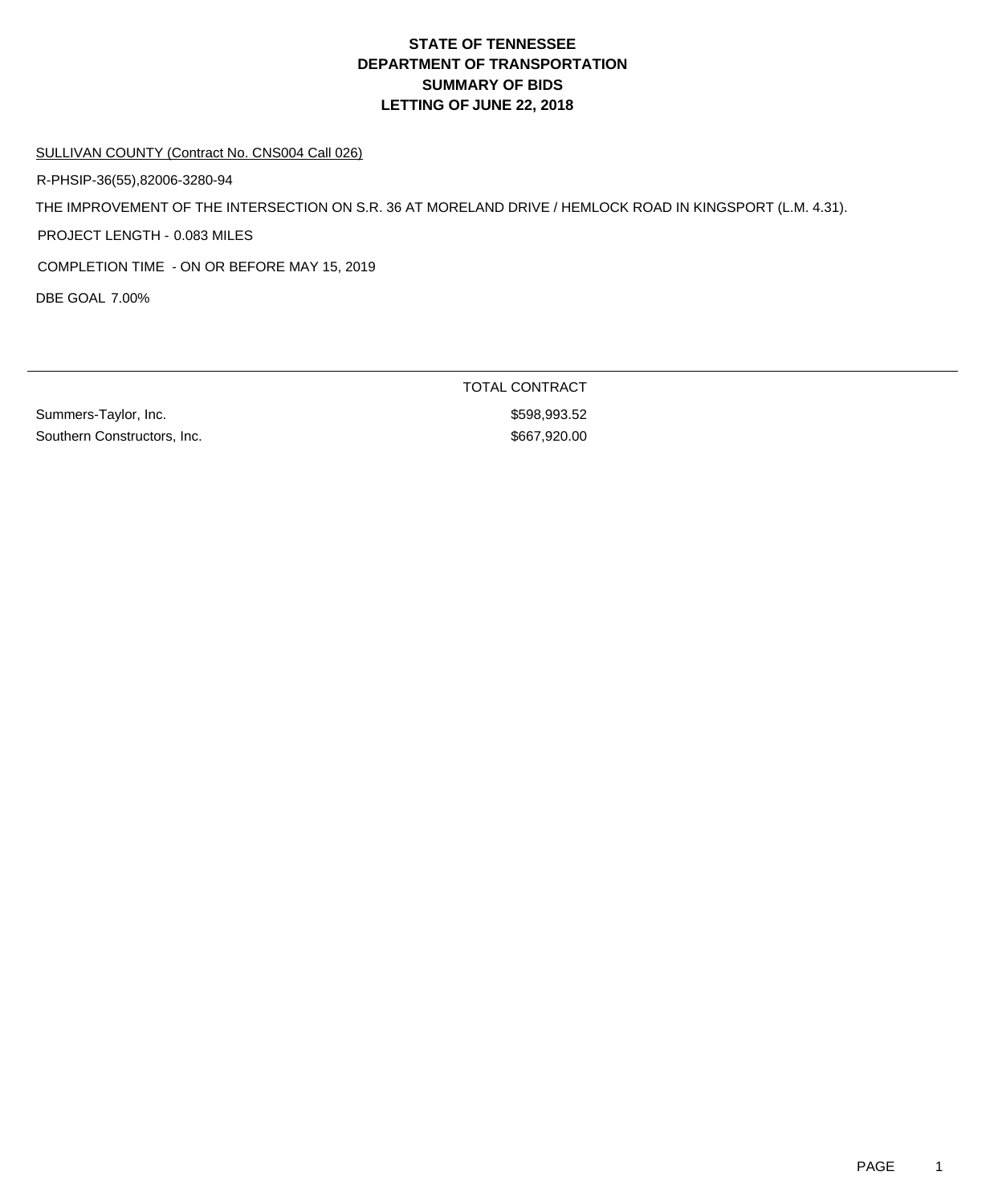# **DEPARTMENT OF TRANSPORTATION SUMMARY OF BIDS LETTING OF JUNE 22, 2018 STATE OF TENNESSEE**

### SULLIVAN COUNTY (Contract No. CNS004 Call 026)

R-PHSIP-36(55),82006-3280-94

THE IMPROVEMENT OF THE INTERSECTION ON S.R. 36 AT MORELAND DRIVE / HEMLOCK ROAD IN KINGSPORT (L.M. 4.31).

PROJECT LENGTH - 0.083 MILES

COMPLETION TIME - ON OR BEFORE MAY 15, 2019

DBE GOAL 7.00%

Summers-Taylor, Inc. 6. 2012 12:33 12:34 12:35 12:35 12:35 12:35 12:35 12:35 12:35 12:35 12:35 12:35 12:35 12:35 12:35 12:35 12:35 12:35 12:35 12:35 12:35 12:35 12:35 12:35 12:35 12:35 12:35 12:35 12:35 12:35 12:35 12:35 1 Southern Constructors, Inc. 6667,920.00

TOTAL CONTRACT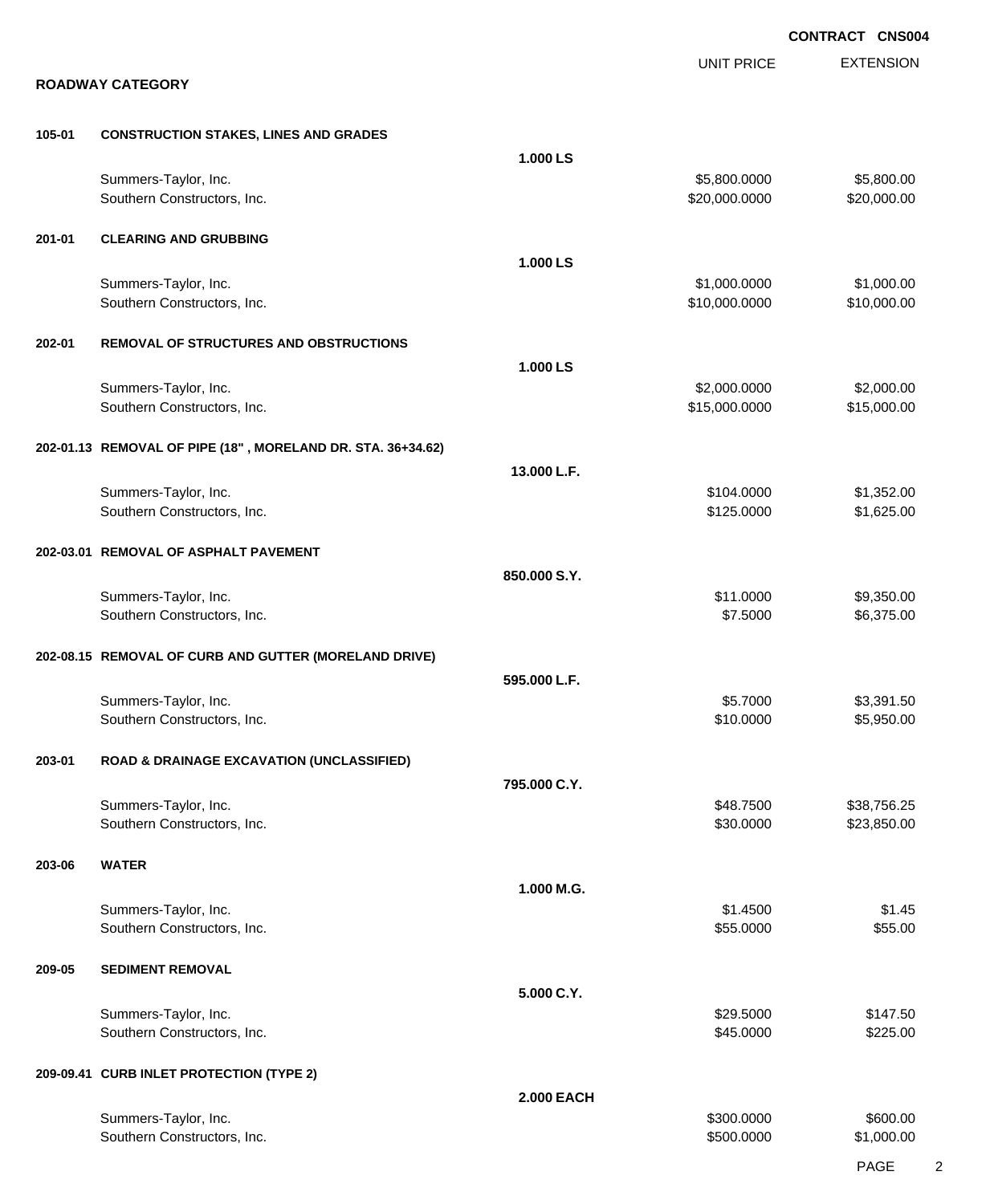|        |                                                             |                   |                               | <b>CONTRACT CNS004</b>    |
|--------|-------------------------------------------------------------|-------------------|-------------------------------|---------------------------|
|        | <b>ROADWAY CATEGORY</b>                                     |                   | <b>UNIT PRICE</b>             | <b>EXTENSION</b>          |
|        |                                                             |                   |                               |                           |
| 105-01 | <b>CONSTRUCTION STAKES, LINES AND GRADES</b>                |                   |                               |                           |
|        |                                                             | 1.000 LS          |                               |                           |
|        | Summers-Taylor, Inc.<br>Southern Constructors, Inc.         |                   | \$5,800.0000<br>\$20,000.0000 | \$5,800.00<br>\$20,000.00 |
|        |                                                             |                   |                               |                           |
| 201-01 | <b>CLEARING AND GRUBBING</b>                                |                   |                               |                           |
|        |                                                             | 1.000 LS          |                               |                           |
|        | Summers-Taylor, Inc.<br>Southern Constructors, Inc.         |                   | \$1,000.0000<br>\$10,000.0000 | \$1,000.00<br>\$10,000.00 |
|        |                                                             |                   |                               |                           |
| 202-01 | <b>REMOVAL OF STRUCTURES AND OBSTRUCTIONS</b>               |                   |                               |                           |
|        |                                                             | 1.000 LS          |                               |                           |
|        | Summers-Taylor, Inc.                                        |                   | \$2,000.0000                  | \$2,000.00                |
|        | Southern Constructors, Inc.                                 |                   | \$15,000.0000                 | \$15,000.00               |
|        | 202-01.13 REMOVAL OF PIPE (18", MORELAND DR. STA. 36+34.62) |                   |                               |                           |
|        |                                                             | 13.000 L.F.       |                               |                           |
|        | Summers-Taylor, Inc.                                        |                   | \$104.0000                    | \$1,352.00                |
|        | Southern Constructors, Inc.                                 |                   | \$125.0000                    | \$1,625.00                |
|        | 202-03.01 REMOVAL OF ASPHALT PAVEMENT                       |                   |                               |                           |
|        |                                                             | 850.000 S.Y.      |                               |                           |
|        | Summers-Taylor, Inc.                                        |                   | \$11.0000                     | \$9,350.00                |
|        | Southern Constructors, Inc.                                 |                   | \$7.5000                      | \$6,375.00                |
|        | 202-08.15 REMOVAL OF CURB AND GUTTER (MORELAND DRIVE)       |                   |                               |                           |
|        |                                                             | 595.000 L.F.      |                               |                           |
|        | Summers-Taylor, Inc.                                        |                   | \$5.7000                      | \$3,391.50                |
|        | Southern Constructors, Inc.                                 |                   | \$10.0000                     | \$5,950.00                |
| 203-01 | <b>ROAD &amp; DRAINAGE EXCAVATION (UNCLASSIFIED)</b>        |                   |                               |                           |
|        |                                                             | 795.000 C.Y.      |                               |                           |
|        | Summers-Taylor, Inc.                                        |                   | \$48.7500                     | \$38,756.25               |
|        | Southern Constructors, Inc.                                 |                   | \$30.0000                     | \$23,850.00               |
| 203-06 | <b>WATER</b>                                                |                   |                               |                           |
|        |                                                             | 1.000 M.G.        |                               |                           |
|        | Summers-Taylor, Inc.                                        |                   | \$1.4500                      | \$1.45                    |
|        | Southern Constructors, Inc.                                 |                   | \$55.0000                     | \$55.00                   |
| 209-05 | <b>SEDIMENT REMOVAL</b>                                     |                   |                               |                           |
|        |                                                             | 5.000 C.Y.        |                               |                           |
|        | Summers-Taylor, Inc.                                        |                   | \$29.5000                     | \$147.50                  |
|        | Southern Constructors, Inc.                                 |                   | \$45.0000                     | \$225.00                  |
|        | 209-09.41 CURB INLET PROTECTION (TYPE 2)                    |                   |                               |                           |
|        |                                                             | <b>2.000 EACH</b> |                               |                           |
|        | Summers-Taylor, Inc.                                        |                   | \$300.0000                    | \$600.00                  |
|        | Southern Constructors, Inc.                                 |                   | \$500.0000                    | \$1,000.00                |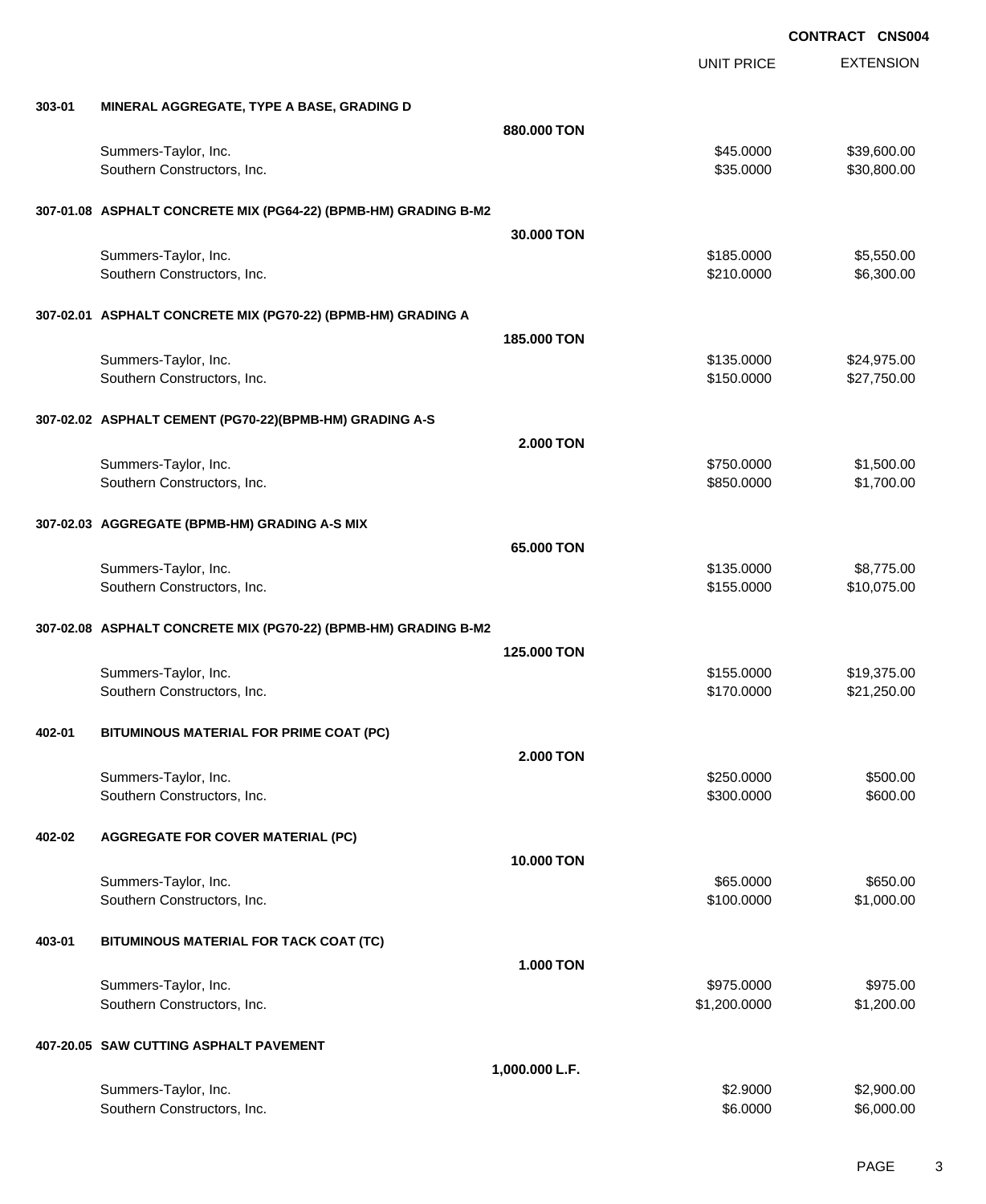|        |                                                                 | <b>UNIT PRICE</b> | <b>EXTENSION</b> |
|--------|-----------------------------------------------------------------|-------------------|------------------|
| 303-01 | MINERAL AGGREGATE, TYPE A BASE, GRADING D                       |                   |                  |
|        | 880.000 TON                                                     |                   |                  |
|        | Summers-Taylor, Inc.                                            | \$45.0000         | \$39,600.00      |
|        | Southern Constructors, Inc.                                     | \$35.0000         | \$30,800.00      |
|        | 307-01.08 ASPHALT CONCRETE MIX (PG64-22) (BPMB-HM) GRADING B-M2 |                   |                  |
|        | 30,000 TON                                                      |                   |                  |
|        | Summers-Taylor, Inc.                                            | \$185.0000        | \$5,550.00       |
|        | Southern Constructors, Inc.                                     | \$210.0000        | \$6,300.00       |
|        | 307-02.01 ASPHALT CONCRETE MIX (PG70-22) (BPMB-HM) GRADING A    |                   |                  |
|        | 185.000 TON                                                     |                   |                  |
|        | Summers-Taylor, Inc.                                            | \$135.0000        | \$24,975.00      |
|        | Southern Constructors, Inc.                                     | \$150.0000        | \$27,750.00      |
|        | 307-02.02 ASPHALT CEMENT (PG70-22)(BPMB-HM) GRADING A-S         |                   |                  |
|        | <b>2.000 TON</b>                                                |                   |                  |
|        | Summers-Taylor, Inc.                                            | \$750.0000        | \$1,500.00       |
|        | Southern Constructors, Inc.                                     | \$850.0000        | \$1,700.00       |
|        | 307-02.03 AGGREGATE (BPMB-HM) GRADING A-S MIX                   |                   |                  |
|        | 65.000 TON                                                      |                   |                  |
|        | Summers-Taylor, Inc.                                            | \$135.0000        | \$8,775.00       |
|        | Southern Constructors, Inc.                                     | \$155.0000        | \$10,075.00      |
|        | 307-02.08 ASPHALT CONCRETE MIX (PG70-22) (BPMB-HM) GRADING B-M2 |                   |                  |
|        | 125,000 TON                                                     |                   |                  |
|        | Summers-Taylor, Inc.                                            | \$155.0000        | \$19,375.00      |
|        | Southern Constructors, Inc.                                     | \$170.0000        | \$21,250.00      |
| 402-01 | BITUMINOUS MATERIAL FOR PRIME COAT (PC)                         |                   |                  |
|        | <b>2.000 TON</b>                                                |                   |                  |
|        | Summers-Taylor, Inc.                                            | \$250.0000        | \$500.00         |
|        | Southern Constructors, Inc.                                     | \$300.0000        | \$600.00         |
| 402-02 | <b>AGGREGATE FOR COVER MATERIAL (PC)</b>                        |                   |                  |
|        | <b>10.000 TON</b>                                               |                   |                  |
|        | Summers-Taylor, Inc.                                            | \$65.0000         | \$650.00         |
|        | Southern Constructors, Inc.                                     | \$100.0000        | \$1,000.00       |
| 403-01 | BITUMINOUS MATERIAL FOR TACK COAT (TC)                          |                   |                  |
|        | <b>1.000 TON</b>                                                |                   |                  |
|        | Summers-Taylor, Inc.                                            | \$975.0000        | \$975.00         |
|        | Southern Constructors, Inc.                                     | \$1,200.0000      | \$1,200.00       |
|        | 407-20.05 SAW CUTTING ASPHALT PAVEMENT                          |                   |                  |
|        | 1,000.000 L.F.                                                  |                   |                  |
|        | Summers-Taylor, Inc.                                            | \$2.9000          | \$2,900.00       |
|        | Southern Constructors, Inc.                                     | \$6.0000          | \$6,000.00       |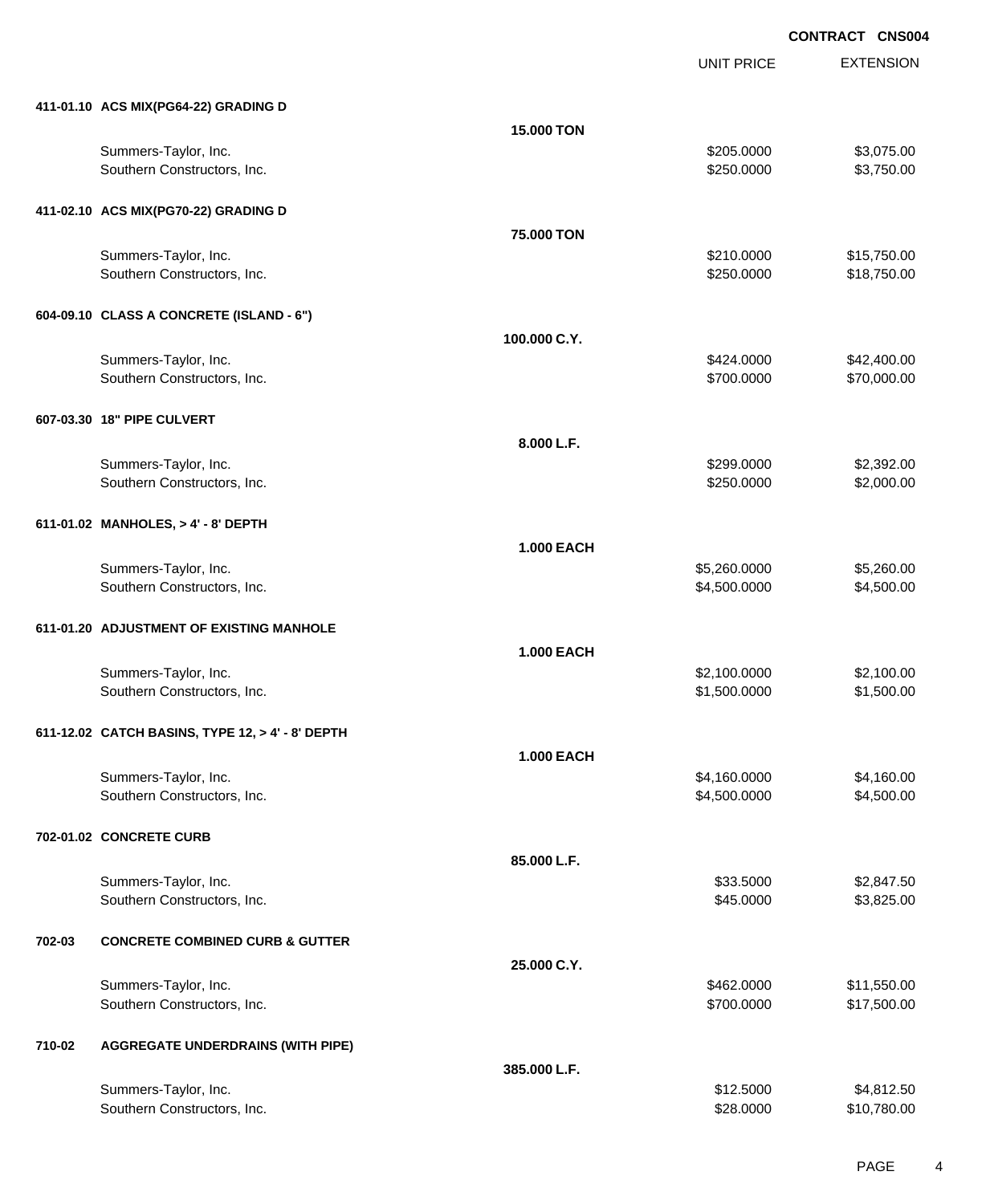UNIT PRICE EXTENSION

|        | 411-01.10 ACS MIX(PG64-22) GRADING D                |                   |                              |                          |
|--------|-----------------------------------------------------|-------------------|------------------------------|--------------------------|
|        |                                                     | 15.000 TON        |                              |                          |
|        | Summers-Taylor, Inc.                                |                   | \$205.0000                   | \$3,075.00               |
|        | Southern Constructors, Inc.                         |                   | \$250.0000                   | \$3,750.00               |
|        |                                                     |                   |                              |                          |
|        | 411-02.10 ACS MIX(PG70-22) GRADING D                |                   |                              |                          |
|        | Summers-Taylor, Inc.                                | 75.000 TON        | \$210.0000                   | \$15,750.00              |
|        | Southern Constructors, Inc.                         |                   | \$250.0000                   | \$18,750.00              |
|        |                                                     |                   |                              |                          |
|        | 604-09.10 CLASS A CONCRETE (ISLAND - 6")            |                   |                              |                          |
|        |                                                     | 100.000 C.Y.      |                              |                          |
|        | Summers-Taylor, Inc.                                |                   | \$424.0000                   | \$42,400.00              |
|        | Southern Constructors, Inc.                         |                   | \$700.0000                   | \$70,000.00              |
|        |                                                     |                   |                              |                          |
|        | 607-03.30 18" PIPE CULVERT                          |                   |                              |                          |
|        |                                                     | 8.000 L.F.        |                              |                          |
|        | Summers-Taylor, Inc.<br>Southern Constructors, Inc. |                   | \$299.0000<br>\$250.0000     | \$2,392.00<br>\$2,000.00 |
|        |                                                     |                   |                              |                          |
|        | 611-01.02 MANHOLES, > 4' - 8' DEPTH                 |                   |                              |                          |
|        |                                                     | <b>1.000 EACH</b> |                              |                          |
|        | Summers-Taylor, Inc.                                |                   | \$5,260.0000                 | \$5,260.00               |
|        | Southern Constructors, Inc.                         |                   | \$4,500.0000                 | \$4,500.00               |
|        |                                                     |                   |                              |                          |
|        | 611-01.20 ADJUSTMENT OF EXISTING MANHOLE            |                   |                              |                          |
|        |                                                     | <b>1.000 EACH</b> |                              |                          |
|        | Summers-Taylor, Inc.                                |                   | \$2,100.0000                 | \$2,100.00               |
|        | Southern Constructors, Inc.                         |                   | \$1,500.0000                 | \$1,500.00               |
|        |                                                     |                   |                              |                          |
|        | 611-12.02 CATCH BASINS, TYPE 12, > 4' - 8' DEPTH    |                   |                              |                          |
|        |                                                     | <b>1.000 EACH</b> |                              |                          |
|        | Summers-Taylor, Inc.<br>Southern Constructors, Inc. |                   | \$4,160.0000<br>\$4,500.0000 | \$4,160.00<br>\$4,500.00 |
|        |                                                     |                   |                              |                          |
|        | 702-01.02 CONCRETE CURB                             |                   |                              |                          |
|        |                                                     | 85.000 L.F.       |                              |                          |
|        | Summers-Taylor, Inc.                                |                   | \$33.5000                    | \$2,847.50               |
|        | Southern Constructors, Inc.                         |                   | \$45.0000                    | \$3,825.00               |
|        |                                                     |                   |                              |                          |
| 702-03 | <b>CONCRETE COMBINED CURB &amp; GUTTER</b>          |                   |                              |                          |
|        |                                                     | 25.000 C.Y.       |                              |                          |
|        | Summers-Taylor, Inc.                                |                   | \$462.0000                   | \$11,550.00              |
|        | Southern Constructors, Inc.                         |                   | \$700.0000                   | \$17,500.00              |
| 710-02 | <b>AGGREGATE UNDERDRAINS (WITH PIPE)</b>            |                   |                              |                          |
|        |                                                     | 385.000 L.F.      |                              |                          |
|        | Summers-Taylor, Inc.                                |                   | \$12.5000                    | \$4,812.50               |
|        | Southern Constructors, Inc.                         |                   | \$28.0000                    | \$10,780.00              |
|        |                                                     |                   |                              |                          |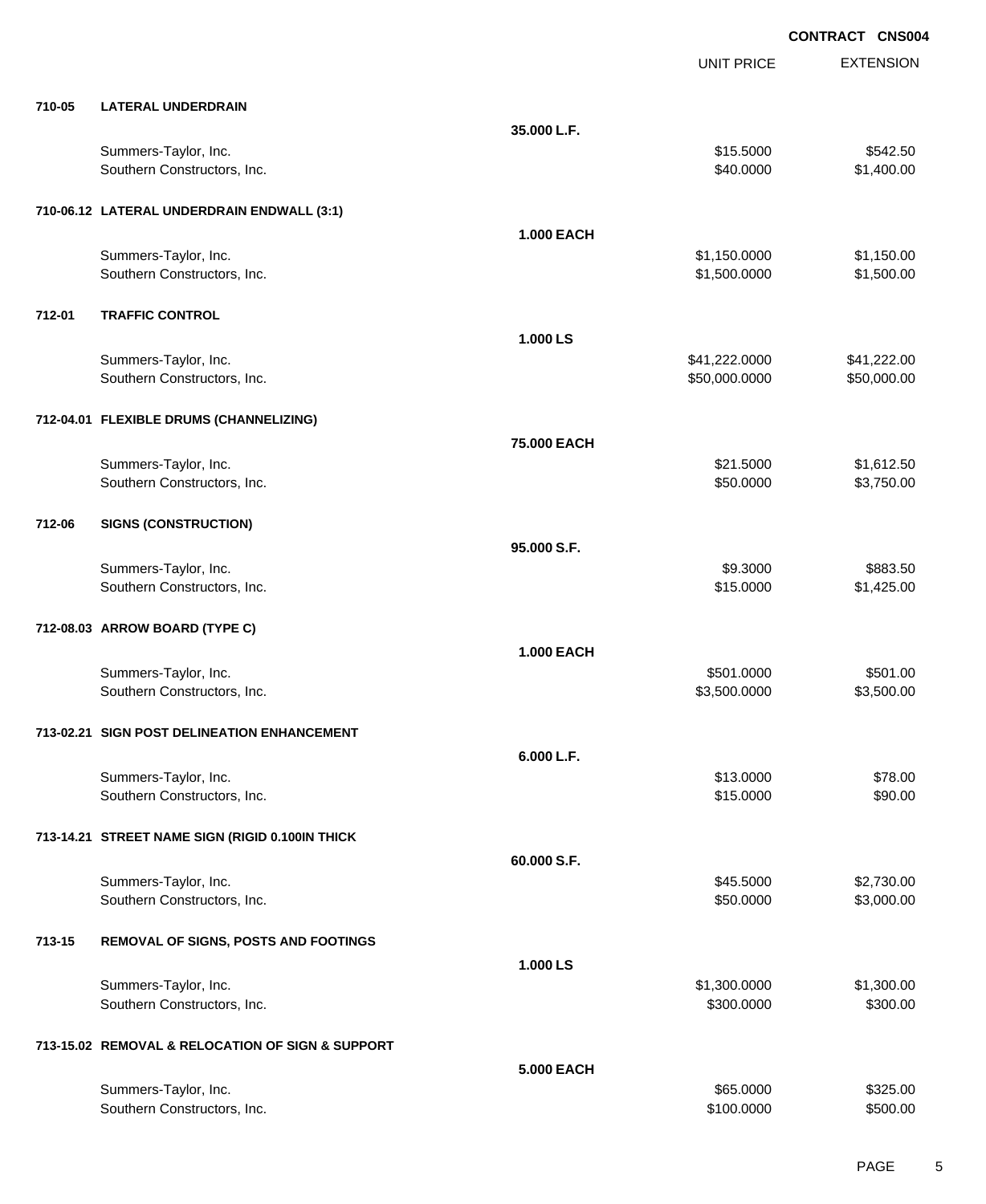|        |                                                  |                   | <b>UNIT PRICE</b> | <b>EXTENSION</b> |
|--------|--------------------------------------------------|-------------------|-------------------|------------------|
| 710-05 | <b>LATERAL UNDERDRAIN</b>                        |                   |                   |                  |
|        |                                                  | 35.000 L.F.       |                   |                  |
|        | Summers-Taylor, Inc.                             |                   | \$15.5000         | \$542.50         |
|        | Southern Constructors, Inc.                      |                   | \$40.0000         | \$1,400.00       |
|        | 710-06.12 LATERAL UNDERDRAIN ENDWALL (3:1)       |                   |                   |                  |
|        |                                                  | <b>1.000 EACH</b> |                   |                  |
|        | Summers-Taylor, Inc.                             |                   | \$1,150.0000      | \$1,150.00       |
|        | Southern Constructors, Inc.                      |                   | \$1,500.0000      | \$1,500.00       |
| 712-01 | <b>TRAFFIC CONTROL</b>                           |                   |                   |                  |
|        |                                                  | 1.000 LS          |                   |                  |
|        | Summers-Taylor, Inc.                             |                   | \$41,222.0000     | \$41,222.00      |
|        | Southern Constructors, Inc.                      |                   | \$50,000.0000     | \$50,000.00      |
|        | 712-04.01 FLEXIBLE DRUMS (CHANNELIZING)          |                   |                   |                  |
|        |                                                  | 75.000 EACH       |                   |                  |
|        | Summers-Taylor, Inc.                             |                   | \$21.5000         | \$1,612.50       |
|        | Southern Constructors, Inc.                      |                   | \$50.0000         | \$3,750.00       |
| 712-06 | <b>SIGNS (CONSTRUCTION)</b>                      |                   |                   |                  |
|        |                                                  | 95.000 S.F.       |                   |                  |
|        | Summers-Taylor, Inc.                             |                   | \$9.3000          | \$883.50         |
|        | Southern Constructors, Inc.                      |                   | \$15.0000         | \$1,425.00       |
|        | 712-08.03 ARROW BOARD (TYPE C)                   |                   |                   |                  |
|        |                                                  | <b>1.000 EACH</b> |                   |                  |
|        | Summers-Taylor, Inc.                             |                   | \$501.0000        | \$501.00         |
|        | Southern Constructors, Inc.                      |                   | \$3,500.0000      | \$3,500.00       |
|        | 713-02.21 SIGN POST DELINEATION ENHANCEMENT      |                   |                   |                  |
|        |                                                  | 6.000 L.F.        |                   |                  |
|        | Summers-Taylor, Inc.                             |                   | \$13.0000         | \$78.00          |
|        | Southern Constructors, Inc.                      |                   | \$15.0000         | \$90.00          |
|        | 713-14.21 STREET NAME SIGN (RIGID 0.100IN THICK  |                   |                   |                  |
|        |                                                  | 60.000 S.F.       |                   |                  |
|        | Summers-Taylor, Inc.                             |                   | \$45.5000         | \$2,730.00       |
|        | Southern Constructors, Inc.                      |                   | \$50.0000         | \$3,000.00       |
| 713-15 | REMOVAL OF SIGNS, POSTS AND FOOTINGS             |                   |                   |                  |
|        |                                                  | 1.000 LS          |                   |                  |
|        | Summers-Taylor, Inc.                             |                   | \$1,300.0000      | \$1,300.00       |
|        | Southern Constructors, Inc.                      |                   | \$300.0000        | \$300.00         |
|        | 713-15.02 REMOVAL & RELOCATION OF SIGN & SUPPORT |                   |                   |                  |
|        |                                                  | 5.000 EACH        |                   |                  |
|        | Summers-Taylor, Inc.                             |                   | \$65.0000         | \$325.00         |
|        | Southern Constructors, Inc.                      |                   | \$100.0000        | \$500.00         |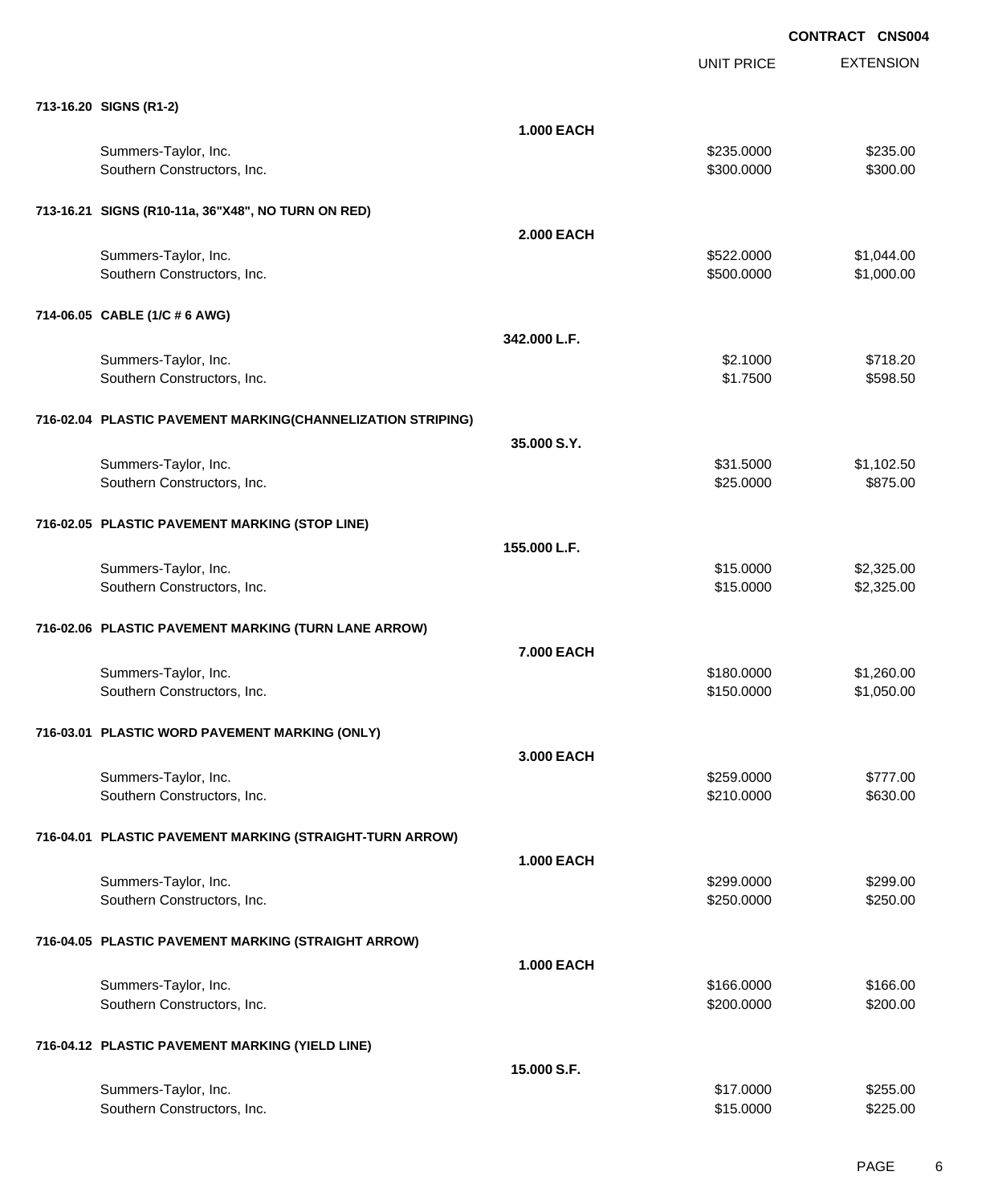|                                                             |                   | <b>UNIT PRICE</b> | <b>EXTENSION</b> |
|-------------------------------------------------------------|-------------------|-------------------|------------------|
| 713-16.20 SIGNS (R1-2)                                      |                   |                   |                  |
|                                                             | <b>1.000 EACH</b> |                   |                  |
| Summers-Taylor, Inc.                                        |                   | \$235.0000        | \$235.00         |
| Southern Constructors, Inc.                                 |                   | \$300.0000        | \$300.00         |
| 713-16.21 SIGNS (R10-11a, 36"X48", NO TURN ON RED)          |                   |                   |                  |
|                                                             | <b>2.000 EACH</b> |                   |                  |
| Summers-Taylor, Inc.                                        |                   | \$522.0000        | \$1,044.00       |
| Southern Constructors, Inc.                                 |                   | \$500.0000        | \$1,000.00       |
| 714-06.05 CABLE (1/C # 6 AWG)                               |                   |                   |                  |
|                                                             | 342.000 L.F.      |                   |                  |
| Summers-Taylor, Inc.                                        |                   | \$2.1000          | \$718.20         |
| Southern Constructors, Inc.                                 |                   | \$1.7500          | \$598.50         |
| 716-02.04 PLASTIC PAVEMENT MARKING(CHANNELIZATION STRIPING) |                   |                   |                  |
|                                                             | 35,000 S.Y.       |                   |                  |
| Summers-Taylor, Inc.                                        |                   | \$31.5000         | \$1,102.50       |
| Southern Constructors, Inc.                                 |                   | \$25.0000         | \$875.00         |
| 716-02.05 PLASTIC PAVEMENT MARKING (STOP LINE)              |                   |                   |                  |
|                                                             | 155,000 L.F.      |                   |                  |
| Summers-Taylor, Inc.                                        |                   | \$15.0000         | \$2,325.00       |
| Southern Constructors, Inc.                                 |                   | \$15.0000         | \$2,325.00       |
| 716-02.06 PLASTIC PAVEMENT MARKING (TURN LANE ARROW)        |                   |                   |                  |
|                                                             | 7.000 EACH        |                   |                  |
| Summers-Taylor, Inc.                                        |                   | \$180.0000        | \$1,260.00       |
| Southern Constructors, Inc.                                 |                   | \$150.0000        | \$1,050.00       |
| 716-03.01 PLASTIC WORD PAVEMENT MARKING (ONLY)              |                   |                   |                  |
|                                                             | 3.000 EACH        |                   |                  |
| Summers-Taylor, Inc.                                        |                   | \$259.0000        | \$777.00         |
| Southern Constructors, Inc.                                 |                   | \$210.0000        | \$630.00         |
| 716-04.01 PLASTIC PAVEMENT MARKING (STRAIGHT-TURN ARROW)    |                   |                   |                  |
|                                                             | <b>1.000 EACH</b> |                   |                  |
| Summers-Taylor, Inc.                                        |                   | \$299.0000        | \$299.00         |
| Southern Constructors, Inc.                                 |                   | \$250.0000        | \$250.00         |
| 716-04.05 PLASTIC PAVEMENT MARKING (STRAIGHT ARROW)         |                   |                   |                  |
|                                                             | <b>1.000 EACH</b> |                   |                  |
| Summers-Taylor, Inc.                                        |                   | \$166.0000        | \$166.00         |
| Southern Constructors, Inc.                                 |                   | \$200.0000        | \$200.00         |
| 716-04.12 PLASTIC PAVEMENT MARKING (YIELD LINE)             |                   |                   |                  |
|                                                             | 15.000 S.F.       |                   |                  |
| Summers-Taylor, Inc.                                        |                   | \$17.0000         | \$255.00         |
| Southern Constructors, Inc.                                 |                   | \$15.0000         | \$225.00         |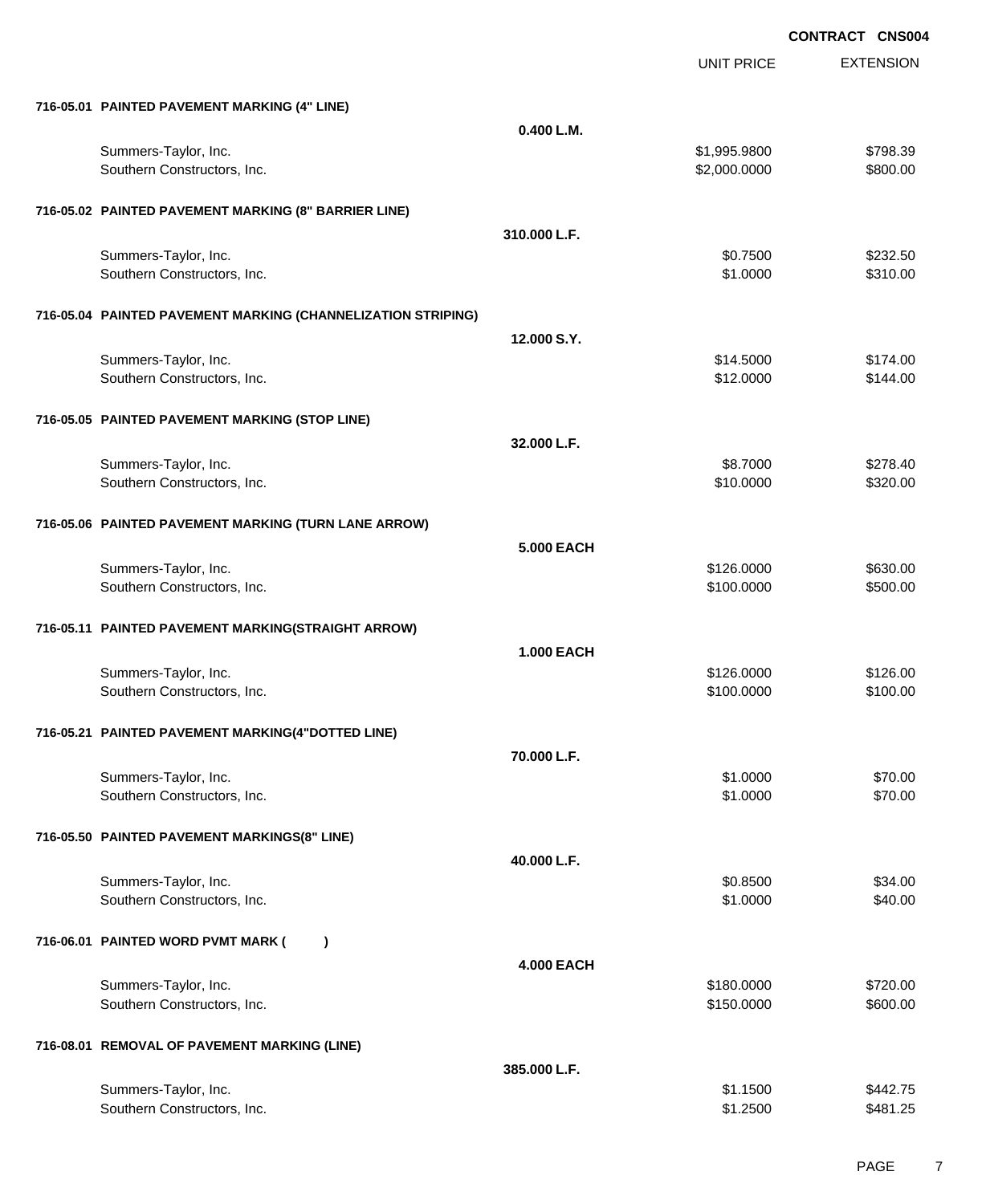|                                                              |                   | <b>UNIT PRICE</b> | <b>EXTENSION</b> |
|--------------------------------------------------------------|-------------------|-------------------|------------------|
| 716-05.01 PAINTED PAVEMENT MARKING (4" LINE)                 |                   |                   |                  |
|                                                              | 0.400 L.M.        |                   |                  |
| Summers-Taylor, Inc.                                         |                   | \$1,995.9800      | \$798.39         |
| Southern Constructors, Inc.                                  |                   | \$2,000.0000      | \$800.00         |
| 716-05.02 PAINTED PAVEMENT MARKING (8" BARRIER LINE)         |                   |                   |                  |
|                                                              | 310.000 L.F.      |                   |                  |
| Summers-Taylor, Inc.                                         |                   | \$0.7500          | \$232.50         |
| Southern Constructors, Inc.                                  |                   | \$1.0000          | \$310.00         |
| 716-05.04 PAINTED PAVEMENT MARKING (CHANNELIZATION STRIPING) |                   |                   |                  |
|                                                              | 12.000 S.Y.       |                   |                  |
| Summers-Taylor, Inc.                                         |                   | \$14.5000         | \$174.00         |
| Southern Constructors, Inc.                                  |                   | \$12.0000         | \$144.00         |
| 716-05.05 PAINTED PAVEMENT MARKING (STOP LINE)               |                   |                   |                  |
|                                                              | 32.000 L.F.       |                   |                  |
| Summers-Taylor, Inc.                                         |                   | \$8.7000          | \$278.40         |
| Southern Constructors, Inc.                                  |                   | \$10.0000         | \$320.00         |
| 716-05.06 PAINTED PAVEMENT MARKING (TURN LANE ARROW)         |                   |                   |                  |
|                                                              | <b>5.000 EACH</b> |                   |                  |
| Summers-Taylor, Inc.                                         |                   | \$126.0000        | \$630.00         |
| Southern Constructors, Inc.                                  |                   | \$100.0000        | \$500.00         |
| 716-05.11 PAINTED PAVEMENT MARKING(STRAIGHT ARROW)           |                   |                   |                  |
|                                                              | <b>1.000 EACH</b> |                   |                  |
| Summers-Taylor, Inc.                                         |                   | \$126.0000        | \$126.00         |
| Southern Constructors, Inc.                                  |                   | \$100.0000        | \$100.00         |
| 716-05.21 PAINTED PAVEMENT MARKING(4"DOTTED LINE)            |                   |                   |                  |
|                                                              | 70.000 L.F.       |                   |                  |
| Summers-Taylor, Inc.                                         |                   | \$1.0000          | \$70.00          |
| Southern Constructors, Inc.                                  |                   | \$1.0000          | \$70.00          |
| 716-05.50 PAINTED PAVEMENT MARKINGS(8" LINE)                 |                   |                   |                  |
|                                                              | 40.000 L.F.       |                   |                  |
| Summers-Taylor, Inc.                                         |                   | \$0.8500          | \$34.00          |
| Southern Constructors, Inc.                                  |                   | \$1.0000          | \$40.00          |
| 716-06.01 PAINTED WORD PVMT MARK (<br>$\lambda$              |                   |                   |                  |
|                                                              | <b>4.000 EACH</b> |                   |                  |
| Summers-Taylor, Inc.                                         |                   | \$180.0000        | \$720.00         |
| Southern Constructors, Inc.                                  |                   | \$150.0000        | \$600.00         |
| 716-08.01 REMOVAL OF PAVEMENT MARKING (LINE)                 |                   |                   |                  |
|                                                              | 385.000 L.F.      |                   |                  |
| Summers-Taylor, Inc.                                         |                   | \$1.1500          | \$442.75         |
| Southern Constructors, Inc.                                  |                   | \$1.2500          | \$481.25         |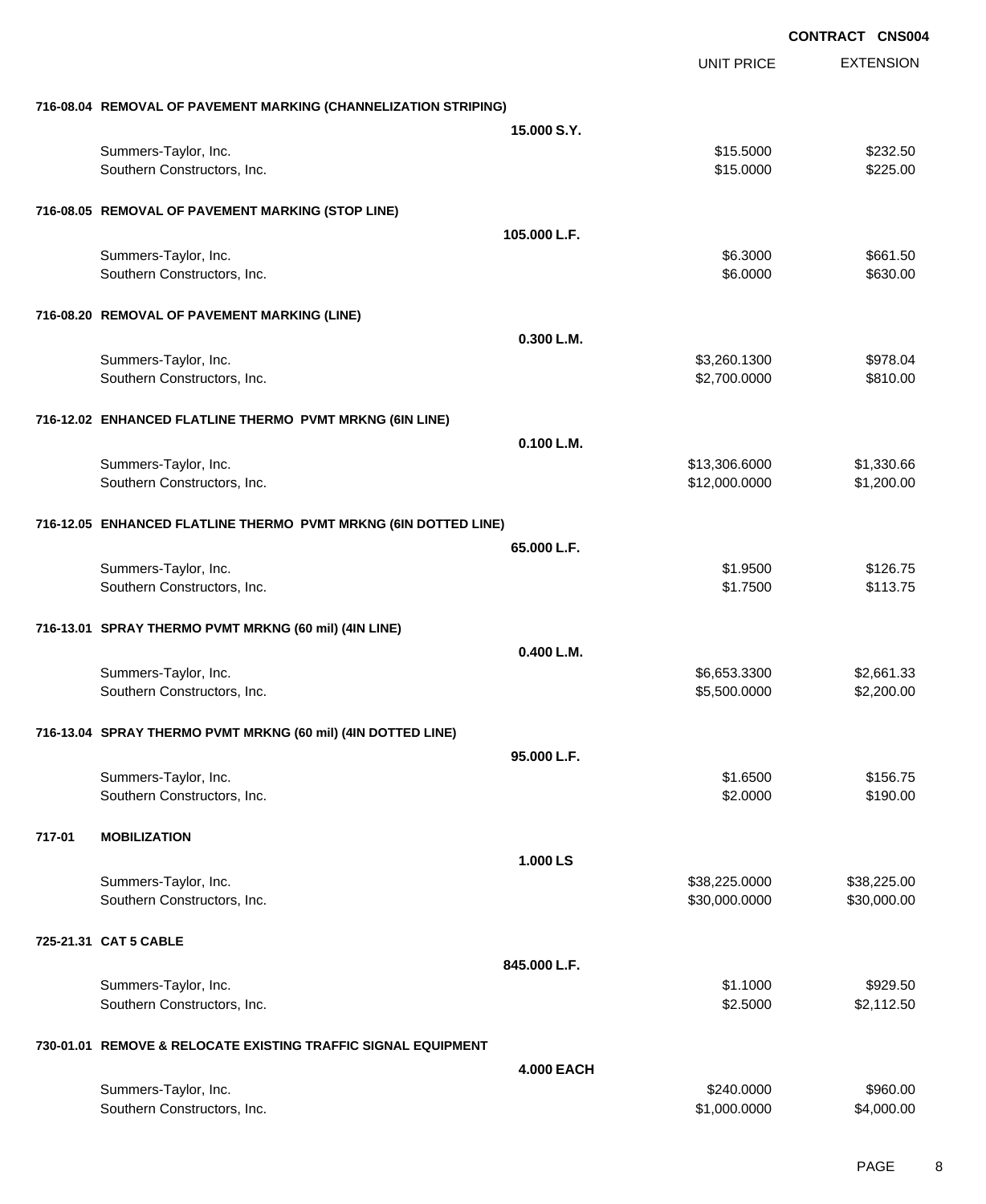|        |                                                                 |                   |                   | <b>CONTRACT CNS004</b> |
|--------|-----------------------------------------------------------------|-------------------|-------------------|------------------------|
|        |                                                                 |                   | <b>UNIT PRICE</b> | <b>EXTENSION</b>       |
|        | 716-08.04 REMOVAL OF PAVEMENT MARKING (CHANNELIZATION STRIPING) |                   |                   |                        |
|        |                                                                 | 15,000 S.Y.       |                   |                        |
|        | Summers-Taylor, Inc.                                            |                   | \$15.5000         | \$232.50               |
|        | Southern Constructors, Inc.                                     |                   | \$15.0000         | \$225.00               |
|        | 716-08.05 REMOVAL OF PAVEMENT MARKING (STOP LINE)               |                   |                   |                        |
|        |                                                                 | 105,000 L.F.      |                   |                        |
|        | Summers-Taylor, Inc.                                            |                   | \$6.3000          | \$661.50               |
|        | Southern Constructors, Inc.                                     |                   | \$6.0000          | \$630.00               |
|        | 716-08.20 REMOVAL OF PAVEMENT MARKING (LINE)                    |                   |                   |                        |
|        |                                                                 | 0.300 L.M.        |                   |                        |
|        | Summers-Taylor, Inc.                                            |                   | \$3,260.1300      | \$978.04               |
|        | Southern Constructors, Inc.                                     |                   | \$2,700.0000      | \$810.00               |
|        | 716-12.02 ENHANCED FLATLINE THERMO PVMT MRKNG (6IN LINE)        |                   |                   |                        |
|        |                                                                 | 0.100 L.M.        |                   |                        |
|        | Summers-Taylor, Inc.                                            |                   | \$13,306.6000     | \$1,330.66             |
|        | Southern Constructors, Inc.                                     |                   | \$12,000.0000     | \$1,200.00             |
|        | 716-12.05 ENHANCED FLATLINE THERMO PVMT MRKNG (6IN DOTTED LINE) |                   |                   |                        |
|        |                                                                 | 65.000 L.F.       |                   |                        |
|        | Summers-Taylor, Inc.                                            |                   | \$1.9500          | \$126.75               |
|        | Southern Constructors, Inc.                                     |                   | \$1.7500          | \$113.75               |
|        | 716-13.01 SPRAY THERMO PVMT MRKNG (60 mil) (4IN LINE)           |                   |                   |                        |
|        |                                                                 | 0.400 L.M.        |                   |                        |
|        | Summers-Taylor, Inc.                                            |                   | \$6,653.3300      | \$2,661.33             |
|        | Southern Constructors, Inc.                                     |                   | \$5,500.0000      | \$2,200.00             |
|        | 716-13.04 SPRAY THERMO PVMT MRKNG (60 mil) (4IN DOTTED LINE)    |                   |                   |                        |
|        |                                                                 | 95.000 L.F.       |                   |                        |
|        | Summers-Taylor, Inc.                                            |                   | \$1.6500          | \$156.75               |
|        | Southern Constructors, Inc.                                     |                   | \$2.0000          | \$190.00               |
| 717-01 | <b>MOBILIZATION</b>                                             |                   |                   |                        |
|        |                                                                 | 1.000 LS          |                   |                        |
|        | Summers-Taylor, Inc.                                            |                   | \$38,225.0000     | \$38,225.00            |
|        | Southern Constructors, Inc.                                     |                   | \$30,000.0000     | \$30,000.00            |
|        | 725-21.31 CAT 5 CABLE                                           |                   |                   |                        |
|        |                                                                 | 845.000 L.F.      |                   |                        |
|        | Summers-Taylor, Inc.                                            |                   | \$1.1000          | \$929.50               |
|        | Southern Constructors, Inc.                                     |                   | \$2.5000          | \$2,112.50             |
|        | 730-01.01 REMOVE & RELOCATE EXISTING TRAFFIC SIGNAL EQUIPMENT   |                   |                   |                        |
|        |                                                                 | <b>4.000 EACH</b> |                   |                        |
|        | Summers-Taylor, Inc.                                            |                   | \$240.0000        | \$960.00               |
|        | Southern Constructors, Inc.                                     |                   | \$1,000.0000      | \$4,000.00             |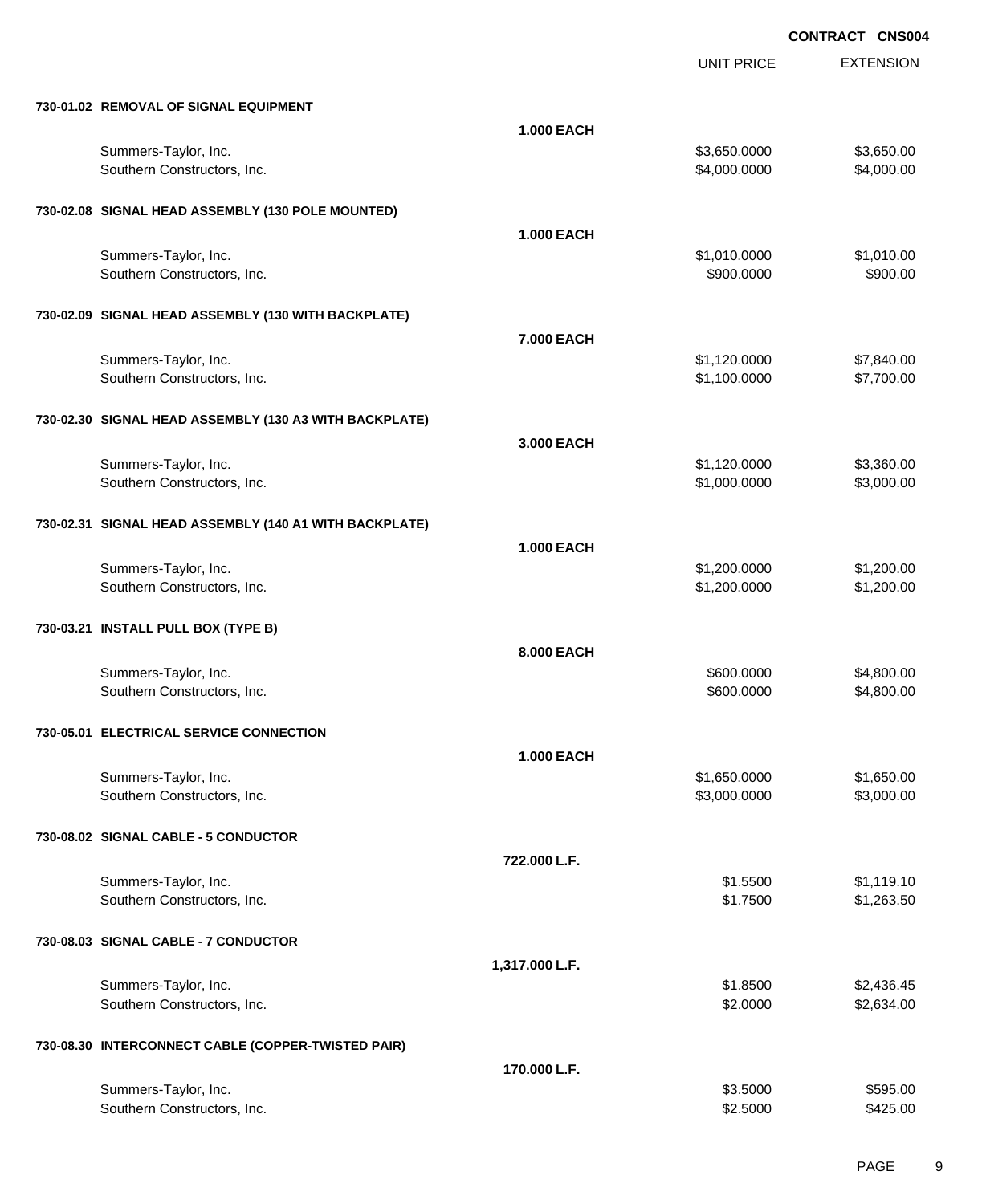UNIT PRICE

EXTENSION

| 730-01.02 REMOVAL OF SIGNAL EQUIPMENT                  |                   |                              |                          |
|--------------------------------------------------------|-------------------|------------------------------|--------------------------|
|                                                        | <b>1.000 EACH</b> |                              |                          |
| Summers-Taylor, Inc.                                   |                   | \$3,650.0000                 | \$3,650.00               |
| Southern Constructors, Inc.                            |                   | \$4,000.0000                 | \$4,000.00               |
|                                                        |                   |                              |                          |
| 730-02.08 SIGNAL HEAD ASSEMBLY (130 POLE MOUNTED)      |                   |                              |                          |
|                                                        | <b>1.000 EACH</b> |                              |                          |
| Summers-Taylor, Inc.                                   |                   | \$1,010.0000                 | \$1,010.00               |
| Southern Constructors, Inc.                            |                   | \$900.0000                   | \$900.00                 |
| 730-02.09 SIGNAL HEAD ASSEMBLY (130 WITH BACKPLATE)    |                   |                              |                          |
|                                                        |                   |                              |                          |
|                                                        | 7.000 EACH        |                              |                          |
| Summers-Taylor, Inc.<br>Southern Constructors, Inc.    |                   | \$1,120.0000<br>\$1,100.0000 | \$7,840.00<br>\$7,700.00 |
|                                                        |                   |                              |                          |
| 730-02.30 SIGNAL HEAD ASSEMBLY (130 A3 WITH BACKPLATE) |                   |                              |                          |
|                                                        | 3.000 EACH        |                              |                          |
| Summers-Taylor, Inc.                                   |                   | \$1,120.0000                 | \$3,360.00               |
| Southern Constructors, Inc.                            |                   | \$1,000.0000                 | \$3,000.00               |
|                                                        |                   |                              |                          |
| 730-02.31 SIGNAL HEAD ASSEMBLY (140 A1 WITH BACKPLATE) |                   |                              |                          |
|                                                        | <b>1.000 EACH</b> |                              |                          |
| Summers-Taylor, Inc.                                   |                   | \$1,200.0000                 | \$1,200.00               |
| Southern Constructors, Inc.                            |                   | \$1,200.0000                 | \$1,200.00               |
|                                                        |                   |                              |                          |
| 730-03.21 INSTALL PULL BOX (TYPE B)                    |                   |                              |                          |
|                                                        | 8.000 EACH        |                              |                          |
| Summers-Taylor, Inc.                                   |                   | \$600.0000                   | \$4,800.00               |
| Southern Constructors, Inc.                            |                   | \$600.0000                   | \$4,800.00               |
|                                                        |                   |                              |                          |
| 730-05.01 ELECTRICAL SERVICE CONNECTION                |                   |                              |                          |
|                                                        | <b>1.000 EACH</b> |                              |                          |
| Summers-Taylor, Inc.                                   |                   | \$1,650.0000                 | \$1,650.00               |
| Southern Constructors, Inc.                            |                   | \$3,000.0000                 | \$3,000.00               |
|                                                        |                   |                              |                          |
| 730-08.02 SIGNAL CABLE - 5 CONDUCTOR                   |                   |                              |                          |
|                                                        | 722.000 L.F.      |                              |                          |
| Summers-Taylor, Inc.                                   |                   | \$1.5500                     | \$1,119.10               |
| Southern Constructors, Inc.                            |                   | \$1.7500                     | \$1,263.50               |
| 730-08.03 SIGNAL CABLE - 7 CONDUCTOR                   |                   |                              |                          |
|                                                        |                   |                              |                          |
|                                                        | 1,317.000 L.F.    |                              |                          |
| Summers-Taylor, Inc.<br>Southern Constructors, Inc.    |                   | \$1.8500<br>\$2.0000         | \$2,436.45<br>\$2,634.00 |
|                                                        |                   |                              |                          |
| 730-08.30 INTERCONNECT CABLE (COPPER-TWISTED PAIR)     |                   |                              |                          |
|                                                        | 170.000 L.F.      |                              |                          |
| Summers-Taylor, Inc.                                   |                   | \$3.5000                     | \$595.00                 |
| Southern Constructors, Inc.                            |                   | \$2.5000                     | \$425.00                 |
|                                                        |                   |                              |                          |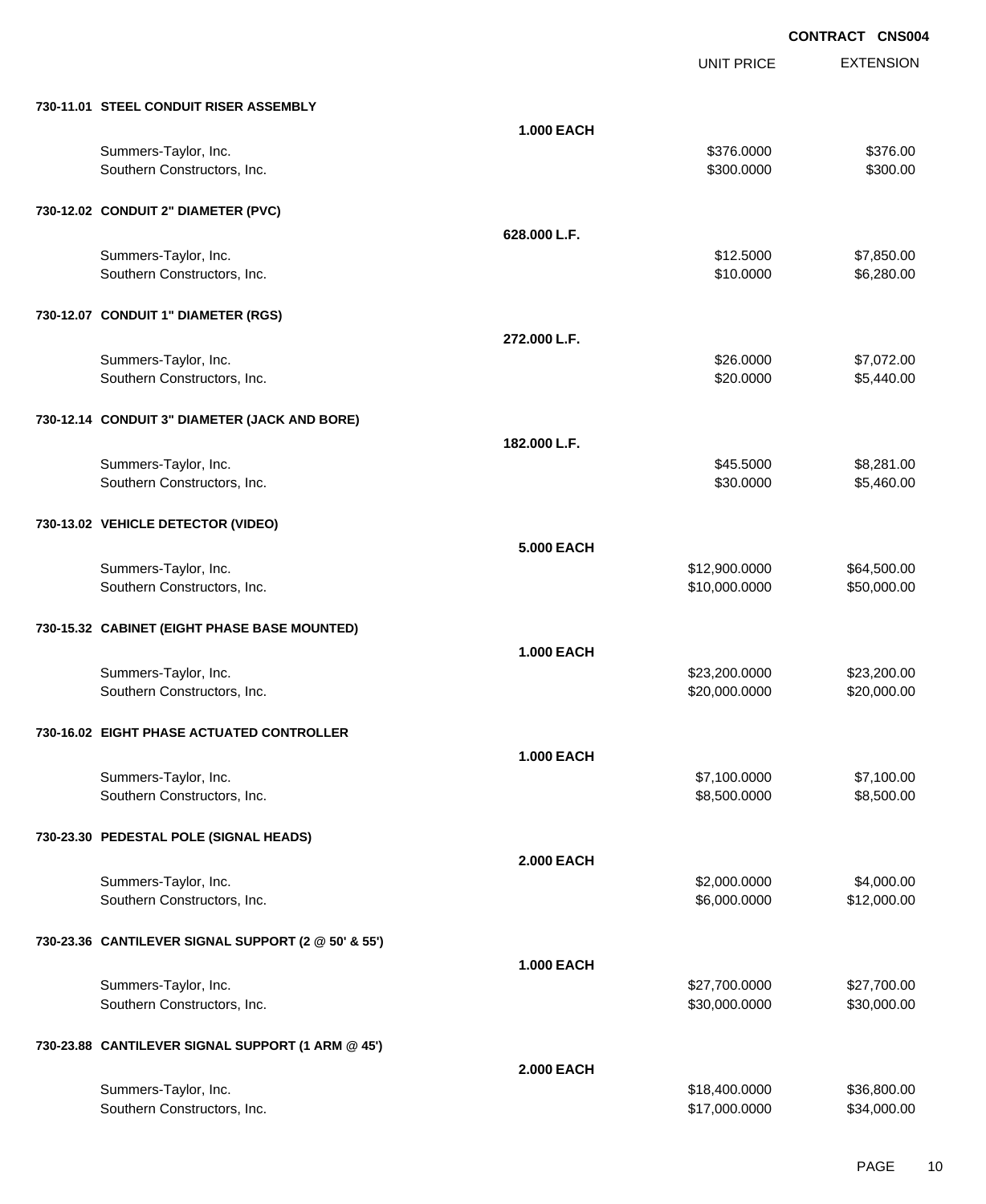UNIT PRICE

EXTENSION

| 730-11.01 STEEL CONDUIT RISER ASSEMBLY              |                   |               |             |
|-----------------------------------------------------|-------------------|---------------|-------------|
|                                                     | <b>1.000 EACH</b> |               |             |
| Summers-Taylor, Inc.                                |                   | \$376.0000    | \$376.00    |
| Southern Constructors, Inc.                         |                   | \$300.0000    | \$300.00    |
|                                                     |                   |               |             |
| 730-12.02 CONDUIT 2" DIAMETER (PVC)                 |                   |               |             |
|                                                     | 628.000 L.F.      |               |             |
| Summers-Taylor, Inc.                                |                   | \$12.5000     | \$7,850.00  |
| Southern Constructors, Inc.                         |                   | \$10.0000     | \$6,280.00  |
|                                                     |                   |               |             |
| 730-12.07 CONDUIT 1" DIAMETER (RGS)                 |                   |               |             |
|                                                     | 272.000 L.F.      |               |             |
| Summers-Taylor, Inc.                                |                   | \$26.0000     | \$7,072.00  |
| Southern Constructors, Inc.                         |                   | \$20.0000     | \$5,440.00  |
|                                                     |                   |               |             |
| 730-12.14 CONDUIT 3" DIAMETER (JACK AND BORE)       |                   |               |             |
|                                                     | 182.000 L.F.      |               |             |
| Summers-Taylor, Inc.                                |                   | \$45.5000     | \$8,281.00  |
| Southern Constructors, Inc.                         |                   | \$30.0000     | \$5,460.00  |
|                                                     |                   |               |             |
| 730-13.02 VEHICLE DETECTOR (VIDEO)                  |                   |               |             |
|                                                     | <b>5.000 EACH</b> |               |             |
| Summers-Taylor, Inc.                                |                   | \$12,900.0000 | \$64,500.00 |
| Southern Constructors, Inc.                         |                   | \$10,000.0000 | \$50,000.00 |
|                                                     |                   |               |             |
| 730-15.32 CABINET (EIGHT PHASE BASE MOUNTED)        |                   |               |             |
|                                                     | 1.000 EACH        |               |             |
| Summers-Taylor, Inc.                                |                   | \$23,200.0000 | \$23,200.00 |
| Southern Constructors, Inc.                         |                   | \$20,000.0000 | \$20,000.00 |
|                                                     |                   |               |             |
| 730-16.02 EIGHT PHASE ACTUATED CONTROLLER           |                   |               |             |
|                                                     | <b>1.000 EACH</b> |               |             |
| Summers-Taylor, Inc.                                |                   | \$7,100.0000  | \$7,100.00  |
| Southern Constructors, Inc.                         |                   | \$8,500.0000  | \$8,500.00  |
|                                                     |                   |               |             |
| 730-23.30 PEDESTAL POLE (SIGNAL HEADS)              |                   |               |             |
|                                                     | <b>2.000 EACH</b> |               |             |
| Summers-Taylor, Inc.                                |                   | \$2,000.0000  | \$4,000.00  |
| Southern Constructors, Inc.                         |                   | \$6,000.0000  | \$12,000.00 |
|                                                     |                   |               |             |
| 730-23.36 CANTILEVER SIGNAL SUPPORT (2 @ 50' & 55') |                   |               |             |
|                                                     | <b>1.000 EACH</b> |               |             |
| Summers-Taylor, Inc.                                |                   | \$27,700.0000 | \$27,700.00 |
| Southern Constructors, Inc.                         |                   | \$30,000.0000 | \$30,000.00 |
|                                                     |                   |               |             |
| 730-23.88 CANTILEVER SIGNAL SUPPORT (1 ARM @ 45')   |                   |               |             |
|                                                     | <b>2.000 EACH</b> |               |             |
| Summers-Taylor, Inc.                                |                   | \$18,400.0000 | \$36,800.00 |
| Southern Constructors, Inc.                         |                   | \$17,000.0000 | \$34,000.00 |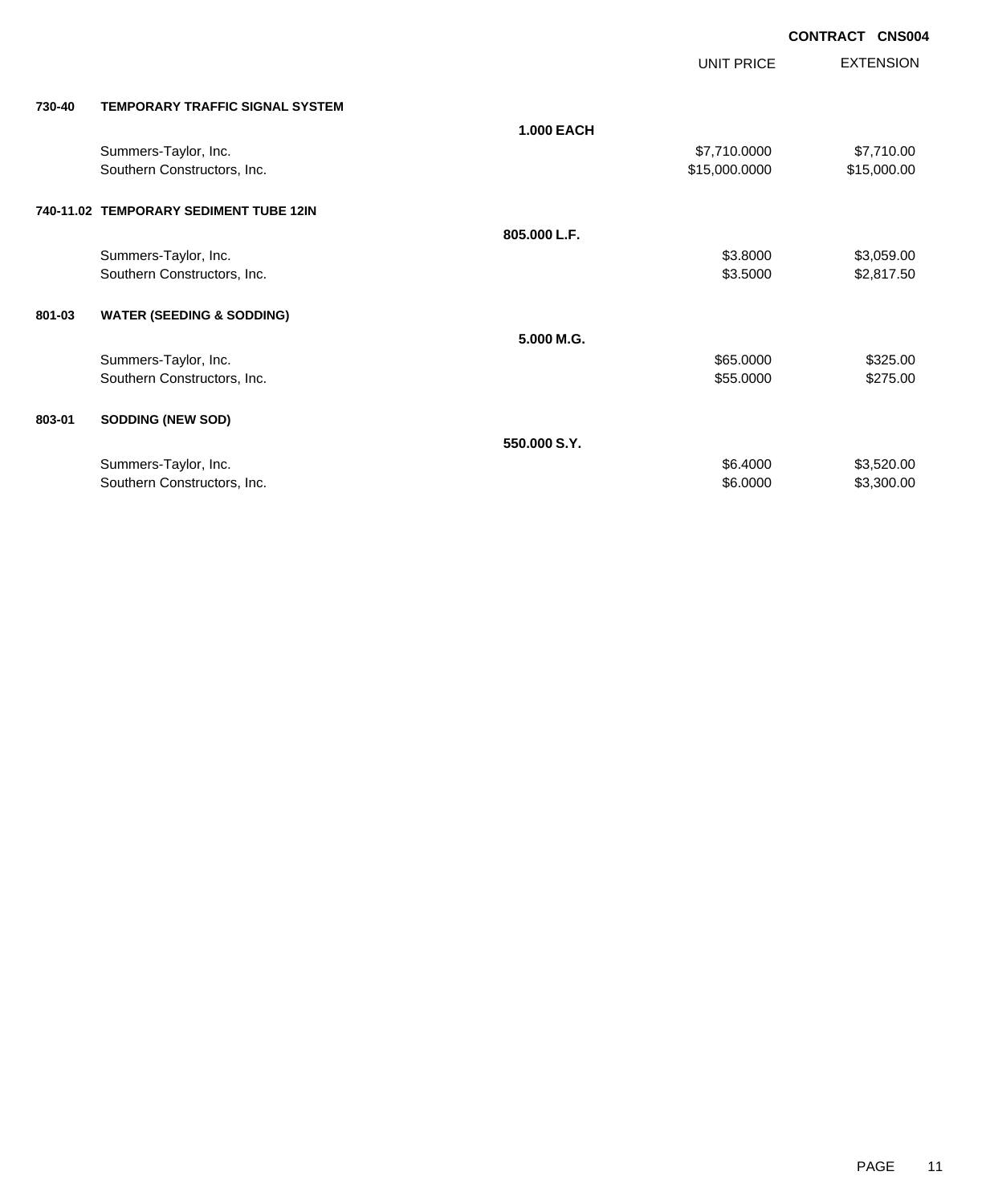|        |                                        |                   | <b>UNIT PRICE</b> | <b>EXTENSION</b> |
|--------|----------------------------------------|-------------------|-------------------|------------------|
| 730-40 | <b>TEMPORARY TRAFFIC SIGNAL SYSTEM</b> |                   |                   |                  |
|        |                                        | <b>1.000 EACH</b> |                   |                  |
|        | Summers-Taylor, Inc.                   |                   | \$7,710.0000      | \$7,710.00       |
|        | Southern Constructors, Inc.            |                   | \$15,000.0000     | \$15,000.00      |
|        | 740-11.02 TEMPORARY SEDIMENT TUBE 12IN |                   |                   |                  |
|        |                                        | 805.000 L.F.      |                   |                  |
|        | Summers-Taylor, Inc.                   |                   | \$3.8000          | \$3,059.00       |
|        | Southern Constructors, Inc.            |                   | \$3.5000          | \$2,817.50       |
| 801-03 | <b>WATER (SEEDING &amp; SODDING)</b>   |                   |                   |                  |
|        |                                        | 5.000 M.G.        |                   |                  |
|        | Summers-Taylor, Inc.                   |                   | \$65.0000         | \$325.00         |
|        | Southern Constructors, Inc.            |                   | \$55.0000         | \$275.00         |
| 803-01 | <b>SODDING (NEW SOD)</b>               |                   |                   |                  |
|        |                                        | 550,000 S.Y.      |                   |                  |
|        | Summers-Taylor, Inc.                   |                   | \$6.4000          | \$3,520.00       |
|        | Southern Constructors, Inc.            |                   | \$6.0000          | \$3,300.00       |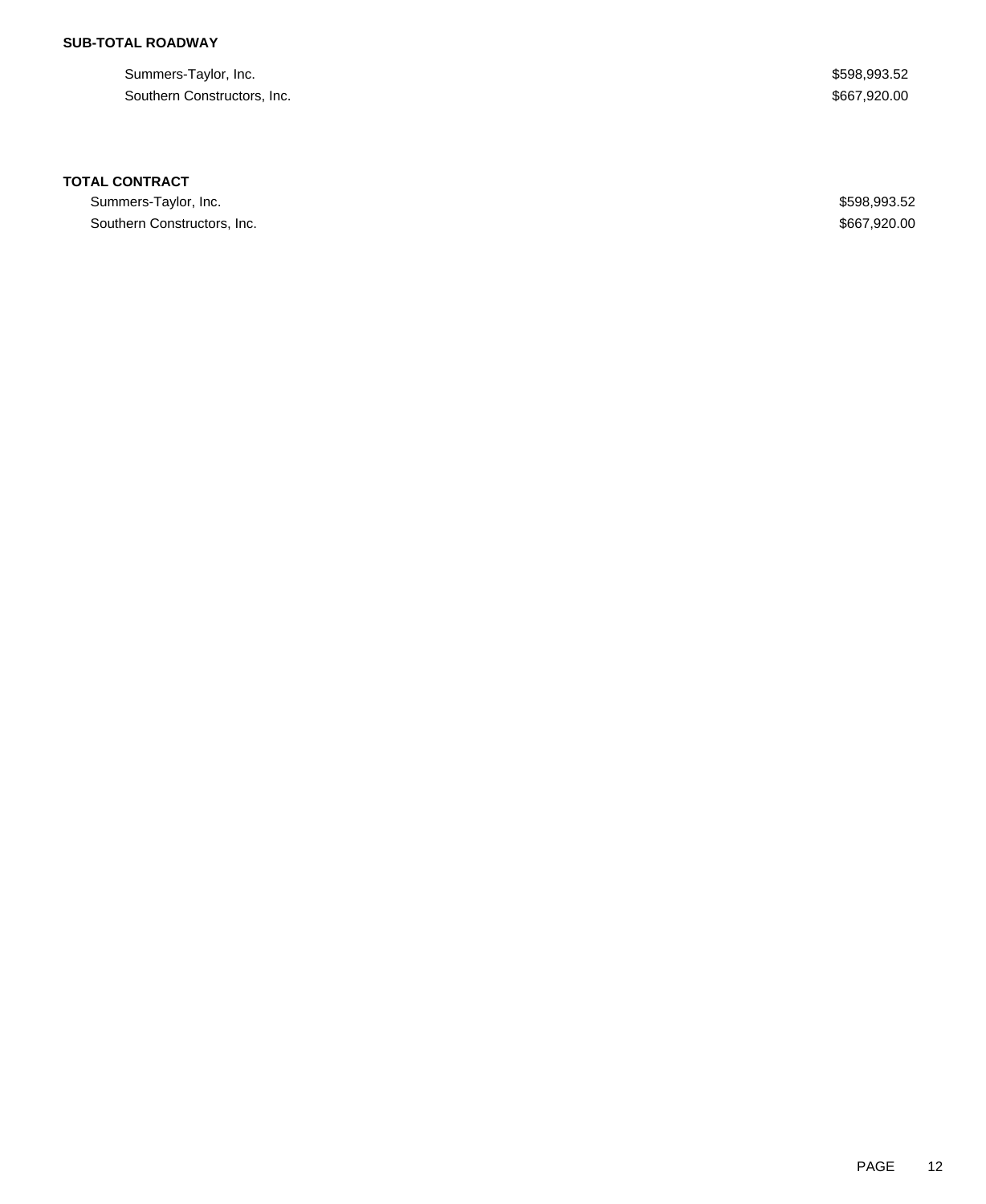## **SUB-TOTAL ROADWAY**

Summers-Taylor, Inc. \$598,993.52 Southern Constructors, Inc.  $$667,920.00$ 

### **TOTAL CONTRACT**

Summers-Taylor, Inc. \$598,993.52 Southern Constructors, Inc. 667,920.00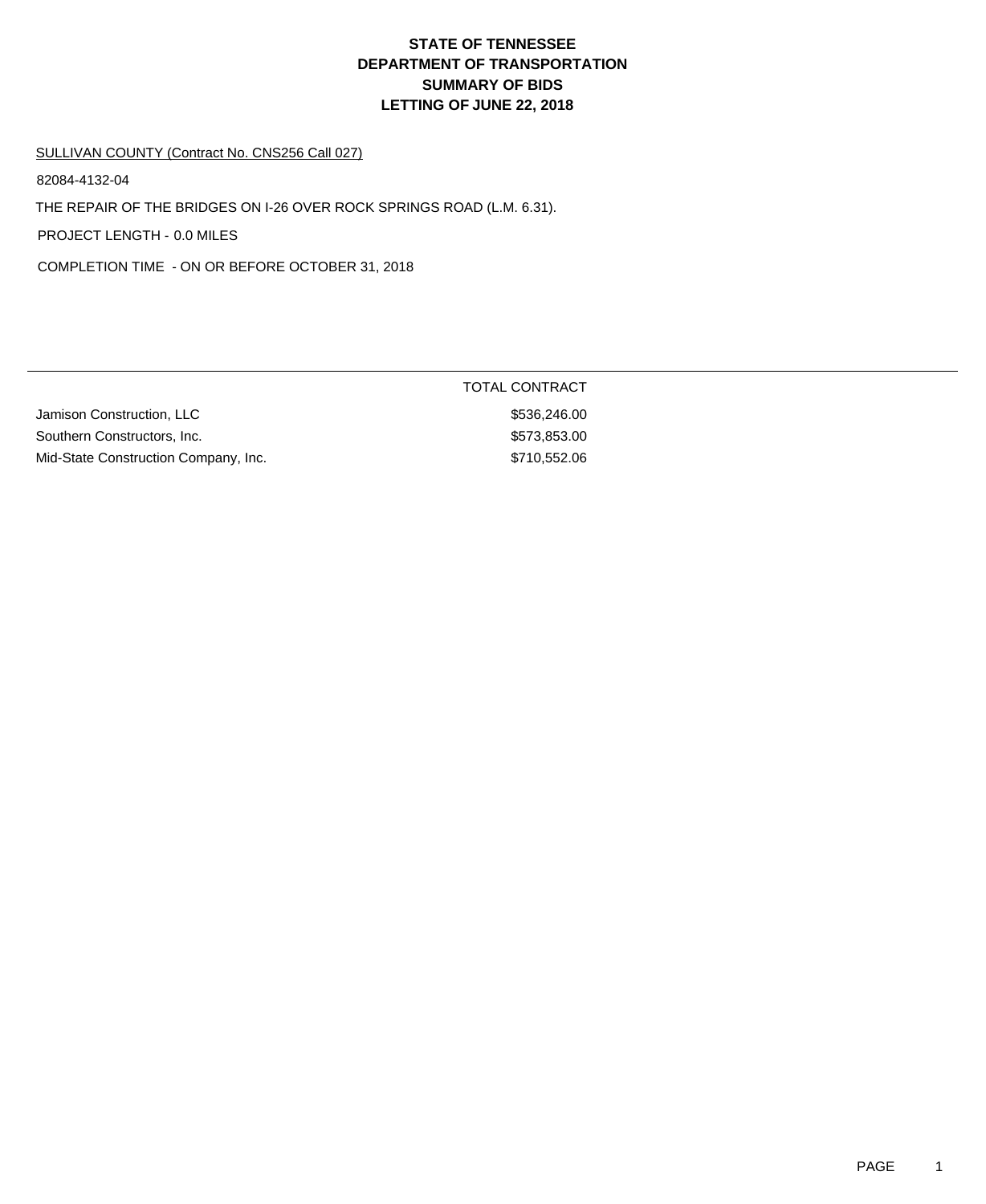TOTAL CONTRACT

#### SULLIVAN COUNTY (Contract No. CNS256 Call 027)

82084-4132-04

THE REPAIR OF THE BRIDGES ON I-26 OVER ROCK SPRINGS ROAD (L.M. 6.31).

PROJECT LENGTH - 0.0 MILES

COMPLETION TIME - ON OR BEFORE OCTOBER 31, 2018

| Jamison Construction, LLC            | \$536,246,00 |
|--------------------------------------|--------------|
| Southern Constructors, Inc.          | \$573.853.00 |
| Mid-State Construction Company, Inc. | \$710.552.06 |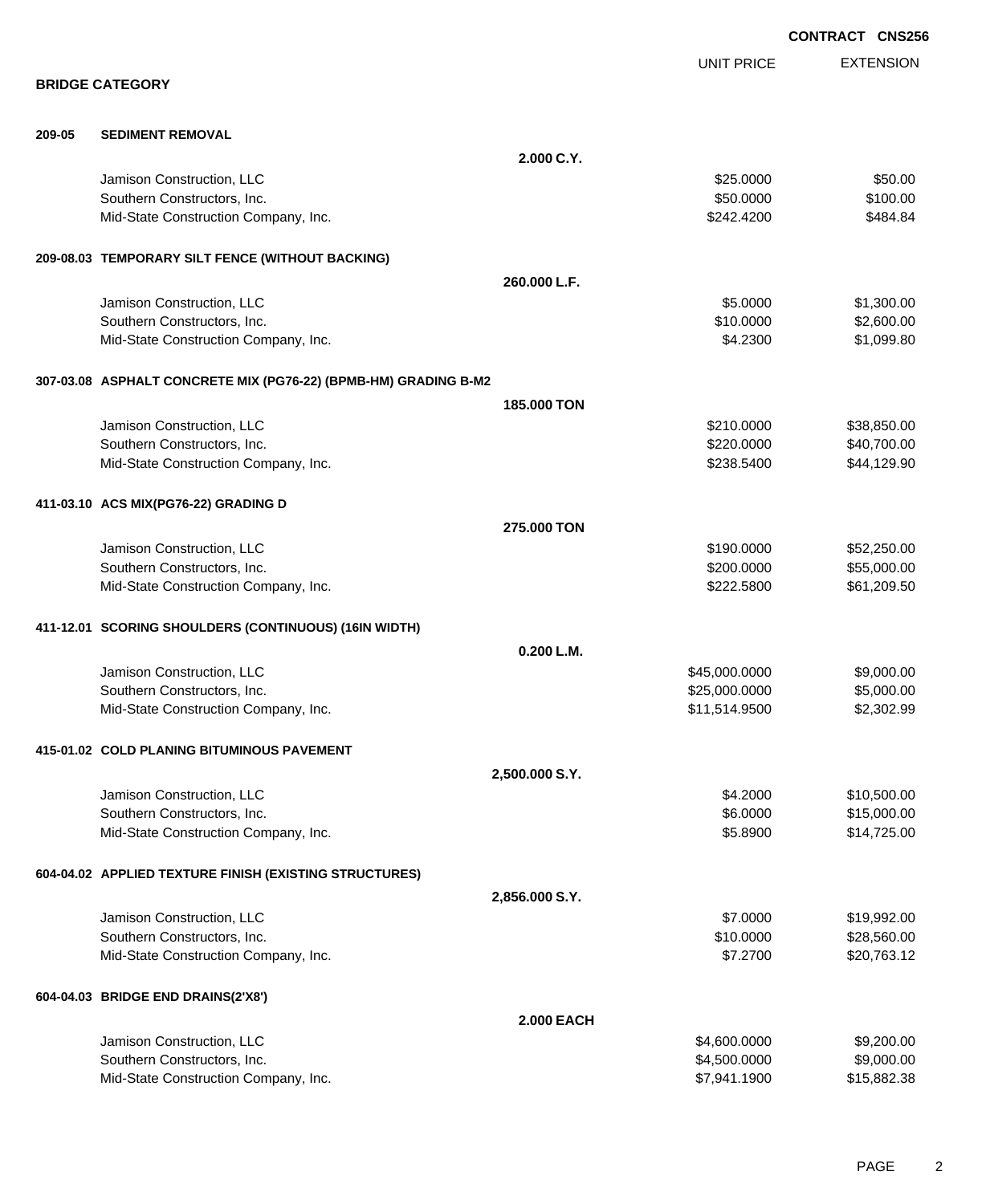|        |                                                                 |                   |                   | <b>CONTRACT CNS256</b> |
|--------|-----------------------------------------------------------------|-------------------|-------------------|------------------------|
|        |                                                                 |                   | <b>UNIT PRICE</b> | <b>EXTENSION</b>       |
|        | <b>BRIDGE CATEGORY</b>                                          |                   |                   |                        |
| 209-05 | <b>SEDIMENT REMOVAL</b>                                         |                   |                   |                        |
|        |                                                                 | 2.000 C.Y.        |                   |                        |
|        | Jamison Construction, LLC                                       |                   | \$25.0000         | \$50.00                |
|        | Southern Constructors, Inc.                                     |                   | \$50.0000         | \$100.00               |
|        | Mid-State Construction Company, Inc.                            |                   | \$242.4200        | \$484.84               |
|        | 209-08.03 TEMPORARY SILT FENCE (WITHOUT BACKING)                |                   |                   |                        |
|        |                                                                 | 260,000 L.F.      |                   |                        |
|        | Jamison Construction, LLC                                       |                   | \$5.0000          | \$1,300.00             |
|        | Southern Constructors, Inc.                                     |                   | \$10.0000         | \$2,600.00             |
|        | Mid-State Construction Company, Inc.                            |                   | \$4.2300          | \$1,099.80             |
|        | 307-03.08 ASPHALT CONCRETE MIX (PG76-22) (BPMB-HM) GRADING B-M2 |                   |                   |                        |
|        |                                                                 | 185,000 TON       |                   |                        |
|        | Jamison Construction, LLC                                       |                   | \$210.0000        | \$38,850.00            |
|        | Southern Constructors, Inc.                                     |                   | \$220.0000        | \$40,700.00            |
|        | Mid-State Construction Company, Inc.                            |                   | \$238.5400        | \$44,129.90            |
|        | 411-03.10 ACS MIX(PG76-22) GRADING D                            |                   |                   |                        |
|        |                                                                 | 275.000 TON       |                   |                        |
|        | Jamison Construction, LLC                                       |                   | \$190.0000        | \$52,250.00            |
|        | Southern Constructors, Inc.                                     |                   | \$200.0000        | \$55,000.00            |
|        | Mid-State Construction Company, Inc.                            |                   | \$222.5800        | \$61,209.50            |
|        | 411-12.01 SCORING SHOULDERS (CONTINUOUS) (16IN WIDTH)           |                   |                   |                        |
|        |                                                                 | 0.200 L.M.        |                   |                        |
|        | Jamison Construction, LLC                                       |                   | \$45,000.0000     | \$9,000.00             |
|        | Southern Constructors, Inc.                                     |                   | \$25,000.0000     | \$5,000.00             |
|        | Mid-State Construction Company, Inc.                            |                   | \$11,514.9500     | \$2,302.99             |
|        | 415-01.02 COLD PLANING BITUMINOUS PAVEMENT                      |                   |                   |                        |
|        |                                                                 | 2,500.000 S.Y.    |                   |                        |
|        | Jamison Construction, LLC                                       |                   | \$4.2000          | \$10,500.00            |
|        | Southern Constructors, Inc.                                     |                   | \$6.0000          | \$15,000.00            |
|        | Mid-State Construction Company, Inc.                            |                   | \$5.8900          | \$14,725.00            |
|        | 604-04.02 APPLIED TEXTURE FINISH (EXISTING STRUCTURES)          |                   |                   |                        |
|        |                                                                 | 2,856.000 S.Y.    |                   |                        |
|        | Jamison Construction, LLC                                       |                   | \$7.0000          | \$19,992.00            |
|        | Southern Constructors, Inc.                                     |                   | \$10.0000         | \$28,560.00            |
|        | Mid-State Construction Company, Inc.                            |                   | \$7.2700          | \$20,763.12            |
|        | 604-04.03 BRIDGE END DRAINS(2'X8')                              |                   |                   |                        |
|        |                                                                 | <b>2.000 EACH</b> |                   |                        |
|        | Jamison Construction, LLC                                       |                   | \$4,600.0000      | \$9,200.00             |
|        | Southern Constructors, Inc.                                     |                   | \$4,500.0000      | \$9,000.00             |
|        | Mid-State Construction Company, Inc.                            |                   | \$7,941.1900      | \$15,882.38            |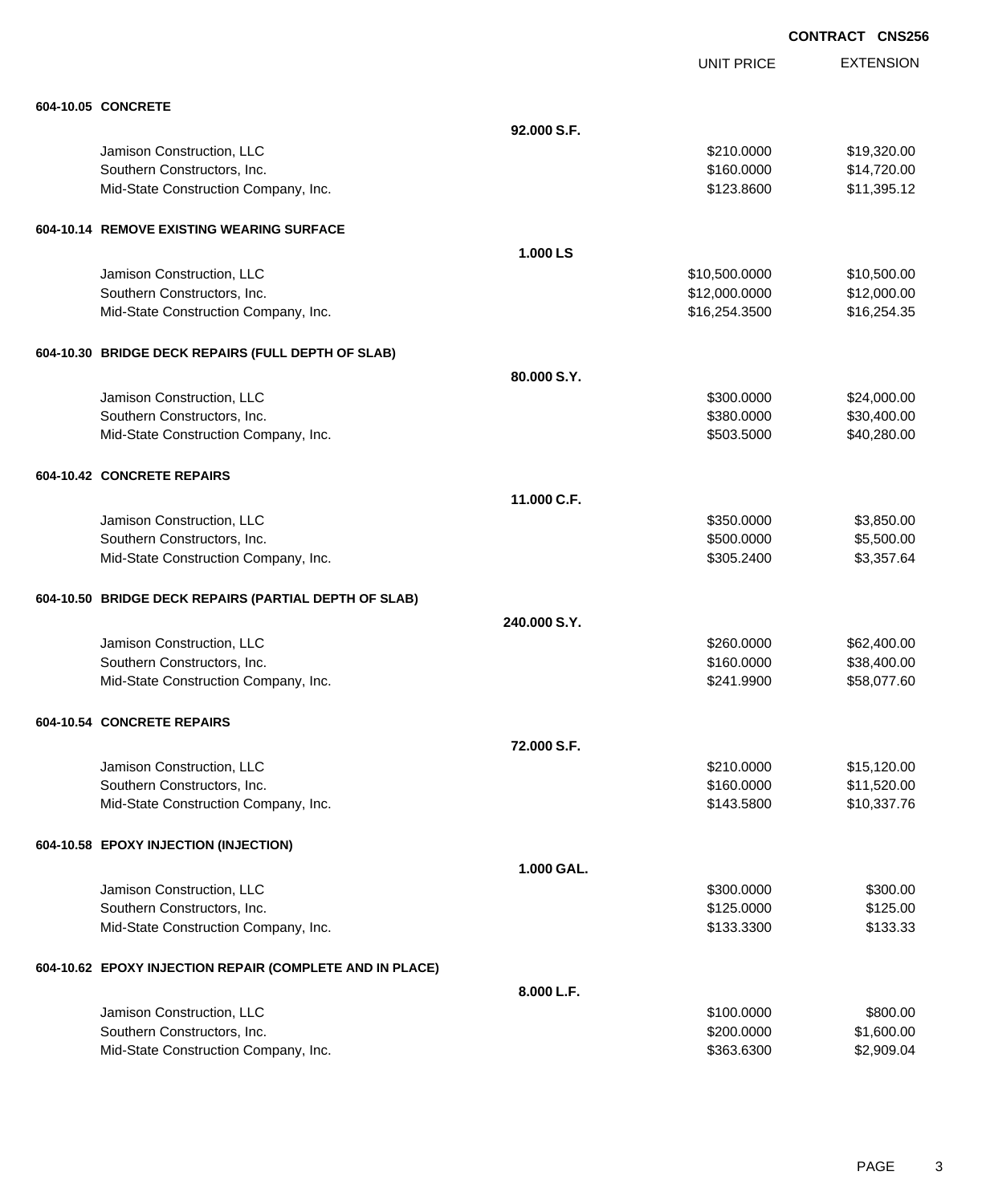EXTENSION

|                                                          |              | <b>UNIT PRICE</b> | <b>EXTENSION</b> |
|----------------------------------------------------------|--------------|-------------------|------------------|
| 604-10.05 CONCRETE                                       |              |                   |                  |
|                                                          | 92.000 S.F.  |                   |                  |
| Jamison Construction, LLC                                |              | \$210.0000        | \$19,320.00      |
| Southern Constructors, Inc.                              |              | \$160.0000        | \$14,720.00      |
| Mid-State Construction Company, Inc.                     |              | \$123.8600        | \$11,395.12      |
| 604-10.14 REMOVE EXISTING WEARING SURFACE                |              |                   |                  |
|                                                          | 1.000 LS     |                   |                  |
| Jamison Construction, LLC                                |              | \$10,500.0000     | \$10,500.00      |
| Southern Constructors, Inc.                              |              | \$12,000.0000     | \$12,000.00      |
| Mid-State Construction Company, Inc.                     |              | \$16,254.3500     | \$16,254.35      |
| 604-10.30 BRIDGE DECK REPAIRS (FULL DEPTH OF SLAB)       |              |                   |                  |
|                                                          | 80.000 S.Y.  |                   |                  |
| Jamison Construction, LLC                                |              | \$300.0000        | \$24,000.00      |
| Southern Constructors, Inc.                              |              | \$380.0000        | \$30,400.00      |
| Mid-State Construction Company, Inc.                     |              | \$503.5000        | \$40,280.00      |
| 604-10.42 CONCRETE REPAIRS                               |              |                   |                  |
|                                                          | 11.000 C.F.  |                   |                  |
| Jamison Construction, LLC                                |              | \$350.0000        | \$3,850.00       |
| Southern Constructors, Inc.                              |              | \$500.0000        | \$5,500.00       |
| Mid-State Construction Company, Inc.                     |              | \$305.2400        | \$3,357.64       |
| 604-10.50 BRIDGE DECK REPAIRS (PARTIAL DEPTH OF SLAB)    |              |                   |                  |
|                                                          | 240.000 S.Y. |                   |                  |
| Jamison Construction, LLC                                |              | \$260.0000        | \$62,400.00      |
| Southern Constructors, Inc.                              |              | \$160.0000        | \$38,400.00      |
| Mid-State Construction Company, Inc.                     |              | \$241.9900        | \$58,077.60      |
| 604-10.54 CONCRETE REPAIRS                               |              |                   |                  |
|                                                          | 72.000 S.F.  |                   |                  |
| Jamison Construction, LLC                                |              | \$210.0000        | \$15,120.00      |
| Southern Constructors, Inc.                              |              | \$160.0000        | \$11,520.00      |
| Mid-State Construction Company, Inc.                     |              | \$143.5800        | \$10,337.76      |
| 604-10.58 EPOXY INJECTION (INJECTION)                    |              |                   |                  |
|                                                          | 1.000 GAL.   |                   |                  |
| Jamison Construction, LLC                                |              | \$300.0000        | \$300.00         |
| Southern Constructors, Inc.                              |              | \$125.0000        | \$125.00         |
| Mid-State Construction Company, Inc.                     |              | \$133.3300        | \$133.33         |
| 604-10.62 EPOXY INJECTION REPAIR (COMPLETE AND IN PLACE) |              |                   |                  |
|                                                          | 8.000 L.F.   |                   |                  |
| Jamison Construction, LLC                                |              | \$100.0000        | \$800.00         |
| Southern Constructors, Inc.                              |              | \$200.0000        | \$1,600.00       |
| Mid-State Construction Company, Inc.                     |              | \$363.6300        | \$2,909.04       |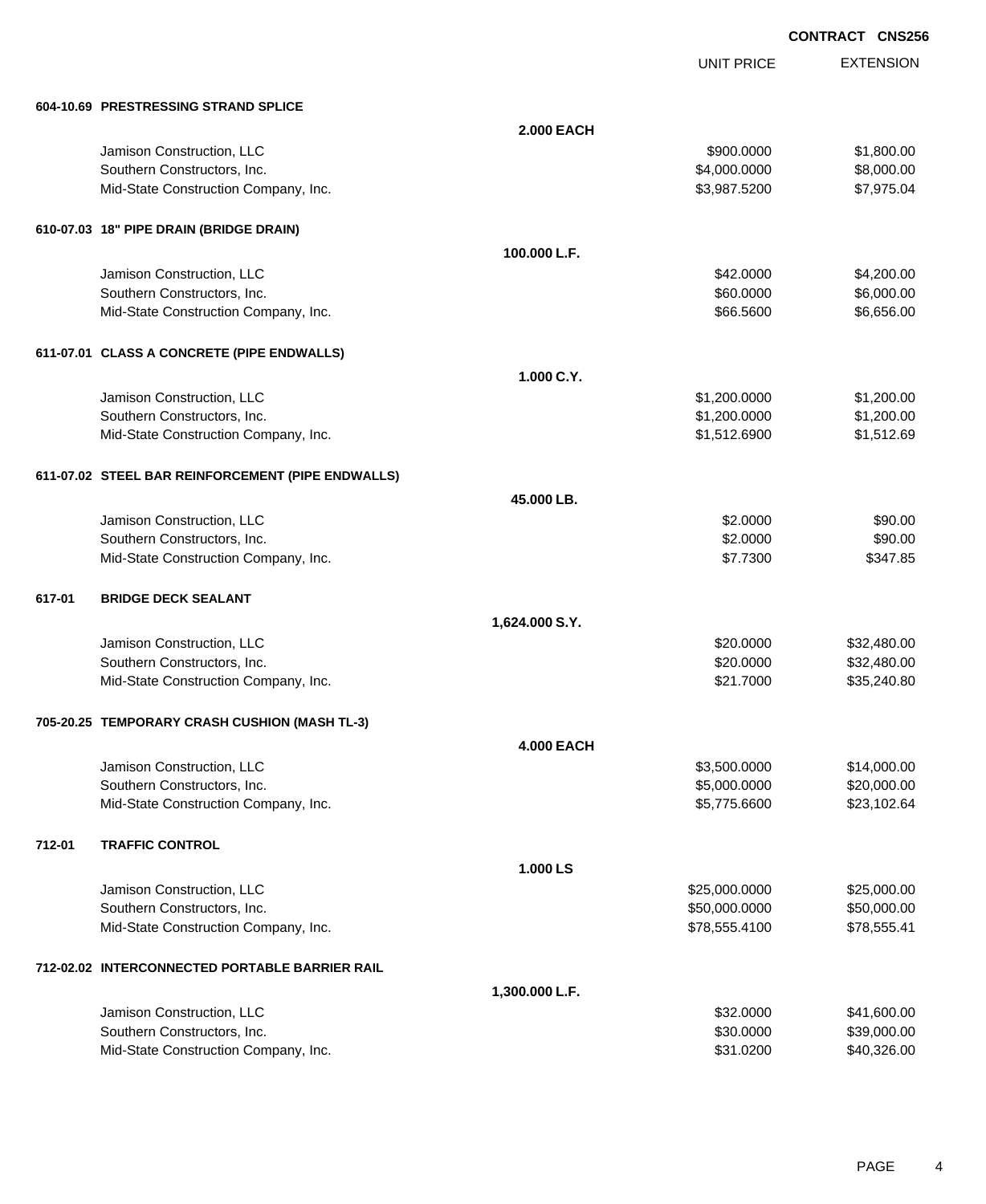UNIT PRICE EXTENSION

|        | 604-10.69 PRESTRESSING STRAND SPLICE              |                   |               |             |
|--------|---------------------------------------------------|-------------------|---------------|-------------|
|        |                                                   | <b>2.000 EACH</b> |               |             |
|        | Jamison Construction, LLC                         |                   | \$900.0000    | \$1,800.00  |
|        | Southern Constructors, Inc.                       |                   | \$4,000.0000  | \$8,000.00  |
|        | Mid-State Construction Company, Inc.              |                   | \$3,987.5200  | \$7,975.04  |
|        | 610-07.03 18" PIPE DRAIN (BRIDGE DRAIN)           |                   |               |             |
|        |                                                   | 100.000 L.F.      |               |             |
|        | Jamison Construction, LLC                         |                   | \$42.0000     | \$4,200.00  |
|        | Southern Constructors, Inc.                       |                   | \$60.0000     | \$6,000.00  |
|        | Mid-State Construction Company, Inc.              |                   | \$66.5600     | \$6,656.00  |
|        | 611-07.01 CLASS A CONCRETE (PIPE ENDWALLS)        |                   |               |             |
|        |                                                   | 1.000 C.Y.        |               |             |
|        | Jamison Construction, LLC                         |                   | \$1,200.0000  | \$1,200.00  |
|        | Southern Constructors, Inc.                       |                   | \$1,200.0000  | \$1,200.00  |
|        | Mid-State Construction Company, Inc.              |                   | \$1,512.6900  | \$1,512.69  |
|        | 611-07.02 STEEL BAR REINFORCEMENT (PIPE ENDWALLS) |                   |               |             |
|        |                                                   | 45.000 LB.        |               |             |
|        | Jamison Construction, LLC                         |                   | \$2.0000      | \$90.00     |
|        | Southern Constructors, Inc.                       |                   | \$2.0000      | \$90.00     |
|        | Mid-State Construction Company, Inc.              |                   | \$7.7300      | \$347.85    |
| 617-01 | <b>BRIDGE DECK SEALANT</b>                        |                   |               |             |
|        |                                                   | 1,624.000 S.Y.    |               |             |
|        | Jamison Construction, LLC                         |                   | \$20.0000     | \$32,480.00 |
|        | Southern Constructors, Inc.                       |                   | \$20.0000     | \$32,480.00 |
|        | Mid-State Construction Company, Inc.              |                   | \$21.7000     | \$35,240.80 |
|        | 705-20.25 TEMPORARY CRASH CUSHION (MASH TL-3)     |                   |               |             |
|        |                                                   | <b>4.000 EACH</b> |               |             |
|        | Jamison Construction, LLC                         |                   | \$3,500.0000  | \$14,000.00 |
|        | Southern Constructors, Inc.                       |                   | \$5,000.0000  | \$20,000.00 |
|        | Mid-State Construction Company, Inc.              |                   | \$5,775.6600  | \$23,102.64 |
| 712-01 | <b>TRAFFIC CONTROL</b>                            |                   |               |             |
|        |                                                   | 1.000 LS          |               |             |
|        | Jamison Construction, LLC                         |                   | \$25,000.0000 | \$25,000.00 |
|        | Southern Constructors, Inc.                       |                   | \$50,000.0000 | \$50,000.00 |
|        | Mid-State Construction Company, Inc.              |                   | \$78,555.4100 | \$78,555.41 |
|        | 712-02.02 INTERCONNECTED PORTABLE BARRIER RAIL    |                   |               |             |
|        |                                                   | 1,300.000 L.F.    |               |             |
|        | Jamison Construction, LLC                         |                   | \$32.0000     | \$41,600.00 |
|        | Southern Constructors, Inc.                       |                   | \$30.0000     | \$39,000.00 |
|        | Mid-State Construction Company, Inc.              |                   | \$31.0200     | \$40,326.00 |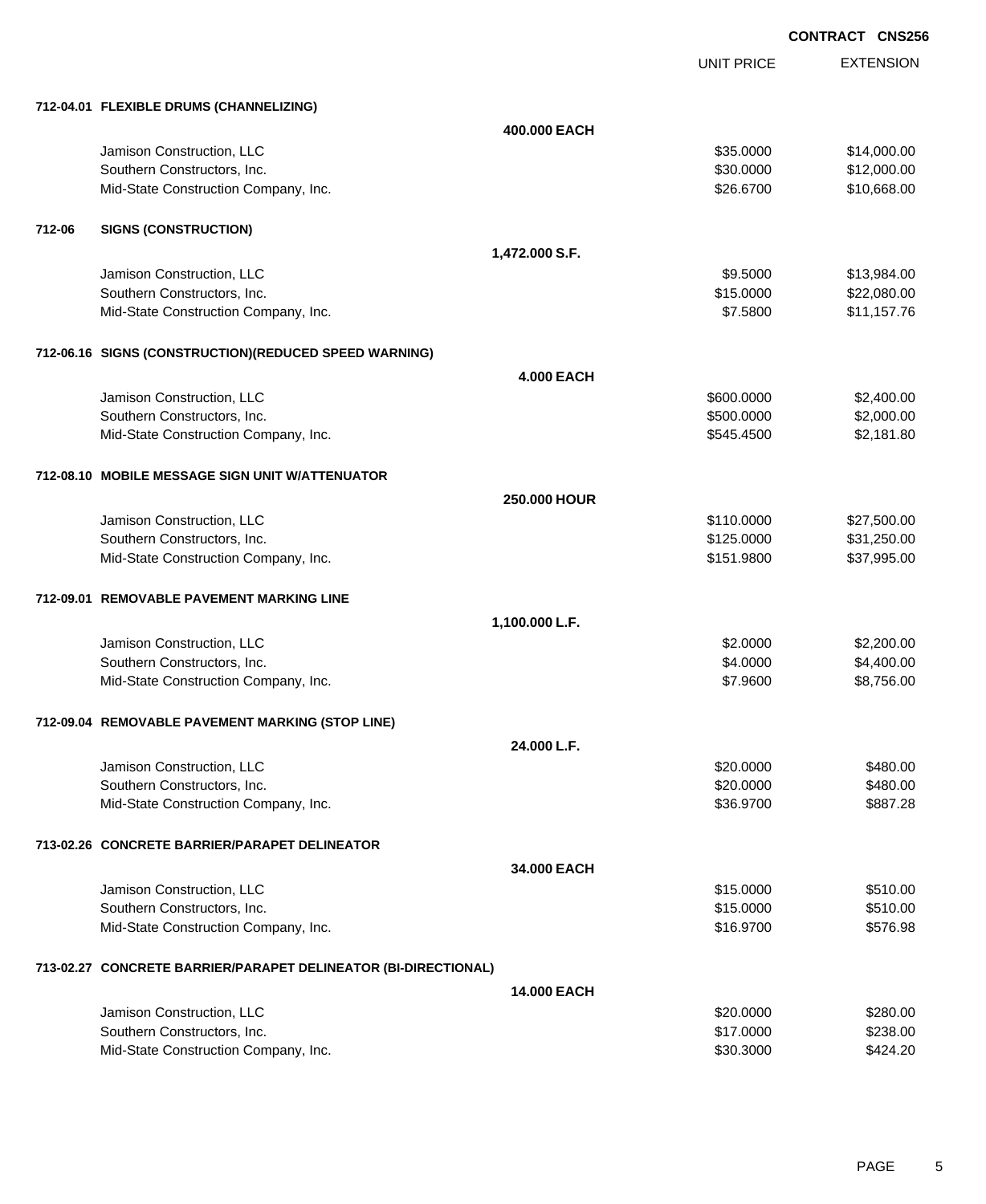UNIT PRICE EXTENSION

|        | 712-04.01 FLEXIBLE DRUMS (CHANNELIZING)                        |                    |            |             |
|--------|----------------------------------------------------------------|--------------------|------------|-------------|
|        |                                                                | 400,000 EACH       |            |             |
|        | Jamison Construction, LLC                                      |                    | \$35.0000  | \$14,000.00 |
|        | Southern Constructors, Inc.                                    |                    | \$30.0000  | \$12,000.00 |
|        | Mid-State Construction Company, Inc.                           |                    | \$26.6700  | \$10,668.00 |
| 712-06 | <b>SIGNS (CONSTRUCTION)</b>                                    |                    |            |             |
|        |                                                                | 1,472.000 S.F.     |            |             |
|        | Jamison Construction, LLC                                      |                    | \$9.5000   | \$13,984.00 |
|        | Southern Constructors, Inc.                                    |                    | \$15.0000  | \$22,080.00 |
|        | Mid-State Construction Company, Inc.                           |                    | \$7.5800   | \$11,157.76 |
|        | 712-06.16 SIGNS (CONSTRUCTION) (REDUCED SPEED WARNING)         |                    |            |             |
|        |                                                                | <b>4.000 EACH</b>  |            |             |
|        | Jamison Construction, LLC                                      |                    | \$600.0000 | \$2,400.00  |
|        | Southern Constructors, Inc.                                    |                    | \$500.0000 | \$2,000.00  |
|        | Mid-State Construction Company, Inc.                           |                    | \$545.4500 | \$2,181.80  |
|        | 712-08.10 MOBILE MESSAGE SIGN UNIT W/ATTENUATOR                |                    |            |             |
|        |                                                                | 250,000 HOUR       |            |             |
|        | Jamison Construction, LLC                                      |                    | \$110.0000 | \$27,500.00 |
|        | Southern Constructors, Inc.                                    |                    | \$125.0000 | \$31,250.00 |
|        | Mid-State Construction Company, Inc.                           |                    | \$151.9800 | \$37,995.00 |
|        | 712-09.01 REMOVABLE PAVEMENT MARKING LINE                      |                    |            |             |
|        |                                                                | 1,100.000 L.F.     |            |             |
|        | Jamison Construction, LLC                                      |                    | \$2.0000   | \$2,200.00  |
|        | Southern Constructors, Inc.                                    |                    | \$4.0000   | \$4,400.00  |
|        | Mid-State Construction Company, Inc.                           |                    | \$7.9600   | \$8,756.00  |
|        | 712-09.04 REMOVABLE PAVEMENT MARKING (STOP LINE)               |                    |            |             |
|        |                                                                | 24.000 L.F.        |            |             |
|        | Jamison Construction, LLC                                      |                    | \$20.0000  | \$480.00    |
|        | Southern Constructors, Inc.                                    |                    | \$20.0000  | \$480.00    |
|        | Mid-State Construction Company, Inc.                           |                    | \$36.9700  | \$887.28    |
|        | 713-02.26 CONCRETE BARRIER/PARAPET DELINEATOR                  |                    |            |             |
|        |                                                                | 34.000 EACH        |            |             |
|        | Jamison Construction, LLC                                      |                    | \$15.0000  | \$510.00    |
|        | Southern Constructors, Inc.                                    |                    | \$15.0000  | \$510.00    |
|        | Mid-State Construction Company, Inc.                           |                    | \$16.9700  | \$576.98    |
|        | 713-02.27 CONCRETE BARRIER/PARAPET DELINEATOR (BI-DIRECTIONAL) |                    |            |             |
|        |                                                                | <b>14.000 EACH</b> |            |             |
|        | Jamison Construction, LLC                                      |                    | \$20.0000  | \$280.00    |
|        | Southern Constructors, Inc.                                    |                    | \$17.0000  | \$238.00    |
|        | Mid-State Construction Company, Inc.                           |                    | \$30.3000  | \$424.20    |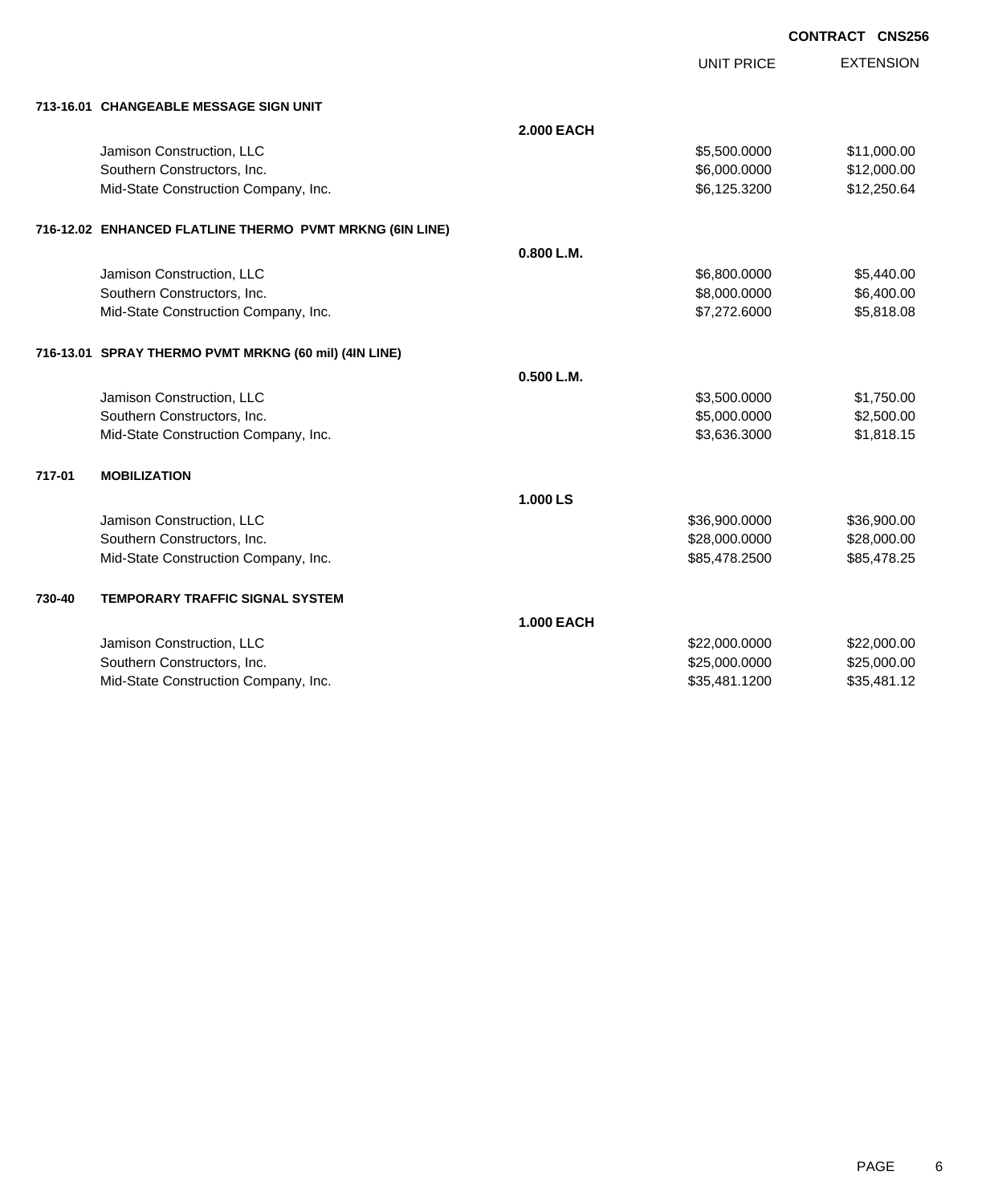UNIT PRICE

EXTENSION

| 713-16.01 CHANGEABLE MESSAGE SIGN UNIT |
|----------------------------------------|
|                                        |

|        | 713-16.01 CHANGEABLE MESSAGE SIGN UNIT                   |                   |               |             |
|--------|----------------------------------------------------------|-------------------|---------------|-------------|
|        |                                                          | <b>2.000 EACH</b> |               |             |
|        | Jamison Construction, LLC                                |                   | \$5,500.0000  | \$11,000.00 |
|        | Southern Constructors, Inc.                              |                   | \$6,000.0000  | \$12,000.00 |
|        | Mid-State Construction Company, Inc.                     |                   | \$6,125.3200  | \$12,250.64 |
|        | 716-12.02 ENHANCED FLATLINE THERMO PVMT MRKNG (6IN LINE) |                   |               |             |
|        |                                                          | 0.800 L.M.        |               |             |
|        | Jamison Construction, LLC                                |                   | \$6,800.0000  | \$5,440.00  |
|        | Southern Constructors, Inc.                              |                   | \$8,000.0000  | \$6,400.00  |
|        | Mid-State Construction Company, Inc.                     |                   | \$7,272.6000  | \$5,818.08  |
|        | 716-13.01 SPRAY THERMO PVMT MRKNG (60 mil) (4IN LINE)    |                   |               |             |
|        |                                                          | 0.500 L.M.        |               |             |
|        | Jamison Construction, LLC                                |                   | \$3,500.0000  | \$1,750.00  |
|        | Southern Constructors, Inc.                              |                   | \$5,000.0000  | \$2,500.00  |
|        | Mid-State Construction Company, Inc.                     |                   | \$3,636.3000  | \$1,818.15  |
| 717-01 | <b>MOBILIZATION</b>                                      |                   |               |             |
|        |                                                          | 1.000 LS          |               |             |
|        | Jamison Construction, LLC                                |                   | \$36,900.0000 | \$36,900.00 |
|        | Southern Constructors, Inc.                              |                   | \$28,000.0000 | \$28,000.00 |
|        | Mid-State Construction Company, Inc.                     |                   | \$85,478.2500 | \$85,478.25 |
| 730-40 | <b>TEMPORARY TRAFFIC SIGNAL SYSTEM</b>                   |                   |               |             |
|        |                                                          | <b>1.000 EACH</b> |               |             |
|        | Jamison Construction, LLC                                |                   | \$22,000.0000 | \$22,000.00 |
|        | Southern Constructors, Inc.                              |                   | \$25,000.0000 | \$25,000.00 |
|        | Mid-State Construction Company, Inc.                     |                   | \$35,481.1200 | \$35,481.12 |
|        |                                                          |                   |               |             |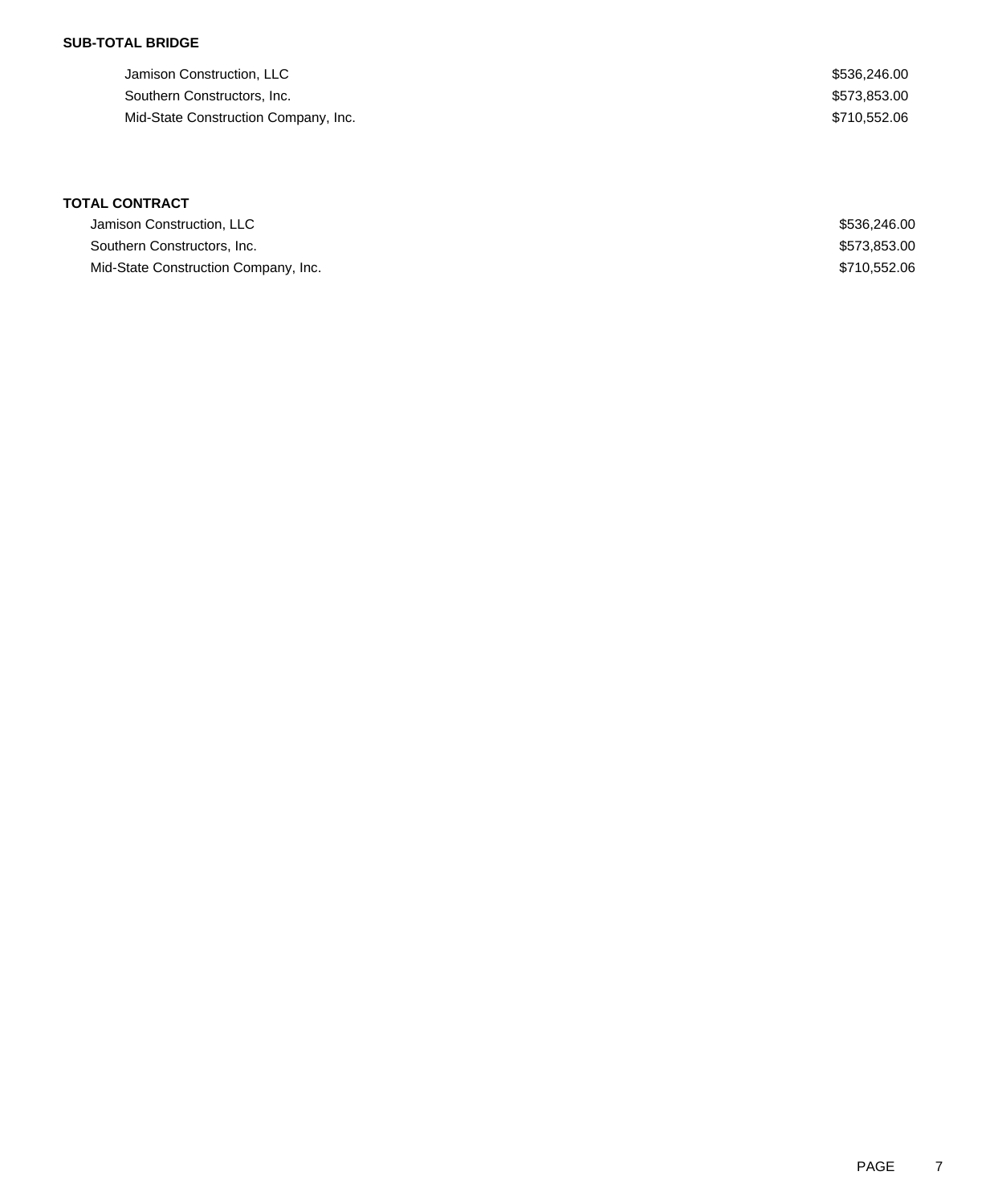### **SUB-TOTAL BRIDGE**

| Jamison Construction, LLC            | \$536,246.00 |
|--------------------------------------|--------------|
| Southern Constructors, Inc.          | \$573,853.00 |
| Mid-State Construction Company, Inc. | \$710.552.06 |

# **TOTAL CONTRACT**

| Jamison Construction, LLC            | \$536,246,00 |
|--------------------------------------|--------------|
| Southern Constructors, Inc.          | \$573.853.00 |
| Mid-State Construction Company, Inc. | \$710.552.06 |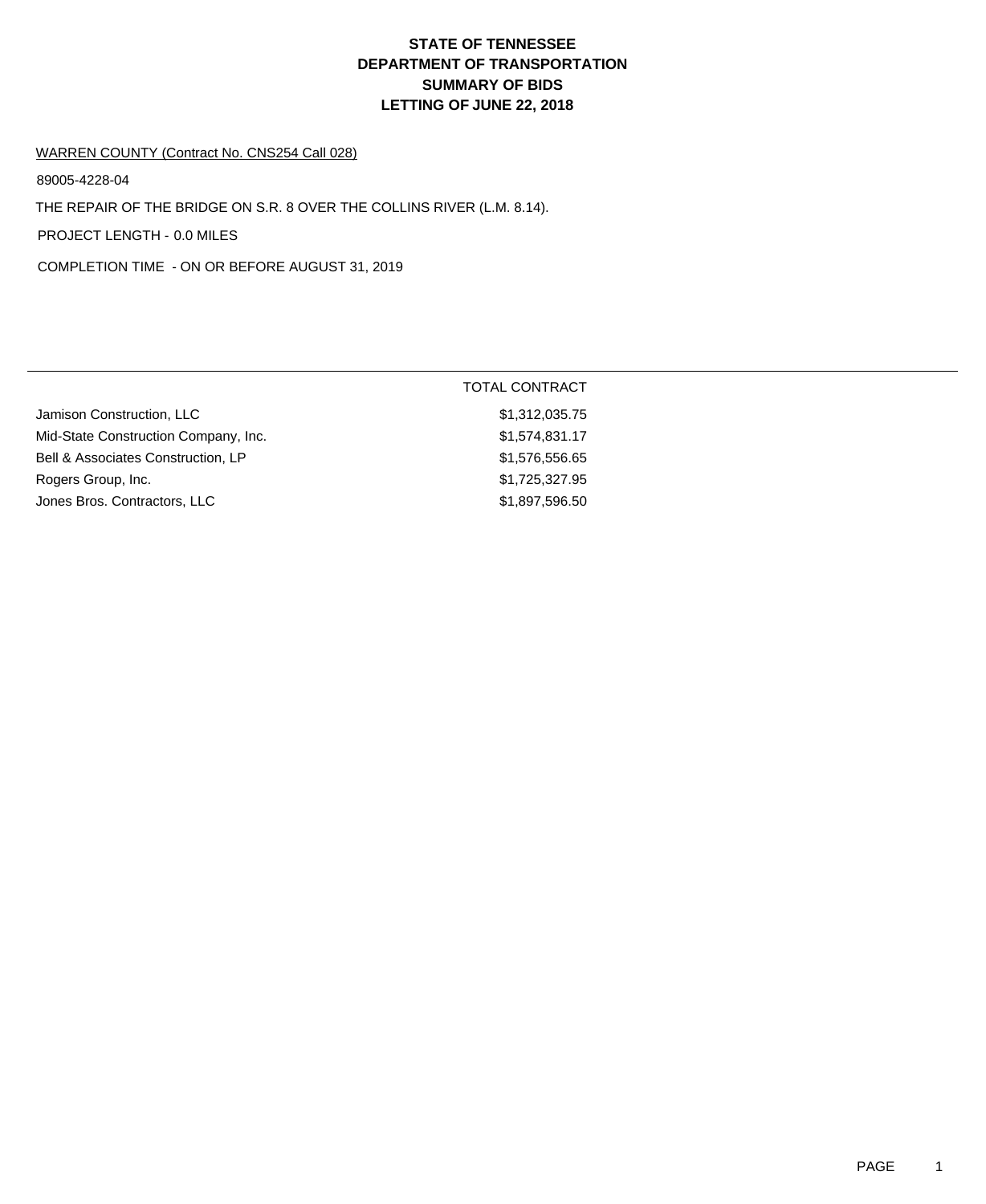#### WARREN COUNTY (Contract No. CNS254 Call 028)

89005-4228-04

THE REPAIR OF THE BRIDGE ON S.R. 8 OVER THE COLLINS RIVER (L.M. 8.14).

PROJECT LENGTH - 0.0 MILES

COMPLETION TIME - ON OR BEFORE AUGUST 31, 2019

|                                      | <b>TOTAL CONTRACT</b> |  |
|--------------------------------------|-----------------------|--|
| Jamison Construction, LLC            | \$1,312,035.75        |  |
| Mid-State Construction Company, Inc. | \$1,574,831.17        |  |
| Bell & Associates Construction, LP   | \$1,576,556.65        |  |
| Rogers Group, Inc.                   | \$1,725,327.95        |  |
| Jones Bros. Contractors, LLC         | \$1,897,596.50        |  |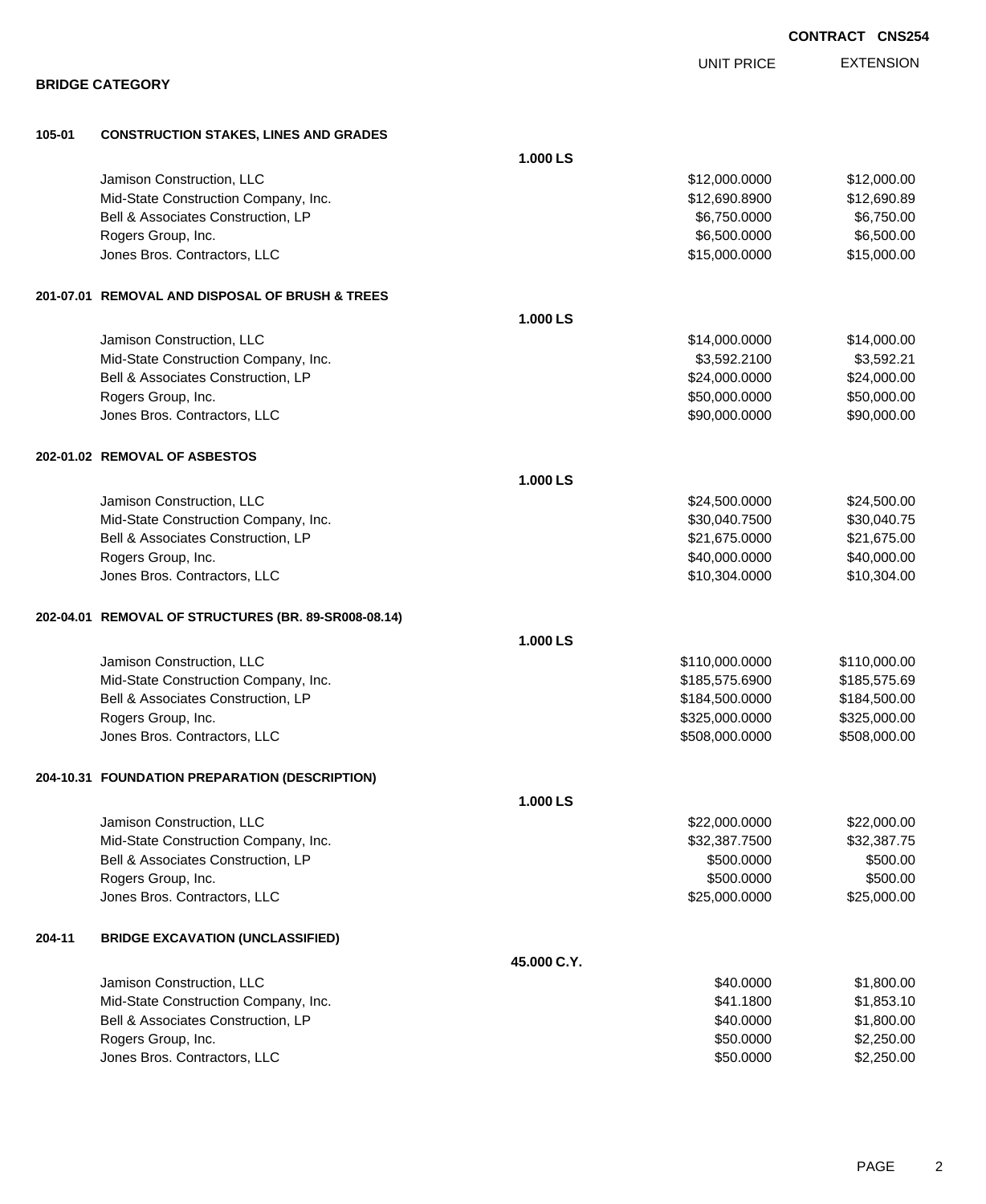|        |                                                      |             |                   | <b>CONTRACT CNS254</b> |
|--------|------------------------------------------------------|-------------|-------------------|------------------------|
|        |                                                      |             | <b>UNIT PRICE</b> | <b>EXTENSION</b>       |
|        | <b>BRIDGE CATEGORY</b>                               |             |                   |                        |
| 105-01 | <b>CONSTRUCTION STAKES, LINES AND GRADES</b>         |             |                   |                        |
|        |                                                      | 1.000 LS    |                   |                        |
|        | Jamison Construction, LLC                            |             | \$12,000.0000     | \$12,000.00            |
|        | Mid-State Construction Company, Inc.                 |             | \$12,690.8900     | \$12,690.89            |
|        | Bell & Associates Construction, LP                   |             | \$6,750.0000      | \$6,750.00             |
|        | Rogers Group, Inc.                                   |             | \$6,500.0000      | \$6,500.00             |
|        | Jones Bros. Contractors, LLC                         |             | \$15,000.0000     | \$15,000.00            |
|        | 201-07.01 REMOVAL AND DISPOSAL OF BRUSH & TREES      |             |                   |                        |
|        |                                                      | 1.000 LS    |                   |                        |
|        | Jamison Construction, LLC                            |             | \$14,000.0000     | \$14,000.00            |
|        | Mid-State Construction Company, Inc.                 |             | \$3,592.2100      | \$3,592.21             |
|        | Bell & Associates Construction, LP                   |             | \$24,000.0000     | \$24,000.00            |
|        | Rogers Group, Inc.                                   |             | \$50,000.0000     | \$50,000.00            |
|        | Jones Bros. Contractors, LLC                         |             | \$90,000.0000     | \$90,000.00            |
|        | 202-01.02 REMOVAL OF ASBESTOS                        |             |                   |                        |
|        |                                                      | 1.000 LS    |                   |                        |
|        | Jamison Construction, LLC                            |             | \$24,500.0000     | \$24,500.00            |
|        | Mid-State Construction Company, Inc.                 |             | \$30,040.7500     | \$30,040.75            |
|        | Bell & Associates Construction, LP                   |             | \$21,675.0000     | \$21,675.00            |
|        | Rogers Group, Inc.                                   |             | \$40,000.0000     | \$40,000.00            |
|        | Jones Bros. Contractors, LLC                         |             | \$10,304.0000     | \$10,304.00            |
|        | 202-04.01 REMOVAL OF STRUCTURES (BR. 89-SR008-08.14) |             |                   |                        |
|        |                                                      | 1.000 LS    |                   |                        |
|        | Jamison Construction, LLC                            |             | \$110,000.0000    | \$110,000.00           |
|        | Mid-State Construction Company, Inc.                 |             | \$185,575.6900    | \$185,575.69           |
|        | Bell & Associates Construction, LP                   |             | \$184,500.0000    | \$184,500.00           |
|        | Rogers Group, Inc.                                   |             | \$325,000.0000    | \$325,000.00           |
|        | Jones Bros. Contractors, LLC                         |             | \$508,000.0000    | \$508,000.00           |
|        | 204-10.31 FOUNDATION PREPARATION (DESCRIPTION)       |             |                   |                        |
|        |                                                      | 1.000 LS    |                   |                        |
|        | Jamison Construction, LLC                            |             | \$22,000.0000     | \$22,000.00            |
|        | Mid-State Construction Company, Inc.                 |             | \$32,387.7500     | \$32,387.75            |
|        | Bell & Associates Construction, LP                   |             | \$500.0000        | \$500.00               |
|        | Rogers Group, Inc.                                   |             | \$500.0000        | \$500.00               |
|        | Jones Bros. Contractors, LLC                         |             | \$25,000.0000     | \$25,000.00            |
| 204-11 | <b>BRIDGE EXCAVATION (UNCLASSIFIED)</b>              |             |                   |                        |
|        |                                                      | 45.000 C.Y. |                   |                        |
|        | Jamison Construction, LLC                            |             | \$40.0000         | \$1,800.00             |
|        | Mid-State Construction Company, Inc.                 |             | \$41.1800         | \$1,853.10             |
|        | Bell & Associates Construction, LP                   |             | \$40.0000         | \$1,800.00             |
|        | Rogers Group, Inc.                                   |             | \$50.0000         | \$2,250.00             |
|        | Jones Bros. Contractors, LLC                         |             | \$50.0000         | \$2,250.00             |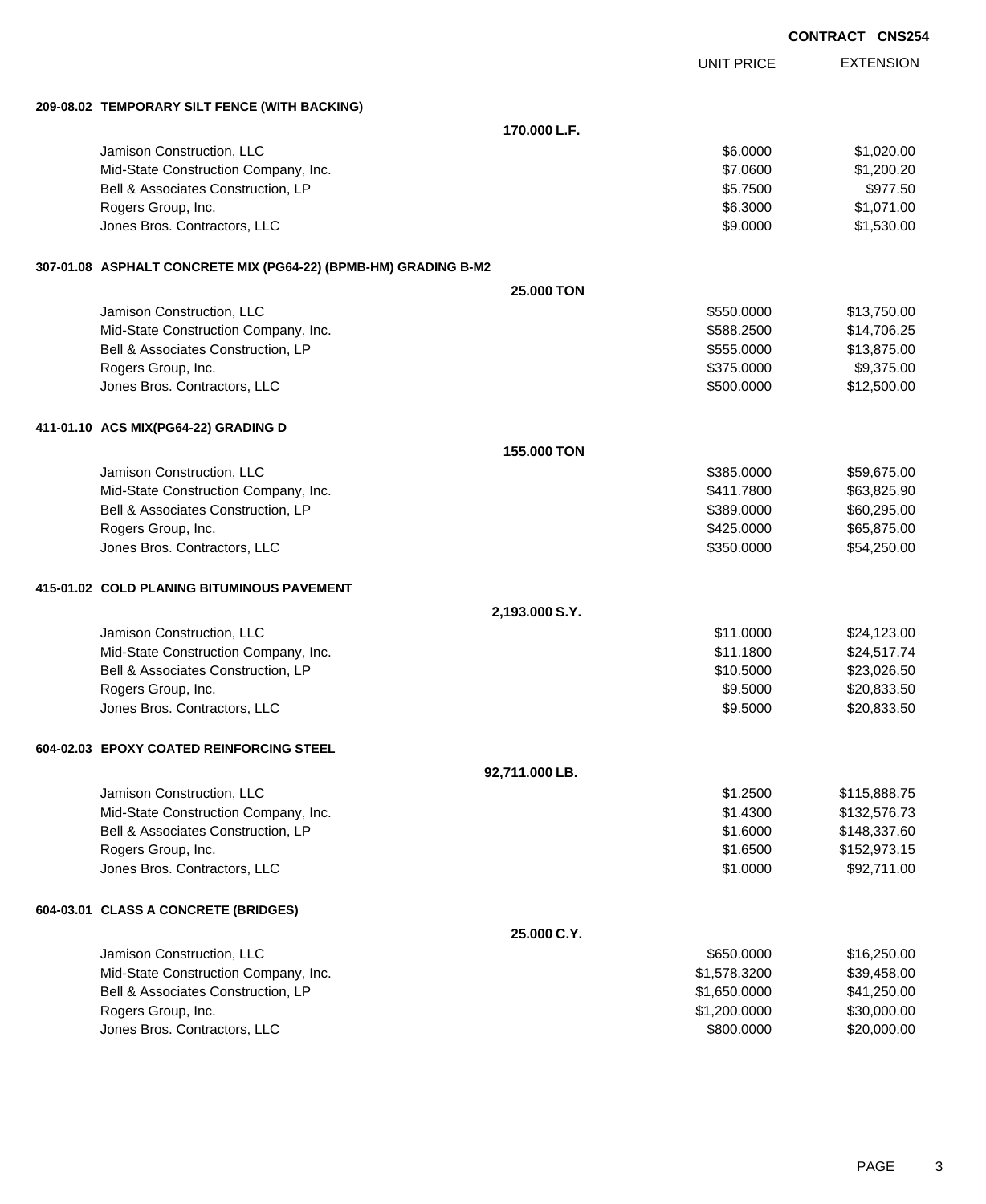|                                                                 |                   |                   | <b>CONTRACT CNS254</b> |
|-----------------------------------------------------------------|-------------------|-------------------|------------------------|
|                                                                 |                   | <b>UNIT PRICE</b> | <b>EXTENSION</b>       |
| 209-08.02 TEMPORARY SILT FENCE (WITH BACKING)                   |                   |                   |                        |
|                                                                 | 170.000 L.F.      |                   |                        |
| Jamison Construction, LLC                                       |                   | \$6.0000          | \$1,020.00             |
| Mid-State Construction Company, Inc.                            |                   | \$7.0600          | \$1,200.20             |
| Bell & Associates Construction, LP                              |                   | \$5.7500          | \$977.50               |
| Rogers Group, Inc.                                              |                   | \$6.3000          | \$1,071.00             |
| Jones Bros. Contractors, LLC                                    |                   | \$9.0000          | \$1,530.00             |
| 307-01.08 ASPHALT CONCRETE MIX (PG64-22) (BPMB-HM) GRADING B-M2 |                   |                   |                        |
|                                                                 | <b>25,000 TON</b> |                   |                        |
| Jamison Construction, LLC                                       |                   | \$550.0000        | \$13,750.00            |
| Mid-State Construction Company, Inc.                            |                   | \$588.2500        | \$14,706.25            |
| Bell & Associates Construction, LP                              |                   | \$555.0000        | \$13,875.00            |
| Rogers Group, Inc.                                              |                   | \$375.0000        | \$9,375.00             |
| Jones Bros. Contractors, LLC                                    |                   | \$500.0000        | \$12,500.00            |
| 411-01.10 ACS MIX(PG64-22) GRADING D                            |                   |                   |                        |
|                                                                 | 155.000 TON       |                   |                        |
| Jamison Construction, LLC                                       |                   | \$385.0000        | \$59,675.00            |
| Mid-State Construction Company, Inc.                            |                   | \$411.7800        | \$63,825.90            |
| Bell & Associates Construction, LP                              |                   | \$389.0000        | \$60,295.00            |
| Rogers Group, Inc.                                              |                   | \$425.0000        | \$65,875.00            |
| Jones Bros. Contractors, LLC                                    |                   | \$350.0000        | \$54,250.00            |
| 415-01.02 COLD PLANING BITUMINOUS PAVEMENT                      |                   |                   |                        |
|                                                                 | 2,193.000 S.Y.    |                   |                        |
| Jamison Construction, LLC                                       |                   | \$11.0000         | \$24,123.00            |
| Mid-State Construction Company, Inc.                            |                   | \$11.1800         | \$24,517.74            |
| Bell & Associates Construction, LP                              |                   | \$10.5000         | \$23,026.50            |
| Rogers Group, Inc.                                              |                   | \$9.5000          | \$20,833.50            |
| Jones Bros. Contractors, LLC                                    |                   | \$9.5000          | \$20,833.50            |
| 604-02.03 EPOXY COATED REINFORCING STEEL                        |                   |                   |                        |
|                                                                 | 92,711.000 LB.    |                   |                        |
| Jamison Construction, LLC                                       |                   | \$1.2500          | \$115,888.75           |
| Mid-State Construction Company, Inc.                            |                   | \$1.4300          | \$132,576.73           |
| Bell & Associates Construction, LP                              |                   | \$1.6000          | \$148,337.60           |
| Rogers Group, Inc.                                              |                   | \$1.6500          | \$152,973.15           |
| Jones Bros. Contractors, LLC                                    |                   | \$1.0000          | \$92,711.00            |
| 604-03.01 CLASS A CONCRETE (BRIDGES)                            |                   |                   |                        |
|                                                                 | 25.000 C.Y.       |                   |                        |
| Jamison Construction, LLC                                       |                   | \$650.0000        | \$16,250.00            |
| Mid-State Construction Company, Inc.                            |                   | \$1,578.3200      | \$39,458.00            |
| Bell & Associates Construction, LP                              |                   | \$1,650.0000      | \$41,250.00            |
| Rogers Group, Inc.                                              |                   | \$1,200.0000      | \$30,000.00            |
| Jones Bros. Contractors, LLC                                    |                   | \$800.0000        | \$20,000.00            |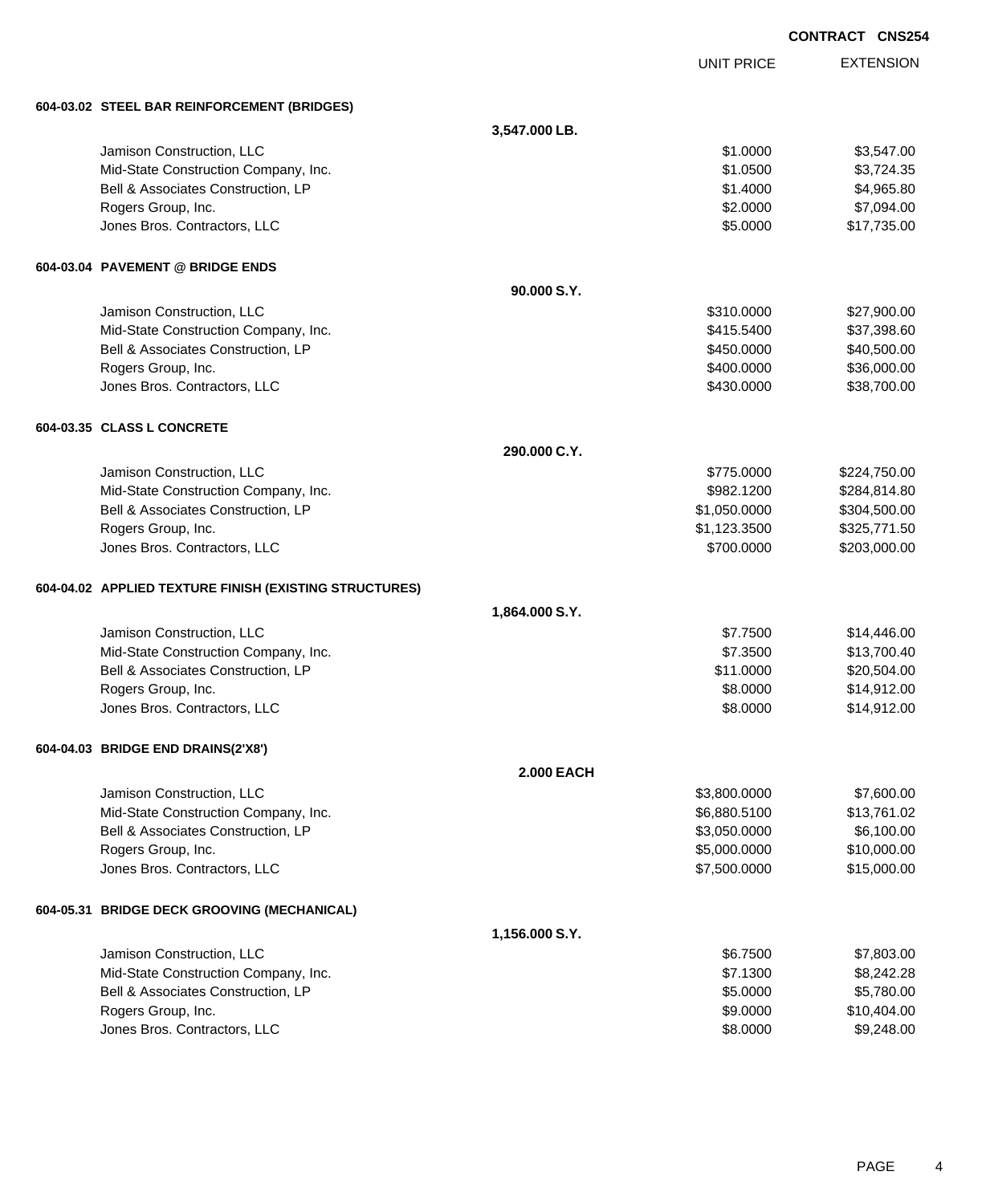|                                                        |                   |                   | <b>CONTRACT CNS254</b> |
|--------------------------------------------------------|-------------------|-------------------|------------------------|
|                                                        |                   | <b>UNIT PRICE</b> | <b>EXTENSION</b>       |
| 604-03.02 STEEL BAR REINFORCEMENT (BRIDGES)            |                   |                   |                        |
|                                                        | 3,547.000 LB.     |                   |                        |
| Jamison Construction, LLC                              |                   | \$1.0000          | \$3,547.00             |
| Mid-State Construction Company, Inc.                   |                   | \$1.0500          | \$3,724.35             |
| Bell & Associates Construction, LP                     |                   | \$1.4000          | \$4,965.80             |
| Rogers Group, Inc.                                     |                   | \$2.0000          | \$7,094.00             |
| Jones Bros. Contractors, LLC                           |                   | \$5.0000          | \$17,735.00            |
| 604-03.04 PAVEMENT @ BRIDGE ENDS                       |                   |                   |                        |
|                                                        | 90.000 S.Y.       |                   |                        |
| Jamison Construction, LLC                              |                   | \$310.0000        | \$27,900.00            |
| Mid-State Construction Company, Inc.                   |                   | \$415.5400        | \$37,398.60            |
| Bell & Associates Construction, LP                     |                   | \$450.0000        | \$40,500.00            |
| Rogers Group, Inc.                                     |                   | \$400.0000        | \$36,000.00            |
| Jones Bros. Contractors, LLC                           |                   | \$430.0000        | \$38,700.00            |
| 604-03.35 CLASS L CONCRETE                             |                   |                   |                        |
|                                                        | 290.000 C.Y.      |                   |                        |
| Jamison Construction, LLC                              |                   | \$775.0000        | \$224,750.00           |
| Mid-State Construction Company, Inc.                   |                   | \$982.1200        | \$284,814.80           |
| Bell & Associates Construction, LP                     |                   | \$1,050.0000      | \$304,500.00           |
| Rogers Group, Inc.                                     |                   | \$1,123.3500      | \$325,771.50           |
| Jones Bros. Contractors, LLC                           |                   | \$700.0000        | \$203,000.00           |
| 604-04.02 APPLIED TEXTURE FINISH (EXISTING STRUCTURES) |                   |                   |                        |
|                                                        | 1,864.000 S.Y.    |                   |                        |
| Jamison Construction, LLC                              |                   | \$7.7500          | \$14,446.00            |
| Mid-State Construction Company, Inc.                   |                   | \$7.3500          | \$13,700.40            |
| Bell & Associates Construction, LP                     |                   | \$11.0000         | \$20,504.00            |
| Rogers Group, Inc.                                     |                   | \$8.0000          | \$14,912.00            |
| Jones Bros. Contractors, LLC                           |                   | \$8.0000          | \$14,912.00            |
| 604-04.03 BRIDGE END DRAINS(2'X8')                     |                   |                   |                        |
|                                                        | <b>2.000 EACH</b> |                   |                        |
| Jamison Construction, LLC                              |                   | \$3,800.0000      | \$7,600.00             |
| Mid-State Construction Company, Inc.                   |                   | \$6,880.5100      | \$13,761.02            |
| Bell & Associates Construction, LP                     |                   | \$3,050.0000      | \$6,100.00             |
| Rogers Group, Inc.                                     |                   | \$5,000.0000      | \$10,000.00            |
| Jones Bros. Contractors, LLC                           |                   | \$7,500.0000      | \$15,000.00            |
| 604-05.31 BRIDGE DECK GROOVING (MECHANICAL)            |                   |                   |                        |
|                                                        | 1,156.000 S.Y.    |                   |                        |
| Jamison Construction, LLC                              |                   | \$6.7500          | \$7,803.00             |
| Mid-State Construction Company, Inc.                   |                   | \$7.1300          | \$8,242.28             |
| Bell & Associates Construction, LP                     |                   | \$5.0000          | \$5,780.00             |
| Rogers Group, Inc.                                     |                   | \$9.0000          | \$10,404.00            |

dones Bros. Contractors, LLC 6.0000 \$9,248.00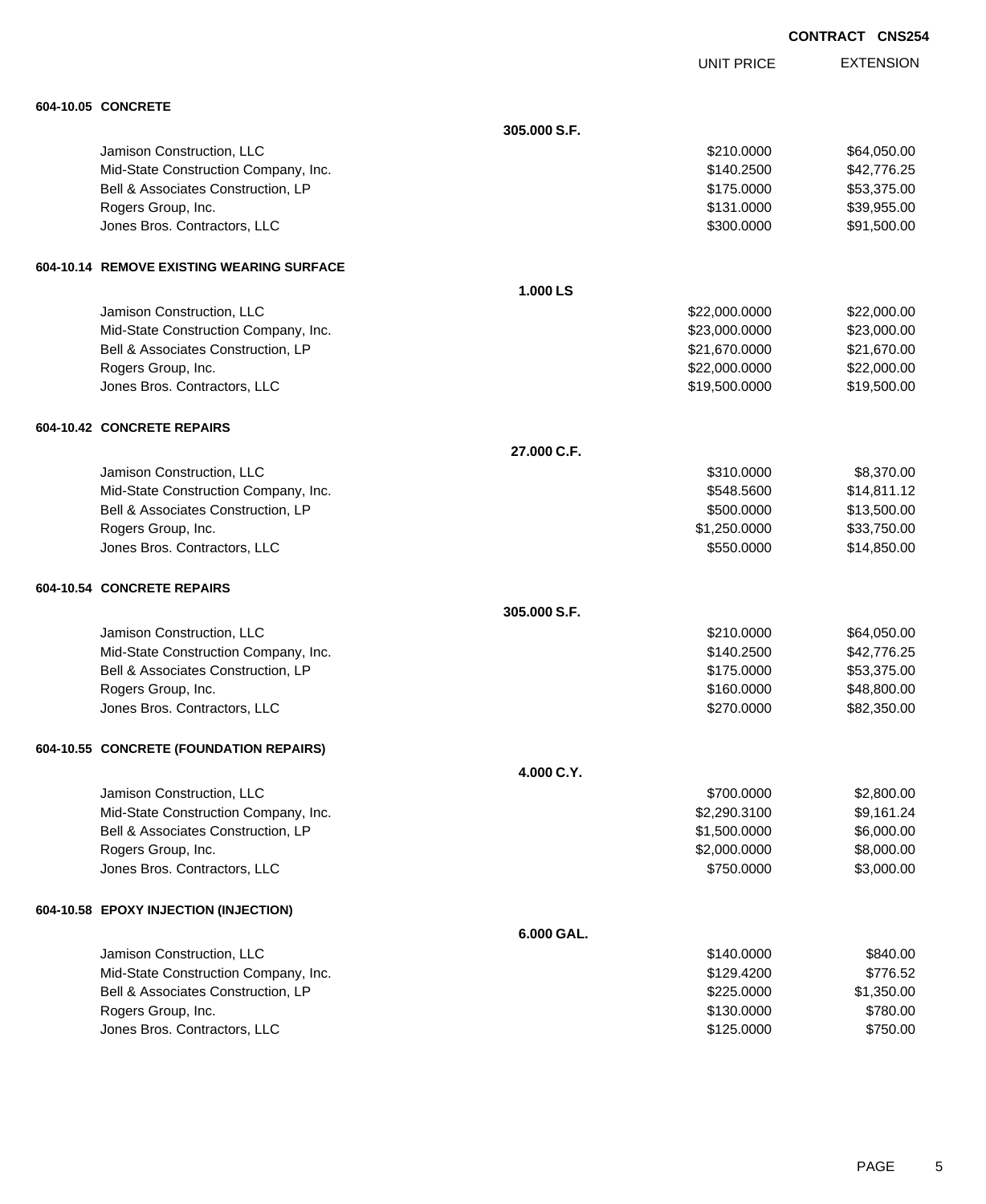| <b>CONTRACT</b> | <b>CNS254</b> |
|-----------------|---------------|
|-----------------|---------------|

UNIT PRICE EXTENSION

| 604-10.05 CONCRETE                        |              |               |             |
|-------------------------------------------|--------------|---------------|-------------|
|                                           | 305.000 S.F. |               |             |
| Jamison Construction, LLC                 |              | \$210,0000    | \$64,050.00 |
| Mid-State Construction Company, Inc.      |              | \$140.2500    | \$42,776.25 |
| Bell & Associates Construction, LP        |              | \$175.0000    | \$53,375.00 |
| Rogers Group, Inc.                        |              | \$131.0000    | \$39,955.00 |
| Jones Bros. Contractors, LLC              |              | \$300.0000    | \$91,500.00 |
| 604-10.14 REMOVE EXISTING WEARING SURFACE |              |               |             |
|                                           | 1.000 LS     |               |             |
| Jamison Construction, LLC                 |              | \$22,000.0000 | \$22,000.00 |
| Mid-State Construction Company, Inc.      |              | \$23,000.0000 | \$23,000.00 |
| Bell & Associates Construction, LP        |              | \$21,670.0000 | \$21,670.00 |
| Rogers Group, Inc.                        |              | \$22,000.0000 | \$22,000.00 |
| Jones Bros. Contractors, LLC              |              | \$19,500.0000 | \$19,500.00 |
| 604-10.42 CONCRETE REPAIRS                |              |               |             |
|                                           | 27.000 C.F.  |               |             |
| Jamison Construction, LLC                 |              | \$310.0000    | \$8,370.00  |
| Mid-State Construction Company, Inc.      |              | \$548.5600    | \$14,811.12 |
| Bell & Associates Construction, LP        |              | \$500.0000    | \$13,500.00 |
| Rogers Group, Inc.                        |              | \$1,250.0000  | \$33,750.00 |
| Jones Bros. Contractors, LLC              |              | \$550.0000    | \$14,850.00 |
| 604-10.54 CONCRETE REPAIRS                |              |               |             |
|                                           | 305.000 S.F. |               |             |
| Jamison Construction, LLC                 |              | \$210.0000    | \$64,050.00 |
| Mid-State Construction Company, Inc.      |              | \$140.2500    | \$42,776.25 |
| Bell & Associates Construction, LP        |              | \$175.0000    | \$53,375.00 |
| Rogers Group, Inc.                        |              | \$160.0000    | \$48,800.00 |
| Jones Bros. Contractors, LLC              |              | \$270.0000    | \$82,350.00 |
| 604-10.55 CONCRETE (FOUNDATION REPAIRS)   |              |               |             |
|                                           | 4.000 C.Y    |               |             |
| Jamison Construction, LLC                 |              | \$700.0000    | \$2,800.00  |
| Mid-State Construction Company, Inc.      |              | \$2,290.3100  | \$9,161.24  |
| Bell & Associates Construction, LP        |              | \$1,500.0000  | \$6,000.00  |
| Rogers Group, Inc.                        |              | \$2,000.0000  | \$8,000.00  |
| Jones Bros. Contractors, LLC              |              | \$750.0000    | \$3,000.00  |
| 604-10.58 EPOXY INJECTION (INJECTION)     |              |               |             |
|                                           | 6.000 GAL.   |               |             |
| Jamison Construction, LLC                 |              | \$140.0000    | \$840.00    |
| Mid-State Construction Company, Inc.      |              | \$129.4200    | \$776.52    |
| Bell & Associates Construction, LP        |              | \$225.0000    | \$1,350.00  |
| Rogers Group, Inc.                        |              | \$130.0000    | \$780.00    |
| Jones Bros. Contractors, LLC              |              | \$125.0000    | \$750.00    |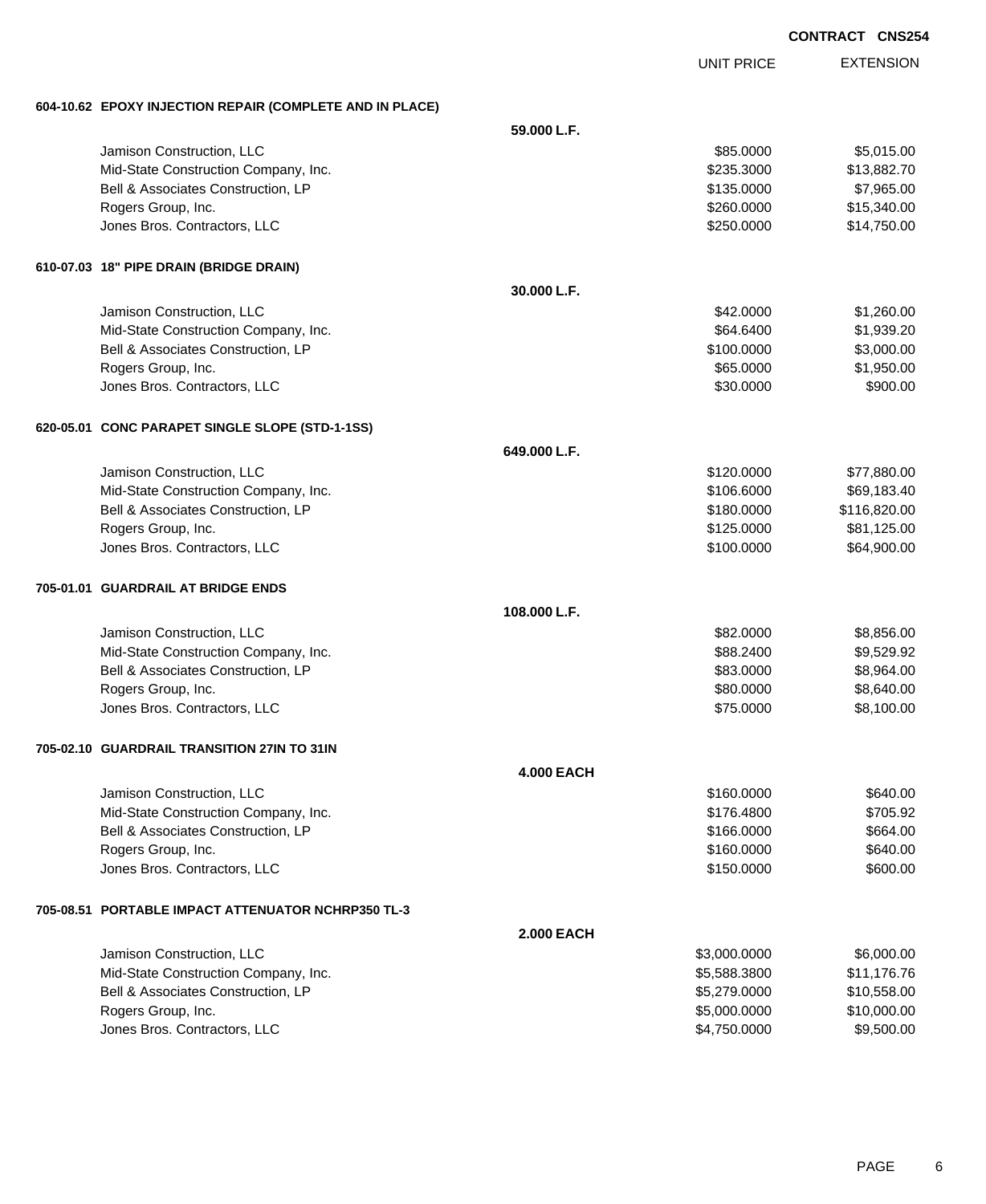EXTENSION UNIT PRICE **604-10.62 EPOXY INJECTION REPAIR (COMPLETE AND IN PLACE) 59.000 L.F.** Jamison Construction, LLC 60000 \$5,015.00 Mid-State Construction Company, Inc. 6. The Construction Company, Inc. 6. The Construction Company, Inc. 6. The Construction Company, Inc. 6. The Construction Company, Inc. 6. The Construction Company, Inc. 6. The Construc Bell & Associates Construction, LP 65.000 \$7,965.00 Rogers Group, Inc. \$15,340.00 \$15,340.00 \$15,340.00 \$15,340.00 \$15,340.00 \$15,340.00 \$15,340.00 \$15,340.00 \$15 Jones Bros. Contractors, LLC \$250.0000 \$14,750.00 **610-07.03 18" PIPE DRAIN (BRIDGE DRAIN) 30.000 L.F.** Jamison Construction, LLC 66 (1,260.00) \$1,260.00 Mid-State Construction Company, Inc. 664.6400 \$1,939.20 Bell & Associates Construction, LP 66 and the state of the state of the state of the state of the state of the state of the state of the state of the state of the state of the state of the state of the state of the state o Rogers Group, Inc. \$1,950.00 \$1,950.00 \$1,950.00 \$1,950.00 \$1,950.00 \$1,950.00 \$1,950.00 \$1,950.00 \$1,950.00 \$1,950.00 \$1,950.00 \$1,950.00 \$1,950.00 \$1,950.00 \$1,950.00 \$1,950.00 \$1,950.00 \$1,950.00 \$1,950.00 \$1,950.00 \$1, Jones Bros. Contractors, LLC 66 and the state of the state of the state of the state of the state of the state of the state of the state of the state of the state of the state of the state of the state of the state of the **620-05.01 CONC PARAPET SINGLE SLOPE (STD-1-1SS) 649.000 L.F.** Jamison Construction, LLC \$120.0000 \$77,880.00 Mid-State Construction Company, Inc. 699, 183.40 Bell & Associates Construction, LP **\$180.000** \$116,820.00 Rogers Group, Inc. \$125.000 \$81,125.00 Jones Bros. Contractors, LLC \$100.0000 \$64,900.00 **705-01.01 GUARDRAIL AT BRIDGE ENDS 108.000 L.F.** Jamison Construction, LLC 60000 \$8,856.00 Mid-State Construction Company, Inc. 6. The Construction Company, Inc. 6. The Construction Company, Inc. 6. The Construction Company, Inc. 6. The Construction Company, Inc. 6. The Construction Company, Inc. 6. The Construc Bell & Associates Construction, LP 683.0000 \$8,964.00 Rogers Group, Inc. \$80.000 \$8,640.00 Jones Bros. Contractors, LLC \$75.0000 \$8,100.00 **705-02.10 GUARDRAIL TRANSITION 27IN TO 31IN 4.000 EACH** Jamison Construction, LLC 6640.000 \$640.00 Mid-State Construction Company, Inc. 6. The Construction Company, Inc. 6. The Construction Company, Inc. 6. The Construction Company, Inc. 6. The Construction Company, Inc. 6. The Construction Company, Inc. 6. The Construc Bell & Associates Construction, LP 664.000 \$664.00 Rogers Group, Inc. \$640.00 \$6540.00 \$640.00 \$640.00 \$640.00 \$6540.00 \$6540.00 \$6540.00 \$6540.00 \$6540.00 \$6540 dones Bros. Contractors, LLC 6600.00 \$600.00 \$600.00 **705-08.51 PORTABLE IMPACT ATTENUATOR NCHRP350 TL-3 2.000 EACH** Jamison Construction, LLC \$3,000.0000 \$6,000.00 Mid-State Construction Company, Inc. 6. The Construction Company, Inc.  $$5,588.3800$  \$11,176.76 Bell & Associates Construction, LP 610,558.00 Rogers Group, Inc. \$10,000.000 \$10,000.00 \$10,000.00 \$10,000.00 \$10,000.00 \$10,000.00 \$10,000.00 \$10,000.00 \$10

dones Bros. Contractors, LLC 66 and the state of the state of the state of the state of the state of the state of the state of the state of the state of the state of the state of the state of the state of the state of the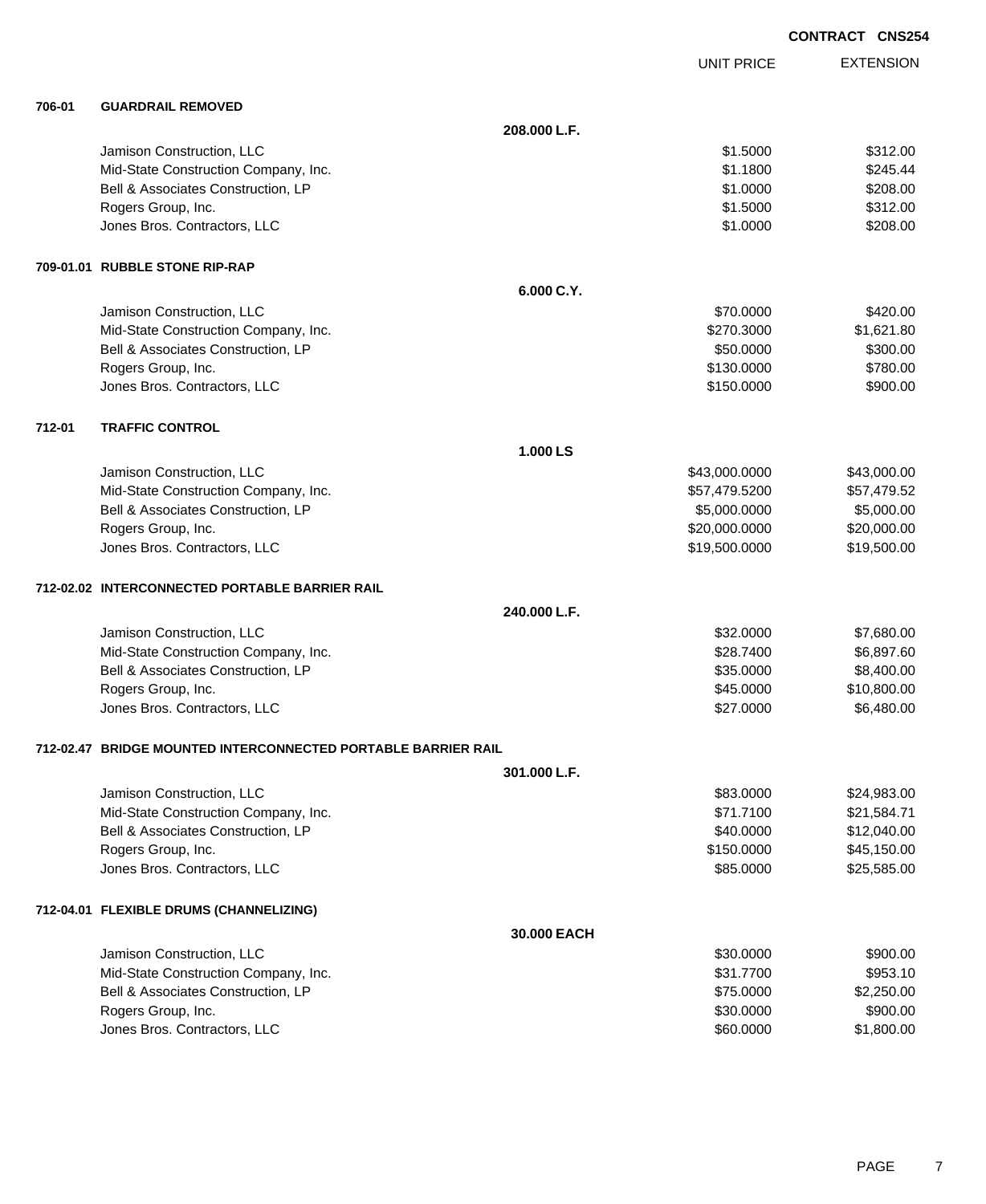|        |                                                               |              |                   | <b>CONTRACT CNS254</b> |
|--------|---------------------------------------------------------------|--------------|-------------------|------------------------|
|        |                                                               |              | <b>UNIT PRICE</b> | <b>EXTENSION</b>       |
| 706-01 | <b>GUARDRAIL REMOVED</b>                                      |              |                   |                        |
|        |                                                               | 208.000 L.F. |                   |                        |
|        | Jamison Construction, LLC                                     |              | \$1.5000          | \$312.00               |
|        | Mid-State Construction Company, Inc.                          |              | \$1.1800          | \$245.44               |
|        | Bell & Associates Construction, LP                            |              | \$1.0000          | \$208.00               |
|        | Rogers Group, Inc.                                            |              | \$1.5000          | \$312.00               |
|        | Jones Bros. Contractors, LLC                                  |              | \$1.0000          | \$208.00               |
|        | 709-01.01 RUBBLE STONE RIP-RAP                                |              |                   |                        |
|        |                                                               | 6.000 C.Y.   |                   |                        |
|        | Jamison Construction, LLC                                     |              | \$70.0000         | \$420.00               |
|        | Mid-State Construction Company, Inc.                          |              | \$270.3000        | \$1,621.80             |
|        | Bell & Associates Construction, LP                            |              | \$50.0000         | \$300.00               |
|        | Rogers Group, Inc.                                            |              | \$130.0000        | \$780.00               |
|        | Jones Bros. Contractors, LLC                                  |              | \$150.0000        | \$900.00               |
| 712-01 | <b>TRAFFIC CONTROL</b>                                        |              |                   |                        |
|        |                                                               | 1.000 LS     |                   |                        |
|        | Jamison Construction, LLC                                     |              | \$43,000.0000     | \$43,000.00            |
|        | Mid-State Construction Company, Inc.                          |              | \$57,479.5200     | \$57,479.52            |
|        | Bell & Associates Construction, LP                            |              | \$5,000.0000      | \$5,000.00             |
|        | Rogers Group, Inc.                                            |              | \$20,000.0000     | \$20,000.00            |
|        | Jones Bros. Contractors, LLC                                  |              | \$19,500.0000     | \$19,500.00            |
|        | 712-02.02 INTERCONNECTED PORTABLE BARRIER RAIL                |              |                   |                        |
|        |                                                               | 240.000 L.F. |                   |                        |
|        | Jamison Construction, LLC                                     |              | \$32.0000         | \$7,680.00             |
|        | Mid-State Construction Company, Inc.                          |              | \$28.7400         | \$6,897.60             |
|        | Bell & Associates Construction, LP                            |              | \$35.0000         | \$8,400.00             |
|        | Rogers Group, Inc.                                            |              | \$45.0000         | \$10,800.00            |
|        | Jones Bros. Contractors, LLC                                  |              | \$27.0000         | \$6,480.00             |
|        | 712-02.47 BRIDGE MOUNTED INTERCONNECTED PORTABLE BARRIER RAIL |              |                   |                        |
|        |                                                               | 301.000 L.F. |                   |                        |
|        | Jamison Construction, LLC                                     |              | \$83.0000         | \$24,983.00            |
|        | Mid-State Construction Company, Inc.                          |              | \$71.7100         | \$21,584.71            |
|        | Bell & Associates Construction, LP                            |              | \$40.0000         | \$12,040.00            |
|        | Rogers Group, Inc.                                            |              | \$150.0000        | \$45,150.00            |
|        | Jones Bros. Contractors, LLC                                  |              | \$85.0000         | \$25,585.00            |
|        | 712-04.01 FLEXIBLE DRUMS (CHANNELIZING)                       |              |                   |                        |
|        |                                                               | 30.000 EACH  |                   |                        |
|        | Jamison Construction, LLC                                     |              | \$30.0000         | \$900.00               |
|        | Mid-State Construction Company, Inc.                          |              | \$31.7700         | \$953.10               |
|        | Bell & Associates Construction, LP                            |              | \$75.0000         | \$2,250.00             |
|        | Rogers Group, Inc.                                            |              | \$30.0000         | \$900.00               |

Unnes Bros. Contractors, LLC 60.0000 \$1,800.00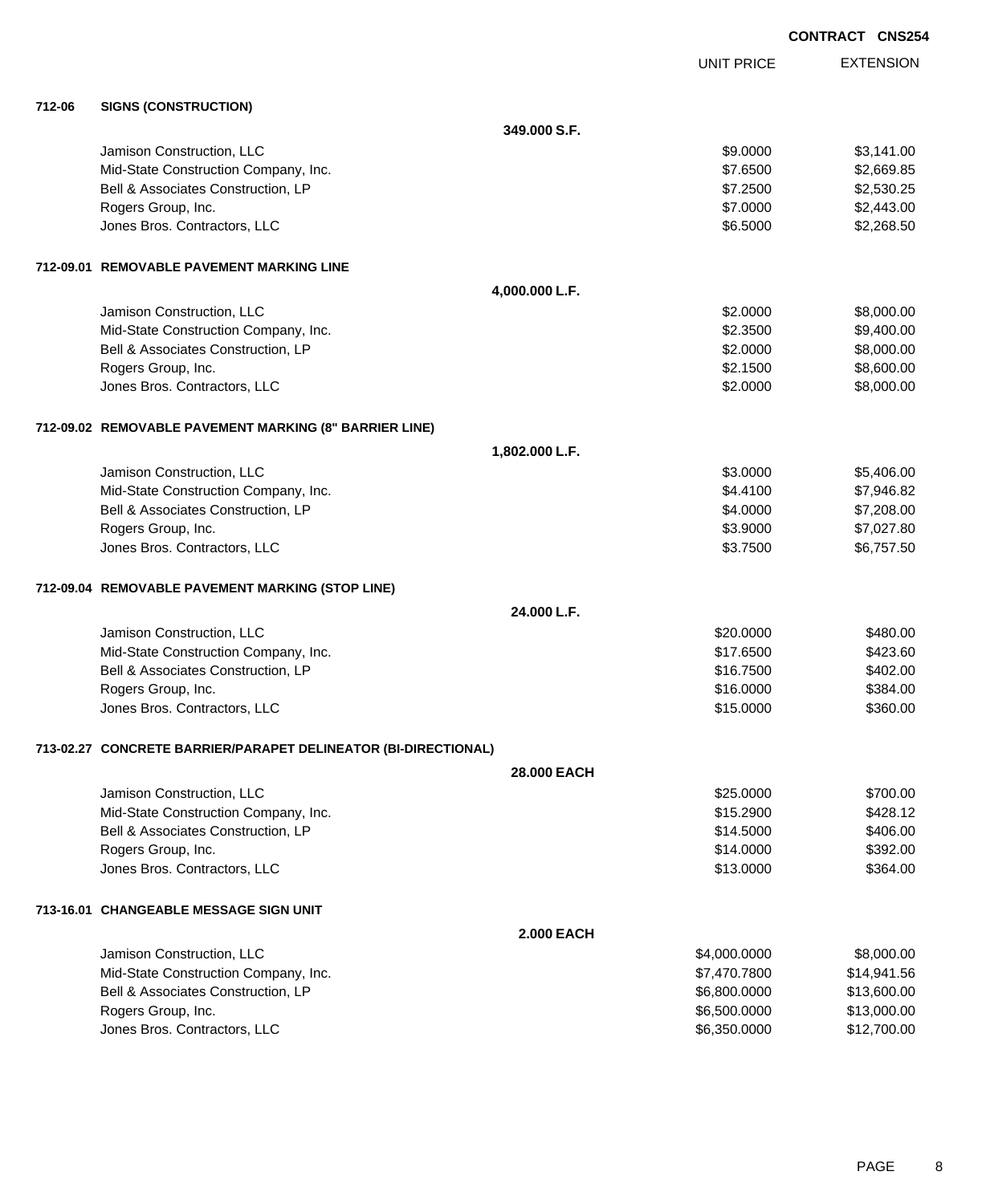|        |                                                                |                   |                   | <b>CONTRACT CNS254</b> |                  |
|--------|----------------------------------------------------------------|-------------------|-------------------|------------------------|------------------|
|        |                                                                |                   | <b>UNIT PRICE</b> |                        | <b>EXTENSION</b> |
| 712-06 | <b>SIGNS (CONSTRUCTION)</b>                                    |                   |                   |                        |                  |
|        |                                                                | 349.000 S.F.      |                   |                        |                  |
|        | Jamison Construction, LLC                                      |                   | \$9.0000          |                        | \$3,141.00       |
|        | Mid-State Construction Company, Inc.                           |                   | \$7.6500          |                        | \$2,669.85       |
|        | Bell & Associates Construction, LP                             |                   | \$7.2500          |                        | \$2,530.25       |
|        | Rogers Group, Inc.                                             |                   | \$7.0000          |                        | \$2,443.00       |
|        | Jones Bros. Contractors, LLC                                   |                   | \$6.5000          |                        | \$2,268.50       |
|        | 712-09.01 REMOVABLE PAVEMENT MARKING LINE                      |                   |                   |                        |                  |
|        |                                                                | 4,000.000 L.F.    |                   |                        |                  |
|        | Jamison Construction, LLC                                      |                   | \$2.0000          |                        | \$8,000.00       |
|        | Mid-State Construction Company, Inc.                           |                   | \$2.3500          |                        | \$9,400.00       |
|        | Bell & Associates Construction, LP                             |                   | \$2.0000          |                        | \$8,000.00       |
|        | Rogers Group, Inc.                                             |                   | \$2.1500          |                        | \$8,600.00       |
|        | Jones Bros. Contractors, LLC                                   |                   | \$2.0000          |                        | \$8,000.00       |
|        | 712-09.02 REMOVABLE PAVEMENT MARKING (8" BARRIER LINE)         |                   |                   |                        |                  |
|        |                                                                | 1,802.000 L.F.    |                   |                        |                  |
|        | Jamison Construction, LLC                                      |                   | \$3.0000          |                        | \$5,406.00       |
|        | Mid-State Construction Company, Inc.                           |                   | \$4.4100          |                        | \$7,946.82       |
|        | Bell & Associates Construction, LP                             |                   | \$4.0000          |                        | \$7,208.00       |
|        | Rogers Group, Inc.                                             |                   | \$3.9000          |                        | \$7,027.80       |
|        | Jones Bros. Contractors, LLC                                   |                   | \$3.7500          |                        | \$6,757.50       |
|        | 712-09.04 REMOVABLE PAVEMENT MARKING (STOP LINE)               |                   |                   |                        |                  |
|        |                                                                | 24.000 L.F.       |                   |                        |                  |
|        | Jamison Construction, LLC                                      |                   | \$20.0000         |                        | \$480.00         |
|        | Mid-State Construction Company, Inc.                           |                   | \$17.6500         |                        | \$423.60         |
|        | Bell & Associates Construction, LP                             |                   | \$16.7500         |                        | \$402.00         |
|        | Rogers Group, Inc.                                             |                   | \$16.0000         |                        | \$384.00         |
|        | Jones Bros. Contractors, LLC                                   |                   | \$15.0000         |                        | \$360.00         |
|        | 713-02.27 CONCRETE BARRIER/PARAPET DELINEATOR (BI-DIRECTIONAL) |                   |                   |                        |                  |
|        |                                                                | 28.000 EACH       |                   |                        |                  |
|        | Jamison Construction, LLC                                      |                   | \$25.0000         |                        | \$700.00         |
|        | Mid-State Construction Company, Inc.                           |                   | \$15.2900         |                        | \$428.12         |
|        | Bell & Associates Construction, LP                             |                   | \$14.5000         |                        | \$406.00         |
|        | Rogers Group, Inc.                                             |                   | \$14.0000         |                        | \$392.00         |
|        | Jones Bros. Contractors, LLC                                   |                   | \$13.0000         |                        | \$364.00         |
|        | 713-16.01 CHANGEABLE MESSAGE SIGN UNIT                         |                   |                   |                        |                  |
|        |                                                                | <b>2.000 EACH</b> |                   |                        |                  |
|        | Jamison Construction, LLC                                      |                   | \$4,000.0000      |                        | \$8,000.00       |
|        | Mid-State Construction Company, Inc.                           |                   | \$7,470.7800      |                        | \$14,941.56      |
|        | Bell & Associates Construction, LP                             |                   | \$6,800.0000      |                        | \$13,600.00      |

Rogers Group, Inc. \$6,500.0000 \$13,000.00

Jones Bros. Contractors, LLC 65,350.0000 \$6,350.0000 \$12,700.000 \$12,700.000 \$12,700.000 \$12,700.000 \$12,700.000 \$12,700.000 \$12,700.000 \$12,700.000 \$12,700.000 \$12,700.000 \$12,700.000 \$12,700.000 \$12,700.000 \$12,700.000 \$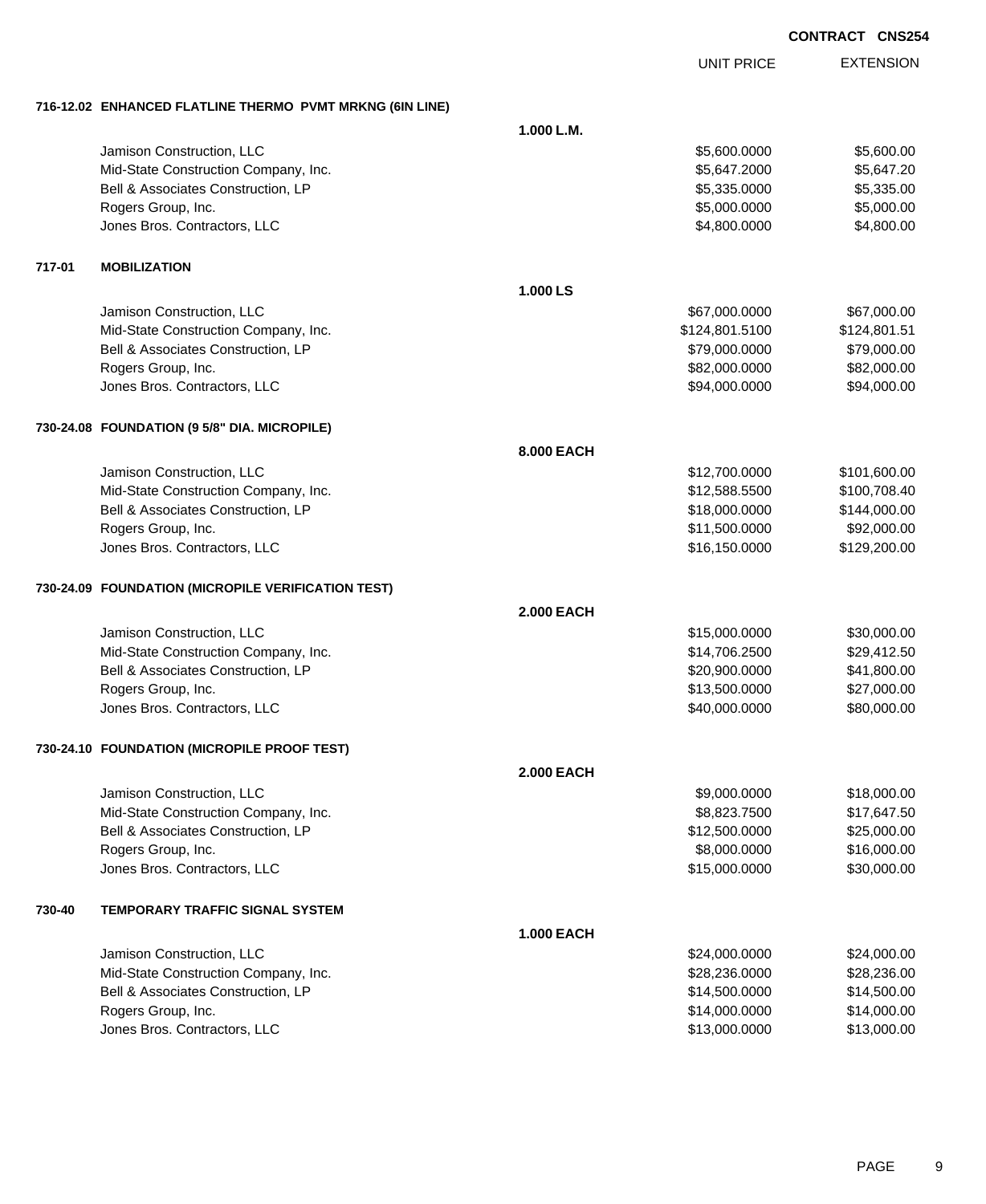|        |                                                          |                   | <b>UNIT PRICE</b> | <b>EXTENSION</b> |
|--------|----------------------------------------------------------|-------------------|-------------------|------------------|
|        | 716-12.02 ENHANCED FLATLINE THERMO PVMT MRKNG (6IN LINE) |                   |                   |                  |
|        |                                                          | 1.000 L.M.        |                   |                  |
|        | Jamison Construction, LLC                                |                   | \$5,600.0000      | \$5,600.00       |
|        | Mid-State Construction Company, Inc.                     |                   | \$5,647.2000      | \$5,647.20       |
|        | Bell & Associates Construction, LP                       |                   | \$5,335.0000      | \$5,335.00       |
|        | Rogers Group, Inc.                                       |                   | \$5,000.0000      | \$5,000.00       |
|        | Jones Bros. Contractors, LLC                             |                   | \$4,800.0000      | \$4,800.00       |
| 717-01 | <b>MOBILIZATION</b>                                      |                   |                   |                  |
|        |                                                          | 1.000 LS          |                   |                  |
|        | Jamison Construction, LLC                                |                   | \$67,000.0000     | \$67,000.00      |
|        | Mid-State Construction Company, Inc.                     |                   | \$124,801.5100    | \$124,801.51     |
|        | Bell & Associates Construction, LP                       |                   | \$79,000.0000     | \$79,000.00      |
|        | Rogers Group, Inc.                                       |                   | \$82,000.0000     | \$82,000.00      |
|        | Jones Bros. Contractors, LLC                             |                   | \$94,000.0000     | \$94,000.00      |
|        | 730-24.08 FOUNDATION (9 5/8" DIA. MICROPILE)             |                   |                   |                  |
|        |                                                          | 8.000 EACH        |                   |                  |
|        | Jamison Construction, LLC                                |                   | \$12,700.0000     | \$101,600.00     |
|        | Mid-State Construction Company, Inc.                     |                   | \$12,588.5500     | \$100,708.40     |
|        | Bell & Associates Construction, LP                       |                   | \$18,000.0000     | \$144,000.00     |
|        | Rogers Group, Inc.                                       |                   | \$11,500.0000     | \$92,000.00      |
|        | Jones Bros. Contractors, LLC                             |                   | \$16,150.0000     | \$129,200.00     |
|        | 730-24.09 FOUNDATION (MICROPILE VERIFICATION TEST)       |                   |                   |                  |
|        |                                                          | <b>2.000 EACH</b> |                   |                  |
|        | Jamison Construction, LLC                                |                   | \$15,000.0000     | \$30,000.00      |
|        | Mid-State Construction Company, Inc.                     |                   | \$14,706.2500     | \$29,412.50      |
|        | Bell & Associates Construction, LP                       |                   | \$20,900.0000     | \$41,800.00      |
|        | Rogers Group, Inc.                                       |                   | \$13,500.0000     | \$27,000.00      |
|        | Jones Bros. Contractors, LLC                             |                   | \$40,000.0000     | \$80,000.00      |
|        | 730-24.10 FOUNDATION (MICROPILE PROOF TEST)              |                   |                   |                  |
|        |                                                          | <b>2.000 EACH</b> |                   |                  |
|        | Jamison Construction, LLC                                |                   | \$9,000.0000      | \$18,000.00      |
|        | Mid-State Construction Company, Inc.                     |                   | \$8,823.7500      | \$17,647.50      |
|        | Bell & Associates Construction, LP                       |                   | \$12,500.0000     | \$25,000.00      |
|        | Rogers Group, Inc.                                       |                   | \$8,000.0000      | \$16,000.00      |
|        | Jones Bros. Contractors, LLC                             |                   | \$15,000.0000     | \$30,000.00      |
| 730-40 | <b>TEMPORARY TRAFFIC SIGNAL SYSTEM</b>                   |                   |                   |                  |
|        |                                                          | <b>1.000 EACH</b> |                   |                  |
|        | Jamison Construction, LLC                                |                   | \$24,000.0000     | \$24,000.00      |
|        | Mid-State Construction Company, Inc.                     |                   | \$28,236.0000     | \$28,236.00      |
|        | Bell & Associates Construction, LP                       |                   | \$14,500.0000     | \$14,500.00      |
|        | Rogers Group, Inc.                                       |                   | \$14,000.0000     | \$14,000.00      |
|        | Jones Bros. Contractors, LLC                             |                   | \$13,000.0000     | \$13,000.00      |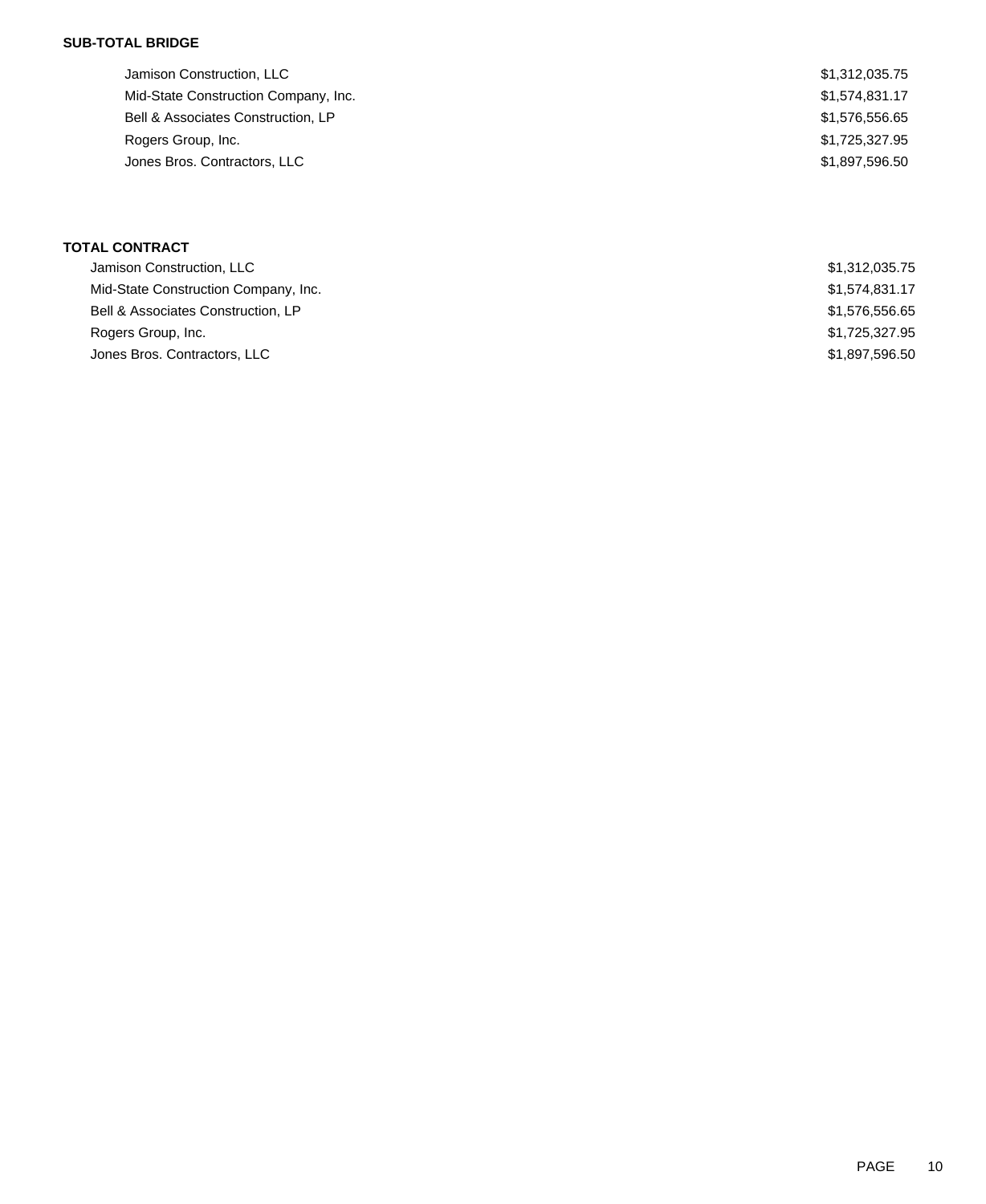### **SUB-TOTAL BRIDGE**

| Jamison Construction, LLC            | \$1,312,035.75 |
|--------------------------------------|----------------|
| Mid-State Construction Company, Inc. | \$1,574,831.17 |
| Bell & Associates Construction, LP   | \$1,576,556.65 |
| Rogers Group, Inc.                   | \$1,725,327.95 |
| Jones Bros. Contractors, LLC         | \$1,897,596.50 |
|                                      |                |

### **TOTAL CONTRACT**

| Jamison Construction, LLC            | \$1,312,035.75 |
|--------------------------------------|----------------|
| Mid-State Construction Company, Inc. | \$1,574,831.17 |
| Bell & Associates Construction, LP   | \$1,576,556.65 |
| Rogers Group, Inc.                   | \$1,725,327.95 |
| Jones Bros. Contractors, LLC         | \$1,897,596.50 |
|                                      |                |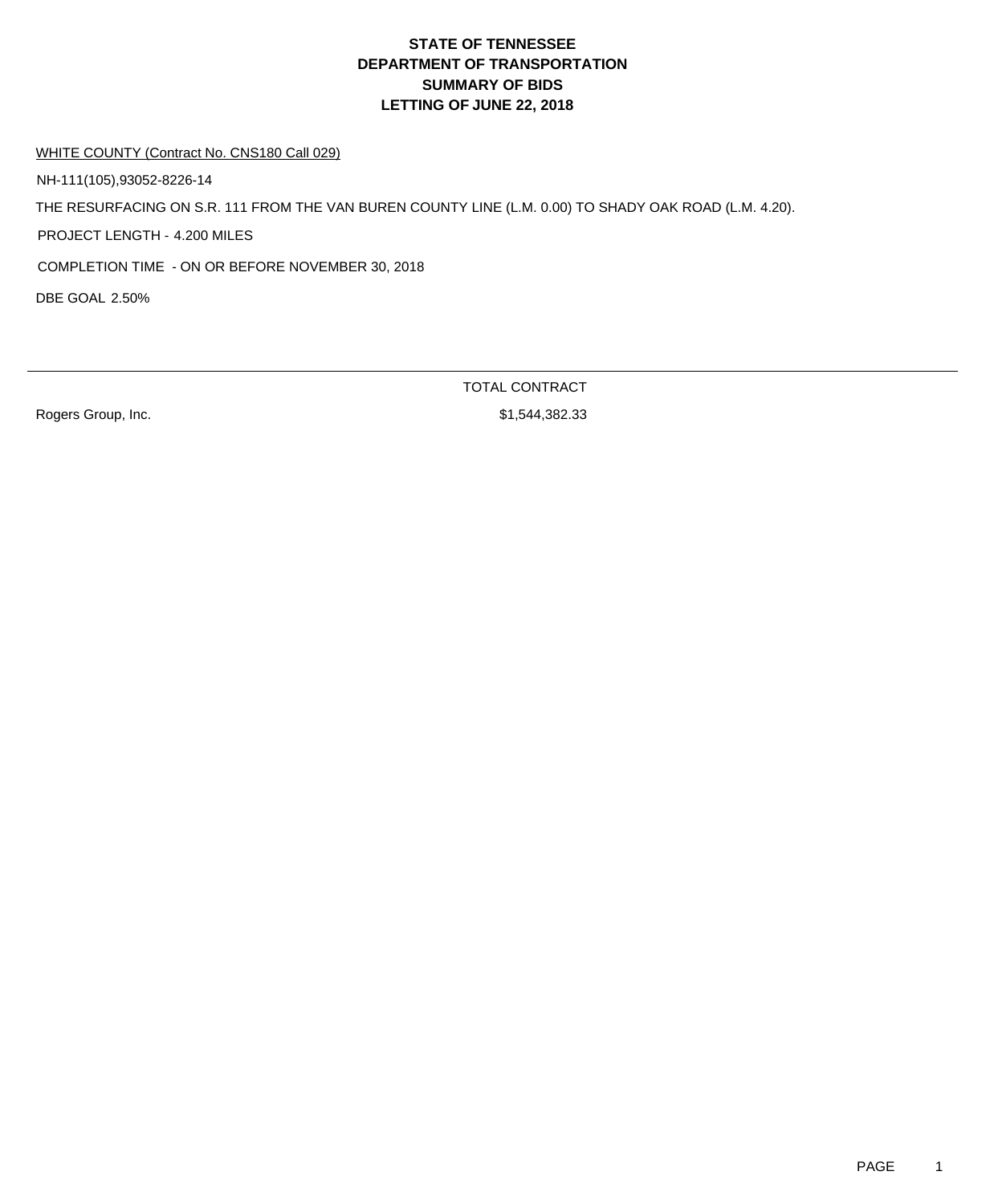WHITE COUNTY (Contract No. CNS180 Call 029)

NH-111(105),93052-8226-14

THE RESURFACING ON S.R. 111 FROM THE VAN BUREN COUNTY LINE (L.M. 0.00) TO SHADY OAK ROAD (L.M. 4.20).

PROJECT LENGTH - 4.200 MILES

COMPLETION TIME - ON OR BEFORE NOVEMBER 30, 2018

DBE GOAL 2.50%

Rogers Group, Inc. 6. The Second Studies of the Studies of St. 544,382.33

TOTAL CONTRACT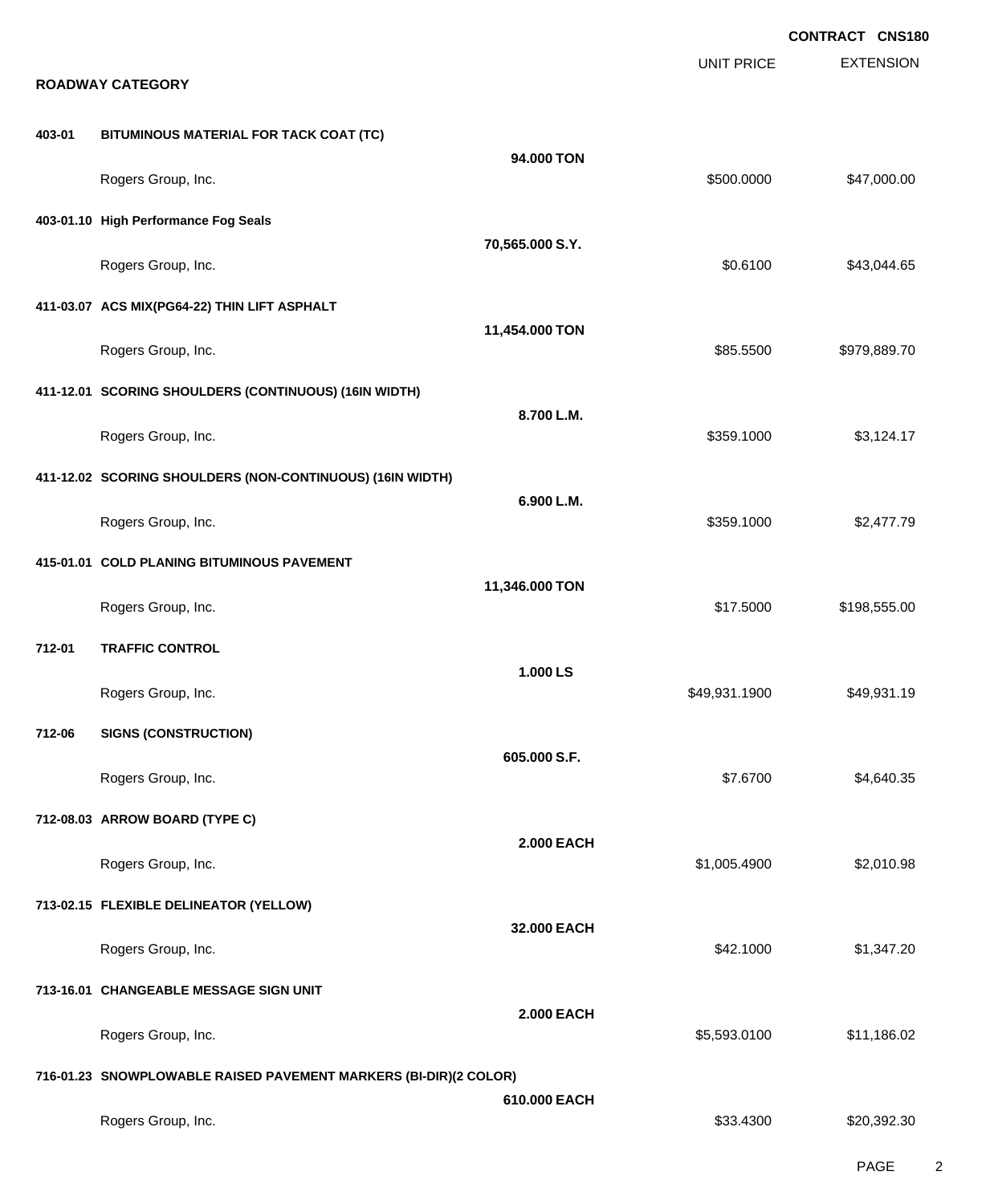**EXTENSION CONTRACT CNS180** UNIT PRICE **ROADWAY CATEGORY 403-01 BITUMINOUS MATERIAL FOR TACK COAT (TC) 94.000 TON** Rogers Group, Inc. \$47,000.00 \$47,000.00 \$47,000.00 \$500.000 \$47,000.00 \$500.000 \$47,000.00 **403-01.10 High Performance Fog Seals 70,565.000 S.Y.** Rogers Group, Inc. \$43,044.65 (\$2,044.65) The Second Second Street Second Street Second Street Second Street S **411-03.07 ACS MIX(PG64-22) THIN LIFT ASPHALT 11,454.000 TON** Rogers Group, Inc. \$85.5500 \$979,889.70 **411-12.01 SCORING SHOULDERS (CONTINUOUS) (16IN WIDTH) 8.700 L.M.** Rogers Group, Inc. \$3,124.17 **411-12.02 SCORING SHOULDERS (NON-CONTINUOUS) (16IN WIDTH) 6.900 L.M.** Rogers Group, Inc. \$359.1000 \$2,477.79 **415-01.01 COLD PLANING BITUMINOUS PAVEMENT 11,346.000 TON** Rogers Group, Inc. \$198,555.00 \$198,555.00 \$198,555.00 \$198,555.00 \$198,555.00 \$198,555.00 \$198,555.00 \$1 **712-01 TRAFFIC CONTROL 1.000 LS** Rogers Group, Inc. \$49,931.1900 \$49,931.1900 \$49,931.1900 **712-06 SIGNS (CONSTRUCTION) 605.000 S.F.** Rogers Group, Inc. \$1,640.35 **712-08.03 ARROW BOARD (TYPE C) 2.000 EACH** Rogers Group, Inc. \$1,005.4900 \$2,010.98 **713-02.15 FLEXIBLE DELINEATOR (YELLOW) 32.000 EACH** Rogers Group, Inc. \$1,347.20 **713-16.01 CHANGEABLE MESSAGE SIGN UNIT 2.000 EACH** Rogers Group, Inc. \$11,186.02 **716-01.23 SNOWPLOWABLE RAISED PAVEMENT MARKERS (BI-DIR)(2 COLOR) 610.000 EACH** Rogers Group, Inc. \$20,392.30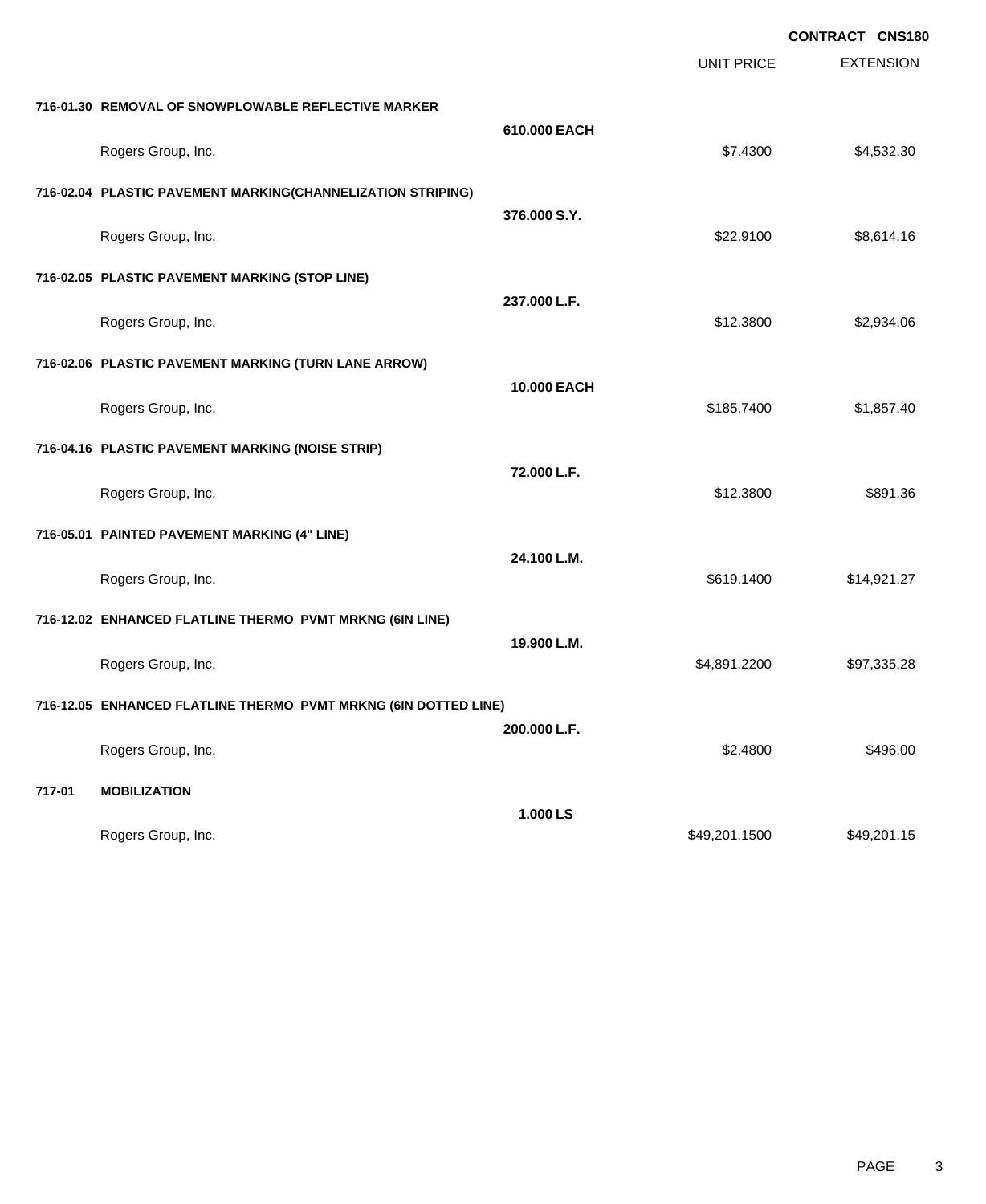|        |                                                                 |              |                   | <b>CONTRACT CNS180</b> |
|--------|-----------------------------------------------------------------|--------------|-------------------|------------------------|
|        |                                                                 |              | <b>UNIT PRICE</b> | <b>EXTENSION</b>       |
|        | 716-01.30 REMOVAL OF SNOWPLOWABLE REFLECTIVE MARKER             |              |                   |                        |
|        |                                                                 | 610.000 EACH |                   |                        |
|        | Rogers Group, Inc.                                              |              | \$7.4300          | \$4,532.30             |
|        | 716-02.04 PLASTIC PAVEMENT MARKING(CHANNELIZATION STRIPING)     |              |                   |                        |
|        |                                                                 | 376.000 S.Y. |                   |                        |
|        | Rogers Group, Inc.                                              |              | \$22.9100         | \$8,614.16             |
|        | 716-02.05 PLASTIC PAVEMENT MARKING (STOP LINE)                  |              |                   |                        |
|        | Rogers Group, Inc.                                              | 237.000 L.F. | \$12.3800         | \$2,934.06             |
|        |                                                                 |              |                   |                        |
|        | 716-02.06 PLASTIC PAVEMENT MARKING (TURN LANE ARROW)            |              |                   |                        |
|        | Rogers Group, Inc.                                              | 10.000 EACH  | \$185.7400        | \$1,857.40             |
|        |                                                                 |              |                   |                        |
|        | 716-04.16 PLASTIC PAVEMENT MARKING (NOISE STRIP)                | 72.000 L.F.  |                   |                        |
|        | Rogers Group, Inc.                                              |              | \$12.3800         | \$891.36               |
|        | 716-05.01 PAINTED PAVEMENT MARKING (4" LINE)                    |              |                   |                        |
|        |                                                                 | 24.100 L.M.  |                   |                        |
|        | Rogers Group, Inc.                                              |              | \$619.1400        | \$14,921.27            |
|        | 716-12.02 ENHANCED FLATLINE THERMO PVMT MRKNG (6IN LINE)        |              |                   |                        |
|        |                                                                 | 19.900 L.M.  |                   |                        |
|        | Rogers Group, Inc.                                              |              | \$4,891.2200      | \$97,335.28            |
|        | 716-12.05 ENHANCED FLATLINE THERMO PVMT MRKNG (6IN DOTTED LINE) |              |                   |                        |
|        |                                                                 | 200.000 L.F. |                   |                        |
|        | Rogers Group, Inc.                                              |              | \$2.4800          | \$496.00               |
| 717-01 | <b>MOBILIZATION</b>                                             |              |                   |                        |
|        |                                                                 | 1.000 LS     |                   |                        |
|        | Rogers Group, Inc.                                              |              | \$49,201.1500     | \$49,201.15            |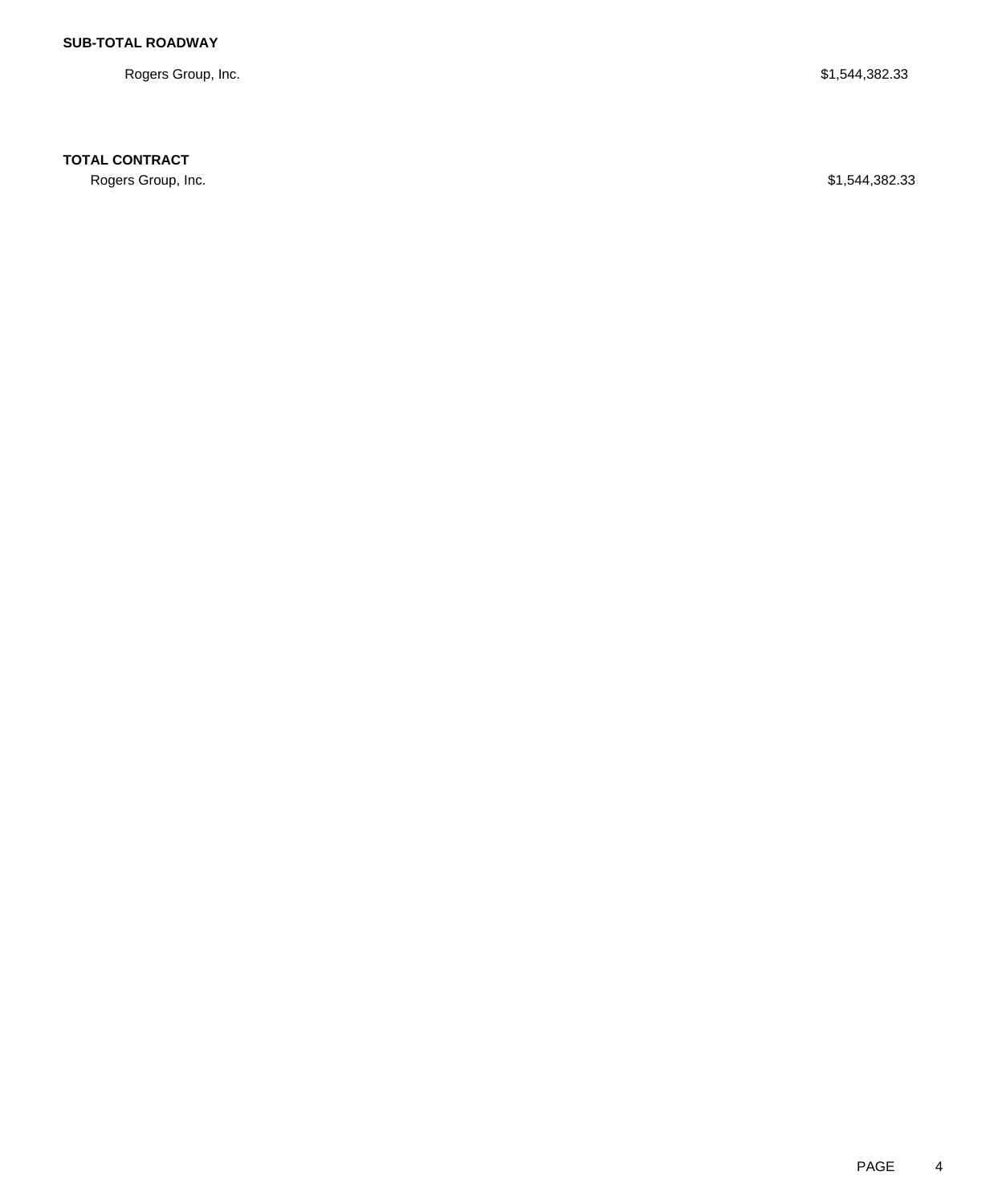Rogers Group, Inc. \$1,544,382.33

## **TOTAL CONTRACT**

Rogers Group, Inc. \$1,544,382.33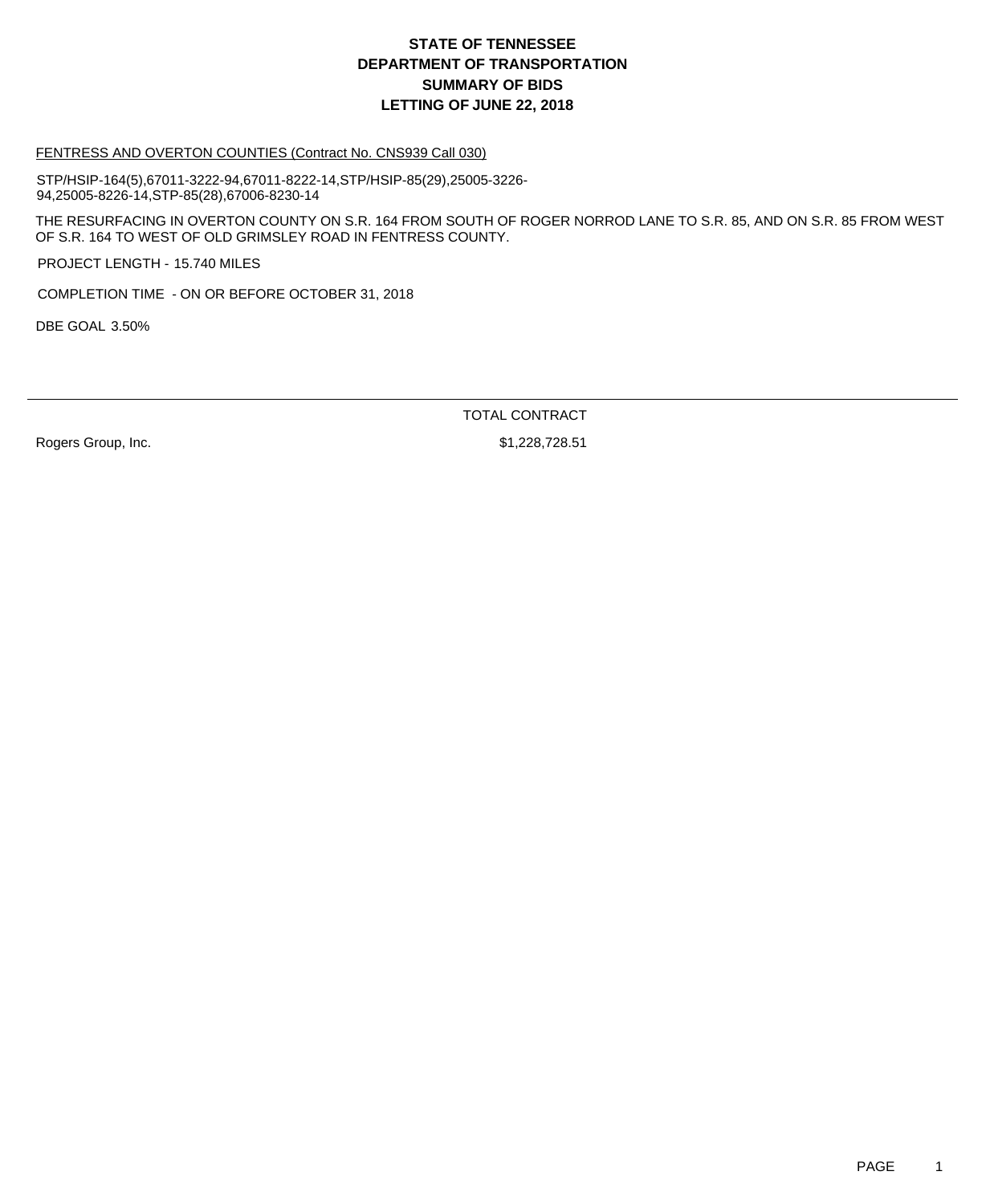#### FENTRESS AND OVERTON COUNTIES (Contract No. CNS939 Call 030)

STP/HSIP-164(5),67011-3222-94,67011-8222-14,STP/HSIP-85(29),25005-3226- 94,25005-8226-14,STP-85(28),67006-8230-14

THE RESURFACING IN OVERTON COUNTY ON S.R. 164 FROM SOUTH OF ROGER NORROD LANE TO S.R. 85, AND ON S.R. 85 FROM WEST OF S.R. 164 TO WEST OF OLD GRIMSLEY ROAD IN FENTRESS COUNTY.

PROJECT LENGTH - 15.740 MILES

COMPLETION TIME - ON OR BEFORE OCTOBER 31, 2018

DBE GOAL 3.50%

TOTAL CONTRACT

Rogers Group, Inc. 6. 2010 12:30 12:30 12:30 12:31 12:328,728.51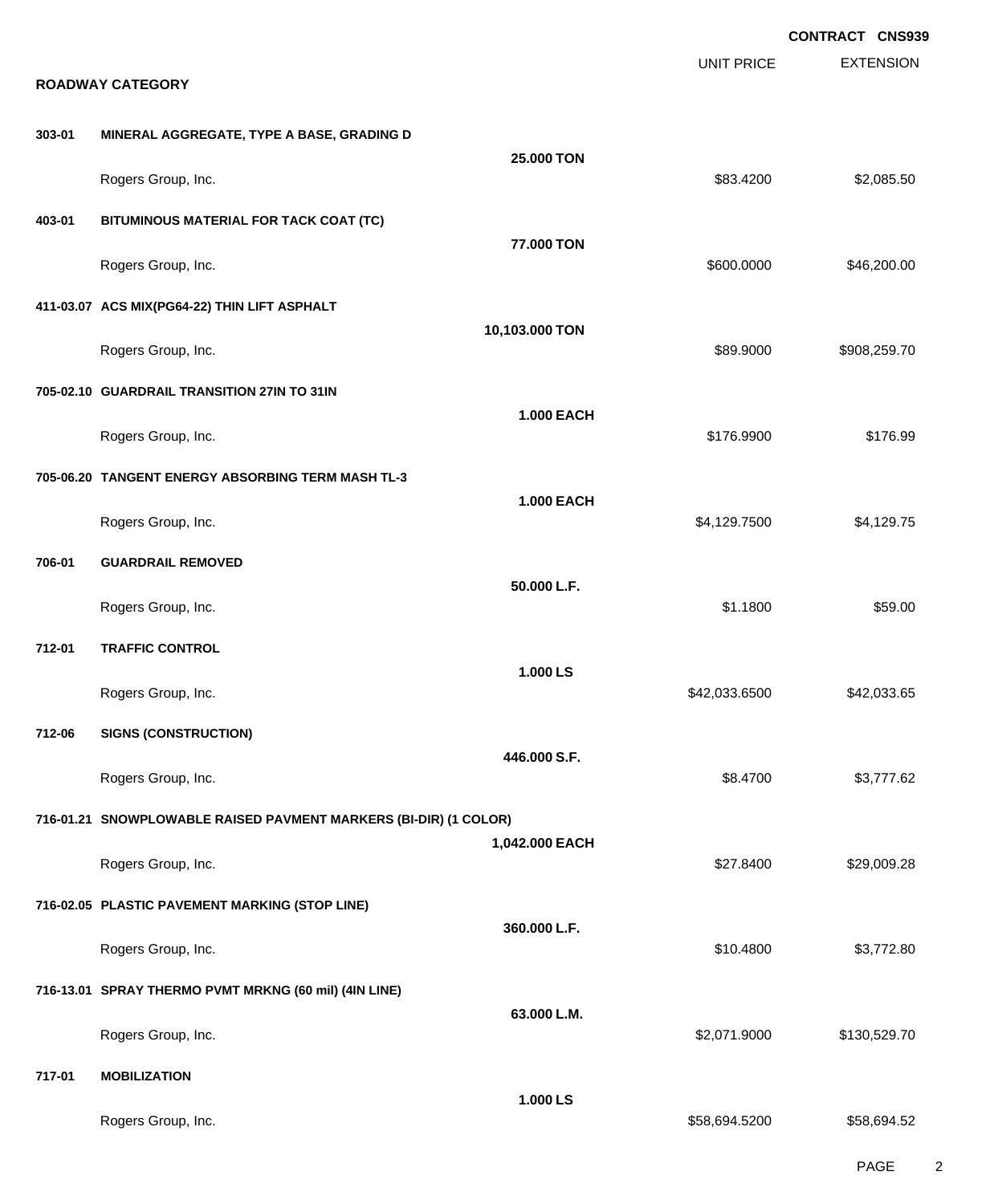|        |                                                                  |                   | <b>UNIT PRICE</b> | <b>CONTRACT CNS939</b><br><b>EXTENSION</b> |
|--------|------------------------------------------------------------------|-------------------|-------------------|--------------------------------------------|
|        | <b>ROADWAY CATEGORY</b>                                          |                   |                   |                                            |
| 303-01 | MINERAL AGGREGATE, TYPE A BASE, GRADING D                        |                   |                   |                                            |
|        | Rogers Group, Inc.                                               | 25.000 TON        | \$83.4200         | \$2,085.50                                 |
| 403-01 | BITUMINOUS MATERIAL FOR TACK COAT (TC)                           |                   |                   |                                            |
|        | Rogers Group, Inc.                                               | 77.000 TON        | \$600.0000        | \$46,200.00                                |
|        | 411-03.07 ACS MIX(PG64-22) THIN LIFT ASPHALT                     |                   |                   |                                            |
|        | Rogers Group, Inc.                                               | 10,103.000 TON    | \$89.9000         | \$908,259.70                               |
|        | 705-02.10 GUARDRAIL TRANSITION 27IN TO 31IN                      |                   |                   |                                            |
|        | Rogers Group, Inc.                                               | <b>1.000 EACH</b> | \$176.9900        | \$176.99                                   |
|        | 705-06.20 TANGENT ENERGY ABSORBING TERM MASH TL-3                |                   |                   |                                            |
|        | Rogers Group, Inc.                                               | <b>1.000 EACH</b> | \$4,129.7500      | \$4,129.75                                 |
| 706-01 | <b>GUARDRAIL REMOVED</b>                                         |                   |                   |                                            |
|        | Rogers Group, Inc.                                               | 50.000 L.F.       | \$1.1800          | \$59.00                                    |
| 712-01 | <b>TRAFFIC CONTROL</b>                                           |                   |                   |                                            |
|        | Rogers Group, Inc.                                               | 1.000 LS          | \$42,033.6500     | \$42,033.65                                |
| 712-06 | <b>SIGNS (CONSTRUCTION)</b>                                      |                   |                   |                                            |
|        | Rogers Group, Inc.                                               | 446.000 S.F.      | \$8.4700          | \$3,777.62                                 |
|        | 716-01.21 SNOWPLOWABLE RAISED PAVMENT MARKERS (BI-DIR) (1 COLOR) |                   |                   |                                            |
|        | Rogers Group, Inc.                                               | 1,042.000 EACH    | \$27.8400         | \$29,009.28                                |
|        | 716-02.05 PLASTIC PAVEMENT MARKING (STOP LINE)                   | 360.000 L.F.      |                   |                                            |
|        | Rogers Group, Inc.                                               |                   | \$10.4800         | \$3,772.80                                 |
|        | 716-13.01 SPRAY THERMO PVMT MRKNG (60 mil) (4IN LINE)            |                   |                   |                                            |
|        | Rogers Group, Inc.                                               | 63.000 L.M.       | \$2,071.9000      | \$130,529.70                               |
| 717-01 | <b>MOBILIZATION</b>                                              | 1.000 LS          |                   |                                            |
|        | Rogers Group, Inc.                                               |                   | \$58,694.5200     | \$58,694.52                                |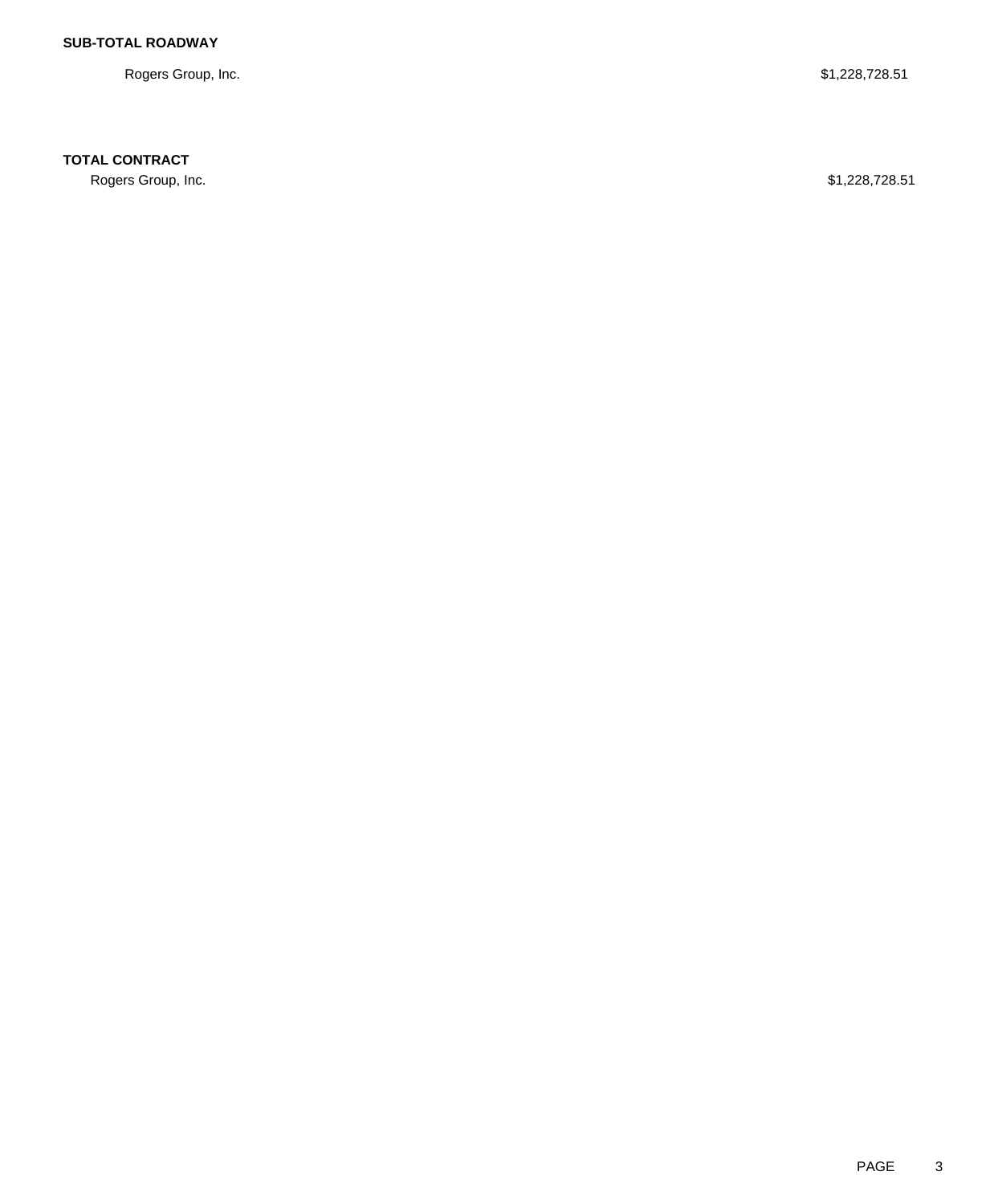Rogers Group, Inc. \$1,228,728.51

## **TOTAL CONTRACT**

Rogers Group, Inc. \$1,228,728.51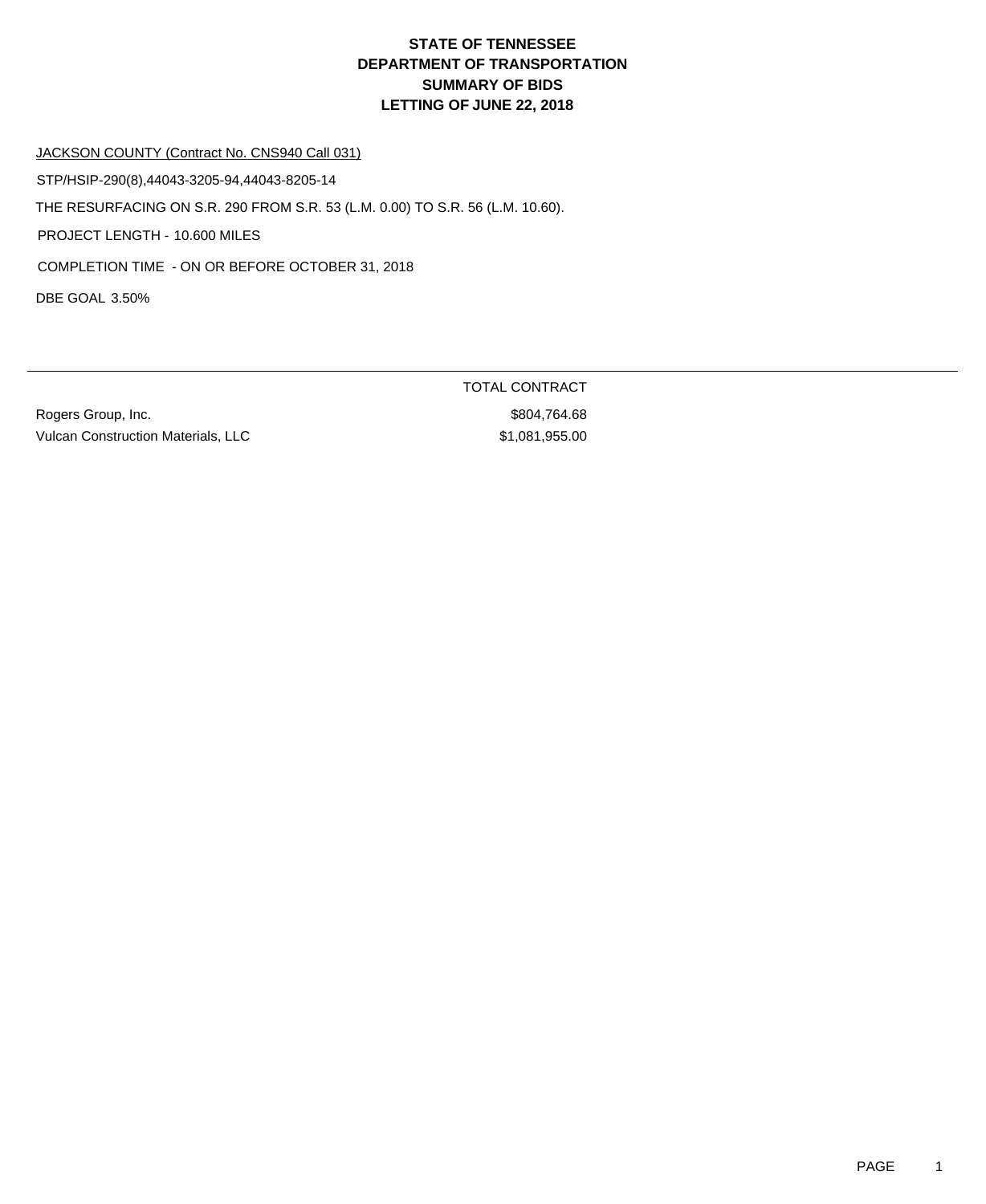#### JACKSON COUNTY (Contract No. CNS940 Call 031)

STP/HSIP-290(8),44043-3205-94,44043-8205-14

THE RESURFACING ON S.R. 290 FROM S.R. 53 (L.M. 0.00) TO S.R. 56 (L.M. 10.60).

PROJECT LENGTH - 10.600 MILES

COMPLETION TIME - ON OR BEFORE OCTOBER 31, 2018

DBE GOAL 3.50%

Rogers Group, Inc. 6804,764.68 Vulcan Construction Materials, LLC \$1,081,955.00

TOTAL CONTRACT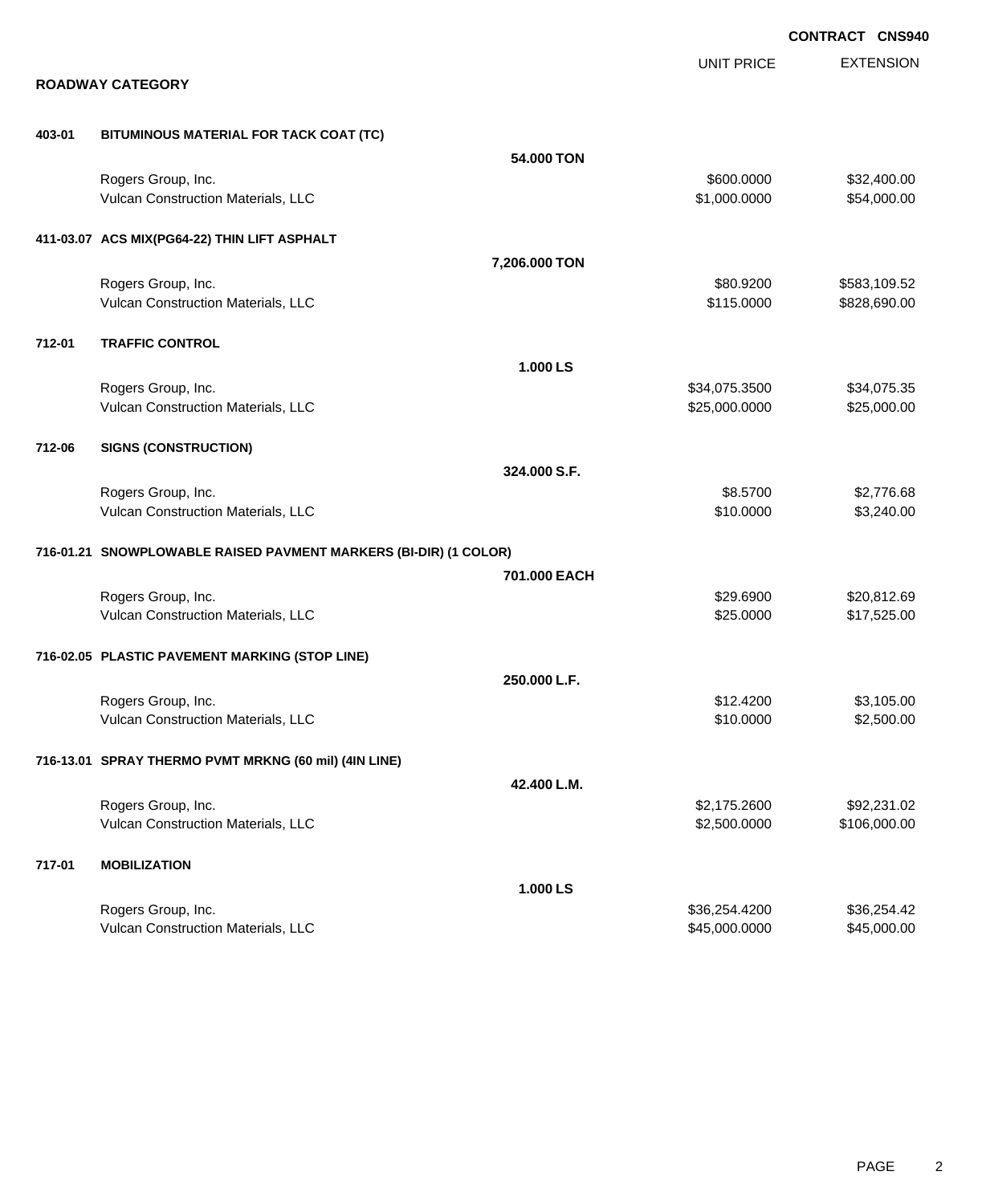**EXTENSION CONTRACT CNS940** UNIT PRICE **ROADWAY CATEGORY 403-01 BITUMINOUS MATERIAL FOR TACK COAT (TC) 54.000 TON** Rogers Group, Inc. \$32,400.00 \$32,400.00 \$32,400.00 \$500.000 \$32,400.00 \$500.000 \$532,400.00 Vulcan Construction Materials, LLC 600000 \$54,000.000 \$54,000.000 \$54,000.000 **411-03.07 ACS MIX(PG64-22) THIN LIFT ASPHALT 7,206.000 TON** Rogers Group, Inc. \$80.9200 \$583,109.52 Vulcan Construction Materials, LLC \$115.0000 \$828,690.00 **712-01 TRAFFIC CONTROL 1.000 LS** Rogers Group, Inc. \$34,075.3500 \$34,075.3500 \$34,075.3500 \$34,075.3500 \$34,075.3500 \$34,075.35 Vulcan Construction Materials, LLC 600000 \$25,000.000 \$25,000.000 \$25,000.000 \$25,000.000 \$25,000.00 **712-06 SIGNS (CONSTRUCTION) 324.000 S.F.** Rogers Group, Inc. \$8.5700 \$2,776.68 Vulcan Construction Materials, LLC 610 and the state of the state of the state of the state of the state of the state of the state of the state of the state of the state of the state of the state of the state of the state **716-01.21 SNOWPLOWABLE RAISED PAVMENT MARKERS (BI-DIR) (1 COLOR) 701.000 EACH** Rogers Group, Inc. \$20,812.69 \$20,812.69 \$20,812.69 Vulcan Construction Materials, LLC 60000 \$17,525.00 **716-02.05 PLASTIC PAVEMENT MARKING (STOP LINE) 250.000 L.F.** Rogers Group, Inc. \$1,105.00 \$3,105.00 \$3,105.00 \$3,105.00 \$3,105.00 \$3,105.00 \$3,105.00 \$3,105.00 \$3,105.00 \$3,105.00 Vulcan Construction Materials, LLC 60000 \$2,500.00 **716-13.01 SPRAY THERMO PVMT MRKNG (60 mil) (4IN LINE) 42.400 L.M.** Rogers Group, Inc. \$2,175.2600 \$92,231.02 Vulcan Construction Materials, LLC 6000.000 \$106,000.00 \$106,000.00 **717-01 MOBILIZATION 1.000 LS** Rogers Group, Inc. \$36,254.4200 \$36,254.4200 \$36,254.4200 \$36,254.4200 \$36,254.420 Vulcan Construction Materials, LLC 600000 \$45,000.000 \$45,000.000 \$45,000.000 \$45,000.00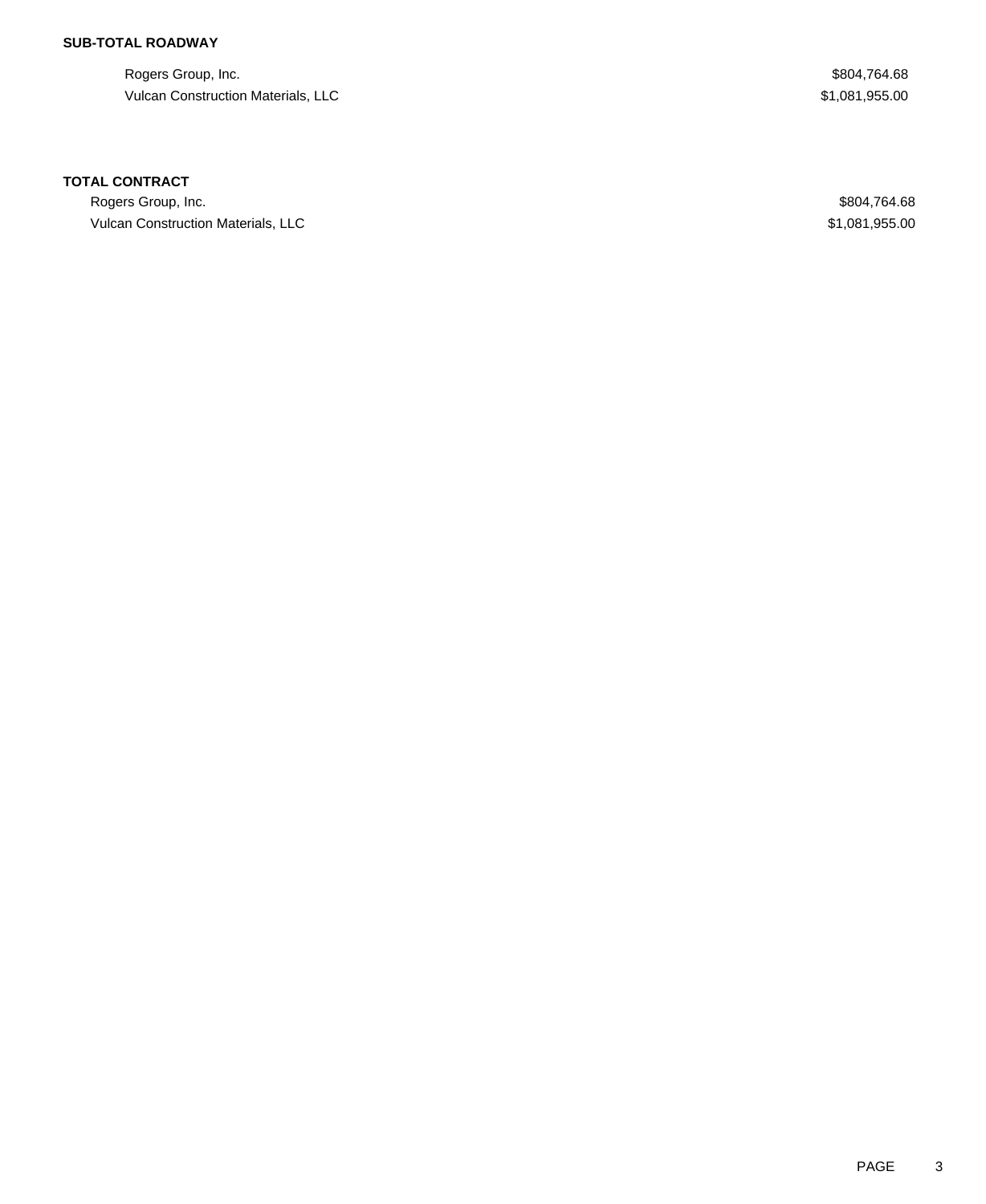## **SUB-TOTAL ROADWAY**

Rogers Group, Inc. \$804,764.68 Vulcan Construction Materials, LLC  $$1,081,955.00$ 

### **TOTAL CONTRACT**

Rogers Group, Inc. \$804,764.68 Vulcan Construction Materials, LLC **1996** 1,081,955.00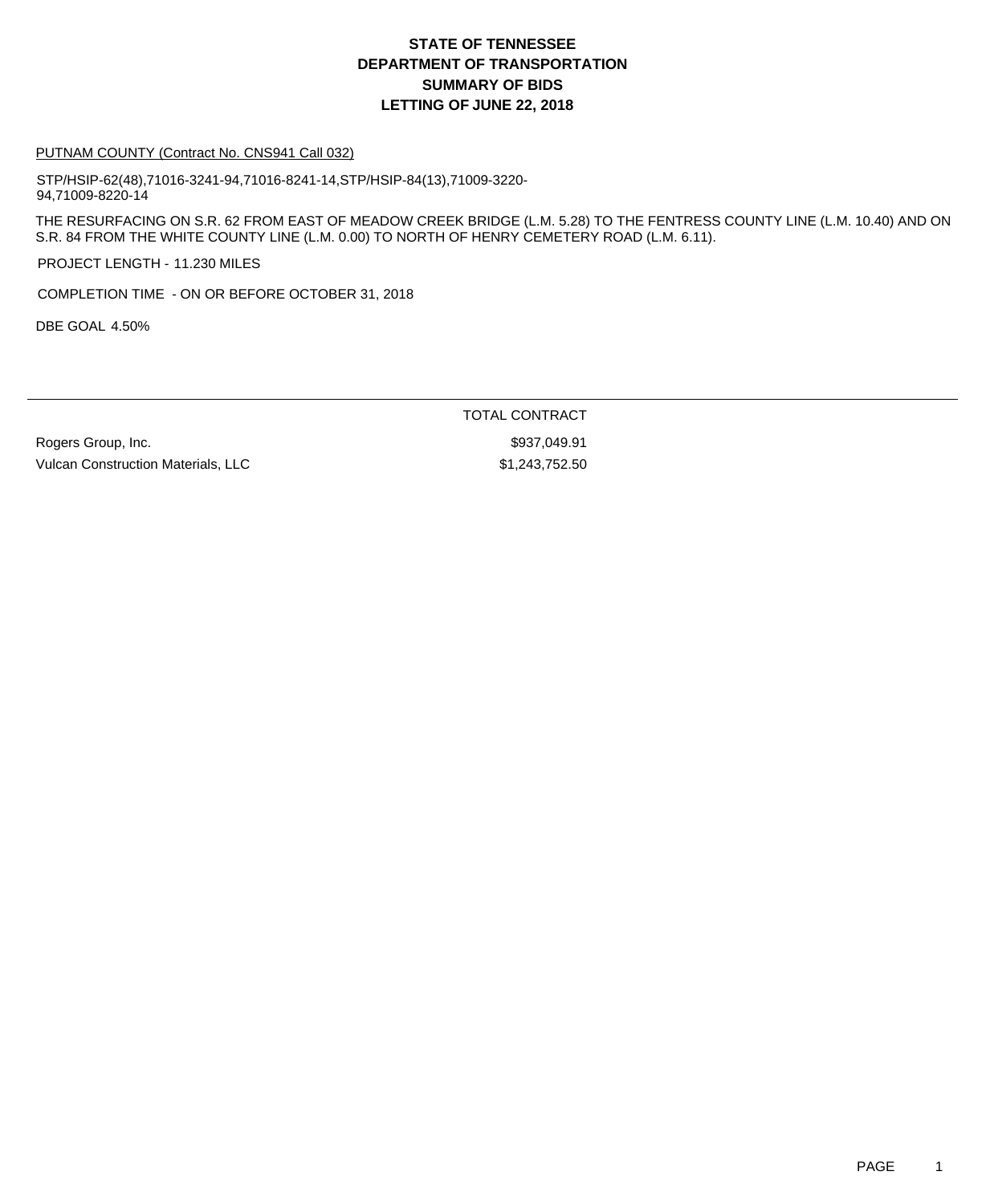#### PUTNAM COUNTY (Contract No. CNS941 Call 032)

STP/HSIP-62(48),71016-3241-94,71016-8241-14,STP/HSIP-84(13),71009-3220- 94,71009-8220-14

THE RESURFACING ON S.R. 62 FROM EAST OF MEADOW CREEK BRIDGE (L.M. 5.28) TO THE FENTRESS COUNTY LINE (L.M. 10.40) AND ON S.R. 84 FROM THE WHITE COUNTY LINE (L.M. 0.00) TO NORTH OF HENRY CEMETERY ROAD (L.M. 6.11).

PROJECT LENGTH - 11.230 MILES

COMPLETION TIME - ON OR BEFORE OCTOBER 31, 2018

DBE GOAL 4.50%

Rogers Group, Inc. 6. The Contract of the Contract of the State of the State State State State State State State State State State State State State State State State State State State State State State State State State S Vulcan Construction Materials, LLC \$1,243,752.50

TOTAL CONTRACT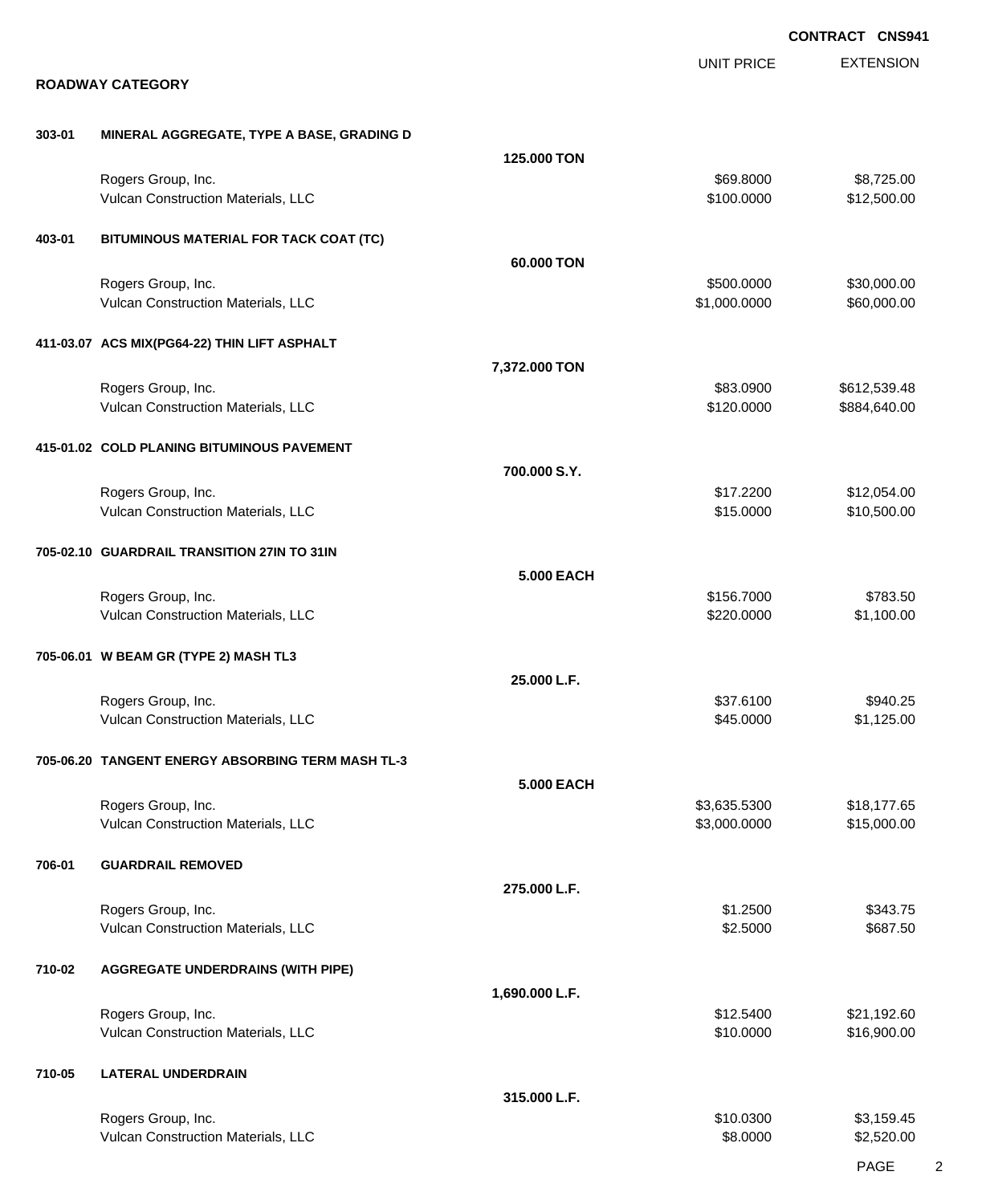|        |                                                          |                   |                              | <b>CONTRACT CNS941</b>       |
|--------|----------------------------------------------------------|-------------------|------------------------------|------------------------------|
|        | <b>ROADWAY CATEGORY</b>                                  |                   | <b>UNIT PRICE</b>            | <b>EXTENSION</b>             |
| 303-01 | MINERAL AGGREGATE, TYPE A BASE, GRADING D                |                   |                              |                              |
|        |                                                          | 125,000 TON       |                              |                              |
|        | Rogers Group, Inc.<br>Vulcan Construction Materials, LLC |                   | \$69.8000<br>\$100.0000      | \$8,725.00<br>\$12,500.00    |
| 403-01 | BITUMINOUS MATERIAL FOR TACK COAT (TC)                   |                   |                              |                              |
|        |                                                          | 60.000 TON        |                              |                              |
|        | Rogers Group, Inc.<br>Vulcan Construction Materials, LLC |                   | \$500.0000<br>\$1,000.0000   | \$30,000.00<br>\$60,000.00   |
|        | 411-03.07 ACS MIX(PG64-22) THIN LIFT ASPHALT             |                   |                              |                              |
|        |                                                          | 7,372.000 TON     |                              |                              |
|        | Rogers Group, Inc.<br>Vulcan Construction Materials, LLC |                   | \$83.0900<br>\$120.0000      | \$612,539.48<br>\$884,640.00 |
|        | 415-01.02 COLD PLANING BITUMINOUS PAVEMENT               |                   |                              |                              |
|        |                                                          | 700.000 S.Y.      |                              |                              |
|        | Rogers Group, Inc.                                       |                   | \$17.2200                    | \$12,054.00                  |
|        | Vulcan Construction Materials, LLC                       |                   | \$15.0000                    | \$10,500.00                  |
|        | 705-02.10 GUARDRAIL TRANSITION 27IN TO 31IN              |                   |                              |                              |
|        |                                                          | <b>5.000 EACH</b> |                              |                              |
|        | Rogers Group, Inc.<br>Vulcan Construction Materials, LLC |                   | \$156.7000<br>\$220.0000     | \$783.50<br>\$1,100.00       |
|        | 705-06.01 W BEAM GR (TYPE 2) MASH TL3                    |                   |                              |                              |
|        |                                                          | 25.000 L.F.       |                              |                              |
|        | Rogers Group, Inc.                                       |                   | \$37.6100                    | \$940.25                     |
|        | Vulcan Construction Materials, LLC                       |                   | \$45.0000                    | \$1,125.00                   |
|        | 705-06.20 TANGENT ENERGY ABSORBING TERM MASH TL-3        |                   |                              |                              |
|        |                                                          | <b>5.000 EACH</b> |                              |                              |
|        | Rogers Group, Inc.<br>Vulcan Construction Materials, LLC |                   | \$3,635.5300<br>\$3,000.0000 | \$18,177.65<br>\$15,000.00   |
|        |                                                          |                   |                              |                              |
| 706-01 | <b>GUARDRAIL REMOVED</b>                                 |                   |                              |                              |
|        | Rogers Group, Inc.                                       | 275.000 L.F.      | \$1.2500                     | \$343.75                     |
|        | Vulcan Construction Materials, LLC                       |                   | \$2.5000                     | \$687.50                     |
| 710-02 | <b>AGGREGATE UNDERDRAINS (WITH PIPE)</b>                 |                   |                              |                              |
|        |                                                          | 1,690.000 L.F.    |                              |                              |
|        | Rogers Group, Inc.                                       |                   | \$12.5400                    | \$21,192.60                  |
|        | Vulcan Construction Materials, LLC                       |                   | \$10.0000                    | \$16,900.00                  |
| 710-05 | <b>LATERAL UNDERDRAIN</b>                                |                   |                              |                              |
|        |                                                          | 315.000 L.F.      |                              |                              |
|        | Rogers Group, Inc.<br>Vulcan Construction Materials, LLC |                   | \$10.0300<br>\$8.0000        | \$3,159.45<br>\$2,520.00     |
|        |                                                          |                   |                              |                              |

PAGE 2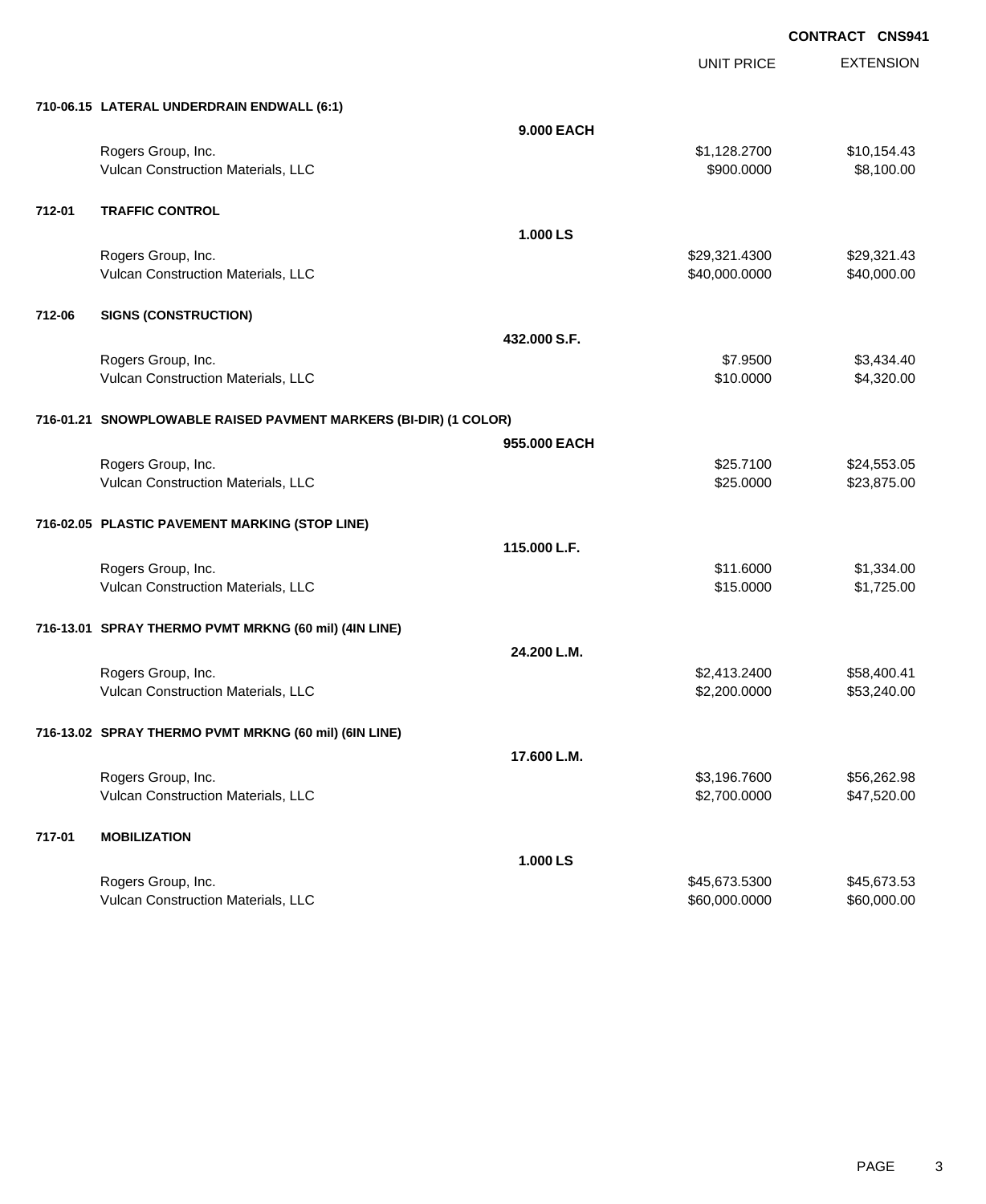UNIT PRICE

EXTENSION

|        | 710-06.15 LATERAL UNDERDRAIN ENDWALL (6:1)                       |              |               |             |
|--------|------------------------------------------------------------------|--------------|---------------|-------------|
|        |                                                                  | 9.000 EACH   |               |             |
|        | Rogers Group, Inc.                                               |              | \$1,128.2700  | \$10,154.43 |
|        | Vulcan Construction Materials, LLC                               |              | \$900.0000    | \$8,100.00  |
|        |                                                                  |              |               |             |
| 712-01 | <b>TRAFFIC CONTROL</b>                                           |              |               |             |
|        |                                                                  | 1.000 LS     |               |             |
|        | Rogers Group, Inc.                                               |              | \$29,321.4300 | \$29,321.43 |
|        | Vulcan Construction Materials, LLC                               |              | \$40,000.0000 | \$40,000.00 |
|        |                                                                  |              |               |             |
| 712-06 | <b>SIGNS (CONSTRUCTION)</b>                                      |              |               |             |
|        |                                                                  | 432.000 S.F. |               |             |
|        | Rogers Group, Inc.                                               |              | \$7.9500      | \$3,434.40  |
|        | Vulcan Construction Materials, LLC                               |              | \$10.0000     | \$4,320.00  |
|        |                                                                  |              |               |             |
|        | 716-01.21 SNOWPLOWABLE RAISED PAVMENT MARKERS (BI-DIR) (1 COLOR) |              |               |             |
|        |                                                                  | 955.000 EACH |               |             |
|        | Rogers Group, Inc.                                               |              | \$25.7100     | \$24,553.05 |
|        | Vulcan Construction Materials, LLC                               |              | \$25.0000     | \$23,875.00 |
|        |                                                                  |              |               |             |
|        | 716-02.05 PLASTIC PAVEMENT MARKING (STOP LINE)                   |              |               |             |
|        |                                                                  | 115.000 L.F. |               |             |
|        | Rogers Group, Inc.                                               |              | \$11.6000     | \$1,334.00  |
|        | Vulcan Construction Materials, LLC                               |              | \$15.0000     | \$1,725.00  |
|        |                                                                  |              |               |             |
|        | 716-13.01 SPRAY THERMO PVMT MRKNG (60 mil) (4IN LINE)            |              |               |             |
|        |                                                                  | 24.200 L.M.  |               |             |
|        | Rogers Group, Inc.                                               |              | \$2,413.2400  | \$58,400.41 |
|        | Vulcan Construction Materials, LLC                               |              | \$2,200.0000  | \$53,240.00 |
|        |                                                                  |              |               |             |
|        | 716-13.02 SPRAY THERMO PVMT MRKNG (60 mil) (6IN LINE)            |              |               |             |
|        |                                                                  | 17.600 L.M.  |               |             |
|        | Rogers Group, Inc.                                               |              | \$3,196.7600  | \$56,262.98 |
|        | Vulcan Construction Materials, LLC                               |              | \$2,700.0000  | \$47,520.00 |
|        |                                                                  |              |               |             |
| 717-01 | <b>MOBILIZATION</b>                                              |              |               |             |
|        |                                                                  | 1.000 LS     |               |             |
|        | Rogers Group, Inc.                                               |              | \$45,673.5300 | \$45,673.53 |
|        | Vulcan Construction Materials, LLC                               |              | \$60,000.0000 | \$60,000.00 |